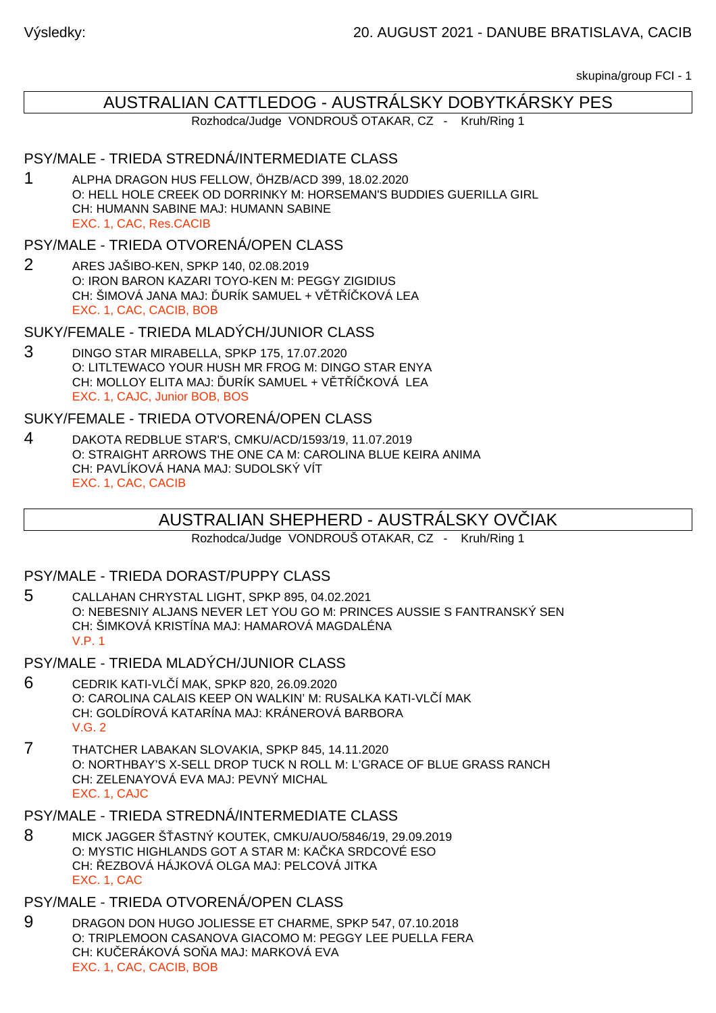skupina/group FCI - 1

# AUSTRALIAN CATTLEDOG - AUSTRÁLSKY DOBYTKÁRSKY PES

Rozhodca/Judge VONDROUŠ OTAKAR, CZ - Kruh/Ring 1

### PSY/MALE - TRIEDA STREDNÁ/INTERMEDIATE CLASS

1 ALPHA DRAGON HUS FELLOW, ÖHZB/ACD 399, 18.02.2020 O: HELL HOLE CREEK OD DORRINKY M: HORSEMAN'S BUDDIES GUERILLA GIRL CH: HUMANN SABINE MAJ: HUMANN SABINE EXC. 1, CAC, Res.CACIB

# PSY/MALE - TRIEDA OTVORENÁ/OPEN CLASS

2 ARES JAŠIBO-KEN, SPKP 140, 02.08.2019 O: IRON BARON KAZARI TOYO-KEN M: PEGGY ZIGIDIUS CH: ŠIMOVÁ JANA MAJ: URÍK SAMUEL + V T Í KOVÁ LEA EXC. 1, CAC, CACIB, BOB

SUKY/FEMALE - TRIEDA MLADÝCH/JUNIOR CLASS

3 DINGO STAR MIRABELLA, SPKP 175, 17.07.2020 O: LITLTEWACO YOUR HUSH MR FROG M: DINGO STAR ENYA CH: MOLLOY ELITA MAJ: URÍK SAMUEL + V T Í KOVÁ LEA EXC. 1, CAJC, Junior BOB, BOS

#### SUKY/FEMALE - TRIEDA OTVORENÁ/OPEN CLASS

4 DAKOTA REDBLUE STAR'S, CMKU/ACD/1593/19, 11.07.2019 O: STRAIGHT ARROWS THE ONE CA M: CAROLINA BLUE KEIRA ANIMA CH: PAVLÍKOVÁ HANA MAJ: SUDOLSKÝ VÍT EXC. 1, CAC, CACIB

# AUSTRALIAN SHEPHERD - AUSTRÁLSKY OVČIAK

Rozhodca/Judge VONDROUŠ OTAKAR, CZ - Kruh/Ring 1

#### PSY/MALE - TRIEDA DORAST/PUPPY CLASS

5 CALLAHAN CHRYSTAL LIGHT, SPKP 895, 04.02.2021 O: NEBESNIY ALJANS NEVER LET YOU GO M: PRINCES AUSSIE S FANTRANSKÝ SEN CH: ŠIMKOVÁ KRISTÍNA MAJ: HAMAROVÁ MAGDALÉNA V.P. 1

PSY/MALE - TRIEDA MLADÝCH/JUNIOR CLASS

- 6 CEDRIK KATI-VL Í MAK, SPKP 820, 26.09.2020 O: CAROLINA CALAIS KEEP ON WALKIN' M: RUSALKA KATI-VLČÍ MAK CH: GOLDÍROVÁ KATARÍNA MAJ: KRÁNEROVÁ BARBORA V.G. 2
- 7 THATCHER LABAKAN SLOVAKIA, SPKP 845, 14.11.2020 O: NORTHBAY'S X-SELL DROP TUCK N ROLL M: L'GRACE OF BLUE GRASS RANCH CH: ZELENAYOVÁ EVA MAJ: PEVNÝ MICHAL EXC. 1, CAJC

# PSY/MALE - TRIEDA STREDNÁ/INTERMEDIATE CLASS

8 MICK JAGGER ŠASTNÝ KOUTEK, CMKU/AUO/5846/19, 29.09.2019 O: MYSTIC HIGHLANDS GOT A STAR M: KA KA SRDCOVÉ ESO CH: EZBOVÁ HÁJKOVÁ OLGA MAJ: PELCOVÁ JITKA EXC. 1, CAC

# PSY/MALE - TRIEDA OTVORENÁ/OPEN CLASS

9 DRAGON DON HUGO JOLIESSE ET CHARME, SPKP 547, 07.10.2018 O: TRIPLEMOON CASANOVA GIACOMO M: PEGGY LEE PUELLA FERA CH: KU ERÁKOVÁ SO A MAJ: MARKOVÁ EVA EXC. 1, CAC, CACIB, BOB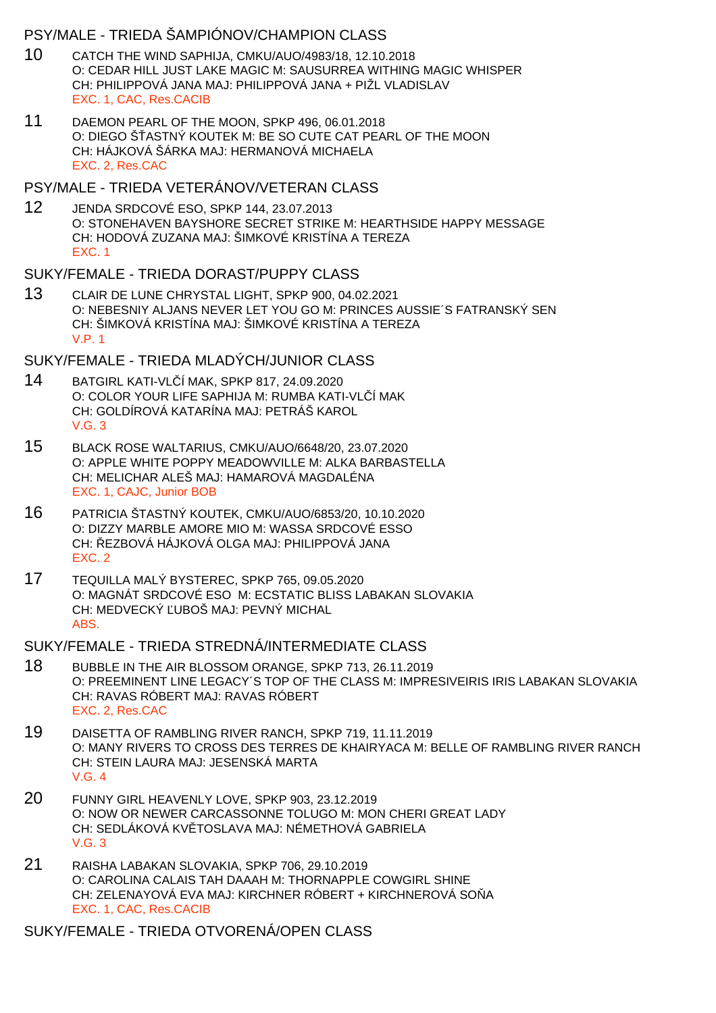#### PSY/MALE - TRIEDA ŠAMPIÓNOV/CHAMPION CLASS

- 10 CATCH THE WIND SAPHIJA, CMKU/AUO/4983/18, 12.10.2018 O: CEDAR HILL JUST LAKE MAGIC M: SAUSURREA WITHING MAGIC WHISPER CH: PHILIPPOVÁ JANA MAJ: PHILIPPOVÁ JANA + PIŽL VLADISLAV EXC. 1, CAC, Res.CACIB
- 11 DAEMON PEARL OF THE MOON, SPKP 496, 06.01.2018 O: DIEGO ŠASTNÝ KOUTEK M: BE SO CUTE CAT PEARL OF THE MOON CH: HÁJKOVÁ ŠÁRKA MAJ: HERMANOVÁ MICHAELA EXC. 2, Res.CAC

#### PSY/MALE - TRIEDA VETERÁNOV/VETERAN CLASS

12 JENDA SRDCOVÉ ESO, SPKP 144, 23.07.2013 O: STONEHAVEN BAYSHORE SECRET STRIKE M: HEARTHSIDE HAPPY MESSAGE CH: HODOVÁ ZUZANA MAJ: ŠIMKOVÉ KRISTÍNA A TEREZA EXC. 1

#### SUKY/FEMALE - TRIEDA DORAST/PUPPY CLASS

13 CLAIR DE LUNE CHRYSTAL LIGHT, SPKP 900, 04.02.2021 O: NEBESNIY ALJANS NEVER LET YOU GO M: PRINCES AUSSIE´S FATRANSKÝ SEN CH: ŠIMKOVÁ KRISTÍNA MAJ: ŠIMKOVÉ KRISTÍNA A TEREZA V.P. 1

#### SUKY/FEMALE - TRIEDA MLADÝCH/JUNIOR CLASS

- 14 BATGIRL KATI-VLČÍ MAK, SPKP 817, 24.09.2020 O: COLOR YOUR LIFE SAPHIJA M: RUMBA KATI-VL Í MAK CH: GOLDÍROVÁ KATARÍNA MAJ: PETRÁŠ KAROL V.G. 3
- 15 BLACK ROSE WALTARIUS, CMKU/AUO/6648/20, 23.07.2020 O: APPLE WHITE POPPY MEADOWVILLE M: ALKA BARBASTELLA CH: MELICHAR ALEŠ MAJ: HAMAROVÁ MAGDALÉNA EXC. 1, CAJC, Junior BOB
- 16 PATRICIA ŠTASTNÝ KOUTEK, CMKU/AUO/6853/20, 10.10.2020 O: DIZZY MARBLE AMORE MIO M: WASSA SRDCOVÉ ESSO CH: EZBOVÁ HÁJKOVÁ OLGA MAJ: PHILIPPOVÁ JANA EXC. 2
- 17 TEQUILLA MALÝ BYSTEREC, SPKP 765, 09.05.2020 O: MAGNÁT SRDCOVÉ ESO M: ECSTATIC BLISS LABAKAN SLOVAKIA CH: MEDVECKÝ UBOŠ MAJ: PEVNÝ MICHAL ABS.

### SUKY/FEMALE - TRIEDA STREDNÁ/INTERMEDIATE CLASS

- 18 BUBBLE IN THE AIR BLOSSOM ORANGE, SPKP 713, 26.11.2019 O: PREEMINENT LINE LEGACY´S TOP OF THE CLASS M: IMPRESIVEIRIS IRIS LABAKAN SLOVAKIA CH: RAVAS RÓBERT MAJ: RAVAS RÓBERT EXC. 2, Res.CAC
- 19 DAISETTA OF RAMBLING RIVER RANCH, SPKP 719, 11.11.2019 O: MANY RIVERS TO CROSS DES TERRES DE KHAIRYACA M: BELLE OF RAMBLING RIVER RANCH CH: STEIN LAURA MAJ: JESENSKÁ MARTA V.G. 4
- 20 FUNNY GIRL HEAVENLY LOVE, SPKP 903, 23.12.2019 O: NOW OR NEWER CARCASSONNE TOLUGO M: MON CHERI GREAT LADY CH: SEDLÁKOVÁ KV. TOSLAVA MAJ: NÉMETHOVÁ GABRIELA V.G. 3
- 21 RAISHA LABAKAN SLOVAKIA, SPKP 706, 29.10.2019 O: CAROLINA CALAIS TAH DAAAH M: THORNAPPLE COWGIRL SHINE CH: ZELENAYOVÁ EVA MAJ: KIRCHNER RÓBERT + KIRCHNEROVÁ SO EXC. 1, CAC, Res.CACIB

SUKY/FEMALE - TRIEDA OTVORENÁ/OPEN CLASS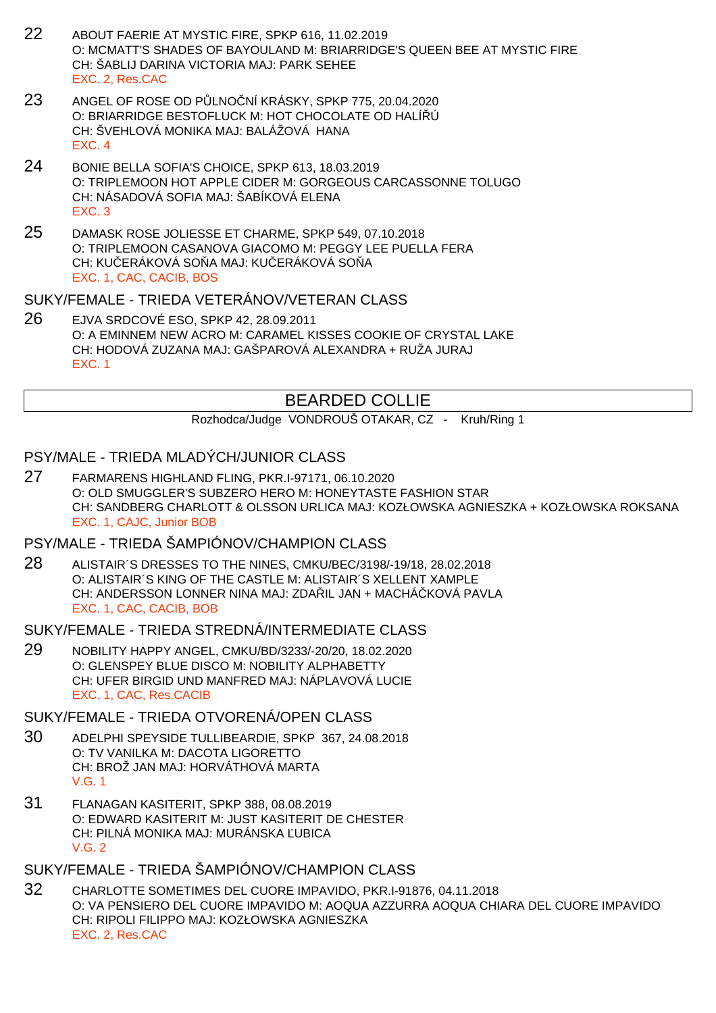- 22 ABOUT FAERIE AT MYSTIC FIRE, SPKP 616, 11.02.2019 O: MCMATT'S SHADES OF BAYOULAND M: BRIARRIDGE'S QUEEN BEE AT MYSTIC FIRE CH: ŠABLIJ DARINA VICTORIA MAJ: PARK SEHEE EXC. 2, Res.CAC
- 23 ANGEL OF ROSE OD PLNO NÍ KRÁSKY, SPKP 775, 20.04.2020 O: BRIARRIDGE BESTOFLUCK M: HOT CHOCOLATE OD HALÍ Ú CH: ŠVEHLOVÁ MONIKA MAJ: BALÁŽOVÁ HANA EXC. 4
- 24 BONIE BELLA SOFIA'S CHOICE, SPKP 613, 18.03.2019 O: TRIPLEMOON HOT APPLE CIDER M: GORGEOUS CARCASSONNE TOLUGO CH: NÁSADOVÁ SOFIA MAJ: ŠABÍKOVÁ ELENA EXC. 3
- 25 DAMASK ROSE JOLIESSE ET CHARME, SPKP 549, 07.10.2018 O: TRIPLEMOON CASANOVA GIACOMO M: PEGGY LEE PUELLA FERA CH: KU ERÁKOVÁ SO A MAJ: KU ERÁKOVÁ SO A EXC. 1, CAC, CACIB, BOS

#### SUKY/FEMALE - TRIEDA VETERÁNOV/VETERAN CLASS

26 EJVA SRDCOVÉ ESO, SPKP 42, 28.09.2011 O: A EMINNEM NEW ACRO M: CARAMEL KISSES COOKIE OF CRYSTAL LAKE CH: HODOVÁ ZUZANA MAJ: GAŠPAROVÁ ALEXANDRA + RUŽA JURAJ EXC. 1

# BEARDED COLLIE

Rozhodca/Judge VONDROUŠ OTAKAR, CZ - Kruh/Ring 1

# PSY/MALE - TRIEDA MLADÝCH/JUNIOR CLASS

27 FARMARENS HIGHLAND FLING, PKR.I-97171, 06.10.2020 O: OLD SMUGGLER'S SUBZERO HERO M: HONEYTASTE FASHION STAR CH: SANDBERG CHARLOTT & OLSSON URLICA MAJ: KOZŁOWSKA AGNIESZKA + KOZŁOWSKA ROKSANA EXC. 1, CAJC, Junior BOB

#### PSY/MALE - TRIEDA ŠAMPIÓNOV/CHAMPION CLASS

28 ALISTAIR´S DRESSES TO THE NINES, CMKU/BEC/3198/-19/18, 28.02.2018 O: ALISTAIR´S KING OF THE CASTLE M: ALISTAIR´S XELLENT XAMPLE CH: ANDERSSON LONNER NINA MAJ: ZDA IL JAN + MACHÁ KOVÁ PAVLA EXC. 1, CAC, CACIB, BOB

### SUKY/FEMALE - TRIEDA STREDNÁ/INTERMEDIATE CLASS

29 NOBILITY HAPPY ANGEL, CMKU/BD/3233/-20/20, 18.02.2020 O: GLENSPEY BLUE DISCO M: NOBILITY ALPHABETTY CH: UFER BIRGID UND MANFRED MAJ: NÁPLAVOVÁ LUCIE EXC. 1, CAC, Res.CACIB

#### SUKY/FEMALE - TRIEDA OTVORENÁ/OPEN CLASS

- 30 ADELPHI SPEYSIDE TULLIBEARDIE, SPKP 367, 24.08.2018 O: TV VANILKA M: DACOTA LIGORETTO CH: BROŽ JAN MAJ: HORVÁTHOVÁ MARTA V.G. 1
- 31 FLANAGAN KASITERIT, SPKP 388, 08.08.2019 O: EDWARD KASITERIT M: JUST KASITERIT DE CHESTER CH: PILNÁ MONIKA MAJ: MURÁNSKA UBICA  $V$  G  $2$

# SUKY/FEMALE - TRIEDA ŠAMPIÓNOV/CHAMPION CLASS

32 CHARLOTTE SOMETIMES DEL CUORE IMPAVIDO, PKR.I-91876, 04.11.2018 O: VA PENSIERO DEL CUORE IMPAVIDO M: AOQUA AZZURRA AOQUA CHIARA DEL CUORE IMPAVIDO CH: RIPOLI FILIPPO MAJ: KOZŁOWSKA AGNIESZKA EXC. 2, Res.CAC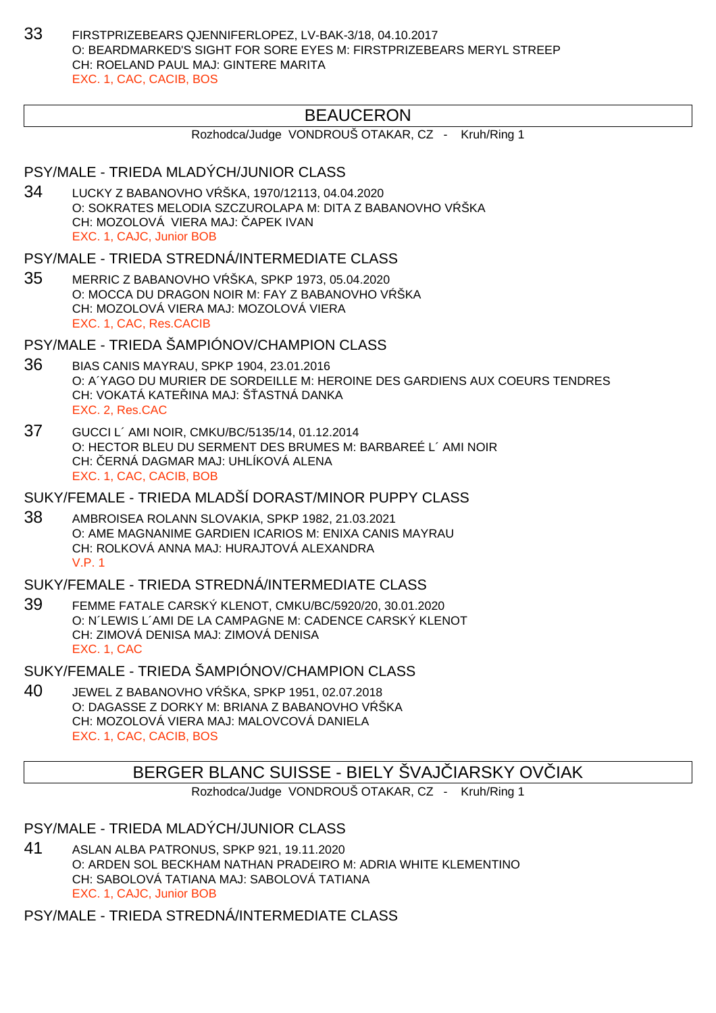33 FIRSTPRIZEBEARS QJENNIFERLOPEZ, LV-BAK-3/18, 04.10.2017 O: BEARDMARKED'S SIGHT FOR SORE EYES M: FIRSTPRIZEBEARS MERYL STREEP CH: ROELAND PAUL MAJ: GINTERE MARITA EXC. 1, CAC, CACIB, BOS

# BEAUCERON

Rozhodca/Judge VONDROUŠ OTAKAR, CZ - Kruh/Ring 1

## PSY/MALE - TRIEDA MLADÝCH/JUNIOR CLASS

34 LUCKY Z BABANOVHO V ŠKA, 1970/12113, 04.04.2020 O: SOKRATES MELODIA SZCZUROLAPA M: DITA Z BABANOVHO V ŠKA CH: MOZOLOVÁ VIERA MAJ: APEK IVAN EXC. 1, CAJC, Junior BOB

#### PSY/MALE - TRIEDA STREDNÁ/INTERMEDIATE CLASS

35 MERRIC Z BABANOVHO V ŠKA, SPKP 1973, 05.04.2020 O: MOCCA DU DRAGON NOIR M: FAY Z BABANOVHO V ŠKA CH: MOZOLOVÁ VIERA MAJ: MOZOLOVÁ VIERA EXC. 1, CAC, Res.CACIB

# PSY/MALE - TRIEDA ŠAMPIÓNOV/CHAMPION CLASS

- 36 BIAS CANIS MAYRAU, SPKP 1904, 23.01.2016 O: A´YAGO DU MURIER DE SORDEILLE M: HEROINE DES GARDIENS AUX COEURS TENDRES CH: VOKATÁ KATE INA MAJ: Š ASTNÁ DANKA EXC. 2, Res.CAC
- 37 GUCCI L´ AMI NOIR, CMKU/BC/5135/14, 01.12.2014 O: HECTOR BLEU DU SERMENT DES BRUMES M: BARBAREÉ L´ AMI NOIR CH: ERNÁ DAGMAR MAJ: UHLÍKOVÁ ALENA EXC. 1, CAC, CACIB, BOB

# SUKY/FEMALE - TRIEDA MLADŠÍ DORAST/MINOR PUPPY CLASS

38 AMBROISEA ROLANN SLOVAKIA, SPKP 1982, 21.03.2021 O: AME MAGNANIME GARDIEN ICARIOS M: ENIXA CANIS MAYRAU CH: ROLKOVÁ ANNA MAJ: HURAJTOVÁ ALEXANDRA V.P. 1

#### SUKY/FEMALE - TRIEDA STREDNÁ/INTERMEDIATE CLASS

- 39 FEMME FATALE CARSKÝ KLENOT, CMKU/BC/5920/20, 30.01.2020 O: N´LEWIS L´AMI DE LA CAMPAGNE M: CADENCE CARSKÝ KLENOT CH: ZIMOVÁ DENISA MAJ: ZIMOVÁ DENISA EXC. 1, CAC
- SUKY/FEMALE TRIEDA ŠAMPIÓNOV/CHAMPION CLASS
- 40 JEWEL Z BABANOVHO V ŠKA, SPKP 1951, 02.07.2018 O: DAGASSE Z DORKY M: BRIANA Z BABANOVHO V ŠKA CH: MOZOLOVÁ VIERA MAJ: MALOVCOVÁ DANIELA EXC. 1, CAC, CACIB, BOS

# BERGER BLANC SUISSE - BIELY ŠVAJ IARSKY OVIJAK

Rozhodca/Judge VONDROUŠ OTAKAR, CZ - Kruh/Ring 1

PSY/MALE - TRIEDA MLADÝCH/JUNIOR CLASS

41 ASLAN ALBA PATRONUS, SPKP 921, 19.11.2020 O: ARDEN SOL BECKHAM NATHAN PRADEIRO M: ADRIA WHITE KLEMENTINO CH: SABOLOVÁ TATIANA MAJ: SABOLOVÁ TATIANA EXC. 1, CAJC, Junior BOB

#### PSY/MALE - TRIEDA STREDNÁ/INTERMEDIATE CLASS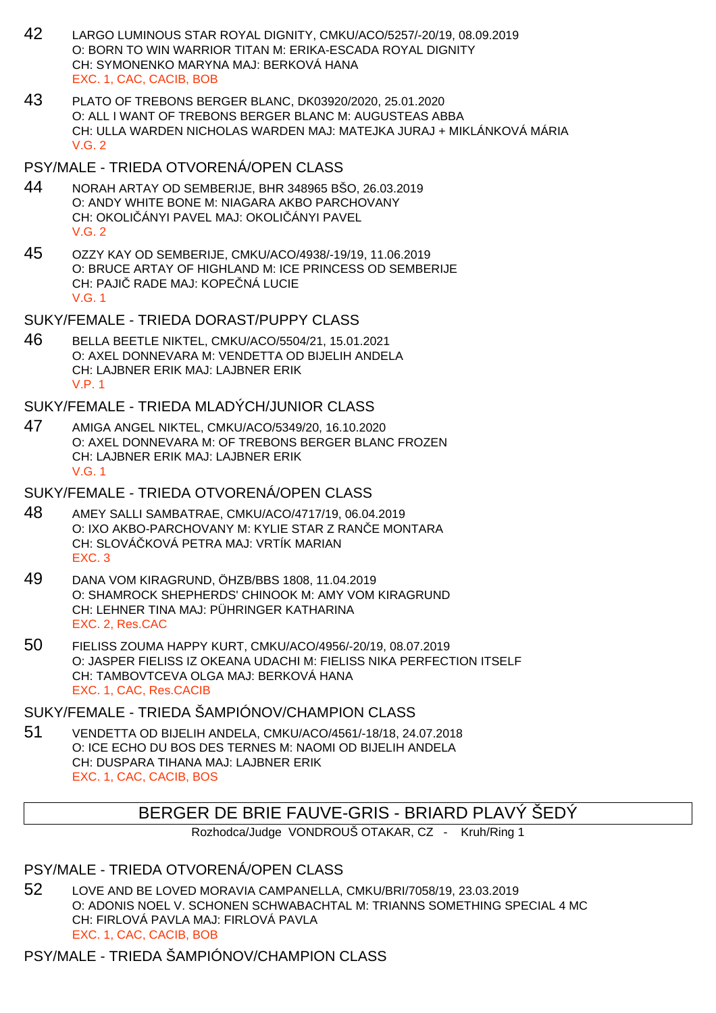- 42 LARGO LUMINOUS STAR ROYAL DIGNITY, CMKU/ACO/5257/-20/19, 08.09.2019 O: BORN TO WIN WARRIOR TITAN M: ERIKA-ESCADA ROYAL DIGNITY CH: SYMONENKO MARYNA MAJ: BERKOVÁ HANA EXC. 1, CAC, CACIB, BOB
- 43 PLATO OF TREBONS BERGER BLANC, DK03920/2020, 25.01.2020 O: ALL I WANT OF TREBONS BERGER BLANC M: AUGUSTEAS ABBA CH: ULLA WARDEN NICHOLAS WARDEN MAJ: MATEJKA JURAJ + MIKLÁNKOVÁ MÁRIA V.G. 2
- PSY/MALE TRIEDA OTVORENÁ/OPEN CLASS
- 44 NORAH ARTAY OD SEMBERIJE, BHR 348965 BŠO, 26.03.2019 O: ANDY WHITE BONE M: NIAGARA AKBO PARCHOVANY CH: OKOLI ÁNYI PAVEL MAJ: OKOLI ÁNYI PAVEL V.G. 2
- 45 OZZY KAY OD SEMBERIJE, CMKU/ACO/4938/-19/19, 11.06.2019 O: BRUCE ARTAY OF HIGHLAND M: ICE PRINCESS OD SEMBERIJE CH: PAJI RADE MAJ: KOPE NÁ LUCIE V.G. 1
- SUKY/FEMALE TRIEDA DORAST/PUPPY CLASS
- 46 BELLA BEETLE NIKTEL, CMKU/ACO/5504/21, 15.01.2021 O: AXEL DONNEVARA M: VENDETTA OD BIJELIH ANDELA CH: LAJBNER ERIK MAJ: LAJBNER ERIK V.P. 1

SUKY/FEMALE - TRIEDA MLADÝCH/JUNIOR CLASS

47 AMIGA ANGEL NIKTEL, CMKU/ACO/5349/20, 16.10.2020 O: AXEL DONNEVARA M: OF TREBONS BERGER BLANC FROZEN CH: LAJBNER ERIK MAJ: LAJBNER ERIK V.G. 1

SUKY/FEMALE - TRIEDA OTVORENÁ/OPEN CLASS

- 48 AMEY SALLI SAMBATRAE, CMKU/ACO/4717/19, 06.04.2019 O: IXO AKBO-PARCHOVANY M: KYLIE STAR Z RAN
E MONTARA CH: SLOVÁ KOVÁ PETRA MAJ: VRTÍK MARIAN EXC. 3
- 49 DANA VOM KIRAGRUND, ÖHZB/BBS 1808, 11.04.2019 O: SHAMROCK SHEPHERDS' CHINOOK M: AMY VOM KIRAGRUND CH: LEHNER TINA MAJ: PÜHRINGER KATHARINA EXC. 2, Res.CAC
- 50 FIELISS ZOUMA HAPPY KURT, CMKU/ACO/4956/-20/19, 08.07.2019 O: JASPER FIELISS IZ OKEANA UDACHI M: FIELISS NIKA PERFECTION ITSELF CH: TAMBOVTCEVA OLGA MAJ: BERKOVÁ HANA EXC. 1, CAC, Res.CACIB

SUKY/FEMALE - TRIEDA ŠAMPIÓNOV/CHAMPION CLASS

51 VENDETTA OD BIJELIH ANDELA, CMKU/ACO/4561/-18/18, 24.07.2018 O: ICE ECHO DU BOS DES TERNES M: NAOMI OD BIJELIH ANDELA CH: DUSPARA TIHANA MAJ: LAJBNER ERIK EXC. 1, CAC, CACIB, BOS

# BERGER DE BRIE FAUVE-GRIS - BRIARD PLAVÝ ŠEDÝ

Rozhodca/Judge VONDROUŠ OTAKAR, CZ - Kruh/Ring 1

### PSY/MALE - TRIEDA OTVORENÁ/OPEN CLASS

52 LOVE AND BE LOVED MORAVIA CAMPANELLA, CMKU/BRI/7058/19, 23.03.2019 O: ADONIS NOEL V. SCHONEN SCHWABACHTAL M: TRIANNS SOMETHING SPECIAL 4 MC CH: FIRLOVÁ PAVLA MAJ: FIRLOVÁ PAVLA EXC. 1, CAC, CACIB, BOB

PSY/MALE - TRIEDA ŠAMPIÓNOV/CHAMPION CLASS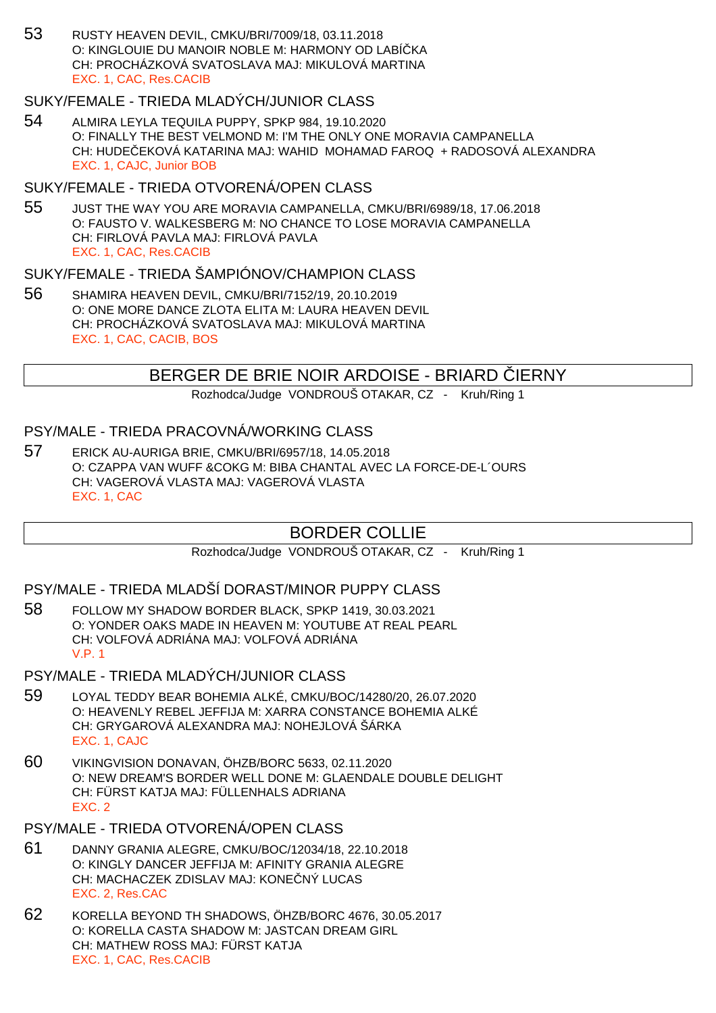53 RUSTY HEAVEN DEVIL, CMKU/BRI/7009/18, 03.11.2018 O: KINGLOUIE DU MANOIR NOBLE M: HARMONY OD LABÍČKA CH: PROCHÁZKOVÁ SVATOSLAVA MAJ: MIKULOVÁ MARTINA EXC. 1, CAC, Res.CACIB

#### SUKY/FEMALE - TRIEDA MLADÝCH/JUNIOR CLASS

54 ALMIRA LEYLA TEQUILA PUPPY, SPKP 984, 19.10.2020 O: FINALLY THE BEST VELMOND M: I'M THE ONLY ONE MORAVIA CAMPANELLA CH: HUDE EKOVÁ KATARINA MAJ: WAHID MOHAMAD FAROQ + RADOSOVÁ ALEXANDRA EXC. 1, CAJC, Junior BOB

#### SUKY/FEMALE - TRIEDA OTVORENÁ/OPEN CLASS

55 JUST THE WAY YOU ARE MORAVIA CAMPANELLA, CMKU/BRI/6989/18, 17.06.2018 O: FAUSTO V. WALKESBERG M: NO CHANCE TO LOSE MORAVIA CAMPANELLA CH: FIRLOVÁ PAVLA MAJ: FIRLOVÁ PAVLA EXC. 1, CAC, Res.CACIB

#### SUKY/FEMALE - TRIEDA ŠAMPIÓNOV/CHAMPION CLASS

56 SHAMIRA HEAVEN DEVIL, CMKU/BRI/7152/19, 20.10.2019 O: ONE MORE DANCE ZLOTA ELITA M: LAURA HEAVEN DEVIL CH: PROCHÁZKOVÁ SVATOSLAVA MAJ: MIKULOVÁ MARTINA EXC. 1, CAC, CACIB, BOS

### BERGER DE BRIE NOIR ARDOISE - BRIARD IERNY

Rozhodca/Judge VONDROUŠ OTAKAR, CZ - Kruh/Ring 1

#### PSY/MALE - TRIEDA PRACOVNÁ/WORKING CLASS

57 ERICK AU-AURIGA BRIE, CMKU/BRI/6957/18, 14.05.2018 O: CZAPPA VAN WUFF &COKG M: BIBA CHANTAL AVEC LA FORCE-DE-L´OURS CH: VAGEROVÁ VLASTA MAJ: VAGEROVÁ VLASTA EXC. 1, CAC

# BORDER COLLIE

Rozhodca/Judge VONDROUŠ OTAKAR, CZ - Kruh/Ring 1

PSY/MALE - TRIEDA MLADŠÍ DORAST/MINOR PUPPY CLASS

58 FOLLOW MY SHADOW BORDER BLACK, SPKP 1419, 30.03.2021 O: YONDER OAKS MADE IN HEAVEN M: YOUTUBE AT REAL PEARL CH: VOLFOVÁ ADRIÁNA MAJ: VOLFOVÁ ADRIÁNA V.P. 1

PSY/MALE - TRIEDA MLADÝCH/JUNIOR CLASS

- 59 LOYAL TEDDY BEAR BOHEMIA ALKÉ, CMKU/BOC/14280/20, 26.07.2020 O: HEAVENLY REBEL JEFFIJA M: XARRA CONSTANCE BOHEMIA ALKÉ CH: GRYGAROVÁ ALEXANDRA MAJ: NOHEJLOVÁ ŠÁRKA EXC. 1, CAJC
- 60 VIKINGVISION DONAVAN, ÖHZB/BORC 5633, 02.11.2020 O: NEW DREAM'S BORDER WELL DONE M: GLAENDALE DOUBLE DELIGHT CH: FÜRST KATJA MAJ: FÜLLENHALS ADRIANA EXC. 2

PSY/MALE - TRIEDA OTVORENÁ/OPEN CLASS

- 61 DANNY GRANIA ALEGRE, CMKU/BOC/12034/18, 22.10.2018 O: KINGLY DANCER JEFFIJA M: AFINITY GRANIA ALEGRE CH: MACHACZEK ZDISLAV MAJ: KONE NÝ LUCAS EXC. 2, Res.CAC
- 62 KORELLA BEYOND TH SHADOWS, ÖHZB/BORC 4676, 30.05.2017 O: KORELLA CASTA SHADOW M: JASTCAN DREAM GIRL CH: MATHEW ROSS MAJ: FÜRST KATJA EXC. 1, CAC, Res.CACIB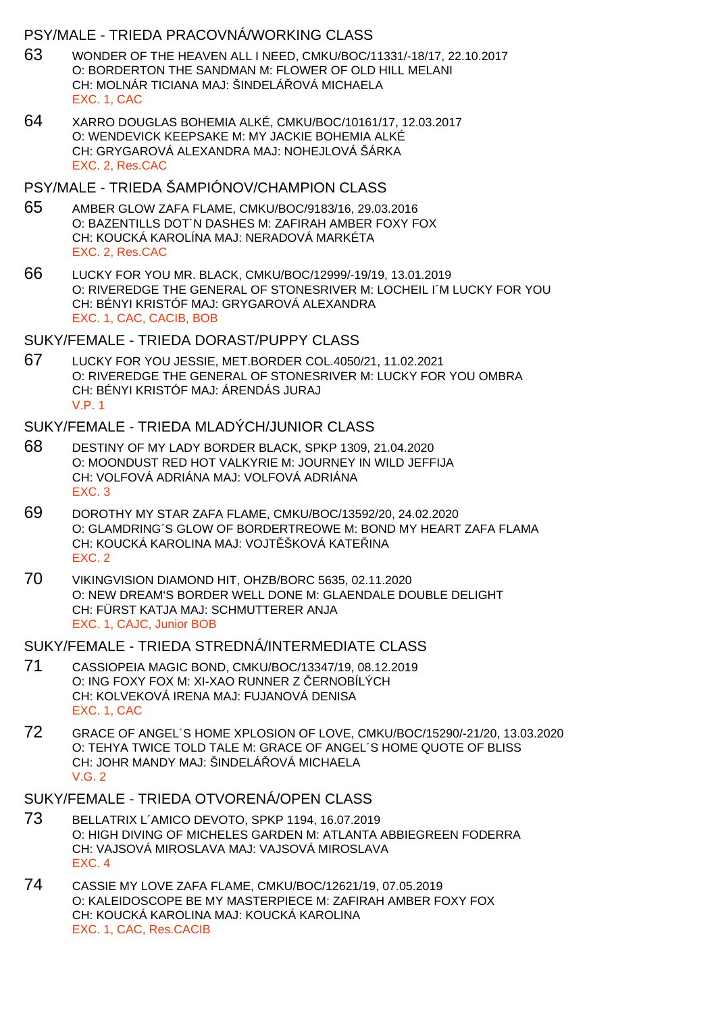#### PSY/MALE - TRIEDA PRACOVNÁ/WORKING CLASS

- 63 WONDER OF THE HEAVEN ALL I NEED, CMKU/BOC/11331/-18/17, 22.10.2017 O: BORDERTON THE SANDMAN M: FLOWER OF OLD HILL MELANI CH: MOLNÁR TICIANA MAJ: ŠINDELÁ OVÁ MICHAELA EXC. 1, CAC
- 64 XARRO DOUGLAS BOHEMIA ALKÉ, CMKU/BOC/10161/17, 12.03.2017 O: WENDEVICK KEEPSAKE M: MY JACKIE BOHEMIA ALKÉ CH: GRYGAROVÁ ALEXANDRA MAJ: NOHEJLOVÁ ŠÁRKA EXC. 2, Res.CAC

#### PSY/MALE - TRIEDA ŠAMPIÓNOV/CHAMPION CLASS

- 65 AMBER GLOW ZAFA FLAME, CMKU/BOC/9183/16, 29.03.2016 O: BAZENTILLS DOT´N DASHES M: ZAFIRAH AMBER FOXY FOX CH: KOUCKÁ KAROLÍNA MAJ: NERADOVÁ MARKÉTA EXC. 2, Res.CAC
- 66 LUCKY FOR YOU MR. BLACK, CMKU/BOC/12999/-19/19, 13.01.2019 O: RIVEREDGE THE GENERAL OF STONESRIVER M: LOCHEIL I´M LUCKY FOR YOU CH: BÉNYI KRISTÓF MAJ: GRYGAROVÁ ALEXANDRA EXC. 1, CAC, CACIB, BOB

#### SUKY/FEMALE - TRIEDA DORAST/PUPPY CLASS

67 LUCKY FOR YOU JESSIE, MET.BORDER COL.4050/21, 11.02.2021 O: RIVEREDGE THE GENERAL OF STONESRIVER M: LUCKY FOR YOU OMBRA CH: BÉNYI KRISTÓF MAJ: ÁRENDÁS JURAJ V.P. 1

# SUKY/FEMALE - TRIEDA MLADÝCH/JUNIOR CLASS

- 68 DESTINY OF MY LADY BORDER BLACK, SPKP 1309, 21.04.2020 O: MOONDUST RED HOT VALKYRIE M: JOURNEY IN WILD JEFFIJA CH: VOLFOVÁ ADRIÁNA MAJ: VOLFOVÁ ADRIÁNA EXC. 3
- 69 DOROTHY MY STAR ZAFA FLAME, CMKU/BOC/13592/20, 24.02.2020 O: GLAMDRING´S GLOW OF BORDERTREOWE M: BOND MY HEART ZAFA FLAMA CH: KOUCKÁ KAROLINA MAJ: VOJT ŠKOVÁ KATE INA EXC. 2
- 70 VIKINGVISION DIAMOND HIT, OHZB/BORC 5635, 02.11.2020 O: NEW DREAM'S BORDER WELL DONE M: GLAENDALE DOUBLE DELIGHT CH: FÜRST KATJA MAJ: SCHMUTTERER ANJA EXC. 1, CAJC, Junior BOB

### SUKY/FEMALE - TRIEDA STREDNÁ/INTERMEDIATE CLASS

- 71 CASSIOPEIA MAGIC BOND, CMKU/BOC/13347/19, 08.12.2019 O: ING FOXY FOX M: XI-XAO RUNNER Z ERNOBÍLÝCH CH: KOLVEKOVÁ IRENA MAJ: FUJANOVÁ DENISA EXC. 1, CAC
- 72 GRACE OF ANGEL´S HOME XPLOSION OF LOVE, CMKU/BOC/15290/-21/20, 13.03.2020 O: TEHYA TWICE TOLD TALE M: GRACE OF ANGEL´S HOME QUOTE OF BLISS CH: JOHR MANDY MAJ: ŠINDELÁ OVÁ MICHAELA V.G. 2

#### SUKY/FEMALE - TRIEDA OTVORENÁ/OPEN CLASS

- 73 BELLATRIX L´AMICO DEVOTO, SPKP 1194, 16.07.2019 O: HIGH DIVING OF MICHELES GARDEN M: ATLANTA ABBIEGREEN FODERRA CH: VAJSOVÁ MIROSLAVA MAJ: VAJSOVÁ MIROSLAVA EXC. 4
- 74 CASSIE MY LOVE ZAFA FLAME, CMKU/BOC/12621/19, 07.05.2019 O: KALEIDOSCOPE BE MY MASTERPIECE M: ZAFIRAH AMBER FOXY FOX CH: KOUCKÁ KAROLINA MAJ: KOUCKÁ KAROLINA EXC. 1, CAC, Res.CACIB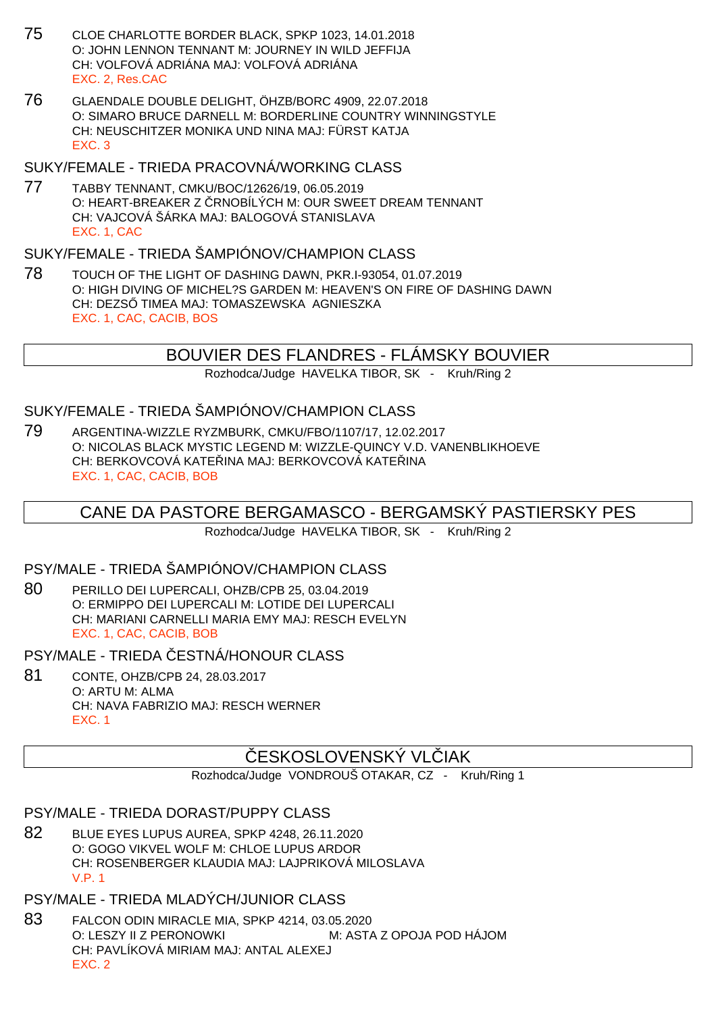- 75 CLOE CHARLOTTE BORDER BLACK, SPKP 1023, 14.01.2018 O: JOHN LENNON TENNANT M: JOURNEY IN WILD JEFFIJA CH: VOLFOVÁ ADRIÁNA MAJ: VOLFOVÁ ADRIÁNA EXC. 2, Res.CAC
- 76 GLAENDALE DOUBLE DELIGHT, ÖHZB/BORC 4909, 22.07.2018 O: SIMARO BRUCE DARNELL M: BORDERLINE COUNTRY WINNINGSTYLE CH: NEUSCHITZER MONIKA UND NINA MAJ: FÜRST KATJA EXC. 3

#### SUKY/FEMALE - TRIEDA PRACOVNÁ/WORKING CLASS

77 TABBY TENNANT, CMKU/BOC/12626/19, 06.05.2019 O: HEART-BREAKER Z RNOBÍLÝCH M: OUR SWEET DREAM TENNANT CH: VAJCOVÁ ŠÁRKA MAJ: BALOGOVÁ STANISLAVA EXC. 1, CAC

# SUKY/FEMALE - TRIEDA ŠAMPIÓNOV/CHAMPION CLASS

78 TOUCH OF THE LIGHT OF DASHING DAWN, PKR.I-93054, 01.07.2019 O: HIGH DIVING OF MICHEL?S GARDEN M: HEAVEN'S ON FIRE OF DASHING DAWN CH: DEZS TIMEA MAJ: TOMASZEWSKA AGNIESZKA EXC. 1, CAC, CACIB, BOS

# BOUVIER DES FLANDRES - FLÁMSKY BOUVIER

Rozhodca/Judge HAVELKA TIBOR, SK - Kruh/Ring 2

## SUKY/FEMALE - TRIEDA ŠAMPIÓNOV/CHAMPION CLASS

79 ARGENTINA-WIZZLE RYZMBURK, CMKU/FBO/1107/17, 12.02.2017 O: NICOLAS BLACK MYSTIC LEGEND M: WIZZLE-QUINCY V.D. VANENBLIKHOEVE CH: BERKOVCOVÁ KATE INA MAJ: BERKOVCOVÁ KATE INA EXC. 1, CAC, CACIB, BOB

#### CANE DA PASTORE BERGAMASCO - BERGAMSKÝ PASTIERSKY PES

Rozhodca/Judge HAVELKA TIBOR, SK - Kruh/Ring 2

#### PSY/MALE - TRIEDA ŠAMPIÓNOV/CHAMPION CLASS

80 PERILLO DEI LUPERCALI, OHZB/CPB 25, 03.04.2019 O: ERMIPPO DEI LUPERCALI M: LOTIDE DEI LUPERCALI CH: MARIANI CARNELLI MARIA EMY MAJ: RESCH EVELYN EXC. 1, CAC, CACIB, BOB

PSY/MALE - TRIEDA ESTNÁ/HONOUR CLASS

81 CONTE, OHZB/CPB 24, 28.03.2017 O: ARTU M: ALMA CH: NAVA FABRIZIO MAJ: RESCH WERNER EXC. 1

# ESKOSLOVENSKÝ VL JAK

Rozhodca/Judge VONDROUŠ OTAKAR, CZ - Kruh/Ring 1

#### PSY/MALE - TRIEDA DORAST/PUPPY CLASS

82 BLUE EYES LUPUS AUREA, SPKP 4248, 26.11.2020 O: GOGO VIKVEL WOLF M: CHLOE LUPUS ARDOR CH: ROSENBERGER KLAUDIA MAJ: LAJPRIKOVÁ MILOSLAVA V.P. 1

# PSY/MALE - TRIEDA MLADÝCH/JUNIOR CLASS

83 FALCON ODIN MIRACLE MIA, SPKP 4214, 03.05.2020 O: LESZY II Z PERONOWKI M: ASTA Z OPOJA POD HÁJOM CH: PAVLÍKOVÁ MIRIAM MAJ: ANTAL ALEXEJ EXC. 2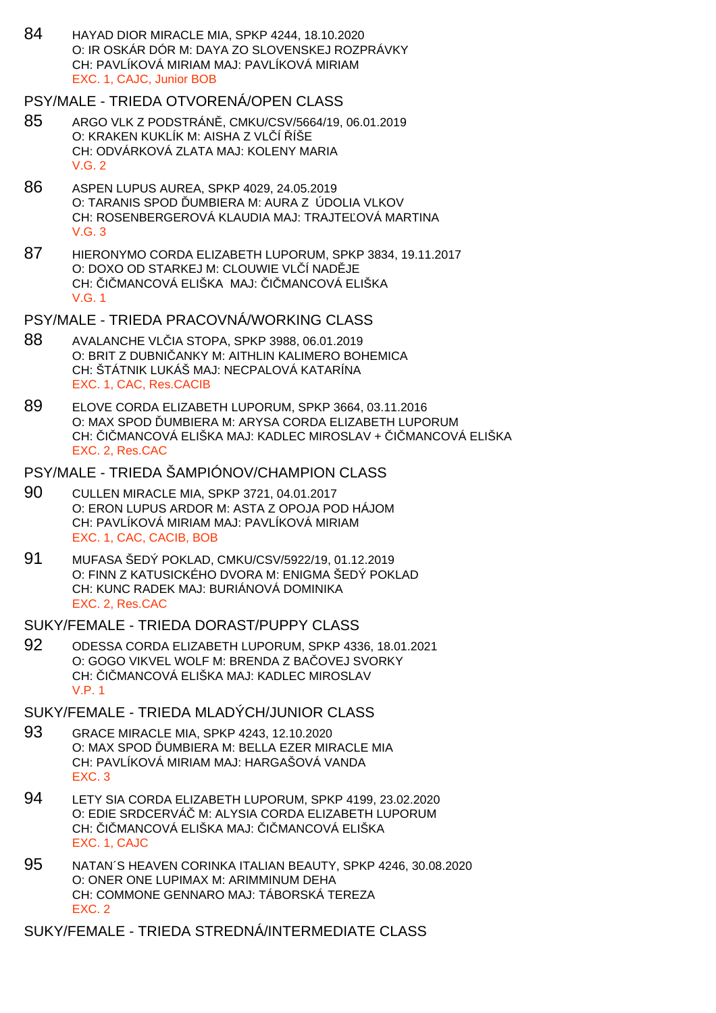84 HAYAD DIOR MIRACLE MIA, SPKP 4244, 18.10.2020 O: IR OSKÁR DÓR M: DAYA ZO SLOVENSKEJ ROZPRÁVKY CH: PAVLÍKOVÁ MIRIAM MAJ: PAVLÍKOVÁ MIRIAM EXC. 1, CAJC, Junior BOB

#### PSY/MALE - TRIEDA OTVORENÁ/OPEN CLASS

- 85 ARGO VLK Z PODSTRÁN, CMKU/CSV/5664/19, 06.01.2019 O: KRAKEN KUKLÍK M: AISHA Z VLÍ ÍŠE CH: ODVÁRKOVÁ ZLATA MAJ: KOLENY MARIA V.G. 2
- 86 ASPEN LUPUS AUREA, SPKP 4029, 24.05.2019 O: TARANIS SPOD UMBIERA M: AURA Z ÚDOLIA VLKOV CH: ROSENBERGEROVÁ KLAUDIA MAJ: TRAJTE OVÁ MARTINA V.G. 3
- 87 HIERONYMO CORDA ELIZABETH LUPORUM, SPKP 3834, 19.11.2017 O: DOXO OD STARKEJ M: CLOUWIE VLÍNAD JE CH: I MANCOVÁ ELIŠKA MAJ: I MANCOVÁ ELIŠKA V.G. 1
- PSY/MALE TRIEDA PRACOVNÁ/WORKING CLASS
- 88 AVALANCHE VL IA STOPA, SPKP 3988, 06.01.2019 O: BRIT Z DUBNI ANKY M: AITHLIN KALIMERO BOHEMICA CH: ŠTÁTNIK LUKÁŠ MAJ: NECPALOVÁ KATARÍNA EXC. 1, CAC, Res.CACIB
- 89 ELOVE CORDA ELIZABETH LUPORUM, SPKP 3664, 03.11.2016 O: MAX SPOD UMBIERA M: ARYSA CORDA ELIZABETH LUPORUM CH: I MANCOVÁ ELIŠKA MAJ: KADLEC MIROSLAV + I MANCOVÁ ELIŠKA EXC. 2, Res.CAC

### PSY/MALE - TRIEDA ŠAMPIÓNOV/CHAMPION CLASS

- 90 CULLEN MIRACLE MIA, SPKP 3721, 04.01.2017 O: ERON LUPUS ARDOR M: ASTA Z OPOJA POD HÁJOM CH: PAVLÍKOVÁ MIRIAM MAJ: PAVLÍKOVÁ MIRIAM EXC. 1, CAC, CACIB, BOB
- 91 MUFASA ŠEDÝ POKLAD, CMKU/CSV/5922/19, 01.12.2019 O: FINN Z KATUSICKÉHO DVORA M: ENIGMA ŠEDÝ POKLAD CH: KUNC RADEK MAJ: BURIÁNOVÁ DOMINIKA EXC. 2, Res.CAC

#### SUKY/FEMALE - TRIEDA DORAST/PUPPY CLASS

92 ODESSA CORDA ELIZABETH LUPORUM, SPKP 4336, 18.01.2021 O: GOGO VIKVEL WOLF M: BRENDA Z BA OVEJ SVORKY CH: I MANCOVÁ ELIŠKA MAJ: KADLEC MIROSLAV V.P. 1

### SUKY/FEMALE - TRIEDA MLADÝCH/JUNIOR CLASS

- 93 GRACE MIRACLE MIA, SPKP 4243, 12.10.2020 O: MAX SPOD UMBIERA M: BELLA EZER MIRACLE MIA CH: PAVLÍKOVÁ MIRIAM MAJ: HARGAŠOVÁ VANDA EXC. 3
- 94 LETY SIA CORDA ELIZABETH LUPORUM, SPKP 4199, 23.02.2020 O: EDIE SRDCERVÁČ M: ALYSIA CORDA ELIZABETH LUPORUM CH: I MANCOVÁ ELIŠKA MAJ: I MANCOVÁ ELIŠKA EXC. 1, CAJC
- 95 NATAN´S HEAVEN CORINKA ITALIAN BEAUTY, SPKP 4246, 30.08.2020 O: ONER ONE LUPIMAX M: ARIMMINUM DEHA CH: COMMONE GENNARO MAJ: TÁBORSKÁ TEREZA EXC. 2

SUKY/FEMALE - TRIEDA STREDNÁ/INTERMEDIATE CLASS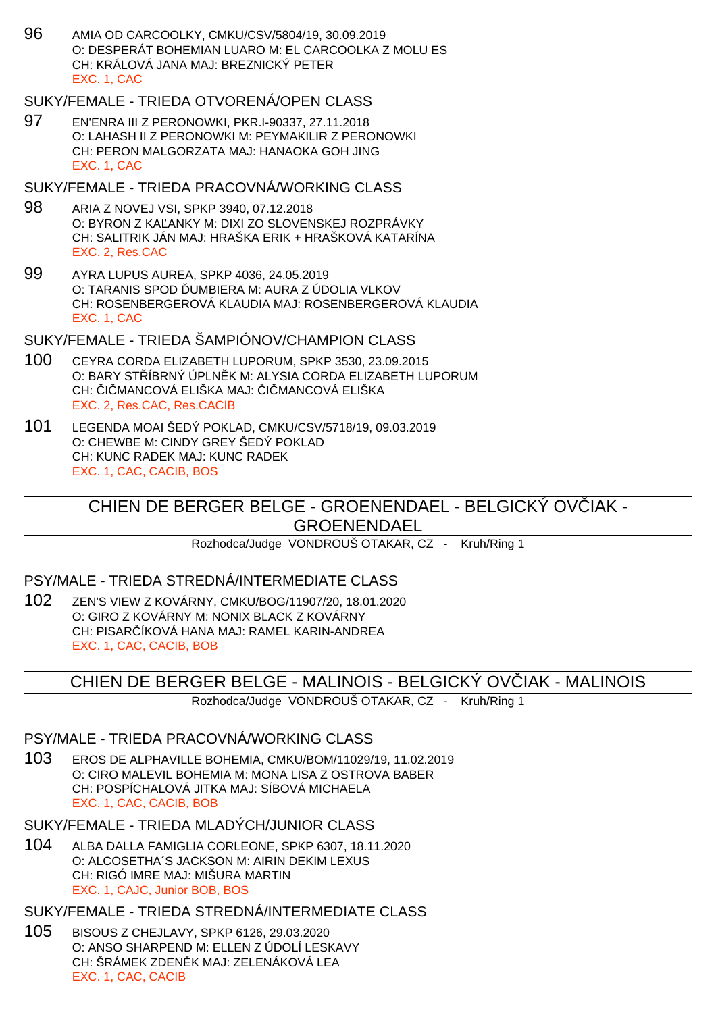96 AMIA OD CARCOOLKY, CMKU/CSV/5804/19, 30.09.2019 O: DESPERÁT BOHEMIAN LUARO M: EL CARCOOLKA Z MOLU ES CH: KRÁLOVÁ JANA MAJ: BREZNICKÝ PETER EXC. 1, CAC

## SUKY/FEMALE - TRIEDA OTVORENÁ/OPEN CLASS

97 EN'ENRA III Z PERONOWKI, PKR.I-90337, 27.11.2018 O: LAHASH II Z PERONOWKI M: PEYMAKILIR Z PERONOWKI CH: PERON MALGORZATA MAJ: HANAOKA GOH JING EXC. 1, CAC

#### SUKY/FEMALE - TRIEDA PRACOVNÁ/WORKING CLASS

- 98 ARIA Z NOVEJ VSI, SPKP 3940, 07.12.2018 O: BYRON Z KAĽANKY M: DIXI ZO SLOVENSKEJ ROZPRÁVKY CH: SALITRIK JÁN MAJ: HRAŠKA ERIK + HRAŠKOVÁ KATARÍNA EXC. 2, Res.CAC
- 99 AYRA LUPUS AUREA, SPKP 4036, 24.05.2019 O: TARANIS SPOD UMBIERA M: AURA Z ÚDOLIA VLKOV CH: ROSENBERGEROVÁ KLAUDIA MAJ: ROSENBERGEROVÁ KLAUDIA EXC. 1, CAC

### SUKY/FEMALE - TRIEDA ŠAMPIÓNOV/CHAMPION CLASS

- 100 CEYRA CORDA ELIZABETH LUPORUM, SPKP 3530, 23.09.2015 O: BARY ST ÍBRNÝ ÚPLN K M: ALYSIA CORDA ELIZABETH LUPORUM CH: I MANCOVÁ ELIŠKA MAJ: I MANCOVÁ ELIŠKA EXC. 2, Res.CAC, Res.CACIB
- 101 LEGENDA MOAI ŠEDÝ POKLAD, CMKU/CSV/5718/19, 09.03.2019 O: CHEWBE M: CINDY GREY ŠEDÝ POKLAD CH: KUNC RADEK MAJ: KUNC RADEK EXC. 1, CAC, CACIB, BOS

# CHIEN DE BERGER BELGE - GROENENDAEL - BELGICKÝ OV IAK -GROENENDAEL

Rozhodca/Judge VONDROUŠ OTAKAR, CZ - Kruh/Ring 1

#### PSY/MALE - TRIEDA STREDNÁ/INTERMEDIATE CLASS

102 ZEN'S VIEW Z KOVÁRNY, CMKU/BOG/11907/20, 18.01.2020 O: GIRO Z KOVÁRNY M: NONIX BLACK Z KOVÁRNY CH: PISAR ÍKOVÁ HANA MAJ: RAMEL KARIN-ANDREA EXC. 1, CAC, CACIB, BOB

#### CHIEN DE BERGER BELGE - MALINOIS - BELGICKÝ OVČIAK - MALINOIS

Rozhodca/Judge VONDROUŠ OTAKAR, CZ - Kruh/Ring 1

### PSY/MALE - TRIEDA PRACOVNÁ/WORKING CLASS

- 103 EROS DE ALPHAVILLE BOHEMIA, CMKU/BOM/11029/19, 11.02.2019 O: CIRO MALEVIL BOHEMIA M: MONA LISA Z OSTROVA BABER CH: POSPÍCHALOVÁ JITKA MAJ: SÍBOVÁ MICHAELA EXC. 1, CAC, CACIB, BOB
- SUKY/FEMALE TRIEDA MLADÝCH/JUNIOR CLASS
- 104 ALBA DALLA FAMIGLIA CORLEONE, SPKP 6307, 18.11.2020 O: ALCOSETHA´S JACKSON M: AIRIN DEKIM LEXUS CH: RIGÓ IMRE MAJ: MIŠURA MARTIN EXC. 1, CAJC, Junior BOB, BOS

#### SUKY/FEMALE - TRIEDA STREDNÁ/INTERMEDIATE CLASS

105 BISOUS Z CHEJLAVY, SPKP 6126, 29.03.2020 O: ANSO SHARPEND M: ELLEN Z ÚDOLÍ LESKAVY CH: ŠRÁMEK ZDEN K MAJ: ZELENÁKOVÁ LEA EXC. 1, CAC, CACIB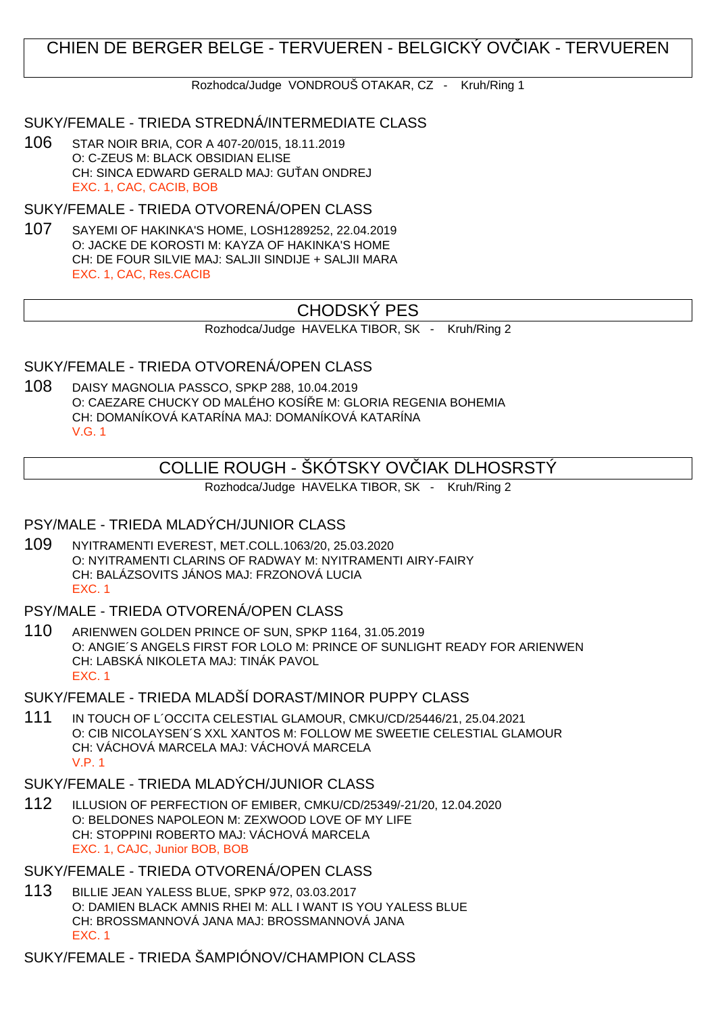# CHIEN DE BERGER BELGE - TERVUEREN - BELGICKÝ OVČIAK - TERVUEREN

Rozhodca/Judge VONDROUŠ OTAKAR, CZ - Kruh/Ring 1

#### SUKY/FEMALE - TRIEDA STREDNÁ/INTERMEDIATE CLASS

106 STAR NOIR BRIA, COR A 407-20/015, 18.11.2019 O: C-ZEUS M: BLACK OBSIDIAN ELISE CH: SINCA EDWARD GERALD MAJ: GU AN ONDREJ EXC. 1, CAC, CACIB, BOB

#### SUKY/FEMALE - TRIEDA OTVORENÁ/OPEN CLASS

107 SAYEMI OF HAKINKA'S HOME, LOSH1289252, 22.04.2019 O: JACKE DE KOROSTI M: KAYZA OF HAKINKA'S HOME CH: DE FOUR SILVIE MAJ: SALJII SINDIJE + SALJII MARA EXC. 1, CAC, Res.CACIB

# CHODSKÝ PES

Rozhodca/Judge HAVELKA TIBOR, SK - Kruh/Ring 2

#### SUKY/FEMALE - TRIEDA OTVORENÁ/OPEN CLASS

108 DAISY MAGNOLIA PASSCO, SPKP 288, 10.04.2019 O: CAEZARE CHUCKY OD MALÉHO KOSÍ E M: GLORIA REGENIA BOHEMIA CH: DOMANÍKOVÁ KATARÍNA MAJ: DOMANÍKOVÁ KATARÍNA V.G. 1

# COLLIE ROUGH - ŠKÓTSKY OV IAK DLHOSRSTÝ

Rozhodca/Judge HAVELKA TIBOR, SK - Kruh/Ring 2

#### PSY/MALE - TRIEDA MLADÝCH/JUNIOR CLASS

- 109 NYITRAMENTI EVEREST, MET.COLL.1063/20, 25.03.2020 O: NYITRAMENTI CLARINS OF RADWAY M: NYITRAMENTI AIRY-FAIRY CH: BALÁZSOVITS JÁNOS MAJ: FRZONOVÁ LUCIA EXC. 1
- PSY/MALE TRIEDA OTVORENÁ/OPEN CLASS
- 110 ARIENWEN GOLDEN PRINCE OF SUN, SPKP 1164, 31.05.2019 O: ANGIE´S ANGELS FIRST FOR LOLO M: PRINCE OF SUNLIGHT READY FOR ARIENWEN CH: LABSKÁ NIKOLETA MAJ: TINÁK PAVOL EXC. 1

#### SUKY/FEMALE - TRIEDA MLADŠÍ DORAST/MINOR PUPPY CLASS

111 IN TOUCH OF L´OCCITA CELESTIAL GLAMOUR, CMKU/CD/25446/21, 25.04.2021 O: CIB NICOLAYSEN´S XXL XANTOS M: FOLLOW ME SWEETIE CELESTIAL GLAMOUR CH: VÁCHOVÁ MARCELA MAJ: VÁCHOVÁ MARCELA V.P. 1

### SUKY/FEMALE - TRIEDA MLADÝCH/JUNIOR CLASS

112 ILLUSION OF PERFECTION OF EMIBER, CMKU/CD/25349/-21/20, 12.04.2020 O: BELDONES NAPOLEON M: ZEXWOOD LOVE OF MY LIFE CH: STOPPINI ROBERTO MAJ: VÁCHOVÁ MARCELA EXC. 1, CAJC, Junior BOB, BOB

### SUKY/FEMALE - TRIEDA OTVORENÁ/OPEN CLASS

113 BILLIE JEAN YALESS BLUE, SPKP 972, 03.03.2017 O: DAMIEN BLACK AMNIS RHEI M: ALL I WANT IS YOU YALESS BLUE CH: BROSSMANNOVÁ JANA MAJ: BROSSMANNOVÁ JANA EXC. 1

SUKY/FEMALE - TRIEDA ŠAMPIÓNOV/CHAMPION CLASS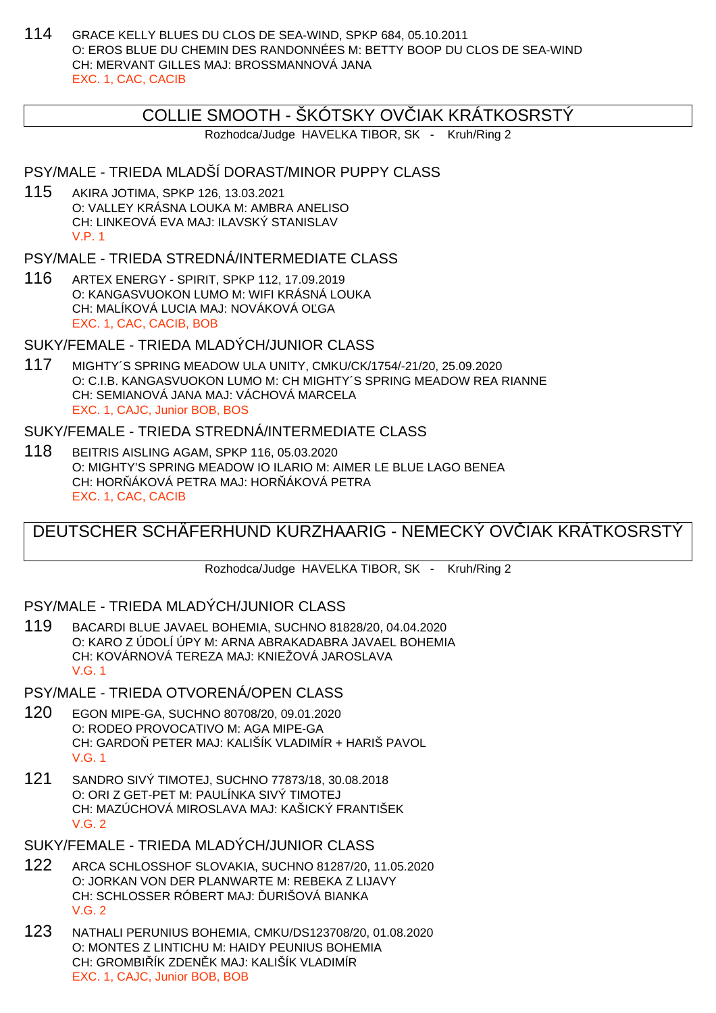114 GRACE KELLY BLUES DU CLOS DE SEA-WIND, SPKP 684, 05.10.2011 O: EROS BLUE DU CHEMIN DES RANDONNÉES M: BETTY BOOP DU CLOS DE SEA-WIND CH: MERVANT GILLES MAJ: BROSSMANNOVÁ JANA EXC. 1, CAC, CACIB

# COLLIE SMOOTH - ŠKÓTSKY OV IAK KRÁTKOSRSTÝ

Rozhodca/Judge HAVELKA TIBOR, SK - Kruh/Ring 2

# PSY/MALE - TRIEDA MLADŠÍ DORAST/MINOR PUPPY CLASS

115 AKIRA JOTIMA, SPKP 126, 13.03.2021 O: VALLEY KRÁSNA LOUKA M: AMBRA ANELISO CH: LINKEOVÁ EVA MAJ: ILAVSKÝ STANISLAV V.P. 1

## PSY/MALE - TRIEDA STREDNÁ/INTERMEDIATE CI ASS

116 ARTEX ENERGY - SPIRIT, SPKP 112, 17.09.2019 O: KANGASVUOKON LUMO M: WIFI KRÁSNÁ LOUKA CH: MALÍKOVÁ LUCIA MAJ: NOVÁKOVÁ O GA EXC. 1, CAC, CACIB, BOB

#### SUKY/FEMALE - TRIEDA MLADÝCH/JUNIOR CLASS

117 MIGHTY´S SPRING MEADOW ULA UNITY, CMKU/CK/1754/-21/20, 25.09.2020 O: C.I.B. KANGASVUOKON LUMO M: CH MIGHTY´S SPRING MEADOW REA RIANNE CH: SEMIANOVÁ JANA MAJ: VÁCHOVÁ MARCELA EXC. 1, CAJC, Junior BOB, BOS

### SUKY/FEMALE - TRIEDA STREDNÁ/INTERMEDIATE CLASS

118 BEITRIS AISLING AGAM, SPKP 116, 05.03.2020 O: MIGHTY'S SPRING MEADOW IO ILARIO M: AIMER LE BLUE LAGO BENEA CH: HOR ÁKOVÁ PETRA MAJ: HOR ÁKOVÁ PETRA EXC. 1, CAC, CACIB

# DEUTSCHER SCHÄFERHUND KURZHAARIG - NEMECKÝ OV<sub>L</sub>IAK KRÁTKOSRSTÝ

Rozhodca/Judge HAVELKA TIBOR, SK - Kruh/Ring 2

### PSY/MALE - TRIEDA MLADÝCH/JUNIOR CLASS

119 BACARDI BLUE JAVAEL BOHEMIA, SUCHNO 81828/20, 04.04.2020 O: KARO Z ÚDOLÍ ÚPY M: ARNA ABRAKADABRA JAVAEL BOHEMIA CH: KOVÁRNOVÁ TEREZA MAJ: KNIEŽOVÁ JAROSLAVA V.G. 1

#### PSY/MALE - TRIEDA OTVORENÁ/OPEN CLASS

- 120 EGON MIPE-GA, SUCHNO 80708/20, 09.01.2020 O: RODEO PROVOCATIVO M: AGA MIPE-GA CH: GARDOŇ PETER MAJ: KALIŠÍK VLADIMÍR + HARIŠ PAVOL V.G. 1
- 121 SANDRO SIVÝ TIMOTEJ, SUCHNO 77873/18, 30.08.2018 O: ORI Z GET-PET M: PAULÍNKA SIVÝ TIMOTEJ CH: MAZÚCHOVÁ MIROSLAVA MAJ: KAŠICKÝ FRANTIŠEK V.G. 2

#### SUKY/FEMALE - TRIEDA MLADÝCH/JUNIOR CLASS

- 122 ARCA SCHLOSSHOF SLOVAKIA, SUCHNO 81287/20, 11.05.2020 O: JORKAN VON DER PLANWARTE M: REBEKA Z LIJAVY CH: SCHLOSSER RÓBERT MAJ: URIŠOVÁ BIANKA V.G. 2
- 123 NATHALI PERUNIUS BOHEMIA, CMKU/DS123708/20, 01.08.2020 O: MONTES Z LINTICHU M: HAIDY PEUNIUS BOHEMIA CH: GROMBI ÍK ZDEN K MAJ: KALIŠÍK VLADIMÍR EXC. 1, CAJC, Junior BOB, BOB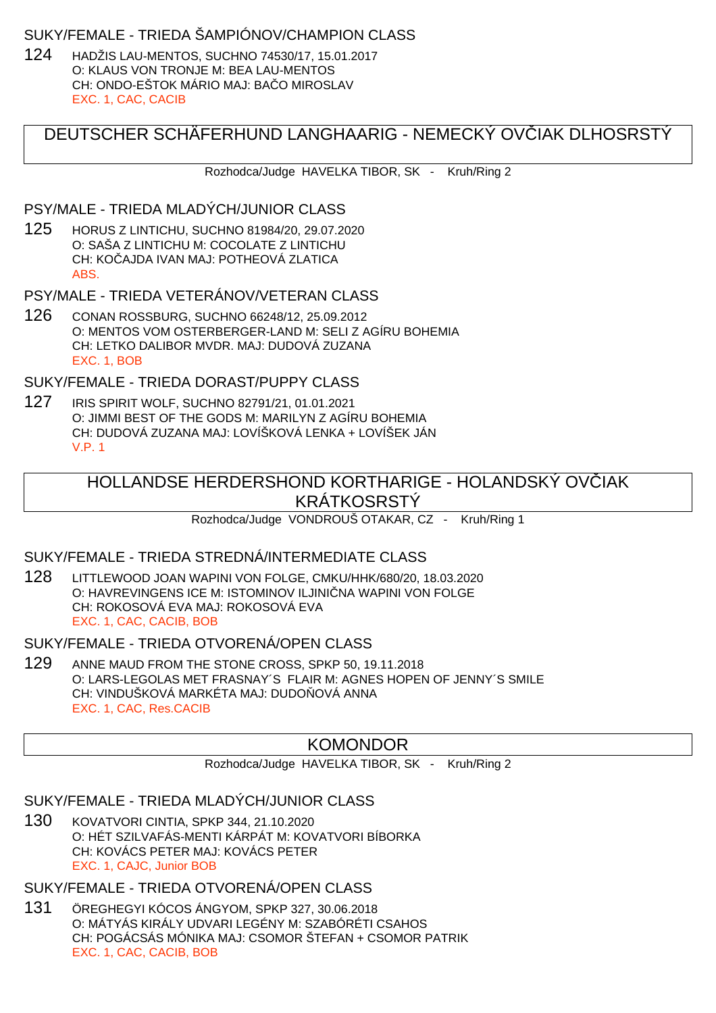### SUKY/FEMALE - TRIEDA ŠAMPIÓNOV/CHAMPION CLASS

124 HADŽIS LAU-MENTOS, SUCHNO 74530/17, 15.01.2017 O: KLAUS VON TRONJE M: BEA LAU-MENTOS CH: ONDO-EŠTOK MÁRIO MAJ: BA O MIROSLAV EXC. 1, CAC, CACIB

# DEUTSCHER SCHÄFERHUND LANGHAARIG - NEMECKÝ OVČIAK DLHOSRSTÝ

Rozhodca/Judge HAVELKA TIBOR, SK - Kruh/Ring 2

## PSY/MALE - TRIEDA MLADÝCH/JUNIOR CLASS

125 HORUS Z LINTICHU, SUCHNO 81984/20, 29.07.2020 O: SAŠA Z LINTICHU M: COCOLATE Z LINTICHU CH: KOČAJDA IVAN MAJ: POTHEOVÁ ZLATICA ABS.

#### PSY/MALE - TRIEDA VETERÁNOV/VETERAN CLASS

126 CONAN ROSSBURG, SUCHNO 66248/12, 25.09.2012 O: MENTOS VOM OSTERBERGER-LAND M: SELI Z AGÍRU BOHEMIA CH: LETKO DALIBOR MVDR. MAJ: DUDOVÁ ZUZANA EXC. 1, BOB

SUKY/FEMALE - TRIEDA DORAST/PUPPY CLASS

127 IRIS SPIRIT WOLF, SUCHNO 82791/21, 01.01.2021 O: JIMMI BEST OF THE GODS M: MARILYN Z AGÍRU BOHEMIA CH: DUDOVÁ ZUZANA MAJ: LOVÍŠKOVÁ LENKA + LOVÍŠEK JÁN V.P. 1

# HOLLANDSE HERDERSHOND KORTHARIGE - HOLANDSKÝ OVČIAK KRÁTKOSRSTÝ

Rozhodca/Judge VONDROUŠ OTAKAR, CZ - Kruh/Ring 1

#### SUKY/FEMALE - TRIEDA STREDNÁ/INTERMEDIATE CLASS

128 LITTLEWOOD JOAN WAPINI VON FOLGE, CMKU/HHK/680/20, 18.03.2020 O: HAVREVINGENS ICE M: ISTOMINOV ILJINI NA WAPINI VON FOLGE CH: ROKOSOVÁ EVA MAJ: ROKOSOVÁ EVA EXC. 1, CAC, CACIB, BOB

#### SUKY/FEMALE - TRIEDA OTVORENÁ/OPEN CLASS

129 ANNE MAUD FROM THE STONE CROSS, SPKP 50, 19.11.2018 O: LARS-LEGOLAS MET FRASNAY´S FLAIR M: AGNES HOPEN OF JENNY´S SMILE CH: VINDUŠKOVÁ MARKÉTA MAJ: DUDO OVÁ ANNA EXC. 1, CAC, Res.CACIB

#### KOMONDOR

Rozhodca/Judge HAVELKA TIBOR, SK - Kruh/Ring 2

#### SUKY/FEMALE - TRIEDA MLADÝCH/JUNIOR CLASS

130 KOVATVORI CINTIA, SPKP 344, 21.10.2020 O: HÉT SZILVAFÁS-MENTI KÁRPÁT M: KOVATVORI BÍBORKA CH: KOVÁCS PETER MAJ: KOVÁCS PETER EXC. 1, CAJC, Junior BOB

SUKY/FEMALE - TRIEDA OTVORENÁ/OPEN CLASS

131 ÖREGHEGYI KÓCOS ÁNGYOM, SPKP 327, 30.06.2018 O: MÁTYÁS KIRÁLY UDVARI LEGÉNY M: SZABÓRÉTI CSAHOS CH: POGÁCSÁS MÓNIKA MAJ: CSOMOR ŠTEFAN + CSOMOR PATRIK EXC. 1, CAC, CACIB, BOB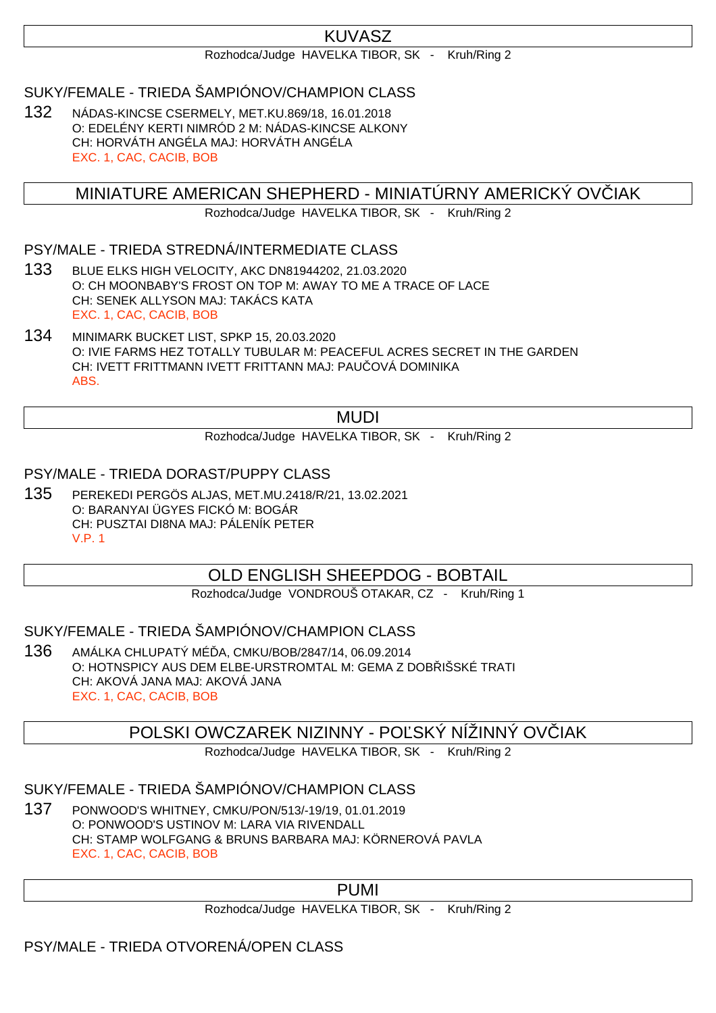# KUVASZ

Rozhodca/Judge HAVELKA TIBOR, SK - Kruh/Ring 2

# SUKY/FEMALE - TRIEDA ŠAMPIÓNOV/CHAMPION CLASS

132 NÁDAS-KINCSE CSERMELY, MET.KU.869/18, 16.01.2018 O: EDELÉNY KERTI NIMRÓD 2 M: NÁDAS-KINCSE ALKONY CH: HORVÁTH ANGÉLA MAJ: HORVÁTH ANGÉLA EXC. 1, CAC, CACIB, BOB

## MINIATURE AMERICAN SHEPHERD - MINIATÚRNY AMERICKÝ OVČIAK

Rozhodca/Judge HAVELKA TIBOR, SK - Kruh/Ring 2

#### PSY/MALE - TRIEDA STREDNÁ/INTERMEDIATE CLASS

- 133 BLUE ELKS HIGH VELOCITY, AKC DN81944202, 21.03.2020 O: CH MOONBABY'S FROST ON TOP M: AWAY TO ME A TRACE OF LACE CH: SENEK ALLYSON MAJ: TAKÁCS KATA EXC. 1, CAC, CACIB, BOB
- 134 MINIMARK BUCKET LIST, SPKP 15, 20.03.2020 O: IVIE FARMS HEZ TOTALLY TUBULAR M: PEACEFUL ACRES SECRET IN THE GARDEN CH: IVETT FRITTMANN IVETT FRITTANN MAJ: PAU OVÁ DOMINIKA ABS.

#### **MUDI**

Rozhodca/Judge HAVELKA TIBOR, SK - Kruh/Ring 2

#### PSY/MALE - TRIEDA DORAST/PUPPY CLASS

135 PEREKEDI PERGÖS ALJAS, MET.MU.2418/R/21, 13.02.2021 O: BARANYAI ÜGYES FICKÓ M: BOGÁR CH: PUSZTAI DI8NA MAJ: PÁLENÍK PETER V.P. 1

# OLD ENGLISH SHEEPDOG - BOBTAIL

Rozhodca/Judge VONDROUŠ OTAKAR, CZ - Kruh/Ring 1

SUKY/FEMALE - TRIEDA ŠAMPIÓNOV/CHAMPION CLASS

136 AMÁLKA CHLUPATÝ MÉĎA, CMKU/BOB/2847/14, 06.09.2014 O: HOTNSPICY AUS DEM ELBE-URSTROMTAL M: GEMA Z DOBŘIŠSKÉ TRATI CH: AKOVÁ JANA MAJ: AKOVÁ JANA EXC. 1, CAC, CACIB, BOB

# POLSKI OWCZAREK NIZINNY - POĽSKÝ NÍŽINNÝ OVĽIAK

Rozhodca/Judge HAVELKA TIBOR, SK - Kruh/Ring 2

# SUKY/FEMALE - TRIEDA ŠAMPIÓNOV/CHAMPION CLASS

137 PONWOOD'S WHITNEY, CMKU/PON/513/-19/19, 01.01.2019 O: PONWOOD'S USTINOV M: LARA VIA RIVENDALL CH: STAMP WOLFGANG & BRUNS BARBARA MAJ: KÖRNEROVÁ PAVLA EXC. 1, CAC, CACIB, BOB

PUMI

Rozhodca/Judge HAVELKA TIBOR, SK - Kruh/Ring 2

#### PSY/MALE - TRIEDA OTVORENÁ/OPEN CLASS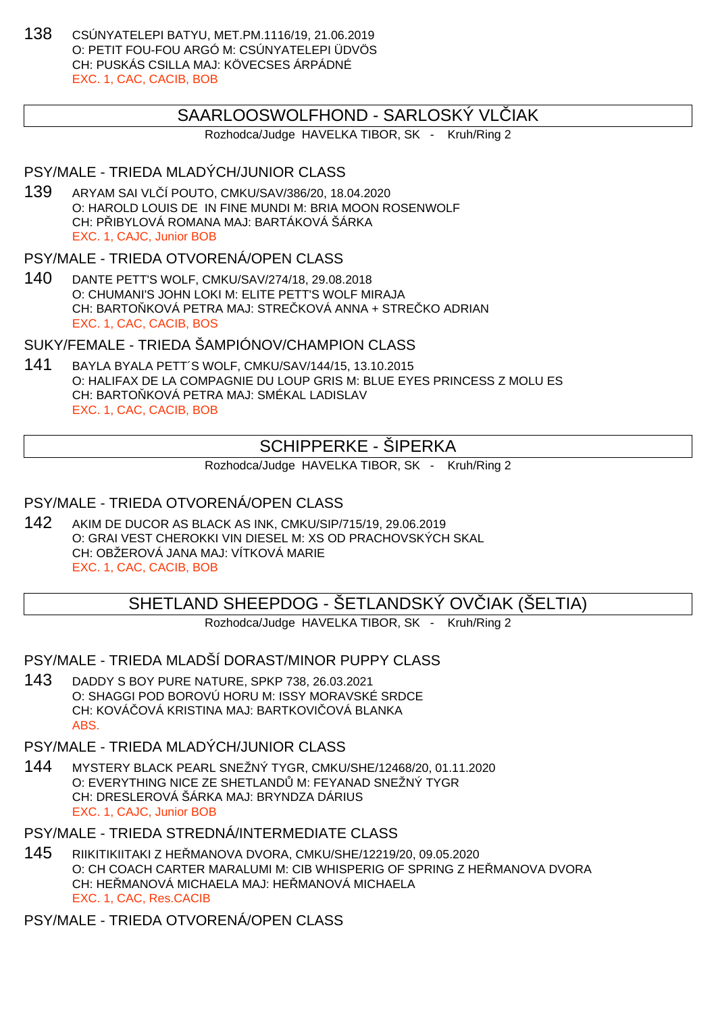138 CSÚNYATELEPI BATYU, MET.PM.1116/19, 21.06.2019 O: PETIT FOU-FOU ARGÓ M: CSÚNYATELEPI ÜDVÖS CH: PUSKÁS CSILLA MAJ: KÖVECSES ÁRPÁDNÉ EXC. 1, CAC, CACIB, BOB

## SAARLOOSWOLFHOND - SARLOSKÝ VL JAK

Rozhodca/Judge HAVELKA TIBOR, SK - Kruh/Ring 2

# PSY/MALE - TRIEDA MLADÝCH/JUNIOR CLASS

139 ARYAM SAI VLČÍ POUTO, CMKU/SAV/386/20, 18.04.2020 O: HAROLD LOUIS DE IN FINE MUNDI M: BRIA MOON ROSENWOLF CH: P IBYLOVÁ ROMANA MAJ: BARTÁKOVÁ ŠÁRKA EXC. 1, CAJC, Junior BOB

PSY/MALE - TRIEDA OTVORENÁ/OPEN CLASS

140 DANTE PETT'S WOLF, CMKU/SAV/274/18, 29.08.2018 O: CHUMANI'S JOHN LOKI M: ELITE PETT'S WOLF MIRAJA CH: BARTO KOVÁ PETRA MAJ: STRE KOVÁ ANNA + STRE KO ADRIAN EXC. 1, CAC, CACIB, BOS

SUKY/FEMALE - TRIEDA ŠAMPIÓNOV/CHAMPION CLASS

141 BAYLA BYALA PETT´S WOLF, CMKU/SAV/144/15, 13.10.2015 O: HALIFAX DE LA COMPAGNIE DU LOUP GRIS M: BLUE EYES PRINCESS Z MOLU ES CH: BARTO KOVÁ PETRA MAJ: SMÉKAL LADISLAV EXC. 1, CAC, CACIB, BOB

# SCHIPPERKE - ŠIPERKA

Rozhodca/Judge HAVELKA TIBOR, SK - Kruh/Ring 2

# PSY/MALE - TRIEDA OTVORENÁ/OPEN CLASS

142 AKIM DE DUCOR AS BLACK AS INK, CMKU/SIP/715/19, 29.06.2019 O: GRAI VEST CHEROKKI VIN DIESEL M: XS OD PRACHOVSKÝCH SKAL CH: OBŽEROVÁ JANA MAJ: VÍTKOVÁ MARIE EXC. 1, CAC, CACIB, BOB

# SHETLAND SHEEPDOG - ŠETLANDSKÝ OV<sub>L</sub>IAK (ŠELTIA)

Rozhodca/Judge HAVELKA TIBOR, SK - Kruh/Ring 2

PSY/MALE - TRIEDA MLADŠÍ DORAST/MINOR PUPPY CLASS

143 DADDY S BOY PURE NATURE, SPKP 738, 26.03.2021 O: SHAGGI POD BOROVÚ HORU M: ISSY MORAVSKÉ SRDCE CH: KOVÁ OVÁ KRISTINA MAJ: BARTKOVI OVÁ BLANKA ABS.

PSY/MALE - TRIEDA MLADÝCH/JUNIOR CLASS

144 MYSTERY BLACK PEARL SNEŽNÝ TYGR, CMKU/SHE/12468/20, 01.11.2020 O: EVERYTHING NICE ZE SHETLAND M: FEYANAD SNEŽNÝ TYGR CH: DRESLEROVÁ ŠÁRKA MAJ: BRYNDZA DÁRIUS EXC. 1, CAJC, Junior BOB

PSY/MALE - TRIEDA STREDNÁ/INTERMEDIATE CLASS

145 RIIKITIKIITAKI Z HEŘMANOVA DVORA, CMKU/SHE/12219/20, 09.05.2020 O: CH COACH CARTER MARALUMI M: CIB WHISPERIG OF SPRING Z HE MANOVA DVORA CH: HEŘMANOVÁ MICHAELA MAJ: HEŘMANOVÁ MICHAELA EXC. 1, CAC, Res.CACIB

PSY/MALE - TRIEDA OTVORENÁ/OPEN CLASS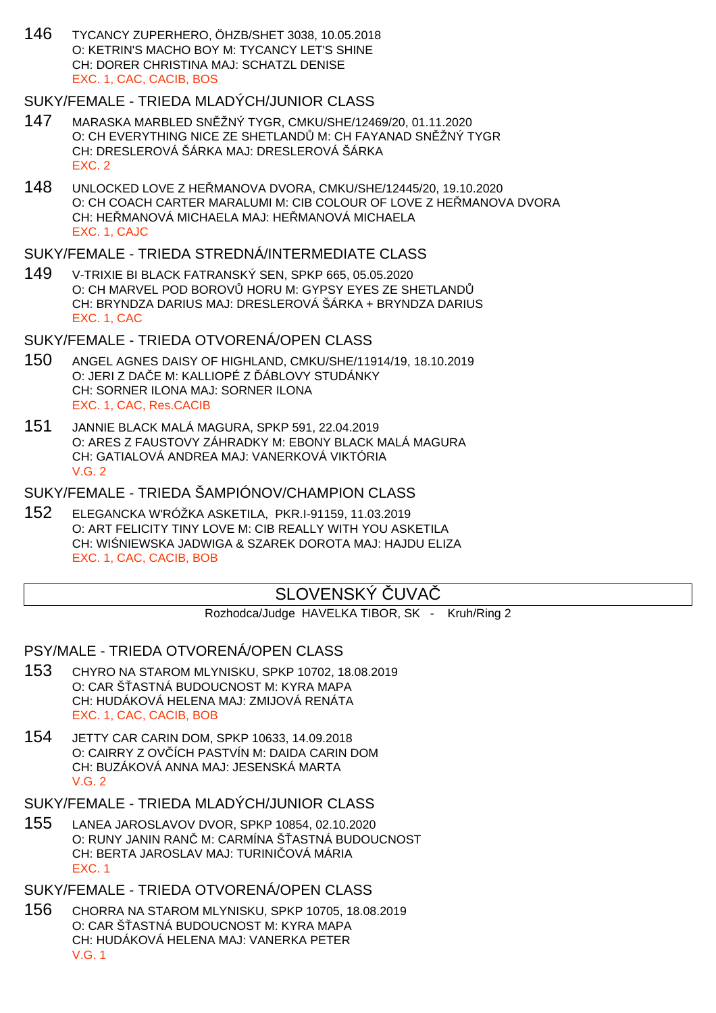146 TYCANCY ZUPERHERO, ÖHZB/SHET 3038, 10.05.2018 O: KETRIN'S MACHO BOY M: TYCANCY LET'S SHINE CH: DORER CHRISTINA MAJ: SCHATZL DENISE EXC. 1, CAC, CACIB, BOS

### SUKY/FEMALE - TRIEDA MLADÝCH/JUNIOR CLASS

- 147 MARASKA MARBLED SNĚŽNÝ TYGR, CMKU/SHE/12469/20, 01.11.2020 O: CH EVERYTHING NICE ZE SHETLAND M: CH FAYANAD SN ŽNÝ TYGR CH: DRESLEROVÁ ŠÁRKA MAJ: DRESLEROVÁ ŠÁRKA EXC. 2
- 148 UNLOCKED LOVE Z HEŘMANOVA DVORA, CMKU/SHE/12445/20, 19.10.2020 O: CH COACH CARTER MARALUMI M: CIB COLOUR OF LOVE Z HE MANOVA DVORA CH: HEŘMANOVÁ MICHAELA MAJ: HEŘMANOVÁ MICHAELA EXC. 1, CAJC

### SUKY/FEMALE - TRIEDA STREDNÁ/INTERMEDIATE CLASS

149 V-TRIXIE BI BLACK FATRANSKÝ SEN, SPKP 665, 05.05.2020 O: CH MARVEL POD BOROV HORU M: GYPSY EYES ZE SHETLAND CH: BRYNDZA DARIUS MAJ: DRESLEROVÁ ŠÁRKA + BRYNDZA DARIUS EXC. 1, CAC

# SUKY/FEMALE - TRIEDA OTVORENÁ/OPEN CLASS

- 150 ANGEL AGNES DAISY OF HIGHLAND, CMKU/SHE/11914/19, 18.10.2019 O: JERI Z DAČE M: KALLIOPÉ Z ÁBLOVY STUDÁNKY CH: SORNER ILONA MAJ: SORNER ILONA EXC. 1, CAC, Res.CACIB
- 151 JANNIE BLACK MALÁ MAGURA, SPKP 591, 22.04.2019 O: ARES Z FAUSTOVY ZÁHRADKY M: EBONY BLACK MALÁ MAGURA CH: GATIALOVÁ ANDREA MAJ: VANERKOVÁ VIKTÓRIA V.G. 2

#### SUKY/FEMALE - TRIEDA ŠAMPIÓNOV/CHAMPION CLASS

152 ELEGANCKA W'RÓŽKA ASKETILA, PKR.I-91159, 11.03.2019 O: ART FELICITY TINY LOVE M: CIB REALLY WITH YOU ASKETILA CH: WI NIEWSKA JADWIGA & SZAREK DOROTA MAJ: HAJDU ELIZA EXC. 1, CAC, CACIB, BOB

# SLOVENSKÝ LIVA

Rozhodca/Judge HAVELKA TIBOR, SK - Kruh/Ring 2

#### PSY/MALE - TRIEDA OTVORENÁ/OPEN CLASS

- 153 CHYRO NA STAROM MLYNISKU, SPKP 10702, 18.08.2019 O: CAR Š ASTNÁ BUDOUCNOST M: KYRA MAPA CH: HUDÁKOVÁ HELENA MAJ: ZMIJOVÁ RENÁTA EXC. 1, CAC, CACIB, BOB
- 154 JETTY CAR CARIN DOM, SPKP 10633, 14.09.2018 O: CAIRRY Z OVIÍCH PASTVÍN M: DAIDA CARIN DOM CH: BUZÁKOVÁ ANNA MAJ: JESENSKÁ MARTA V.G. 2

### SUKY/FEMALE - TRIEDA MLADÝCH/JUNIOR CLASS

155 LANEA JAROSLAVOV DVOR, SPKP 10854, 02.10.2020 O: RUNY JANIN RAN M: CARMÍNA Š ASTNÁ BUDOUCNOST CH: BERTA JAROSLAV MAJ: TURINI OVÁ MÁRIA EXC. 1

## SUKY/FEMALE - TRIEDA OTVORENÁ/OPEN CLASS

156 CHORRA NA STAROM MLYNISKU, SPKP 10705, 18.08.2019 O: CAR Š ASTNÁ BUDOUCNOST M: KYRA MAPA CH: HUDÁKOVÁ HELENA MAJ: VANERKA PETER V.G. 1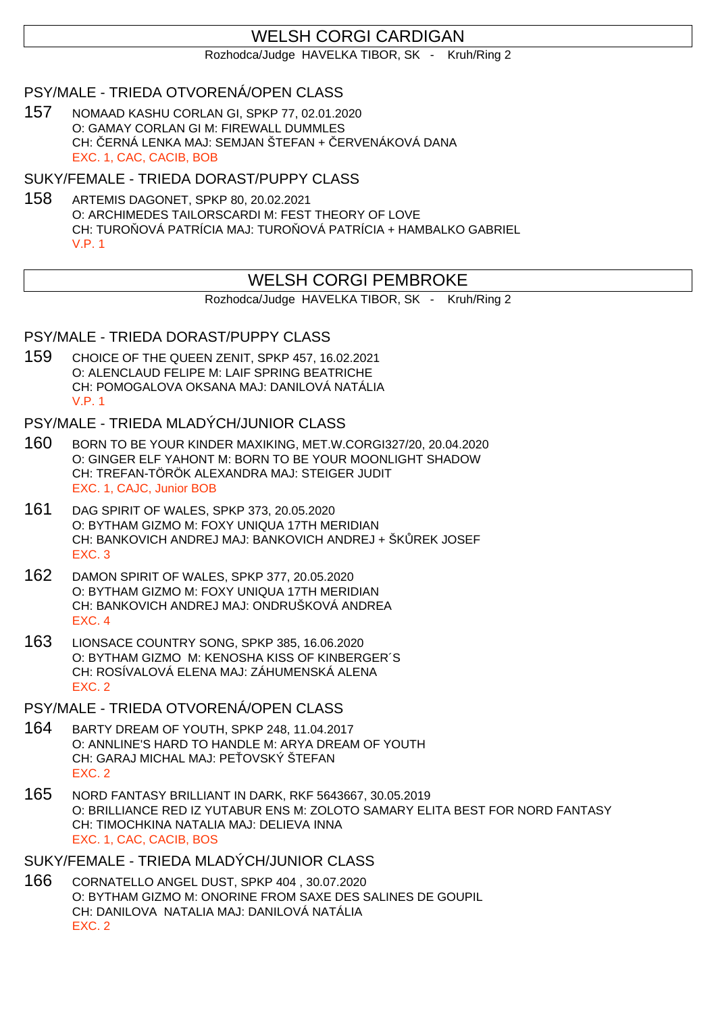# WELSH CORGI CARDIGAN

Rozhodca/Judge HAVELKA TIBOR, SK - Kruh/Ring 2

## PSY/MALE - TRIEDA OTVORENÁ/OPEN CLASS

157 NOMAAD KASHU CORLAN GI, SPKP 77, 02.01.2020 O: GAMAY CORLAN GI M: FIREWALL DUMMLES CH: ERNÁ LENKA MAJ: SEMJAN ŠTEFAN + ERVENÁKOVÁ DANA EXC. 1, CAC, CACIB, BOB

#### SUKY/FEMALE - TRIEDA DORAST/PUPPY CLASS

158 ARTEMIS DAGONET, SPKP 80, 20.02.2021 O: ARCHIMEDES TAILORSCARDI M: FEST THEORY OF LOVE CH: TURO OVÁ PATRÍCIA MAJ: TURO OVÁ PATRÍCIA + HAMBALKO GABRIEL V.P. 1

# WELSH CORGI PEMBROKE

Rozhodca/Judge HAVELKA TIBOR, SK - Kruh/Ring 2

#### PSY/MALE - TRIEDA DORAST/PUPPY CLASS

159 CHOICE OF THE QUEEN ZENIT, SPKP 457, 16.02.2021 O: ALENCLAUD FELIPE M: LAIF SPRING BEATRICHE CH: POMOGALOVA OKSANA MAJ: DANILOVÁ NATÁLIA V.P. 1

#### PSY/MALE - TRIEDA MLADÝCH/JUNIOR CLASS

- 160 BORN TO BE YOUR KINDER MAXIKING, MET.W.CORGI327/20, 20.04.2020 O: GINGER ELF YAHONT M: BORN TO BE YOUR MOONLIGHT SHADOW CH: TREFAN-TÖRÖK ALEXANDRA MAJ: STEIGER JUDIT EXC. 1, CAJC, Junior BOB
- 161 DAG SPIRIT OF WALES, SPKP 373, 20.05.2020 O: BYTHAM GIZMO M: FOXY UNIQUA 17TH MERIDIAN CH: BANKOVICH ANDREJ MAJ: BANKOVICH ANDREJ + ŠK REK JOSEF EXC. 3
- 162 DAMON SPIRIT OF WALES, SPKP 377, 20.05.2020 O: BYTHAM GIZMO M: FOXY UNIQUA 17TH MERIDIAN CH: BANKOVICH ANDREJ MAJ: ONDRUŠKOVÁ ANDREA EXC. 4
- 163 LIONSACE COUNTRY SONG, SPKP 385, 16.06.2020 O: BYTHAM GIZMO M: KENOSHA KISS OF KINBERGER´S CH: ROSÍVALOVÁ ELENA MAJ: ZÁHUMENSKÁ ALENA EXC. 2

# PSY/MALE - TRIEDA OTVORENÁ/OPEN CLASS

- 164 BARTY DREAM OF YOUTH, SPKP 248, 11.04.2017 O: ANNLINE'S HARD TO HANDLE M: ARYA DREAM OF YOUTH CH: GARAJ MICHAL MAJ: PE OVSKÝ ŠTEFAN EXC. 2
- 165 NORD FANTASY BRILLIANT IN DARK, RKF 5643667, 30.05.2019 O: BRILLIANCE RED IZ YUTABUR ENS M: ZOLOTO SAMARY ELITA BEST FOR NORD FANTASY CH: TIMOCHKINA NATALIA MAJ: DELIEVA INNA EXC. 1, CAC, CACIB, BOS

#### SUKY/FEMALE - TRIEDA MLADÝCH/JUNIOR CLASS

166 CORNATELLO ANGEL DUST, SPKP 404 , 30.07.2020 O: BYTHAM GIZMO M: ONORINE FROM SAXE DES SALINES DE GOUPIL CH: DANILOVA NATALIA MAJ: DANILOVÁ NATÁLIA EXC. 2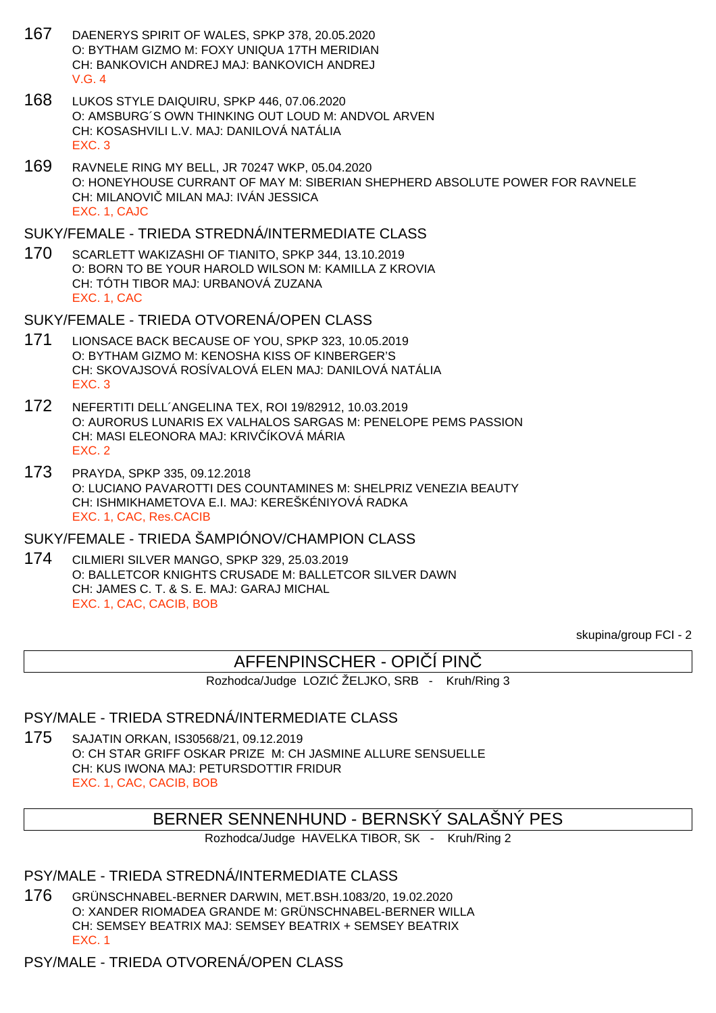- 167 DAENERYS SPIRIT OF WALES, SPKP 378, 20.05.2020 O: BYTHAM GIZMO M: FOXY UNIQUA 17TH MERIDIAN CH: BANKOVICH ANDREJ MAJ: BANKOVICH ANDREJ V.G. 4
- 168 LUKOS STYLE DAIQUIRU, SPKP 446, 07.06.2020 O: AMSBURG´S OWN THINKING OUT LOUD M: ANDVOL ARVEN CH: KOSASHVILI L.V. MAJ: DANILOVÁ NATÁLIA EXC. 3
- 169 RAVNELE RING MY BELL, JR 70247 WKP, 05.04.2020 O: HONEYHOUSE CURRANT OF MAY M: SIBERIAN SHEPHERD ABSOLUTE POWER FOR RAVNELE CH: MILANOVI MILAN MAJ: IVÁN JESSICA EXC. 1, CAJC

### SUKY/FEMALE - TRIEDA STREDNÁ/INTERMEDIATE CLASS

170 SCARLETT WAKIZASHI OF TIANITO, SPKP 344, 13.10.2019 O: BORN TO BE YOUR HAROLD WILSON M: KAMILLA Z KROVIA CH: TÓTH TIBOR MAJ: URBANOVÁ ZUZANA EXC. 1, CAC

#### SUKY/FEMALE - TRIEDA OTVORENÁ/OPEN CLASS

- 171 LIONSACE BACK BECAUSE OF YOU, SPKP 323, 10.05.2019 O: BYTHAM GIZMO M: KENOSHA KISS OF KINBERGER'S CH: SKOVAJSOVÁ ROSÍVALOVÁ ELEN MAJ: DANILOVÁ NATÁLIA EXC. 3
- 172 NEFERTITI DELL´ANGELINA TEX, ROI 19/82912, 10.03.2019 O: AURORUS LUNARIS EX VALHALOS SARGAS M: PENELOPE PEMS PASSION CH: MASI ELEONORA MAJ: KRIVÍKOVÁ MÁRIA EXC. 2
- 173 PRAYDA, SPKP 335, 09.12.2018 O: LUCIANO PAVAROTTI DES COUNTAMINES M: SHELPRIZ VENEZIA BEAUTY CH: ISHMIKHAMETOVA E.I. MAJ: KEREŠKÉNIYOVÁ RADKA EXC. 1, CAC, Res.CACIB

### SUKY/FEMALE - TRIEDA ŠAMPIÓNOV/CHAMPION CLASS

174 CILMIERI SILVER MANGO, SPKP 329, 25.03.2019 O: BALLETCOR KNIGHTS CRUSADE M: BALLETCOR SILVER DAWN CH: JAMES C. T. & S. E. MAJ: GARAJ MICHAL EXC. 1, CAC, CACIB, BOB

skupina/group FCI - 2

# AFFENPINSCHER - OPI Í PIN

Rozhodca/Judge LOZI ŽELJKO, SRB - Kruh/Ring 3

#### PSY/MALE - TRIEDA STREDNÁ/INTERMEDIATE CLASS

175 SAJATIN ORKAN, IS30568/21, 09.12.2019 O: CH STAR GRIFF OSKAR PRIZE M: CH JASMINE ALLURE SENSUELLE CH: KUS IWONA MAJ: PETURSDOTTIR FRIDUR EXC. 1, CAC, CACIB, BOB

# BERNER SENNENHUND - BERNSKÝ SALAŠNÝ PES

Rozhodca/Judge HAVELKA TIBOR, SK - Kruh/Ring 2

### PSY/MALE - TRIEDA STREDNÁ/INTERMEDIATE CLASS

176 GRÜNSCHNABEL-BERNER DARWIN, MET.BSH.1083/20, 19.02.2020 O: XANDER RIOMADEA GRANDE M: GRÜNSCHNABEL-BERNER WILLA CH: SEMSEY BEATRIX MAJ: SEMSEY BEATRIX + SEMSEY BEATRIX EXC. 1

PSY/MALE - TRIEDA OTVORENÁ/OPEN CLASS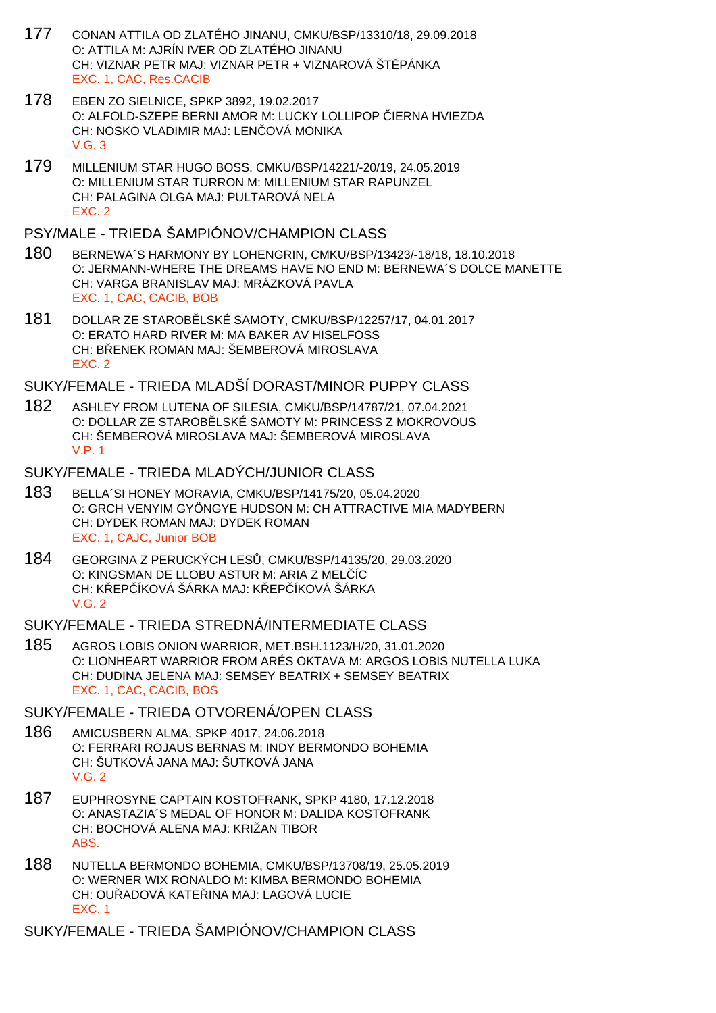- 177 CONAN ATTILA OD ZLATÉHO JINANU, CMKU/BSP/13310/18, 29.09.2018 O: ATTILA M: AJRÍN IVER OD ZLATÉHO JINANU CH: VIZNAR PETR MAJ: VIZNAR PETR + VIZNAROVÁ ŠT. PÁNKA EXC. 1, CAC, Res.CACIB
- 178 EBEN ZO SIELNICE, SPKP 3892, 19.02.2017 O: ALFOLD-SZEPE BERNI AMOR M: LUCKY LOLLIPOP IERNA HVIEZDA CH: NOSKO VLADIMIR MAJ: LEN OVÁ MONIKA V.G. 3
- 179 MILLENIUM STAR HUGO BOSS, CMKU/BSP/14221/-20/19, 24.05.2019 O: MILLENIUM STAR TURRON M: MILLENIUM STAR RAPUNZEL CH: PALAGINA OLGA MAJ: PULTAROVÁ NELA EXC. 2

#### PSY/MALE - TRIEDA ŠAMPIÓNOV/CHAMPION CLASS

- 180 BERNEWA´S HARMONY BY LOHENGRIN, CMKU/BSP/13423/-18/18, 18.10.2018 O: JERMANN-WHERE THE DREAMS HAVE NO END M: BERNEWA´S DOLCE MANETTE CH: VARGA BRANISLAV MAJ: MRÁZKOVÁ PAVLA EXC. 1, CAC, CACIB, BOB
- 181 DOLLAR ZE STAROBĚLSKÉ SAMOTY, CMKU/BSP/12257/17, 04.01.2017 O: ERATO HARD RIVER M: MA BAKER AV HISELFOSS CH: B ENEK ROMAN MAJ: ŠEMBEROVÁ MIROSLAVA EXC. 2

## SUKY/FEMALE - TRIEDA MLADŠÍ DORAST/MINOR PUPPY CLASS

182 ASHLEY FROM LUTENA OF SILESIA, CMKU/BSP/14787/21, 07.04.2021 O: DOLLAR ZE STAROB LSKÉ SAMOTY M: PRINCESS Z MOKROVOUS CH: ŠEMBEROVÁ MIROSLAVA MAJ: ŠEMBEROVÁ MIROSLAVA V.P. 1

# SUKY/FEMALE - TRIEDA MLADÝCH/JUNIOR CLASS

- 183 BELLA´SI HONEY MORAVIA, CMKU/BSP/14175/20, 05.04.2020 O: GRCH VENYIM GYÖNGYE HUDSON M: CH ATTRACTIVE MIA MADYBERN CH: DYDEK ROMAN MAJ: DYDEK ROMAN EXC. 1, CAJC, Junior BOB
- 184 GEORGINA Z PERUCKÝCH LESŮ, CMKU/BSP/14135/20, 29.03.2020 O: KINGSMAN DE LLOBU ASTUR M: ARIA Z MELÍC CH: KŘEPŘÍKOVÁ ŠÁRKA MAJ: KŘEPŘÍKOVÁ ŠÁRKA V.G. 2

#### SUKY/FEMALE - TRIEDA STREDNÁ/INTERMEDIATE CLASS

185 AGROS LOBIS ONION WARRIOR, MET.BSH.1123/H/20, 31.01.2020 O: LIONHEART WARRIOR FROM ARÉS OKTAVA M: ARGOS LOBIS NUTELLA LUKA CH: DUDINA JELENA MAJ: SEMSEY BEATRIX + SEMSEY BEATRIX EXC. 1, CAC, CACIB, BOS

### SUKY/FEMALE - TRIEDA OTVORENÁ/OPEN CLASS

- 186 AMICUSBERN ALMA, SPKP 4017, 24.06.2018 O: FERRARI ROJAUS BERNAS M: INDY BERMONDO BOHEMIA CH: ŠUTKOVÁ JANA MAJ: ŠUTKOVÁ JANA V.G. 2
- 187 EUPHROSYNE CAPTAIN KOSTOFRANK, SPKP 4180, 17.12.2018 O: ANASTAZIA´S MEDAL OF HONOR M: DALIDA KOSTOFRANK CH: BOCHOVÁ ALENA MAJ: KRIŽAN TIBOR ABS.
- 188 NUTELLA BERMONDO BOHEMIA, CMKU/BSP/13708/19, 25.05.2019 O: WERNER WIX RONALDO M: KIMBA BERMONDO BOHEMIA CH: OU ADOVÁ KATE INA MAJ: LAGOVÁ LUCIE EXC. 1

SUKY/FEMALE - TRIEDA ŠAMPIÓNOV/CHAMPION CLASS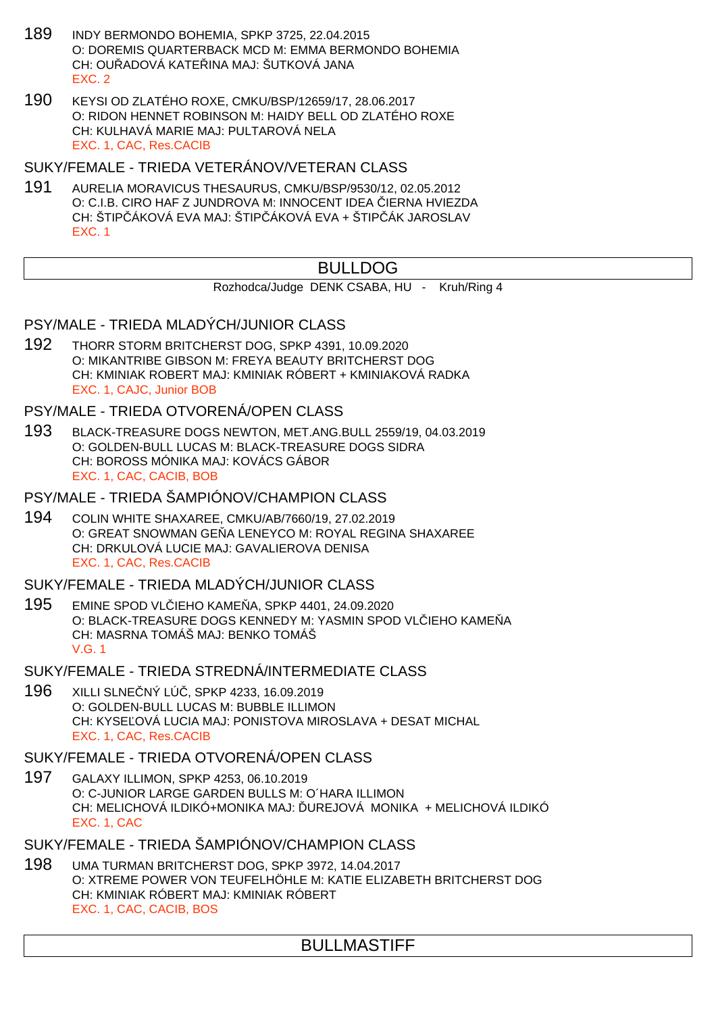- 189 INDY BERMONDO BOHEMIA, SPKP 3725, 22.04.2015 O: DOREMIS QUARTERBACK MCD M: EMMA BERMONDO BOHEMIA CH: OU ADOVÁ KATE INA MAJ: ŠUTKOVÁ JANA EXC. 2
- 190 KEYSI OD ZLATÉHO ROXE, CMKU/BSP/12659/17, 28.06.2017 O: RIDON HENNET ROBINSON M: HAIDY BELL OD ZLATÉHO ROXE CH: KULHAVÁ MARIE MAJ: PULTAROVÁ NELA EXC. 1, CAC, Res.CACIB

SUKY/FEMALE - TRIEDA VETERÁNOV/VETERAN CLASS

191 AURELIA MORAVICUS THESAURUS, CMKU/BSP/9530/12, 02.05.2012 O: C.I.B. CIRO HAF Z JUNDROVA M: INNOCENT IDEA IERNA HVIEZDA CH: ŠTIP ÁKOVÁ EVA MAJ: ŠTIP ÁKOVÁ EVA + ŠTIP ÁK JAROSLAV EXC. 1

# BULLDOG

Rozhodca/Judge DENK CSABA, HU - Kruh/Ring 4

PSY/MALE - TRIEDA MLADÝCH/JUNIOR CLASS

192 THORR STORM BRITCHERST DOG, SPKP 4391, 10.09.2020 O: MIKANTRIBE GIBSON M: FREYA BEAUTY BRITCHERST DOG CH: KMINIAK ROBERT MAJ: KMINIAK RÓBERT + KMINIAKOVÁ RADKA EXC. 1, CAJC, Junior BOB

PSY/MALE - TRIEDA OTVORENÁ/OPEN CLASS

193 BLACK-TREASURE DOGS NEWTON, MET.ANG.BULL 2559/19, 04.03.2019 O: GOLDEN-BULL LUCAS M: BLACK-TREASURE DOGS SIDRA CH: BOROSS MÓNIKA MAJ: KOVÁCS GÁBOR EXC. 1, CAC, CACIB, BOB

PSY/MALE - TRIEDA ŠAMPIÓNOV/CHAMPION CLASS

194 COLIN WHITE SHAXAREE, CMKU/AB/7660/19, 27.02.2019 O: GREAT SNOWMAN GE A LENEYCO M: ROYAL REGINA SHAXAREE CH: DRKULOVÁ LUCIE MAJ: GAVALIEROVA DENISA EXC. 1, CAC, Res.CACIB

SUKY/FEMALE - TRIEDA MLADÝCH/JUNIOR CLASS

195 EMINE SPOD VL IEHO KAME A, SPKP 4401, 24.09.2020 O: BLACK-TREASURE DOGS KENNEDY M: YASMIN SPOD VL IEHO KAME A CH: MASRNA TOMÁŠ MAJ: BENKO TOMÁŠ V.G. 1

SUKY/FEMALE - TRIEDA STREDNÁ/INTERMEDIATE CLASS

196 XILLI SLNE NÝ LÚ, SPKP 4233, 16.09.2019 O: GOLDEN-BULL LUCAS M: BUBBLE ILLIMON CH: KYSE OVÁ LUCIA MAJ: PONISTOVA MIROSLAVA + DESAT MICHAL EXC. 1, CAC, Res.CACIB

SUKY/FEMALE - TRIEDA OTVORENÁ/OPEN CLASS

197 GALAXY ILLIMON, SPKP 4253, 06.10.2019 O: C-JUNIOR LARGE GARDEN BULLS M: O´HARA ILLIMON CH: MELICHOVÁ ILDIKÓ+MONIKA MAJ: UREJOVÁ MONIKA + MELICHOVÁ ILDIKÓ EXC. 1, CAC

SUKY/FEMALE - TRIEDA ŠAMPIÓNOV/CHAMPION CLASS

198 UMA TURMAN BRITCHERST DOG, SPKP 3972, 14.04.2017 O: XTREME POWER VON TEUFELHÖHLE M: KATIE ELIZABETH BRITCHERST DOG CH: KMINIAK RÓBERT MAJ: KMINIAK RÓBERT EXC. 1, CAC, CACIB, BOS

# BULLMASTIFF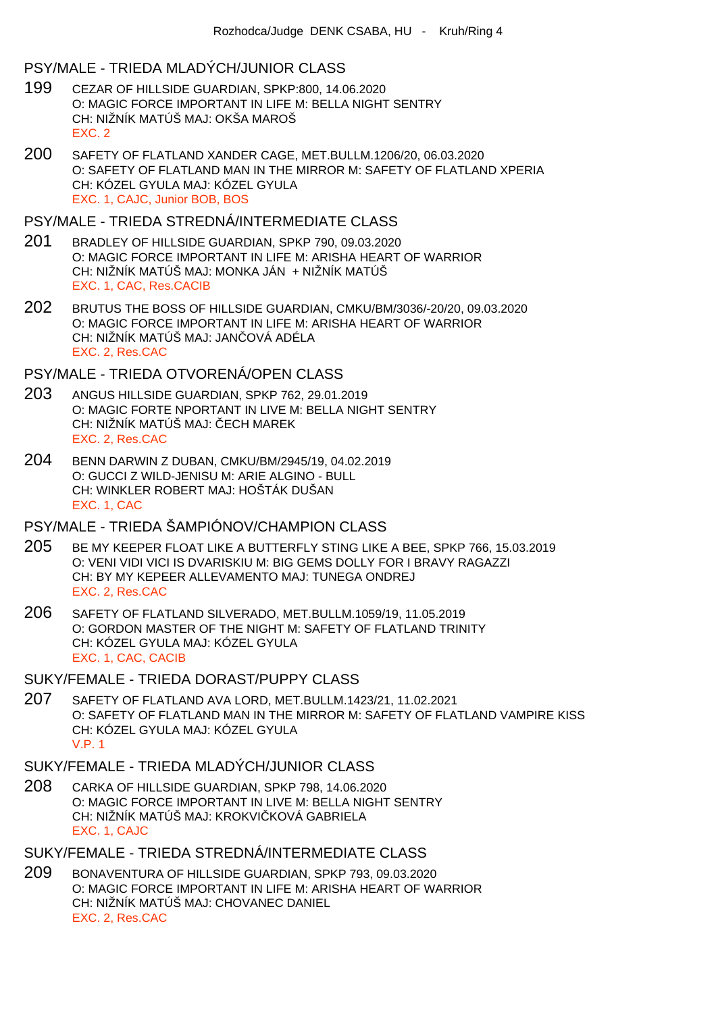### PSY/MALE - TRIEDA MLADÝCH/JUNIOR CLASS

- 199 CEZAR OF HILLSIDE GUARDIAN, SPKP:800, 14.06.2020 O: MAGIC FORCE IMPORTANT IN LIFE M: BELLA NIGHT SENTRY CH: NIŽNÍK MATÚŠ MAJ: OKŠA MAROŠ EXC. 2
- 200 SAFETY OF FLATLAND XANDER CAGE, MET.BULLM.1206/20, 06.03.2020 O: SAFETY OF FLATLAND MAN IN THE MIRROR M: SAFETY OF FLATLAND XPERIA CH: KÓZEL GYULA MAJ: KÓZEL GYULA EXC. 1, CAJC, Junior BOB, BOS

#### PSY/MALE - TRIEDA STREDNÁ/INTERMEDIATE CLASS

- 201 BRADLEY OF HILLSIDE GUARDIAN, SPKP 790, 09.03.2020 O: MAGIC FORCE IMPORTANT IN LIFE M: ARISHA HEART OF WARRIOR CH: NIŽNÍK MATÚŠ MAJ: MONKA JÁN + NIŽNÍK MATÚŠ EXC. 1, CAC, Res.CACIB
- 202 BRUTUS THE BOSS OF HILLSIDE GUARDIAN, CMKU/BM/3036/-20/20, 09.03.2020 O: MAGIC FORCE IMPORTANT IN LIFE M: ARISHA HEART OF WARRIOR CH: NIŽNÍK MATÚŠ MAJ: JAN OVÁ ADÉLA EXC. 2, Res.CAC

#### PSY/MALE - TRIEDA OTVORENÁ/OPEN CLASS

- 203 ANGUS HILLSIDE GUARDIAN, SPKP 762, 29.01.2019 O: MAGIC FORTE NPORTANT IN LIVE M: BELLA NIGHT SENTRY CH: NIŽNÍK MATÚŠ MAJ: ECH MAREK EXC. 2, Res.CAC
- 204 BENN DARWIN Z DUBAN, CMKU/BM/2945/19, 04.02.2019 O: GUCCI Z WILD-JENISU M: ARIE ALGINO - BULL CH: WINKLER ROBERT MAJ: HOŠTÁK DUŠAN EXC. 1, CAC

#### PSY/MALE - TRIEDA ŠAMPIÓNOV/CHAMPION CLASS

- 205 BE MY KEEPER FLOAT LIKE A BUTTERFLY STING LIKE A BEE, SPKP 766, 15.03.2019 O: VENI VIDI VICI IS DVARISKIU M: BIG GEMS DOLLY FOR I BRAVY RAGAZZI CH: BY MY KEPEER ALLEVAMENTO MAJ: TUNEGA ONDREJ EXC. 2, Res.CAC
- 206 SAFETY OF FLATLAND SILVERADO, MET.BULLM.1059/19, 11.05.2019 O: GORDON MASTER OF THE NIGHT M: SAFETY OF FLATLAND TRINITY CH: KÓZEL GYULA MAJ: KÓZEL GYULA EXC. 1, CAC, CACIB

#### SUKY/FEMALE - TRIEDA DORAST/PUPPY CLASS

207 SAFETY OF FLATLAND AVA LORD, MET.BULLM.1423/21, 11.02.2021 O: SAFETY OF FLATLAND MAN IN THE MIRROR M: SAFETY OF FLATLAND VAMPIRE KISS CH: KÓZEL GYULA MAJ: KÓZEL GYULA V.P. 1

#### SUKY/FEMALE - TRIEDA MLADÝCH/JUNIOR CLASS

208 CARKA OF HILLSIDE GUARDIAN, SPKP 798, 14.06.2020 O: MAGIC FORCE IMPORTANT IN LIVE M: BELLA NIGHT SENTRY CH: NIŽNÍK MATÚŠ MAJ: KROKVI KOVÁ GABRIELA EXC. 1, CAJC

### SUKY/FEMALE - TRIEDA STREDNÁ/INTERMEDIATE CLASS

209 BONAVENTURA OF HILLSIDE GUARDIAN, SPKP 793, 09.03.2020 O: MAGIC FORCE IMPORTANT IN LIFE M: ARISHA HEART OF WARRIOR CH: NIŽNÍK MATÚŠ MAJ: CHOVANEC DANIEL EXC. 2, Res.CAC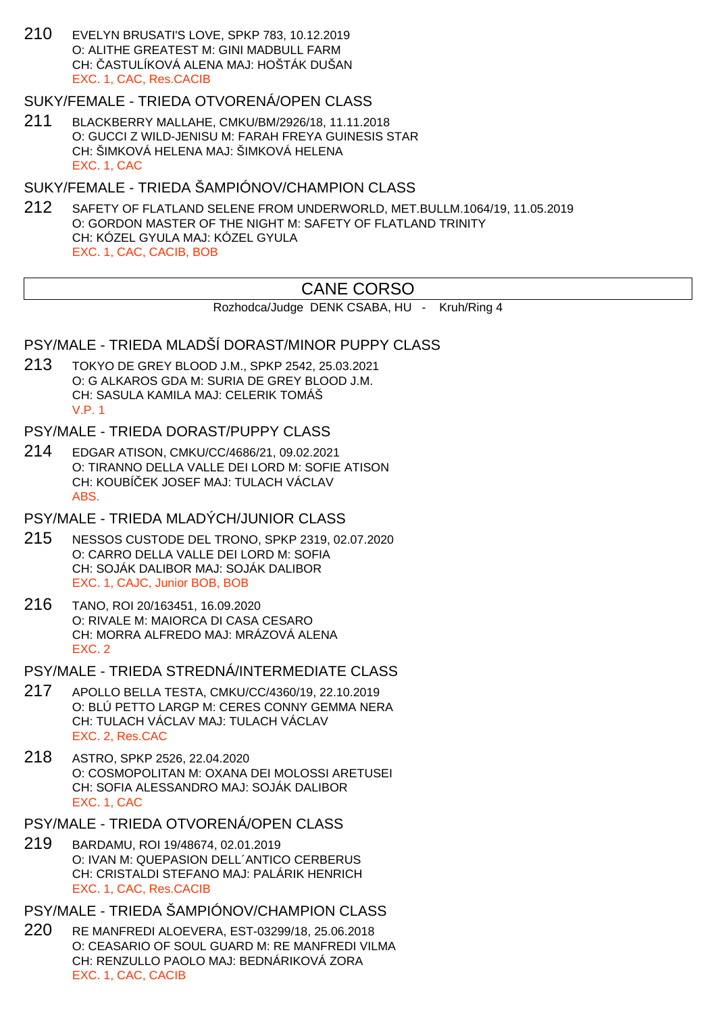210 EVELYN BRUSATI'S LOVE, SPKP 783, 10.12.2019 O: ALITHE GREATEST M: GINI MADBULL FARM CH: ASTULÍKOVÁ ALENA MAJ: HOŠTÁK DUŠAN EXC. 1, CAC, Res.CACIB

SUKY/FEMALE - TRIEDA OTVORENÁ/OPEN CLASS

211 BLACKBERRY MALLAHE, CMKU/BM/2926/18, 11.11.2018 O: GUCCI Z WILD-JENISU M: FARAH FREYA GUINESIS STAR CH: ŠIMKOVÁ HELENA MAJ: ŠIMKOVÁ HELENA EXC. 1, CAC

SUKY/FEMALE - TRIEDA ŠAMPIÓNOV/CHAMPION CLASS

212 SAFETY OF FLATLAND SELENE FROM UNDERWORLD, MET.BULLM.1064/19, 11.05.2019 O: GORDON MASTER OF THE NIGHT M: SAFETY OF FLATLAND TRINITY CH: KÓZEL GYULA MAJ: KÓZEL GYULA EXC. 1, CAC, CACIB, BOB

# CANE CORSO

Rozhodca/Judge DENK CSABA, HU - Kruh/Ring 4

#### PSY/MALE - TRIEDA MLADŠÍ DORAST/MINOR PUPPY CLASS

213 TOKYO DE GREY BLOOD J.M., SPKP 2542, 25.03.2021 O: G ALKAROS GDA M: SURIA DE GREY BLOOD J.M. CH: SASULA KAMILA MAJ: CELERIK TOMÁŠ V.P. 1

PSY/MALE - TRIEDA DORAST/PUPPY CLASS

- 214 EDGAR ATISON, CMKU/CC/4686/21, 09.02.2021 O: TIRANNO DELLA VALLE DEI LORD M: SOFIE ATISON CH: KOUBÍ EK JOSEF MAJ: TULACH VÁCLAV ABS.
- PSY/MALE TRIEDA MLADÝCH/JUNIOR CLASS
- 215 NESSOS CUSTODE DEL TRONO, SPKP 2319, 02.07.2020 O: CARRO DELLA VALLE DEI LORD M: SOFIA CH: SOJÁK DALIBOR MAJ: SOJÁK DALIBOR EXC. 1, CAJC, Junior BOB, BOB
- 216 TANO, ROI 20/163451, 16.09.2020 O: RIVALE M: MAIORCA DI CASA CESARO CH: MORRA ALFREDO MAJ: MRÁZOVÁ ALENA EXC. 2
- PSY/MALE TRIEDA STREDNÁ/INTERMEDIATE CLASS
- 217 APOLLO BELLA TESTA, CMKU/CC/4360/19, 22.10.2019 O: BLÚ PETTO LARGP M: CERES CONNY GEMMA NERA CH: TULACH VÁCLAV MAJ: TULACH VÁCLAV EXC. 2, Res.CAC
- 218 ASTRO, SPKP 2526, 22.04.2020 O: COSMOPOLITAN M: OXANA DEI MOLOSSI ARETUSEI CH: SOFIA ALESSANDRO MAJ: SOJÁK DALIBOR EXC. 1, CAC
- PSY/MALE TRIEDA OTVORENÁ/OPEN CLASS
- 219 BARDAMU, ROI 19/48674, 02.01.2019 O: IVAN M: QUEPASION DELL´ANTICO CERBERUS CH: CRISTALDI STEFANO MAJ: PALÁRIK HENRICH EXC. 1, CAC, Res.CACIB

PSY/MALE - TRIEDA ŠAMPIÓNOV/CHAMPION CLASS

220 RE MANFREDI ALOEVERA, EST-03299/18, 25.06.2018 O: CEASARIO OF SOUL GUARD M: RE MANFREDI VILMA CH: RENZULLO PAOLO MAJ: BEDNÁRIKOVÁ ZORA EXC. 1, CAC, CACIB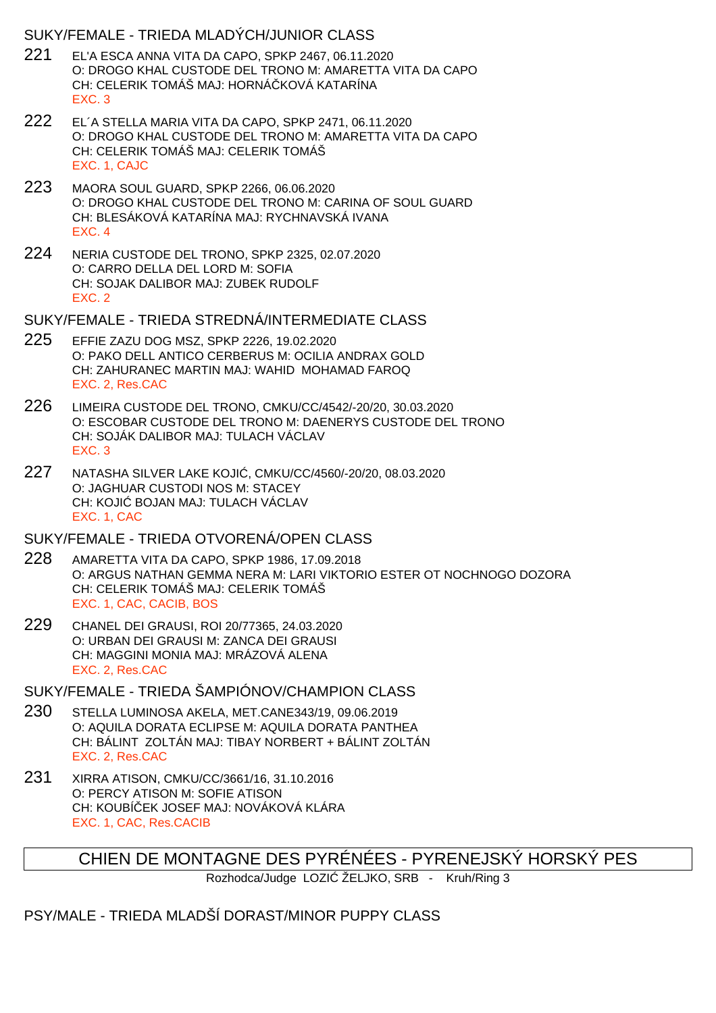# SUKY/FEMALE - TRIEDA MLADÝCH/JUNIOR CLASS

- 221 EL'A ESCA ANNA VITA DA CAPO, SPKP 2467, 06.11.2020 O: DROGO KHAL CUSTODE DEL TRONO M: AMARETTA VITA DA CAPO CH: CELERIK TOMÁŠ MAJ: HORNÁ KOVÁ KATARÍNA EXC. 3
- 222 EL´A STELLA MARIA VITA DA CAPO, SPKP 2471, 06.11.2020 O: DROGO KHAL CUSTODE DEL TRONO M: AMARETTA VITA DA CAPO CH: CELERIK TOMÁŠ MAJ: CELERIK TOMÁŠ EXC. 1, CAJC
- 223 MAORA SOUL GUARD, SPKP 2266, 06.06.2020 O: DROGO KHAL CUSTODE DEL TRONO M: CARINA OF SOUL GUARD CH: BLESÁKOVÁ KATARÍNA MAJ: RYCHNAVSKÁ IVANA EXC. 4
- 224 NERIA CUSTODE DEL TRONO, SPKP 2325, 02.07.2020 O: CARRO DELLA DEL LORD M: SOFIA CH: SOJAK DALIBOR MAJ: ZUBEK RUDOLF EXC. 2
- SUKY/FEMALE TRIEDA STREDNÁ/INTERMEDIATE CLASS
- 225 EFFIE ZAZU DOG MSZ, SPKP 2226, 19.02.2020 O: PAKO DELL ANTICO CERBERUS M: OCILIA ANDRAX GOLD CH: ZAHURANEC MARTIN MAJ: WAHID MOHAMAD FAROQ EXC. 2, Res.CAC
- 226 LIMEIRA CUSTODE DEL TRONO, CMKU/CC/4542/-20/20, 30.03.2020 O: ESCOBAR CUSTODE DEL TRONO M: DAENERYS CUSTODE DEL TRONO CH: SOJÁK DALIBOR MAJ: TULACH VÁCLAV EXC. 3
- 227 NATASHA SILVER LAKE KOJI, CMKU/CC/4560/-20/20, 08.03.2020 O: JAGHUAR CUSTODI NOS M: STACEY CH: KOJI BOJAN MAJ: TULACH VÁCLAV EXC. 1, CAC

### SUKY/FEMALE - TRIEDA OTVORENÁ/OPEN CLASS

- 228 AMARETTA VITA DA CAPO, SPKP 1986, 17.09.2018 O: ARGUS NATHAN GEMMA NERA M: LARI VIKTORIO ESTER OT NOCHNOGO DOZORA CH: CELERIK TOMÁŠ MAJ: CELERIK TOMÁŠ EXC. 1, CAC, CACIB, BOS
- 229 CHANEL DEI GRAUSI, ROI 20/77365, 24.03.2020 O: URBAN DEI GRAUSI M: ZANCA DEI GRAUSI CH: MAGGINI MONIA MAJ: MRÁZOVÁ ALENA EXC. 2, Res.CAC

SUKY/FEMALE - TRIEDA ŠAMPIÓNOV/CHAMPION CLASS

- 230 STELLA LUMINOSA AKELA, MET.CANE343/19, 09.06.2019 O: AQUILA DORATA ECLIPSE M: AQUILA DORATA PANTHEA CH: BÁLINT ZOLTÁN MAJ: TIBAY NORBERT + BÁLINT ZOLTÁN EXC. 2, Res.CAC
- 231 XIRRA ATISON, CMKU/CC/3661/16, 31.10.2016 O: PERCY ATISON M: SOFIE ATISON CH: KOUBÍ EK JOSEF MAJ: NOVÁKOVÁ KLÁRA EXC. 1, CAC, Res.CACIB

CHIEN DE MONTAGNE DES PYRÉNÉES - PYRENEJSKÝ HORSKÝ PES

Rozhodca/Judge LOZI ŽELJKO, SRB - Kruh/Ring 3

PSY/MALE - TRIEDA MLADŠÍ DORAST/MINOR PUPPY CLASS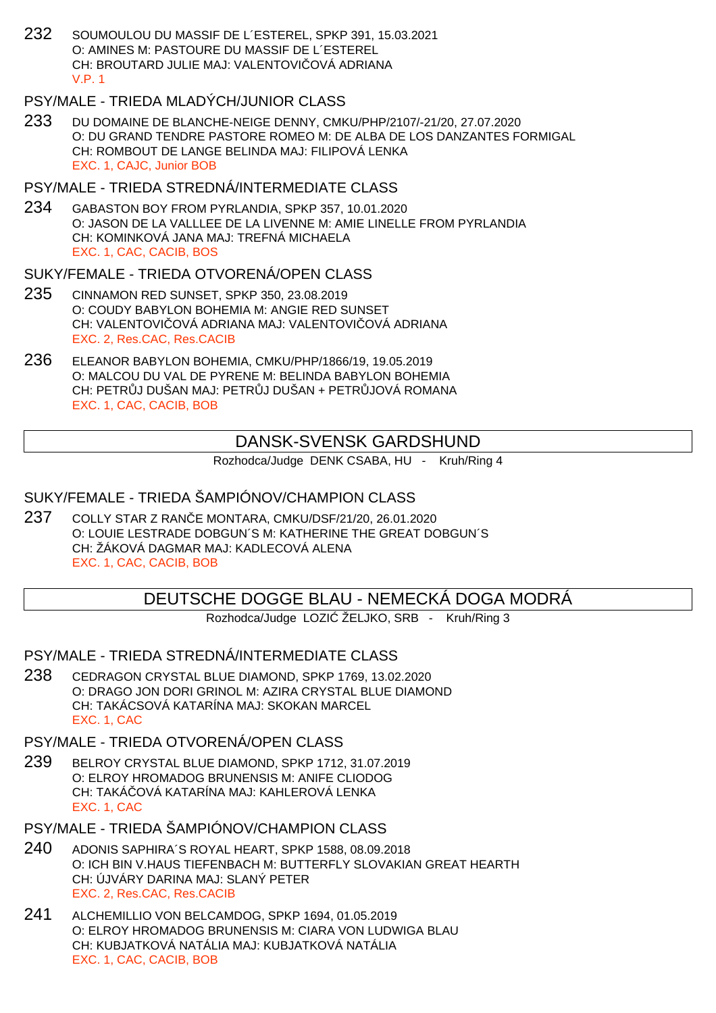232 SOUMOULOU DU MASSIF DE L´ESTEREL, SPKP 391, 15.03.2021 O: AMINES M: PASTOURE DU MASSIF DE L´ESTEREL CH: BROUTARD JULIE MAJ: VALENTOVI OVÁ ADRIANA V.P. 1

# PSY/MALE - TRIEDA MLADÝCH/JUNIOR CLASS

233 DU DOMAINE DE BLANCHE-NEIGE DENNY, CMKU/PHP/2107/-21/20, 27.07.2020 O: DU GRAND TENDRE PASTORE ROMEO M: DE ALBA DE LOS DANZANTES FORMIGAL CH: ROMBOUT DE LANGE BELINDA MAJ: FILIPOVÁ LENKA EXC. 1, CAJC, Junior BOB

# PSY/MALE - TRIEDA STREDNÁ/INTERMEDIATE CLASS

234 GABASTON BOY FROM PYRLANDIA, SPKP 357, 10.01.2020 O: JASON DE LA VALLLEE DE LA LIVENNE M: AMIE LINELLE FROM PYRLANDIA CH: KOMINKOVÁ JANA MAJ: TREFNÁ MICHAELA EXC. 1, CAC, CACIB, BOS

# SUKY/FEMALE - TRIEDA OTVORENÁ/OPEN CLASS

- 235 CINNAMON RED SUNSET, SPKP 350, 23.08.2019 O: COUDY BABYLON BOHEMIA M: ANGIE RED SUNSET CH: VALENTOVICOVÁ ADRIANA MAJ: VALENTOVICOVÁ ADRIANA EXC. 2, Res.CAC, Res.CACIB
- 236 ELEANOR BABYLON BOHEMIA, CMKU/PHP/1866/19, 19.05.2019 O: MALCOU DU VAL DE PYRENE M: BELINDA BABYLON BOHEMIA CH: PETR J DUŠAN MAJ: PETR J DUŠAN + PETR JOVÁ ROMANA EXC. 1, CAC, CACIB, BOB

# DANSK-SVENSK GARDSHUND

Rozhodca/Judge DENK CSABA, HU - Kruh/Ring 4

# SUKY/FEMALE - TRIEDA ŠAMPIÓNOV/CHAMPION CLASS

237 COLLY STAR Z RANČE MONTARA, CMKU/DSF/21/20, 26.01.2020 O: LOUIE LESTRADE DOBGUN´S M: KATHERINE THE GREAT DOBGUN´S CH: ŽÁKOVÁ DAGMAR MAJ: KADLECOVÁ ALENA EXC. 1, CAC, CACIB, BOB

# DEUTSCHE DOGGE BLAU - NEMECKÁ DOGA MODRÁ

Rozhodca/Judge LOZI ŽELJKO, SRB - Kruh/Ring 3

PSY/MALE - TRIEDA STREDNÁ/INTERMEDIATE CLASS

238 CEDRAGON CRYSTAL BLUE DIAMOND, SPKP 1769, 13.02.2020 O: DRAGO JON DORI GRINOL M: AZIRA CRYSTAL BLUE DIAMOND CH: TAKÁCSOVÁ KATARÍNA MAJ: SKOKAN MARCEL EXC. 1, CAC

# PSY/MALE - TRIEDA OTVORENÁ/OPEN CLASS

239 BELROY CRYSTAL BLUE DIAMOND, SPKP 1712, 31.07.2019 O: ELROY HROMADOG BRUNENSIS M: ANIFE CLIODOG CH: TAKÁ OVÁ KATARÍNA MAJ: KAHLEROVÁ LENKA EXC. 1, CAC

PSY/MALE - TRIEDA ŠAMPIÓNOV/CHAMPION CLASS

- 240 ADONIS SAPHIRA´S ROYAL HEART, SPKP 1588, 08.09.2018 O: ICH BIN V.HAUS TIEFENBACH M: BUTTERFLY SLOVAKIAN GREAT HEARTH CH: ÚJVÁRY DARINA MAJ: SLANÝ PETER EXC. 2, Res.CAC, Res.CACIB
- 241 ALCHEMILLIO VON BELCAMDOG, SPKP 1694, 01.05.2019 O: ELROY HROMADOG BRUNENSIS M: CIARA VON LUDWIGA BLAU CH: KUBJATKOVÁ NATÁLIA MAJ: KUBJATKOVÁ NATÁLIA EXC. 1, CAC, CACIB, BOB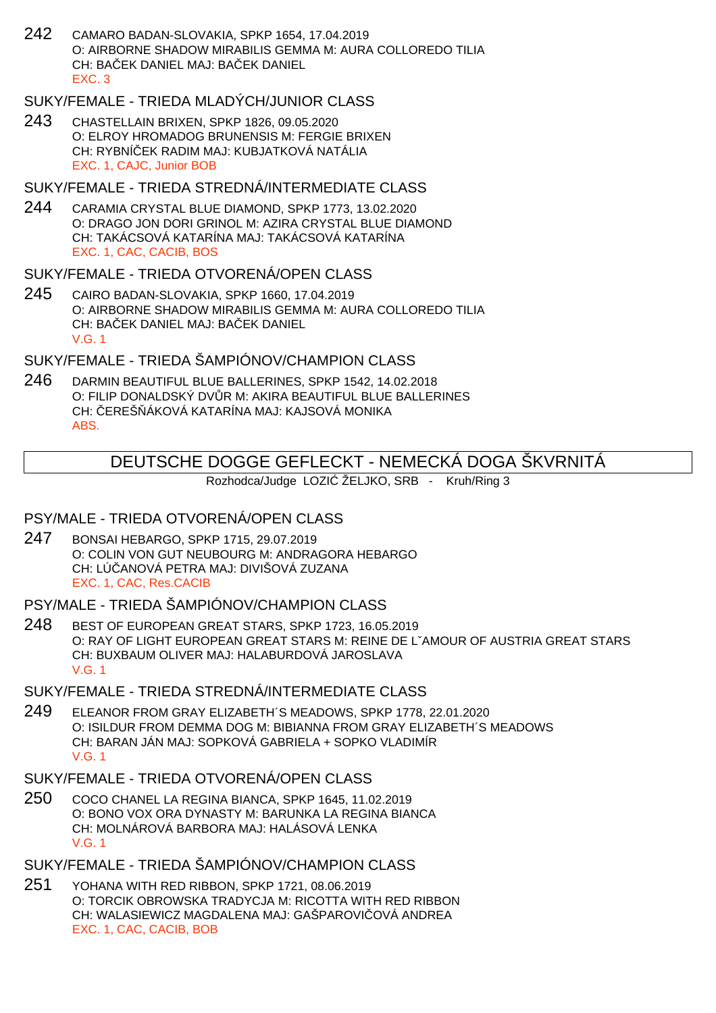242 CAMARO BADAN-SLOVAKIA, SPKP 1654, 17.04.2019 O: AIRBORNE SHADOW MIRABILIS GEMMA M: AURA COLLOREDO TILIA CH: BAEK DANIEL MAJ: BAEK DANIEL EXC. 3

# SUKY/FEMALE - TRIEDA MLADÝCH/JUNIOR CLASS

243 CHASTELLAIN BRIXEN, SPKP 1826, 09.05.2020 O: ELROY HROMADOG BRUNENSIS M: FERGIE BRIXEN CH: RYBNÍ EK RADIM MAJ: KUBJATKOVÁ NATÁLIA EXC. 1, CAJC, Junior BOB

#### SUKY/FEMALE - TRIEDA STREDNÁ/INTERMEDIATE CLASS

244 CARAMIA CRYSTAL BLUE DIAMOND, SPKP 1773, 13.02.2020 O: DRAGO JON DORI GRINOL M: AZIRA CRYSTAL BLUE DIAMOND CH: TAKÁCSOVÁ KATARÍNA MAJ: TAKÁCSOVÁ KATARÍNA EXC. 1, CAC, CACIB, BOS

#### SUKY/FEMALE - TRIEDA OTVORENÁ/OPEN CLASS

245 CAIRO BADAN-SLOVAKIA, SPKP 1660, 17.04.2019 O: AIRBORNE SHADOW MIRABILIS GEMMA M: AURA COLLOREDO TILIA CH: BAEK DANIEL MAJ: BAEK DANIEL V.G. 1

#### SUKY/FEMALE - TRIEDA ŠAMPIÓNOV/CHAMPION CLASS

246 DARMIN BEAUTIFUL BLUE BALLERINES, SPKP 1542, 14.02.2018 O: FILIP DONALDSKÝ DV R M: AKIRA BEAUTIFUL BLUE BALLERINES CH: EREŠ ÁKOVÁ KATARÍNA MAJ: KAJSOVÁ MONIKA ABS.

# DEUTSCHE DOGGE GEFLECKT - NEMECKÁ DOGA ŠKVRNITÁ

Rozhodca/Judge LOZI ŽELJKO, SRB - Kruh/Ring 3

#### PSY/MALE - TRIEDA OTVORENÁ/OPEN CLASS

247 BONSAI HEBARGO, SPKP 1715, 29.07.2019 O: COLIN VON GUT NEUBOURG M: ANDRAGORA HEBARGO CH: LÚČANOVÁ PETRA MAJ: DIVIŠOVÁ ZUZANA EXC. 1, CAC, Res.CACIB

### PSY/MALE - TRIEDA ŠAMPIÓNOV/CHAMPION CLASS

248 BEST OF EUROPEAN GREAT STARS, SPKP 1723, 16.05.2019 O: RAY OF LIGHT EUROPEAN GREAT STARS M: REINE DE LˇAMOUR OF AUSTRIA GREAT STARS CH: BUXBAUM OLIVER MAJ: HALABURDOVÁ JAROSLAVA V.G. 1

## SUKY/FEMALE - TRIEDA STREDNÁ/INTERMEDIATE CLASS

249 ELEANOR FROM GRAY ELIZABETH´S MEADOWS, SPKP 1778, 22.01.2020 O: ISILDUR FROM DEMMA DOG M: BIBIANNA FROM GRAY ELIZABETH´S MEADOWS CH: BARAN JÁN MAJ: SOPKOVÁ GABRIELA + SOPKO VLADIMÍR V.G. 1

#### SUKY/FEMALE - TRIEDA OTVORENÁ/OPEN CLASS

250 COCO CHANEL LA REGINA BIANCA, SPKP 1645, 11.02.2019 O: BONO VOX ORA DYNASTY M: BARUNKA LA REGINA BIANCA CH: MOLNÁROVÁ BARBORA MAJ: HALÁSOVÁ LENKA V.G. 1

### SUKY/FEMALE - TRIEDA ŠAMPIÓNOV/CHAMPION CLASS

251 YOHANA WITH RED RIBBON, SPKP 1721, 08.06.2019 O: TORCIK OBROWSKA TRADYCJA M: RICOTTA WITH RED RIBBON CH: WALASIEWICZ MAGDALENA MAJ: GAŠPAROVI OVÁ ANDREA EXC. 1, CAC, CACIB, BOB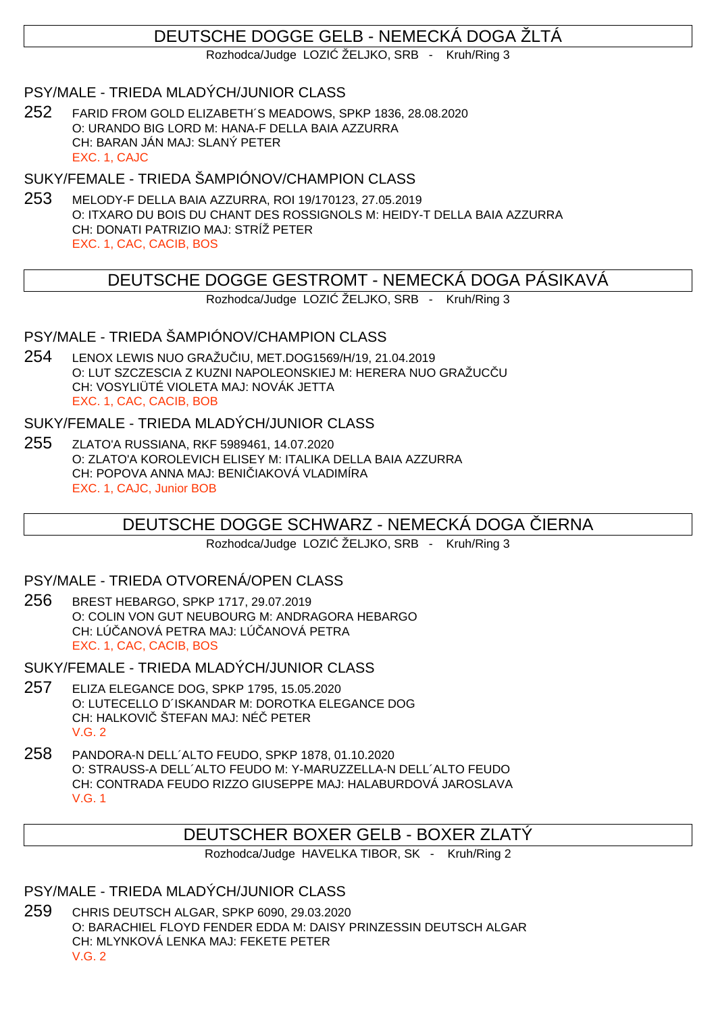# DEUTSCHE DOGGE GELB - NEMECKÁ DOGA ŽLTÁ

Rozhodca/Judge LOZI ŽELJKO, SRB - Kruh/Ring 3

## PSY/MALE - TRIEDA MLADÝCH/JUNIOR CLASS

252 FARID FROM GOLD ELIZABETH´S MEADOWS, SPKP 1836, 28.08.2020 O: URANDO BIG LORD M: HANA-F DELLA BAIA AZZURRA CH: BARAN JÁN MAJ: SLANÝ PETER EXC. 1, CAJC

SUKY/FEMALE - TRIEDA ŠAMPIÓNOV/CHAMPION CLASS

253 MELODY-F DELLA BAIA AZZURRA, ROI 19/170123, 27.05.2019 O: ITXARO DU BOIS DU CHANT DES ROSSIGNOLS M: HEIDY-T DELLA BAIA AZZURRA CH: DONATI PATRIZIO MAJ: STRÍŽ PETER EXC. 1, CAC, CACIB, BOS

DEUTSCHE DOGGE GESTROMT - NEMECKÁ DOGA PÁSIKAVÁ

Rozhodca/Judge LOZI ŽELJKO, SRB - Kruh/Ring 3

#### PSY/MALE - TRIEDA ŠAMPIÓNOV/CHAMPION CLASS

254 LENOX LEWIS NUO GRAŽUČIU, MET.DOG1569/H/19, 21.04.2019 O: LUT SZCZESCIA Z KUZNI NAPOLEONSKIEJ M: HERERA NUO GRAŽUCČU CH: VOSYLIÜTÉ VIOLETA MAJ: NOVÁK JETTA EXC. 1, CAC, CACIB, BOB

#### SUKY/FEMALE - TRIEDA MLADÝCH/JUNIOR CLASS

255 ZLATO'A RUSSIANA, RKF 5989461, 14.07.2020 O: ZLATO'A KOROLEVICH ELISEY M: ITALIKA DELLA BAIA AZZURRA CH: POPOVA ANNA MAJ: BENI IAKOVÁ VLADIMÍRA EXC. 1, CAJC, Junior BOB

# DEUTSCHE DOGGE SCHWARZ - NEMECKÁ DOGA LIERNA

Rozhodca/Judge LOZI ŽELJKO, SRB - Kruh/Ring 3

#### PSY/MALE - TRIEDA OTVORENÁ/OPEN CLASS

256 BREST HEBARGO, SPKP 1717, 29.07.2019 O: COLIN VON GUT NEUBOURG M: ANDRAGORA HEBARGO CH: LÚČANOVÁ PETRA MAJ: LÚČANOVÁ PETRA EXC. 1, CAC, CACIB, BOS

SUKY/FEMALE - TRIEDA MLADÝCH/JUNIOR CLASS

- 257 ELIZA ELEGANCE DOG, SPKP 1795, 15.05.2020 O: LUTECELLO D´ISKANDAR M: DOROTKA ELEGANCE DOG CH: HALKOVI ŠTEFAN MAJ: NÉ PETER V.G. 2
- 258 PANDORA-N DELL´ALTO FEUDO, SPKP 1878, 01.10.2020 O: STRAUSS-A DELL´ALTO FEUDO M: Y-MARUZZELLA-N DELL´ALTO FEUDO CH: CONTRADA FEUDO RIZZO GIUSEPPE MAJ: HALABURDOVÁ JAROSLAVA V.G. 1

# DEUTSCHER BOXER GELB - BOXER ZLATÝ

Rozhodca/Judge HAVELKA TIBOR, SK - Kruh/Ring 2

PSY/MALE - TRIEDA MLADÝCH/JUNIOR CLASS

259 CHRIS DEUTSCH ALGAR, SPKP 6090, 29.03.2020 O: BARACHIEL FLOYD FENDER EDDA M: DAISY PRINZESSIN DEUTSCH ALGAR CH: MLYNKOVÁ LENKA MAJ: FEKETE PETER V.G. 2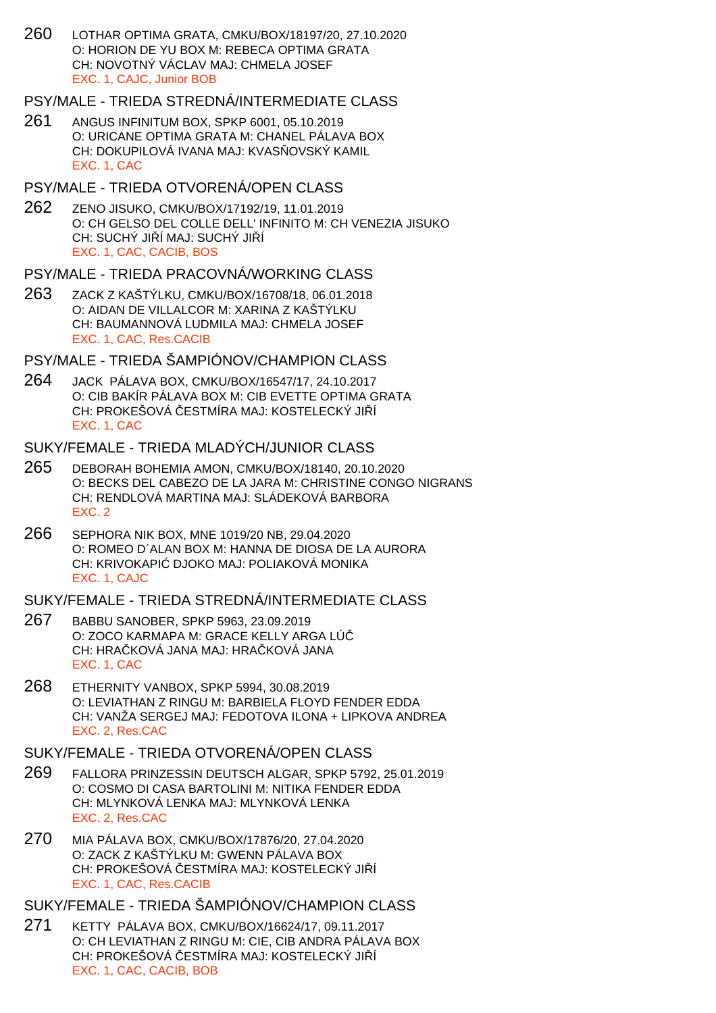260 LOTHAR OPTIMA GRATA, CMKU/BOX/18197/20, 27.10.2020 O: HORION DE YU BOX M: REBECA OPTIMA GRATA CH: NOVOTNÝ VÁCLAV MAJ: CHMELA JOSEF EXC. 1, CAJC, Junior BOB

#### PSY/MALE - TRIEDA STREDNÁ/INTERMEDIATE CLASS

261 ANGUS INFINITUM BOX, SPKP 6001, 05.10.2019 O: URICANE OPTIMA GRATA M: CHANEL PÁLAVA BOX CH: DOKUPILOVÁ IVANA MAJ: KVAS OVSKÝ KAMIL EXC. 1, CAC

#### PSY/MALE - TRIEDA OTVORENÁ/OPEN CLASS

262 ZENO JISUKO, CMKU/BOX/17192/19, 11.01.2019 O: CH GELSO DEL COLLE DELL' INFINITO M: CH VENEZIA JISUKO CH: SUCHÝ JI Í MAJ: SUCHÝ JI Í EXC. 1, CAC, CACIB, BOS

#### PSY/MALE - TRIEDA PRACOVNÁ/WORKING CLASS

263 ZACK Z KAŠTÝLKU, CMKU/BOX/16708/18, 06.01.2018 O: AIDAN DE VILLALCOR M: XARINA Z KAŠTÝLKU CH: BAUMANNOVÁ LUDMILA MAJ: CHMELA JOSEF EXC. 1, CAC, Res.CACIB

### PSY/MALE - TRIEDA ŠAMPIÓNOV/CHAMPION CLASS

264 JACK PÁLAVA BOX, CMKU/BOX/16547/17, 24.10.2017 O: CIB BAKÍR PÁLAVA BOX M: CIB EVETTE OPTIMA GRATA CH: PROKEŠOVÁ ESTMÍRA MAJ: KOSTELECKÝ JI Í EXC. 1, CAC

#### SUKY/FEMALE - TRIEDA MLADÝCH/JUNIOR CLASS

- 265 DEBORAH BOHEMIA AMON, CMKU/BOX/18140, 20.10.2020 O: BECKS DEL CABEZO DE LA JARA M: CHRISTINE CONGO NIGRANS CH: RENDLOVÁ MARTINA MAJ: SLÁDEKOVÁ BARBORA EXC. 2
- 266 SEPHORA NIK BOX, MNE 1019/20 NB, 29.04.2020 O: ROMEO D´ALAN BOX M: HANNA DE DIOSA DE LA AURORA CH: KRIVOKAPI DJOKO MAJ: POLIAKOVÁ MONIKA EXC. 1, CAJC

### SUKY/FEMALE - TRIEDA STREDNÁ/INTERMEDIATE CLASS

- 267 BABBU SANOBER, SPKP 5963, 23.09.2019 O: ZOCO KARMAPA M: GRACE KELLY ARGA LÚ CH: HRA KOVÁ JANA MAJ: HRA KOVÁ JANA EXC. 1, CAC
- 268 ETHERNITY VANBOX, SPKP 5994, 30.08.2019 O: LEVIATHAN Z RINGU M: BARBIELA FLOYD FENDER EDDA CH: VANŽA SERGEJ MAJ: FEDOTOVA ILONA + LIPKOVA ANDREA EXC. 2, Res.CAC

#### SUKY/FEMALE - TRIEDA OTVORENÁ/OPEN CLASS

- 269 FALLORA PRINZESSIN DEUTSCH ALGAR, SPKP 5792, 25.01.2019 O: COSMO DI CASA BARTOLINI M: NITIKA FENDER EDDA CH: MLYNKOVÁ LENKA MAJ: MLYNKOVÁ LENKA EXC. 2, Res.CAC
- 270 MIA PÁLAVA BOX, CMKU/BOX/17876/20, 27.04.2020 O: ZACK Z KAŠTÝLKU M: GWENN PÁLAVA BOX CH: PROKEŠOVÁ ESTMÍRA MAJ: KOSTELECKÝ JI Í EXC. 1, CAC, Res.CACIB

SUKY/FEMALE - TRIEDA ŠAMPIÓNOV/CHAMPION CLASS

271 KETTY PÁLAVA BOX, CMKU/BOX/16624/17, 09.11.2017 O: CH LEVIATHAN Z RINGU M: CIE, CIB ANDRA PÁLAVA BOX CH: PROKEŠOVÁ ESTMÍRA MAJ: KOSTELECKÝ JI Í EXC. 1, CAC, CACIB, BOB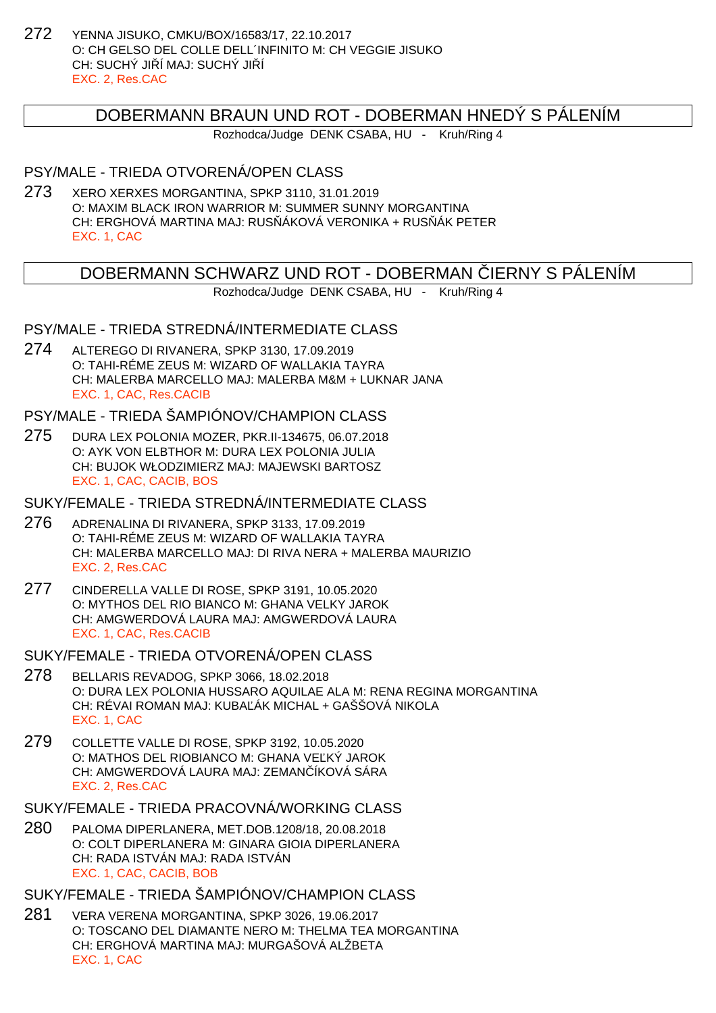272 YENNA JISUKO, CMKU/BOX/16583/17, 22.10.2017 O: CH GELSO DEL COLLE DELL´INFINITO M: CH VEGGIE JISUKO CH: SUCHÝ JI Í MAJ: SUCHÝ JI Í EXC. 2, Res.CAC

# DOBERMANN BRAUN UND ROT - DOBERMAN HNEDÝ S PÁLENÍM

Rozhodca/Judge DENK CSABA, HU - Kruh/Ring 4

### PSY/MALE - TRIEDA OTVORENÁ/OPEN CLASS

273 XERO XERXES MORGANTINA, SPKP 3110, 31.01.2019 O: MAXIM BLACK IRON WARRIOR M: SUMMER SUNNY MORGANTINA CH: ERGHOVÁ MARTINA MAJ: RUS ÁKOVÁ VERONIKA + RUS ÁK PETER EXC. 1, CAC

# DOBERMANN SCHWARZ UND ROT - DOBERMAN IERNY S PÁLENÍM

Rozhodca/Judge DENK CSABA, HU - Kruh/Ring 4

#### PSY/MALE - TRIEDA STREDNÁ/INTERMEDIATE CLASS

274 ALTEREGO DI RIVANERA, SPKP 3130, 17.09.2019 O: TAHI-RÉME ZEUS M: WIZARD OF WALLAKIA TAYRA CH: MALERBA MARCELLO MAJ: MALERBA M&M + LUKNAR JANA EXC. 1, CAC, Res.CACIB

# PSY/MALE - TRIEDA ŠAMPIÓNOV/CHAMPION CLASS

- 275 DURA LEX POLONIA MOZER, PKR.II-134675, 06.07.2018 O: AYK VON ELBTHOR M: DURA LEX POLONIA JULIA CH: BUJOK WŁODZIMIERZ MAJ: MAJEWSKI BARTOSZ EXC. 1, CAC, CACIB, BOS
- SUKY/FEMALE TRIEDA STREDNÁ/INTERMEDIATE CLASS
- 276 ADRENALINA DI RIVANERA, SPKP 3133, 17.09.2019 O: TAHI-RÉME ZEUS M: WIZARD OF WALLAKIA TAYRA CH: MALERBA MARCELLO MAJ: DI RIVA NERA + MALERBA MAURIZIO EXC. 2, Res.CAC
- 277 CINDERELLA VALLE DI ROSE, SPKP 3191, 10.05.2020 O: MYTHOS DEL RIO BIANCO M: GHANA VELKY JAROK CH: AMGWERDOVÁ LAURA MAJ: AMGWERDOVÁ LAURA EXC. 1, CAC, Res.CACIB
- SUKY/FEMALE TRIEDA OTVORENÁ/OPEN CLASS
- 278 BELLARIS REVADOG, SPKP 3066, 18.02.2018 O: DURA LEX POLONIA HUSSARO AQUILAE ALA M: RENA REGINA MORGANTINA CH: RÉVAI ROMAN MAJ: KUBA ÁK MICHAL + GAŠŠOVÁ NIKOLA EXC. 1, CAC
- 279 COLLETTE VALLE DI ROSE, SPKP 3192, 10.05.2020 O: MATHOS DEL RIOBIANCO M: GHANA VE KÝ JAROK CH: AMGWERDOVÁ LAURA MAJ: ZEMAN ÍKOVÁ SÁRA EXC. 2, Res.CAC

SUKY/FEMALE - TRIEDA PRACOVNÁ/WORKING CLASS

280 PALOMA DIPERLANERA, MET.DOB.1208/18, 20.08.2018 O: COLT DIPERLANERA M: GINARA GIOIA DIPERLANERA CH: RADA ISTVÁN MAJ: RADA ISTVÁN EXC. 1, CAC, CACIB, BOB

# SUKY/FEMALE - TRIEDA ŠAMPIÓNOV/CHAMPION CLASS

281 VERA VERENA MORGANTINA, SPKP 3026, 19.06.2017 O: TOSCANO DEL DIAMANTE NERO M: THELMA TEA MORGANTINA CH: ERGHOVÁ MARTINA MAJ: MURGAŠOVÁ ALŽBETA EXC. 1, CAC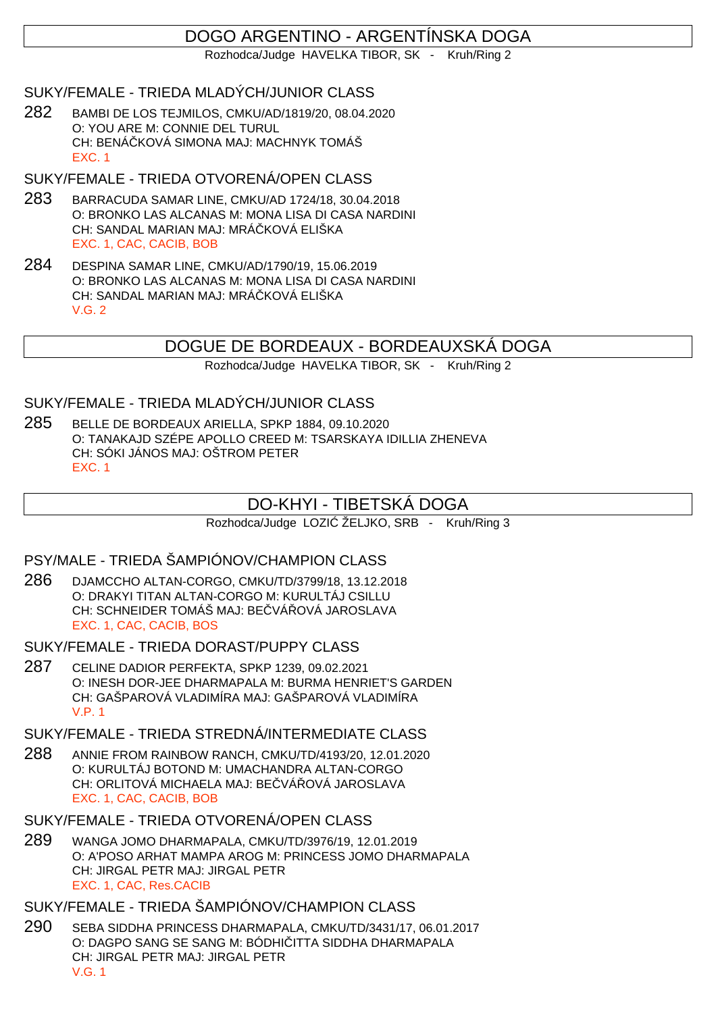# DOGO ARGENTINO - ARGENTÍNSKA DOGA

Rozhodca/Judge HAVELKA TIBOR, SK - Kruh/Ring 2

### SUKY/FEMALE - TRIEDA MLADÝCH/JUNIOR CLASS

282 BAMBI DE LOS TEJMILOS, CMKU/AD/1819/20, 08.04.2020 O: YOU ARE M: CONNIE DEL TURUL CH: BENÁ KOVÁ SIMONA MAJ: MACHNYK TOMÁŠ EXC. 1

### SUKY/FEMALE - TRIEDA OTVORENÁ/OPEN CLASS

- 283 BARRACUDA SAMAR LINE, CMKU/AD 1724/18, 30.04.2018 O: BRONKO LAS ALCANAS M: MONA LISA DI CASA NARDINI CH: SANDAL MARIAN MAJ: MRÁ KOVÁ ELIŠKA EXC. 1, CAC, CACIB, BOB
- 284 DESPINA SAMAR LINE, CMKU/AD/1790/19, 15.06.2019 O: BRONKO LAS ALCANAS M: MONA LISA DI CASA NARDINI CH: SANDAL MARIAN MAJ: MRÁČKOVÁ ELIŠKA V.G. 2

# DOGUE DE BORDEAUX - BORDEAUXSKÁ DOGA

Rozhodca/Judge HAVELKA TIBOR, SK - Kruh/Ring 2

### SUKY/FEMALE - TRIEDA MLADÝCH/JUNIOR CLASS

285 BELLE DE BORDEAUX ARIELLA, SPKP 1884, 09.10.2020 O: TANAKAJD SZÉPE APOLLO CREED M: TSARSKAYA IDILLIA ZHENEVA CH: SÓKI JÁNOS MAJ: OŠTROM PETER EXC. 1

# DO-KHYI - TIBETSKÁ DOGA

Rozhodca/Judge LOZI ŽELJKO, SRB - Kruh/Ring 3

# PSY/MALE - TRIEDA ŠAMPIÓNOV/CHAMPION CLASS

286 DJAMCCHO ALTAN-CORGO, CMKU/TD/3799/18, 13.12.2018 O: DRAKYI TITAN ALTAN-CORGO M: KURULTÁJ CSILLU CH: SCHNEIDER TOMÁŠ MAJ: BE VÁ OVÁ JAROSLAVA EXC. 1, CAC, CACIB, BOS

#### SUKY/FEMALE - TRIEDA DORAST/PUPPY CLASS

287 CELINE DADIOR PERFEKTA, SPKP 1239, 09.02.2021 O: INESH DOR-JEE DHARMAPALA M: BURMA HENRIET'S GARDEN CH: GAŠPAROVÁ VLADIMÍRA MAJ: GAŠPAROVÁ VLADIMÍRA V.P. 1

# SUKY/FEMALE - TRIEDA STREDNÁ/INTERMEDIATE CLASS

288 ANNIE FROM RAINBOW RANCH, CMKU/TD/4193/20, 12.01.2020 O: KURULTÁJ BOTOND M: UMACHANDRA ALTAN-CORGO CH: ORLITOVÁ MICHAELA MAJ: BE VÁ OVÁ JAROSLAVA EXC. 1, CAC, CACIB, BOB

#### SUKY/FEMALE - TRIEDA OTVORENÁ/OPEN CLASS

289 WANGA JOMO DHARMAPALA, CMKU/TD/3976/19, 12.01.2019 O: A'POSO ARHAT MAMPA AROG M: PRINCESS JOMO DHARMAPALA CH: JIRGAL PETR MAJ: JIRGAL PETR EXC. 1, CAC, Res.CACIB

#### SUKY/FEMALE - TRIEDA ŠAMPIÓNOV/CHAMPION CLASS

290 SEBA SIDDHA PRINCESS DHARMAPALA, CMKU/TD/3431/17, 06.01.2017 O: DAGPO SANG SE SANG M: BÓDHI ITTA SIDDHA DHARMAPALA CH: JIRGAL PETR MAJ: JIRGAL PETR V.G. 1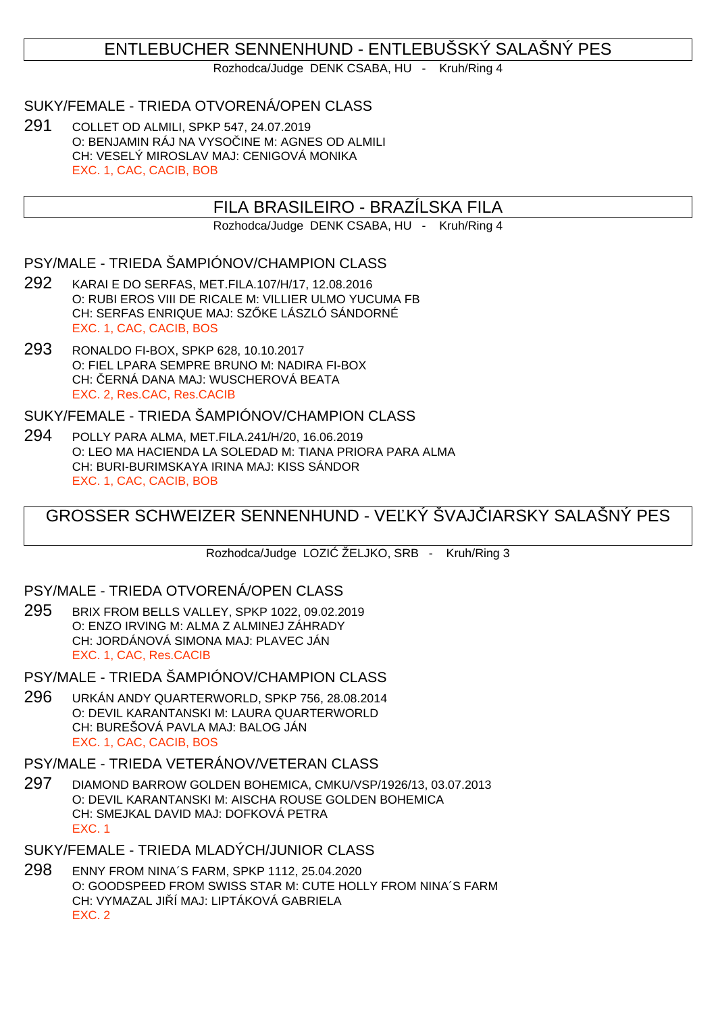# ENTLEBUCHER SENNENHUND - ENTLEBUŠSKÝ SALAŠNÝ PES

Rozhodca/Judge DENK CSABA, HU - Kruh/Ring 4

### SUKY/FEMALE - TRIEDA OTVORENÁ/OPEN CLASS

291 COLLET OD ALMILI, SPKP 547, 24.07.2019 O: BENJAMIN RÁJ NA VYSO INE M: AGNES OD ALMILI CH: VESELÝ MIROSLAV MAJ: CENIGOVÁ MONIKA EXC. 1, CAC, CACIB, BOB

## FILA BRASILEIRO - BRAZÍLSKA FILA

Rozhodca/Judge DENK CSABA, HU - Kruh/Ring 4

# PSY/MALE - TRIEDA ŠAMPIÓNOV/CHAMPION CLASS

- 292 KARAI E DO SERFAS, MET.FILA.107/H/17, 12.08.2016 O: RUBI EROS VIII DE RICALE M: VILLIER ULMO YUCUMA FB CH: SERFAS ENRIQUE MAJ: SZ KE LÁSZLÓ SÁNDORNÉ EXC. 1, CAC, CACIB, BOS
- 293 RONALDO FI-BOX, SPKP 628, 10.10.2017 O: FIEL LPARA SEMPRE BRUNO M: NADIRA FI-BOX CH: ERNÁ DANA MAJ: WUSCHEROVÁ BEATA EXC. 2, Res.CAC, Res.CACIB

SUKY/FEMALE - TRIEDA ŠAMPIÓNOV/CHAMPION CLASS

294 POLLY PARA ALMA, MET.FILA.241/H/20, 16.06.2019 O: LEO MA HACIENDA LA SOLEDAD M: TIANA PRIORA PARA ALMA CH: BURI-BURIMSKAYA IRINA MAJ: KISS SÁNDOR EXC. 1, CAC, CACIB, BOB

# GROSSER SCHWEIZER SENNENHUND - VE KÝ ŠVAJ IARSKY SALAŠNÝ PES

Rozhodca/Judge LOZI ŽELJKO, SRB - Kruh/Ring 3

#### PSY/MALE - TRIEDA OTVORENÁ/OPEN CLASS

295 BRIX FROM BELLS VALLEY, SPKP 1022, 09.02.2019 O: ENZO IRVING M: ALMA Z ALMINEJ ZÁHRADY CH: JORDÁNOVÁ SIMONA MAJ: PLAVEC JÁN EXC. 1, CAC, Res.CACIB

PSY/MALE - TRIEDA ŠAMPIÓNOV/CHAMPION CLASS

296 URKÁN ANDY QUARTERWORLD, SPKP 756, 28.08.2014 O: DEVIL KARANTANSKI M: LAURA QUARTERWORLD CH: BUREŠOVÁ PAVLA MAJ: BALOG JÁN EXC. 1, CAC, CACIB, BOS

### PSY/MALE - TRIEDA VETERÁNOV/VETERAN CLASS

297 DIAMOND BARROW GOLDEN BOHEMICA, CMKU/VSP/1926/13, 03.07.2013 O: DEVIL KARANTANSKI M: AISCHA ROUSE GOLDEN BOHEMICA CH: SMEJKAL DAVID MAJ: DOFKOVÁ PETRA EXC. 1

SUKY/FEMALE - TRIEDA MLADÝCH/JUNIOR CLASS

298 ENNY FROM NINA´S FARM, SPKP 1112, 25.04.2020 O: GOODSPEED FROM SWISS STAR M: CUTE HOLLY FROM NINA´S FARM CH: VYMAZAL JILÍ MAJ: LIPTÁKOVÁ GABRIELA EXC. 2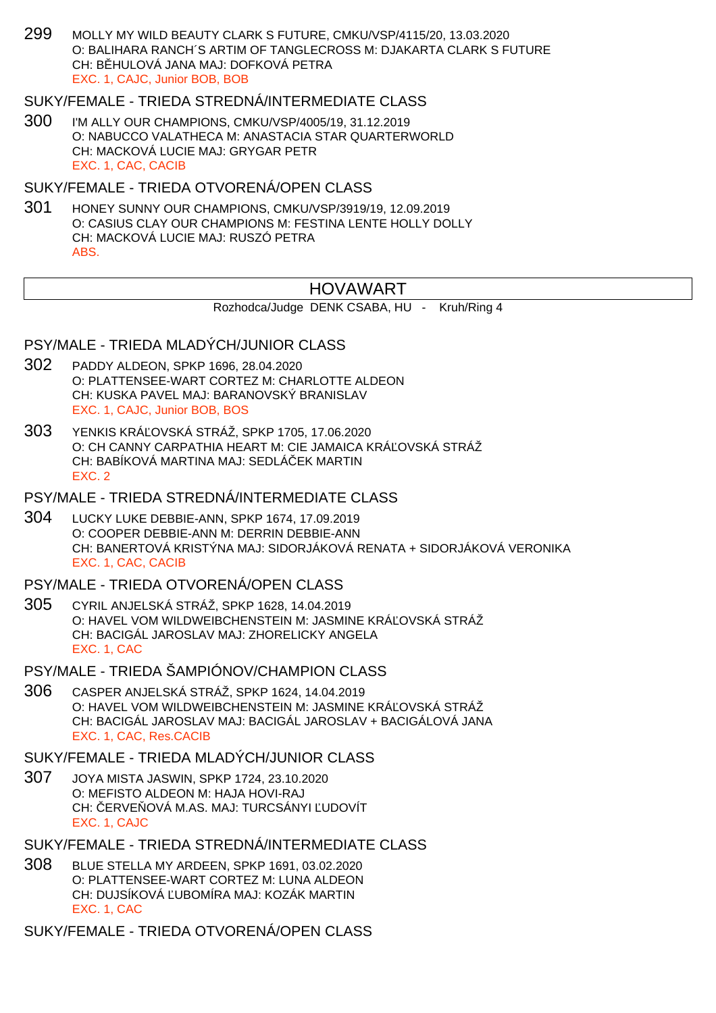299 MOLLY MY WILD BEAUTY CLARK S FUTURE, CMKU/VSP/4115/20, 13.03.2020 O: BALIHARA RANCH´S ARTIM OF TANGLECROSS M: DJAKARTA CLARK S FUTURE CH: B. HULOVÁ JANA MAJ: DOFKOVÁ PETRA EXC. 1, CAJC, Junior BOB, BOB

#### SUKY/FEMALE - TRIEDA STREDNÁ/INTERMEDIATE CLASS

300 I'M ALLY OUR CHAMPIONS, CMKU/VSP/4005/19, 31.12.2019 O: NABUCCO VALATHECA M: ANASTACIA STAR QUARTERWORLD CH: MACKOVÁ LUCIE MAJ: GRYGAR PETR EXC. 1, CAC, CACIB

SUKY/FEMALE - TRIEDA OTVORENÁ/OPEN CLASS

301 HONEY SUNNY OUR CHAMPIONS, CMKU/VSP/3919/19, 12.09.2019 O: CASIUS CLAY OUR CHAMPIONS M: FESTINA LENTE HOLLY DOLLY CH: MACKOVÁ LUCIE MAJ: RUSZÓ PETRA ABS.

# HOVAWART

Rozhodca/Judge DENK CSABA, HU - Kruh/Ring 4

#### PSY/MALE - TRIEDA MLADÝCH/JUNIOR CLASS

- 302 PADDY ALDEON, SPKP 1696, 28.04.2020 O: PLATTENSEE-WART CORTEZ M: CHARLOTTE ALDEON CH: KUSKA PAVEL MAJ: BARANOVSKÝ BRANISLAV EXC. 1, CAJC, Junior BOB, BOS
- 303 YENKIS KRÁĽOVSKÁ STRÁŽ, SPKP 1705, 17.06.2020 O: CH CANNY CARPATHIA HEART M: CIE JAMAICA KRÁ OVSKÁ STRÁŽ CH: BABÍKOVÁ MARTINA MAJ: SEDLÁČEK MARTIN EXC. 2

#### PSY/MALE - TRIEDA STREDNÁ/INTERMEDIATE CLASS

304 LUCKY LUKE DEBBIE-ANN, SPKP 1674, 17.09.2019 O: COOPER DEBBIE-ANN M: DERRIN DEBBIE-ANN CH: BANERTOVÁ KRISTÝNA MAJ: SIDORJÁKOVÁ RENATA + SIDORJÁKOVÁ VERONIKA EXC. 1, CAC, CACIB

#### PSY/MALE - TRIEDA OTVORENÁ/OPEN CLASS

- 305 CYRIL ANJELSKÁ STRÁŽ, SPKP 1628, 14.04.2019 O: HAVEL VOM WILDWEIBCHENSTEIN M: JASMINE KRÁ OVSKÁ STRÁŽ CH: BACIGÁL JAROSLAV MAJ: ZHORELICKY ANGELA EXC. 1, CAC
- PSY/MALE TRIEDA ŠAMPIÓNOV/CHAMPION CLASS
- 306 CASPER ANJELSKÁ STRÁŽ, SPKP 1624, 14.04.2019 O: HAVEL VOM WILDWEIBCHENSTEIN M: JASMINE KRÁ OVSKÁ STRÁŽ CH: BACIGÁL JAROSLAV MAJ: BACIGÁL JAROSLAV + BACIGÁLOVÁ JANA EXC. 1, CAC, Res.CACIB

SUKY/FEMALE - TRIEDA MLADÝCH/JUNIOR CLASS

- 307 JOYA MISTA JASWIN, SPKP 1724, 23.10.2020 O: MEFISTO ALDEON M: HAJA HOVI-RAJ CH: ERVE OVÁ M.AS. MAJ: TURCSÁNYI UDOVÍT EXC. 1, CAJC
- SUKY/FEMALE TRIEDA STREDNÁ/INTERMEDIATE CLASS
- 308 BLUE STELLA MY ARDEEN, SPKP 1691, 03.02.2020 O: PLATTENSEE-WART CORTEZ M: LUNA ALDEON CH: DUJSÍKOVÁ ĽUBOMÍRA MAJ: KOZÁK MARTIN EXC. 1, CAC

SUKY/FEMALE - TRIEDA OTVORENÁ/OPEN CLASS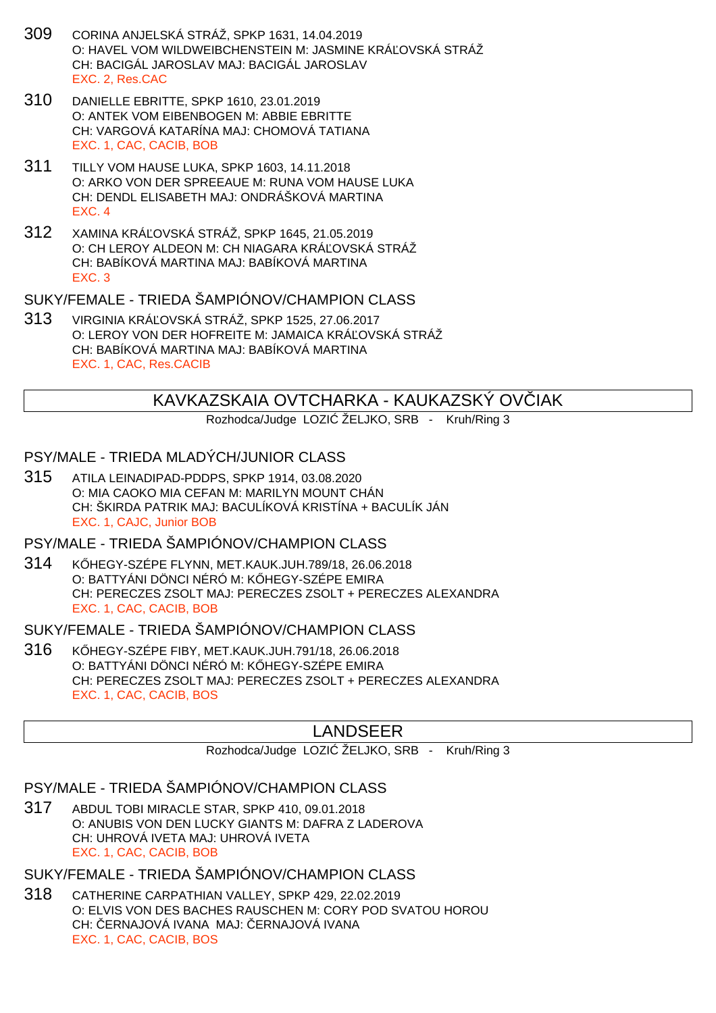- 309 CORINA ANJELSKÁ STRÁŽ, SPKP 1631, 14.04.2019 O: HAVEL VOM WILDWEIBCHENSTEIN M: JASMINE KRÁ OVSKÁ STRÁŽ CH: BACIGÁL JAROSLAV MAJ: BACIGÁL JAROSLAV EXC. 2, Res.CAC
- 310 DANIELLE EBRITTE, SPKP 1610, 23.01.2019 O: ANTEK VOM EIBENBOGEN M: ABBIE EBRITTE CH: VARGOVÁ KATARÍNA MAJ: CHOMOVÁ TATIANA EXC. 1, CAC, CACIB, BOB
- 311 TILLY VOM HAUSE LUKA, SPKP 1603, 14.11.2018 O: ARKO VON DER SPREEAUE M: RUNA VOM HAUSE LUKA CH: DENDL ELISABETH MAJ: ONDRÁŠKOVÁ MARTINA EXC. 4
- 312 XAMINA KRÁ OVSKÁ STRÁŽ, SPKP 1645, 21.05.2019 O: CH LEROY ALDEON M: CH NIAGARA KRÁ OVSKÁ STRÁŽ CH: BABÍKOVÁ MARTINA MAJ: BABÍKOVÁ MARTINA EXC. 3

## SUKY/FEMALE - TRIEDA ŠAMPIÓNOV/CHAMPION CLASS

313 VIRGINIA KRÁĽOVSKÁ STRÁŽ, SPKP 1525, 27.06.2017 O: LEROY VON DER HOFREITE M: JAMAICA KRÁ OVSKÁ STRÁŽ CH: BABÍKOVÁ MARTINA MAJ: BABÍKOVÁ MARTINA EXC. 1, CAC, Res.CACIB

# KAVKAZSKAIA OVTCHARKA - KAUKAZSKÝ OVČIAK

Rozhodca/Judge LOZI ŽELJKO, SRB - Kruh/Ring 3

## PSY/MALE - TRIEDA MLADÝCH/JUNIOR CLASS

315 ATILA LEINADIPAD-PDDPS, SPKP 1914, 03.08.2020 O: MIA CAOKO MIA CEFAN M: MARILYN MOUNT CHÁN CH: ŠKIRDA PATRIK MAJ: BACULÍKOVÁ KRISTÍNA + BACULÍK JÁN EXC. 1, CAJC, Junior BOB

### PSY/MALE - TRIEDA ŠAMPIÓNOV/CHAMPION CLASS

314 K HEGY-SZÉPE FLYNN, MET.KAUK.JUH.789/18, 26.06.2018 O: BATTYÁNI DÖNCI NÉRÓ M: K HEGY-SZÉPE EMIRA CH: PERECZES ZSOLT MAJ: PERECZES ZSOLT + PERECZES ALEXANDRA EXC. 1, CAC, CACIB, BOB

# SUKY/FEMALE - TRIEDA ŠAMPIÓNOV/CHAMPION CLASS

316 K HEGY-SZÉPE FIBY, MET.KAUK.JUH.791/18, 26.06.2018 O: BATTYÁNI DÖNCI NÉRÓ M: K HEGY-SZÉPE EMIRA CH: PERECZES ZSOLT MAJ: PERECZES ZSOLT + PERECZES ALEXANDRA EXC. 1, CAC, CACIB, BOS

# LANDSEER

Rozhodca/Judge LOZI ŽELJKO, SRB - Kruh/Ring 3

# PSY/MALE - TRIEDA ŠAMPIÓNOV/CHAMPION CLASS

317 ABDUL TOBI MIRACLE STAR, SPKP 410, 09.01.2018 O: ANUBIS VON DEN LUCKY GIANTS M: DAFRA Z LADEROVA CH: UHROVÁ IVETA MAJ: UHROVÁ IVETA EXC. 1, CAC, CACIB, BOB

# SUKY/FEMALE - TRIEDA ŠAMPIÓNOV/CHAMPION CLASS

318 CATHERINE CARPATHIAN VALLEY, SPKP 429, 22.02.2019 O: ELVIS VON DES BACHES RAUSCHEN M: CORY POD SVATOU HOROU CH: ERNAJOVÁ IVANA MAJ: ERNAJOVÁ IVANA EXC. 1, CAC, CACIB, BOS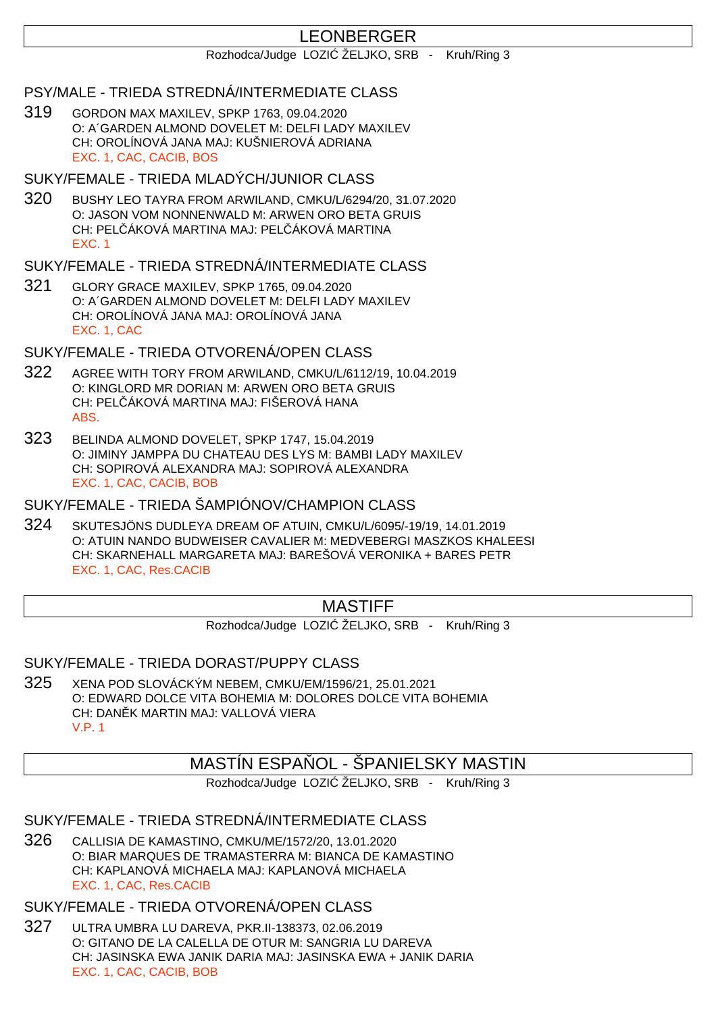# LEONBERGER

Rozhodca/Judge LOZI ŽELJKO, SRB - Kruh/Ring 3

#### PSY/MALE - TRIEDA STREDNÁ/INTERMEDIATE CLASS

319 GORDON MAX MAXILEV, SPKP 1763, 09.04.2020 O: A´GARDEN ALMOND DOVELET M: DELFI LADY MAXILEV CH: OROLÍNOVÁ JANA MAJ: KUŠNIEROVÁ ADRIANA EXC. 1, CAC, CACIB, BOS

### SUKY/FEMALE - TRIEDA MLADÝCH/JUNIOR CLASS

320 BUSHY LEO TAYRA FROM ARWILAND, CMKU/L/6294/20, 31.07.2020 O: JASON VOM NONNENWALD M: ARWEN ORO BETA GRUIS CH: PEL ÁKOVÁ MARTINA MAJ: PEL ÁKOVÁ MARTINA EXC. 1

### SUKY/FEMALE - TRIEDA STREDNÁ/INTERMEDIATE CLASS

321 GLORY GRACE MAXILEV, SPKP 1765, 09.04.2020 O: A´GARDEN ALMOND DOVELET M: DELFI LADY MAXILEV CH: OROLÍNOVÁ JANA MAJ: OROLÍNOVÁ JANA EXC. 1, CAC

#### SUKY/FEMALE - TRIEDA OTVORENÁ/OPEN CLASS

- 322 AGREE WITH TORY FROM ARWILAND, CMKU/L/6112/19, 10.04.2019 O: KINGLORD MR DORIAN M: ARWEN ORO BETA GRUIS CH: PELČÁKOVÁ MARTINA MAJ: FIŠEROVÁ HANA ABS.
- 323 BELINDA ALMOND DOVELET, SPKP 1747, 15.04.2019 O: JIMINY JAMPPA DU CHATEAU DES LYS M: BAMBI LADY MAXILEV CH: SOPIROVÁ ALEXANDRA MAJ: SOPIROVÁ ALEXANDRA EXC. 1, CAC, CACIB, BOB

SUKY/FEMALE - TRIEDA ŠAMPIÓNOV/CHAMPION CLASS

324 SKUTESJÖNS DUDLEYA DREAM OF ATUIN, CMKU/L/6095/-19/19, 14.01.2019 O: ATUIN NANDO BUDWEISER CAVALIER M: MEDVEBERGI MASZKOS KHALEESI CH: SKARNEHALL MARGARETA MAJ: BAREŠOVÁ VERONIKA + BARES PETR EXC. 1, CAC, Res.CACIB

# MASTIFF

Rozhodca/Judge LOZI ŽELJKO, SRB - Kruh/Ring 3

#### SUKY/FEMALE - TRIEDA DORAST/PUPPY CLASS

325 XENA POD SLOVÁCKÝM NEBEM, CMKU/EM/1596/21, 25.01.2021 O: EDWARD DOLCE VITA BOHEMIA M: DOLORES DOLCE VITA BOHEMIA CH: DAN K MARTIN MAJ: VALLOVÁ VIERA V.P. 1

# MASTÍN ESPA OL - ŠPANIELSKY MASTIN

Rozhodca/Judge LOZI ŽELJKO, SRB - Kruh/Ring 3

#### SUKY/FEMALE - TRIEDA STREDNÁ/INTERMEDIATE CLASS

326 CALLISIA DE KAMASTINO, CMKU/ME/1572/20, 13.01.2020 O: BIAR MARQUES DE TRAMASTERRA M: BIANCA DE KAMASTINO CH: KAPLANOVÁ MICHAELA MAJ: KAPLANOVÁ MICHAELA EXC. 1, CAC, Res.CACIB

#### SUKY/FEMALE - TRIEDA OTVORENÁ/OPEN CLASS

327 ULTRA UMBRA LU DAREVA, PKR.II-138373, 02.06.2019 O: GITANO DE LA CALELLA DE OTUR M: SANGRIA LU DAREVA CH: JASINSKA EWA JANIK DARIA MAJ: JASINSKA EWA + JANIK DARIA EXC. 1, CAC, CACIB, BOB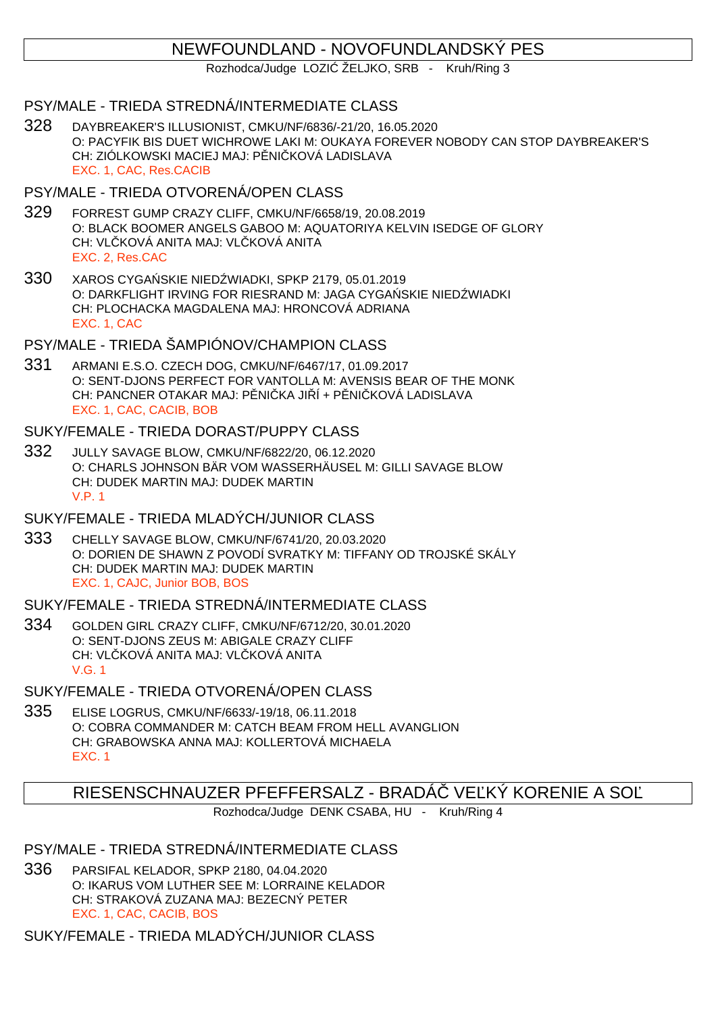# NEWFOUNDLAND - NOVOFUNDLANDSKÝ PES

Rozhodca/Judge LOZI ŽELJKO, SRB - Kruh/Ring 3

#### PSY/MALE - TRIEDA STREDNÁ/INTERMEDIATE CLASS

328 DAYBREAKER'S ILLUSIONIST, CMKU/NF/6836/-21/20, 16.05.2020 O: PACYFIK BIS DUET WICHROWE LAKI M: OUKAYA FOREVER NOBODY CAN STOP DAYBREAKER'S CH: ZIÓLKOWSKI MACIEJ MAJ: P NI KOVÁ LADISLAVA EXC. 1, CAC, Res.CACIB

### PSY/MALE - TRIEDA OTVORENÁ/OPEN CLASS

- 329 FORREST GUMP CRAZY CLIFF, CMKU/NF/6658/19, 20.08.2019 O: BLACK BOOMER ANGELS GABOO M: AQUATORIYA KELVIN ISEDGE OF GLORY CH: VLČKOVÁ ANITA MAJ: VLČKOVÁ ANITA EXC. 2, Res.CAC
- 330 XAROS CYGA SKIE NIED WIADKI, SPKP 2179, 05.01.2019 O: DARKFLIGHT IRVING FOR RIESRAND M: JAGA CYGA SKIE NIED WIADKI CH: PLOCHACKA MAGDALENA MAJ: HRONCOVÁ ADRIANA EXC. 1, CAC

# PSY/MALE - TRIEDA ŠAMPIÓNOV/CHAMPION CLASS

331 ARMANI E.S.O. CZECH DOG, CMKU/NF/6467/17, 01.09.2017 O: SENT-DJONS PERFECT FOR VANTOLLA M: AVENSIS BEAR OF THE MONK CH: PANCNER OTAKAR MAJ: PĚNIČKA JIŤ + PĚNIČKOVÁ LADISLAVA EXC. 1, CAC, CACIB, BOB

## SUKY/FEMALE - TRIEDA DORAST/PUPPY CLASS

332 JULLY SAVAGE BLOW, CMKU/NF/6822/20, 06.12.2020 O: CHARLS JOHNSON BÄR VOM WASSERHÄUSEL M: GILLI SAVAGE BLOW CH: DUDEK MARTIN MAJ: DUDEK MARTIN V.P. 1

### SUKY/FEMALE - TRIEDA MLADÝCH/JUNIOR CLASS

333 CHELLY SAVAGE BLOW, CMKU/NF/6741/20, 20.03.2020 O: DORIEN DE SHAWN Z POVODÍ SVRATKY M: TIFFANY OD TROJSKÉ SKÁLY CH: DUDEK MARTIN MAJ: DUDEK MARTIN EXC. 1, CAJC, Junior BOB, BOS

### SUKY/FEMALE - TRIEDA STREDNÁ/INTERMEDIATE CLASS

334 GOLDEN GIRL CRAZY CLIFF, CMKU/NF/6712/20, 30.01.2020 O: SENT-DJONS ZEUS M: ABIGALE CRAZY CLIFF CH: VLČKOVÁ ANITA MAJ: VLČKOVÁ ANITA V.G. 1

## SUKY/FEMALE - TRIEDA OTVORENÁ/OPEN CLASS

335 ELISE LOGRUS, CMKU/NF/6633/-19/18, 06.11.2018 O: COBRA COMMANDER M: CATCH BEAM FROM HELL AVANGLION CH: GRABOWSKA ANNA MAJ: KOLLERTOVÁ MICHAELA EXC. 1

# RIESENSCHNAUZER PFEFFERSALZ - BRADÁ VE KÝ KORENIE A SO

Rozhodca/Judge DENK CSABA, HU - Kruh/Ring 4

# PSY/MALE - TRIEDA STREDNÁ/INTERMEDIATE CLASS

336 PARSIFAL KELADOR, SPKP 2180, 04.04.2020 O: IKARUS VOM LUTHER SEE M: LORRAINE KELADOR CH: STRAKOVÁ ZUZANA MAJ: BEZECNÝ PETER EXC. 1, CAC, CACIB, BOS

#### SUKY/FEMALE - TRIEDA MLADÝCH/JUNIOR CLASS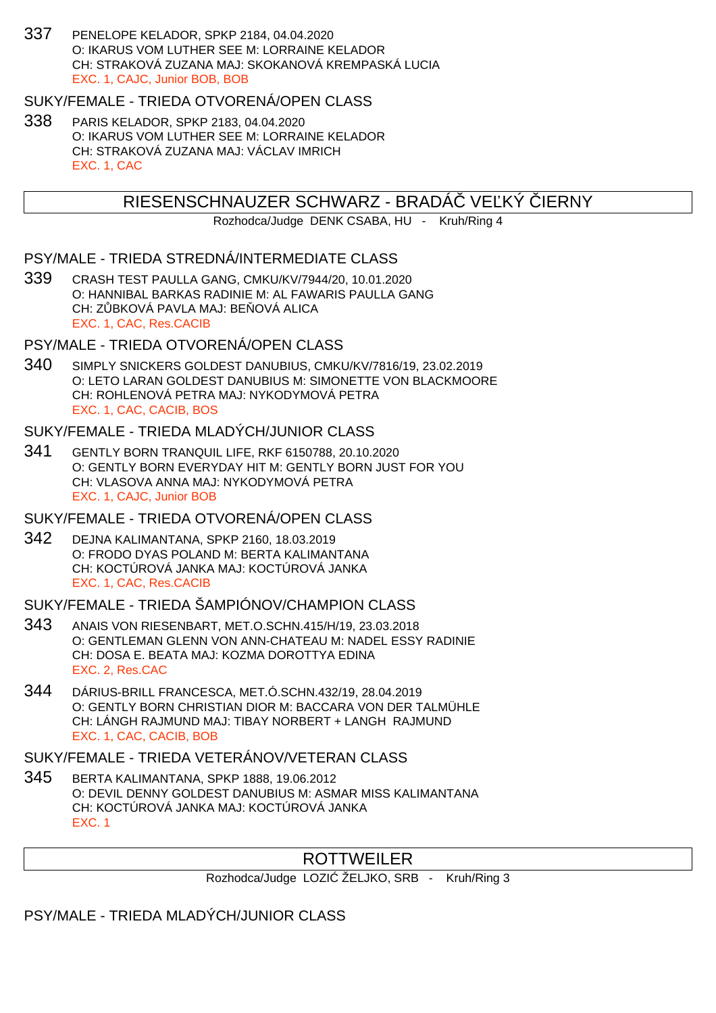337 PENELOPE KELADOR, SPKP 2184, 04.04.2020 O: IKARUS VOM LUTHER SEE M: LORRAINE KELADOR CH: STRAKOVÁ ZUZANA MAJ: SKOKANOVÁ KREMPASKÁ LUCIA EXC. 1, CAJC, Junior BOB, BOB

#### SUKY/FEMALE - TRIEDA OTVORENÁ/OPEN CLASS

338 PARIS KELADOR, SPKP 2183, 04.04.2020 O: IKARUS VOM LUTHER SEE M: LORRAINE KELADOR CH: STRAKOVÁ ZUZANA MAJ: VÁCLAV IMRICH EXC. 1, CAC

# RIESENSCHNAUZER SCHWARZ - BRADÁ VE KÝ JERNY

Rozhodca/Judge DENK CSABA, HU - Kruh/Ring 4

#### PSY/MALE - TRIEDA STREDNÁ/INTERMEDIATE CLASS

339 CRASH TEST PAULLA GANG, CMKU/KV/7944/20, 10.01.2020 O: HANNIBAL BARKAS RADINIE M: AL FAWARIS PAULLA GANG CH: Z BKOVÁ PAVLA MAJ: BE OVÁ ALICA EXC. 1, CAC, Res.CACIB

#### PSY/MALE - TRIEDA OTVORENÁ/OPEN CLASS

340 SIMPLY SNICKERS GOLDEST DANUBIUS, CMKU/KV/7816/19, 23.02.2019 O: LETO LARAN GOLDEST DANUBIUS M: SIMONETTE VON BLACKMOORE CH: ROHLENOVÁ PETRA MAJ: NYKODYMOVÁ PETRA EXC. 1, CAC, CACIB, BOS

### SUKY/FEMALE - TRIEDA MLADÝCH/JUNIOR CLASS

341 GENTLY BORN TRANQUIL LIFE, RKF 6150788, 20.10.2020 O: GENTLY BORN EVERYDAY HIT M: GENTLY BORN JUST FOR YOU CH: VLASOVA ANNA MAJ: NYKODYMOVÁ PETRA EXC. 1, CAJC, Junior BOB

#### SUKY/FEMALE - TRIEDA OTVORENÁ/OPEN CLASS

342 DEJNA KALIMANTANA, SPKP 2160, 18.03.2019 O: FRODO DYAS POLAND M: BERTA KALIMANTANA CH: KOCTÚROVÁ JANKA MAJ: KOCTÚROVÁ JANKA EXC. 1, CAC, Res.CACIB

# SUKY/FEMALE - TRIEDA ŠAMPIÓNOV/CHAMPION CLASS

- 343 ANAIS VON RIESENBART, MET.O.SCHN.415/H/19, 23.03.2018 O: GENTLEMAN GLENN VON ANN-CHATEAU M: NADEL ESSY RADINIE CH: DOSA E. BEATA MAJ: KOZMA DOROTTYA EDINA EXC. 2, Res.CAC
- 344 DÁRIUS-BRILL FRANCESCA, MET.Ó.SCHN.432/19, 28.04.2019 O: GENTLY BORN CHRISTIAN DIOR M: BACCARA VON DER TALMÜHLE CH: LÁNGH RAJMUND MAJ: TIBAY NORBERT + LANGH RAJMUND EXC. 1, CAC, CACIB, BOB

#### SUKY/FEMALE - TRIEDA VETERÁNOV/VETERAN CLASS

345 BERTA KALIMANTANA, SPKP 1888, 19.06.2012 O: DEVIL DENNY GOLDEST DANUBIUS M: ASMAR MISS KALIMANTANA CH: KOCTÚROVÁ JANKA MAJ: KOCTÚROVÁ JANKA EXC. 1

# ROTTWEILER

Rozhodca/Judge LOZI ŽELJKO, SRB - Kruh/Ring 3

PSY/MALE - TRIEDA MLADÝCH/JUNIOR CLASS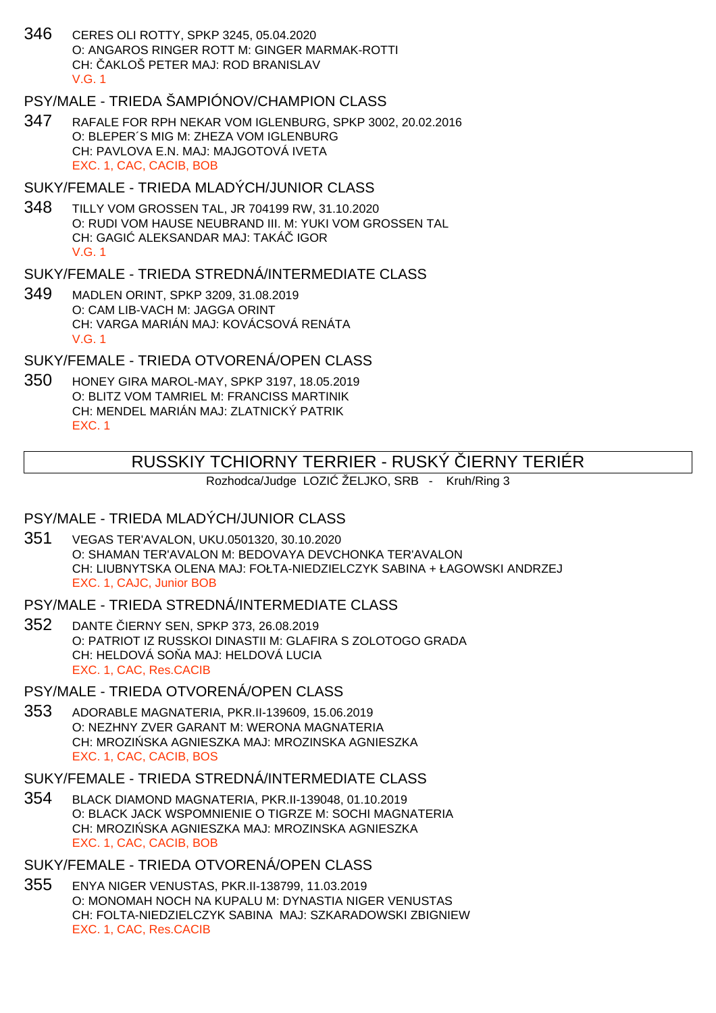346 CERES OLI ROTTY, SPKP 3245, 05.04.2020 O: ANGAROS RINGER ROTT M: GINGER MARMAK-ROTTI CH: AKLOŠ PETER MAJ: ROD BRANISLAV V.G. 1

# PSY/MALE - TRIEDA ŠAMPIÓNOV/CHAMPION CLASS

347 RAFALE FOR RPH NEKAR VOM IGLENBURG, SPKP 3002, 20.02.2016 O: BLEPER´S MIG M: ZHEZA VOM IGLENBURG CH: PAVLOVA E.N. MAJ: MAJGOTOVÁ IVETA EXC. 1, CAC, CACIB, BOB

#### SUKY/FEMALE - TRIEDA MLADÝCH/JUNIOR CLASS

348 TILLY VOM GROSSEN TAL, JR 704199 RW, 31.10.2020 O: RUDI VOM HAUSE NEUBRAND III. M: YUKI VOM GROSSEN TAL CH: GAGI ALEKSANDAR MAJ: TAKÁ IGOR V.G. 1

#### SUKY/FEMALE - TRIEDA STREDNÁ/INTERMEDIATE CLASS

349 MADLEN ORINT, SPKP 3209, 31.08.2019 O: CAM LIB-VACH M: JAGGA ORINT CH: VARGA MARIÁN MAJ: KOVÁCSOVÁ RENÁTA V.G. 1

SUKY/FEMALE - TRIEDA OTVORENÁ/OPEN CLASS

350 HONEY GIRA MAROL-MAY, SPKP 3197, 18.05.2019 O: BLITZ VOM TAMRIEL M: FRANCISS MARTINIK CH: MENDEL MARIÁN MAJ: ZLATNICKÝ PATRIK EXC. 1

# RUSSKIY TCHIORNY TERRIER - RUSKÝ ČIERNY TERIÉR

Rozhodca/Judge LOZI ŽELJKO, SRB - Kruh/Ring 3

#### PSY/MALE - TRIEDA MLADÝCH/JUNIOR CLASS

351 VEGAS TER'AVALON, UKU.0501320, 30.10.2020 O: SHAMAN TER'AVALON M: BEDOVAYA DEVCHONKA TER'AVALON CH: LIUBNYTSKA OLENA MAJ: FOŁTA-NIEDZIELCZYK SABINA + ŁAGOWSKI ANDRZEJ EXC. 1, CAJC, Junior BOB

#### PSY/MALE - TRIEDA STREDNÁ/INTERMEDIATE CLASS

352 DANTE JERNY SEN, SPKP 373, 26.08.2019 O: PATRIOT IZ RUSSKOI DINASTII M: GLAFIRA S ZOLOTOGO GRADA CH: HELDOVÁ SO A MAJ: HELDOVÁ LUCIA EXC. 1, CAC, Res.CACIB

#### PSY/MALE - TRIEDA OTVORENÁ/OPEN CLASS

353 ADORABLE MAGNATERIA, PKR.II-139609, 15.06.2019 O: NEZHNY ZVER GARANT M: WERONA MAGNATERIA CH: MROZI SKA AGNIESZKA MAJ: MROZINSKA AGNIESZKA EXC. 1, CAC, CACIB, BOS

#### SUKY/FEMALE - TRIEDA STREDNÁ/INTERMEDIATE CLASS

354 BLACK DIAMOND MAGNATERIA, PKR.II-139048, 01.10.2019 O: BLACK JACK WSPOMNIENIE O TIGRZE M: SOCHI MAGNATERIA CH: MROZI SKA AGNIESZKA MAJ: MROZINSKA AGNIESZKA EXC. 1, CAC, CACIB, BOB

#### SUKY/FEMALE - TRIEDA OTVORENÁ/OPEN CLASS

355 ENYA NIGER VENUSTAS, PKR.II-138799, 11.03.2019 O: MONOMAH NOCH NA KUPALU M: DYNASTIA NIGER VENUSTAS CH: FOLTA-NIEDZIELCZYK SABINA MAJ: SZKARADOWSKI ZBIGNIEW EXC. 1, CAC, Res.CACIB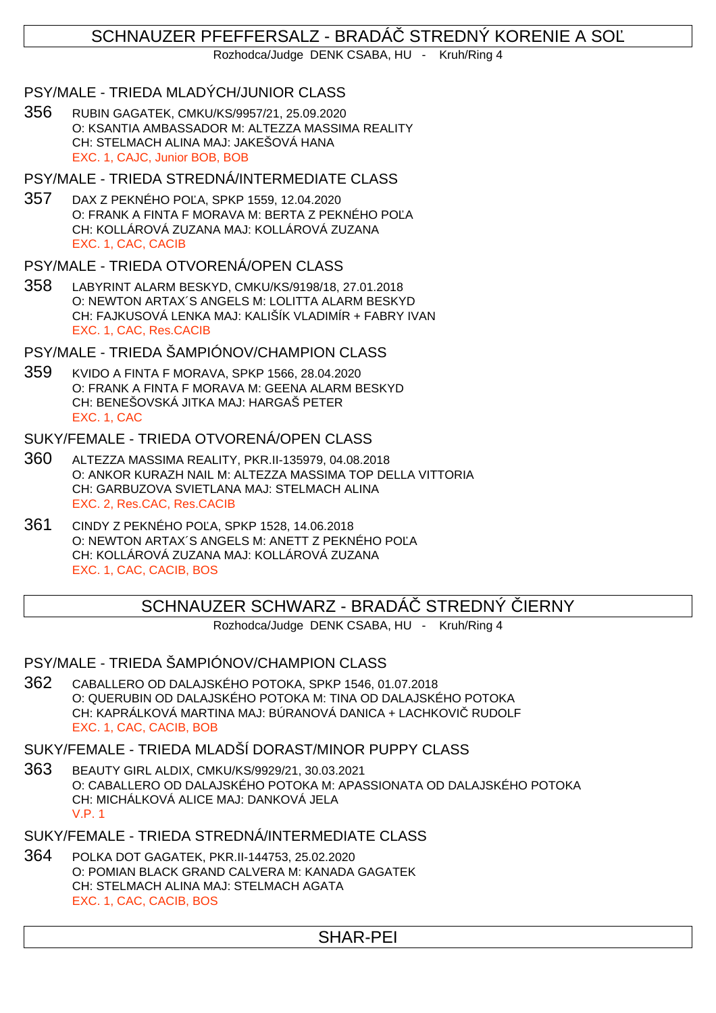# SCHNAUZER PFEFFERSALZ - BRADÁ STREDNÝ KORENIE A SO

Rozhodca/Judge DENK CSABA, HU - Kruh/Ring 4

## PSY/MALE - TRIEDA MLADÝCH/JUNIOR CLASS

356 RUBIN GAGATEK, CMKU/KS/9957/21, 25.09.2020 O: KSANTIA AMBASSADOR M: ALTEZZA MASSIMA REALITY CH: STELMACH ALINA MAJ: JAKEŠOVÁ HANA EXC. 1, CAJC, Junior BOB, BOB

#### PSY/MALE - TRIEDA STREDNÁ/INTERMEDIATE CLASS

357 DAX Z PEKNÉHO POĽA, SPKP 1559, 12.04.2020 O: FRANK A FINTA F MORAVA M: BERTA Z PEKNÉHO PO A CH: KOLLÁROVÁ ZUZANA MAJ: KOLLÁROVÁ ZUZANA EXC. 1, CAC, CACIB

## PSY/MALE - TRIEDA OTVORENÁ/OPEN CLASS

358 LABYRINT ALARM BESKYD, CMKU/KS/9198/18, 27.01.2018 O: NEWTON ARTAX´S ANGELS M: LOLITTA ALARM BESKYD CH: FAJKUSOVÁ LENKA MAJ: KALIŠÍK VLADIMÍR + FABRY IVAN EXC. 1, CAC, Res.CACIB

### PSY/MALE - TRIEDA ŠAMPIÓNOV/CHAMPION CLASS

359 KVIDO A FINTA F MORAVA, SPKP 1566, 28.04.2020 O: FRANK A FINTA F MORAVA M: GEENA ALARM BESKYD CH: BENEŠOVSKÁ JITKA MAJ: HARGAŠ PETER EXC. 1, CAC

## SUKY/FEMALE - TRIEDA OTVORENÁ/OPEN CLASS

- 360 ALTEZZA MASSIMA REALITY, PKR.II-135979, 04.08.2018 O: ANKOR KURAZH NAIL M: ALTEZZA MASSIMA TOP DELLA VITTORIA CH: GARBUZOVA SVIETLANA MAJ: STELMACH ALINA EXC. 2, Res.CAC, Res.CACIB
- 361 CINDY Z PEKNÉHO PO A, SPKP 1528, 14.06.2018 O: NEWTON ARTAX´S ANGELS M: ANETT Z PEKNÉHO POĽA CH: KOLLÁROVÁ ZUZANA MAJ: KOLLÁROVÁ ZUZANA EXC. 1, CAC, CACIB, BOS

## SCHNAUZER SCHWARZ - BRADA STREDNÝ JERNY

Rozhodca/Judge DENK CSABA, HU - Kruh/Ring 4

## PSY/MALE - TRIEDA ŠAMPIÓNOV/CHAMPION CLASS

362 CABALLERO OD DALAJSKÉHO POTOKA, SPKP 1546, 01.07.2018 O: QUERUBIN OD DALAJSKÉHO POTOKA M: TINA OD DALAJSKÉHO POTOKA CH: KAPRÁLKOVÁ MARTINA MAJ: BÚRANOVÁ DANICA + LACHKOVIČ RUDOLF EXC. 1, CAC, CACIB, BOB

## SUKY/FEMALE - TRIEDA MLADŠÍ DORAST/MINOR PUPPY CLASS

363 BEAUTY GIRL ALDIX, CMKU/KS/9929/21, 30.03.2021 O: CABALLERO OD DALAJSKÉHO POTOKA M: APASSIONATA OD DALAJSKÉHO POTOKA CH: MICHÁLKOVÁ ALICE MAJ: DANKOVÁ JELA V.P. 1

## SUKY/FEMALE - TRIEDA STREDNÁ/INTERMEDIATE CLASS

364 POLKA DOT GAGATEK, PKR.II-144753, 25.02.2020 O: POMIAN BLACK GRAND CALVERA M: KANADA GAGATEK CH: STELMACH ALINA MAJ: STELMACH AGATA EXC. 1, CAC, CACIB, BOS

## SHAR-PEI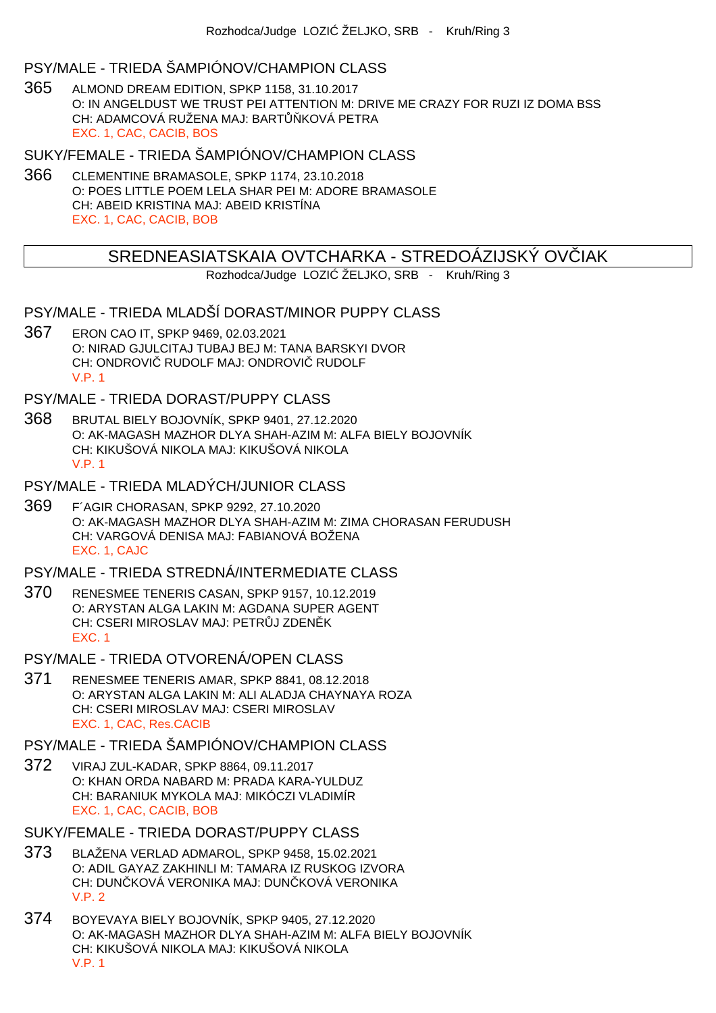### PSY/MALE - TRIEDA ŠAMPIÓNOV/CHAMPION CLASS

365 ALMOND DREAM EDITION, SPKP 1158, 31.10.2017 O: IN ANGELDUST WE TRUST PEI ATTENTION M: DRIVE ME CRAZY FOR RUZI IZ DOMA BSS CH: ADAMCOVÁ RUŽENA MAJ: BART KOVÁ PETRA EXC. 1, CAC, CACIB, BOS

SUKY/FEMALE - TRIEDA ŠAMPIÓNOV/CHAMPION CLASS

366 CLEMENTINE BRAMASOLE, SPKP 1174, 23.10.2018 O: POES LITTLE POEM LELA SHAR PEI M: ADORE BRAMASOLE CH: ABEID KRISTINA MAJ: ABEID KRISTÍNA EXC. 1, CAC, CACIB, BOB

# SREDNEASIATSKAIA OVTCHARKA - STREDOÁZIJSKÝ OVÍJAK

Rozhodca/Judge LOZI ŽELJKO, SRB - Kruh/Ring 3

## PSY/MALE - TRIEDA MLADŠÍ DORAST/MINOR PUPPY CLASS

367 ERON CAO IT, SPKP 9469, 02.03.2021 O: NIRAD GJULCITAJ TUBAJ BEJ M: TANA BARSKYI DVOR CH: ONDROVI RUDOLF MAJ: ONDROVI RUDOLF V.P. 1

PSY/MALE - TRIEDA DORAST/PUPPY CLASS

- 368 BRUTAL BIELY BOJOVNÍK, SPKP 9401, 27.12.2020 O: AK-MAGASH MAZHOR DLYA SHAH-AZIM M: ALFA BIELY BOJOVNÍK CH: KIKUŠOVÁ NIKOLA MAJ: KIKUŠOVÁ NIKOLA V.P. 1
- PSY/MALE TRIEDA MLADÝCH/JUNIOR CLASS
- 369 F´AGIR CHORASAN, SPKP 9292, 27.10.2020 O: AK-MAGASH MAZHOR DLYA SHAH-AZIM M: ZIMA CHORASAN FERUDUSH CH: VARGOVÁ DENISA MAJ: FABIANOVÁ BOŽENA EXC. 1, CAJC

PSY/MALE - TRIEDA STREDNÁ/INTERMEDIATE CLASS

- 370 RENESMEE TENERIS CASAN, SPKP 9157, 10.12.2019 O: ARYSTAN ALGA LAKIN M: AGDANA SUPER AGENT CH: CSERI MIROSLAV MAJ: PETR J ZDEN K EXC. 1
- PSY/MALE TRIEDA OTVORENÁ/OPEN CLASS
- 371 RENESMEE TENERIS AMAR, SPKP 8841, 08.12.2018 O: ARYSTAN ALGA LAKIN M: ALI ALADJA CHAYNAYA ROZA CH: CSERI MIROSLAV MAJ: CSERI MIROSLAV EXC. 1, CAC, Res.CACIB

PSY/MALE - TRIEDA ŠAMPIÓNOV/CHAMPION CLASS

372 VIRAJ ZUL-KADAR, SPKP 8864, 09.11.2017 O: KHAN ORDA NABARD M: PRADA KARA-YULDUZ CH: BARANIUK MYKOLA MAJ: MIKÓCZI VLADIMÍR EXC. 1, CAC, CACIB, BOB

SUKY/FEMALE - TRIEDA DORAST/PUPPY CLASS

- 373 BLAŽENA VERLAD ADMAROL, SPKP 9458, 15.02.2021 O: ADIL GAYAZ ZAKHINLI M: TAMARA IZ RUSKOG IZVORA CH: DUNICKOVÁ VERONIKA MAJ: DUNICKOVÁ VERONIKA V.P. 2
- 374 BOYEVAYA BIELY BOJOVNÍK, SPKP 9405, 27.12.2020 O: AK-MAGASH MAZHOR DLYA SHAH-AZIM M: ALFA BIELY BOJOVNÍK CH: KIKUŠOVÁ NIKOLA MAJ: KIKUŠOVÁ NIKOLA V.P. 1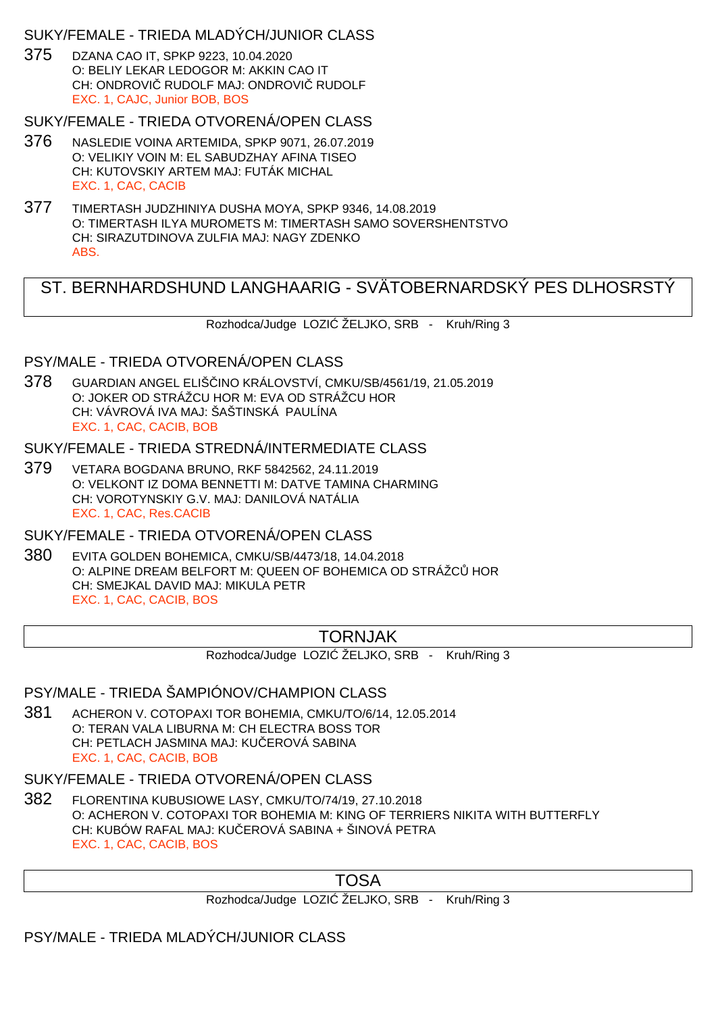## SUKY/FEMALE - TRIEDA MLADÝCH/JUNIOR CLASS

375 DZANA CAO IT, SPKP 9223, 10.04.2020 O: BELIY LEKAR LEDOGOR M: AKKIN CAO IT CH: ONDROVI RUDOLF MAJ: ONDROVI RUDOLF EXC. 1, CAJC, Junior BOB, BOS

SUKY/FEMALE - TRIEDA OTVORENÁ/OPEN CLASS

- 376 NASLEDIE VOINA ARTEMIDA, SPKP 9071, 26.07.2019 O: VELIKIY VOIN M: EL SABUDZHAY AFINA TISEO CH: KUTOVSKIY ARTEM MAJ: FUTÁK MICHAL EXC. 1, CAC, CACIB
- 377 TIMERTASH JUDZHINIYA DUSHA MOYA, SPKP 9346, 14.08.2019 O: TIMERTASH ILYA MUROMETS M: TIMERTASH SAMO SOVERSHENTSTVO CH: SIRAZUTDINOVA ZULFIA MAJ: NAGY ZDENKO ABS.

# ST. BERNHARDSHUND LANGHAARIG - SVÄTOBERNARDSKÝ PES DLHOSRSTÝ

Rozhodca/Judge LOZI ŽELJKO, SRB - Kruh/Ring 3

### PSY/MALE - TRIEDA OTVORENÁ/OPEN CLASS

378 GUARDIAN ANGEL ELIŠČINO KRÁLOVSTVÍ, CMKU/SB/4561/19, 21.05.2019 O: JOKER OD STRÁŽCU HOR M: EVA OD STRÁŽCU HOR CH: VÁVROVÁ IVA MAJ: ŠAŠTINSKÁ PAULÍNA EXC. 1, CAC, CACIB, BOB

### SUKY/FEMALE - TRIEDA STREDNÁ/INTERMEDIATE CLASS

379 VETARA BOGDANA BRUNO, RKF 5842562, 24.11.2019 O: VELKONT IZ DOMA BENNETTI M: DATVE TAMINA CHARMING CH: VOROTYNSKIY G.V. MAJ: DANILOVÁ NATÁLIA EXC. 1, CAC, Res.CACIB

## SUKY/FEMALE - TRIEDA OTVORENÁ/OPEN CLASS

380 EVITA GOLDEN BOHEMICA, CMKU/SB/4473/18, 14.04.2018 O: ALPINE DREAM BELFORT M: QUEEN OF BOHEMICA OD STRÁŽCŮ HOR CH: SMEJKAL DAVID MAJ: MIKULA PETR EXC. 1, CAC, CACIB, BOS

## TORNJAK

Rozhodca/Judge LOZI ŽELJKO, SRB - Kruh/Ring 3

## PSY/MALE - TRIEDA ŠAMPIÓNOV/CHAMPION CLASS

381 ACHERON V. COTOPAXI TOR BOHEMIA, CMKU/TO/6/14, 12.05.2014 O: TERAN VALA LIBURNA M: CH ELECTRA BOSS TOR CH: PETLACH JASMINA MAJ: KU EROVÁ SABINA EXC. 1, CAC, CACIB, BOB

### SUKY/FEMALE - TRIEDA OTVORENÁ/OPEN CLASS

382 FLORENTINA KUBUSIOWE LASY, CMKU/TO/74/19, 27.10.2018 O: ACHERON V. COTOPAXI TOR BOHEMIA M: KING OF TERRIERS NIKITA WITH BUTTERFLY CH: KUBÓW RAFAL MAJ: KU EROVÁ SABINA + ŠINOVÁ PETRA EXC. 1, CAC, CACIB, BOS

## TOSA

Rozhodca/Judge LOZI ŽELJKO, SRB - Kruh/Ring 3

## PSY/MALE - TRIEDA MLADÝCH/JUNIOR CLASS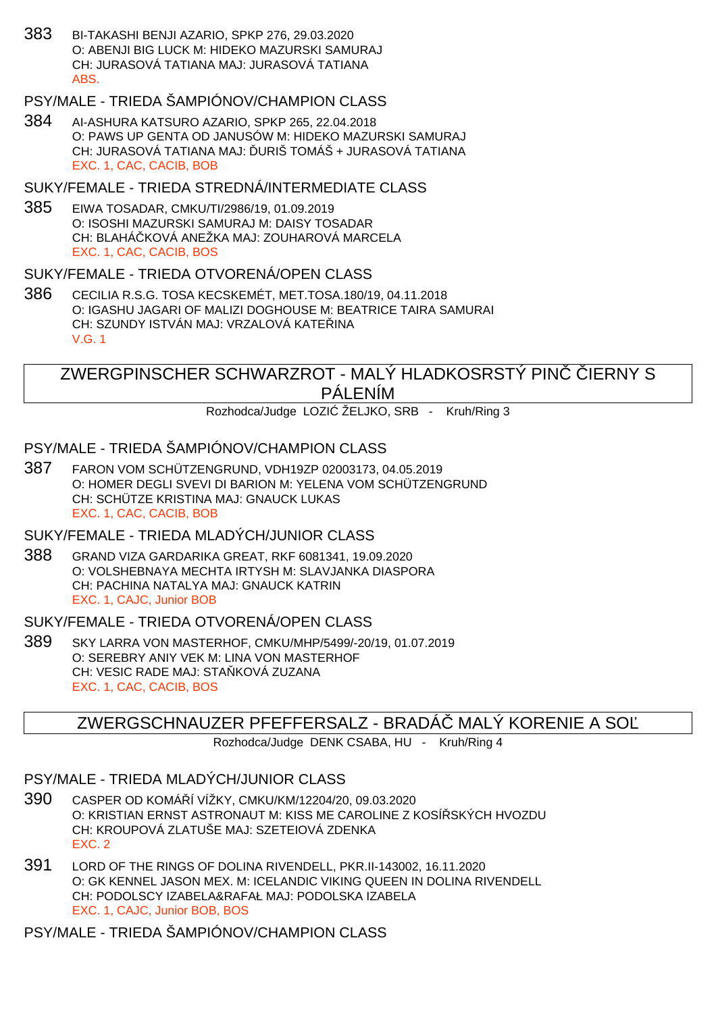383 BI-TAKASHI BENJI AZARIO, SPKP 276, 29.03.2020 O: ABENJI BIG LUCK M: HIDEKO MAZURSKI SAMURAJ CH: JURASOVÁ TATIANA MAJ: JURASOVÁ TATIANA ABS.

## PSY/MALE - TRIEDA ŠAMPIÓNOV/CHAMPION CLASS

384 AI-ASHURA KATSURO AZARIO, SPKP 265, 22.04.2018 O: PAWS UP GENTA OD JANUSÓW M: HIDEKO MAZURSKI SAMURAJ CH: JURASOVÁ TATIANA MAJ: URIŠ TOMÁŠ + JURASOVÁ TATIANA EXC. 1, CAC, CACIB, BOB

#### SUKY/FEMALE - TRIEDA STREDNÁ/INTERMEDIATE CLASS

385 EIWA TOSADAR, CMKU/TI/2986/19, 01.09.2019 O: ISOSHI MAZURSKI SAMURAJ M: DAISY TOSADAR CH: BLAHÁ KOVÁ ANEŽKA MAJ: ZOUHAROVÁ MARCELA EXC. 1, CAC, CACIB, BOS

#### SUKY/FEMALE - TRIEDA OTVORENÁ/OPEN CLASS

386 CECILIA R.S.G. TOSA KECSKEMÉT, MET.TOSA.180/19, 04.11.2018 O: IGASHU JAGARI OF MALIZI DOGHOUSE M: BEATRICE TAIRA SAMURAI CH: SZUNDY ISTVÁN MAJ: VRZALOVÁ KATE INA V.G. 1

## ZWERGPINSCHER SCHWARZROT - MALÝ HLADKOSRSTÝ PINČ ČIERNY S PÁLENÍM

Rozhodca/Judge LOZI ŽELJKO, SRB - Kruh/Ring 3

#### PSY/MALE - TRIEDA ŠAMPIÓNOV/CHAMPION CLASS

387 FARON VOM SCHÜTZENGRUND, VDH19ZP 02003173, 04.05.2019 O: HOMER DEGLI SVEVI DI BARION M: YELENA VOM SCHÜTZENGRUND CH: SCHÜTZE KRISTINA MAJ: GNAUCK LUKAS EXC. 1, CAC, CACIB, BOB

## SUKY/FEMALE - TRIEDA MLADÝCH/JUNIOR CLASS

388 GRAND VIZA GARDARIKA GREAT, RKF 6081341, 19.09.2020 O: VOLSHEBNAYA MECHTA IRTYSH M: SLAVJANKA DIASPORA CH: PACHINA NATALYA MAJ: GNAUCK KATRIN EXC. 1, CAJC, Junior BOB

#### SUKY/FEMALE - TRIEDA OTVORENÁ/OPEN CLASS

389 SKY LARRA VON MASTERHOF, CMKU/MHP/5499/-20/19, 01.07.2019 O: SEREBRY ANIY VEK M: LINA VON MASTERHOF CH: VESIC RADE MAJ: STA KOVÁ ZUZANA EXC. 1, CAC, CACIB, BOS

## ZWERGSCHNAUZER PFEFFERSALZ - BRADÁ MALÝ KORENIE A SO

Rozhodca/Judge DENK CSABA, HU - Kruh/Ring 4

### PSY/MALE - TRIEDA MLADÝCH/JUNIOR CLASS

- 390 CASPER OD KOMÁŘÍ VÍŽKY, CMKU/KM/12204/20, 09.03.2020 O: KRISTIAN ERNST ASTRONAUT M: KISS ME CAROLINE Z KOSÍ SKÝCH HVOZDU CH: KROUPOVÁ ZLATUŠE MAJ: SZETEIOVÁ ZDENKA EXC. 2
- 391 LORD OF THE RINGS OF DOLINA RIVENDELL, PKR.II-143002, 16.11.2020 O: GK KENNEL JASON MEX. M: ICELANDIC VIKING QUEEN IN DOLINA RIVENDELL CH: PODOLSCY IZABELA&RAFAŁ MAJ: PODOLSKA IZABELA EXC. 1, CAJC, Junior BOB, BOS

PSY/MALE - TRIEDA ŠAMPIÓNOV/CHAMPION CLASS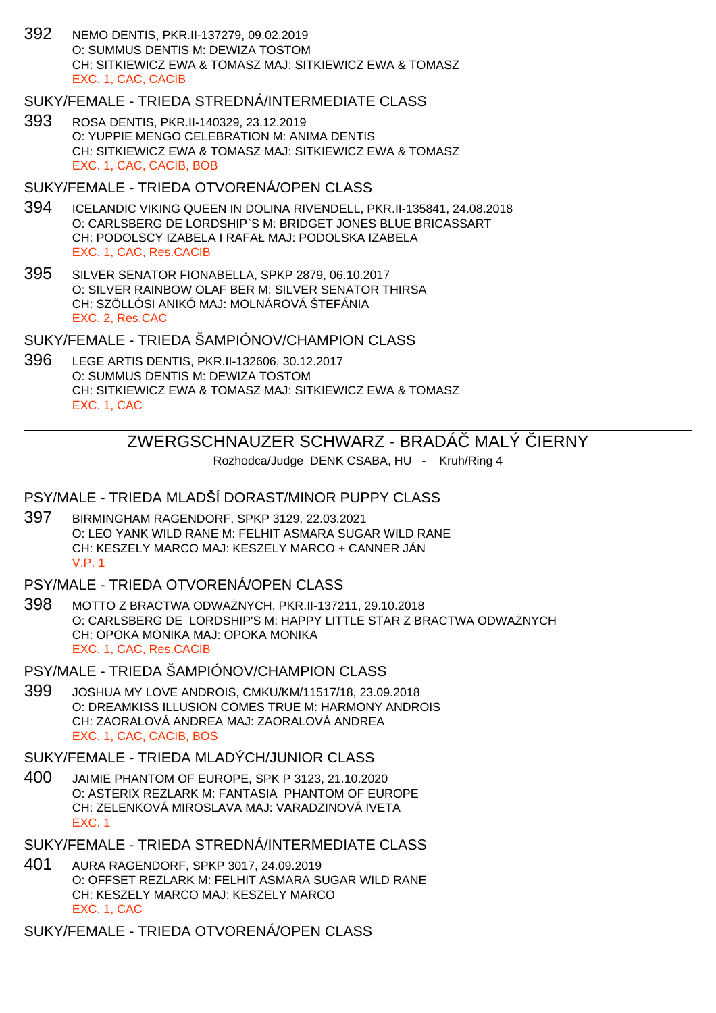392 NEMO DENTIS, PKR.II-137279, 09.02.2019 O: SUMMUS DENTIS M: DEWIZA TOSTOM CH: SITKIEWICZ EWA & TOMASZ MAJ: SITKIEWICZ EWA & TOMASZ EXC. 1, CAC, CACIB

#### SUKY/FEMALE - TRIEDA STREDNÁ/INTERMEDIATE CLASS

393 ROSA DENTIS, PKR.II-140329, 23.12.2019 O: YUPPIE MENGO CELEBRATION M: ANIMA DENTIS CH: SITKIEWICZ EWA & TOMASZ MAJ: SITKIEWICZ EWA & TOMASZ EXC. 1, CAC, CACIB, BOB

### SUKY/FEMALE - TRIEDA OTVORENÁ/OPEN CLASS

- 394 ICELANDIC VIKING QUEEN IN DOLINA RIVENDELL, PKR.II-135841, 24.08.2018 O: CARLSBERG DE LORDSHIP`S M: BRIDGET JONES BLUE BRICASSART CH: PODOLSCY IZABELA I RAFAŁ MAJ: PODOLSKA IZABELA EXC. 1, CAC, Res.CACIB
- 395 SILVER SENATOR FIONABELLA, SPKP 2879, 06.10.2017 O: SILVER RAINBOW OLAF BER M: SILVER SENATOR THIRSA CH: SZÖLLÓSI ANIKÓ MAJ: MOLNÁROVÁ ŠTEFÁNIA EXC. 2, Res.CAC

SUKY/FEMALE - TRIEDA ŠAMPIÓNOV/CHAMPION CLASS

396 LEGE ARTIS DENTIS, PKR.II-132606, 30.12.2017 O: SUMMUS DENTIS M: DEWIZA TOSTOM CH: SITKIEWICZ EWA & TOMASZ MAJ: SITKIEWICZ EWA & TOMASZ EXC. 1, CAC

## ZWERGSCHNAUZER SCHWARZ - BRADÁ MALÝ JERNY

Rozhodca/Judge DENK CSABA, HU - Kruh/Ring 4

## PSY/MALE - TRIEDA MLADŠÍ DORAST/MINOR PUPPY CLASS

397 BIRMINGHAM RAGENDORF, SPKP 3129, 22.03.2021 O: LEO YANK WILD RANE M: FELHIT ASMARA SUGAR WILD RANE CH: KESZELY MARCO MAJ: KESZELY MARCO + CANNER JÁN V.P. 1

### PSY/MALE - TRIEDA OTVORENÁ/OPEN CLASS

- 398 MOTTO Z BRACTWA ODWAŻNYCH, PKR.II-137211, 29.10.2018 O: CARLSBERG DE LORDSHIP'S M: HAPPY LITTLE STAR Z BRACTWA ODWA NYCH CH: OPOKA MONIKA MAJ: OPOKA MONIKA EXC. 1, CAC, Res.CACIB
- PSY/MALE TRIEDA ŠAMPIÓNOV/CHAMPION CLASS
- 399 JOSHUA MY LOVE ANDROIS, CMKU/KM/11517/18, 23.09.2018 O: DREAMKISS ILLUSION COMES TRUE M: HARMONY ANDROIS CH: ZAORALOVÁ ANDREA MAJ: ZAORALOVÁ ANDREA EXC. 1, CAC, CACIB, BOS

#### SUKY/FEMALE - TRIEDA MLADÝCH/JUNIOR CLASS

- 400 JAIMIE PHANTOM OF EUROPE, SPK P 3123, 21.10.2020 O: ASTERIX REZLARK M: FANTASIA PHANTOM OF EUROPE CH: ZELENKOVÁ MIROSLAVA MAJ: VARADZINOVÁ IVETA EXC. 1
- SUKY/FEMALE TRIEDA STREDNÁ/INTERMEDIATE CLASS
- 401 AURA RAGENDORF, SPKP 3017, 24.09.2019 O: OFFSET REZLARK M: FELHIT ASMARA SUGAR WILD RANE CH: KESZELY MARCO MAJ: KESZELY MARCO EXC. 1, CAC
- SUKY/FEMALE TRIEDA OTVORENÁ/OPEN CLASS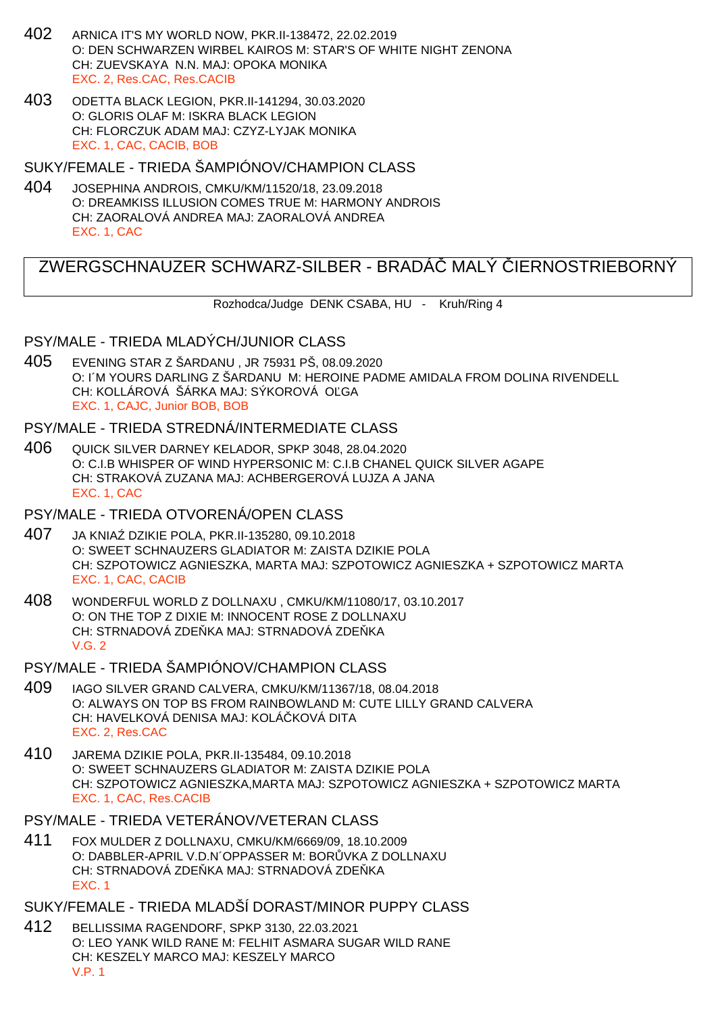- 402 ARNICA IT'S MY WORLD NOW, PKR.II-138472, 22.02.2019 O: DEN SCHWARZEN WIRBEL KAIROS M: STAR'S OF WHITE NIGHT ZENONA CH: ZUEVSKAYA N.N. MAJ: OPOKA MONIKA EXC. 2, Res.CAC, Res.CACIB
- 403 ODETTA BLACK LEGION, PKR.II-141294, 30.03.2020 O: GLORIS OLAF M: ISKRA BLACK LEGION CH: FLORCZUK ADAM MAJ: CZYZ-LYJAK MONIKA EXC. 1, CAC, CACIB, BOB

SUKY/FEMALE - TRIEDA ŠAMPIÓNOV/CHAMPION CLASS

404 JOSEPHINA ANDROIS, CMKU/KM/11520/18, 23.09.2018 O: DREAMKISS ILLUSION COMES TRUE M: HARMONY ANDROIS CH: ZAORALOVÁ ANDREA MAJ: ZAORALOVÁ ANDREA EXC. 1, CAC

## ZWERGSCHNAUZER SCHWARZ-SILBER - BRADÁ MALÝ JERNOSTRIEBORNÝ

Rozhodca/Judge DENK CSABA, HU - Kruh/Ring 4

### PSY/MALE - TRIEDA MLADÝCH/JUNIOR CLASS

405 EVENING STAR Z ŠARDANU , JR 75931 PŠ, 08.09.2020 O: I´M YOURS DARLING Z ŠARDANU M: HEROINE PADME AMIDALA FROM DOLINA RIVENDELL CH: KOLLÁROVÁ ŠÁRKA MAJ: SÝKOROVÁ OĽGA EXC. 1, CAJC, Junior BOB, BOB

PSY/MALE - TRIEDA STREDNÁ/INTERMEDIATE CLASS

- 406 QUICK SILVER DARNEY KELADOR, SPKP 3048, 28.04.2020 O: C.I.B WHISPER OF WIND HYPERSONIC M: C.I.B CHANEL QUICK SILVER AGAPE CH: STRAKOVÁ ZUZANA MAJ: ACHBERGEROVÁ LUJZA A JANA EXC. 1, CAC
- PSY/MALE TRIEDA OTVORENÁ/OPEN CLASS
- 407 JA KNIAŹ DZIKIE POLA, PKR.II-135280, 09.10.2018 O: SWEET SCHNAUZERS GLADIATOR M: ZAISTA DZIKIE POLA CH: SZPOTOWICZ AGNIESZKA, MARTA MAJ: SZPOTOWICZ AGNIESZKA + SZPOTOWICZ MARTA EXC. 1, CAC, CACIB
- 408 WONDERFUL WORLD Z DOLLNAXU , CMKU/KM/11080/17, 03.10.2017 O: ON THE TOP Z DIXIE M: INNOCENT ROSE Z DOLLNAXU CH: STRNADOVÁ ZDE KA MAJ: STRNADOVÁ ZDE KA V.G. 2

PSY/MALE - TRIEDA ŠAMPIÓNOV/CHAMPION CLASS

- 409 IAGO SILVER GRAND CALVERA, CMKU/KM/11367/18, 08.04.2018 O: ALWAYS ON TOP BS FROM RAINBOWLAND M: CUTE LILLY GRAND CALVERA CH: HAVELKOVÁ DENISA MAJ: KOLÁ KOVÁ DITA EXC. 2, Res.CAC
- 410 JAREMA DZIKIE POLA, PKR.II-135484, 09.10.2018 O: SWEET SCHNAUZERS GLADIATOR M: ZAISTA DZIKIE POLA CH: SZPOTOWICZ AGNIESZKA,MARTA MAJ: SZPOTOWICZ AGNIESZKA + SZPOTOWICZ MARTA EXC. 1, CAC, Res.CACIB

PSY/MALE - TRIEDA VETERÁNOV/VETERAN CLASS

411 FOX MULDER Z DOLLNAXU, CMKU/KM/6669/09, 18.10.2009 O: DABBLER-APRIL V.D.N´OPPASSER M: BOR VKA Z DOLLNAXU CH: STRNADOVÁ ZDE KA MAJ: STRNADOVÁ ZDE KA EXC. 1

SUKY/FEMALE - TRIEDA MLADŠÍ DORAST/MINOR PUPPY CLASS

412 BELLISSIMA RAGENDORF, SPKP 3130, 22.03.2021 O: LEO YANK WILD RANE M: FELHIT ASMARA SUGAR WILD RANE CH: KESZELY MARCO MAJ: KESZELY MARCO V.P. 1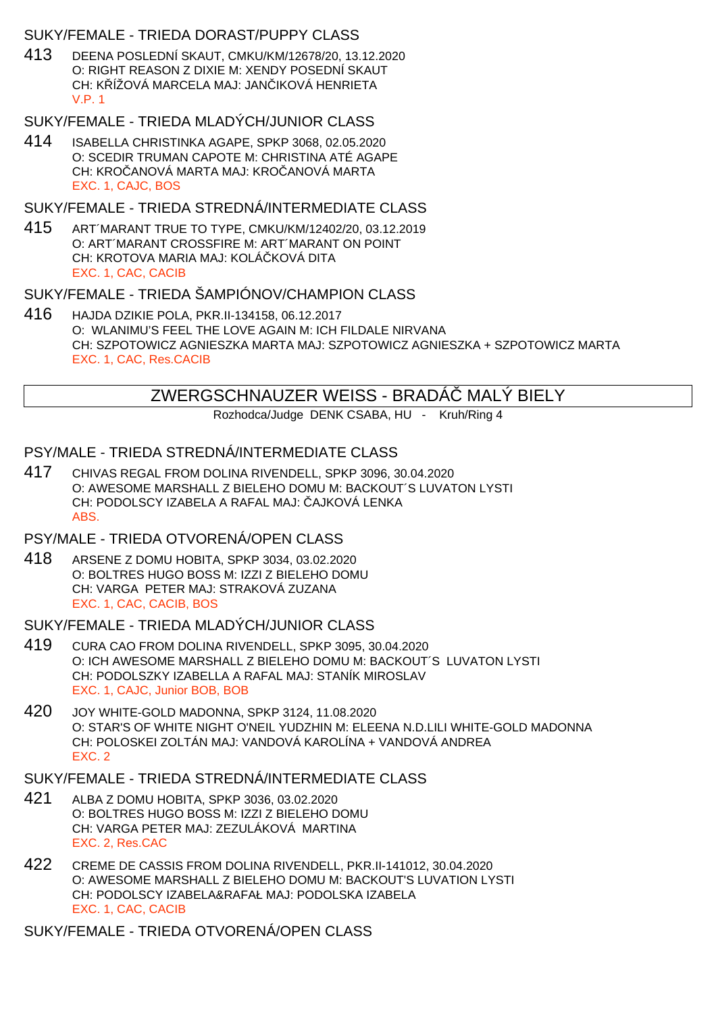### SUKY/FEMALE - TRIEDA DORAST/PUPPY CLASS

413 DEENA POSLEDNÍ SKAUT, CMKU/KM/12678/20, 13.12.2020 O: RIGHT REASON Z DIXIE M: XENDY POSEDNÍ SKAUT CH: KÚŽOVÁ MARCELA MAJ: JAN IKOVÁ HENRIETA V.P. 1

## SUKY/FEMALE - TRIEDA MLADÝCH/JUNIOR CLASS

414 ISABELLA CHRISTINKA AGAPE, SPKP 3068, 02.05.2020 O: SCEDIR TRUMAN CAPOTE M: CHRISTINA ATÉ AGAPE CH: KROČANOVÁ MARTA MAJ: KROČANOVÁ MARTA EXC. 1, CAJC, BOS

## SUKY/FEMALE - TRIEDA STREDNÁ/INTERMEDIATE CI ASS

415 ART´MARANT TRUE TO TYPE, CMKU/KM/12402/20, 03.12.2019 O: ART´MARANT CROSSFIRE M: ART´MARANT ON POINT CH: KROTOVA MARIA MAJ: KOLÁ KOVÁ DITA EXC. 1, CAC, CACIB

### SUKY/FEMALE - TRIEDA ŠAMPIÓNOV/CHAMPION CLASS

416 HAJDA DZIKIE POLA, PKR.II-134158, 06.12.2017 O: WLANIMU'S FEEL THE LOVE AGAIN M: ICH FILDALE NIRVANA CH: SZPOTOWICZ AGNIESZKA MARTA MAJ: SZPOTOWICZ AGNIESZKA + SZPOTOWICZ MARTA EXC. 1, CAC, Res.CACIB

## ZWERGSCHNAUZER WEISS - BRADÁČ MALÝ BIELY

Rozhodca/Judge DENK CSABA, HU - Kruh/Ring 4

### PSY/MALE - TRIEDA STREDNÁ/INTERMEDIATE CLASS

417 CHIVAS REGAL FROM DOLINA RIVENDELL, SPKP 3096, 30.04.2020 O: AWESOME MARSHALL Z BIELEHO DOMU M: BACKOUT´S LUVATON LYSTI CH: PODOLSCY IZABELA A RAFAL MAJ: AJKOVÁ LENKA ABS.

## PSY/MALE - TRIEDA OTVORENÁ/OPEN CLASS

418 ARSENE Z DOMU HOBITA, SPKP 3034, 03.02.2020 O: BOLTRES HUGO BOSS M: IZZI Z BIELEHO DOMU CH: VARGA PETER MAJ: STRAKOVÁ ZUZANA EXC. 1, CAC, CACIB, BOS

## SUKY/FEMALE - TRIEDA MLADÝCH/JUNIOR CLASS

- 419 CURA CAO FROM DOLINA RIVENDELL, SPKP 3095, 30.04.2020 O: ICH AWESOME MARSHALL Z BIELEHO DOMU M: BACKOUT´S LUVATON LYSTI CH: PODOLSZKY IZABELLA A RAFAL MAJ: STANÍK MIROSLAV EXC. 1, CAJC, Junior BOB, BOB
- 420 JOY WHITE-GOLD MADONNA, SPKP 3124, 11.08.2020 O: STAR'S OF WHITE NIGHT O'NEIL YUDZHIN M: ELEENA N.D.LILI WHITE-GOLD MADONNA CH: POLOSKEI ZOLTÁN MAJ: VANDOVÁ KAROLÍNA + VANDOVÁ ANDREA EXC. 2

### SUKY/FEMALE - TRIEDA STREDNÁ/INTERMEDIATE CLASS

- 421 ALBA Z DOMU HOBITA, SPKP 3036, 03.02.2020 O: BOLTRES HUGO BOSS M: IZZI Z BIELEHO DOMU CH: VARGA PETER MAJ: ZEZULÁKOVÁ MARTINA EXC. 2, Res.CAC
- 422 CREME DE CASSIS FROM DOLINA RIVENDELL, PKR.II-141012, 30.04.2020 O: AWESOME MARSHALL Z BIELEHO DOMU M: BACKOUT'S LUVATION LYSTI CH: PODOLSCY IZABELA&RAFAŁ MAJ: PODOLSKA IZABELA EXC. 1, CAC, CACIB

SUKY/FEMALE - TRIEDA OTVORENÁ/OPEN CLASS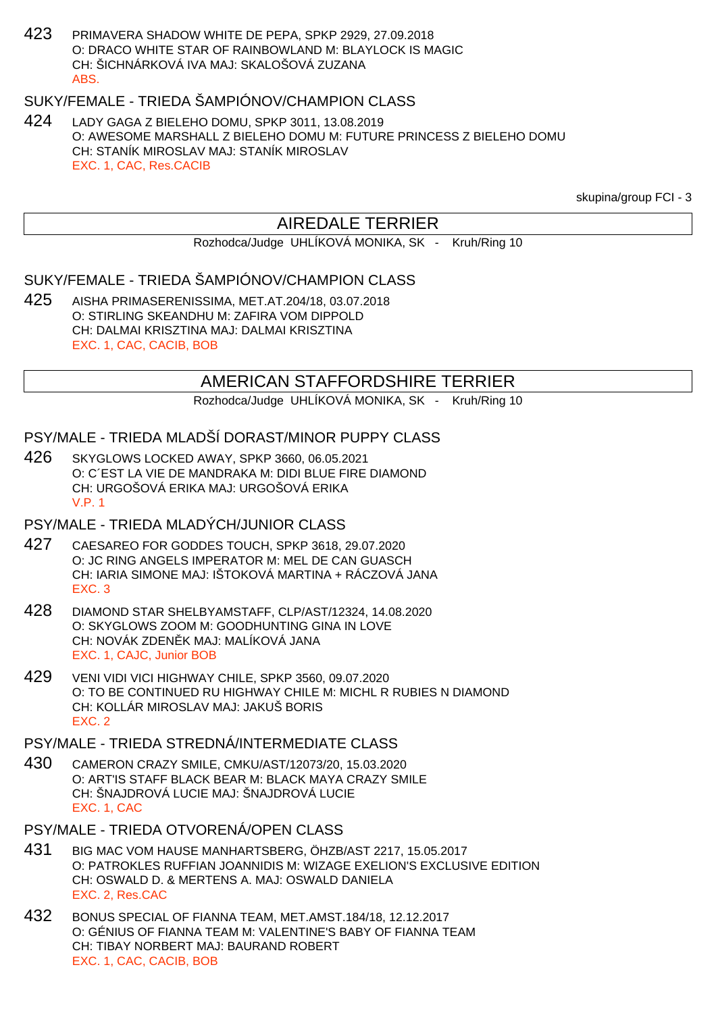423 PRIMAVERA SHADOW WHITE DE PEPA, SPKP 2929, 27.09.2018 O: DRACO WHITE STAR OF RAINBOWLAND M: BLAYLOCK IS MAGIC CH: ŠICHNÁRKOVÁ IVA MAJ: SKALOŠOVÁ ZUZANA ABS.

## SUKY/FEMALE - TRIEDA ŠAMPIÓNOV/CHAMPION CLASS

424 LADY GAGA Z BIELEHO DOMU, SPKP 3011, 13.08.2019 O: AWESOME MARSHALL Z BIELEHO DOMU M: FUTURE PRINCESS Z BIELEHO DOMU CH: STANÍK MIROSLAV MAJ: STANÍK MIROSLAV EXC. 1, CAC, Res.CACIB

skupina/group FCI - 3

## AIREDALE TERRIER

Rozhodca/Judge UHLÍKOVÁ MONIKA, SK - Kruh/Ring 10

## SUKY/FEMALE - TRIEDA ŠAMPIÓNOV/CHAMPION CLASS

425 AISHA PRIMASERENISSIMA, MET.AT.204/18, 03.07.2018 O: STIRLING SKEANDHU M: ZAFIRA VOM DIPPOLD CH: DALMAI KRISZTINA MAJ: DALMAI KRISZTINA EXC. 1, CAC, CACIB, BOB

## AMERICAN STAFFORDSHIRE TERRIER

Rozhodca/Judge UHLÍKOVÁ MONIKA, SK - Kruh/Ring 10

### PSY/MALE - TRIEDA MLADŠÍ DORAST/MINOR PUPPY CLASS

426 SKYGLOWS LOCKED AWAY, SPKP 3660, 06.05.2021 O: C´EST LA VIE DE MANDRAKA M: DIDI BLUE FIRE DIAMOND CH: URGOŠOVÁ ERIKA MAJ: URGOŠOVÁ ERIKA V.P. 1

## PSY/MALE - TRIEDA MLADÝCH/JUNIOR CLASS

- 427 CAESAREO FOR GODDES TOUCH, SPKP 3618, 29.07.2020 O: JC RING ANGELS IMPERATOR M: MEL DE CAN GUASCH CH: IARIA SIMONE MAJ: IŠTOKOVÁ MARTINA + RÁCZOVÁ JANA EXC. 3
- 428 DIAMOND STAR SHELBYAMSTAFF, CLP/AST/12324, 14.08.2020 O: SKYGLOWS ZOOM M: GOODHUNTING GINA IN LOVE CH: NOVÁK ZDENIK MAJ: MALÍKOVÁ JANA EXC. 1, CAJC, Junior BOB
- 429 VENI VIDI VICI HIGHWAY CHILE, SPKP 3560, 09.07.2020 O: TO BE CONTINUED RU HIGHWAY CHILE M: MICHL R RUBIES N DIAMOND CH: KOLLÁR MIROSLAV MAJ: JAKUŠ BORIS EXC. 2

### PSY/MALE - TRIEDA STREDNÁ/INTERMEDIATE CLASS

- 430 CAMERON CRAZY SMILE, CMKU/AST/12073/20, 15.03.2020 O: ART'IS STAFF BLACK BEAR M: BLACK MAYA CRAZY SMILE CH: ŠNAJDROVÁ LUCIE MAJ: ŠNAJDROVÁ LUCIE EXC. 1, CAC
- PSY/MALE TRIEDA OTVORENÁ/OPEN CLASS
- 431 BIG MAC VOM HAUSE MANHARTSBERG, ÖHZB/AST 2217, 15.05.2017 O: PATROKLES RUFFIAN JOANNIDIS M: WIZAGE EXELION'S EXCLUSIVE EDITION CH: OSWALD D. & MERTENS A. MAJ: OSWALD DANIELA EXC. 2, Res.CAC
- 432 BONUS SPECIAL OF FIANNA TEAM, MET.AMST.184/18, 12.12.2017 O: GÉNIUS OF FIANNA TEAM M: VALENTINE'S BABY OF FIANNA TEAM CH: TIBAY NORBERT MAJ: BAURAND ROBERT EXC. 1, CAC, CACIB, BOB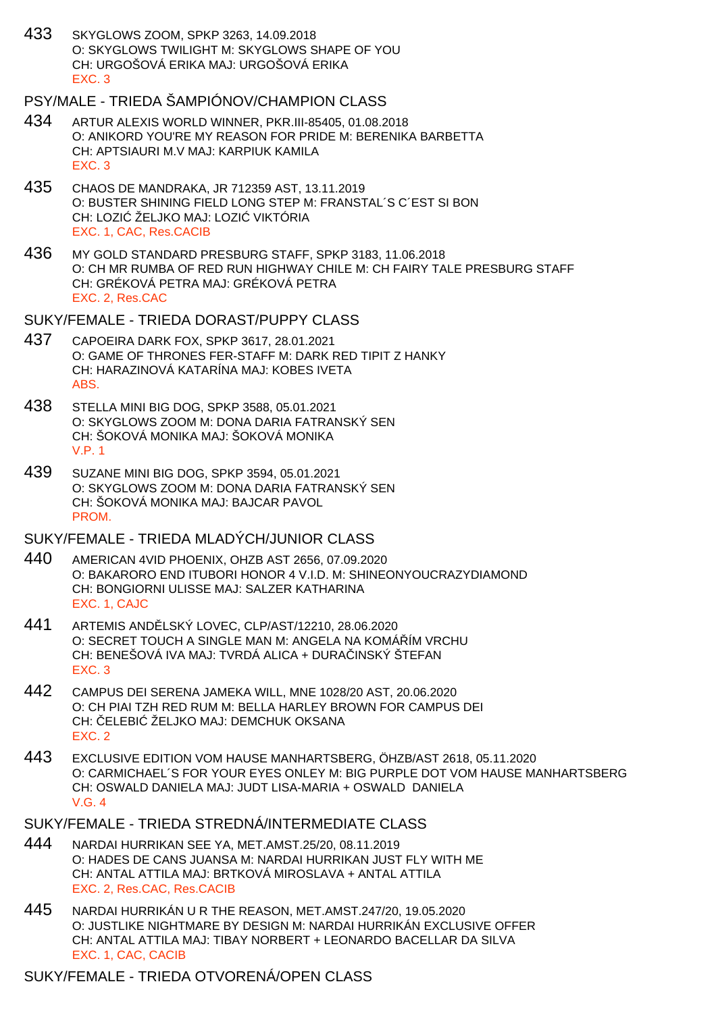433 SKYGLOWS ZOOM, SPKP 3263, 14.09.2018 O: SKYGLOWS TWILIGHT M: SKYGLOWS SHAPE OF YOU CH: URGOŠOVÁ ERIKA MAJ: URGOŠOVÁ ERIKA EXC. 3

## PSY/MALE - TRIEDA ŠAMPIÓNOV/CHAMPION CLASS

- 434 ARTUR ALEXIS WORLD WINNER, PKR.III-85405, 01.08.2018 O: ANIKORD YOU'RE MY REASON FOR PRIDE M: BERENIKA BARBETTA CH: APTSIAURI M.V MAJ: KARPIUK KAMILA EXC. 3
- 435 CHAOS DE MANDRAKA, JR 712359 AST, 13.11.2019 O: BUSTER SHINING FIELD LONG STEP M: FRANSTAL´S C´EST SI BON CH: LOZI ŽELJKO MAJ: LOZI VIKTÓRIA EXC. 1, CAC, Res.CACIB
- 436 MY GOLD STANDARD PRESBURG STAFF, SPKP 3183, 11.06.2018 O: CH MR RUMBA OF RED RUN HIGHWAY CHILE M: CH FAIRY TALE PRESBURG STAFF CH: GRÉKOVÁ PETRA MAJ: GRÉKOVÁ PETRA EXC. 2, Res.CAC

SUKY/FEMALE - TRIEDA DORAST/PUPPY CLASS

- 437 CAPOEIRA DARK FOX, SPKP 3617, 28.01.2021 O: GAME OF THRONES FER-STAFF M: DARK RED TIPIT Z HANKY CH: HARAZINOVÁ KATARÍNA MAJ: KOBES IVETA ABS.
- 438 STELLA MINI BIG DOG, SPKP 3588, 05.01.2021 O: SKYGLOWS ZOOM M: DONA DARIA FATRANSKÝ SEN CH: ŠOKOVÁ MONIKA MAJ: ŠOKOVÁ MONIKA V.P. 1
- 439 SUZANE MINI BIG DOG, SPKP 3594, 05.01.2021 O: SKYGLOWS ZOOM M: DONA DARIA FATRANSKÝ SEN CH: ŠOKOVÁ MONIKA MAJ: BAJCAR PAVOL PROM.

#### SUKY/FEMALE - TRIEDA MLADÝCH/JUNIOR CLASS

- 440 AMERICAN 4VID PHOENIX, OHZB AST 2656, 07.09.2020 O: BAKARORO END ITUBORI HONOR 4 V.I.D. M: SHINEONYOUCRAZYDIAMOND CH: BONGIORNI ULISSE MAJ: SALZER KATHARINA EXC. 1, CAJC
- 441 ARTEMIS AND LSKÝ LOVEC, CLP/AST/12210, 28.06.2020 O: SECRET TOUCH A SINGLE MAN M: ANGELA NA KOMÁ ÍM VRCHU CH: BENEŠOVÁ IVA MAJ: TVRDÁ ALICA + DURA INSKÝ ŠTEFAN EXC. 3
- 442 CAMPUS DEI SERENA JAMEKA WILL, MNE 1028/20 AST, 20.06.2020 O: CH PIAI TZH RED RUM M: BELLA HARLEY BROWN FOR CAMPUS DEI CH: ELEBI ŽELJKO MAJ: DEMCHUK OKSANA EXC. 2
- 443 EXCLUSIVE EDITION VOM HAUSE MANHARTSBERG, ÖHZB/AST 2618, 05.11.2020 O: CARMICHAEL´S FOR YOUR EYES ONLEY M: BIG PURPLE DOT VOM HAUSE MANHARTSBERG CH: OSWALD DANIELA MAJ: JUDT LISA-MARIA + OSWALD DANIELA V.G. 4
- SUKY/FEMALE TRIEDA STREDNÁ/INTERMEDIATE CLASS
- 444 NARDAI HURRIKAN SEE YA, MET.AMST.25/20, 08.11.2019 O: HADES DE CANS JUANSA M: NARDAI HURRIKAN JUST FLY WITH ME CH: ANTAL ATTILA MAJ: BRTKOVÁ MIROSLAVA + ANTAL ATTILA EXC. 2, Res.CAC, Res.CACIB
- 445 NARDAI HURRIKÁN U R THE REASON, MET.AMST.247/20, 19.05.2020 O: JUSTLIKE NIGHTMARE BY DESIGN M: NARDAI HURRIKÁN EXCLUSIVE OFFER CH: ANTAL ATTILA MAJ: TIBAY NORBERT + LEONARDO BACELLAR DA SILVA EXC. 1, CAC, CACIB

### SUKY/FEMALE - TRIEDA OTVORENÁ/OPEN CLASS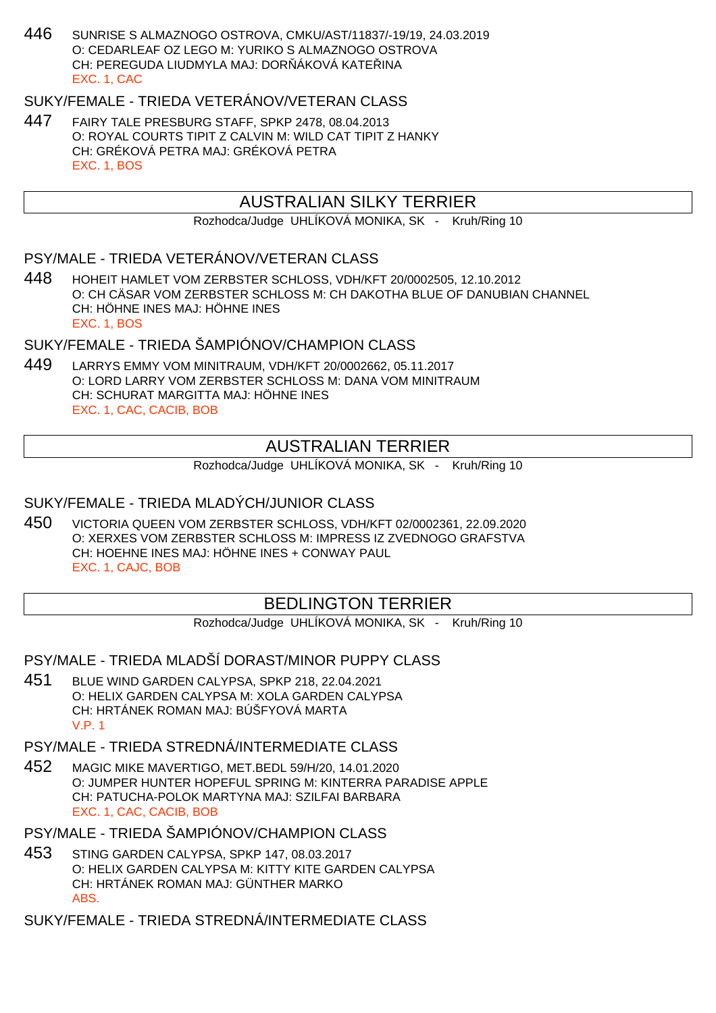446 SUNRISE S ALMAZNOGO OSTROVA, CMKU/AST/11837/-19/19, 24.03.2019 O: CEDARLEAF OZ LEGO M: YURIKO S ALMAZNOGO OSTROVA CH: PEREGUDA LIUDMYLA MAJ: DOR ÁKOVÁ KATELINA EXC. 1, CAC

### SUKY/FEMALE - TRIEDA VETERÁNOV/VETERAN CLASS

447 FAIRY TALE PRESBURG STAFF, SPKP 2478, 08.04.2013 O: ROYAL COURTS TIPIT Z CALVIN M: WILD CAT TIPIT Z HANKY CH: GRÉKOVÁ PETRA MAJ: GRÉKOVÁ PETRA EXC. 1, BOS

## AUSTRALIAN SILKY TERRIER

Rozhodca/Judge UHLÍKOVÁ MONIKA, SK - Kruh/Ring 10

## PSY/MALE - TRIEDA VETERÁNOV/VETERAN CLASS

448 HOHEIT HAMLET VOM ZERBSTER SCHLOSS, VDH/KFT 20/0002505, 12.10.2012 O: CH CÄSAR VOM ZERBSTER SCHLOSS M: CH DAKOTHA BLUE OF DANUBIAN CHANNEL CH: HÖHNE INES MAJ: HÖHNE INES EXC. 1, BOS

SUKY/FEMALE - TRIEDA ŠAMPIÓNOV/CHAMPION CLASS

449 LARRYS EMMY VOM MINITRAUM, VDH/KFT 20/0002662, 05.11.2017 O: LORD LARRY VOM ZERBSTER SCHLOSS M: DANA VOM MINITRAUM CH: SCHURAT MARGITTA MAJ: HÖHNE INES EXC. 1, CAC, CACIB, BOB

## AUSTRALIAN TERRIER

Rozhodca/Judge UHLÍKOVÁ MONIKA, SK - Kruh/Ring 10

#### SUKY/FEMALE - TRIEDA MLADÝCH/JUNIOR CLASS

450 VICTORIA QUEEN VOM ZERBSTER SCHLOSS, VDH/KFT 02/0002361, 22.09.2020 O: XERXES VOM ZERBSTER SCHLOSS M: IMPRESS IZ ZVEDNOGO GRAFSTVA CH: HOEHNE INES MAJ: HÖHNE INES + CONWAY PAUL EXC. 1, CAJC, BOB

## BEDLINGTON TERRIER

Rozhodca/Judge UHLÍKOVÁ MONIKA, SK - Kruh/Ring 10

PSY/MALE - TRIEDA MLADŠÍ DORAST/MINOR PUPPY CLASS

451 BLUE WIND GARDEN CALYPSA, SPKP 218, 22.04.2021 O: HELIX GARDEN CALYPSA M: XOLA GARDEN CALYPSA CH: HRTÁNEK ROMAN MAJ: BÚŠFYOVÁ MARTA V.P. 1

PSY/MALE - TRIEDA STREDNÁ/INTERMEDIATE CLASS

- 452 MAGIC MIKE MAVERTIGO, MET.BEDL 59/H/20, 14.01.2020 O: JUMPER HUNTER HOPEFUL SPRING M: KINTERRA PARADISE APPLE CH: PATUCHA-POLOK MARTYNA MAJ: SZILFAI BARBARA EXC. 1, CAC, CACIB, BOB
- PSY/MALE TRIEDA ŠAMPIÓNOV/CHAMPION CLASS
- 453 STING GARDEN CALYPSA, SPKP 147, 08.03.2017 O: HELIX GARDEN CALYPSA M: KITTY KITE GARDEN CALYPSA CH: HRTÁNEK ROMAN MAJ: GÜNTHER MARKO ABS.

SUKY/FEMALE - TRIEDA STREDNÁ/INTERMEDIATE CLASS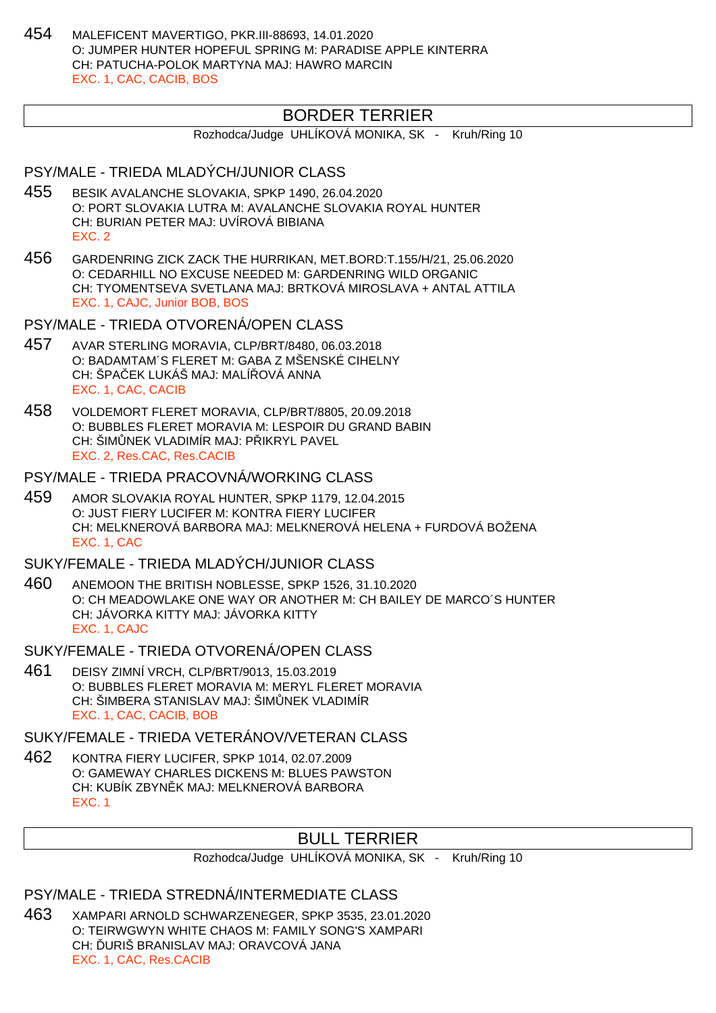454 MALEFICENT MAVERTIGO, PKR.III-88693, 14.01.2020 O: JUMPER HUNTER HOPEFUL SPRING M: PARADISE APPLE KINTERRA CH: PATUCHA-POLOK MARTYNA MAJ: HAWRO MARCIN EXC. 1, CAC, CACIB, BOS

## BORDER TERRIER

Rozhodca/Judge UHLÍKOVÁ MONIKA, SK - Kruh/Ring 10

### PSY/MALE - TRIEDA MLADÝCH/JUNIOR CLASS

- 455 BESIK AVALANCHE SLOVAKIA, SPKP 1490, 26.04.2020 O: PORT SLOVAKIA LUTRA M: AVALANCHE SLOVAKIA ROYAL HUNTER CH: BURIAN PETER MAJ: UVÍROVÁ BIBIANA EXC. 2
- 456 GARDENRING ZICK ZACK THE HURRIKAN, MET.BORD:T.155/H/21, 25.06.2020 O: CEDARHILL NO EXCUSE NEEDED M: GARDENRING WILD ORGANIC CH: TYOMENTSEVA SVETLANA MAJ: BRTKOVÁ MIROSLAVA + ANTAL ATTILA EXC. 1, CAJC, Junior BOB, BOS

#### PSY/MALE - TRIEDA OTVORENÁ/OPEN CLASS

- 457 AVAR STERLING MORAVIA, CLP/BRT/8480, 06.03.2018 O: BADAMTAM´S FLERET M: GABA Z MŠENSKÉ CIHELNY CH: ŠPA EK LUKÁŠ MAJ: MALÍ OVÁ ANNA EXC. 1, CAC, CACIB
- 458 VOLDEMORT FLERET MORAVIA, CLP/BRT/8805, 20.09.2018 O: BUBBLES FLERET MORAVIA M: LESPOIR DU GRAND BABIN CH: ŠIM NEK VLADIMÍR MAJ: P IKRYL PAVEL EXC. 2, Res.CAC, Res.CACIB

#### PSY/MALE - TRIEDA PRACOVNÁ/WORKING CLASS

459 AMOR SLOVAKIA ROYAL HUNTER, SPKP 1179, 12.04.2015 O: JUST FIERY LUCIFER M: KONTRA FIERY LUCIFER CH: MELKNEROVÁ BARBORA MAJ: MELKNEROVÁ HELENA + FURDOVÁ BOŽENA EXC. 1, CAC

#### SUKY/FEMALE - TRIEDA MLADÝCH/JUNIOR CLASS

460 ANEMOON THE BRITISH NOBLESSE, SPKP 1526, 31.10.2020 O: CH MEADOWLAKE ONE WAY OR ANOTHER M: CH BAILEY DE MARCO´S HUNTER CH: JÁVORKA KITTY MAJ: JÁVORKA KITTY EXC. 1, CAJC

#### SUKY/FEMALE - TRIEDA OTVORENÁ/OPEN CLASS

461 DEISY ZIMNÍ VRCH, CLP/BRT/9013, 15.03.2019 O: BUBBLES FLERET MORAVIA M: MERYL FLERET MORAVIA CH: ŠIMBERA STANISLAV MAJ: ŠIM NEK VLADIMÍR EXC. 1, CAC, CACIB, BOB

#### SUKY/FEMALE - TRIEDA VETERÁNOV/VETERAN CLASS

462 KONTRA FIERY LUCIFER, SPKP 1014, 02.07.2009 O: GAMEWAY CHARLES DICKENS M: BLUES PAWSTON CH: KUBÍK ZBYN K MAJ: MELKNEROVÁ BARBORA EXC. 1

## BULL TERRIER

Rozhodca/Judge UHLÍKOVÁ MONIKA, SK - Kruh/Ring 10

#### PSY/MALE - TRIEDA STREDNÁ/INTERMEDIATE CLASS

463 XAMPARI ARNOLD SCHWARZENEGER, SPKP 3535, 23.01.2020 O: TEIRWGWYN WHITE CHAOS M: FAMILY SONG'S XAMPARI CH: ĎURIŠ BRANISLAV MAJ: ORAVCOVÁ JANA EXC. 1, CAC, Res.CACIB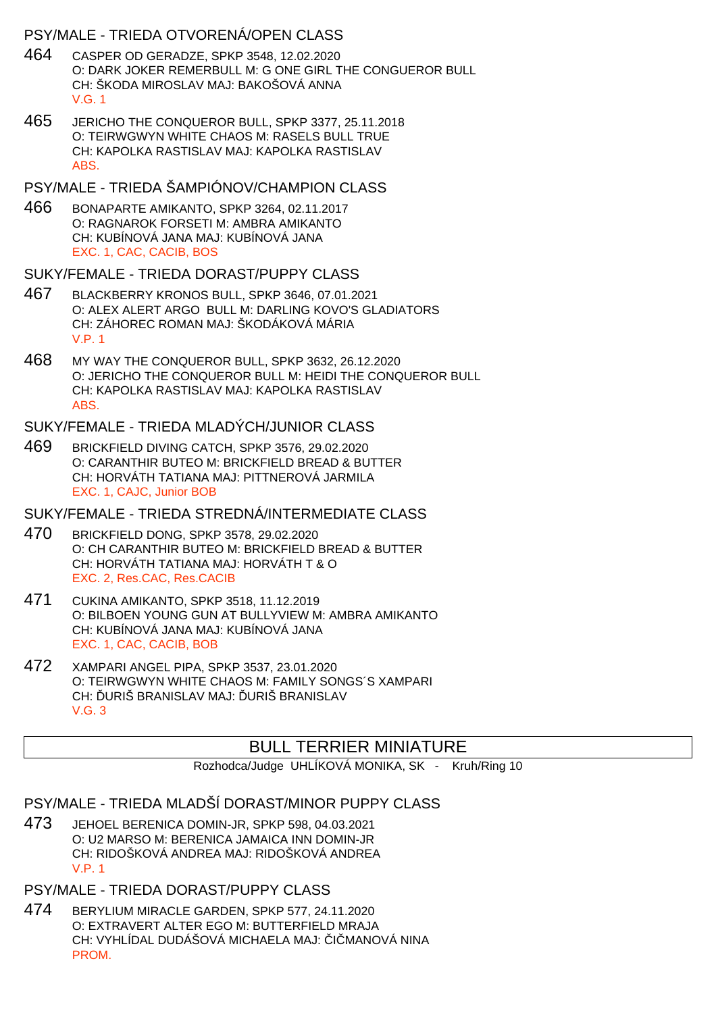### PSY/MALE - TRIEDA OTVORENÁ/OPEN CLASS

- 464 CASPER OD GERADZE, SPKP 3548, 12.02.2020 O: DARK JOKER REMERBULL M: G ONE GIRL THE CONGUEROR BULL CH: ŠKODA MIROSLAV MAJ: BAKOŠOVÁ ANNA V.G. 1
- 465 JERICHO THE CONQUEROR BULL, SPKP 3377, 25.11.2018 O: TEIRWGWYN WHITE CHAOS M: RASELS BULL TRUE CH: KAPOLKA RASTISLAV MAJ: KAPOLKA RASTISLAV ABS.
- PSY/MALE TRIEDA ŠAMPIÓNOV/CHAMPION CLASS
- 466 BONAPARTE AMIKANTO, SPKP 3264, 02.11.2017 O: RAGNAROK FORSETI M: AMBRA AMIKANTO CH: KUBÍNOVÁ JANA MAJ: KUBÍNOVÁ JANA EXC. 1, CAC, CACIB, BOS

#### SUKY/FEMALE - TRIEDA DORAST/PUPPY CLASS

- 467 BLACKBERRY KRONOS BULL, SPKP 3646, 07.01.2021 O: ALEX ALERT ARGO BULL M: DARLING KOVO'S GLADIATORS CH: ZÁHOREC ROMAN MAJ: ŠKODÁKOVÁ MÁRIA V.P. 1
- 468 MY WAY THE CONQUEROR BULL, SPKP 3632, 26.12.2020 O: JERICHO THE CONQUEROR BULL M: HEIDI THE CONQUEROR BULL CH: KAPOLKA RASTISLAV MAJ: KAPOLKA RASTISLAV ABS.

#### SUKY/FEMALE - TRIEDA MLADÝCH/JUNIOR CLASS

469 BRICKFIELD DIVING CATCH, SPKP 3576, 29.02.2020 O: CARANTHIR BUTEO M: BRICKFIELD BREAD & BUTTER CH: HORVÁTH TATIANA MAJ: PITTNEROVÁ JARMILA EXC. 1, CAJC, Junior BOB

SUKY/FEMALE - TRIEDA STREDNÁ/INTERMEDIATE CLASS

- 470 BRICKFIELD DONG, SPKP 3578, 29.02.2020 O: CH CARANTHIR BUTEO M: BRICKFIELD BREAD & BUTTER CH: HORVÁTH TATIANA MAJ: HORVÁTH T & O EXC. 2, Res.CAC, Res.CACIB
- 471 CUKINA AMIKANTO, SPKP 3518, 11.12.2019 O: BILBOEN YOUNG GUN AT BULLYVIEW M: AMBRA AMIKANTO CH: KUBÍNOVÁ JANA MAJ: KUBÍNOVÁ JANA EXC. 1, CAC, CACIB, BOB
- 472 XAMPARI ANGEL PIPA, SPKP 3537, 23.01.2020 O: TEIRWGWYN WHITE CHAOS M: FAMILY SONGS´S XAMPARI CH: URIŠ BRANISLAV MAJ: URIŠ BRANISLAV V.G. 3

## BULL TERRIER MINIATURE

Rozhodca/Judge UHLÍKOVÁ MONIKA, SK - Kruh/Ring 10

PSY/MALE - TRIEDA MLADŠÍ DORAST/MINOR PUPPY CLASS

473 JEHOEL BERENICA DOMIN-JR, SPKP 598, 04.03.2021 O: U2 MARSO M: BERENICA JAMAICA INN DOMIN-JR CH: RIDOŠKOVÁ ANDREA MAJ: RIDOŠKOVÁ ANDREA V.P. 1

## PSY/MALE - TRIEDA DORAST/PUPPY CLASS

474 BERYLIUM MIRACLE GARDEN, SPKP 577, 24.11.2020 O: EXTRAVERT ALTER EGO M: BUTTERFIELD MRAJA CH: VYHLÍDAL DUDÁŠOVÁ MICHAELA MAJ: L MANOVÁ NINA PROM.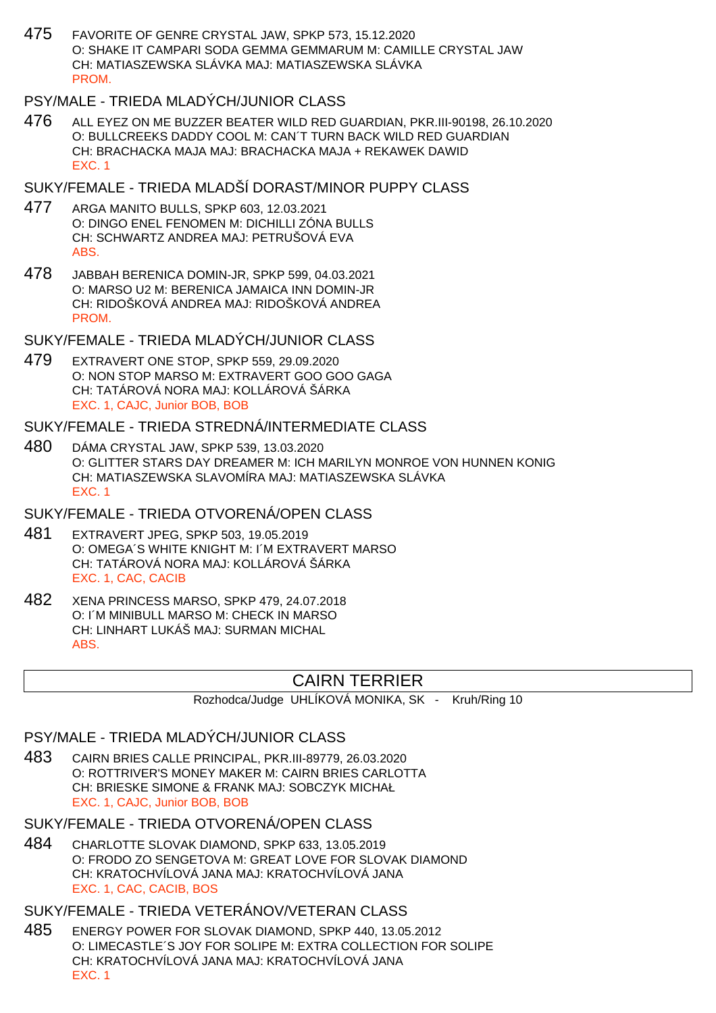475 FAVORITE OF GENRE CRYSTAL JAW, SPKP 573, 15.12.2020 O: SHAKE IT CAMPARI SODA GEMMA GEMMARUM M: CAMILLE CRYSTAL JAW CH: MATIASZEWSKA SLÁVKA MAJ: MATIASZEWSKA SLÁVKA **PROM** 

## PSY/MALE - TRIEDA MLADÝCH/JUNIOR CLASS

476 ALL EYEZ ON ME BUZZER BEATER WILD RED GUARDIAN, PKR.III-90198, 26.10.2020 O: BULLCREEKS DADDY COOL M: CAN´T TURN BACK WILD RED GUARDIAN CH: BRACHACKA MAJA MAJ: BRACHACKA MAJA + REKAWEK DAWID EXC. 1

### SUKY/FEMALE - TRIEDA MLADŠÍ DORAST/MINOR PUPPY CLASS

- 477 ARGA MANITO BULLS, SPKP 603, 12.03.2021 O: DINGO ENEL FENOMEN M: DICHILLI ZÓNA BULLS CH: SCHWARTZ ANDREA MAJ: PETRUŠOVÁ EVA ABS.
- 478 JABBAH BERENICA DOMIN-JR, SPKP 599, 04.03.2021 O: MARSO U2 M: BERENICA JAMAICA INN DOMIN-JR CH: RIDOŠKOVÁ ANDREA MAJ: RIDOŠKOVÁ ANDREA PROM.

SUKY/FEMALE - TRIEDA MLADÝCH/JUNIOR CLASS

479 EXTRAVERT ONE STOP, SPKP 559, 29.09.2020 O: NON STOP MARSO M: EXTRAVERT GOO GOO GAGA CH: TATÁROVÁ NORA MAJ: KOLLÁROVÁ ŠÁRKA EXC. 1, CAJC, Junior BOB, BOB

## SUKY/FEMALE - TRIEDA STREDNÁ/INTERMEDIATE CLASS

480 DÁMA CRYSTAL JAW, SPKP 539, 13.03.2020 O: GLITTER STARS DAY DREAMER M: ICH MARILYN MONROE VON HUNNEN KONIG CH: MATIASZEWSKA SLAVOMÍRA MAJ: MATIASZEWSKA SLÁVKA EXC. 1

## SUKY/FEMALE - TRIEDA OTVORENÁ/OPEN CLASS

- 481 EXTRAVERT JPEG, SPKP 503, 19.05.2019 O: OMEGA´S WHITE KNIGHT M: I´M EXTRAVERT MARSO CH: TATÁROVÁ NORA MAJ: KOLLÁROVÁ ŠÁRKA EXC. 1, CAC, CACIB
- 482 XENA PRINCESS MARSO, SPKP 479, 24.07.2018 O: I´M MINIBULL MARSO M: CHECK IN MARSO CH: LINHART LUKÁŠ MAJ: SURMAN MICHAL ABS.

## CAIRN TERRIER

Rozhodca/Judge UHLÍKOVÁ MONIKA, SK - Kruh/Ring 10

### PSY/MALE - TRIEDA MLADÝCH/JUNIOR CLASS

483 CAIRN BRIES CALLE PRINCIPAL, PKR.III-89779, 26.03.2020 O: ROTTRIVER'S MONEY MAKER M: CAIRN BRIES CARLOTTA CH: BRIESKE SIMONE & FRANK MAJ: SOBCZYK MICHAŁ EXC. 1, CAJC, Junior BOB, BOB

#### SUKY/FEMALE - TRIEDA OTVORENÁ/OPEN CLASS

484 CHARLOTTE SLOVAK DIAMOND, SPKP 633, 13.05.2019 O: FRODO ZO SENGETOVA M: GREAT LOVE FOR SLOVAK DIAMOND CH: KRATOCHVÍLOVÁ JANA MAJ: KRATOCHVÍLOVÁ JANA EXC. 1, CAC, CACIB, BOS

#### SUKY/FEMALE - TRIEDA VETERÁNOV/VETERAN CLASS

485 ENERGY POWER FOR SLOVAK DIAMOND, SPKP 440, 13.05.2012 O: LIMECASTLE´S JOY FOR SOLIPE M: EXTRA COLLECTION FOR SOLIPE CH: KRATOCHVÍLOVÁ JANA MAJ: KRATOCHVÍLOVÁ JANA EXC. 1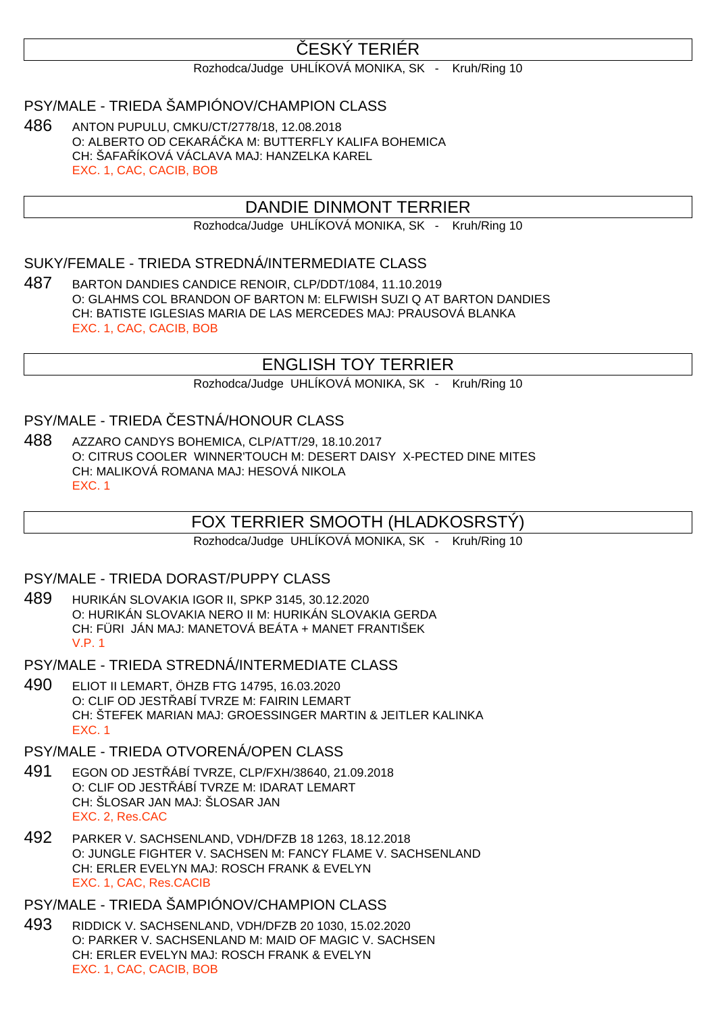# ČESKÝ TERIÉR

Rozhodca/Judge UHLÍKOVÁ MONIKA, SK - Kruh/Ring 10

### PSY/MALE - TRIEDA ŠAMPIÓNOV/CHAMPION CLASS

486 ANTON PUPULU, CMKU/CT/2778/18, 12.08.2018 O: ALBERTO OD CEKARÁ KA M: BUTTERFLY KALIFA BOHEMICA CH: ŠAFA ÍKOVÁ VÁCLAVA MAJ: HANZELKA KAREL EXC. 1, CAC, CACIB, BOB

### DANDIE DINMONT TERRIER

Rozhodca/Judge UHLÍKOVÁ MONIKA, SK - Kruh/Ring 10

#### SUKY/FEMALE - TRIEDA STREDNÁ/INTERMEDIATE CLASS

487 BARTON DANDIES CANDICE RENOIR, CLP/DDT/1084, 11.10.2019 O: GLAHMS COL BRANDON OF BARTON M: ELFWISH SUZI Q AT BARTON DANDIES CH: BATISTE IGLESIAS MARIA DE LAS MERCEDES MAJ: PRAUSOVÁ BLANKA EXC. 1, CAC, CACIB, BOB

## ENGLISH TOY TERRIER

Rozhodca/Judge UHLÍKOVÁ MONIKA, SK - Kruh/Ring 10

### PSY/MALE - TRIEDA ESTNÁ/HONOUR CLASS

488 AZZARO CANDYS BOHEMICA, CLP/ATT/29, 18.10.2017 O: CITRUS COOLER WINNER'TOUCH M: DESERT DAISY X-PECTED DINE MITES CH: MALIKOVÁ ROMANA MAJ: HESOVÁ NIKOLA EXC. 1

## FOX TERRIER SMOOTH (HLADKOSRSTÝ)

Rozhodca/Judge UHLÍKOVÁ MONIKA, SK - Kruh/Ring 10

#### PSY/MALE - TRIEDA DORAST/PUPPY CLASS

- 489 HURIKÁN SLOVAKIA IGOR II, SPKP 3145, 30.12.2020 O: HURIKÁN SLOVAKIA NERO II M: HURIKÁN SLOVAKIA GERDA CH: FÜRI JÁN MAJ: MANETOVÁ BEÁTA + MANET FRANTIŠEK V.P. 1
- PSY/MALE TRIEDA STREDNÁ/INTERMEDIATE CLASS
- 490 ELIOT II LEMART, ÖHZB FTG 14795, 16.03.2020 O: CLIF OD JEST ABÍ TVRZE M: FAIRIN LEMART CH: ŠTEFEK MARIAN MAJ: GROESSINGER MARTIN & JEITLER KALINKA EXC. 1

## PSY/MALE - TRIEDA OTVORENÁ/OPEN CLASS

- 491 EGON OD JESTŘÁBÍ TVRZE, CLP/FXH/38640, 21.09.2018 O: CLIF OD JESTŘÁBÍ TVRZE M: IDARAT LEMART CH: ŠLOSAR JAN MAJ: ŠLOSAR JAN EXC. 2, Res.CAC
- 492 PARKER V. SACHSENLAND, VDH/DFZB 18 1263, 18.12.2018 O: JUNGLE FIGHTER V. SACHSEN M: FANCY FLAME V. SACHSENLAND CH: ERLER EVELYN MAJ: ROSCH FRANK & EVELYN EXC. 1, CAC, Res.CACIB

PSY/MALE - TRIEDA ŠAMPIÓNOV/CHAMPION CLASS

493 RIDDICK V. SACHSENLAND, VDH/DFZB 20 1030, 15.02.2020 O: PARKER V. SACHSENLAND M: MAID OF MAGIC V. SACHSEN CH: ERLER EVELYN MAJ: ROSCH FRANK & EVELYN EXC. 1, CAC, CACIB, BOB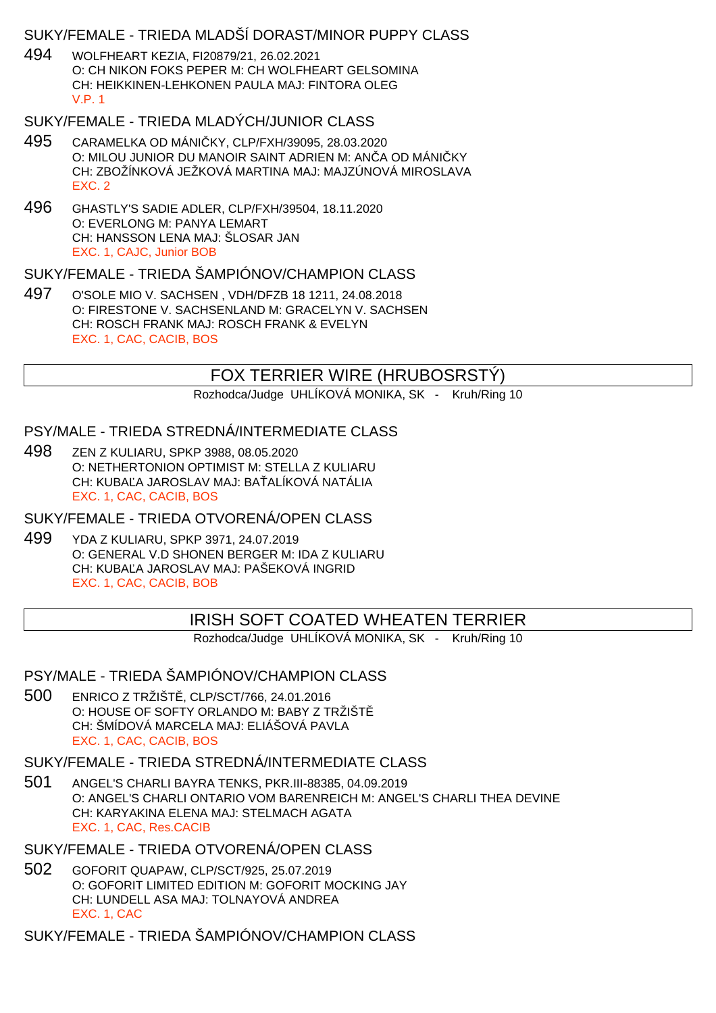## SUKY/FEMALE - TRIEDA MLADŠÍ DORAST/MINOR PUPPY CLASS

- 494 WOLFHEART KEZIA, FI20879/21, 26.02.2021 O: CH NIKON FOKS PEPER M: CH WOLFHEART GELSOMINA CH: HEIKKINEN-LEHKONEN PAULA MAJ: FINTORA OLEG V.P. 1
- SUKY/FEMALE TRIEDA MLADÝCH/JUNIOR CLASS
- 495 CARAMELKA OD MÁNIKY, CLP/FXH/39095, 28.03.2020 O: MILOU JUNIOR DU MANOIR SAINT ADRIEN M: AN A OD MÁNICKY CH: ZBOŽÍNKOVÁ JEŽKOVÁ MARTINA MAJ: MAJZÚNOVÁ MIROSLAVA EXC. 2
- 496 GHASTLY'S SADIE ADLER, CLP/FXH/39504, 18.11.2020 O: EVERLONG M: PANYA LEMART CH: HANSSON LENA MAJ: ŠLOSAR JAN EXC. 1, CAJC, Junior BOB

#### SUKY/FEMALE - TRIEDA ŠAMPIÓNOV/CHAMPION CLASS

497 O'SOLE MIO V. SACHSEN , VDH/DFZB 18 1211, 24.08.2018 O: FIRESTONE V. SACHSENLAND M: GRACELYN V. SACHSEN CH: ROSCH FRANK MAJ: ROSCH FRANK & EVELYN EXC. 1, CAC, CACIB, BOS

## FOX TERRIER WIRE (HRUBOSRSTÝ)

Rozhodca/Judge UHLÍKOVÁ MONIKA, SK - Kruh/Ring 10

#### PSY/MALE - TRIEDA STREDNÁ/INTERMEDIATE CLASS

498 ZEN Z KULIARU, SPKP 3988, 08.05.2020 O: NETHERTONION OPTIMIST M: STELLA Z KULIARU CH: KUBA A JAROSLAV MAJ: BA ALÍKOVÁ NATÁLIA EXC. 1, CAC, CACIB, BOS

SUKY/FEMALE - TRIEDA OTVORENÁ/OPEN CLASS

499 YDA Z KULIARU, SPKP 3971, 24.07.2019 O: GENERAL V.D SHONEN BERGER M: IDA Z KULIARU CH: KUBA A JAROSLAV MAJ: PAŠEKOVÁ INGRID EXC. 1, CAC, CACIB, BOB

## IRISH SOFT COATED WHEATEN TERRIER

Rozhodca/Judge UHLÍKOVÁ MONIKA, SK - Kruh/Ring 10

#### PSY/MALE - TRIEDA ŠAMPIÓNOV/CHAMPION CLASS

500 ENRICO Z TRŽIŠT, CLP/SCT/766, 24.01.2016 O: HOUSE OF SOFTY ORLANDO M: BABY Z TRŽIŠT CH: ŠMÍDOVÁ MARCELA MAJ: ELIÁŠOVÁ PAVLA EXC. 1, CAC, CACIB, BOS

### SUKY/FEMALE - TRIEDA STREDNÁ/INTERMEDIATE CLASS

501 ANGEL'S CHARLI BAYRA TENKS, PKR.III-88385, 04.09.2019 O: ANGEL'S CHARLI ONTARIO VOM BARENREICH M: ANGEL'S CHARLI THEA DEVINE CH: KARYAKINA ELENA MAJ: STELMACH AGATA EXC. 1, CAC, Res.CACIB

## SUKY/FEMALE - TRIEDA OTVORENÁ/OPEN CLASS

502 GOFORIT QUAPAW, CLP/SCT/925, 25.07.2019 O: GOFORIT LIMITED EDITION M: GOFORIT MOCKING JAY CH: LUNDELL ASA MAJ: TOLNAYOVÁ ANDREA EXC. 1, CAC

SUKY/FEMALE - TRIEDA ŠAMPIÓNOV/CHAMPION CLASS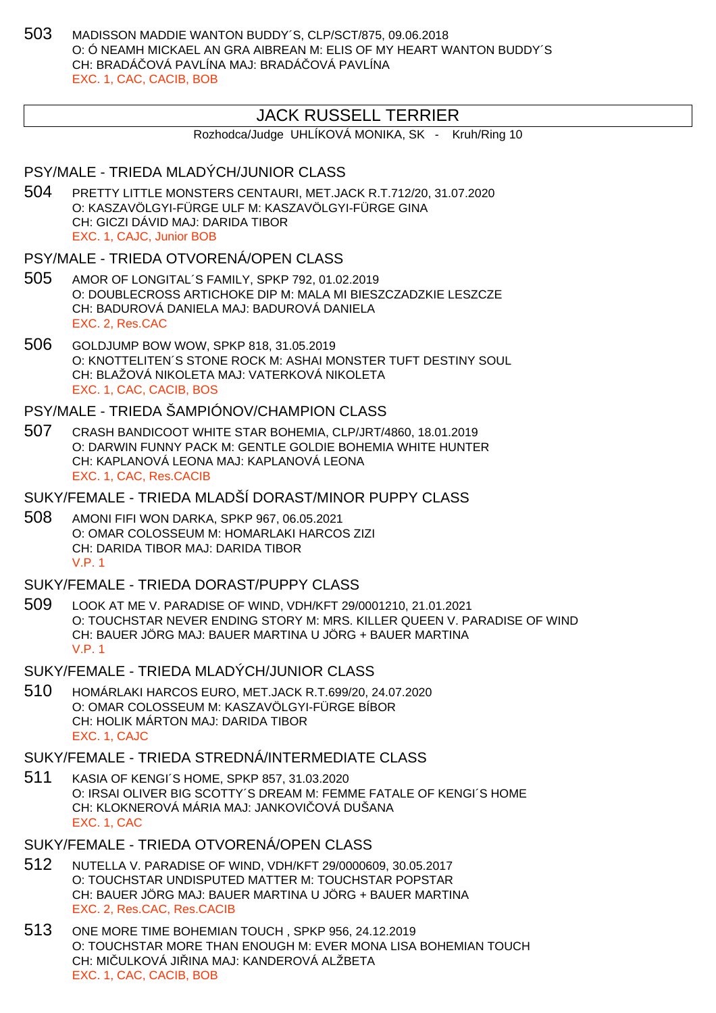503 MADISSON MADDIE WANTON BUDDY´S, CLP/SCT/875, 09.06.2018 O: Ó NEAMH MICKAEL AN GRA AIBREAN M: ELIS OF MY HEART WANTON BUDDY´S CH: BRADÁ ČOVÁ PAVLÍNA MAJ: BRADÁ ČOVÁ PAVLÍNA EXC. 1, CAC, CACIB, BOB

## JACK RUSSELL TERRIER

Rozhodca/Judge UHLÍKOVÁ MONIKA, SK - Kruh/Ring 10

## PSY/MALE - TRIEDA MLADÝCH/JUNIOR CLASS

504 PRETTY LITTLE MONSTERS CENTAURI, MET.JACK R.T.712/20, 31.07.2020 O: KASZAVÖLGYI-FÜRGE ULF M: KASZAVÖLGYI-FÜRGE GINA CH: GICZI DÁVID MAJ: DARIDA TIBOR EXC. 1, CAJC, Junior BOB

#### PSY/MALE - TRIEDA OTVORENÁ/OPEN CLASS

- 505 AMOR OF LONGITAL´S FAMILY, SPKP 792, 01.02.2019 O: DOUBLECROSS ARTICHOKE DIP M: MALA MI BIESZCZADZKIE LESZCZE CH: BADUROVÁ DANIELA MAJ: BADUROVÁ DANIELA EXC. 2, Res.CAC
- 506 GOLDJUMP BOW WOW, SPKP 818, 31.05.2019 O: KNOTTELITEN´S STONE ROCK M: ASHAI MONSTER TUFT DESTINY SOUL CH: BLAŽOVÁ NIKOLETA MAJ: VATERKOVÁ NIKOLETA EXC. 1, CAC, CACIB, BOS

## PSY/MALE - TRIEDA ŠAMPIÓNOV/CHAMPION CLASS

507 CRASH BANDICOOT WHITE STAR BOHEMIA, CLP/JRT/4860, 18.01.2019 O: DARWIN FUNNY PACK M: GENTLE GOLDIE BOHEMIA WHITE HUNTER CH: KAPLANOVÁ LEONA MAJ: KAPLANOVÁ LEONA EXC. 1, CAC, Res.CACIB

## SUKY/FEMALE - TRIEDA MLADŠÍ DORAST/MINOR PUPPY CLASS

508 AMONI FIFI WON DARKA, SPKP 967, 06.05.2021 O: OMAR COLOSSEUM M: HOMARLAKI HARCOS ZIZI CH: DARIDA TIBOR MAJ: DARIDA TIBOR V.P. 1

#### SUKY/FEMALE - TRIEDA DORAST/PUPPY CLASS

509 LOOK AT ME V. PARADISE OF WIND, VDH/KFT 29/0001210, 21.01.2021 O: TOUCHSTAR NEVER ENDING STORY M: MRS. KILLER QUEEN V. PARADISE OF WIND CH: BAUER JÖRG MAJ: BAUER MARTINA U JÖRG + BAUER MARTINA V.P. 1

#### SUKY/FEMALE - TRIEDA MLADÝCH/JUNIOR CLASS

510 HOMÁRLAKI HARCOS EURO, MET.JACK R.T.699/20, 24.07.2020 O: OMAR COLOSSEUM M: KASZAVÖLGYI-FÜRGE BÍBOR CH: HOLIK MÁRTON MAJ: DARIDA TIBOR EXC. 1, CAJC

## SUKY/FEMALE - TRIEDA STREDNÁ/INTERMEDIATE CLASS

511 KASIA OF KENGI´S HOME, SPKP 857, 31.03.2020 O: IRSAI OLIVER BIG SCOTTY´S DREAM M: FEMME FATALE OF KENGI´S HOME CH: KLOKNEROVÁ MÁRIA MAJ: JANKOVI OVÁ DUŠANA EXC. 1, CAC

## SUKY/FEMALE - TRIEDA OTVORENÁ/OPEN CLASS

- 512 NUTELLA V. PARADISE OF WIND, VDH/KFT 29/0000609, 30.05.2017 O: TOUCHSTAR UNDISPUTED MATTER M: TOUCHSTAR POPSTAR CH: BAUER JÖRG MAJ: BAUER MARTINA U JÖRG + BAUER MARTINA EXC. 2, Res.CAC, Res.CACIB
- 513 ONE MORE TIME BOHEMIAN TOUCH , SPKP 956, 24.12.2019 O: TOUCHSTAR MORE THAN ENOUGH M: EVER MONA LISA BOHEMIAN TOUCH CH: MIČULKOVÁ JIČINA MAJ: KANDEROVÁ ALŽBETA EXC. 1, CAC, CACIB, BOB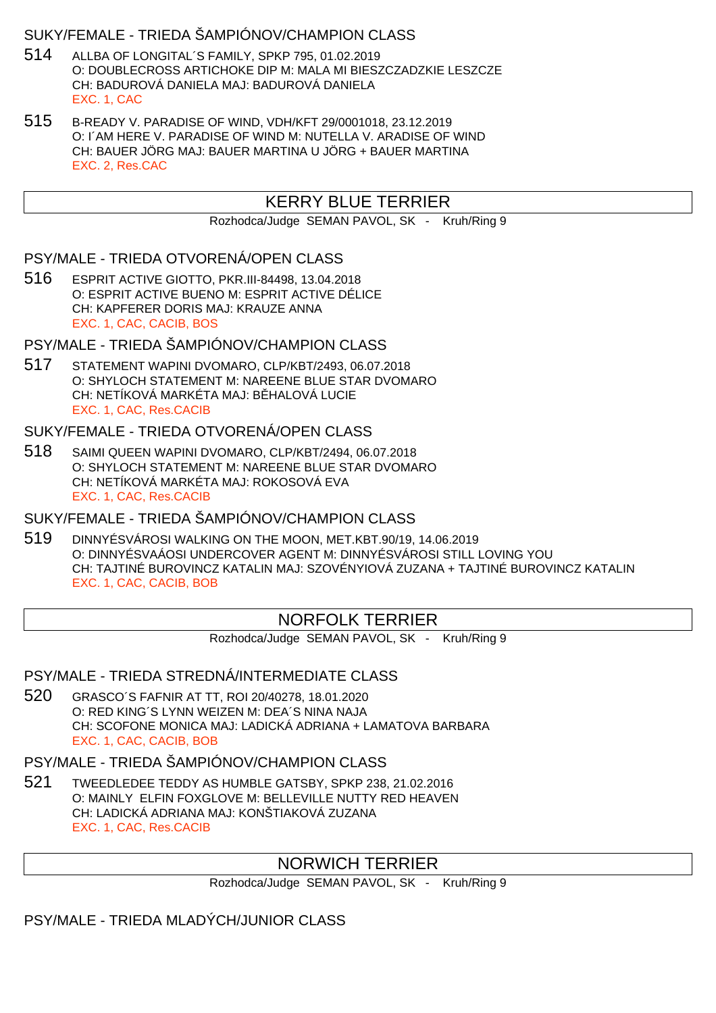### SUKY/FEMALE - TRIEDA ŠAMPIÓNOV/CHAMPION CLASS

- 514 ALLBA OF LONGITAL´S FAMILY, SPKP 795, 01.02.2019 O: DOUBLECROSS ARTICHOKE DIP M: MALA MI BIESZCZADZKIE LESZCZE CH: BADUROVÁ DANIELA MAJ: BADUROVÁ DANIELA EXC. 1, CAC
- 515 B-READY V. PARADISE OF WIND, VDH/KFT 29/0001018, 23.12.2019 O: I´AM HERE V. PARADISE OF WIND M: NUTELLA V. ARADISE OF WIND CH: BAUER JÖRG MAJ: BAUER MARTINA U JÖRG + BAUER MARTINA EXC. 2, Res.CAC

# KERRY BLUE TERRIER

Rozhodca/Judge SEMAN PAVOL, SK - Kruh/Ring 9

PSY/MALE - TRIEDA OTVORENÁ/OPEN CLASS

516 ESPRIT ACTIVE GIOTTO, PKR.III-84498, 13.04.2018 O: ESPRIT ACTIVE BUENO M: ESPRIT ACTIVE DÉLICE CH: KAPFERER DORIS MAJ: KRAUZE ANNA EXC. 1, CAC, CACIB, BOS

PSY/MALE - TRIEDA ŠAMPIÓNOV/CHAMPION CLASS

517 STATEMENT WAPINI DVOMARO, CLP/KBT/2493, 06.07.2018 O: SHYLOCH STATEMENT M: NAREENE BLUE STAR DVOMARO CH: NETÍKOVÁ MARKÉTA MAJ: B. HALOVÁ LUCIE EXC. 1, CAC, Res.CACIB

SUKY/FEMALE - TRIEDA OTVORENÁ/OPEN CLASS

518 SAIMI QUEEN WAPINI DVOMARO, CLP/KBT/2494, 06.07.2018 O: SHYLOCH STATEMENT M: NAREENE BLUE STAR DVOMARO CH: NETÍKOVÁ MARKÉTA MAJ: ROKOSOVÁ EVA EXC. 1, CAC, Res.CACIB

SUKY/FEMALE - TRIEDA ŠAMPIÓNOV/CHAMPION CLASS

519 DINNYÉSVÁROSI WALKING ON THE MOON, MET.KBT.90/19, 14.06.2019 O: DINNYÉSVAÁOSI UNDERCOVER AGENT M: DINNYÉSVÁROSI STILL LOVING YOU CH: TAJTINÉ BUROVINCZ KATALIN MAJ: SZOVÉNYIOVÁ ZUZANA + TAJTINÉ BUROVINCZ KATALIN EXC. 1, CAC, CACIB, BOB

# NORFOLK TERRIER

Rozhodca/Judge SEMAN PAVOL, SK - Kruh/Ring 9

## PSY/MALE - TRIEDA STREDNÁ/INTERMEDIATE CLASS

520 GRASCO´S FAFNIR AT TT, ROI 20/40278, 18.01.2020 O: RED KING´S LYNN WEIZEN M: DEA´S NINA NAJA CH: SCOFONE MONICA MAJ: LADICKÁ ADRIANA + LAMATOVA BARBARA EXC. 1, CAC, CACIB, BOB

# PSY/MALE - TRIEDA ŠAMPIÓNOV/CHAMPION CLASS

521 TWEEDLEDEE TEDDY AS HUMBLE GATSBY, SPKP 238, 21.02.2016 O: MAINLY ELFIN FOXGLOVE M: BELLEVILLE NUTTY RED HEAVEN CH: LADICKÁ ADRIANA MAJ: KONŠTIAKOVÁ ZUZANA EXC. 1, CAC, Res.CACIB

# NORWICH TERRIER

Rozhodca/Judge SEMAN PAVOL, SK - Kruh/Ring 9

PSY/MALE - TRIEDA MLADÝCH/JUNIOR CLASS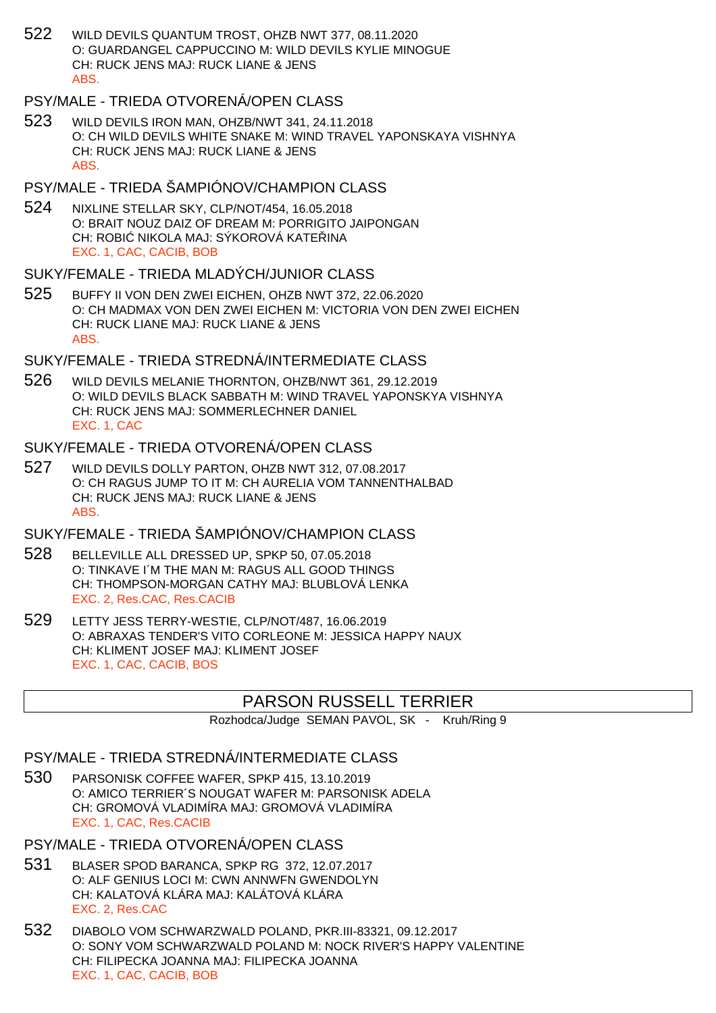522 WILD DEVILS QUANTUM TROST, OHZB NWT 377, 08.11.2020 O: GUARDANGEL CAPPUCCINO M: WILD DEVILS KYLIE MINOGUE CH: RUCK JENS MAJ: RUCK LIANE & JENS ABS.

## PSY/MALE - TRIEDA OTVORENÁ/OPEN CLASS

523 WILD DEVILS IRON MAN, OHZB/NWT 341, 24.11.2018 O: CH WILD DEVILS WHITE SNAKE M: WIND TRAVEL YAPONSKAYA VISHNYA CH: RUCK JENS MAJ: RUCK LIANE & JENS ABS.

### PSY/MALE - TRIEDA ŠAMPIÓNOV/CHAMPION CLASS

524 NIXLINE STELLAR SKY, CLP/NOT/454, 16.05.2018 O: BRAIT NOUZ DAIZ OF DREAM M: PORRIGITO JAIPONGAN CH: ROBI NIKOLA MAJ: SÝKOROVÁ KATE INA EXC. 1, CAC, CACIB, BOB

## SUKY/FEMALE - TRIEDA MLADÝCH/JUNIOR CLASS

525 BUFFY II VON DEN ZWEI EICHEN, OHZB NWT 372, 22.06.2020 O: CH MADMAX VON DEN ZWEI EICHEN M: VICTORIA VON DEN ZWEI EICHEN CH: RUCK LIANE MAJ: RUCK LIANE & JENS ABS.

#### SUKY/FEMALE - TRIEDA STREDNÁ/INTERMEDIATE CLASS

526 WILD DEVILS MELANIE THORNTON, OHZB/NWT 361, 29.12.2019 O: WILD DEVILS BLACK SABBATH M: WIND TRAVEL YAPONSKYA VISHNYA CH: RUCK JENS MAJ: SOMMERLECHNER DANIEL EXC. 1, CAC

#### SUKY/FEMALE - TRIEDA OTVORENÁ/OPEN CLASS

527 WILD DEVILS DOLLY PARTON, OHZB NWT 312, 07.08.2017 O: CH RAGUS JUMP TO IT M: CH AURELIA VOM TANNENTHALBAD CH: RUCK JENS MAJ: RUCK LIANE & JENS ABS.

### SUKY/FEMALE - TRIEDA ŠAMPIÓNOV/CHAMPION CLASS

- 528 BELLEVILLE ALL DRESSED UP, SPKP 50, 07.05.2018 O: TINKAVE I´M THE MAN M: RAGUS ALL GOOD THINGS CH: THOMPSON-MORGAN CATHY MAJ: BLUBLOVÁ LENKA EXC. 2, Res.CAC, Res.CACIB
- 529 LETTY JESS TERRY-WESTIE, CLP/NOT/487, 16.06.2019 O: ABRAXAS TENDER'S VITO CORLEONE M: JESSICA HAPPY NAUX CH: KLIMENT JOSEF MAJ: KLIMENT JOSEF EXC. 1, CAC, CACIB, BOS

## PARSON RUSSELL TERRIER

Rozhodca/Judge SEMAN PAVOL, SK - Kruh/Ring 9

### PSY/MALE - TRIEDA STREDNÁ/INTERMEDIATE CLASS

530 PARSONISK COFFEE WAFER, SPKP 415, 13.10.2019 O: AMICO TERRIER´S NOUGAT WAFER M: PARSONISK ADELA CH: GROMOVÁ VLADIMÍRA MAJ: GROMOVÁ VLADIMÍRA EXC. 1, CAC, Res.CACIB

## PSY/MALE - TRIEDA OTVORENÁ/OPEN CLASS

- 531 BLASER SPOD BARANCA, SPKP RG 372, 12.07.2017 O: ALF GENIUS LOCI M: CWN ANNWFN GWENDOLYN CH: KALATOVÁ KLÁRA MAJ: KALÁTOVÁ KLÁRA EXC. 2, Res.CAC
- 532 DIABOLO VOM SCHWARZWALD POLAND, PKR.III-83321, 09.12.2017 O: SONY VOM SCHWARZWALD POLAND M: NOCK RIVER'S HAPPY VALENTINE CH: FILIPECKA JOANNA MAJ: FILIPECKA JOANNA EXC. 1, CAC, CACIB, BOB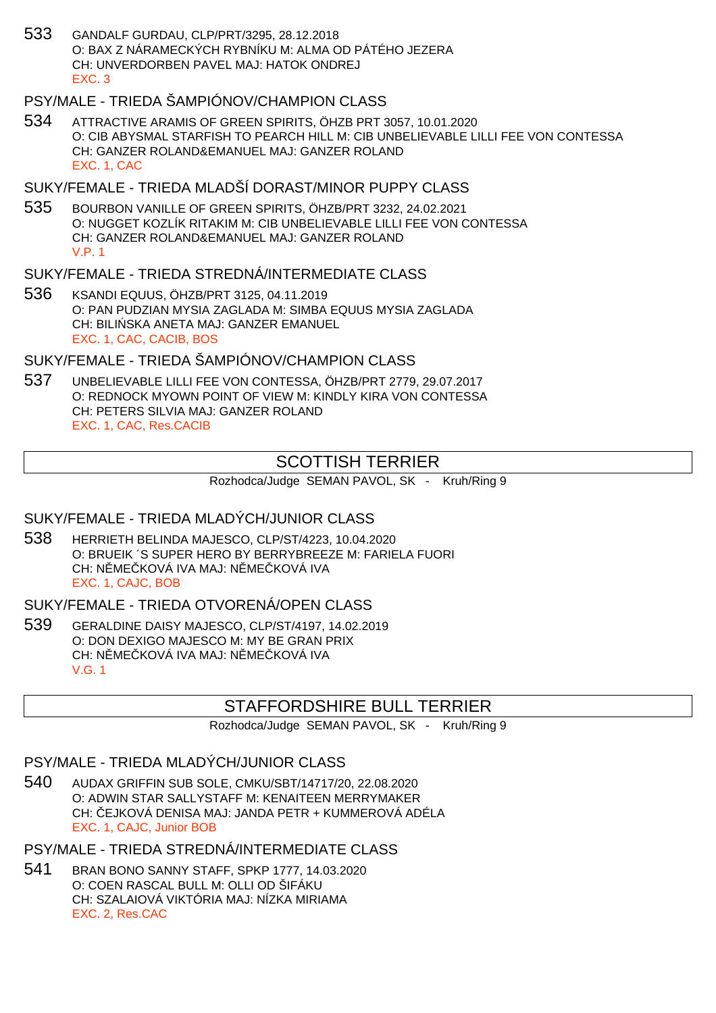533 GANDALF GURDAU, CLP/PRT/3295, 28.12.2018 O: BAX Z NÁRAMECKÝCH RYBNÍKU M: ALMA OD PÁTÉHO JEZERA CH: UNVERDORBEN PAVEL MAJ: HATOK ONDREJ EXC. 3

## PSY/MALE - TRIEDA ŠAMPIÓNOV/CHAMPION CLASS

534 ATTRACTIVE ARAMIS OF GREEN SPIRITS, ÖHZB PRT 3057, 10.01.2020 O: CIB ABYSMAL STARFISH TO PEARCH HILL M: CIB UNBELIEVABLE LILLI FEE VON CONTESSA CH: GANZER ROLAND&EMANUEL MAJ: GANZER ROLAND EXC. 1, CAC

## SUKY/FEMALE - TRIEDA MLADŠÍ DORAST/MINOR PUPPY CLASS

535 BOURBON VANILLE OF GREEN SPIRITS, ÖHZB/PRT 3232, 24.02.2021 O: NUGGET KOZLÍK RITAKIM M: CIB UNBELIEVABLE LILLI FEE VON CONTESSA CH: GANZER ROLAND&EMANUEL MAJ: GANZER ROLAND V.P. 1

#### SUKY/FEMALE - TRIEDA STREDNÁ/INTERMEDIATE CLASS

536 KSANDI EQUUS, ÖHZB/PRT 3125, 04.11.2019 O: PAN PUDZIAN MYSIA ZAGLADA M: SIMBA EQUUS MYSIA ZAGLADA CH: BILI SKA ANETA MAJ: GANZER EMANUEL EXC. 1, CAC, CACIB, BOS

### SUKY/FEMALE - TRIEDA ŠAMPIÓNOV/CHAMPION CLASS

537 UNBELIEVABLE LILLI FEE VON CONTESSA, ÖHZB/PRT 2779, 29.07.2017 O: REDNOCK MYOWN POINT OF VIEW M: KINDLY KIRA VON CONTESSA CH: PETERS SILVIA MAJ: GANZER ROLAND EXC. 1, CAC, Res.CACIB

## SCOTTISH TERRIER

Rozhodca/Judge SEMAN PAVOL, SK - Kruh/Ring 9

#### SUKY/FEMALE - TRIEDA MLADÝCH/JUNIOR CLASS

538 HERRIETH BELINDA MAJESCO, CLP/ST/4223, 10.04.2020 O: BRUEIK ´S SUPER HERO BY BERRYBREEZE M: FARIELA FUORI CH: N ME KOVÁ IVA MAJ: N ME KOVÁ IVA EXC. 1, CAJC, BOB

### SUKY/FEMALE - TRIEDA OTVORENÁ/OPEN CLASS

539 GERALDINE DAISY MAJESCO, CLP/ST/4197, 14.02.2019 O: DON DEXIGO MAJESCO M: MY BE GRAN PRIX CH: NŘMEČKOVÁ IVA MAJ: NŘMEČKOVÁ IVA V.G. 1

## STAFFORDSHIRE BULL TERRIER

Rozhodca/Judge SEMAN PAVOL, SK - Kruh/Ring 9

## PSY/MALE - TRIEDA MLADÝCH/JUNIOR CLASS

540 AUDAX GRIFFIN SUB SOLE, CMKU/SBT/14717/20, 22.08.2020 O: ADWIN STAR SALLYSTAFF M: KENAITEEN MERRYMAKER CH: ČEJKOVÁ DENISA MAJ: JANDA PETR + KUMMEROVÁ ADÉLA EXC. 1, CAJC, Junior BOB

## PSY/MALE - TRIEDA STREDNÁ/INTERMEDIATE CLASS

541 BRAN BONO SANNY STAFF, SPKP 1777, 14.03.2020 O: COEN RASCAL BULL M: OLLI OD ŠIFÁKU CH: SZALAIOVÁ VIKTÓRIA MAJ: NÍZKA MIRIAMA EXC. 2, Res.CAC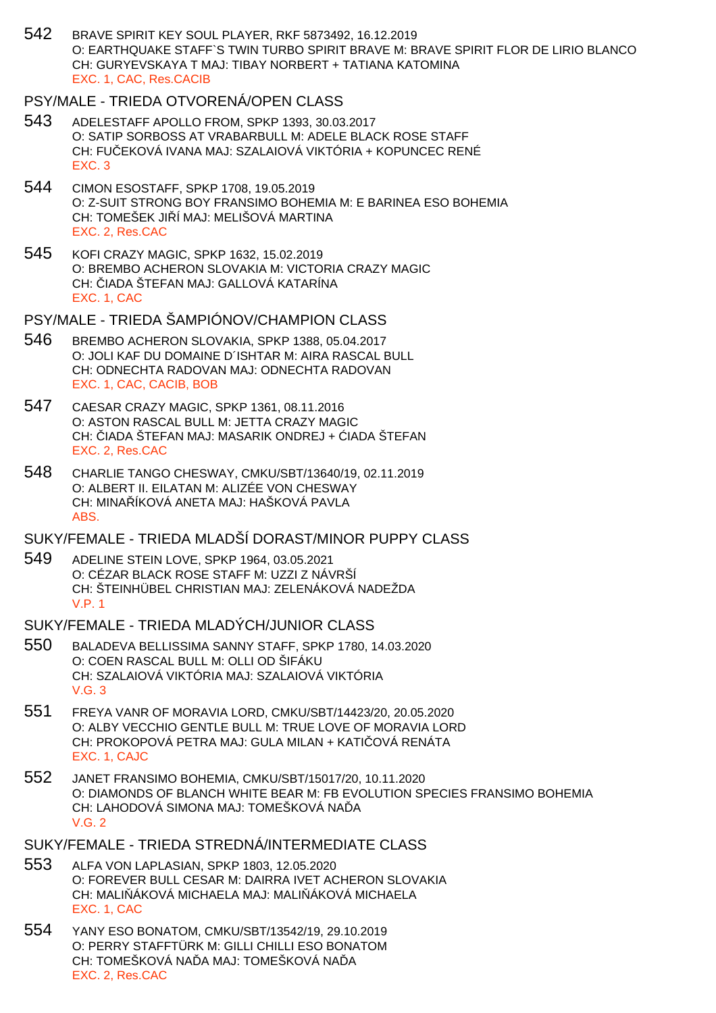542 BRAVE SPIRIT KEY SOUL PLAYER, RKF 5873492, 16.12.2019 O: EARTHQUAKE STAFF`S TWIN TURBO SPIRIT BRAVE M: BRAVE SPIRIT FLOR DE LIRIO BLANCO CH: GURYEVSKAYA T MAJ: TIBAY NORBERT + TATIANA KATOMINA EXC. 1, CAC, Res.CACIB

### PSY/MALE - TRIEDA OTVORENÁ/OPEN CLASS

- 543 ADELESTAFF APOLLO FROM, SPKP 1393, 30.03.2017 O: SATIP SORBOSS AT VRABARBULL M: ADELE BLACK ROSE STAFF CH: FU EKOVÁ IVANA MAJ: SZALAIOVÁ VIKTÓRIA + KOPUNCEC RENÉ EXC. 3
- 544 CIMON ESOSTAFF, SPKP 1708, 19.05.2019 O: Z-SUIT STRONG BOY FRANSIMO BOHEMIA M: E BARINEA ESO BOHEMIA CH: TOMEŠEK JI Í MAJ: MELIŠOVÁ MARTINA EXC. 2, Res.CAC
- 545 KOFI CRAZY MAGIC, SPKP 1632, 15.02.2019 O: BREMBO ACHERON SLOVAKIA M: VICTORIA CRAZY MAGIC CH: IADA ŠTEFAN MAJ: GALLOVÁ KATARÍNA EXC. 1, CAC
- PSY/MALE TRIEDA ŠAMPIÓNOV/CHAMPION CLASS
- 546 BREMBO ACHERON SLOVAKIA, SPKP 1388, 05.04.2017 O: JOLI KAF DU DOMAINE D´ISHTAR M: AIRA RASCAL BULL CH: ODNECHTA RADOVAN MAJ: ODNECHTA RADOVAN EXC. 1, CAC, CACIB, BOB
- 547 CAESAR CRAZY MAGIC, SPKP 1361, 08.11.2016 O: ASTON RASCAL BULL M: JETTA CRAZY MAGIC CH: IADA ŠTEFAN MAJ: MASARIK ONDREJ + IADA ŠTEFAN EXC. 2, Res.CAC
- 548 CHARLIE TANGO CHESWAY, CMKU/SBT/13640/19, 02.11.2019 O: ALBERT II. EILATAN M: ALIZÉE VON CHESWAY CH: MINA ÍKOVÁ ANETA MAJ: HAŠKOVÁ PAVLA ABS.
- SUKY/FEMALE TRIEDA MLADŠÍ DORAST/MINOR PUPPY CLASS
- 549 ADELINE STEIN LOVE, SPKP 1964, 03.05.2021 O: CÉZAR BLACK ROSE STAFF M: UZZI Z NÁVRŠÍ CH: ŠTEINHÜBEL CHRISTIAN MAJ: ZELENÁKOVÁ NADEŽDA V.P. 1
- SUKY/FEMALE TRIEDA MLADÝCH/JUNIOR CLASS
- 550 BALADEVA BELLISSIMA SANNY STAFF, SPKP 1780, 14.03.2020 O: COEN RASCAL BULL M: OLLI OD ŠIFÁKU CH: SZALAIOVÁ VIKTÓRIA MAJ: SZALAIOVÁ VIKTÓRIA V.G. 3
- 551 FREYA VANR OF MORAVIA LORD, CMKU/SBT/14423/20, 20.05.2020 O: ALBY VECCHIO GENTLE BULL M: TRUE LOVE OF MORAVIA LORD CH: PROKOPOVÁ PETRA MAJ: GULA MILAN + KATI OVÁ RENÁTA EXC. 1, CAJC
- 552 JANET FRANSIMO BOHEMIA, CMKU/SBT/15017/20, 10.11.2020 O: DIAMONDS OF BLANCH WHITE BEAR M: FB EVOLUTION SPECIES FRANSIMO BOHEMIA CH: LAHODOVÁ SIMONA MAJ: TOMEŠKOVÁ NA A V.G. 2
- SUKY/FEMALE TRIEDA STREDNÁ/INTERMEDIATE CLASS
- 553 ALFA VON LAPLASIAN, SPKP 1803, 12.05.2020 O: FOREVER BULL CESAR M: DAIRRA IVET ACHERON SLOVAKIA CH: MALI ÁKOVÁ MICHAELA MAJ: MALI ÁKOVÁ MICHAELA EXC. 1, CAC
- 554 YANY ESO BONATOM, CMKU/SBT/13542/19, 29.10.2019 O: PERRY STAFFTÜRK M: GILLI CHILLI ESO BONATOM CH: TOMEŠKOVÁ NA LA MAJ: TOMEŠKOVÁ NA LA EXC. 2, Res.CAC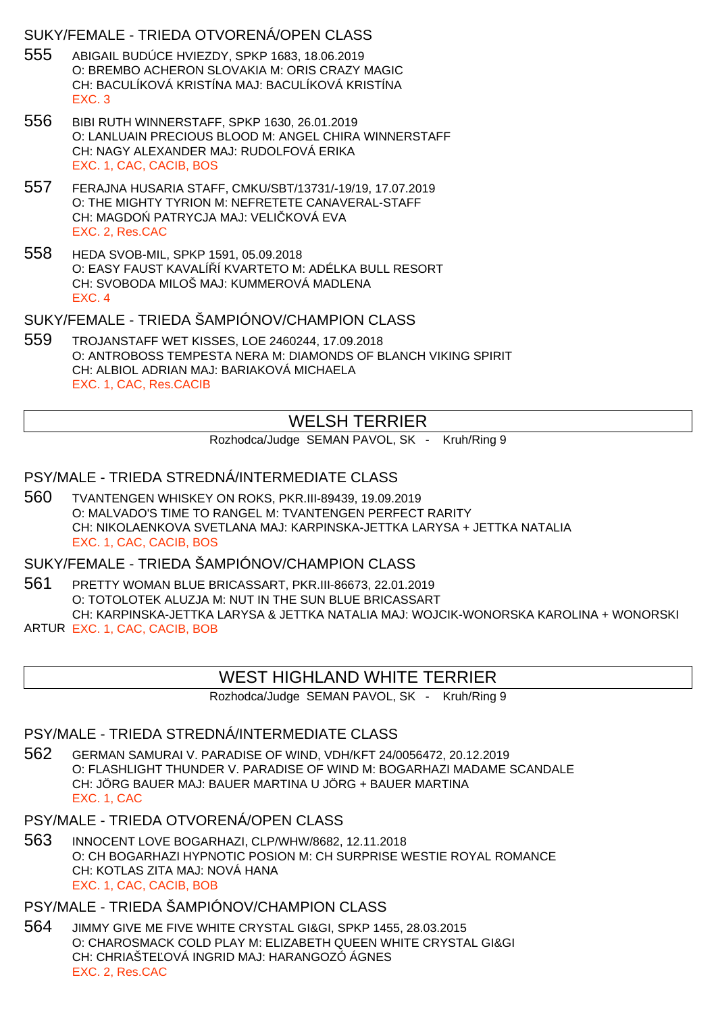## SUKY/FEMALE - TRIEDA OTVORENÁ/OPEN CLASS

- 555 ABIGAIL BUDÚCE HVIEZDY, SPKP 1683, 18.06.2019 O: BREMBO ACHERON SLOVAKIA M: ORIS CRAZY MAGIC CH: BACULÍKOVÁ KRISTÍNA MAJ: BACULÍKOVÁ KRISTÍNA EXC. 3
- 556 BIBI RUTH WINNERSTAFF, SPKP 1630, 26.01.2019 O: LANLUAIN PRECIOUS BLOOD M: ANGEL CHIRA WINNERSTAFF CH: NAGY ALEXANDER MAJ: RUDOLFOVÁ ERIKA EXC. 1, CAC, CACIB, BOS
- 557 FERAJNA HUSARIA STAFF, CMKU/SBT/13731/-19/19, 17.07.2019 O: THE MIGHTY TYRION M: NEFRETETE CANAVERAL-STAFF CH: MAGDO PATRYCJA MAJ: VELI KOVÁ EVA EXC. 2, Res.CAC
- 558 HEDA SVOB-MIL, SPKP 1591, 05.09.2018 O: EASY FAUST KAVALÍ Í KVARTETO M: ADÉLKA BULL RESORT CH: SVOBODA MILOŠ MAJ: KUMMEROVÁ MADLENA EXC. 4

SUKY/FEMALE - TRIEDA ŠAMPIÓNOV/CHAMPION CLASS

559 TROJANSTAFF WET KISSES, LOE 2460244, 17.09.2018 O: ANTROBOSS TEMPESTA NERA M: DIAMONDS OF BLANCH VIKING SPIRIT CH: ALBIOL ADRIAN MAJ: BARIAKOVÁ MICHAELA EXC. 1, CAC, Res.CACIB

## WELSH TERRIER

Rozhodca/Judge SEMAN PAVOL, SK - Kruh/Ring 9

## PSY/MALE - TRIEDA STREDNÁ/INTERMEDIATE CLASS

560 TVANTENGEN WHISKEY ON ROKS, PKR.III-89439, 19.09.2019 O: MALVADO'S TIME TO RANGEL M: TVANTENGEN PERFECT RARITY CH: NIKOLAENKOVA SVETLANA MAJ: KARPINSKA-JETTKA LARYSA + JETTKA NATALIA EXC. 1, CAC, CACIB, BOS

### SUKY/FEMALE - TRIEDA ŠAMPIÓNOV/CHAMPION CLASS

561 PRETTY WOMAN BLUE BRICASSART, PKR.III-86673, 22.01.2019 O: TOTOLOTEK ALUZJA M: NUT IN THE SUN BLUE BRICASSART CH: KARPINSKA-JETTKA LARYSA & JETTKA NATALIA MAJ: WOJCIK-WONORSKA KAROLINA + WONORSKI ARTUR EXC. 1, CAC, CACIB, BOB

## WEST HIGHLAND WHITE TERRIER

Rozhodca/Judge SEMAN PAVOL, SK - Kruh/Ring 9

## PSY/MALE - TRIEDA STREDNÁ/INTERMEDIATE CLASS

562 GERMAN SAMURAI V. PARADISE OF WIND, VDH/KFT 24/0056472, 20.12.2019 O: FLASHLIGHT THUNDER V. PARADISE OF WIND M: BOGARHAZI MADAME SCANDALE CH: JÖRG BAUER MAJ: BAUER MARTINA U JÖRG + BAUER MARTINA EXC. 1, CAC

## PSY/MALE - TRIEDA OTVORENÁ/OPEN CLASS

563 INNOCENT LOVE BOGARHAZI, CLP/WHW/8682, 12.11.2018 O: CH BOGARHAZI HYPNOTIC POSION M: CH SURPRISE WESTIE ROYAL ROMANCE CH: KOTLAS ZITA MAJ: NOVÁ HANA EXC. 1, CAC, CACIB, BOB

## PSY/MALE - TRIEDA ŠAMPIÓNOV/CHAMPION CLASS

564 JIMMY GIVE ME FIVE WHITE CRYSTAL GI&GI, SPKP 1455, 28.03.2015 O: CHAROSMACK COLD PLAY M: ELIZABETH QUEEN WHITE CRYSTAL GI&GI CH: CHRIAŠTE OVÁ INGRID MAJ: HARANGOZÓ ÁGNES EXC. 2, Res.CAC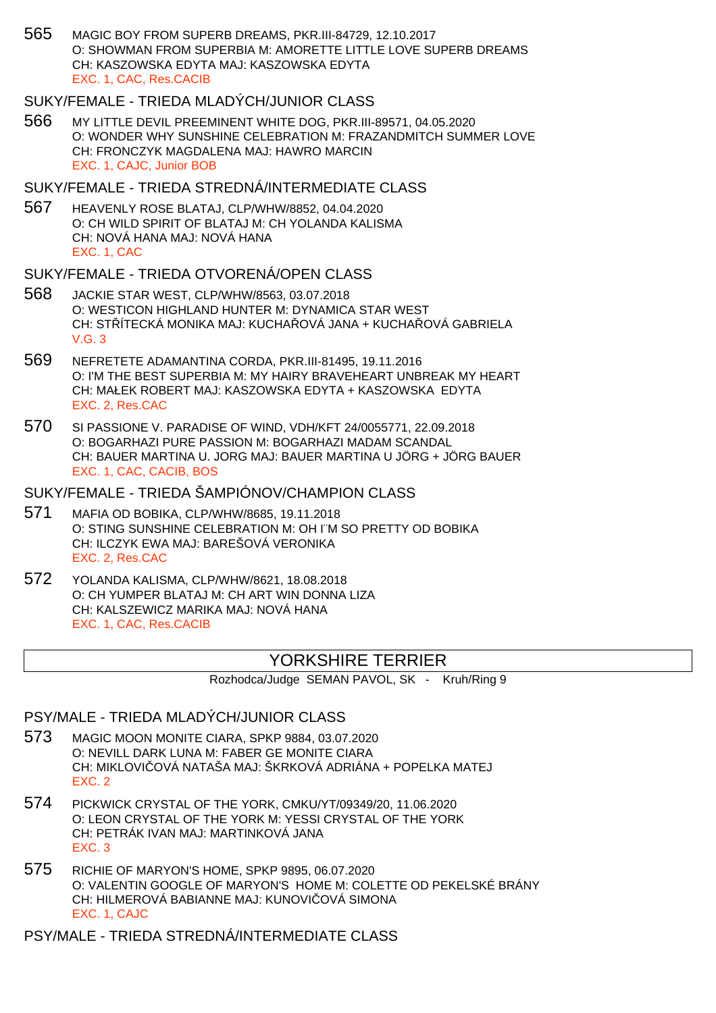565 MAGIC BOY FROM SUPERB DREAMS, PKR.III-84729, 12.10.2017 O: SHOWMAN FROM SUPERBIA M: AMORETTE LITTLE LOVE SUPERB DREAMS CH: KASZOWSKA EDYTA MAJ: KASZOWSKA EDYTA EXC. 1, CAC, Res.CACIB

#### SUKY/FEMALE - TRIEDA MLADÝCH/JUNIOR CLASS

566 MY LITTLE DEVIL PREEMINENT WHITE DOG, PKR.III-89571, 04.05.2020 O: WONDER WHY SUNSHINE CELEBRATION M: FRAZANDMITCH SUMMER LOVE CH: FRONCZYK MAGDALENA MAJ: HAWRO MARCIN EXC. 1, CAJC, Junior BOB

SUKY/FEMALE - TRIEDA STREDNÁ/INTERMEDIATE CLASS

567 HEAVENLY ROSE BLATAJ, CLP/WHW/8852, 04.04.2020 O: CH WILD SPIRIT OF BLATAJ M: CH YOLANDA KALISMA CH: NOVÁ HANA MAJ: NOVÁ HANA EXC. 1, CAC

#### SUKY/FEMALE - TRIEDA OTVORENÁ/OPEN CLASS

- 568 JACKIE STAR WEST, CLP/WHW/8563, 03.07.2018 O: WESTICON HIGHLAND HUNTER M: DYNAMICA STAR WEST CH: STÁTECKÁ MONIKA MAJ: KUCHA LOVÁ JANA + KUCHA LOVÁ GABRIELA  $V$  G  $3$
- 569 NEFRETETE ADAMANTINA CORDA, PKR.III-81495, 19.11.2016 O: I'M THE BEST SUPERBIA M: MY HAIRY BRAVEHEART UNBREAK MY HEART CH: MAŁEK ROBERT MAJ: KASZOWSKA EDYTA + KASZOWSKA EDYTA EXC. 2, Res.CAC
- 570 SI PASSIONE V. PARADISE OF WIND, VDH/KFT 24/0055771, 22.09.2018 O: BOGARHAZI PURE PASSION M: BOGARHAZI MADAM SCANDAL CH: BAUER MARTINA U. JORG MAJ: BAUER MARTINA U JÖRG + JÖRG BAUER EXC. 1, CAC, CACIB, BOS

SUKY/FEMALE - TRIEDA ŠAMPIÓNOV/CHAMPION CLASS

- 571 MAFIA OD BOBIKA, CLP/WHW/8685, 19.11.2018 O: STING SUNSHINE CELEBRATION M: OH I¨M SO PRETTY OD BOBIKA CH: ILCZYK EWA MAJ: BAREŠOVÁ VERONIKA EXC. 2, Res.CAC
- 572 YOLANDA KALISMA, CLP/WHW/8621, 18.08.2018 O: CH YUMPER BLATAJ M: CH ART WIN DONNA LIZA CH: KALSZEWICZ MARIKA MAJ: NOVÁ HANA EXC. 1, CAC, Res.CACIB

## YORKSHIRE TERRIER

Rozhodca/Judge SEMAN PAVOL, SK - Kruh/Ring 9

PSY/MALE - TRIEDA MLADÝCH/JUNIOR CLASS

- 573 MAGIC MOON MONITE CIARA, SPKP 9884, 03.07.2020 O: NEVILL DARK LUNA M: FABER GE MONITE CIARA CH: MIKLOVIČOVÁ NATAŠA MAJ: ŠKRKOVÁ ADRIÁNA + POPELKA MATEJ EXC. 2
- 574 PICKWICK CRYSTAL OF THE YORK, CMKU/YT/09349/20, 11.06.2020 O: LEON CRYSTAL OF THE YORK M: YESSI CRYSTAL OF THE YORK CH: PETRÁK IVAN MAJ: MARTINKOVÁ JANA EXC. 3
- 575 RICHIE OF MARYON'S HOME, SPKP 9895, 06.07.2020 O: VALENTIN GOOGLE OF MARYON'S HOME M: COLETTE OD PEKELSKÉ BRÁNY CH: HILMEROVÁ BABIANNE MAJ: KUNOVI OVÁ SIMONA EXC. 1, CAJC

PSY/MALE - TRIEDA STREDNÁ/INTERMEDIATE CLASS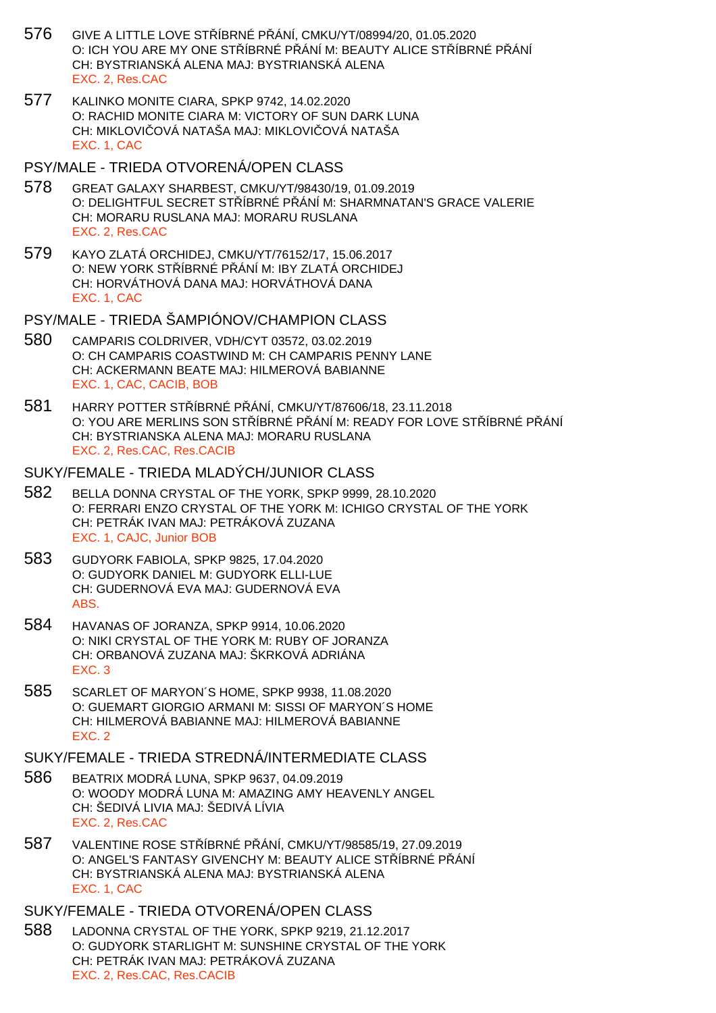- 576 GIVE A LITTLE LOVE STŘÍBRNÉ PŘÁNÍ, CMKU/YT/08994/20, 01.05.2020 O: ICH YOU ARE MY ONE STŘÍBRNÉ PŘÁNÍ M: BEAUTY ALICE STŘÍBRNÉ PŘÁNÍ CH: BYSTRIANSKÁ ALENA MAJ: BYSTRIANSKÁ ALENA EXC. 2, Res.CAC
- 577 KALINKO MONITE CIARA, SPKP 9742, 14.02.2020 O: RACHID MONITE CIARA M: VICTORY OF SUN DARK LUNA CH: MIKLOVI OVÁ NATAŠA MAJ: MIKLOVI OVÁ NATAŠA EXC. 1, CAC
- PSY/MALE TRIEDA OTVORENÁ/OPEN CLASS
- 578 GREAT GALAXY SHARBEST, CMKU/YT/98430/19, 01.09.2019 O: DELIGHTFUL SECRET ST ÍBRNÉ PÁNÍ M: SHARMNATAN'S GRACE VALERIE CH: MORARU RUSLANA MAJ: MORARU RUSLANA EXC. 2, Res.CAC
- 579 KAYO ZLATÁ ORCHIDEJ, CMKU/YT/76152/17, 15.06.2017 O: NEW YORK ST ÍBRNÉ PÁNÍ M: IBY ZLATÁ ORCHIDEJ CH: HORVÁTHOVÁ DANA MAJ: HORVÁTHOVÁ DANA EXC. 1, CAC
- PSY/MALE TRIEDA ŠAMPIÓNOV/CHAMPION CLASS
- 580 CAMPARIS COLDRIVER, VDH/CYT 03572, 03.02.2019 O: CH CAMPARIS COASTWIND M: CH CAMPARIS PENNY LANE CH: ACKERMANN BEATE MAJ: HILMEROVÁ BABIANNE EXC. 1, CAC, CACIB, BOB
- 581 HARRY POTTER STŘÍBRNÉ PŘÁNÍ, CMKU/YT/87606/18, 23.11.2018 O: YOU ARE MERLINS SON STÍBRNÉ PŘÁNÍ M: READY FOR LOVE STÍBRNÉ PŘÁNÍ CH: BYSTRIANSKA ALENA MAJ: MORARU RUSLANA EXC. 2, Res.CAC, Res.CACIB

#### SUKY/FEMALE - TRIEDA MLADÝCH/JUNIOR CLASS

- 582 BELLA DONNA CRYSTAL OF THE YORK, SPKP 9999, 28.10.2020 O: FERRARI ENZO CRYSTAL OF THE YORK M: ICHIGO CRYSTAL OF THE YORK CH: PETRÁK IVAN MAJ: PETRÁKOVÁ ZUZANA EXC. 1, CAJC, Junior BOB
- 583 GUDYORK FABIOLA, SPKP 9825, 17.04.2020 O: GUDYORK DANIEL M: GUDYORK ELLI-LUE CH: GUDERNOVÁ EVA MAJ: GUDERNOVÁ EVA ABS.
- 584 HAVANAS OF JORANZA, SPKP 9914, 10.06.2020 O: NIKI CRYSTAL OF THE YORK M: RUBY OF JORANZA CH: ORBANOVÁ ZUZANA MAJ: ŠKRKOVÁ ADRIÁNA EXC. 3
- 585 SCARLET OF MARYON´S HOME, SPKP 9938, 11.08.2020 O: GUEMART GIORGIO ARMANI M: SISSI OF MARYON´S HOME CH: HILMEROVÁ BABIANNE MAJ: HILMEROVÁ BABIANNE EXC. 2
- SUKY/FEMALE TRIEDA STREDNÁ/INTERMEDIATE CLASS
- 586 BEATRIX MODRÁ LUNA, SPKP 9637, 04.09.2019 O: WOODY MODRÁ LUNA M: AMAZING AMY HEAVENLY ANGEL CH: ŠEDIVÁ LIVIA MAJ: ŠEDIVÁ LÍVIA EXC. 2, Res.CAC
- 587 VALENTINE ROSE STÍBRNÉ PÁNÍ, CMKU/YT/98585/19, 27.09.2019 O: ANGEL'S FANTASY GIVENCHY M: BEAUTY ALICE ST ÍBRNÉ PÁNÍ CH: BYSTRIANSKÁ ALENA MAJ: BYSTRIANSKÁ ALENA EXC. 1, CAC
- SUKY/FEMALE TRIEDA OTVORENÁ/OPEN CLASS
- 588 LADONNA CRYSTAL OF THE YORK, SPKP 9219, 21.12.2017 O: GUDYORK STARLIGHT M: SUNSHINE CRYSTAL OF THE YORK CH: PETRÁK IVAN MAJ: PETRÁKOVÁ ZUZANA EXC. 2, Res.CAC, Res.CACIB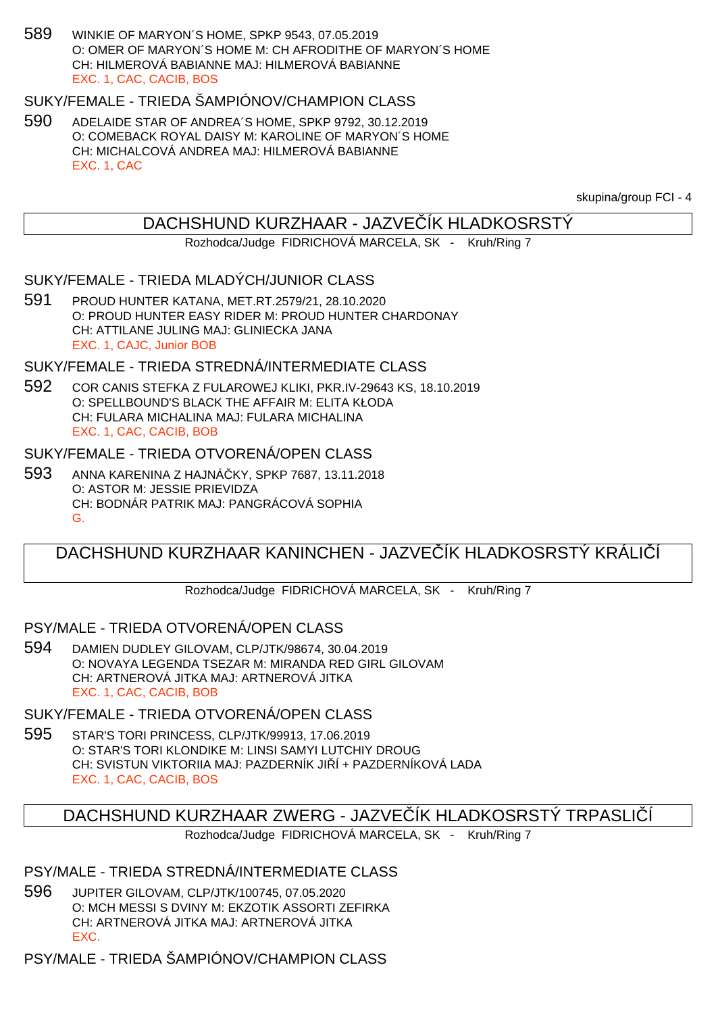589 WINKIE OF MARYON´S HOME, SPKP 9543, 07.05.2019 O: OMER OF MARYON´S HOME M: CH AFRODITHE OF MARYON´S HOME CH: HILMEROVÁ BABIANNE MAJ: HILMEROVÁ BABIANNE EXC. 1, CAC, CACIB, BOS

## SUKY/FEMALE - TRIEDA ŠAMPIÓNOV/CHAMPION CLASS

590 ADELAIDE STAR OF ANDREA´S HOME, SPKP 9792, 30.12.2019 O: COMEBACK ROYAL DAISY M: KAROLINE OF MARYON´S HOME CH: MICHALCOVÁ ANDREA MAJ: HILMEROVÁ BABIANNE EXC. 1, CAC

skupina/group FCI - 4

### DACHSHUND KURZHAAR - JAZVE ÍK HLADKOSRSTÝ

Rozhodca/Judge FIDRICHOVÁ MARCELA, SK - Kruh/Ring 7

#### SUKY/FEMALE - TRIEDA MLADÝCH/JUNIOR CLASS

591 PROUD HUNTER KATANA, MET.RT.2579/21, 28.10.2020 O: PROUD HUNTER EASY RIDER M: PROUD HUNTER CHARDONAY CH: ATTILANE JULING MAJ: GLINIECKA JANA EXC. 1, CAJC, Junior BOB

#### SUKY/FEMALE - TRIEDA STREDNÁ/INTERMEDIATE CLASS

592 COR CANIS STEFKA Z FULAROWEJ KLIKI, PKR.IV-29643 KS, 18.10.2019 O: SPELLBOUND'S BLACK THE AFFAIR M: ELITA KŁODA CH: FULARA MICHALINA MAJ: FULARA MICHALINA EXC. 1, CAC, CACIB, BOB

#### SUKY/FEMALE - TRIEDA OTVORENÁ/OPEN CLASS

593 ANNA KARENINA Z HAJNÁČKY, SPKP 7687, 13.11.2018 O: ASTOR M: JESSIE PRIEVIDZA CH: BODNÁR PATRIK MAJ: PANGRÁCOVÁ SOPHIA G.

## DACHSHUND KURZHAAR KANINCHEN - JAZVE ÍK HLADKOSRSTÝ KRÁLICÍ

Rozhodca/Judge FIDRICHOVÁ MARCELA, SK - Kruh/Ring 7

### PSY/MALE - TRIEDA OTVORENÁ/OPEN CLASS

594 DAMIEN DUDLEY GILOVAM, CLP/JTK/98674, 30.04.2019 O: NOVAYA LEGENDA TSEZAR M: MIRANDA RED GIRL GILOVAM CH: ARTNEROVÁ JITKA MAJ: ARTNEROVÁ JITKA EXC. 1, CAC, CACIB, BOB

## SUKY/FEMALE - TRIEDA OTVORENÁ/OPEN CLASS

595 STAR'S TORI PRINCESS, CLP/JTK/99913, 17.06.2019 O: STAR'S TORI KLONDIKE M: LINSI SAMYI LUTCHIY DROUG CH: SVISTUN VIKTORIIA MAJ: PAZDERNÍK JIÁ + PAZDERNÍKOVÁ LADA EXC. 1, CAC, CACIB, BOS

## DACHSHUND KURZHAAR ZWERG - JAZVE ÍK HLADKOSRSTÝ TRPASLIÍ

Rozhodca/Judge FIDRICHOVÁ MARCELA, SK - Kruh/Ring 7

#### PSY/MALE - TRIEDA STREDNÁ/INTERMEDIATE CLASS

596 JUPITER GILOVAM, CLP/JTK/100745, 07.05.2020 O: MCH MESSI S DVINY M: EKZOTIK ASSORTI ZEFIRKA CH: ARTNEROVÁ JITKA MAJ: ARTNEROVÁ JITKA EXC.

PSY/MALE - TRIEDA ŠAMPIÓNOV/CHAMPION CLASS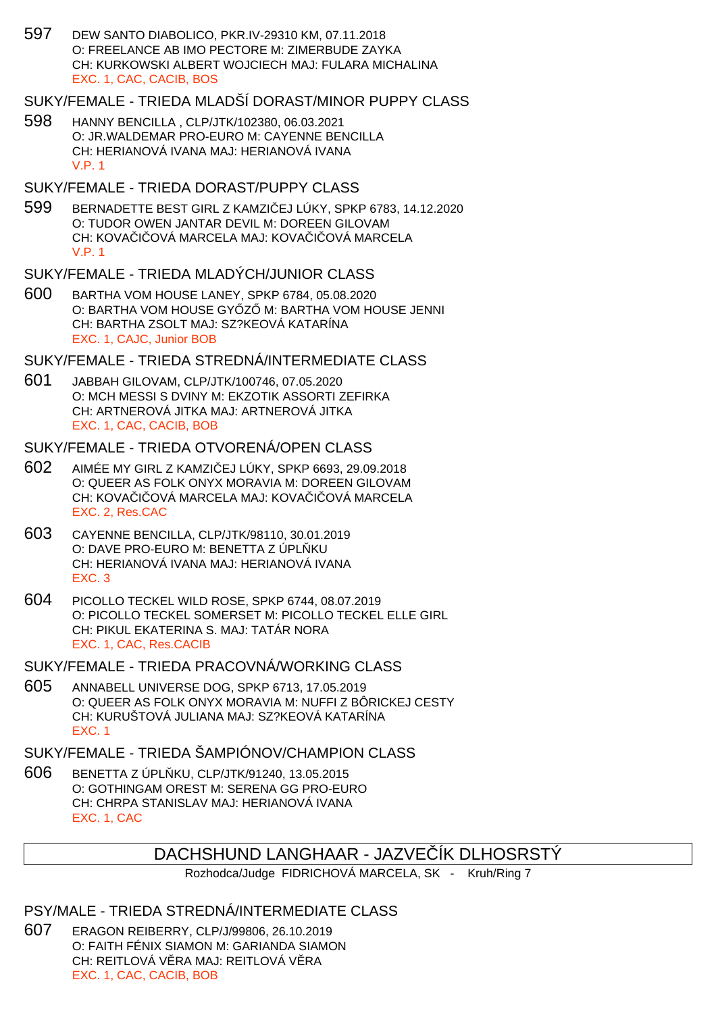597 DEW SANTO DIABOLICO, PKR.IV-29310 KM, 07.11.2018 O: FREELANCE AB IMO PECTORE M: ZIMERBUDE ZAYKA CH: KURKOWSKI ALBERT WOJCIECH MAJ: FULARA MICHALINA EXC. 1, CAC, CACIB, BOS

### SUKY/FEMALE - TRIEDA MLADŠÍ DORAST/MINOR PUPPY CLASS

598 HANNY BENCILLA , CLP/JTK/102380, 06.03.2021 O: JR.WALDEMAR PRO-EURO M: CAYENNE BENCILLA CH: HERIANOVÁ IVANA MAJ: HERIANOVÁ IVANA V.P. 1

#### SUKY/FEMALE - TRIEDA DORAST/PUPPY CLASS

599 BERNADETTE BEST GIRL Z KAMZI EJ LÚKY, SPKP 6783, 14.12.2020 O: TUDOR OWEN JANTAR DEVIL M: DOREEN GILOVAM CH: KOVA I OVÁ MARCELA MAJ: KOVA I OVÁ MARCELA V.P. 1

### SUKY/FEMALE - TRIEDA MLADÝCH/JUNIOR CLASS

600 BARTHA VOM HOUSE LANEY, SPKP 6784, 05.08.2020 O: BARTHA VOM HOUSE GY Z M: BARTHA VOM HOUSE JENNI CH: BARTHA ZSOLT MAJ: SZ?KEOVÁ KATARÍNA EXC. 1, CAJC, Junior BOB

#### SUKY/FEMALE - TRIEDA STREDNÁ/INTERMEDIATE CLASS

601 JABBAH GILOVAM, CLP/JTK/100746, 07.05.2020 O: MCH MESSI S DVINY M: EKZOTIK ASSORTI ZEFIRKA CH: ARTNEROVÁ JITKA MAJ: ARTNEROVÁ JITKA EXC. 1, CAC, CACIB, BOB

## SUKY/FEMALE - TRIEDA OTVORENÁ/OPEN CLASS

- 602 AIMÉE MY GIRL Z KAMZI EJ LÚKY, SPKP 6693, 29.09.2018 O: QUEER AS FOLK ONYX MORAVIA M: DOREEN GILOVAM CH: KOVA I OVÁ MARCELA MAJ: KOVA I OVÁ MARCELA EXC. 2, Res.CAC
- 603 CAYENNE BENCILLA, CLP/JTK/98110, 30.01.2019 O: DAVE PRO-EURO M: BENETTA Z ÚPL KU CH: HERIANOVÁ IVANA MAJ: HERIANOVÁ IVANA EXC. 3
- 604 PICOLLO TECKEL WILD ROSE, SPKP 6744, 08.07.2019 O: PICOLLO TECKEL SOMERSET M: PICOLLO TECKEL ELLE GIRL CH: PIKUL EKATERINA S. MAJ: TATÁR NORA EXC. 1, CAC, Res.CACIB

SUKY/FEMALE - TRIEDA PRACOVNÁ/WORKING CLASS

605 ANNABELL UNIVERSE DOG, SPKP 6713, 17.05.2019 O: QUEER AS FOLK ONYX MORAVIA M: NUFFI Z BÔRICKEJ CESTY CH: KURUŠTOVÁ JULIANA MAJ: SZ?KEOVÁ KATARÍNA EXC. 1

SUKY/FEMALE - TRIEDA ŠAMPIÓNOV/CHAMPION CLASS

606 BENETTA Z ÚPL KU, CLP/JTK/91240, 13.05.2015 O: GOTHINGAM OREST M: SERENA GG PRO-EURO CH: CHRPA STANISLAV MAJ: HERIANOVÁ IVANA EXC. 1, CAC

## DACHSHUND LANGHAAR - JAZVE ÍK DLHOSRSTÝ

Rozhodca/Judge FIDRICHOVÁ MARCELA, SK - Kruh/Ring 7

PSY/MALE - TRIEDA STREDNÁ/INTERMEDIATE CLASS

607 ERAGON REIBERRY, CLP/J/99806, 26.10.2019 O: FAITH FÉNIX SIAMON M: GARIANDA SIAMON CH: REITLOVÁ V RA MAJ: REITLOVÁ V RA EXC. 1, CAC, CACIB, BOB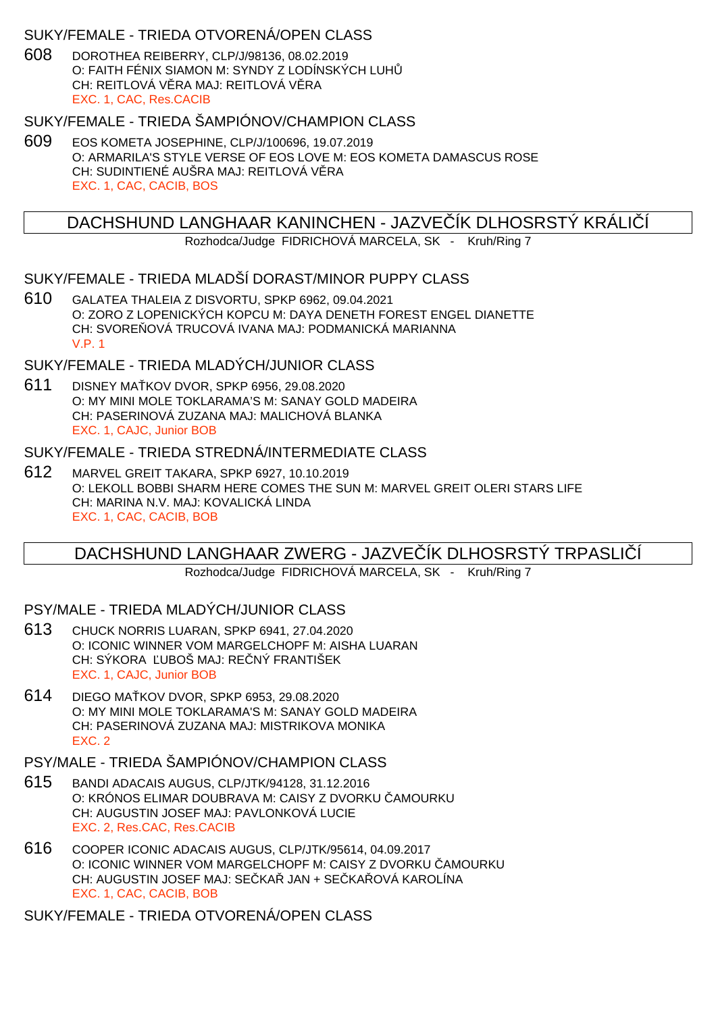## SUKY/FEMALE - TRIEDA OTVORENÁ/OPEN CLASS

608 DOROTHEA REIBERRY, CLP/J/98136, 08.02.2019 O: FAITH FÉNIX SIAMON M: SYNDY Z LODÍNSKÝCH LUH CH: REITLOVÁ V RA MAJ: REITLOVÁ V RA EXC. 1, CAC, Res.CACIB

## SUKY/FEMALE - TRIEDA ŠAMPIÓNOV/CHAMPION CLASS

609 EOS KOMETA JOSEPHINE, CLP/J/100696, 19.07.2019 O: ARMARILA'S STYLE VERSE OF EOS LOVE M: EOS KOMETA DAMASCUS ROSE CH: SUDINTIENÉ AUŠRA MAJ: REITLOVÁ V. RA EXC. 1, CAC, CACIB, BOS

# DACHSHUND LANGHAAR KANINCHEN - JAZVEĆÍK DLHOSRSTÝ KRÁLICÍ

Rozhodca/Judge FIDRICHOVÁ MARCELA, SK - Kruh/Ring 7

## SUKY/FEMALE - TRIEDA MLADŠÍ DORAST/MINOR PUPPY CLASS

610 GALATEA THALEIA Z DISVORTU, SPKP 6962, 09.04.2021 O: ZORO Z LOPENICKÝCH KOPCU M: DAYA DENETH FOREST ENGEL DIANETTE CH: SVORE OVÁ TRUCOVÁ IVANA MAJ: PODMANICKÁ MARIANNA V.P. 1

## SUKY/FEMALE - TRIEDA MLADÝCH/JUNIOR CLASS

611 DISNEY MA KOV DVOR, SPKP 6956, 29.08.2020 O: MY MINI MOLE TOKLARAMA'S M: SANAY GOLD MADEIRA CH: PASERINOVÁ ZUZANA MAJ: MALICHOVÁ BLANKA EXC. 1, CAJC, Junior BOB

### SUKY/FEMALE - TRIEDA STREDNÁ/INTERMEDIATE CLASS

612 MARVEL GREIT TAKARA, SPKP 6927, 10.10.2019 O: LEKOLL BOBBI SHARM HERE COMES THE SUN M: MARVEL GREIT OLERI STARS LIFE CH: MARINA N.V. MAJ: KOVALICKÁ LINDA EXC. 1, CAC, CACIB, BOB

## DACHSHUND LANGHAAR ZWERG - JAZVE ÍK DLHOSRSTÝ TRPASLIÍ

Rozhodca/Judge FIDRICHOVÁ MARCELA, SK - Kruh/Ring 7

## PSY/MALE - TRIEDA MLADÝCH/JUNIOR CLASS

- 613 CHUCK NORRIS LUARAN, SPKP 6941, 27.04.2020 O: ICONIC WINNER VOM MARGELCHOPF M: AISHA LUARAN CH: SÝKORA UBOŠ MAJ: RE NÝ FRANTIŠEK EXC. 1, CAJC, Junior BOB
- 614 DIEGO MA KOV DVOR, SPKP 6953, 29.08.2020 O: MY MINI MOLE TOKLARAMA'S M: SANAY GOLD MADEIRA CH: PASERINOVÁ ZUZANA MAJ: MISTRIKOVA MONIKA EXC. 2

# PSY/MALE - TRIEDA ŠAMPIÓNOV/CHAMPION CLASS

- 615 BANDI ADACAIS AUGUS, CLP/JTK/94128, 31.12.2016 O: KRÓNOS ELIMAR DOUBRAVA M: CAISY Z DVORKU AMOURKU CH: AUGUSTIN JOSEF MAJ: PAVLONKOVÁ LUCIE EXC. 2, Res.CAC, Res.CACIB
- 616 COOPER ICONIC ADACAIS AUGUS, CLP/JTK/95614, 04.09.2017 O: ICONIC WINNER VOM MARGELCHOPF M: CAISY Z DVORKU AMOURKU CH: AUGUSTIN JOSEF MAJ: SEČKAŘ JAN + SEČKAŘOVÁ KAROLÍNA EXC. 1, CAC, CACIB, BOB

## SUKY/FEMALE - TRIEDA OTVORENÁ/OPEN CLASS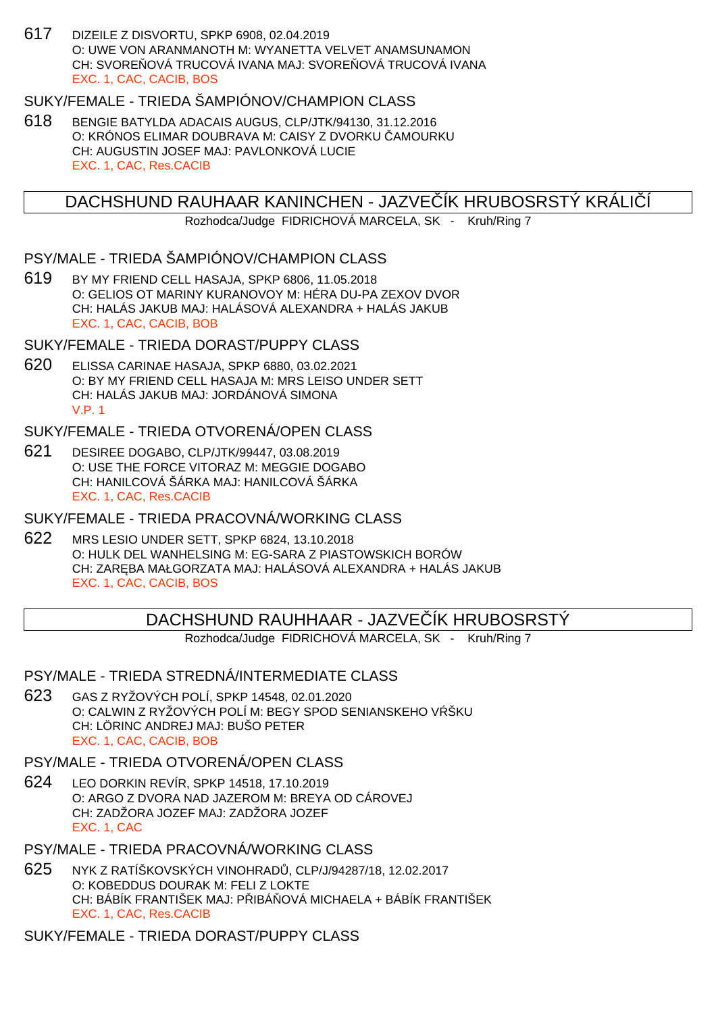617 DIZEILE Z DISVORTU, SPKP 6908, 02.04.2019 O: UWE VON ARANMANOTH M: WYANETTA VELVET ANAMSUNAMON CH: SVORE OVÁ TRUCOVÁ IVANA MAJ: SVORE OVÁ TRUCOVÁ IVANA EXC. 1, CAC, CACIB, BOS

## SUKY/FEMALE - TRIEDA ŠAMPIÓNOV/CHAMPION CLASS

618 BENGIE BATYLDA ADACAIS AUGUS, CLP/JTK/94130, 31.12.2016 O: KRÓNOS ELIMAR DOUBRAVA M: CAISY Z DVORKU AMOURKU CH: AUGUSTIN JOSEF MAJ: PAVLONKOVÁ LUCIE EXC. 1, CAC, Res.CACIB

### DACHSHUND RAUHAAR KANINCHEN - JAZVE ÍK HRUBOSRSTÝ KRÁLIÍÍ

Rozhodca/Judge FIDRICHOVÁ MARCELA, SK - Kruh/Ring 7

## PSY/MALE - TRIEDA ŠAMPIÓNOV/CHAMPION CLASS

619 BY MY FRIEND CELL HASAJA, SPKP 6806, 11.05.2018 O: GELIOS OT MARINY KURANOVOY M: HÉRA DU-PA ZEXOV DVOR CH: HALÁS JAKUB MAJ: HALÁSOVÁ ALEXANDRA + HALÁS JAKUB EXC. 1, CAC, CACIB, BOB

SUKY/FEMALE - TRIEDA DORAST/PUPPY CLASS

620 ELISSA CARINAE HASAJA, SPKP 6880, 03.02.2021 O: BY MY FRIEND CELL HASAJA M: MRS LEISO UNDER SETT CH: HALÁS JAKUB MAJ: JORDÁNOVÁ SIMONA V.P. 1

#### SUKY/FEMALE - TRIEDA OTVORENÁ/OPEN CLASS

621 DESIREE DOGABO, CLP/JTK/99447, 03.08.2019 O: USE THE FORCE VITORAZ M: MEGGIE DOGABO CH: HANILCOVÁ ŠÁRKA MAJ: HANILCOVÁ ŠÁRKA EXC. 1, CAC, Res.CACIB

SUKY/FEMALE - TRIEDA PRACOVNÁ/WORKING CLASS

622 MRS LESIO UNDER SETT, SPKP 6824, 13.10.2018 O: HULK DEL WANHELSING M: EG-SARA Z PIASTOWSKICH BORÓW CH: ZAR BA MAŁGORZATA MAJ: HALÁSOVÁ ALEXANDRA + HALÁS JAKUB EXC. 1, CAC, CACIB, BOS

### DACHSHUND RAUHHAAR - JAZVE ÍK HRUBOSRSTÝ

Rozhodca/Judge FIDRICHOVÁ MARCELA, SK - Kruh/Ring 7

#### PSY/MALE - TRIEDA STREDNÁ/INTERMEDIATE CLASS

623 GAS Z RYŽOVÝCH POLÍ, SPKP 14548, 02.01.2020 O: CALWIN Z RYŽOVÝCH POLÍ M: BEGY SPOD SENIANSKEHO V ŠKU CH: LÖRINC ANDREJ MAJ: BUŠO PETER EXC. 1, CAC, CACIB, BOB

#### PSY/MALE - TRIEDA OTVORENÁ/OPEN CLASS

- 624 LEO DORKIN REVÍR, SPKP 14518, 17.10.2019 O: ARGO Z DVORA NAD JAZEROM M: BREYA OD CÁROVEJ CH: ZADŽORA JOZEF MAJ: ZADŽORA JOZEF EXC. 1, CAC
- PSY/MALE TRIEDA PRACOVNÁ/WORKING CLASS
- 625 NYK Z RATÍŠKOVSKÝCH VINOHRADŮ, CLP/J/94287/18, 12.02.2017 O: KOBEDDUS DOURAK M: FELI Z LOKTE CH: BÁBÍK FRANTIŠEK MAJ: P IBÁ OVÁ MICHAELA + BÁBÍK FRANTIŠEK EXC. 1, CAC, Res.CACIB

SUKY/FEMALE - TRIEDA DORAST/PUPPY CLASS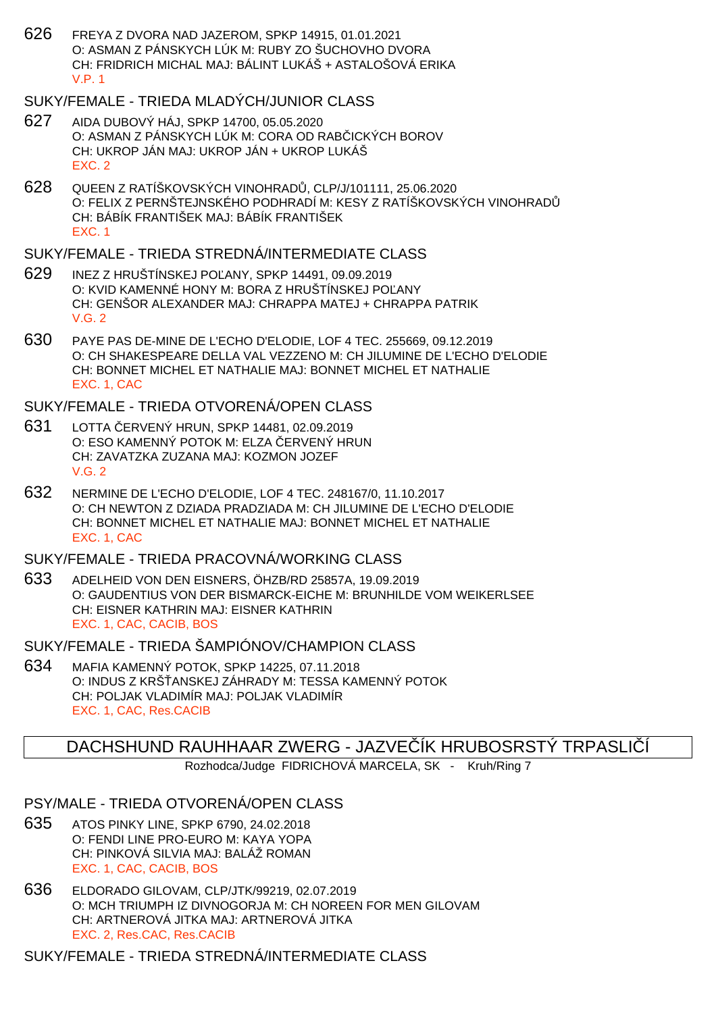626 FREYA Z DVORA NAD JAZEROM, SPKP 14915, 01.01.2021 O: ASMAN Z PÁNSKYCH LÚK M: RUBY ZO ŠUCHOVHO DVORA CH: FRIDRICH MICHAL MAJ: BÁLINT LUKÁŠ + ASTALOŠOVÁ ERIKA V.P. 1

### SUKY/FEMALE - TRIEDA MLADÝCH/JUNIOR CLASS

- 627 AIDA DUBOVÝ HÁJ, SPKP 14700, 05.05.2020 O: ASMAN Z PÁNSKYCH LÚK M: CORA OD RAB ICKÝCH BOROV CH: UKROP JÁN MAJ: UKROP JÁN + UKROP LUKÁŠ EXC. 2
- 628 QUEEN Z RATÍŠKOVSKÝCH VINOHRADŮ, CLP/J/101111, 25.06.2020 O: FELIX Z PERNŠTEJNSKÉHO PODHRADÍ M: KESY Z RATÍŠKOVSKÝCH VINOHRADŮ CH: BÁBÍK FRANTIŠEK MAJ: BÁBÍK FRANTIŠEK EXC. 1

#### SUKY/FEMALE - TRIEDA STREDNÁ/INTERMEDIATE CLASS

- 629 INEZ Z HRUŠTÍNSKEJ POĽANY, SPKP 14491, 09.09.2019 O: KVID KAMENNÉ HONY M: BORA Z HRUŠTÍNSKEJ POĽANY CH: GENŠOR ALEXANDER MAJ: CHRAPPA MATEJ + CHRAPPA PATRIK V.G. 2
- 630 PAYE PAS DE-MINE DE L'ECHO D'ELODIE, LOF 4 TEC. 255669, 09.12.2019 O: CH SHAKESPEARE DELLA VAL VEZZENO M: CH JILUMINE DE L'ECHO D'ELODIE CH: BONNET MICHEL ET NATHALIE MAJ: BONNET MICHEL ET NATHALIE EXC. 1, CAC

#### SUKY/FEMALE - TRIEDA OTVORENÁ/OPEN CLASS

- 631 LOTTA ČERVENÝ HRUN, SPKP 14481, 02.09.2019 O: ESO KAMENNÝ POTOK M: ELZA ERVENÝ HRUN CH: ZAVATZKA ZUZANA MAJ: KOZMON JOZEF V.G. 2
- 632 NERMINE DE L'ECHO D'ELODIE, LOF 4 TEC. 248167/0, 11.10.2017 O: CH NEWTON Z DZIADA PRADZIADA M: CH JILUMINE DE L'ECHO D'ELODIE CH: BONNET MICHEL ET NATHALIE MAJ: BONNET MICHEL ET NATHALIE EXC. 1, CAC

## SUKY/FEMALE - TRIEDA PRACOVNÁ/WORKING CLASS

633 ADELHEID VON DEN EISNERS, ÖHZB/RD 25857A, 19.09.2019 O: GAUDENTIUS VON DER BISMARCK-EICHE M: BRUNHILDE VOM WEIKERLSEE CH: EISNER KATHRIN MAJ: EISNER KATHRIN EXC. 1, CAC, CACIB, BOS

## SUKY/FEMALE - TRIEDA ŠAMPIÓNOV/CHAMPION CLASS

634 MAFIA KAMENNÝ POTOK, SPKP 14225, 07.11.2018 O: INDUS Z KRŠŤANSKEJ ZÁHRADY M: TESSA KAMENNÝ POTOK CH: POLJAK VLADIMÍR MAJ: POLJAK VLADIMÍR EXC. 1, CAC, Res.CACIB

## DACHSHUND RAUHHAAR ZWERG - JAZVE ÍK HRUBOSRSTÝ TRPASLIÍ

Rozhodca/Judge FIDRICHOVÁ MARCELA, SK - Kruh/Ring 7

### PSY/MALE - TRIEDA OTVORENÁ/OPEN CLASS

- 635 ATOS PINKY LINE, SPKP 6790, 24.02.2018 O: FENDI LINE PRO-EURO M: KAYA YOPA CH: PINKOVÁ SILVIA MAJ: BALÁŽ ROMAN EXC. 1, CAC, CACIB, BOS
- 636 ELDORADO GILOVAM, CLP/JTK/99219, 02.07.2019 O: MCH TRIUMPH IZ DIVNOGORJA M: CH NOREEN FOR MEN GILOVAM CH: ARTNEROVÁ JITKA MAJ: ARTNEROVÁ JITKA EXC. 2, Res.CAC, Res.CACIB

#### SUKY/FEMALE - TRIEDA STREDNÁ/INTERMEDIATE CLASS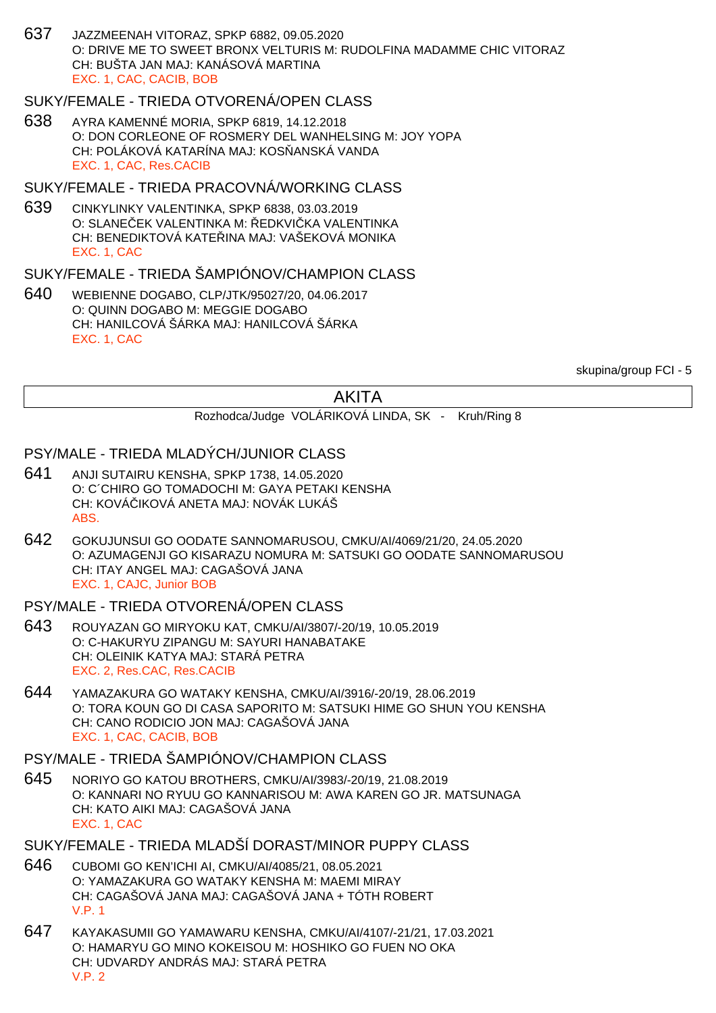637 JAZZMEENAH VITORAZ, SPKP 6882, 09.05.2020 O: DRIVE ME TO SWEET BRONX VELTURIS M: RUDOLFINA MADAMME CHIC VITORAZ CH: BUŠTA JAN MAJ: KANÁSOVÁ MARTINA EXC. 1, CAC, CACIB, BOB

### SUKY/FEMALE - TRIEDA OTVORENÁ/OPEN CLASS

638 AYRA KAMENNÉ MORIA, SPKP 6819, 14.12.2018 O: DON CORLEONE OF ROSMERY DEL WANHELSING M: JOY YOPA CH: POLÁKOVÁ KATARÍNA MAJ: KOS ANSKÁ VANDA EXC. 1, CAC, Res.CACIB

#### SUKY/FEMALE - TRIEDA PRACOVNÁ/WORKING CLASS

639 CINKYLINKY VALENTINKA, SPKP 6838, 03.03.2019 O: SLANE EK VALENTINKA M: EDKVI KA VALENTINKA CH: BENEDIKTOVÁ KATE<sub>LINA MAJ:</sub> VAŠEKOVÁ MONIKA EXC. 1, CAC

## SUKY/FEMALE - TRIEDA ŠAMPIÓNOV/CHAMPION CLASS

640 WEBIENNE DOGABO, CLP/JTK/95027/20, 04.06.2017 O: QUINN DOGABO M: MEGGIE DOGABO CH: HANILCOVÁ ŠÁRKA MAJ: HANILCOVÁ ŠÁRKA EXC. 1, CAC

skupina/group FCI - 5

### AKITA

Rozhodca/Judge VOLÁRIKOVÁ LINDA, SK - Kruh/Ring 8

#### PSY/MALE - TRIEDA MLADÝCH/JUNIOR CLASS

- 641 ANJI SUTAIRU KENSHA, SPKP 1738, 14.05.2020 O: C´CHIRO GO TOMADOCHI M: GAYA PETAKI KENSHA CH: KOVÁ IKOVÁ ANETA MAJ: NOVÁK LUKÁŠ ABS.
- 642 GOKUJUNSUI GO OODATE SANNOMARUSOU, CMKU/AI/4069/21/20, 24.05.2020 O: AZUMAGENJI GO KISARAZU NOMURA M: SATSUKI GO OODATE SANNOMARUSOU CH: ITAY ANGEL MAJ: CAGAŠOVÁ JANA EXC. 1, CAJC, Junior BOB

#### PSY/MALE - TRIEDA OTVORENÁ/OPEN CLASS

- 643 ROUYAZAN GO MIRYOKU KAT, CMKU/AI/3807/-20/19, 10.05.2019 O: C-HAKURYU ZIPANGU M: SAYURI HANABATAKE CH: OLEINIK KATYA MAJ: STARÁ PETRA EXC. 2, Res.CAC, Res.CACIB
- 644 YAMAZAKURA GO WATAKY KENSHA, CMKU/AI/3916/-20/19, 28.06.2019 O: TORA KOUN GO DI CASA SAPORITO M: SATSUKI HIME GO SHUN YOU KENSHA CH: CANO RODICIO JON MAJ: CAGAŠOVÁ JANA EXC. 1, CAC, CACIB, BOB

### PSY/MALE - TRIEDA ŠAMPIÓNOV/CHAMPION CLASS

645 NORIYO GO KATOU BROTHERS, CMKU/AI/3983/-20/19, 21.08.2019 O: KANNARI NO RYUU GO KANNARISOU M: AWA KAREN GO JR. MATSUNAGA CH: KATO AIKI MAJ: CAGAŠOVÁ JANA EXC. 1, CAC

## SUKY/FEMALE - TRIEDA MLADŠÍ DORAST/MINOR PUPPY CLASS

- 646 CUBOMI GO KEN'ICHI AI, CMKU/AI/4085/21, 08.05.2021 O: YAMAZAKURA GO WATAKY KENSHA M: MAEMI MIRAY CH: CAGAŠOVÁ JANA MAJ: CAGAŠOVÁ JANA + TÓTH ROBERT V.P. 1
- 647 KAYAKASUMII GO YAMAWARU KENSHA, CMKU/AI/4107/-21/21, 17.03.2021 O: HAMARYU GO MINO KOKEISOU M: HOSHIKO GO FUEN NO OKA CH: UDVARDY ANDRÁS MAJ: STARÁ PETRA V.P. 2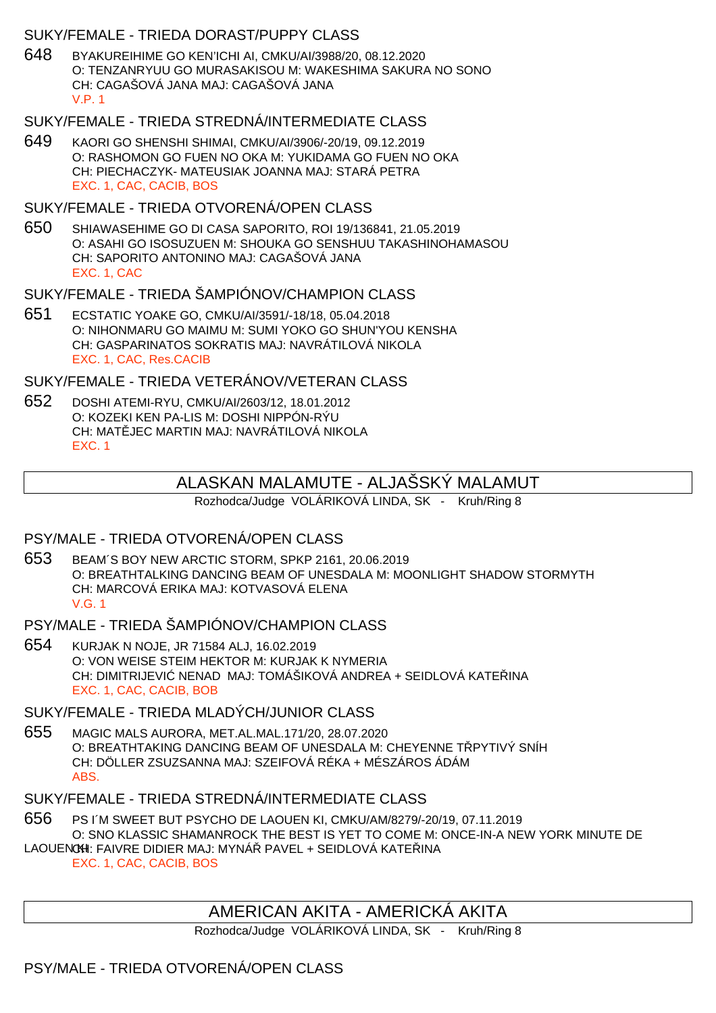### SUKY/FEMALE - TRIEDA DORAST/PUPPY CLASS

648 BYAKUREIHIME GO KEN'ICHI AI, CMKU/AI/3988/20, 08.12.2020 O: TENZANRYUU GO MURASAKISOU M: WAKESHIMA SAKURA NO SONO CH: CAGAŠOVÁ JANA MAJ: CAGAŠOVÁ JANA V.P. 1

## SUKY/FEMALE - TRIEDA STREDNÁ/INTERMEDIATE CLASS

649 KAORI GO SHENSHI SHIMAI, CMKU/AI/3906/-20/19, 09.12.2019 O: RASHOMON GO FUEN NO OKA M: YUKIDAMA GO FUEN NO OKA CH: PIECHACZYK- MATEUSIAK JOANNA MAJ: STARÁ PETRA EXC. 1, CAC, CACIB, BOS

### SUKY/FEMALE - TRIEDA OTVORENÁ/OPEN CLASS

650 SHIAWASEHIME GO DI CASA SAPORITO, ROI 19/136841, 21.05.2019 O: ASAHI GO ISOSUZUEN M: SHOUKA GO SENSHUU TAKASHINOHAMASOU CH: SAPORITO ANTONINO MAJ: CAGAŠOVÁ JANA EXC. 1, CAC

### SUKY/FEMALE - TRIEDA ŠAMPIÓNOV/CHAMPION CLASS

651 ECSTATIC YOAKE GO, CMKU/AI/3591/-18/18, 05.04.2018 O: NIHONMARU GO MAIMU M: SUMI YOKO GO SHUN'YOU KENSHA CH: GASPARINATOS SOKRATIS MAJ: NAVRÁTILOVÁ NIKOLA EXC. 1, CAC, Res.CACIB

#### SUKY/FEMALE - TRIEDA VETERÁNOV/VETERAN CLASS

652 DOSHI ATEMI-RYU, CMKU/AI/2603/12, 18.01.2012 O: KOZEKI KEN PA-LIS M: DOSHI NIPPÓN-RÝU CH: MAT JEC MARTIN MAJ: NAVRÁTILOVÁ NIKOLA EXC. 1

## ALASKAN MALAMUTE - ALJAŠSKÝ MALAMUT

Rozhodca/Judge VOLÁRIKOVÁ LINDA, SK - Kruh/Ring 8

### PSY/MALE - TRIEDA OTVORENÁ/OPEN CLASS

653 BEAM´S BOY NEW ARCTIC STORM, SPKP 2161, 20.06.2019 O: BREATHTALKING DANCING BEAM OF UNESDALA M: MOONLIGHT SHADOW STORMYTH CH: MARCOVÁ ERIKA MAJ: KOTVASOVÁ ELENA V.G. 1

### PSY/MALE - TRIEDA ŠAMPIÓNOV/CHAMPION CLASS

654 KURJAK N NOJE, JR 71584 ALJ, 16.02.2019 O: VON WEISE STEIM HEKTOR M: KURJAK K NYMERIA CH: DIMITRIJEVI NENAD MAJ: TOMÁŠIKOVÁ ANDREA + SEIDLOVÁ KATE INA EXC. 1, CAC, CACIB, BOB

### SUKY/FEMALE - TRIEDA MLADÝCH/JUNIOR CLASS

655 MAGIC MALS AURORA, MET.AL.MAL.171/20, 28.07.2020 O: BREATHTAKING DANCING BEAM OF UNESDALA M: CHEYENNE T PYTIVÝ SNÍH CH: DÖLLER ZSUZSANNA MAJ: SZEIFOVÁ RÉKA + MÉSZÁROS ÁDÁM ABS.

### SUKY/FEMALE - TRIEDA STREDNÁ/INTERMEDIATE CLASS

656 PS I´M SWEET BUT PSYCHO DE LAOUEN KI, CMKU/AM/8279/-20/19, 07.11.2019 O: SNO KLASSIC SHAMANROCK THE BEST IS YET TO COME M: ONCE-IN-A NEW YORK MINUTE DE LAOUEN CH: FAIVRE DIDIER MAJ: MYNÁ PAVEL + SEIDLOVÁ KATE INA

EXC. 1, CAC, CACIB, BOS

## AMERICAN AKITA - AMERICKÁ AKITA

Rozhodca/Judge VOLÁRIKOVÁ LINDA, SK - Kruh/Ring 8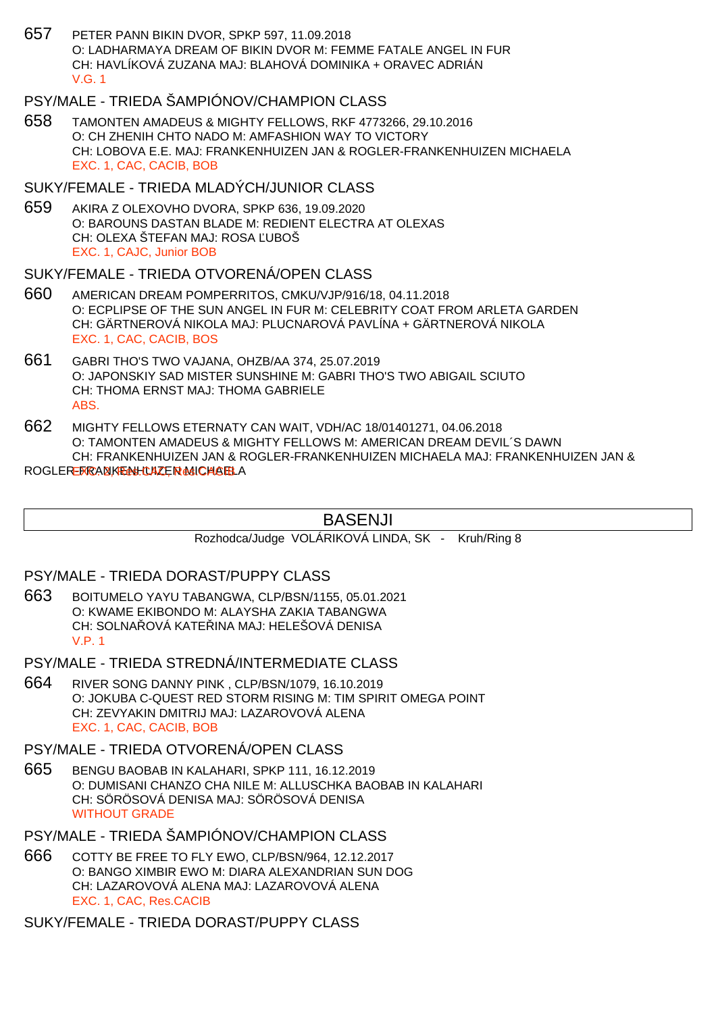657 PETER PANN BIKIN DVOR, SPKP 597, 11.09.2018 O: LADHARMAYA DREAM OF BIKIN DVOR M: FEMME FATALE ANGEL IN FUR CH: HAVLÍKOVÁ ZUZANA MAJ: BLAHOVÁ DOMINIKA + ORAVEC ADRIÁN V.G. 1

## PSY/MALE - TRIEDA ŠAMPIÓNOV/CHAMPION CLASS

658 TAMONTEN AMADEUS & MIGHTY FELLOWS, RKF 4773266, 29.10.2016 O: CH ZHENIH CHTO NADO M: AMFASHION WAY TO VICTORY CH: LOBOVA E.E. MAJ: FRANKENHUIZEN JAN & ROGLER-FRANKENHUIZEN MICHAELA EXC. 1, CAC, CACIB, BOB

#### SUKY/FEMALE - TRIEDA MLADÝCH/JUNIOR CLASS

659 AKIRA Z OLEXOVHO DVORA, SPKP 636, 19.09.2020 O: BAROUNS DASTAN BLADE M: REDIENT ELECTRA AT OLEXAS CH: OLEXA ŠTEFAN MAJ: ROSA UBOŠ EXC. 1, CAJC, Junior BOB

#### SUKY/FEMALE - TRIEDA OTVORENÁ/OPEN CLASS

- 660 AMERICAN DREAM POMPERRITOS, CMKU/VJP/916/18, 04.11.2018 O: ECPLIPSE OF THE SUN ANGEL IN FUR M: CELEBRITY COAT FROM ARLETA GARDEN CH: GÄRTNEROVÁ NIKOLA MAJ: PLUCNAROVÁ PAVLÍNA + GÄRTNEROVÁ NIKOLA EXC. 1, CAC, CACIB, BOS
- 661 GABRI THO'S TWO VAJANA, OHZB/AA 374, 25.07.2019 O: JAPONSKIY SAD MISTER SUNSHINE M: GABRI THO'S TWO ABIGAIL SCIUTO CH: THOMA ERNST MAJ: THOMA GABRIELE ABS.
- 662 MIGHTY FELLOWS ETERNATY CAN WAIT, VDH/AC 18/01401271, 04.06.2018 O: TAMONTEN AMADEUS & MIGHTY FELLOWS M: AMERICAN DREAM DEVIL´S DAWN CH: FRANKENHUIZEN JAN & ROGLER-FRANKENHUIZEN MICHAELA MAJ: FRANKENHUIZEN JAN & ROGLEREX RANKEN HUIZER MAICHAELA

## BASENJI

Rozhodca/Judge VOLÁRIKOVÁ LINDA, SK - Kruh/Ring 8

#### PSY/MALE - TRIEDA DORAST/PUPPY CLASS

- 663 BOITUMELO YAYU TABANGWA, CLP/BSN/1155, 05.01.2021 O: KWAME EKIBONDO M: ALAYSHA ZAKIA TABANGWA CH: SOLNA OVÁ KATE INA MAJ: HELEŠOVÁ DENISA V.P. 1
- PSY/MALE TRIEDA STREDNÁ/INTERMEDIATE CLASS
- 664 RIVER SONG DANNY PINK , CLP/BSN/1079, 16.10.2019 O: JOKUBA C-QUEST RED STORM RISING M: TIM SPIRIT OMEGA POINT CH: ZEVYAKIN DMITRIJ MAJ: LAZAROVOVÁ ALENA EXC. 1, CAC, CACIB, BOB

## PSY/MALE - TRIEDA OTVORENÁ/OPEN CLASS

665 BENGU BAOBAB IN KALAHARI, SPKP 111, 16.12.2019 O: DUMISANI CHANZO CHA NILE M: ALLUSCHKA BAOBAB IN KALAHARI CH: SÖRÖSOVÁ DENISA MAJ: SÖRÖSOVÁ DENISA WITHOUT GRADE

## PSY/MALE - TRIEDA ŠAMPIÓNOV/CHAMPION CLASS

666 COTTY BE FREE TO FLY EWO, CLP/BSN/964, 12.12.2017 O: BANGO XIMBIR EWO M: DIARA ALEXANDRIAN SUN DOG CH: LAZAROVOVÁ ALENA MAJ: LAZAROVOVÁ ALENA EXC. 1, CAC, Res.CACIB

SUKY/FEMALE - TRIEDA DORAST/PUPPY CLASS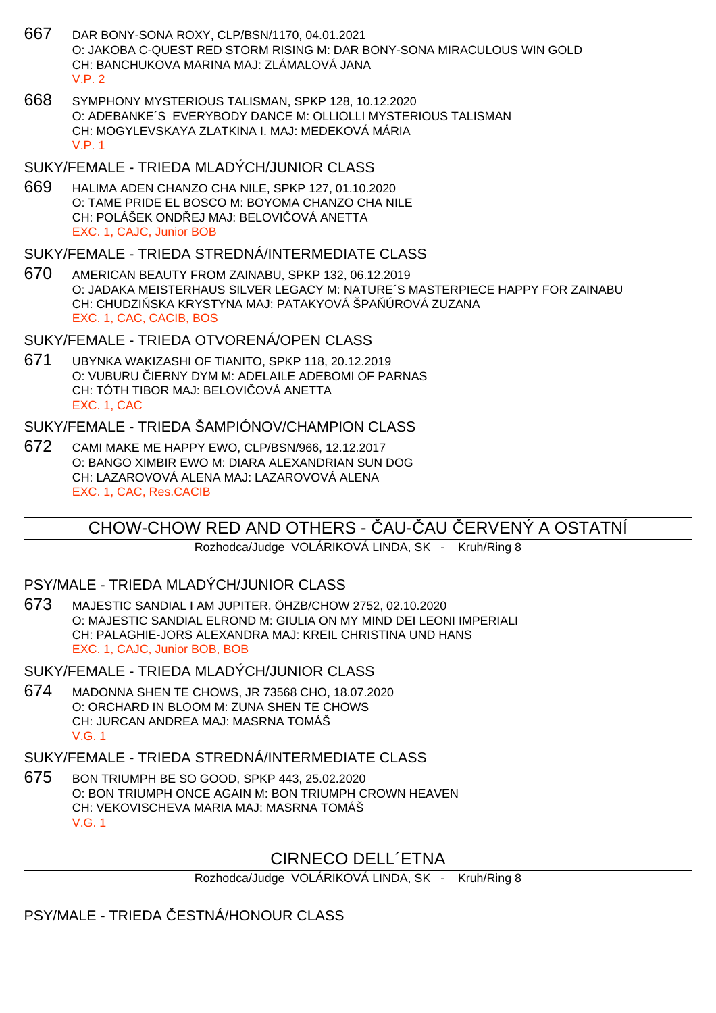- 667 DAR BONY-SONA ROXY, CLP/BSN/1170, 04.01.2021 O: JAKOBA C-QUEST RED STORM RISING M: DAR BONY-SONA MIRACULOUS WIN GOLD CH: BANCHUKOVA MARINA MAJ: ZLÁMALOVÁ JANA  $V.P. 2$
- 668 SYMPHONY MYSTERIOUS TALISMAN, SPKP 128, 10.12.2020 O: ADEBANKE´S EVERYBODY DANCE M: OLLIOLLI MYSTERIOUS TALISMAN CH: MOGYLEVSKAYA ZLATKINA I. MAJ: MEDEKOVÁ MÁRIA V.P. 1

### SUKY/FEMALE - TRIEDA MLADÝCH/JUNIOR CLASS

669 HALIMA ADEN CHANZO CHA NILE, SPKP 127, 01.10.2020 O: TAME PRIDE EL BOSCO M: BOYOMA CHANZO CHA NILE CH: POLÁŠEK ONDŘEJ MAJ: BELOVI OVÁ ANETTA EXC. 1, CAJC, Junior BOB

#### SUKY/FEMALE - TRIEDA STREDNÁ/INTERMEDIATE CLASS

670 AMERICAN BEAUTY FROM ZAINABU, SPKP 132, 06.12.2019 O: JADAKA MEISTERHAUS SILVER LEGACY M: NATURE´S MASTERPIECE HAPPY FOR ZAINABU CH: CHUDZI SKA KRYSTYNA MAJ: PATAKYOVÁ ŠPA ÚROVÁ ZUZANA EXC. 1, CAC, CACIB, BOS

### SUKY/FEMALE - TRIEDA OTVORENÁ/OPEN CLASS

671 UBYNKA WAKIZASHI OF TIANITO, SPKP 118, 20.12.2019 O: VUBURU LERNY DYM M: ADELAILE ADEBOMI OF PARNAS CH: TÓTH TIBOR MAJ: BELOVI OVÁ ANETTA EXC. 1, CAC

#### SUKY/FEMALE - TRIEDA ŠAMPIÓNOV/CHAMPION CLASS

672 CAMI MAKE ME HAPPY EWO, CLP/BSN/966, 12.12.2017 O: BANGO XIMBIR EWO M: DIARA ALEXANDRIAN SUN DOG CH: LAZAROVOVÁ ALENA MAJ: LAZAROVOVÁ ALENA EXC. 1, CAC, Res.CACIB

CHOW-CHOW RED AND OTHERS - AU- AU ERVENÝ A OSTATNÍ

Rozhodca/Judge VOLÁRIKOVÁ LINDA, SK - Kruh/Ring 8

### PSY/MALE - TRIEDA MLADÝCH/JUNIOR CLASS

673 MAJESTIC SANDIAL I AM JUPITER, ÖHZB/CHOW 2752, 02.10.2020 O: MAJESTIC SANDIAL ELROND M: GIULIA ON MY MIND DEI LEONI IMPERIALI CH: PALAGHIE-JORS ALEXANDRA MAJ: KREIL CHRISTINA UND HANS EXC. 1, CAJC, Junior BOB, BOB

SUKY/FEMALE - TRIEDA MLADÝCH/JUNIOR CLASS

674 MADONNA SHEN TE CHOWS, JR 73568 CHO, 18.07.2020 O: ORCHARD IN BLOOM M: ZUNA SHEN TE CHOWS CH: JURCAN ANDREA MAJ: MASRNA TOMÁŠ V.G. 1

### SUKY/FEMALE - TRIEDA STREDNÁ/INTERMEDIATE CLASS

675 BON TRIUMPH BE SO GOOD, SPKP 443, 25.02.2020 O: BON TRIUMPH ONCE AGAIN M: BON TRIUMPH CROWN HEAVEN CH: VEKOVISCHEVA MARIA MAJ: MASRNA TOMÁŠ V.G. 1

## CIRNECO DELL´ETNA

Rozhodca/Judge VOLÁRIKOVÁ LINDA, SK - Kruh/Ring 8

PSY/MALE - TRIEDA ESTNÁ/HONOUR CLASS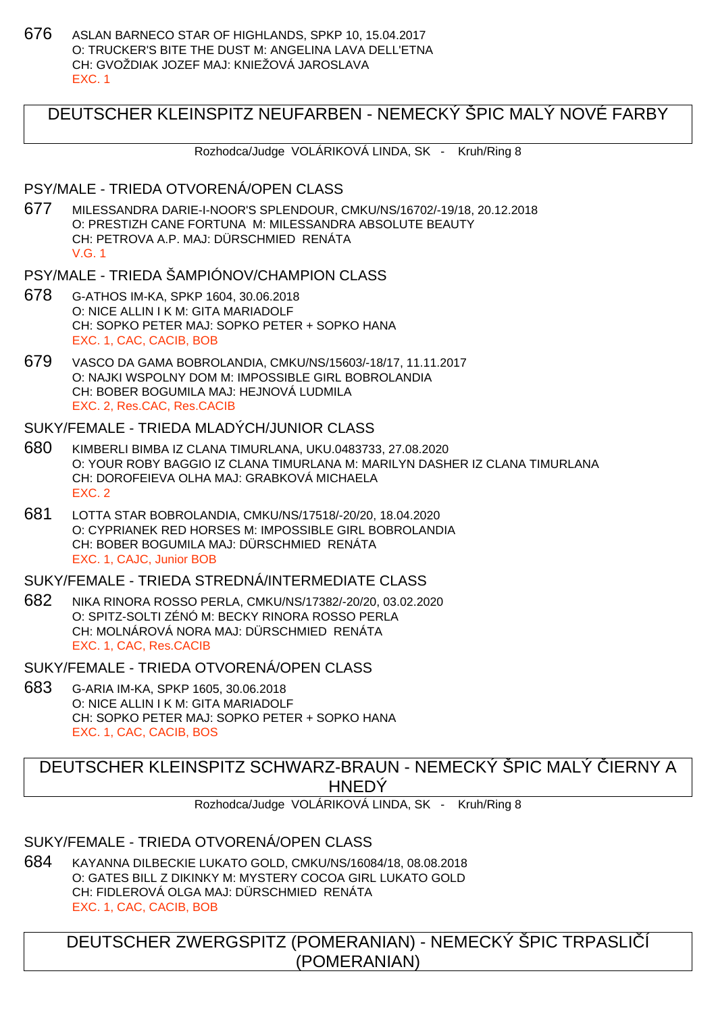676 ASLAN BARNECO STAR OF HIGHLANDS, SPKP 10, 15.04.2017 O: TRUCKER'S BITE THE DUST M: ANGELINA LAVA DELL'ETNA CH: GVOŽDIAK JOZEF MAJ: KNIEŽOVÁ JAROSLAVA EXC. 1

# DEUTSCHER KLEINSPITZ NEUFARBEN - NEMECKÝ ŠPIC MALÝ NOVÉ FARBY

Rozhodca/Judge VOLÁRIKOVÁ LINDA, SK - Kruh/Ring 8

#### PSY/MALE - TRIEDA OTVORENÁ/OPEN CLASS

677 MILESSANDRA DARIE-I-NOOR'S SPLENDOUR, CMKU/NS/16702/-19/18, 20.12.2018 O: PRESTIZH CANE FORTUNA M: MILESSANDRA ABSOLUTE BEAUTY CH: PETROVA A.P. MAJ: DÜRSCHMIED RENÁTA V.G. 1

#### PSY/MALE - TRIEDA ŠAMPIÓNOV/CHAMPION CLASS

- 678 G-ATHOS IM-KA, SPKP 1604, 30.06.2018 O: NICE ALLIN I K M: GITA MARIADOLF CH: SOPKO PETER MAJ: SOPKO PETER + SOPKO HANA EXC. 1, CAC, CACIB, BOB
- 679 VASCO DA GAMA BOBROLANDIA, CMKU/NS/15603/-18/17, 11.11.2017 O: NAJKI WSPOLNY DOM M: IMPOSSIBLE GIRL BOBROLANDIA CH: BOBER BOGUMILA MAJ: HEJNOVÁ LUDMILA EXC. 2, Res.CAC, Res.CACIB

### SUKY/FEMALE - TRIEDA MLADÝCH/JUNIOR CLASS

- 680 KIMBERLI BIMBA IZ CLANA TIMURLANA, UKU.0483733, 27.08.2020 O: YOUR ROBY BAGGIO IZ CLANA TIMURLANA M: MARILYN DASHER IZ CLANA TIMURLANA CH: DOROFEIEVA OLHA MAJ: GRABKOVÁ MICHAELA EXC. 2
- 681 LOTTA STAR BOBROLANDIA, CMKU/NS/17518/-20/20, 18.04.2020 O: CYPRIANEK RED HORSES M: IMPOSSIBLE GIRL BOBROLANDIA CH: BOBER BOGUMILA MAJ: DÜRSCHMIED RENÁTA EXC. 1, CAJC, Junior BOB

#### SUKY/FEMALE - TRIEDA STREDNÁ/INTERMEDIATE CLASS

682 NIKA RINORA ROSSO PERLA, CMKU/NS/17382/-20/20, 03.02.2020 O: SPITZ-SOLTI ZÉNÓ M: BECKY RINORA ROSSO PERLA CH: MOLNÁROVÁ NORA MAJ: DÜRSCHMIED RENÁTA EXC. 1, CAC, Res.CACIB

#### SUKY/FEMALE - TRIEDA OTVORENÁ/OPEN CLASS

683 G-ARIA IM-KA, SPKP 1605, 30.06.2018 O: NICE ALLIN I K M: GITA MARIADOLF CH: SOPKO PETER MAJ: SOPKO PETER + SOPKO HANA EXC. 1, CAC, CACIB, BOS

DEUTSCHER KLEINSPITZ SCHWARZ-BRAUN - NEMECKÝ ŠPIC MALÝ IERNY A **HNEDÝ** 

Rozhodca/Judge VOLÁRIKOVÁ LINDA, SK - Kruh/Ring 8

### SUKY/FEMALE - TRIEDA OTVORENÁ/OPEN CLASS

684 KAYANNA DILBECKIE LUKATO GOLD, CMKU/NS/16084/18, 08.08.2018 O: GATES BILL Z DIKINKY M: MYSTERY COCOA GIRL LUKATO GOLD CH: FIDLEROVÁ OLGA MAJ: DÜRSCHMIED RENÁTA EXC. 1, CAC, CACIB, BOB

DEUTSCHER ZWERGSPITZ (POMERANIAN) - NEMECKÝ ŠPIC TRPASLI Í (POMERANIAN)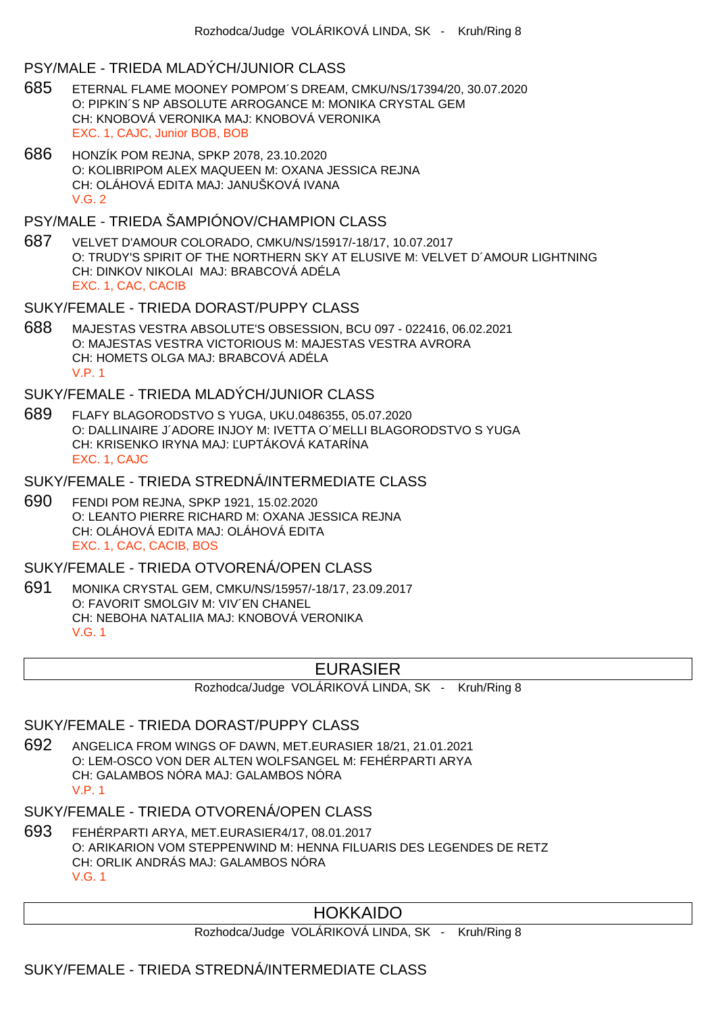## PSY/MALE - TRIEDA MLADÝCH/JUNIOR CLASS

- 685 ETERNAL FLAME MOONEY POMPOM´S DREAM, CMKU/NS/17394/20, 30.07.2020 O: PIPKIN´S NP ABSOLUTE ARROGANCE M: MONIKA CRYSTAL GEM CH: KNOBOVÁ VERONIKA MAJ: KNOBOVÁ VERONIKA EXC. 1, CAJC, Junior BOB, BOB
- 686 HONZÍK POM REJNA, SPKP 2078, 23.10.2020 O: KOLIBRIPOM ALEX MAQUEEN M: OXANA JESSICA REJNA CH: OLÁHOVÁ EDITA MAJ: JANUŠKOVÁ IVANA V.G. 2

## PSY/MALE - TRIEDA ŠAMPIÓNOV/CHAMPION CLASS

687 VELVET D'AMOUR COLORADO, CMKU/NS/15917/-18/17, 10.07.2017 O: TRUDY'S SPIRIT OF THE NORTHERN SKY AT ELUSIVE M: VELVET D´AMOUR LIGHTNING CH: DINKOV NIKOLAI MAJ: BRABCOVÁ ADÉLA EXC. 1, CAC, CACIB

### SUKY/FEMALE - TRIEDA DORAST/PUPPY CLASS

688 MAJESTAS VESTRA ABSOLUTE'S OBSESSION, BCU 097 - 022416, 06.02.2021 O: MAJESTAS VESTRA VICTORIOUS M: MAJESTAS VESTRA AVRORA CH: HOMETS OLGA MAJ: BRABCOVÁ ADÉLA V.P. 1

## SUKY/FEMALE - TRIEDA MLADÝCH/JUNIOR CLASS

689 FLAFY BLAGORODSTVO S YUGA, UKU.0486355, 05.07.2020 O: DALLINAIRE J´ADORE INJOY M: IVETTA O´MELLI BLAGORODSTVO S YUGA CH: KRISENKO IRYNA MAJ: UPTÁKOVÁ KATARÍNA EXC. 1, CAJC

## SUKY/FEMALE - TRIEDA STREDNÁ/INTERMEDIATE CLASS

690 FENDI POM REJNA, SPKP 1921, 15.02.2020 O: LEANTO PIERRE RICHARD M: OXANA JESSICA REJNA CH: OLÁHOVÁ EDITA MAJ: OLÁHOVÁ EDITA EXC. 1, CAC, CACIB, BOS

### SUKY/FEMALE - TRIEDA OTVORENÁ/OPEN CLASS

691 MONIKA CRYSTAL GEM, CMKU/NS/15957/-18/17, 23.09.2017 O: FAVORIT SMOLGIV M: VIV´EN CHANEL CH: NEBOHA NATALIIA MAJ: KNOBOVÁ VERONIKA V.G. 1

## EURASIER

Rozhodca/Judge VOLÁRIKOVÁ LINDA, SK - Kruh/Ring 8

## SUKY/FEMALE - TRIEDA DORAST/PUPPY CLASS

692 ANGELICA FROM WINGS OF DAWN, MET.EURASIER 18/21, 21.01.2021 O: LEM-OSCO VON DER ALTEN WOLFSANGEL M: FEHÉRPARTI ARYA CH: GALAMBOS NÓRA MAJ: GALAMBOS NÓRA V.P. 1

## SUKY/FEMALE - TRIEDA OTVORENÁ/OPEN CLASS

693 FEHÉRPARTI ARYA, MET.EURASIER4/17, 08.01.2017 O: ARIKARION VOM STEPPENWIND M: HENNA FILUARIS DES LEGENDES DE RETZ CH: ORLIK ANDRÁS MAJ: GALAMBOS NÓRA V.G. 1

# HOKKAIDO

Rozhodca/Judge VOLÁRIKOVÁ LINDA, SK - Kruh/Ring 8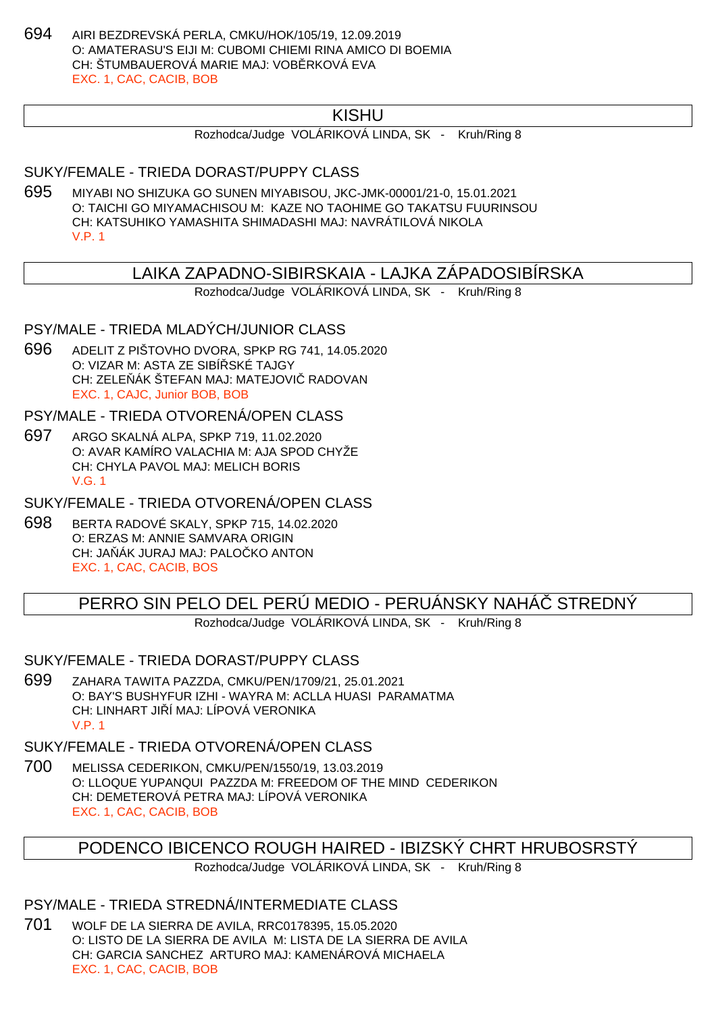694 AIRI BEZDREVSKÁ PERLA, CMKU/HOK/105/19, 12.09.2019 O: AMATERASU'S EIJI M: CUBOMI CHIEMI RINA AMICO DI BOEMIA CH: ŠTUMBAUEROVÁ MARIE MAJ: VOBĚRKOVÁ EVA EXC. 1, CAC, CACIB, BOB

# KISHU

Rozhodca/Judge VOLÁRIKOVÁ LINDA, SK - Kruh/Ring 8

SUKY/FEMALE - TRIEDA DORAST/PUPPY CLASS

695 MIYABI NO SHIZUKA GO SUNEN MIYABISOU, JKC-JMK-00001/21-0, 15.01.2021 O: TAICHI GO MIYAMACHISOU M: KAZE NO TAOHIME GO TAKATSU FUURINSOU CH: KATSUHIKO YAMASHITA SHIMADASHI MAJ: NAVRÁTILOVÁ NIKOLA V.P. 1

## LAIKA ZAPADNO-SIBIRSKAIA - LAJKA ZÁPADOSIBÍRSKA

Rozhodca/Judge VOLÁRIKOVÁ LINDA, SK - Kruh/Ring 8

PSY/MALE - TRIEDA MLADÝCH/JUNIOR CLASS

696 ADELIT Z PIŠTOVHO DVORA, SPKP RG 741, 14.05.2020 O: VIZAR M: ASTA ZE SIBÍ SKÉ TAJGY CH: ZELE ÁK ŠTEFAN MAJ: MATEJOVI RADOVAN EXC. 1, CAJC, Junior BOB, BOB

PSY/MALE - TRIEDA OTVORENÁ/OPEN CLASS

- 697 ARGO SKALNÁ ALPA, SPKP 719, 11.02.2020 O: AVAR KAMÍRO VALACHIA M: AJA SPOD CHYŽE CH: CHYLA PAVOL MAJ: MELICH BORIS V.G. 1
- SUKY/FEMALE TRIEDA OTVORENÁ/OPEN CLASS
- 698 BERTA RADOVÉ SKALY, SPKP 715, 14.02.2020 O: ERZAS M: ANNIE SAMVARA ORIGIN CH: JA ÁK JURAJ MAJ: PALO KO ANTON EXC. 1, CAC, CACIB, BOS

## PERRO SIN PELO DEL PERÚ MEDIO - PERUÁNSKY NAHÁČ STREDNÝ

Rozhodca/Judge VOLÁRIKOVÁ LINDA, SK - Kruh/Ring 8

SUKY/FEMALE - TRIEDA DORAST/PUPPY CLASS

699 ZAHARA TAWITA PAZZDA, CMKU/PEN/1709/21, 25.01.2021 O: BAY'S BUSHYFUR IZHI - WAYRA M: ACLLA HUASI PARAMATMA CH: LINHART JI Í MAJ: LÍPOVÁ VERONIKA V.P. 1

### SUKY/FEMALE - TRIEDA OTVORENÁ/OPEN CLASS

700 MELISSA CEDERIKON, CMKU/PEN/1550/19, 13.03.2019 O: LLOQUE YUPANQUI PAZZDA M: FREEDOM OF THE MIND CEDERIKON CH: DEMETEROVÁ PETRA MAJ: LÍPOVÁ VERONIKA EXC. 1, CAC, CACIB, BOB

## PODENCO IBICENCO ROUGH HAIRED - IBIZSKÝ CHRT HRUBOSRSTÝ

Rozhodca/Judge VOLÁRIKOVÁ LINDA, SK - Kruh/Ring 8

PSY/MALE - TRIEDA STREDNÁ/INTERMEDIATE CLASS

701 WOLF DE LA SIERRA DE AVILA, RRC0178395, 15.05.2020 O: LISTO DE LA SIERRA DE AVILA M: LISTA DE LA SIERRA DE AVILA CH: GARCIA SANCHEZ ARTURO MAJ: KAMENÁROVÁ MICHAELA EXC. 1, CAC, CACIB, BOB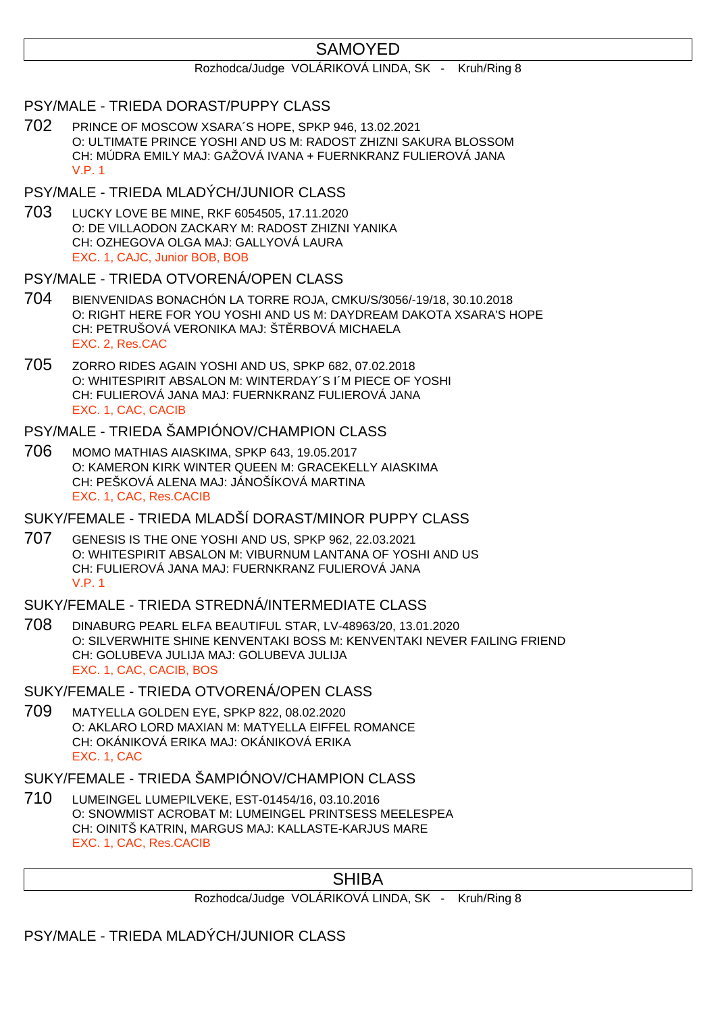# SAMOYED

#### Rozhodca/Judge VOLÁRIKOVÁ LINDA, SK - Kruh/Ring 8

### PSY/MALE - TRIEDA DORAST/PUPPY CLASS

702 PRINCE OF MOSCOW XSARA´S HOPE, SPKP 946, 13.02.2021 O: ULTIMATE PRINCE YOSHI AND US M: RADOST ZHIZNI SAKURA BLOSSOM CH: MÚDRA EMILY MAJ: GAŽOVÁ IVANA + FUERNKRANZ FULIEROVÁ JANA V.P. 1

### PSY/MALE - TRIEDA MLADÝCH/JUNIOR CLASS

703 LUCKY LOVE BE MINE, RKF 6054505, 17.11.2020 O: DE VILLAODON ZACKARY M: RADOST ZHIZNI YANIKA CH: OZHEGOVA OLGA MAJ: GALLYOVÁ LAURA EXC. 1, CAJC, Junior BOB, BOB

### PSY/MALE - TRIEDA OTVORENÁ/OPEN CLASS

- 704 BIENVENIDAS BONACHÓN LA TORRE ROJA, CMKU/S/3056/-19/18, 30.10.2018 O: RIGHT HERE FOR YOU YOSHI AND US M: DAYDREAM DAKOTA XSARA'S HOPE CH: PETRUŠOVÁ VERONIKA MAJ: ŠT RBOVÁ MICHAELA EXC. 2, Res.CAC
- 705 ZORRO RIDES AGAIN YOSHI AND US, SPKP 682, 07.02.2018 O: WHITESPIRIT ABSALON M: WINTERDAY´S I´M PIECE OF YOSHI CH: FULIEROVÁ JANA MAJ: FUERNKRANZ FULIEROVÁ JANA EXC. 1, CAC, CACIB

### PSY/MALE - TRIEDA ŠAMPIÓNOV/CHAMPION CLASS

706 MOMO MATHIAS AIASKIMA, SPKP 643, 19.05.2017 O: KAMERON KIRK WINTER QUEEN M: GRACEKELLY AIASKIMA CH: PEŠKOVÁ ALENA MAJ: JÁNOŠÍKOVÁ MARTINA EXC. 1, CAC, Res.CACIB

## SUKY/FEMALE - TRIEDA MLADŠÍ DORAST/MINOR PUPPY CLASS

707 GENESIS IS THE ONE YOSHI AND US, SPKP 962, 22.03.2021 O: WHITESPIRIT ABSALON M: VIBURNUM LANTANA OF YOSHI AND US CH: FULIEROVÁ JANA MAJ: FUERNKRANZ FULIEROVÁ JANA V.P. 1

## SUKY/FEMALE - TRIEDA STREDNÁ/INTERMEDIATE CLASS

708 DINABURG PEARL ELFA BEAUTIFUL STAR, LV-48963/20, 13.01.2020 O: SILVERWHITE SHINE KENVENTAKI BOSS M: KENVENTAKI NEVER FAILING FRIEND CH: GOLUBEVA JULIJA MAJ: GOLUBEVA JULIJA EXC. 1, CAC, CACIB, BOS

#### SUKY/FEMALE - TRIEDA OTVORENÁ/OPEN CLASS

709 MATYELLA GOLDEN EYE, SPKP 822, 08.02.2020 O: AKLARO LORD MAXIAN M: MATYELLA EIFFEL ROMANCE CH: OKÁNIKOVÁ ERIKA MAJ: OKÁNIKOVÁ ERIKA EXC. 1, CAC

## SUKY/FEMALE - TRIEDA ŠAMPIÓNOV/CHAMPION CLASS

710 LUMEINGEL LUMEPILVEKE, EST-01454/16, 03.10.2016 O: SNOWMIST ACROBAT M: LUMEINGEL PRINTSESS MEELESPEA CH: OINITŠ KATRIN, MARGUS MAJ: KALLASTE-KARJUS MARE EXC. 1, CAC, Res.CACIB

## **SHIBA**

#### Rozhodca/Judge VOLÁRIKOVÁ LINDA, SK - Kruh/Ring 8

PSY/MALE - TRIEDA MLADÝCH/JUNIOR CLASS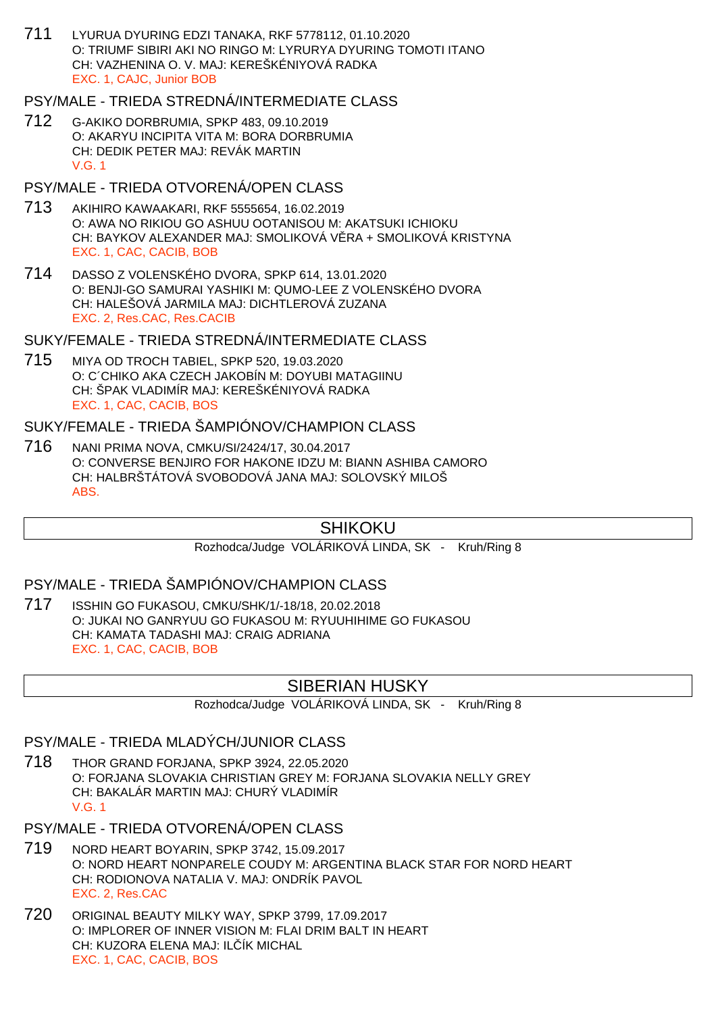711 LYURUA DYURING EDZI TANAKA, RKF 5778112, 01.10.2020 O: TRIUMF SIBIRI AKI NO RINGO M: LYRURYA DYURING TOMOTI ITANO CH: VAZHENINA O. V. MAJ: KEREŠKÉNIYOVÁ RADKA EXC. 1, CAJC, Junior BOB

### PSY/MALE - TRIEDA STREDNÁ/INTERMEDIATE CLASS

712 G-AKIKO DORBRUMIA, SPKP 483, 09.10.2019 O: AKARYU INCIPITA VITA M: BORA DORBRUMIA CH: DEDIK PETER MAJ: REVÁK MARTIN V.G. 1

## PSY/MALE - TRIEDA OTVORENÁ/OPEN CLASS

- 713 AKIHIRO KAWAAKARI, RKF 5555654, 16.02.2019 O: AWA NO RIKIOU GO ASHUU OOTANISOU M: AKATSUKI ICHIOKU CH: BAYKOV ALEXANDER MAJ: SMOLIKOVÁ V RA + SMOLIKOVÁ KRISTYNA EXC. 1, CAC, CACIB, BOB
- 714 DASSO Z VOLENSKÉHO DVORA, SPKP 614, 13.01.2020 O: BENJI-GO SAMURAI YASHIKI M: QUMO-LEE Z VOLENSKÉHO DVORA CH: HALEŠOVÁ JARMILA MAJ: DICHTLEROVÁ ZUZANA EXC. 2, Res.CAC, Res.CACIB

## SUKY/FEMALE - TRIEDA STREDNÁ/INTERMEDIATE CLASS

715 MIYA OD TROCH TABIEL, SPKP 520, 19.03.2020 O: C´CHIKO AKA CZECH JAKOBÍN M: DOYUBI MATAGIINU CH: ŠPAK VLADIMÍR MAJ: KEREŠKÉNIYOVÁ RADKA EXC. 1, CAC, CACIB, BOS

### SUKY/FEMALE - TRIEDA ŠAMPIÓNOV/CHAMPION CLASS

716 NANI PRIMA NOVA, CMKU/SI/2424/17, 30.04.2017 O: CONVERSE BENJIRO FOR HAKONE IDZU M: BIANN ASHIBA CAMORO CH: HALBRŠTÁTOVÁ SVOBODOVÁ JANA MAJ: SOLOVSKÝ MILOŠ ABS.

# SHIKOKU

Rozhodca/Judge VOLÁRIKOVÁ LINDA, SK - Kruh/Ring 8

# PSY/MALE - TRIEDA ŠAMPIÓNOV/CHAMPION CLASS

717 ISSHIN GO FUKASOU, CMKU/SHK/1/-18/18, 20.02.2018 O: JUKAI NO GANRYUU GO FUKASOU M: RYUUHIHIME GO FUKASOU CH: KAMATA TADASHI MAJ: CRAIG ADRIANA EXC. 1, CAC, CACIB, BOB

## SIBERIAN HUSKY

Rozhodca/Judge VOLÁRIKOVÁ LINDA, SK - Kruh/Ring 8

## PSY/MALE - TRIEDA MLADÝCH/JUNIOR CLASS

718 THOR GRAND FORJANA, SPKP 3924, 22.05.2020 O: FORJANA SLOVAKIA CHRISTIAN GREY M: FORJANA SLOVAKIA NELLY GREY CH: BAKALÁR MARTIN MAJ: CHURÝ VLADIMÍR V.G. 1

PSY/MALE - TRIEDA OTVORENÁ/OPEN CLASS

- 719 NORD HEART BOYARIN, SPKP 3742, 15.09.2017 O: NORD HEART NONPARELE COUDY M: ARGENTINA BLACK STAR FOR NORD HEART CH: RODIONOVA NATALIA V. MAJ: ONDRÍK PAVOL EXC. 2, Res.CAC
- 720 ORIGINAL BEAUTY MILKY WAY, SPKP 3799, 17.09.2017 O: IMPLORER OF INNER VISION M: FLAI DRIM BALT IN HEART CH: KUZORA ELENA MAJ: IL ÍK MICHAL EXC. 1, CAC, CACIB, BOS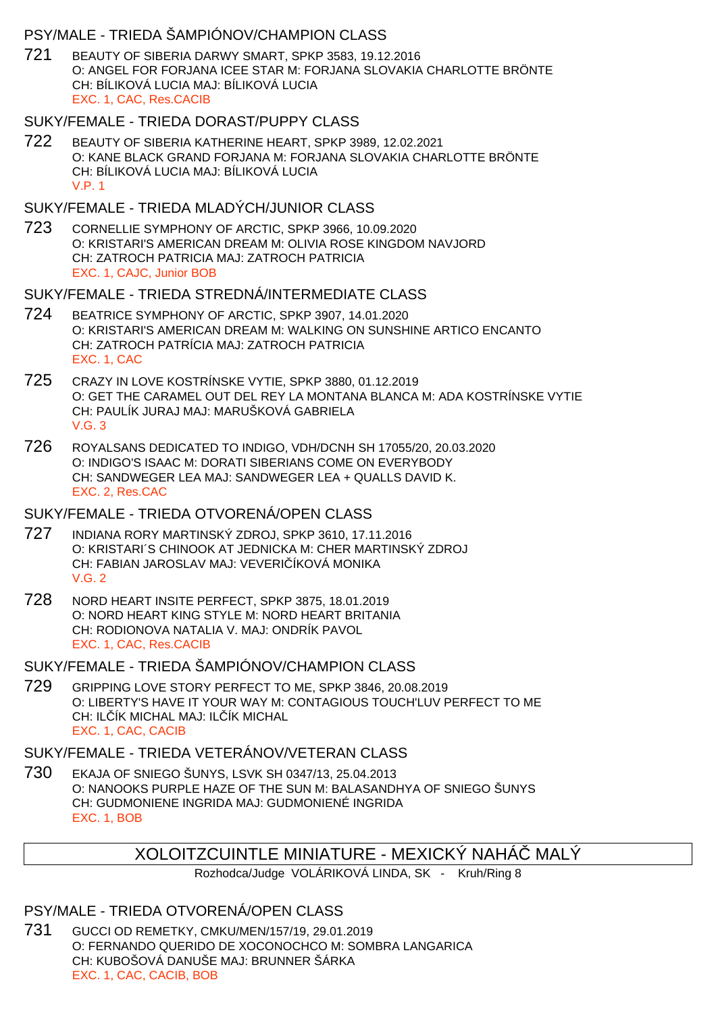## PSY/MALE - TRIEDA ŠAMPIÓNOV/CHAMPION CLASS

- 721 BEAUTY OF SIBERIA DARWY SMART, SPKP 3583, 19.12.2016 O: ANGEL FOR FORJANA ICEE STAR M: FORJANA SLOVAKIA CHARLOTTE BRÖNTE CH: BÍLIKOVÁ LUCIA MAJ: BÍLIKOVÁ LUCIA EXC. 1, CAC, Res.CACIB
- SUKY/FEMALE TRIEDA DORAST/PUPPY CLASS
- 722 BEAUTY OF SIBERIA KATHERINE HEART, SPKP 3989, 12.02.2021 O: KANE BLACK GRAND FORJANA M: FORJANA SLOVAKIA CHARLOTTE BRÖNTE CH: BÍLIKOVÁ LUCIA MAJ: BÍLIKOVÁ LUCIA V.P. 1
- SUKY/FEMALE TRIEDA MLADÝCH/JUNIOR CLASS
- 723 CORNELLIE SYMPHONY OF ARCTIC, SPKP 3966, 10.09.2020 O: KRISTARI'S AMERICAN DREAM M: OLIVIA ROSE KINGDOM NAVJORD CH: ZATROCH PATRICIA MAJ: ZATROCH PATRICIA EXC. 1, CAJC, Junior BOB

### SUKY/FEMALE - TRIEDA STREDNÁ/INTERMEDIATE CLASS

- 724 BEATRICE SYMPHONY OF ARCTIC, SPKP 3907, 14.01.2020 O: KRISTARI'S AMERICAN DREAM M: WALKING ON SUNSHINE ARTICO ENCANTO CH: ZATROCH PATRÍCIA MAJ: ZATROCH PATRICIA EXC. 1, CAC
- 725 CRAZY IN LOVE KOSTRÍNSKE VYTIE, SPKP 3880, 01.12.2019 O: GET THE CARAMEL OUT DEL REY LA MONTANA BLANCA M: ADA KOSTRÍNSKE VYTIE CH: PAULÍK JURAJ MAJ: MARUŠKOVÁ GABRIELA V.G. 3
- 726 ROYALSANS DEDICATED TO INDIGO, VDH/DCNH SH 17055/20, 20.03.2020 O: INDIGO'S ISAAC M: DORATI SIBERIANS COME ON EVERYBODY CH: SANDWEGER LEA MAJ: SANDWEGER LEA + QUALLS DAVID K. EXC. 2, Res.CAC

# SUKY/FEMALE - TRIEDA OTVORENÁ/OPEN CLASS

- 727 INDIANA RORY MARTINSKÝ ZDROJ, SPKP 3610, 17.11.2016 O: KRISTARI´S CHINOOK AT JEDNICKA M: CHER MARTINSKÝ ZDROJ CH: FABIAN JAROSLAV MAJ: VEVERI ÍKOVÁ MONIKA V.G. 2
- 728 NORD HEART INSITE PERFECT, SPKP 3875, 18.01.2019 O: NORD HEART KING STYLE M: NORD HEART BRITANIA CH: RODIONOVA NATALIA V. MAJ: ONDRÍK PAVOL EXC. 1, CAC, Res.CACIB

SUKY/FEMALE - TRIEDA ŠAMPIÓNOV/CHAMPION CLASS

729 GRIPPING LOVE STORY PERFECT TO ME, SPKP 3846, 20.08.2019 O: LIBERTY'S HAVE IT YOUR WAY M: CONTAGIOUS TOUCH'LUV PERFECT TO ME CH: IL ÍK MICHAL MAJ: IL ÍK MICHAL EXC. 1, CAC, CACIB

# SUKY/FEMALE - TRIEDA VETERÁNOV/VETERAN CLASS

730 EKAJA OF SNIEGO ŠUNYS, LSVK SH 0347/13, 25.04.2013 O: NANOOKS PURPLE HAZE OF THE SUN M: BALASANDHYA OF SNIEGO ŠUNYS CH: GUDMONIENE INGRIDA MAJ: GUDMONIENÉ INGRIDA EXC. 1, BOB

# XOLOITZCUINTLE MINIATURE - MEXICKÝ NAHÁ MALÝ

Rozhodca/Judge VOLÁRIKOVÁ LINDA, SK - Kruh/Ring 8

## PSY/MALE - TRIEDA OTVORENÁ/OPEN CLASS

731 GUCCI OD REMETKY, CMKU/MEN/157/19, 29.01.2019 O: FERNANDO QUERIDO DE XOCONOCHCO M: SOMBRA LANGARICA CH: KUBOŠOVÁ DANUŠE MAJ: BRUNNER ŠÁRKA EXC. 1, CAC, CACIB, BOB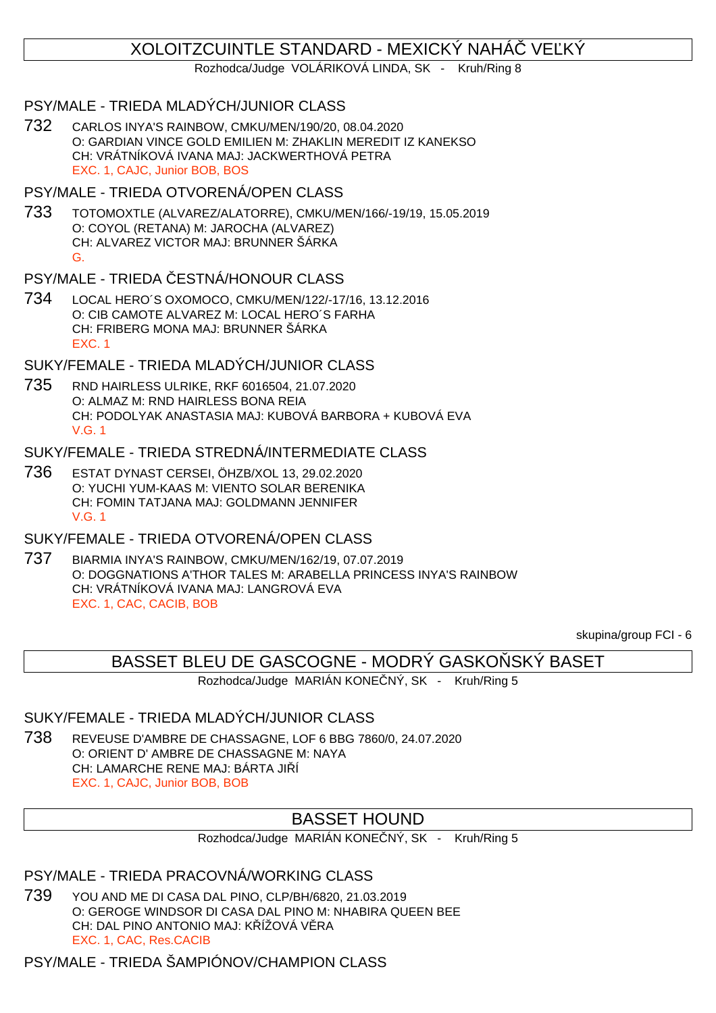# XOLOITZCUINTLE STANDARD - MEXICKÝ NAHÁ $\;$  ve KÝ

Rozhodca/Judge VOLÁRIKOVÁ LINDA, SK - Kruh/Ring 8

# PSY/MALE - TRIEDA MLADÝCH/JUNIOR CLASS

732 CARLOS INYA'S RAINBOW, CMKU/MEN/190/20, 08.04.2020 O: GARDIAN VINCE GOLD EMILIEN M: ZHAKLIN MEREDIT IZ KANEKSO CH: VRÁTNÍKOVÁ IVANA MAJ: JACKWERTHOVÁ PETRA EXC. 1, CAJC, Junior BOB, BOS

### PSY/MALE - TRIEDA OTVORENÁ/OPEN CLASS

733 TOTOMOXTLE (ALVAREZ/ALATORRE), CMKU/MEN/166/-19/19, 15.05.2019 O: COYOL (RETANA) M: JAROCHA (ALVAREZ) CH: ALVAREZ VICTOR MAJ: BRUNNER ŠÁRKA G.

### PSY/MALE - TRIEDA ESTNÁ/HONOUR CLASS

734 LOCAL HERO´S OXOMOCO, CMKU/MEN/122/-17/16, 13.12.2016 O: CIB CAMOTE ALVAREZ M: LOCAL HERO´S FARHA CH: FRIBERG MONA MAJ: BRUNNER ŠÁRKA EXC. 1

# SUKY/FEMALE - TRIEDA MLADÝCH/JUNIOR CLASS

735 RND HAIRLESS ULRIKE, RKF 6016504, 21.07.2020 O: ALMAZ M: RND HAIRLESS BONA REIA CH: PODOLYAK ANASTASIA MAJ: KUBOVÁ BARBORA + KUBOVÁ EVA V.G. 1

## SUKY/FEMALE - TRIEDA STREDNÁ/INTERMEDIATE CLASS

736 ESTAT DYNAST CERSEI, ÖHZB/XOL 13, 29.02.2020 O: YUCHI YUM-KAAS M: VIENTO SOLAR BERENIKA CH: FOMIN TATJANA MAJ: GOLDMANN JENNIFER V.G. 1

## SUKY/FEMALE - TRIEDA OTVORENÁ/OPEN CLASS

737 BIARMIA INYA'S RAINBOW, CMKU/MEN/162/19, 07.07.2019 O: DOGGNATIONS A'THOR TALES M: ARABELLA PRINCESS INYA'S RAINBOW CH: VRÁTNÍKOVÁ IVANA MAJ: LANGROVÁ EVA EXC. 1, CAC, CACIB, BOB

skupina/group FCI - 6

# BASSET BLEU DE GASCOGNE - MODRY GASKO SKY BASET

Rozhodca/Judge MARIÁN KONE NÝ, SK - Kruh/Ring 5

# SUKY/FEMALE - TRIEDA MLADÝCH/JUNIOR CLASS

738 REVEUSE D'AMBRE DE CHASSAGNE, LOF 6 BBG 7860/0, 24.07.2020 O: ORIENT D' AMBRE DE CHASSAGNE M: NAYA CH: LAMARCHE RENE MAJ: BÁRTA JI Í EXC. 1, CAJC, Junior BOB, BOB

# BASSET HOUND

Rozhodca/Judge MARIÁN KONE NÝ, SK - Kruh/Ring 5

PSY/MALE - TRIEDA PRACOVNÁ/WORKING CLASS

739 YOU AND ME DI CASA DAL PINO, CLP/BH/6820, 21.03.2019 O: GEROGE WINDSOR DI CASA DAL PINO M: NHABIRA QUEEN BEE CH: DAL PINO ANTONIO MAJ: K ÍŽOVÁ V RA EXC. 1, CAC, Res.CACIB

PSY/MALE - TRIEDA ŠAMPIÓNOV/CHAMPION CLASS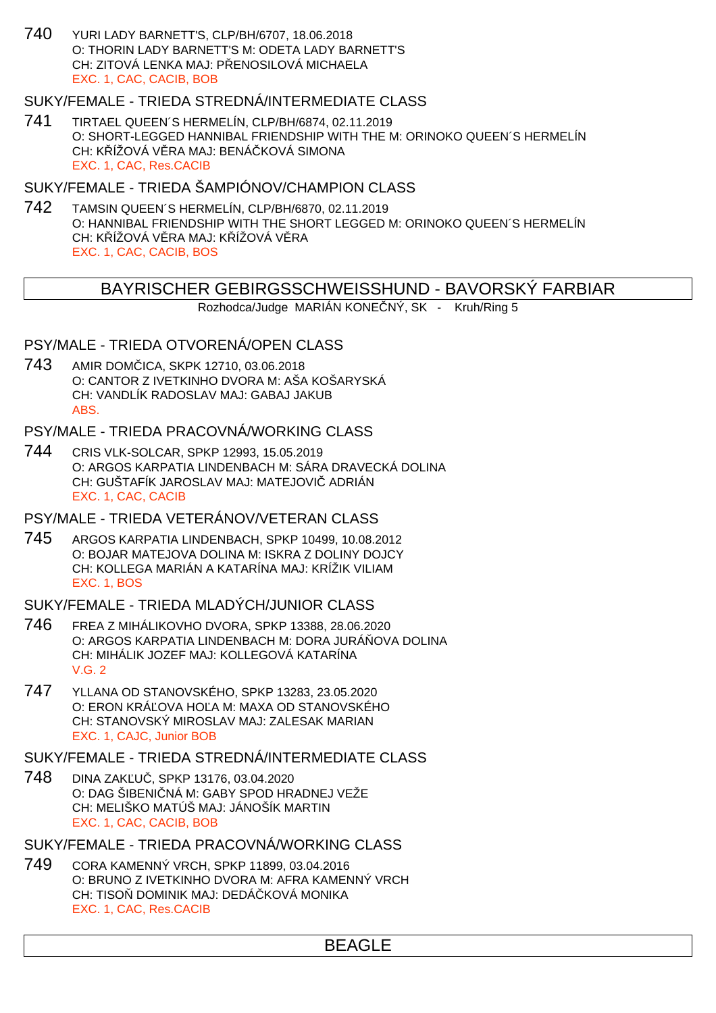740 YURI LADY BARNETT'S, CLP/BH/6707, 18.06.2018 O: THORIN LADY BARNETT'S M: ODETA LADY BARNETT'S CH: ZITOVÁ LENKA MAJ: PENOSILOVÁ MICHAELA EXC. 1, CAC, CACIB, BOB

## SUKY/FEMALE - TRIEDA STREDNÁ/INTERMEDIATE CLASS

741 TIRTAEL QUEEN´S HERMELÍN, CLP/BH/6874, 02.11.2019 O: SHORT-LEGGED HANNIBAL FRIENDSHIP WITH THE M: ORINOKO QUEEN´S HERMELÍN CH: K ÍŽOVÁ V RA MAJ: BENÁ KOVÁ SIMONA EXC. 1, CAC, Res.CACIB

# SUKY/FEMALE - TRIEDA ŠAMPIÓNOV/CHAMPION CLASS

742 TAMSIN QUEEN´S HERMELÍN, CLP/BH/6870, 02.11.2019 O: HANNIBAL FRIENDSHIP WITH THE SHORT LEGGED M: ORINOKO QUEEN´S HERMELÍN CH: K<sup></sup>ÍŽOVÁ V RA MAJ: K<sup></sup>ÍŽOVÁ V RA EXC. 1, CAC, CACIB, BOS

# BAYRISCHER GEBIRGSSCHWEISSHUND - BAVORSKÝ FARBIAR

Rozhodca/Judge MARIÁN KONE NÝ, SK - Kruh/Ring 5

### PSY/MALE - TRIEDA OTVORENÁ/OPEN CLASS

743 AMIR DOMČICA, SKPK 12710, 03.06.2018 O: CANTOR Z IVETKINHO DVORA M: AŠA KOŠARYSKÁ CH: VANDLÍK RADOSLAV MAJ: GABAJ JAKUB ABS.

## PSY/MALE - TRIEDA PRACOVNÁ/WORKING CLASS

744 CRIS VLK-SOLCAR, SPKP 12993, 15.05.2019 O: ARGOS KARPATIA LINDENBACH M: SÁRA DRAVECKÁ DOLINA CH: GUŠTAFÍK JAROSLAV MAJ: MATEJOVI ADRIÁN EXC. 1, CAC, CACIB

## PSY/MALE - TRIEDA VETERÁNOV/VETERAN CLASS

745 ARGOS KARPATIA LINDENBACH, SPKP 10499, 10.08.2012 O: BOJAR MATEJOVA DOLINA M: ISKRA Z DOLINY DOJCY CH: KOLLEGA MARIÁN A KATARÍNA MAJ: KRÍŽIK VILIAM EXC. 1, BOS

### SUKY/FEMALE - TRIEDA MLADÝCH/JUNIOR CLASS

- 746 FREA Z MIHÁLIKOVHO DVORA, SPKP 13388, 28.06.2020 O: ARGOS KARPATIA LINDENBACH M: DORA JURÁ OVA DOLINA CH: MIHÁLIK JOZEF MAJ: KOLLEGOVÁ KATARÍNA  $V$  G  $2$
- 747 YLLANA OD STANOVSKÉHO, SPKP 13283, 23.05.2020 O: ERON KRÁLOVA HOĽA M: MAXA OD STANOVSKÉHO CH: STANOVSKÝ MIROSLAV MAJ: ZALESAK MARIAN EXC. 1, CAJC, Junior BOB

### SUKY/FEMALE - TRIEDA STREDNÁ/INTERMEDIATE CLASS

748 DINA ZAK U. SPKP 13176, 03.04.2020 O: DAG ŠIBENI NÁ M: GABY SPOD HRADNEJ VEŽE CH: MELIŠKO MATÚŠ MAJ: JÁNOŠÍK MARTIN EXC. 1, CAC, CACIB, BOB

SUKY/FEMALE - TRIEDA PRACOVNÁ/WORKING CLASS

749 CORA KAMENNÝ VRCH, SPKP 11899, 03.04.2016 O: BRUNO Z IVETKINHO DVORA M: AFRA KAMENNÝ VRCH CH: TISO DOMINIK MAJ: DEDÁ KOVÁ MONIKA EXC. 1, CAC, Res.CACIB

# BEAGLE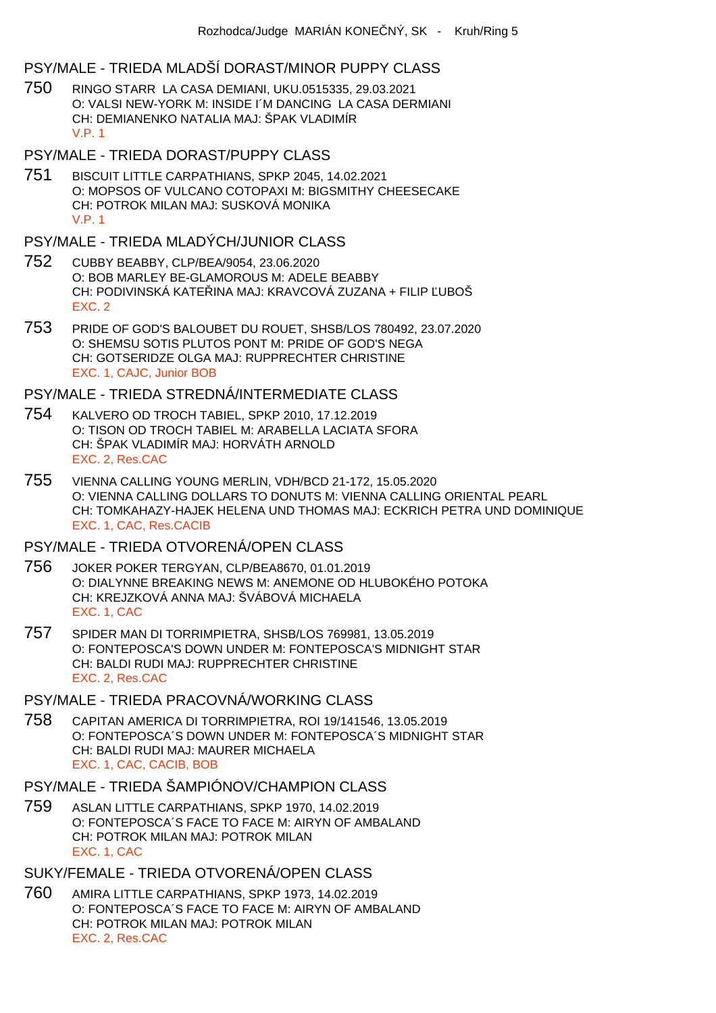# PSY/MALE - TRIEDA MLADŠÍ DORAST/MINOR PUPPY CLASS

750 RINGO STARR LA CASA DEMIANI, UKU.0515335, 29.03.2021 O: VALSI NEW-YORK M: INSIDE I´M DANCING LA CASA DERMIANI CH: DEMIANENKO NATALIA MAJ: ŠPAK VLADIMÍR V.P. 1

PSY/MALE - TRIEDA DORAST/PUPPY CLASS

751 BISCUIT LITTLE CARPATHIANS, SPKP 2045, 14.02.2021 O: MOPSOS OF VULCANO COTOPAXI M: BIGSMITHY CHEESECAKE CH: POTROK MILAN MAJ: SUSKOVÁ MONIKA V.P. 1

### PSY/MALE - TRIEDA MLADÝCH/JUNIOR CLASS

- 752 CUBBY BEABBY, CLP/BEA/9054, 23.06.2020 O: BOB MARLEY BE-GLAMOROUS M: ADELE BEABBY CH: PODIVINSKÁ KATEJINA MAJ: KRAVCOVÁ ZUZANA + FILIP LUBOŠ EXC. 2
- 753 PRIDE OF GOD'S BALOUBET DU ROUET, SHSB/LOS 780492, 23.07.2020 O: SHEMSU SOTIS PLUTOS PONT M: PRIDE OF GOD'S NEGA CH: GOTSERIDZE OLGA MAJ: RUPPRECHTER CHRISTINE EXC. 1, CAJC, Junior BOB

## PSY/MALE - TRIEDA STREDNÁ/INTERMEDIATE CLASS

- 754 KALVERO OD TROCH TABIEL, SPKP 2010, 17.12.2019 O: TISON OD TROCH TABIEL M: ARABELLA LACIATA SFORA CH: ŠPAK VLADIMÍR MAJ: HORVÁTH ARNOLD EXC. 2, Res.CAC
- 755 VIENNA CALLING YOUNG MERLIN, VDH/BCD 21-172, 15.05.2020 O: VIENNA CALLING DOLLARS TO DONUTS M: VIENNA CALLING ORIENTAL PEARL CH: TOMKAHAZY-HAJEK HELENA UND THOMAS MAJ: ECKRICH PETRA UND DOMINIQUE EXC. 1, CAC, Res.CACIB

### PSY/MALE - TRIEDA OTVORENÁ/OPEN CLASS

- 756 JOKER POKER TERGYAN, CLP/BEA8670, 01.01.2019 O: DIALYNNE BREAKING NEWS M: ANEMONE OD HLUBOKÉHO POTOKA CH: KREJZKOVÁ ANNA MAJ: ŠVÁBOVÁ MICHAELA EXC. 1, CAC
- 757 SPIDER MAN DI TORRIMPIETRA, SHSB/LOS 769981, 13.05.2019 O: FONTEPOSCA'S DOWN UNDER M: FONTEPOSCA'S MIDNIGHT STAR CH: BALDI RUDI MAJ: RUPPRECHTER CHRISTINE EXC. 2, Res.CAC

## PSY/MALE - TRIEDA PRACOVNÁ/WORKING CLASS

758 CAPITAN AMERICA DI TORRIMPIETRA, ROI 19/141546, 13.05.2019 O: FONTEPOSCA´S DOWN UNDER M: FONTEPOSCA´S MIDNIGHT STAR CH: BALDI RUDI MAJ: MAURER MICHAELA EXC. 1, CAC, CACIB, BOB

## PSY/MALE - TRIEDA ŠAMPIÓNOV/CHAMPION CLASS

759 ASLAN LITTLE CARPATHIANS, SPKP 1970, 14.02.2019 O: FONTEPOSCA´S FACE TO FACE M: AIRYN OF AMBALAND CH: POTROK MILAN MAJ: POTROK MILAN EXC. 1, CAC

## SUKY/FEMALE - TRIEDA OTVORENÁ/OPEN CLASS

760 AMIRA LITTLE CARPATHIANS, SPKP 1973, 14.02.2019 O: FONTEPOSCA´S FACE TO FACE M: AIRYN OF AMBALAND CH: POTROK MILAN MAJ: POTROK MILAN EXC. 2, Res.CAC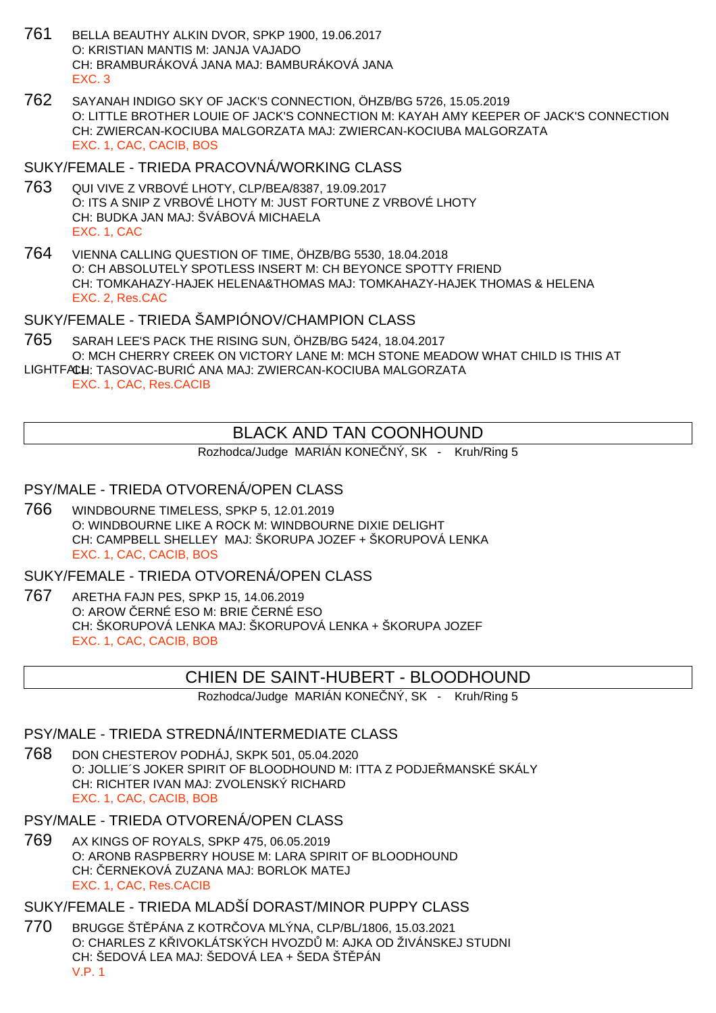- 761 BELLA BEAUTHY ALKIN DVOR, SPKP 1900, 19.06.2017 O: KRISTIAN MANTIS M: JANJA VAJADO CH: BRAMBURÁKOVÁ JANA MAJ: BAMBURÁKOVÁ JANA EXC. 3
- 762 SAYANAH INDIGO SKY OF JACK'S CONNECTION, ÖHZB/BG 5726, 15.05.2019 O: LITTLE BROTHER LOUIE OF JACK'S CONNECTION M: KAYAH AMY KEEPER OF JACK'S CONNECTION CH: ZWIERCAN-KOCIUBA MALGORZATA MAJ: ZWIERCAN-KOCIUBA MALGORZATA EXC. 1, CAC, CACIB, BOS

SUKY/FEMALE - TRIEDA PRACOVNÁ/WORKING CLASS

- 763 QUI VIVE Z VRBOVÉ LHOTY, CLP/BEA/8387, 19.09.2017 O: ITS A SNIP Z VRBOVÉ LHOTY M: JUST FORTUNE Z VRBOVÉ LHOTY CH: BUDKA JAN MAJ: ŠVÁBOVÁ MICHAELA EXC. 1, CAC
- 764 VIENNA CALLING QUESTION OF TIME, ÖHZB/BG 5530, 18.04.2018 O: CH ABSOLUTELY SPOTLESS INSERT M: CH BEYONCE SPOTTY FRIEND CH: TOMKAHAZY-HAJEK HELENA&THOMAS MAJ: TOMKAHAZY-HAJEK THOMAS & HELENA EXC. 2, Res.CAC

SUKY/FEMALE - TRIEDA ŠAMPIÓNOV/CHAMPION CLASS

765 SARAH LEE'S PACK THE RISING SUN, ÖHZB/BG 5424, 18.04.2017 O: MCH CHERRY CREEK ON VICTORY LANE M: MCH STONE MEADOW WHAT CHILD IS THIS AT LIGHTFACH: TASOVAC-BURI ANA MAJ: ZWIERCAN-KOCIUBA MALGORZATA

EXC. 1, CAC, Res.CACIB

# BLACK AND TAN COONHOUND

Rozhodca/Judge MARIÁN KONE NÝ, SK - Kruh/Ring 5

PSY/MALE - TRIEDA OTVORENÁ/OPEN CLASS

766 WINDBOURNE TIMELESS, SPKP 5, 12.01.2019 O: WINDBOURNE LIKE A ROCK M: WINDBOURNE DIXIE DELIGHT CH: CAMPBELL SHELLEY MAJ: ŠKORUPA JOZEF + ŠKORUPOVÁ LENKA EXC. 1, CAC, CACIB, BOS

SUKY/FEMALE - TRIEDA OTVORENÁ/OPEN CLASS

767 ARETHA FAJN PES, SPKP 15, 14.06.2019 O: AROW ERNÉ ESO M: BRIE ERNÉ ESO CH: ŠKORUPOVÁ LENKA MAJ: ŠKORUPOVÁ LENKA + ŠKORUPA JOZEF EXC. 1, CAC, CACIB, BOB

# CHIEN DE SAINT-HUBERT - BLOODHOUND

Rozhodca/Judge MARIÁN KONE NÝ, SK - Kruh/Ring 5

# PSY/MALE - TRIEDA STREDNÁ/INTERMEDIATE CLASS

768 DON CHESTEROV PODHÁJ, SKPK 501, 05.04.2020 O: JOLLIE'S JOKER SPIRIT OF BLOODHOUND M: ITTA Z PODJE MANSKÉ SKÁLY CH: RICHTER IVAN MAJ: ZVOLENSKÝ RICHARD EXC. 1, CAC, CACIB, BOB

PSY/MALE - TRIEDA OTVORENÁ/OPEN CLASS

769 AX KINGS OF ROYALS, SPKP 475, 06.05.2019 O: ARONB RASPBERRY HOUSE M: LARA SPIRIT OF BLOODHOUND CH: ERNEKOVÁ ZUZANA MAJ: BORLOK MATEJ EXC. 1, CAC, Res.CACIB

SUKY/FEMALE - TRIEDA MLADŠÍ DORAST/MINOR PUPPY CLASS

770 BRUGGE ŠT PÁNA Z KOTR OVA MLÝNA, CLP/BL/1806, 15.03.2021 O: CHARLES Z KLIVOKLÁTSKÝCH HVOZDU M: AJKA OD ŽIVÁNSKEJ STUDNI CH: ŠEDOVÁ LEA MAJ: ŠEDOVÁ LEA + ŠEDA ŠTIPÁN V.P. 1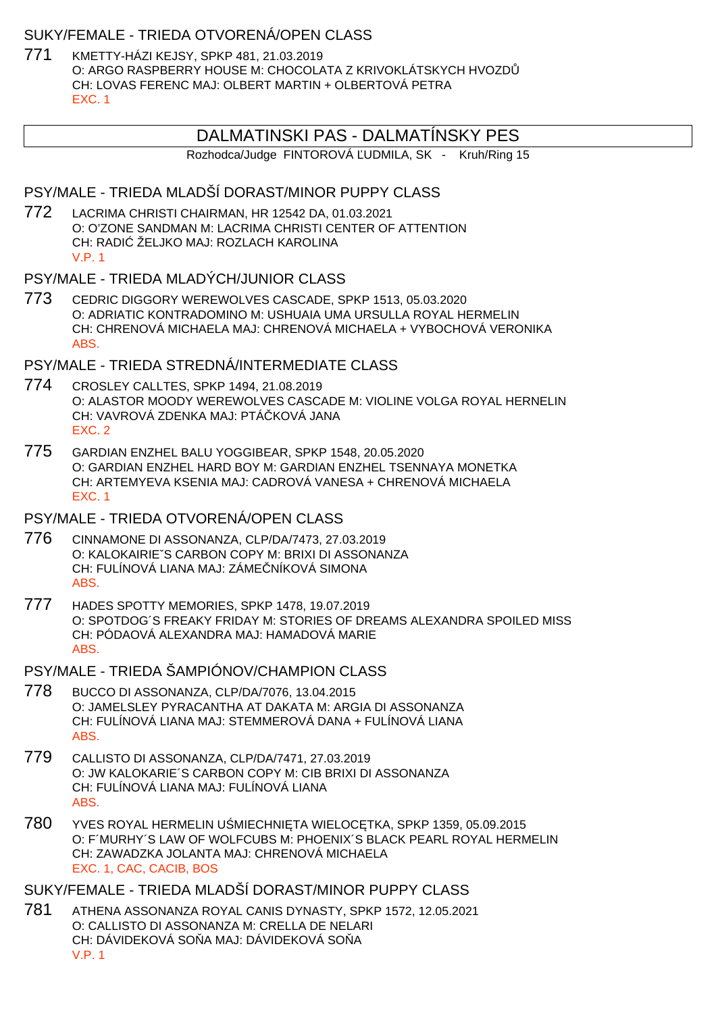## SUKY/FEMALE - TRIEDA OTVORENÁ/OPEN CLASS

771 KMETTY-HÁZI KEJSY, SPKP 481, 21.03.2019 O: ARGO RASPBERRY HOUSE M: CHOCOLATA Z KRIVOKLÁTSKYCH HVOZD CH: LOVAS FERENC MAJ: OLBERT MARTIN + OLBERTOVÁ PETRA EXC. 1

# DALMATINSKI PAS - DALMATÍNSKY PES

Rozhodca/Judge FINTOROVÁ UDMILA, SK - Kruh/Ring 15

## PSY/MALE - TRIEDA MLADŠÍ DORAST/MINOR PUPPY CLASS

772 LACRIMA CHRISTI CHAIRMAN, HR 12542 DA, 01.03.2021 O: O'ZONE SANDMAN M: LACRIMA CHRISTI CENTER OF ATTENTION CH: RADI ŽELJKO MAJ: ROZLACH KAROLINA V.P. 1

### PSY/MALE - TRIEDA MLADÝCH/JUNIOR CLASS

773 CEDRIC DIGGORY WEREWOLVES CASCADE, SPKP 1513, 05.03.2020 O: ADRIATIC KONTRADOMINO M: USHUAIA UMA URSULLA ROYAL HERMELIN CH: CHRENOVÁ MICHAELA MAJ: CHRENOVÁ MICHAELA + VYBOCHOVÁ VERONIKA ABS.

## PSY/MALE - TRIEDA STREDNÁ/INTERMEDIATE CLASS

- 774 CROSLEY CALLTES, SPKP 1494, 21.08.2019 O: ALASTOR MOODY WEREWOLVES CASCADE M: VIOLINE VOLGA ROYAL HERNELIN CH: VAVROVÁ ZDENKA MAJ: PTÁ KOVÁ JANA EXC. 2
- 775 GARDIAN ENZHEL BALU YOGGIBEAR, SPKP 1548, 20.05.2020 O: GARDIAN ENZHEL HARD BOY M: GARDIAN ENZHEL TSENNAYA MONETKA CH: ARTEMYEVA KSENIA MAJ: CADROVÁ VANESA + CHRENOVÁ MICHAELA EXC. 1

## PSY/MALE - TRIEDA OTVORENÁ/OPEN CLASS

- 776 CINNAMONE DI ASSONANZA, CLP/DA/7473, 27.03.2019 O: KALOKAIRIEˇS CARBON COPY M: BRIXI DI ASSONANZA CH: FULÍNOVÁ LIANA MAJ: ZÁME NÍKOVÁ SIMONA ABS.
- 777 HADES SPOTTY MEMORIES, SPKP 1478, 19.07.2019 O: SPOTDOG´S FREAKY FRIDAY M: STORIES OF DREAMS ALEXANDRA SPOILED MISS CH: PÓDAOVÁ ALEXANDRA MAJ: HAMADOVÁ MARIE ABS.

# PSY/MALE - TRIEDA ŠAMPIÓNOV/CHAMPION CLASS

- 778 BUCCO DI ASSONANZA, CLP/DA/7076, 13.04.2015 O: JAMELSLEY PYRACANTHA AT DAKATA M: ARGIA DI ASSONANZA CH: FULÍNOVÁ LIANA MAJ: STEMMEROVÁ DANA + FULÍNOVÁ LIANA ABS.
- 779 CALLISTO DI ASSONANZA, CLP/DA/7471, 27.03.2019 O: JW KALOKARIE´S CARBON COPY M: CIB BRIXI DI ASSONANZA CH: FULÍNOVÁ LIANA MAJ: FULÍNOVÁ LIANA ABS.
- 780 YVES ROYAL HERMELIN U MIECHNI TA WIELOC TKA, SPKP 1359, 05.09.2015 O: F´MURHY´S LAW OF WOLFCUBS M: PHOENIX´S BLACK PEARL ROYAL HERMELIN CH: ZAWADZKA JOLANTA MAJ: CHRENOVÁ MICHAELA EXC. 1, CAC, CACIB, BOS

# SUKY/FEMALE - TRIEDA MLADŠÍ DORAST/MINOR PUPPY CLASS

781 ATHENA ASSONANZA ROYAL CANIS DYNASTY, SPKP 1572, 12.05.2021 O: CALLISTO DI ASSONANZA M: CRELLA DE NELARI CH: DÁVIDEKOVÁ SO A MAJ: DÁVIDEKOVÁ SO A V.P. 1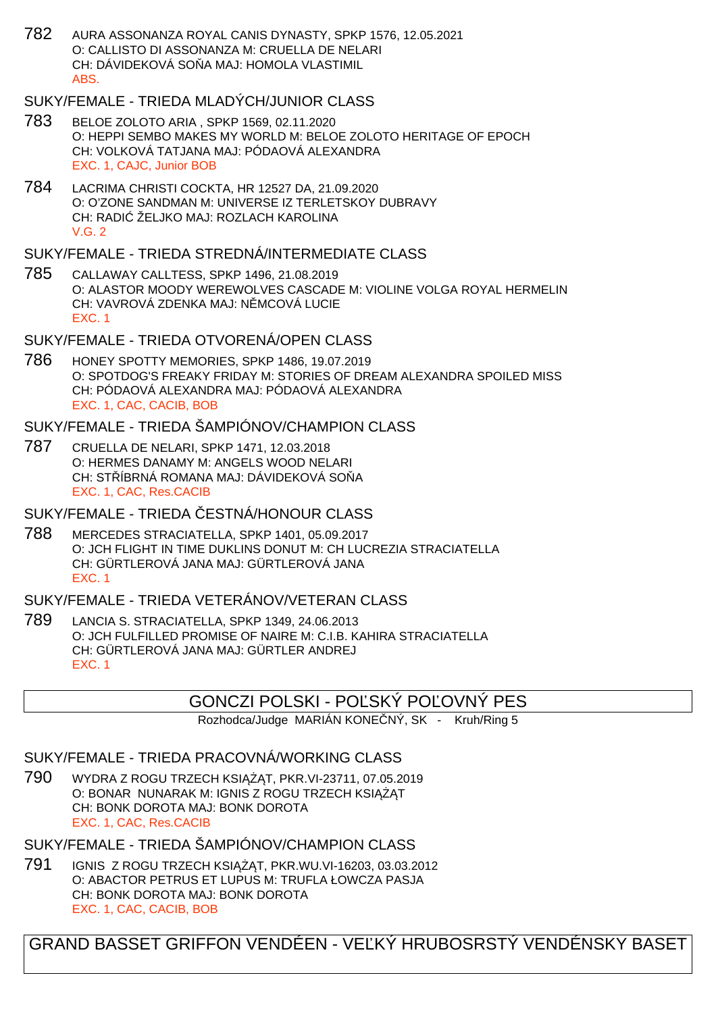782 AURA ASSONANZA ROYAL CANIS DYNASTY, SPKP 1576, 12.05.2021 O: CALLISTO DI ASSONANZA M: CRUELLA DE NELARI CH: DÁVIDEKOVÁ SO A MAJ: HOMOLA VLASTIMIL ABS.

# SUKY/FEMALE - TRIEDA MLADÝCH/JUNIOR CLASS

- 783 BELOE ZOLOTO ARIA , SPKP 1569, 02.11.2020 O: HEPPI SEMBO MAKES MY WORLD M: BELOE ZOLOTO HERITAGE OF EPOCH CH: VOLKOVÁ TATJANA MAJ: PÓDAOVÁ ALEXANDRA EXC. 1, CAJC, Junior BOB
- 784 LACRIMA CHRISTI COCKTA, HR 12527 DA, 21.09.2020 O: O'ZONE SANDMAN M: UNIVERSE IZ TERLETSKOY DUBRAVY CH: RADI ŽELJKO MAJ: ROZLACH KAROLINA V.G. 2

### SUKY/FEMALE - TRIEDA STREDNÁ/INTERMEDIATE CLASS

785 CALLAWAY CALLTESS, SPKP 1496, 21.08.2019 O: ALASTOR MOODY WEREWOLVES CASCADE M: VIOLINE VOLGA ROYAL HERMELIN CH: VAVROVÁ ZDENKA MAJ: NĚMCOVÁ LUCIE EXC. 1

# SUKY/FEMALE - TRIEDA OTVORENÁ/OPEN CLASS

786 HONEY SPOTTY MEMORIES, SPKP 1486, 19.07.2019 O: SPOTDOG'S FREAKY FRIDAY M: STORIES OF DREAM ALEXANDRA SPOILED MISS CH: PÓDAOVÁ ALEXANDRA MAJ: PÓDAOVÁ ALEXANDRA EXC. 1, CAC, CACIB, BOB

# SUKY/FEMALE - TRIEDA ŠAMPIÓNOV/CHAMPION CLASS

787 CRUELLA DE NELARI, SPKP 1471, 12.03.2018 O: HERMES DANAMY M: ANGELS WOOD NELARI CH: STÍBRNÁ ROMANA MAJ: DÁVIDEKOVÁ SOŇA EXC. 1, CAC, Res.CACIB

## SUKY/FEMALE - TRIEDA ESTNÁ/HONOUR CLASS

788 MERCEDES STRACIATELLA, SPKP 1401, 05.09.2017 O: JCH FLIGHT IN TIME DUKLINS DONUT M: CH LUCREZIA STRACIATELLA CH: GÜRTLEROVÁ JANA MAJ: GÜRTLEROVÁ JANA EXC. 1

# SUKY/FEMALE - TRIEDA VETERÁNOV/VETERAN CLASS

789 LANCIA S. STRACIATELLA, SPKP 1349, 24.06.2013 O: JCH FULFILLED PROMISE OF NAIRE M: C.I.B. KAHIRA STRACIATELLA CH: GÜRTLEROVÁ JANA MAJ: GÜRTLER ANDREJ EXC. 1

# GONCZI POLSKI - POĽSKÝ POĽOVNÝ PES

Rozhodca/Judge MARIÁN KONE NÝ, SK - Kruh/Ring 5

## SUKY/FEMALE - TRIEDA PRACOVNÁ/WORKING CLASS

790 WYDRA Z ROGU TRZECH KSIĄŻĄT, PKR.VI-23711, 07.05.2019 O: BONAR NUNARAK M: IGNIS Z ROGU TRZECH KSI T CH: BONK DOROTA MAJ: BONK DOROTA EXC. 1, CAC, Res.CACIB

SUKY/FEMALE - TRIEDA ŠAMPIÓNOV/CHAMPION CLASS

791 IGNIS Z ROGU TRZECH KSI T. PKR.WU.VI-16203, 03.03.2012 O: ABACTOR PETRUS ET LUPUS M: TRUFLA ŁOWCZA PASJA CH: BONK DOROTA MAJ: BONK DOROTA EXC. 1, CAC, CACIB, BOB

GRAND BASSET GRIFFON VENDÉEN - VEĽKÝ HRUBOSRSTÝ VENDÉNSKY BASET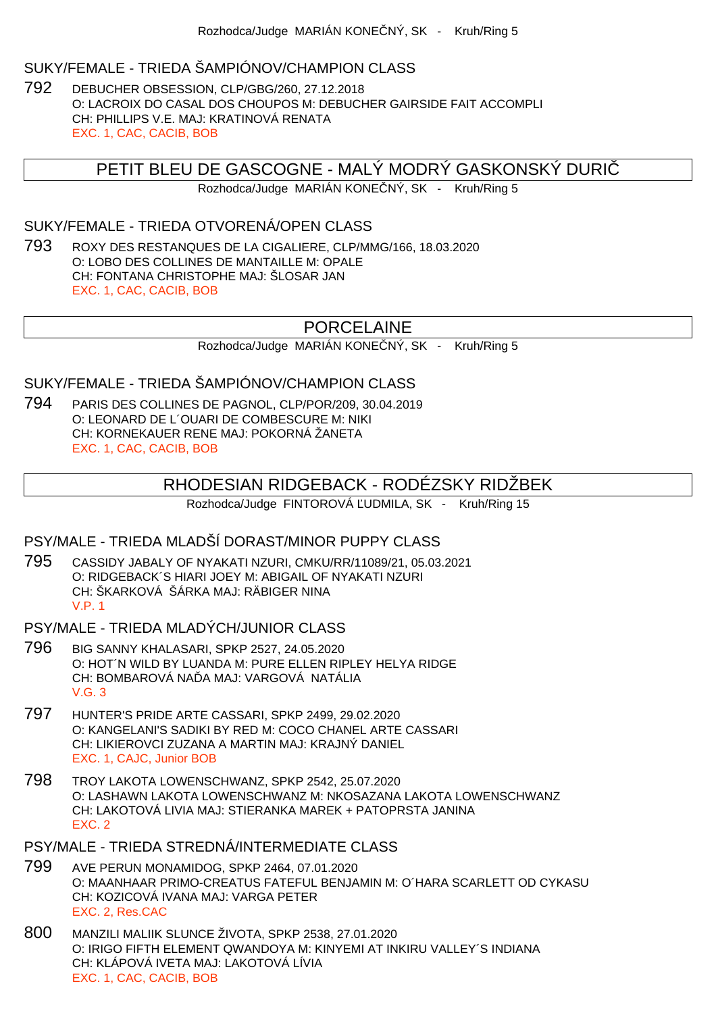## SUKY/FEMALE - TRIEDA ŠAMPIÓNOV/CHAMPION CLASS

792 DEBUCHER OBSESSION, CLP/GBG/260, 27.12.2018 O: LACROIX DO CASAL DOS CHOUPOS M: DEBUCHER GAIRSIDE FAIT ACCOMPLI CH: PHILLIPS V.E. MAJ: KRATINOVÁ RENATA EXC. 1, CAC, CACIB, BOB

# PETIT BLEU DE GASCOGNE - MALÝ MODRÝ GASKONSKÝ DURIČ

Rozhodca/Judge MARIÁN KONE NÝ, SK - Kruh/Ring 5

## SUKY/FEMALE - TRIEDA OTVORENÁ/OPEN CLASS

793 ROXY DES RESTANQUES DE LA CIGALIERE, CLP/MMG/166, 18.03.2020 O: LOBO DES COLLINES DE MANTAILLE M: OPALE CH: FONTANA CHRISTOPHE MAJ: ŠLOSAR JAN EXC. 1, CAC, CACIB, BOB

# PORCELAINE

Rozhodca/Judge MARIÁN KONE NÝ, SK - Kruh/Ring 5

SUKY/FEMALE - TRIEDA ŠAMPIÓNOV/CHAMPION CLASS

794 PARIS DES COLLINES DE PAGNOL, CLP/POR/209, 30.04.2019 O: LEONARD DE L´OUARI DE COMBESCURE M: NIKI CH: KORNEKAUER RENE MAJ: POKORNÁ ŽANETA EXC. 1, CAC, CACIB, BOB

# RHODESIAN RIDGEBACK - RODÉZSKY RIDŽBEK

Rozhodca/Judge FINTOROVÁ UDMILA, SK - Kruh/Ring 15

## PSY/MALE - TRIEDA MLADŠÍ DORAST/MINOR PUPPY CLASS

795 CASSIDY JABALY OF NYAKATI NZURI, CMKU/RR/11089/21, 05.03.2021 O: RIDGEBACK´S HIARI JOEY M: ABIGAIL OF NYAKATI NZURI CH: ŠKARKOVÁ ŠÁRKA MAJ: RÄBIGER NINA V.P. 1

PSY/MALE - TRIEDA MLADÝCH/JUNIOR CLASS

- 796 BIG SANNY KHALASARI, SPKP 2527, 24.05.2020 O: HOT´N WILD BY LUANDA M: PURE ELLEN RIPLEY HELYA RIDGE CH: BOMBAROVÁ NA A MAJ: VARGOVÁ NATÁLIA V.G. 3
- 797 HUNTER'S PRIDE ARTE CASSARI, SPKP 2499, 29.02.2020 O: KANGELANI'S SADIKI BY RED M: COCO CHANEL ARTE CASSARI CH: LIKIEROVCI ZUZANA A MARTIN MAJ: KRAJNÝ DANIEL EXC. 1, CAJC, Junior BOB
- 798 TROY LAKOTA LOWENSCHWANZ, SPKP 2542, 25.07.2020 O: LASHAWN LAKOTA LOWENSCHWANZ M: NKOSAZANA LAKOTA LOWENSCHWANZ CH: LAKOTOVÁ LIVIA MAJ: STIERANKA MAREK + PATOPRSTA JANINA EXC. 2
- PSY/MALE TRIEDA STREDNÁ/INTERMEDIATE CLASS
- 799 AVE PERUN MONAMIDOG, SPKP 2464, 07.01.2020 O: MAANHAAR PRIMO-CREATUS FATEFUL BENJAMIN M: O´HARA SCARLETT OD CYKASU CH: KOZICOVÁ IVANA MAJ: VARGA PETER EXC. 2, Res.CAC
- 800 MANZILI MALIIK SLUNCE ŽIVOTA, SPKP 2538, 27.01.2020 O: IRIGO FIFTH ELEMENT QWANDOYA M: KINYEMI AT INKIRU VALLEY´S INDIANA CH: KLÁPOVÁ IVETA MAJ: LAKOTOVÁ LÍVIA EXC. 1, CAC, CACIB, BOB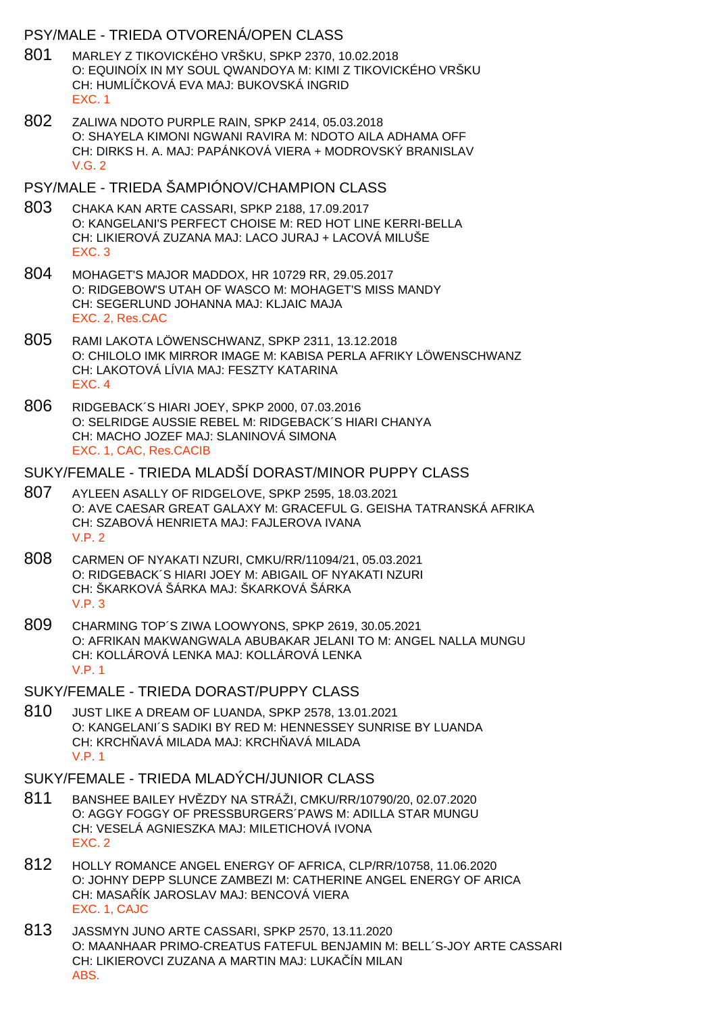# PSY/MALE - TRIEDA OTVORENÁ/OPEN CLASS

- 801 MARLEY Z TIKOVICKÉHO VRŠKU, SPKP 2370, 10.02.2018 O: EQUINOÍX IN MY SOUL QWANDOYA M: KIMI Z TIKOVICKÉHO VRŠKU CH: HUMLÍČKOVÁ EVA MAJ: BUKOVSKÁ INGRID EXC. 1
- 802 ZALIWA NDOTO PURPLE RAIN, SPKP 2414, 05.03.2018 O: SHAYELA KIMONI NGWANI RAVIRA M: NDOTO AILA ADHAMA OFF CH: DIRKS H. A. MAJ: PAPÁNKOVÁ VIERA + MODROVSKÝ BRANISLAV V.G. 2

## PSY/MALE - TRIEDA ŠAMPIÓNOV/CHAMPION CLASS

- 803 CHAKA KAN ARTE CASSARI, SPKP 2188, 17.09.2017 O: KANGELANI'S PERFECT CHOISE M: RED HOT LINE KERRI-BELLA CH: LIKIEROVÁ ZUZANA MAJ: LACO JURAJ + LACOVÁ MILUŠE EXC. 3
- 804 MOHAGET'S MAJOR MADDOX, HR 10729 RR, 29.05.2017 O: RIDGEBOW'S UTAH OF WASCO M: MOHAGET'S MISS MANDY CH: SEGERLUND JOHANNA MAJ: KLJAIC MAJA EXC. 2, Res.CAC
- 805 RAMI LAKOTA LÖWENSCHWANZ, SPKP 2311, 13.12.2018 O: CHILOLO IMK MIRROR IMAGE M: KABISA PERLA AFRIKY LÖWENSCHWANZ CH: LAKOTOVÁ LÍVIA MAJ: FESZTY KATARINA EXC. 4
- 806 RIDGEBACK´S HIARI JOEY, SPKP 2000, 07.03.2016 O: SELRIDGE AUSSIE REBEL M: RIDGEBACK´S HIARI CHANYA CH: MACHO JOZEF MAJ: SLANINOVÁ SIMONA EXC. 1, CAC, Res.CACIB

# SUKY/FEMALE - TRIEDA MLADŠÍ DORAST/MINOR PUPPY CLASS

- 807 AYLEEN ASALLY OF RIDGELOVE, SPKP 2595, 18.03.2021 O: AVE CAESAR GREAT GALAXY M: GRACEFUL G. GEISHA TATRANSKÁ AFRIKA CH: SZABOVÁ HENRIETA MAJ: FAJLEROVA IVANA V.P. 2
- 808 CARMEN OF NYAKATI NZURI, CMKU/RR/11094/21, 05.03.2021 O: RIDGEBACK´S HIARI JOEY M: ABIGAIL OF NYAKATI NZURI CH: ŠKARKOVÁ ŠÁRKA MAJ: ŠKARKOVÁ ŠÁRKA  $V.P. 3$
- 809 CHARMING TOP´S ZIWA LOOWYONS, SPKP 2619, 30.05.2021 O: AFRIKAN MAKWANGWALA ABUBAKAR JELANI TO M: ANGEL NALLA MUNGU CH: KOLLÁROVÁ LENKA MAJ: KOLLÁROVÁ LENKA V.P. 1

SUKY/FEMALE - TRIEDA DORAST/PUPPY CLASS

810 JUST LIKE A DREAM OF LUANDA, SPKP 2578, 13.01.2021 O: KANGELANI´S SADIKI BY RED M: HENNESSEY SUNRISE BY LUANDA CH: KRCH AVÁ MILADA MAJ: KRCH AVÁ MILADA V.P. 1

#### SUKY/FEMALE - TRIEDA MLADÝCH/JUNIOR CLASS

- 811 BANSHEE BAILEY HVĚZDY NA STRÁŽI, CMKU/RR/10790/20, 02.07.2020 O: AGGY FOGGY OF PRESSBURGERS´PAWS M: ADILLA STAR MUNGU CH: VESELÁ AGNIESZKA MAJ: MILETICHOVÁ IVONA EXC. 2
- 812 HOLLY ROMANCE ANGEL ENERGY OF AFRICA, CLP/RR/10758, 11.06.2020 O: JOHNY DEPP SLUNCE ZAMBEZI M: CATHERINE ANGEL ENERGY OF ARICA CH: MASA ÍK JAROSLAV MAJ: BENCOVÁ VIERA EXC. 1, CAJC
- 813 JASSMYN JUNO ARTE CASSARI, SPKP 2570, 13.11.2020 O: MAANHAAR PRIMO-CREATUS FATEFUL BENJAMIN M: BELL´S-JOY ARTE CASSARI CH: LIKIEROVCI ZUZANA A MARTIN MAJ: LUKAČÍN MILAN ABS.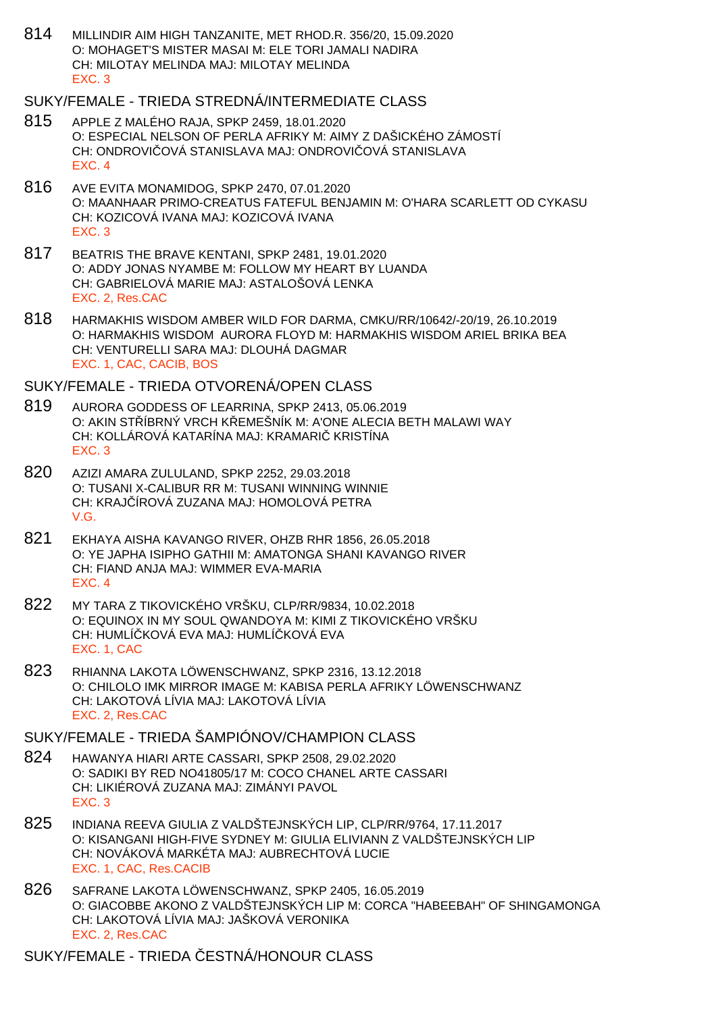814 MILLINDIR AIM HIGH TANZANITE, MET RHOD.R. 356/20, 15.09.2020 O: MOHAGET'S MISTER MASAI M: ELE TORI JAMALI NADIRA CH: MILOTAY MELINDA MAJ: MILOTAY MELINDA EXC. 3

# SUKY/FEMALE - TRIEDA STREDNÁ/INTERMEDIATE CLASS

- 815 APPLE Z MALÉHO RAJA, SPKP 2459, 18.01.2020 O: ESPECIAL NELSON OF PERLA AFRIKY M: AIMY Z DAŠICKÉHO ZÁMOSTÍ CH: ONDROVI OVÁ STANISLAVA MAJ: ONDROVI OVÁ STANISLAVA EXC. 4
- 816 AVE EVITA MONAMIDOG, SPKP 2470, 07.01.2020 O: MAANHAAR PRIMO-CREATUS FATEFUL BENJAMIN M: O'HARA SCARLETT OD CYKASU CH: KOZICOVÁ IVANA MAJ: KOZICOVÁ IVANA EXC. 3
- 817 BEATRIS THE BRAVE KENTANI, SPKP 2481, 19.01.2020 O: ADDY JONAS NYAMBE M: FOLLOW MY HEART BY LUANDA CH: GABRIELOVÁ MARIE MAJ: ASTALOŠOVÁ LENKA EXC. 2, Res.CAC
- 818 HARMAKHIS WISDOM AMBER WILD FOR DARMA, CMKU/RR/10642/-20/19, 26.10.2019 O: HARMAKHIS WISDOM AURORA FLOYD M: HARMAKHIS WISDOM ARIEL BRIKA BEA CH: VENTURELLI SARA MAJ: DLOUHÁ DAGMAR EXC. 1, CAC, CACIB, BOS

### SUKY/FEMALE - TRIEDA OTVORENÁ/OPEN CLASS

- 819 AURORA GODDESS OF LEARRINA, SPKP 2413, 05.06.2019 O: AKIN ST ÍBRNÝ VRCH KÆMEŠNÍK M: A'ONE ALECIA BETH MALAWI WAY CH: KOLLÁROVÁ KATARÍNA MAJ: KRAMARI KRISTÍNA EXC. 3
- 820 AZIZI AMARA ZULULAND, SPKP 2252, 29.03.2018 O: TUSANI X-CALIBUR RR M: TUSANI WINNING WINNIE CH: KRAJ ÍROVÁ ZUZANA MAJ: HOMOLOVÁ PETRA V.G.
- 821 EKHAYA AISHA KAVANGO RIVER, OHZB RHR 1856, 26.05.2018 O: YE JAPHA ISIPHO GATHII M: AMATONGA SHANI KAVANGO RIVER CH: FIAND ANJA MAJ: WIMMER EVA-MARIA EXC. 4
- 822 MY TARA Z TIKOVICKÉHO VRŠKU, CLP/RR/9834, 10.02.2018 O: EQUINOX IN MY SOUL QWANDOYA M: KIMI Z TIKOVICKÉHO VRŠKU CH: HUMLÍ KOVÁ EVA MAJ: HUMLÍ KOVÁ EVA EXC. 1, CAC
- 823 RHIANNA LAKOTA LÖWENSCHWANZ, SPKP 2316, 13.12.2018 O: CHILOLO IMK MIRROR IMAGE M: KABISA PERLA AFRIKY LÖWENSCHWANZ CH: LAKOTOVÁ LÍVIA MAJ: LAKOTOVÁ LÍVIA EXC. 2, Res.CAC

## SUKY/FEMALE - TRIEDA ŠAMPIÓNOV/CHAMPION CLASS

- 824 HAWANYA HIARI ARTE CASSARI, SPKP 2508, 29.02.2020 O: SADIKI BY RED NO41805/17 M: COCO CHANEL ARTE CASSARI CH: LIKIÉROVÁ ZUZANA MAJ: ZIMÁNYI PAVOL EXC. 3
- 825 INDIANA REEVA GIULIA Z VALDŠTEJNSKÝCH LIP, CLP/RR/9764, 17.11.2017 O: KISANGANI HIGH-FIVE SYDNEY M: GIULIA ELIVIANN Z VALDŠTEJNSKÝCH LIP CH: NOVÁKOVÁ MARKÉTA MAJ: AUBRECHTOVÁ LUCIE EXC. 1, CAC, Res.CACIB
- 826 SAFRANE LAKOTA LÖWENSCHWANZ, SPKP 2405, 16.05.2019 O: GIACOBBE AKONO Z VALDŠTEJNSKÝCH LIP M: CORCA "HABEEBAH" OF SHINGAMONGA CH: LAKOTOVÁ LÍVIA MAJ: JAŠKOVÁ VERONIKA EXC. 2, Res.CAC

SUKY/FEMALE - TRIEDA ESTNÁ/HONOUR CLASS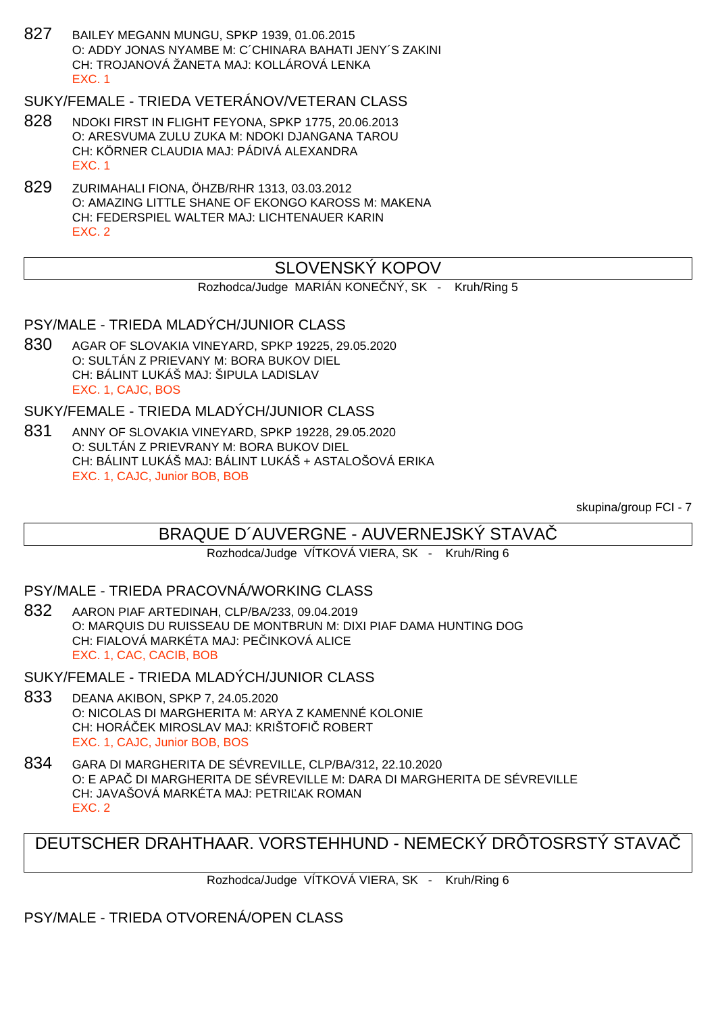827 BAILEY MEGANN MUNGU, SPKP 1939, 01.06.2015 O: ADDY JONAS NYAMBE M: C´CHINARA BAHATI JENY´S ZAKINI CH: TROJANOVÁ ŽANETA MAJ: KOLLÁROVÁ LENKA EXC. 1

# SUKY/FEMALE - TRIEDA VETERÁNOV/VETERAN CLASS

- 828 NDOKI FIRST IN FLIGHT FEYONA, SPKP 1775, 20.06.2013 O: ARESVUMA ZULU ZUKA M: NDOKI DJANGANA TAROU CH: KÖRNER CLAUDIA MAJ: PÁDIVÁ ALEXANDRA EXC. 1
- 829 ZURIMAHALI FIONA, ÖHZB/RHR 1313, 03.03.2012 O: AMAZING LITTLE SHANE OF EKONGO KAROSS M: MAKENA CH: FEDERSPIEL WALTER MAJ: LICHTENAUER KARIN EXC. 2

# SLOVENSKÝ KOPOV

Rozhodca/Judge MARIÁN KONE NÝ, SK - Kruh/Ring 5

### PSY/MALE - TRIEDA MLADÝCH/JUNIOR CLASS

830 AGAR OF SLOVAKIA VINEYARD, SPKP 19225, 29.05.2020 O: SULTÁN Z PRIEVANY M: BORA BUKOV DIEL CH: BÁLINT LUKÁŠ MAJ: ŠIPULA LADISLAV EXC. 1, CAJC, BOS

SUKY/FEMALE - TRIEDA MLADÝCH/JUNIOR CLASS

831 ANNY OF SLOVAKIA VINEYARD, SPKP 19228, 29.05.2020 O: SULTÁN Z PRIEVRANY M: BORA BUKOV DIEL CH: BÁLINT LUKÁŠ MAJ: BÁLINT LUKÁŠ + ASTALOŠOVÁ ERIKA EXC. 1, CAJC, Junior BOB, BOB

skupina/group FCI - 7

BRAQUE D´AUVERGNE - AUVERNEJSKÝ STAVAČ

Rozhodca/Judge VÍTKOVÁ VIERA, SK - Kruh/Ring 6

## PSY/MALE - TRIEDA PRACOVNÁ/WORKING CLASS

832 AARON PIAF ARTEDINAH, CLP/BA/233, 09.04.2019 O: MARQUIS DU RUISSEAU DE MONTBRUN M: DIXI PIAF DAMA HUNTING DOG CH: FIALOVÁ MARKÉTA MAJ: PE INKOVÁ ALICE EXC. 1, CAC, CACIB, BOB

SUKY/FEMALE - TRIEDA MLADÝCH/JUNIOR CLASS

- 833 DEANA AKIBON, SPKP 7, 24.05.2020 O: NICOLAS DI MARGHERITA M: ARYA Z KAMENNÉ KOLONIE CH: HORÁ EK MIROSLAV MAJ: KRIŠTOFI ROBERT EXC. 1, CAJC, Junior BOB, BOS
- 834 GARA DI MARGHERITA DE SÉVREVILLE, CLP/BA/312, 22.10.2020 O: E APAČ DI MARGHERITA DE SÉVREVILLE M: DARA DI MARGHERITA DE SÉVREVILLE CH: JAVAŠOVÁ MARKÉTA MAJ: PETRIĽAK ROMAN EXC. 2

DEUTSCHER DRAHTHAAR. VORSTEHHUND - NEMECKÝ DRÔTOSRSTÝ STAVAČ

Rozhodca/Judge VÍTKOVÁ VIERA, SK - Kruh/Ring 6

PSY/MALE - TRIEDA OTVORENÁ/OPEN CLASS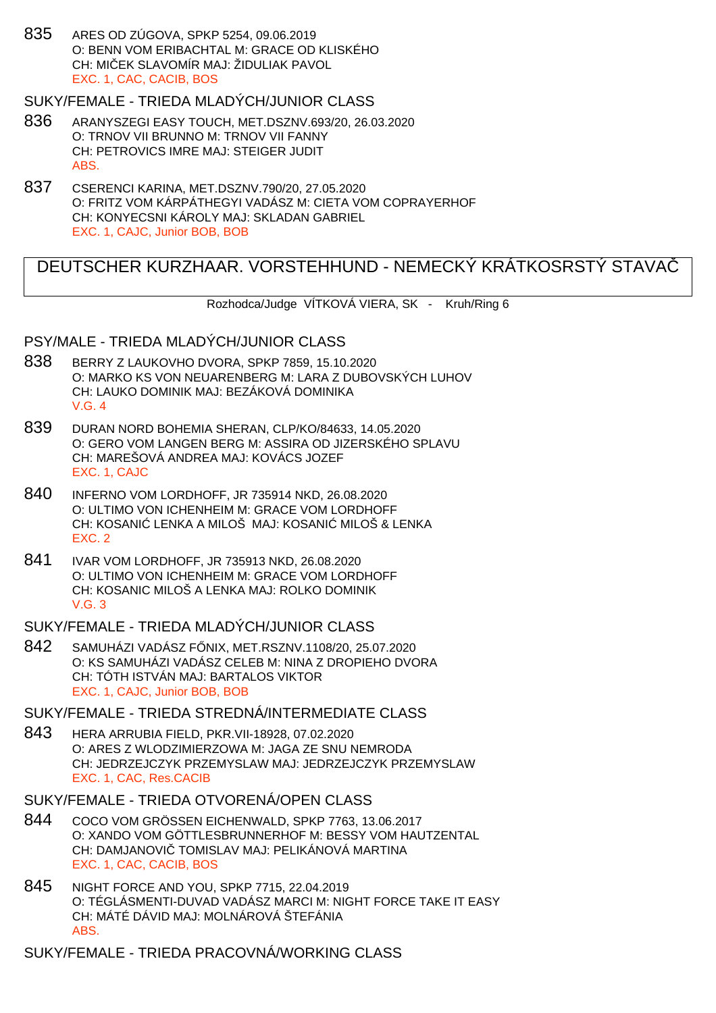835 ARES OD ZÚGOVA, SPKP 5254, 09.06.2019 O: BENN VOM ERIBACHTAL M: GRACE OD KLISKÉHO CH: MIČEK SLAVOMÍR MAJ: ŽIDULIAK PAVOL EXC. 1, CAC, CACIB, BOS

#### SUKY/FEMALE - TRIEDA MLADÝCH/JUNIOR CLASS

- 836 ARANYSZEGI EASY TOUCH, MET.DSZNV.693/20, 26.03.2020 O: TRNOV VII BRUNNO M: TRNOV VII FANNY CH: PETROVICS IMRE MAJ: STEIGER JUDIT ABS.
- 837 CSERENCI KARINA, MET.DSZNV.790/20, 27.05.2020 O: FRITZ VOM KÁRPÁTHEGYI VADÁSZ M: CIETA VOM COPRAYERHOF CH: KONYECSNI KÁROLY MAJ: SKLADAN GABRIEL EXC. 1, CAJC, Junior BOB, BOB

# DEUTSCHER KURZHAAR. VORSTEHHUND - NEMECKÝ KRÁTKOSRSTÝ STAVAČ

Rozhodca/Judge VÍTKOVÁ VIERA, SK - Kruh/Ring 6

#### PSY/MALE - TRIEDA MLADÝCH/JUNIOR CLASS

- 838 BERRY Z LAUKOVHO DVORA, SPKP 7859, 15.10.2020 O: MARKO KS VON NEUARENBERG M: LARA Z DUBOVSKÝCH LUHOV CH: LAUKO DOMINIK MAJ: BEZÁKOVÁ DOMINIKA V.G. 4
- 839 DURAN NORD BOHEMIA SHERAN, CLP/KO/84633, 14.05.2020 O: GERO VOM LANGEN BERG M: ASSIRA OD JIZERSKÉHO SPLAVU CH: MAREŠOVÁ ANDREA MAJ: KOVÁCS JOZEF EXC. 1, CAJC
- 840 INFERNO VOM LORDHOFF, JR 735914 NKD, 26.08.2020 O: ULTIMO VON ICHENHEIM M: GRACE VOM LORDHOFF CH: KOSANI LENKA A MILOŠ MAJ: KOSANI MILOŠ & LENKA EXC. 2
- 841 IVAR VOM LORDHOFF, JR 735913 NKD, 26.08.2020 O: ULTIMO VON ICHENHEIM M: GRACE VOM LORDHOFF CH: KOSANIC MILOŠ A LENKA MAJ: ROLKO DOMINIK V.G. 3

# SUKY/FEMALE - TRIEDA MLADÝCH/JUNIOR CLASS

842 SAMUHÁZI VADÁSZ F NIX, MET.RSZNV.1108/20, 25.07.2020 O: KS SAMUHÁZI VADÁSZ CELEB M: NINA Z DROPIEHO DVORA CH: TÓTH ISTVÁN MAJ: BARTALOS VIKTOR EXC. 1, CAJC, Junior BOB, BOB

## SUKY/FEMALE - TRIEDA STREDNÁ/INTERMEDIATE CLASS

- 843 HERA ARRUBIA FIELD, PKR.VII-18928, 07.02.2020 O: ARES Z WLODZIMIERZOWA M: JAGA ZE SNU NEMRODA CH: JEDRZEJCZYK PRZEMYSLAW MAJ: JEDRZEJCZYK PRZEMYSLAW EXC. 1, CAC, Res.CACIB
- SUKY/FEMALE TRIEDA OTVORENÁ/OPEN CLASS
- 844 COCO VOM GRÖSSEN EICHENWALD, SPKP 7763, 13.06.2017 O: XANDO VOM GÖTTLESBRUNNERHOF M: BESSY VOM HAUTZENTAL CH: DAMJANOVI TOMISLAV MAJ: PELIKÁNOVÁ MARTINA EXC. 1, CAC, CACIB, BOS
- 845 NIGHT FORCE AND YOU, SPKP 7715, 22.04.2019 O: TÉGLÁSMENTI-DUVAD VADÁSZ MARCI M: NIGHT FORCE TAKE IT EASY CH: MÁTÉ DÁVID MAJ: MOLNÁROVÁ ŠTEFÁNIA ABS.

SUKY/FEMALE - TRIEDA PRACOVNÁ/WORKING CLASS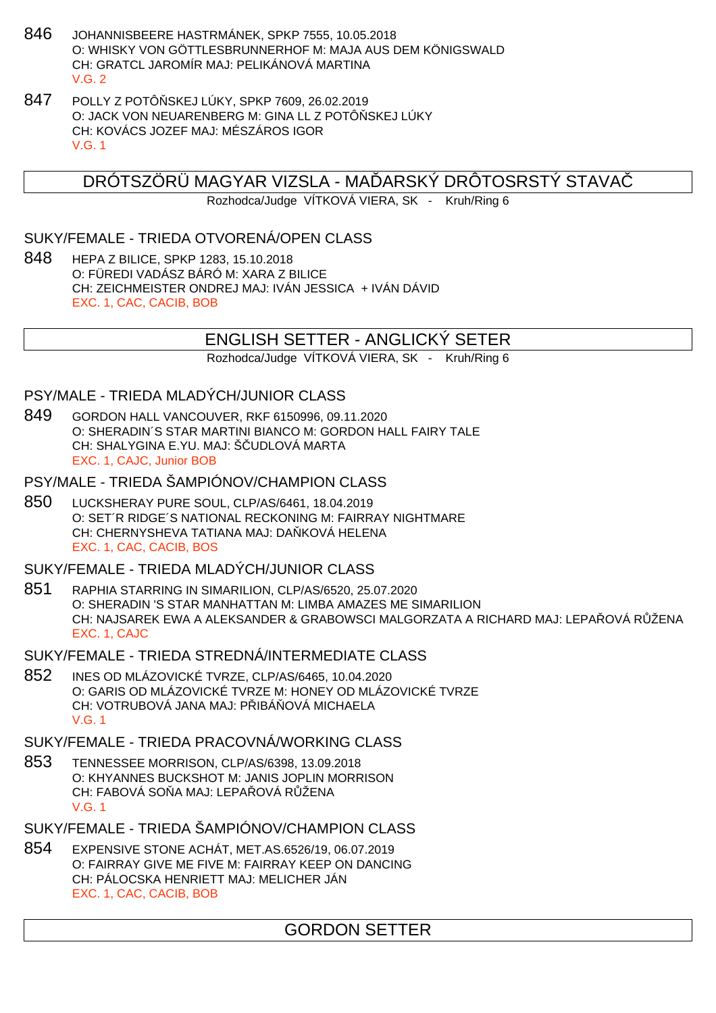- 846 JOHANNISBEERE HASTRMÁNEK, SPKP 7555, 10.05.2018 O: WHISKY VON GÖTTLESBRUNNERHOF M: MAJA AUS DEM KÖNIGSWALD CH: GRATCL JAROMÍR MAJ: PELIKÁNOVÁ MARTINA  $V$  G  $2$
- 847 POLLY Z POTÔ SKEJ LÚKY, SPKP 7609, 26.02.2019 O: JACK VON NEUARENBERG M: GINA LL Z POTÔ SKEJ LÚKY CH: KOVÁCS JOZEF MAJ: MÉSZÁROS IGOR V.G. 1

DRÓTSZÖRÜ MAGYAR VIZSLA - MA ÞARSKÝ DRÔTOSRSTÝ STAVA

Rozhodca/Judge VÍTKOVÁ VIERA, SK - Kruh/Ring 6

# SUKY/FEMALE - TRIEDA OTVORENÁ/OPEN CLASS

848 HEPA Z BILICE, SPKP 1283, 15.10.2018 O: FÜREDI VADÁSZ BÁRÓ M: XARA Z BILICE CH: ZEICHMEISTER ONDREJ MAJ: IVÁN JESSICA + IVÁN DÁVID EXC. 1, CAC, CACIB, BOB

# ENGLISH SETTER - ANGLICKÝ SETER

Rozhodca/Judge VÍTKOVÁ VIERA, SK - Kruh/Ring 6

# PSY/MALE - TRIEDA MLADÝCH/JUNIOR CLASS

849 GORDON HALL VANCOUVER, RKF 6150996, 09.11.2020 O: SHERADIN´S STAR MARTINI BIANCO M: GORDON HALL FAIRY TALE CH: SHALYGINA E.YU. MAJ: Š UDLOVÁ MARTA EXC. 1, CAJC, Junior BOB

# PSY/MALE - TRIEDA ŠAMPIÓNOV/CHAMPION CLASS

850 LUCKSHERAY PURE SOUL, CLP/AS/6461, 18.04.2019 O: SET´R RIDGE´S NATIONAL RECKONING M: FAIRRAY NIGHTMARE CH: CHERNYSHEVA TATIANA MAJ: DA KOVÁ HELENA EXC. 1, CAC, CACIB, BOS

## SUKY/FEMALE - TRIEDA MLADÝCH/JUNIOR CLASS

- 851 RAPHIA STARRING IN SIMARILION, CLP/AS/6520, 25.07.2020 O: SHERADIN 'S STAR MANHATTAN M: LIMBA AMAZES ME SIMARILION CH: NAJSAREK EWA A ALEKSANDER & GRABOWSCI MALGORZATA A RICHARD MAJ: LEPA  $\overline{O}$ VÁ R $\overline{O}$ ZENA EXC. 1, CAJC
- SUKY/FEMALE TRIEDA STREDNÁ/INTERMEDIATE CLASS
- 852 INES OD MLÁZOVICKÉ TVRZE, CLP/AS/6465, 10.04.2020 O: GARIS OD MLÁZOVICKÉ TVRZE M: HONEY OD MLÁZOVICKÉ TVRZE CH: VOTRUBOVÁ JANA MAJ: P IBÁ OVÁ MICHAELA V.G. 1

## SUKY/FEMALE - TRIEDA PRACOVNÁ/WORKING CLASS

- 853 TENNESSEE MORRISON, CLP/AS/6398, 13.09.2018 O: KHYANNES BUCKSHOT M: JANIS JOPLIN MORRISON CH: FABOVÁ SO A MAJ: LEPA OVÁ RŽENA V.G. 1
- SUKY/FEMALE TRIEDA ŠAMPIÓNOV/CHAMPION CLASS
- 854 EXPENSIVE STONE ACHÁT, MET.AS.6526/19, 06.07.2019 O: FAIRRAY GIVE ME FIVE M: FAIRRAY KEEP ON DANCING CH: PÁLOCSKA HENRIETT MAJ: MELICHER JÁN EXC. 1, CAC, CACIB, BOB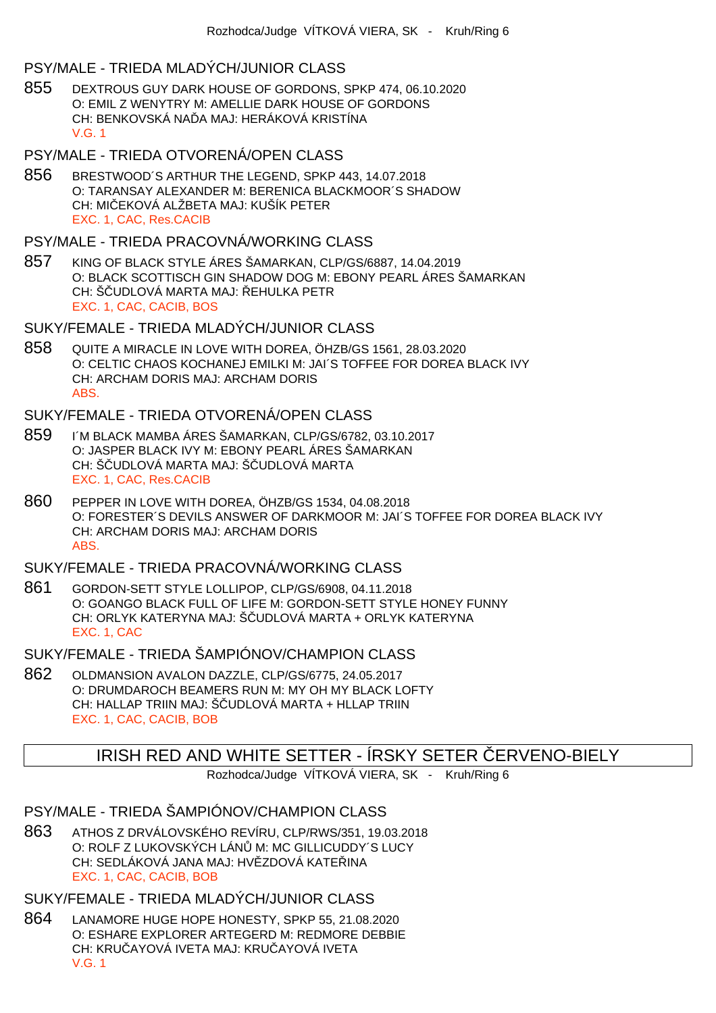### PSY/MALE - TRIEDA MLADÝCH/JUNIOR CLASS

- 855 DEXTROUS GUY DARK HOUSE OF GORDONS, SPKP 474, 06.10.2020 O: EMIL Z WENYTRY M: AMELLIE DARK HOUSE OF GORDONS CH: BENKOVSKÁ NA A MAJ: HERÁKOVÁ KRISTÍNA V.G. 1
- PSY/MALE TRIEDA OTVORENÁ/OPEN CLASS
- 856 BRESTWOOD´S ARTHUR THE LEGEND, SPKP 443, 14.07.2018 O: TARANSAY ALEXANDER M: BERENICA BLACKMOOR´S SHADOW CH: MILEKOVÁ ALŽBETA MAJ: KUŠÍK PETER EXC. 1, CAC, Res.CACIB

#### PSY/MALE - TRIEDA PRACOVNÁ/WORKING CLASS

- 857 KING OF BLACK STYLE ÁRES ŠAMARKAN, CLP/GS/6887, 14.04.2019 O: BLACK SCOTTISCH GIN SHADOW DOG M: EBONY PEARL ÁRES ŠAMARKAN CH: Š UDLOVÁ MARTA MAJ: EHULKA PETR EXC. 1, CAC, CACIB, BOS
- SUKY/FEMALE TRIEDA MLADÝCH/JUNIOR CLASS
- 858 QUITE A MIRACLE IN LOVE WITH DOREA, ÖHZB/GS 1561, 28.03.2020 O: CELTIC CHAOS KOCHANEJ EMILKI M: JAI´S TOFFEE FOR DOREA BLACK IVY CH: ARCHAM DORIS MAJ: ARCHAM DORIS ABS.

## SUKY/FEMALE - TRIEDA OTVORENÁ/OPEN CLASS

- 859 I´M BLACK MAMBA ÁRES ŠAMARKAN, CLP/GS/6782, 03.10.2017 O: JASPER BLACK IVY M: EBONY PEARL ÁRES ŠAMARKAN CH: Š UDLOVÁ MARTA MAJ: Š UDLOVÁ MARTA EXC. 1, CAC, Res.CACIB
- 860 PEPPER IN LOVE WITH DOREA, ÖHZB/GS 1534, 04.08.2018 O: FORESTER´S DEVILS ANSWER OF DARKMOOR M: JAI´S TOFFEE FOR DOREA BLACK IVY CH: ARCHAM DORIS MAJ: ARCHAM DORIS ABS.

#### SUKY/FEMALE - TRIEDA PRACOVNÁ/WORKING CLASS

- 861 GORDON-SETT STYLE LOLLIPOP, CLP/GS/6908, 04.11.2018 O: GOANGO BLACK FULL OF LIFE M: GORDON-SETT STYLE HONEY FUNNY CH: ORLYK KATERYNA MAJ: ŠÕUDLOVÁ MARTA + ORLYK KATERYNA EXC. 1, CAC
- SUKY/FEMALE TRIEDA ŠAMPIÓNOV/CHAMPION CLASS
- 862 OLDMANSION AVALON DAZZLE, CLP/GS/6775, 24.05.2017 O: DRUMDAROCH BEAMERS RUN M: MY OH MY BLACK LOFTY CH: HALLAP TRIIN MAJ: Š UDLOVÁ MARTA + HLLAP TRIIN EXC. 1, CAC, CACIB, BOB

## IRISH RED AND WHITE SETTER - ÍRSKY SETER ČERVENO-BIELY

Rozhodca/Judge VÍTKOVÁ VIERA, SK - Kruh/Ring 6

# PSY/MALE - TRIEDA ŠAMPIÓNOV/CHAMPION CLASS

863 ATHOS Z DRVÁLOVSKÉHO REVÍRU, CLP/RWS/351, 19.03.2018 O: ROLF Z LUKOVSKÝCH LÁN M: MC GILLICUDDY´S LUCY CH: SEDLÁKOVÁ JANA MAJ: HV ZDOVÁ KATE INA EXC. 1, CAC, CACIB, BOB

# SUKY/FEMALE - TRIEDA MLADÝCH/JUNIOR CLASS

864 LANAMORE HUGE HOPE HONESTY, SPKP 55, 21.08.2020 O: ESHARE EXPLORER ARTEGERD M: REDMORE DEBBIE CH: KRU AYOVÁ IVETA MAJ: KRU AYOVÁ IVETA V.G. 1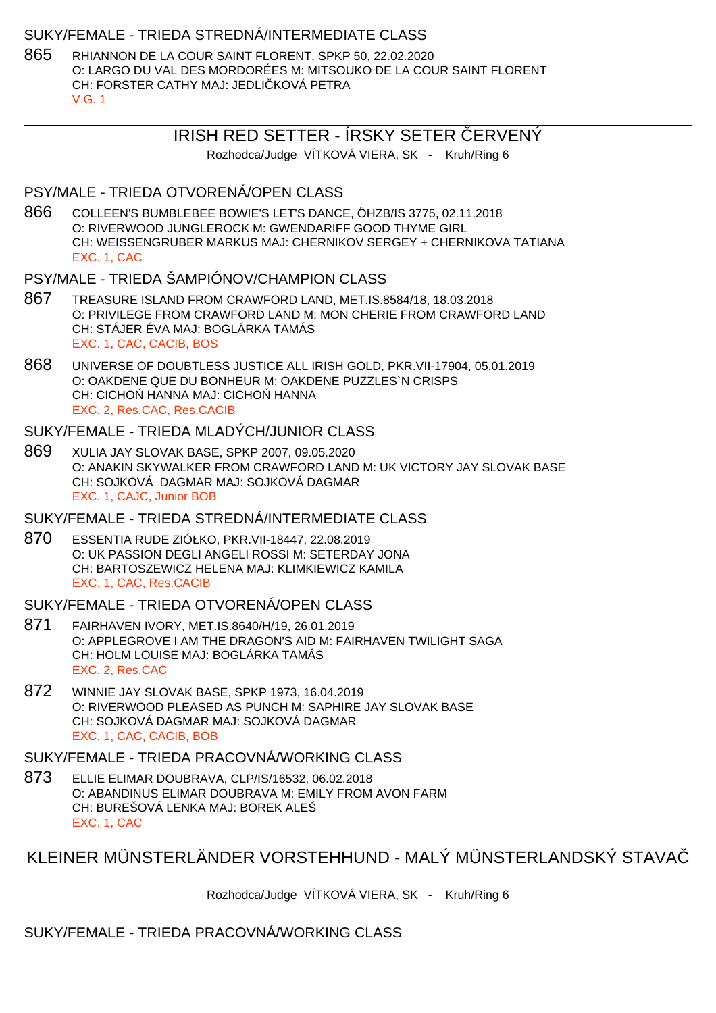## SUKY/FEMALE - TRIEDA STREDNÁ/INTERMEDIATE CLASS

865 RHIANNON DE LA COUR SAINT FLORENT, SPKP 50, 22.02.2020 O: LARGO DU VAL DES MORDORÉES M: MITSOUKO DE LA COUR SAINT FLORENT CH: FORSTER CATHY MAJ: JEDLIČKOVÁ PETRA V.G. 1

# IRISH RED SETTER - ÍRSKY SETER ČERVENÝ

Rozhodca/Judge VÍTKOVÁ VIERA, SK - Kruh/Ring 6

### PSY/MALE - TRIEDA OTVORENÁ/OPEN CLASS

866 COLLEEN'S BUMBLEBEE BOWIE'S LET'S DANCE, ÖHZB/IS 3775, 02.11.2018 O: RIVERWOOD JUNGLEROCK M: GWENDARIFF GOOD THYME GIRL CH: WEISSENGRUBER MARKUS MAJ: CHERNIKOV SERGEY + CHERNIKOVA TATIANA EXC. 1, CAC

### PSY/MALE - TRIEDA ŠAMPIÓNOV/CHAMPION CLASS

- 867 TREASURE ISLAND FROM CRAWFORD LAND, MET.IS.8584/18, 18.03.2018 O: PRIVILEGE FROM CRAWFORD LAND M: MON CHERIE FROM CRAWFORD LAND CH: STÁJER ÉVA MAJ: BOGLÁRKA TAMÁS EXC. 1, CAC, CACIB, BOS
- 868 UNIVERSE OF DOUBTLESS JUSTICE ALL IRISH GOLD, PKR.VII-17904, 05.01.2019 O: OAKDENE QUE DU BONHEUR M: OAKDENE PUZZLES`N CRISPS CH: CICHO HANNA MAJ: CICHO HANNA EXC. 2, Res.CAC, Res.CACIB

### SUKY/FEMALE - TRIEDA MLADÝCH/JUNIOR CLASS

869 XULIA JAY SLOVAK BASE, SPKP 2007, 09.05.2020 O: ANAKIN SKYWALKER FROM CRAWFORD LAND M: UK VICTORY JAY SLOVAK BASE CH: SOJKOVÁ DAGMAR MAJ: SOJKOVÁ DAGMAR EXC. 1, CAJC, Junior BOB

## SUKY/FEMALE - TRIEDA STREDNÁ/INTERMEDIATE CLASS

870 ESSENTIA RUDE ZIÓŁKO, PKR.VII-18447, 22.08.2019 O: UK PASSION DEGLI ANGELI ROSSI M: SETERDAY JONA CH: BARTOSZEWICZ HELENA MAJ: KLIMKIEWICZ KAMILA EXC. 1, CAC, Res.CACIB

# SUKY/FEMALE - TRIEDA OTVORENÁ/OPEN CLASS

- 871 FAIRHAVEN IVORY, MET.IS.8640/H/19, 26.01.2019 O: APPLEGROVE I AM THE DRAGON'S AID M: FAIRHAVEN TWILIGHT SAGA CH: HOLM LOUISE MAJ: BOGLÁRKA TAMÁS EXC. 2, Res.CAC
- 872 WINNIE JAY SLOVAK BASE, SPKP 1973, 16.04.2019 O: RIVERWOOD PLEASED AS PUNCH M: SAPHIRE JAY SLOVAK BASE CH: SOJKOVÁ DAGMAR MAJ: SOJKOVÁ DAGMAR EXC. 1, CAC, CACIB, BOB

## SUKY/FEMALE - TRIEDA PRACOVNÁ/WORKING CLASS

873 ELLIE ELIMAR DOUBRAVA, CLP/IS/16532, 06.02.2018 O: ABANDINUS ELIMAR DOUBRAVA M: EMILY FROM AVON FARM CH: BUREŠOVÁ LENKA MAJ: BOREK ALEŠ EXC. 1, CAC

KLEINER MÜNSTERLÄNDER VORSTEHHUND - MALÝ MÜNSTERLANDSKÝ STAVAČ

Rozhodca/Judge VÍTKOVÁ VIERA, SK - Kruh/Ring 6

# SUKY/FEMALE - TRIEDA PRACOVNÁ/WORKING CLASS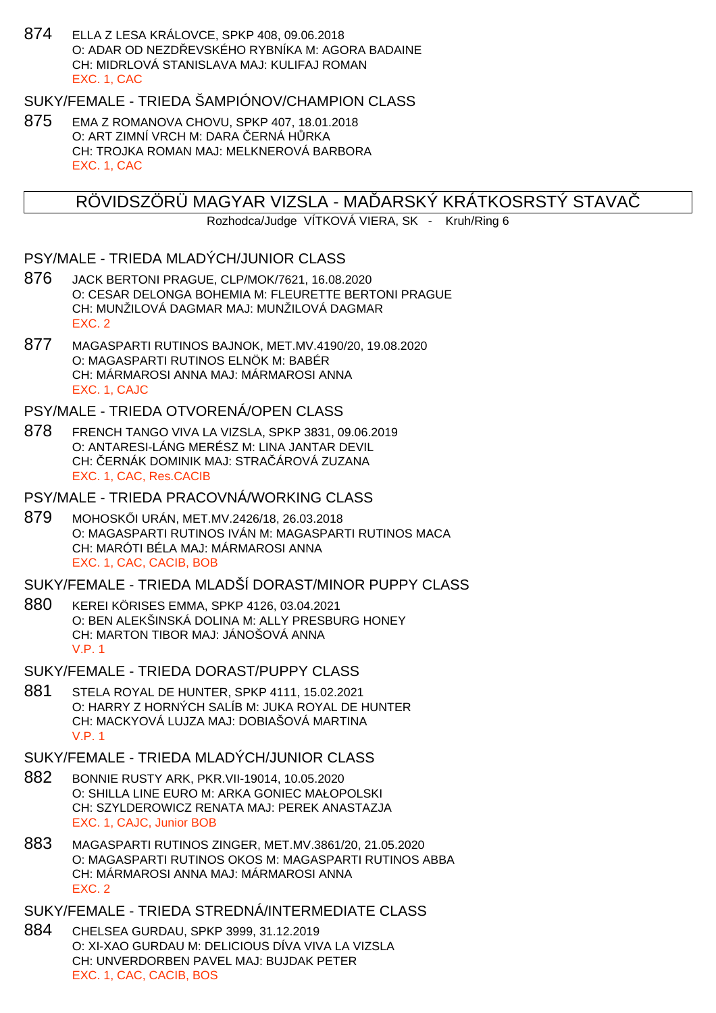874 ELLA Z LESA KRÁLOVCE, SPKP 408, 09.06.2018 O: ADAR OD NEZDIEVSKÉHO RYBNÍKA M: AGORA BADAINE CH: MIDRLOVÁ STANISLAVA MAJ: KULIFAJ ROMAN EXC. 1, CAC

# SUKY/FEMALE - TRIEDA ŠAMPIÓNOV/CHAMPION CLASS

875 EMA Z ROMANOVA CHOVU, SPKP 407, 18.01.2018 O: ART ZIMNÍ VRCH M: DARA ERNÁ H RKA CH: TROJKA ROMAN MAJ: MELKNEROVÁ BARBORA EXC. 1, CAC

RÖVIDSZÖRÜ MAGYAR VIZSLA - MA ÞARSKÝ KRÁTKOSRSTÝ STAVA

Rozhodca/Judge VÍTKOVÁ VIERA, SK - Kruh/Ring 6

## PSY/MALE - TRIEDA MLADÝCH/JUNIOR CLASS

- 876 JACK BERTONI PRAGUE, CLP/MOK/7621, 16.08.2020 O: CESAR DELONGA BOHEMIA M: FLEURETTE BERTONI PRAGUE CH: MUNŽILOVÁ DAGMAR MAJ: MUNŽILOVÁ DAGMAR EXC. 2
- 877 MAGASPARTI RUTINOS BAJNOK, MET.MV.4190/20, 19.08.2020 O: MAGASPARTI RUTINOS ELNÖK M: BABÉR CH: MÁRMAROSI ANNA MAJ: MÁRMAROSI ANNA EXC. 1, CAJC

# PSY/MALE - TRIEDA OTVORENÁ/OPEN CLASS

878 FRENCH TANGO VIVA LA VIZSLA, SPKP 3831, 09.06.2019 O: ANTARESI-LÁNG MERÉSZ M: LINA JANTAR DEVIL CH: ERNÁK DOMINIK MAJ: STRA ÁROVÁ ZUZANA EXC. 1, CAC, Res.CACIB

### PSY/MALE - TRIEDA PRACOVNÁ/WORKING CLASS

879 MOHOSK I URÁN, MET.MV.2426/18, 26.03.2018 O: MAGASPARTI RUTINOS IVÁN M: MAGASPARTI RUTINOS MACA CH: MARÓTI BÉLA MAJ: MÁRMAROSI ANNA EXC. 1, CAC, CACIB, BOB

# SUKY/FEMALE - TRIEDA MLADŠÍ DORAST/MINOR PUPPY CLASS

- 880 KEREI KÖRISES EMMA, SPKP 4126, 03.04.2021 O: BEN ALEKŠINSKÁ DOLINA M: ALLY PRESBURG HONEY CH: MARTON TIBOR MAJ: JÁNOŠOVÁ ANNA V.P. 1
- SUKY/FEMALE TRIEDA DORAST/PUPPY CLASS
- 881 STELA ROYAL DE HUNTER, SPKP 4111, 15.02.2021 O: HARRY Z HORNÝCH SALÍB M: JUKA ROYAL DE HUNTER CH: MACKYOVÁ LUJZA MAJ: DOBIAŠOVÁ MARTINA V.P. 1

#### SUKY/FEMALE - TRIEDA MLADÝCH/JUNIOR CLASS

- 882 BONNIE RUSTY ARK, PKR.VII-19014, 10.05.2020 O: SHILLA LINE EURO M: ARKA GONIEC MAŁOPOLSKI CH: SZYLDEROWICZ RENATA MAJ: PEREK ANASTAZJA EXC. 1, CAJC, Junior BOB
- 883 MAGASPARTI RUTINOS ZINGER, MET.MV.3861/20, 21.05.2020 O: MAGASPARTI RUTINOS OKOS M: MAGASPARTI RUTINOS ABBA CH: MÁRMAROSI ANNA MAJ: MÁRMAROSI ANNA EXC. 2

#### SUKY/FEMALE - TRIEDA STREDNÁ/INTERMEDIATE CLASS

884 CHELSEA GURDAU, SPKP 3999, 31.12.2019 O: XI-XAO GURDAU M: DELICIOUS DÍVA VIVA LA VIZSLA CH: UNVERDORBEN PAVEL MAJ: BUJDAK PETER EXC. 1, CAC, CACIB, BOS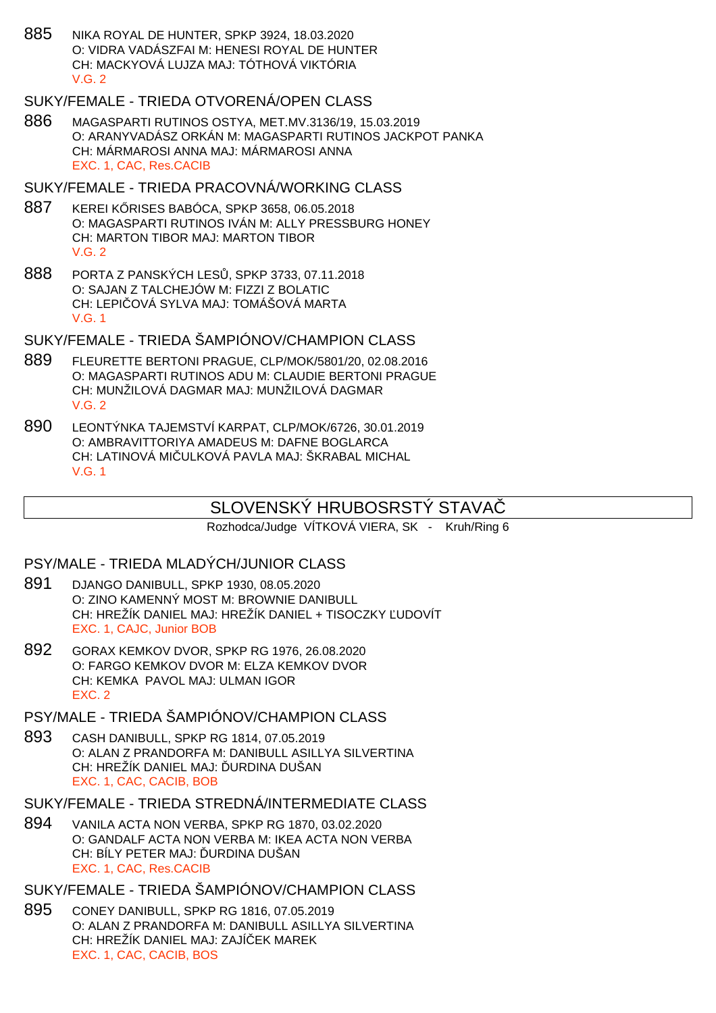885 NIKA ROYAL DE HUNTER, SPKP 3924, 18.03.2020 O: VIDRA VADÁSZFAI M: HENESI ROYAL DE HUNTER CH: MACKYOVÁ LUJZA MAJ: TÓTHOVÁ VIKTÓRIA  $V$  G  $2$ 

# SUKY/FEMALE - TRIEDA OTVORENÁ/OPEN CLASS

886 MAGASPARTI RUTINOS OSTYA, MET.MV.3136/19, 15.03.2019 O: ARANYVADÁSZ ORKÁN M: MAGASPARTI RUTINOS JACKPOT PANKA CH: MÁRMAROSI ANNA MAJ: MÁRMAROSI ANNA EXC. 1, CAC, Res.CACIB

#### SUKY/FEMALE - TRIEDA PRACOVNÁ/WORKING CLASS

- 887 KEREI KRISES BABÓCA, SPKP 3658, 06.05.2018 O: MAGASPARTI RUTINOS IVÁN M: ALLY PRESSBURG HONEY CH: MARTON TIBOR MAJ: MARTON TIBOR V.G. 2
- 888 PORTA Z PANSKÝCH LES, SPKP 3733, 07.11.2018 O: SAJAN Z TALCHEJÓW M: FIZZI Z BOLATIC CH: LEPIČOVÁ SYLVA MAJ: TOMÁŠOVÁ MARTA V.G. 1

## SUKY/FEMALE - TRIEDA ŠAMPIÓNOV/CHAMPION CLASS

- 889 FLEURETTE BERTONI PRAGUE, CLP/MOK/5801/20, 02.08.2016 O: MAGASPARTI RUTINOS ADU M: CLAUDIE BERTONI PRAGUE CH: MUNŽILOVÁ DAGMAR MAJ: MUNŽILOVÁ DAGMAR V.G. 2
- 890 LEONTÝNKA TAJEMSTVÍ KARPAT, CLP/MOK/6726, 30.01.2019 O: AMBRAVITTORIYA AMADEUS M: DAFNE BOGLARCA CH: LATINOVÁ MIL ULKOVÁ PAVLA MAJ: ŠKRABAL MICHAL V.G. 1

# SLOVENSKÝ HRUBOSRSTÝ STAVAČ

Rozhodca/Judge VÍTKOVÁ VIERA, SK - Kruh/Ring 6

#### PSY/MALE - TRIEDA MLADÝCH/JUNIOR CLASS

- 891 DJANGO DANIBULL, SPKP 1930, 08.05.2020 O: ZINO KAMENNÝ MOST M: BROWNIE DANIBULL CH: HREŽÍK DANIEL MAJ: HREŽÍK DANIEL + TISOCZKY ĽUDOVÍT EXC. 1, CAJC, Junior BOB
- 892 GORAX KEMKOV DVOR, SPKP RG 1976, 26.08.2020 O: FARGO KEMKOV DVOR M: ELZA KEMKOV DVOR CH: KEMKA PAVOL MAJ: ULMAN IGOR EXC. 2
- PSY/MALE TRIEDA ŠAMPIÓNOV/CHAMPION CLASS
- 893 CASH DANIBULL, SPKP RG 1814, 07.05.2019 O: ALAN Z PRANDORFA M: DANIBULL ASILLYA SILVERTINA CH: HREŽÍK DANIEL MAJ: URDINA DUŠAN EXC. 1, CAC, CACIB, BOB

### SUKY/FEMALE - TRIEDA STREDNÁ/INTERMEDIATE CLASS

- 894 VANILA ACTA NON VERBA, SPKP RG 1870, 03.02.2020 O: GANDALF ACTA NON VERBA M: IKEA ACTA NON VERBA CH: BÍLY PETER MAJ: URDINA DUŠAN EXC. 1, CAC, Res.CACIB
- SUKY/FEMALE TRIEDA ŠAMPIÓNOV/CHAMPION CLASS
- 895 CONEY DANIBULL, SPKP RG 1816, 07.05.2019 O: ALAN Z PRANDORFA M: DANIBULL ASILLYA SILVERTINA CH: HREŽÍK DANIEL MAJ: ZAJÍ EK MAREK EXC. 1, CAC, CACIB, BOS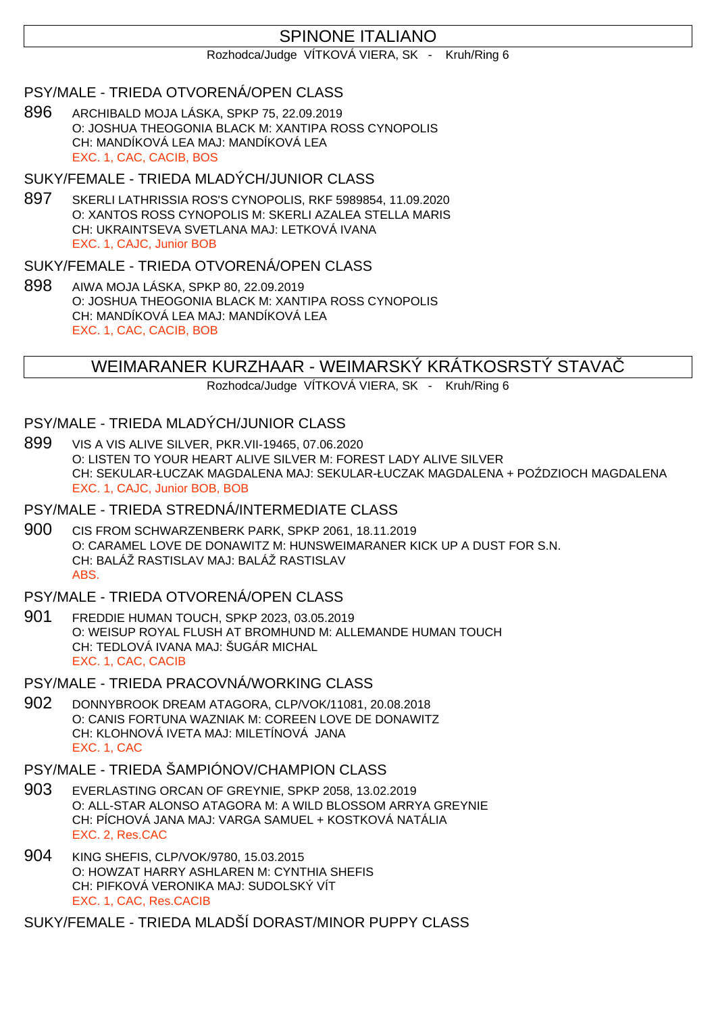# SPINONE ITALIANO

#### Rozhodca/Judge VÍTKOVÁ VIERA, SK - Kruh/Ring 6

### PSY/MALE - TRIEDA OTVORENÁ/OPEN CLASS

896 ARCHIBALD MOJA LÁSKA, SPKP 75, 22.09.2019 O: JOSHUA THEOGONIA BLACK M: XANTIPA ROSS CYNOPOLIS CH: MANDÍKOVÁ LEA MAJ: MANDÍKOVÁ LEA EXC. 1, CAC, CACIB, BOS

### SUKY/FEMALE - TRIEDA MLADÝCH/JUNIOR CLASS

897 SKERLI LATHRISSIA ROS'S CYNOPOLIS, RKF 5989854, 11.09.2020 O: XANTOS ROSS CYNOPOLIS M: SKERLI AZALEA STELLA MARIS CH: UKRAINTSEVA SVETLANA MAJ: LETKOVÁ IVANA EXC. 1, CAJC, Junior BOB

### SUKY/FEMALE - TRIEDA OTVORENÁ/OPEN CLASS

898 AIWA MOJA LÁSKA, SPKP 80, 22.09.2019 O: JOSHUA THEOGONIA BLACK M: XANTIPA ROSS CYNOPOLIS CH: MANDÍKOVÁ LEA MAJ: MANDÍKOVÁ LEA EXC. 1, CAC, CACIB, BOB

WEIMARANER KURZHAAR - WEIMARSKÝ KRÁTKOSRSTÝ STAVAČ

Rozhodca/Judge VÍTKOVÁ VIERA, SK - Kruh/Ring 6

### PSY/MALE - TRIEDA MLADÝCH/JUNIOR CLASS

899 VIS A VIS ALIVE SILVER, PKR.VII-19465, 07.06.2020 O: LISTEN TO YOUR HEART ALIVE SILVER M: FOREST LADY ALIVE SILVER CH: SEKULAR-ŁUCZAK MAGDALENA MAJ: SEKULAR-ŁUCZAK MAGDALENA + PO DZIOCH MAGDALENA EXC. 1, CAJC, Junior BOB, BOB

#### PSY/MALE - TRIEDA STREDNÁ/INTERMEDIATE CLASS

900 CIS FROM SCHWARZENBERK PARK, SPKP 2061, 18.11.2019 O: CARAMEL LOVE DE DONAWITZ M: HUNSWEIMARANER KICK UP A DUST FOR S.N. CH: BALÁŽ RASTISLAV MAJ: BALÁŽ RASTISLAV ABS.

### PSY/MALE - TRIEDA OTVORENÁ/OPEN CLASS

901 FREDDIE HUMAN TOUCH, SPKP 2023, 03.05.2019 O: WEISUP ROYAL FLUSH AT BROMHUND M: ALLEMANDE HUMAN TOUCH CH: TEDLOVÁ IVANA MAJ: ŠUGÁR MICHAL EXC. 1, CAC, CACIB

# PSY/MALE - TRIEDA PRACOVNÁ/WORKING CLASS

902 DONNYBROOK DREAM ATAGORA, CLP/VOK/11081, 20.08.2018 O: CANIS FORTUNA WAZNIAK M: COREEN LOVE DE DONAWITZ CH: KLOHNOVÁ IVETA MAJ: MILETÍNOVÁ JANA EXC. 1, CAC

# PSY/MALE - TRIEDA ŠAMPIÓNOV/CHAMPION CLASS

- 903 EVERLASTING ORCAN OF GREYNIE, SPKP 2058, 13.02.2019 O: ALL-STAR ALONSO ATAGORA M: A WILD BLOSSOM ARRYA GREYNIE CH: PÍCHOVÁ JANA MAJ: VARGA SAMUEL + KOSTKOVÁ NATÁLIA EXC. 2, Res.CAC
- 904 KING SHEFIS, CLP/VOK/9780, 15.03.2015 O: HOWZAT HARRY ASHLAREN M: CYNTHIA SHEFIS CH: PIFKOVÁ VERONIKA MAJ: SUDOLSKÝ VÍT EXC. 1, CAC, Res.CACIB

SUKY/FEMALE - TRIEDA MLADŠÍ DORAST/MINOR PUPPY CLASS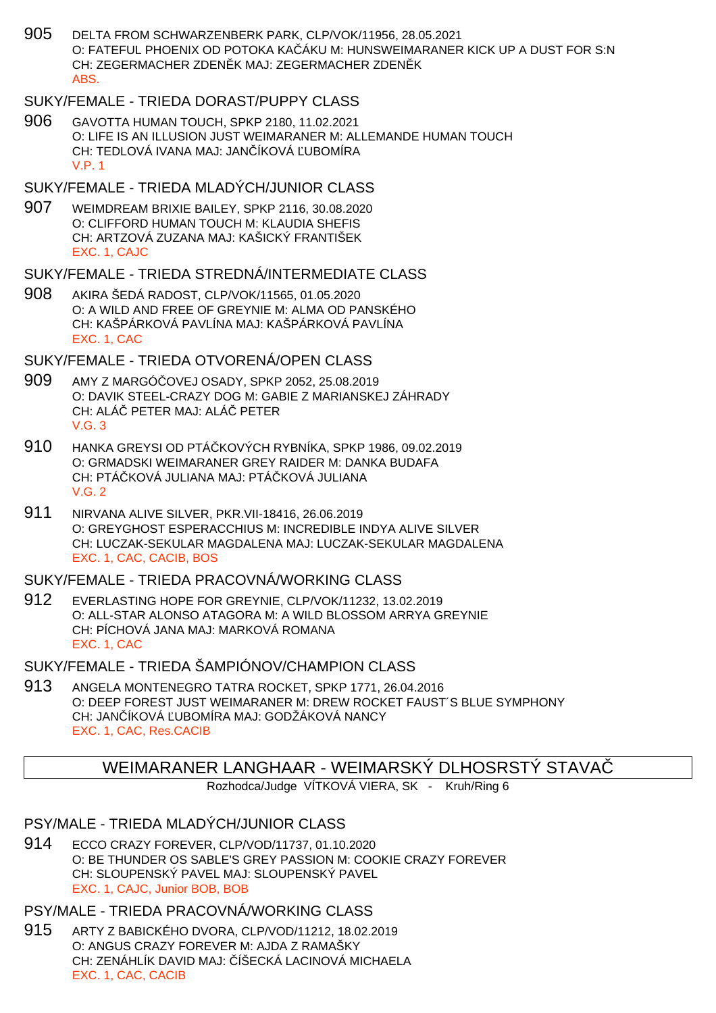905 DELTA FROM SCHWARZENBERK PARK, CLP/VOK/11956, 28.05.2021 O: FATEFUL PHOENIX OD POTOKA KAČÁKU M: HUNSWEIMARANER KICK UP A DUST FOR S:N CH: ZEGERMACHER ZDEN K MAJ: ZEGERMACHER ZDEN K ABS.

### SUKY/FEMALE - TRIEDA DORAST/PUPPY CLASS

906 GAVOTTA HUMAN TOUCH, SPKP 2180, 11.02.2021 O: LIFE IS AN ILLUSION JUST WEIMARANER M: ALLEMANDE HUMAN TOUCH CH: TEDLOVÁ IVANA MAJ: JAN ÍKOVÁ UBOMÍRA V.P. 1

### SUKY/FEMALE - TRIEDA MLADÝCH/JUNIOR CLASS

907 WEIMDREAM BRIXIE BAILEY, SPKP 2116, 30.08.2020 O: CLIFFORD HUMAN TOUCH M: KLAUDIA SHEFIS CH: ARTZOVÁ ZUZANA MAJ: KAŠICKÝ FRANTIŠEK EXC. 1, CAJC

### SUKY/FEMALE - TRIEDA STREDNÁ/INTERMEDIATE CLASS

908 AKIRA ŠEDÁ RADOST, CLP/VOK/11565, 01.05.2020 O: A WILD AND FREE OF GREYNIE M: ALMA OD PANSKÉHO CH: KAŠPÁRKOVÁ PAVLÍNA MAJ: KAŠPÁRKOVÁ PAVLÍNA EXC. 1, CAC

### SUKY/FEMALE - TRIEDA OTVORENÁ/OPEN CLASS

- 909 AMY Z MARGÓČOVEJ OSADY, SPKP 2052, 25.08.2019 O: DAVIK STEEL-CRAZY DOG M: GABIE Z MARIANSKEJ ZÁHRADY CH: ALÁ PETER MAJ: ALÁ PETER V.G. 3
- 910 HANKA GREYSI OD PTÁ KOVÝCH RYBNÍKA, SPKP 1986, 09.02.2019 O: GRMADSKI WEIMARANER GREY RAIDER M: DANKA BUDAFA CH: PTÁ KOVÁ JULIANA MAJ: PTÁ KOVÁ JULIANA V.G. 2
- 911 NIRVANA ALIVE SILVER, PKR.VII-18416, 26.06.2019 O: GREYGHOST ESPERACCHIUS M: INCREDIBLE INDYA ALIVE SILVER CH: LUCZAK-SEKULAR MAGDALENA MAJ: LUCZAK-SEKULAR MAGDALENA EXC. 1, CAC, CACIB, BOS

# SUKY/FEMALE - TRIEDA PRACOVNÁ/WORKING CLASS

912 EVERLASTING HOPE FOR GREYNIE, CLP/VOK/11232, 13.02.2019 O: ALL-STAR ALONSO ATAGORA M: A WILD BLOSSOM ARRYA GREYNIE CH: PÍCHOVÁ JANA MAJ: MARKOVÁ ROMANA EXC. 1, CAC

SUKY/FEMALE - TRIEDA ŠAMPIÓNOV/CHAMPION CLASS

913 ANGELA MONTENEGRO TATRA ROCKET, SPKP 1771, 26.04.2016 O: DEEP FOREST JUST WEIMARANER M: DREW ROCKET FAUST´S BLUE SYMPHONY CH: JAN ÍKOVÁ UBOMÍRA MAJ: GODŽÁKOVÁ NANCY EXC. 1, CAC, Res.CACIB

# WEIMARANER LANGHAAR - WEIMARSKÝ DLHOSRSTÝ STAVAČ

Rozhodca/Judge VÍTKOVÁ VIERA, SK - Kruh/Ring 6

## PSY/MALE - TRIEDA MLADÝCH/JUNIOR CLASS

914 ECCO CRAZY FOREVER, CLP/VOD/11737, 01.10.2020 O: BE THUNDER OS SABLE'S GREY PASSION M: COOKIE CRAZY FOREVER CH: SLOUPENSKÝ PAVEL MAJ: SLOUPENSKÝ PAVEL EXC. 1, CAJC, Junior BOB, BOB

### PSY/MALE - TRIEDA PRACOVNÁ/WORKING CLASS

915 ARTY Z BABICKÉHO DVORA, CLP/VOD/11212, 18.02.2019 O: ANGUS CRAZY FOREVER M: AJDA Z RAMAŠKY CH: ZENÁHLÍK DAVID MAJ: ÍŠECKÁ LACINOVÁ MICHAELA EXC. 1, CAC, CACIB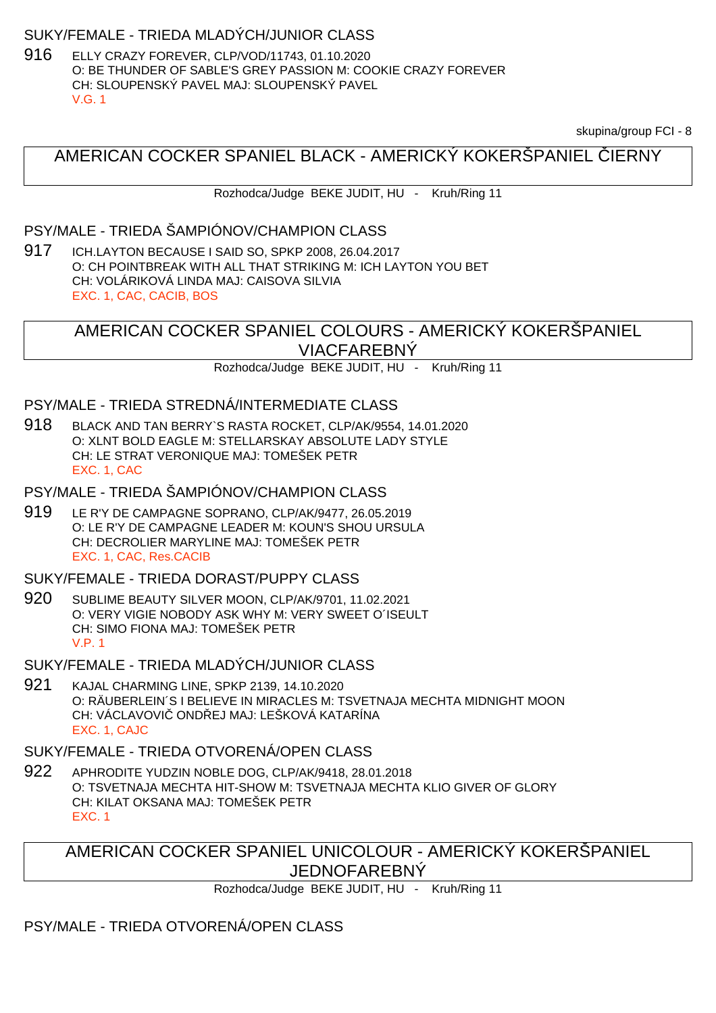# SUKY/FEMALE - TRIEDA MLADÝCH/JUNIOR CLASS

916 ELLY CRAZY FOREVER, CLP/VOD/11743, 01.10.2020 O: BE THUNDER OF SABLE'S GREY PASSION M: COOKIE CRAZY FOREVER CH: SLOUPENSKÝ PAVEL MAJ: SLOUPENSKÝ PAVEL V.G. 1

skupina/group FCI - 8

# AMERICAN COCKER SPANIEL BLACK - AMERICKÝ KOKERŠPANIEL IERNY

Rozhodca/Judge BEKE JUDIT, HU - Kruh/Ring 11

# PSY/MALE - TRIEDA ŠAMPIÓNOV/CHAMPION CLASS

917 ICH.LAYTON BECAUSE I SAID SO, SPKP 2008, 26.04.2017 O: CH POINTBREAK WITH ALL THAT STRIKING M: ICH LAYTON YOU BET CH: VOLÁRIKOVÁ LINDA MAJ: CAISOVA SILVIA EXC. 1, CAC, CACIB, BOS

# AMERICAN COCKER SPANIEL COLOURS - AMERICKÝ KOKERŠPANIEL VIACFAREBNÝ

Rozhodca/Judge BEKE JUDIT, HU - Kruh/Ring 11

### PSY/MALE - TRIEDA STREDNÁ/INTERMEDIATE CLASS

918 BLACK AND TAN BERRY`S RASTA ROCKET, CLP/AK/9554, 14.01.2020 O: XLNT BOLD EAGLE M: STELLARSKAY ABSOLUTE LADY STYLE CH: LE STRAT VERONIQUE MAJ: TOMEŠEK PETR EXC. 1, CAC

### PSY/MALE - TRIEDA ŠAMPIÓNOV/CHAMPION CLASS

919 LE R'Y DE CAMPAGNE SOPRANO, CLP/AK/9477, 26.05.2019 O: LE R'Y DE CAMPAGNE LEADER M: KOUN'S SHOU URSULA CH: DECROLIER MARYLINE MAJ: TOMEŠEK PETR EXC. 1, CAC, Res.CACIB

#### SUKY/FEMALE - TRIEDA DORAST/PUPPY CLASS

- 920 SUBLIME BEAUTY SILVER MOON, CLP/AK/9701, 11.02.2021 O: VERY VIGIE NOBODY ASK WHY M: VERY SWEET O´ISEULT CH: SIMO FIONA MAJ: TOMEŠEK PETR V.P. 1
- SUKY/FEMALE TRIEDA MLADÝCH/JUNIOR CLASS
- 921 KAJAL CHARMING LINE, SPKP 2139, 14.10.2020 O: RÄUBERLEIN´S I BELIEVE IN MIRACLES M: TSVETNAJA MECHTA MIDNIGHT MOON CH: VÁCLAVOVI ONDŘEJ MAJ: LEŠKOVÁ KATARÍNA EXC. 1, CAJC

SUKY/FEMALE - TRIEDA OTVORENÁ/OPEN CLASS

922 APHRODITE YUDZIN NOBLE DOG, CLP/AK/9418, 28.01.2018 O: TSVETNAJA MECHTA HIT-SHOW M: TSVETNAJA MECHTA KLIO GIVER OF GLORY CH: KILAT OKSANA MAJ: TOMEŠEK PETR EXC. 1

AMERICAN COCKER SPANIEL UNICOLOUR - AMERICKÝ KOKERŠPANIEL JEDNOFAREBNÝ

Rozhodca/Judge BEKE JUDIT, HU - Kruh/Ring 11

PSY/MALE - TRIEDA OTVORENÁ/OPEN CLASS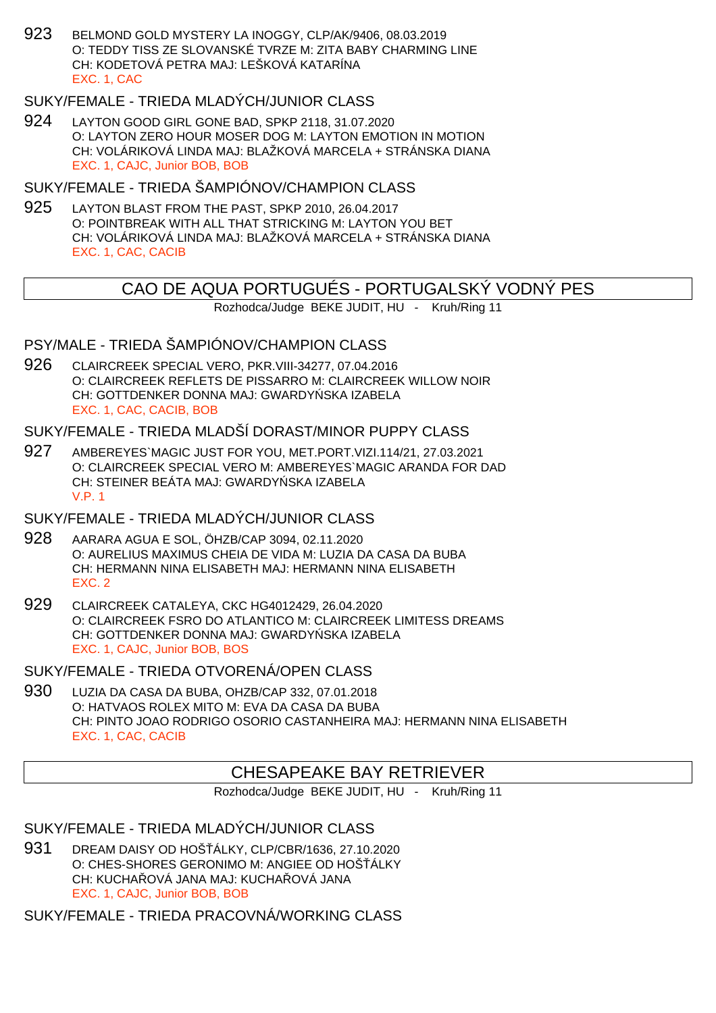923 BELMOND GOLD MYSTERY LA INOGGY, CLP/AK/9406, 08.03.2019 O: TEDDY TISS ZE SLOVANSKÉ TVRZE M: ZITA BABY CHARMING LINE CH: KODETOVÁ PETRA MAJ: LEŠKOVÁ KATARÍNA EXC. 1, CAC

# SUKY/FEMALE - TRIEDA MLADÝCH/JUNIOR CLASS

924 LAYTON GOOD GIRL GONE BAD, SPKP 2118, 31.07.2020 O: LAYTON ZERO HOUR MOSER DOG M: LAYTON EMOTION IN MOTION CH: VOLÁRIKOVÁ LINDA MAJ: BLAŽKOVÁ MARCELA + STRÁNSKA DIANA EXC. 1, CAJC, Junior BOB, BOB

SUKY/FEMALE - TRIEDA ŠAMPIÓNOV/CHAMPION CLASS

925 LAYTON BLAST FROM THE PAST, SPKP 2010, 26.04.2017 O: POINTBREAK WITH ALL THAT STRICKING M: LAYTON YOU BET CH: VOLÁRIKOVÁ LINDA MAJ: BLAŽKOVÁ MARCELA + STRÁNSKA DIANA EXC. 1, CAC, CACIB

# CAO DE AQUA PORTUGUÉS - PORTUGALSKÝ VODNÝ PES

Rozhodca/Judge BEKE JUDIT, HU - Kruh/Ring 11

# PSY/MALE - TRIEDA ŠAMPIÓNOV/CHAMPION CLASS

926 CLAIRCREEK SPECIAL VERO, PKR.VIII-34277, 07.04.2016 O: CLAIRCREEK REFLETS DE PISSARRO M: CLAIRCREEK WILLOW NOIR CH: GOTTDENKER DONNA MAJ: GWARDY SKA IZABELA EXC. 1, CAC, CACIB, BOB

SUKY/FEMALE - TRIEDA MLADŠÍ DORAST/MINOR PUPPY CLASS

927 AMBEREYES`MAGIC JUST FOR YOU, MET.PORT.VIZI.114/21, 27.03.2021 O: CLAIRCREEK SPECIAL VERO M: AMBEREYES`MAGIC ARANDA FOR DAD CH: STEINER BEÁTA MAJ: GWARDY SKA IZABELA V.P. 1

### SUKY/FEMALE - TRIEDA MLADÝCH/JUNIOR CLASS

- 928 AARARA AGUA E SOL, ÖHZB/CAP 3094, 02.11.2020 O: AURELIUS MAXIMUS CHEIA DE VIDA M: LUZIA DA CASA DA BUBA CH: HERMANN NINA ELISABETH MAJ: HERMANN NINA ELISABETH EXC. 2
- 929 CLAIRCREEK CATALEYA, CKC HG4012429, 26.04.2020 O: CLAIRCREEK FSRO DO ATLANTICO M: CLAIRCREEK LIMITESS DREAMS CH: GOTTDENKER DONNA MAJ: GWARDY SKA IZABELA EXC. 1, CAJC, Junior BOB, BOS

SUKY/FEMALE - TRIEDA OTVORENÁ/OPEN CLASS

930 LUZIA DA CASA DA BUBA, OHZB/CAP 332, 07.01.2018 O: HATVAOS ROLEX MITO M: EVA DA CASA DA BUBA CH: PINTO JOAO RODRIGO OSORIO CASTANHEIRA MAJ: HERMANN NINA ELISABETH EXC. 1, CAC, CACIB

## CHESAPEAKE BAY RETRIEVER

Rozhodca/Judge BEKE JUDIT, HU - Kruh/Ring 11

SUKY/FEMALE - TRIEDA MLADÝCH/JUNIOR CLASS

931 DREAM DAISY OD HOŠÁLKY, CLP/CBR/1636, 27.10.2020 O: CHES-SHORES GERONIMO M: ANGIEE OD HOŠ ÁLKY CH: KUCHA QVÁ JANA MAJ: KUCHA QVÁ JANA EXC. 1, CAJC, Junior BOB, BOB

SUKY/FEMALE - TRIEDA PRACOVNÁ/WORKING CLASS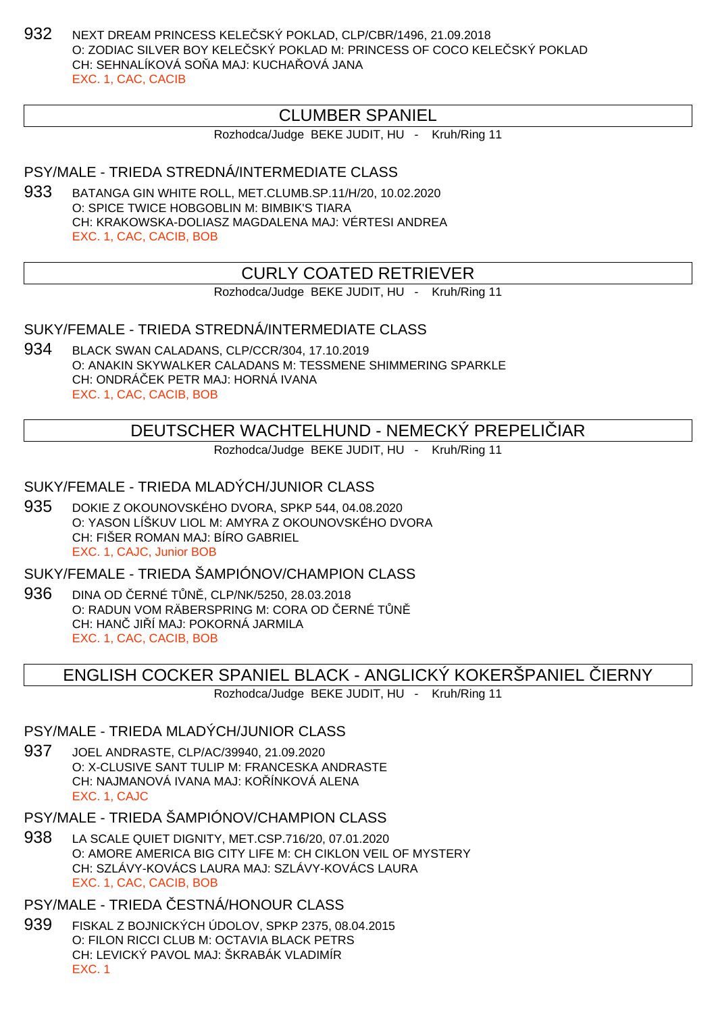932 NEXT DREAM PRINCESS KELE SKÝ POKLAD, CLP/CBR/1496, 21.09.2018 O: ZODIAC SILVER BOY KELEČSKÝ POKLAD M: PRINCESS OF COCO KELEČSKÝ POKLAD CH: SEHNALÍKOVÁ SO A MAJ: KUCHA OVÁ JANA EXC. 1, CAC, CACIB

# CLUMBER SPANIEL

Rozhodca/Judge BEKE JUDIT, HU - Kruh/Ring 11

# PSY/MALE - TRIEDA STREDNÁ/INTERMEDIATE CLASS

933 BATANGA GIN WHITE ROLL, MET.CLUMB.SP.11/H/20, 10.02.2020 O: SPICE TWICE HOBGOBLIN M: BIMBIK'S TIARA CH: KRAKOWSKA-DOLIASZ MAGDALENA MAJ: VÉRTESI ANDREA EXC. 1, CAC, CACIB, BOB

# CURLY COATED RETRIEVER

Rozhodca/Judge BEKE JUDIT, HU - Kruh/Ring 11

SUKY/FEMALE - TRIEDA STREDNÁ/INTERMEDIATE CLASS

934 BLACK SWAN CALADANS, CLP/CCR/304, 17.10.2019 O: ANAKIN SKYWALKER CALADANS M: TESSMENE SHIMMERING SPARKLE CH: ONDRÁ EK PETR MAJ: HORNÁ IVANA EXC. 1, CAC, CACIB, BOB

# DEUTSCHER WACHTELHUND - NEMECKÝ PREPELI JAR

Rozhodca/Judge BEKE JUDIT, HU - Kruh/Ring 11

SUKY/FEMALE - TRIEDA MLADÝCH/JUNIOR CLASS

935 DOKIE Z OKOUNOVSKÉHO DVORA, SPKP 544, 04.08.2020 O: YASON LÍŠKUV LIOL M: AMYRA Z OKOUNOVSKÉHO DVORA CH: FIŠER ROMAN MAJ: BÍRO GABRIEL EXC. 1, CAJC, Junior BOB

SUKY/FEMALE - TRIEDA ŠAMPIÓNOV/CHAMPION CLASS

936 DINA OD ERNÉ T N, CLP/NK/5250, 28.03.2018 O: RADUN VOM RÄBERSPRING M: CORA OD ERNÉ T N CH: HAN JI Í MAJ: POKORNÁ JARMILA EXC. 1, CAC, CACIB, BOB

# ENGLISH COCKER SPANIEL BLACK - ANGLICKÝ KOKERŠPANIEL IERNY

Rozhodca/Judge BEKE JUDIT, HU - Kruh/Ring 11

# PSY/MALE - TRIEDA MLADÝCH/JUNIOR CLASS

- 937 JOEL ANDRASTE, CLP/AC/39940, 21.09.2020 O: X-CLUSIVE SANT TULIP M: FRANCESKA ANDRASTE CH: NAJMANOVÁ IVANA MAJ: KO ÍNKOVÁ ALENA EXC. 1, CAJC
- PSY/MALE TRIEDA ŠAMPIÓNOV/CHAMPION CLASS
- 938 LA SCALE QUIET DIGNITY, MET.CSP.716/20, 07.01.2020 O: AMORE AMERICA BIG CITY LIFE M: CH CIKLON VEIL OF MYSTERY CH: SZLÁVY-KOVÁCS LAURA MAJ: SZLÁVY-KOVÁCS LAURA EXC. 1, CAC, CACIB, BOB

# PSY/MALE - TRIEDA ESTNÁ/HONOUR CLASS

939 FISKAL Z BOJNICKÝCH ÚDOLOV, SPKP 2375, 08.04.2015 O: FILON RICCI CLUB M: OCTAVIA BLACK PETRS CH: LEVICKÝ PAVOL MAJ: ŠKRABÁK VLADIMÍR EXC. 1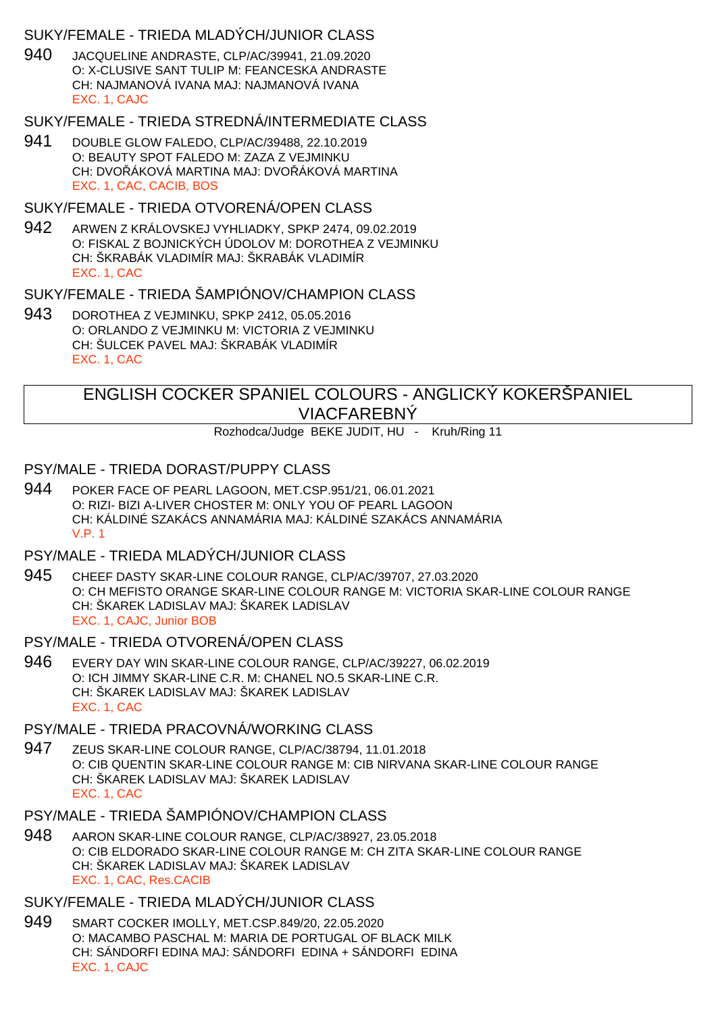# SUKY/FEMALE - TRIEDA MLADÝCH/JUNIOR CLASS

940 JACQUELINE ANDRASTE, CLP/AC/39941, 21.09.2020 O: X-CLUSIVE SANT TULIP M: FEANCESKA ANDRASTE CH: NAJMANOVÁ IVANA MAJ: NAJMANOVÁ IVANA EXC. 1, CAJC

# SUKY/FEMALE - TRIEDA STREDNÁ/INTERMEDIATE CLASS

941 DOUBLE GLOW FALEDO, CLP/AC/39488, 22.10.2019 O: BEAUTY SPOT FALEDO M: ZAZA Z VEJMINKU CH: DVO ÁKOVÁ MARTINA MAJ: DVO ÁKOVÁ MARTINA EXC. 1, CAC, CACIB, BOS

## SUKY/FEMALE - TRIEDA OTVORENÁ/OPEN CLASS

942 ARWEN Z KRÁLOVSKEJ VYHLIADKY, SPKP 2474, 09.02.2019 O: FISKAL Z BOJNICKÝCH ÚDOLOV M: DOROTHEA Z VEJMINKU CH: ŠKRABÁK VLADIMÍR MAJ: ŠKRABÁK VLADIMÍR EXC. 1, CAC

## SUKY/FEMALE - TRIEDA ŠAMPIÓNOV/CHAMPION CLASS

943 DOROTHEA Z VEJMINKU, SPKP 2412, 05.05.2016 O: ORLANDO Z VEJMINKU M: VICTORIA Z VEJMINKU CH: ŠULCEK PAVEL MAJ: ŠKRABÁK VLADIMÍR EXC. 1, CAC

# ENGLISH COCKER SPANIEL COLOURS - ANGLICKÝ KOKERŠPANIEL VIACFAREBNÝ

Rozhodca/Judge BEKE JUDIT, HU - Kruh/Ring 11

# PSY/MALE - TRIEDA DORAST/PUPPY CLASS

944 POKER FACE OF PEARL LAGOON, MET.CSP.951/21, 06.01.2021 O: RIZI- BIZI A-LIVER CHOSTER M: ONLY YOU OF PEARL LAGOON CH: KÁLDINÉ SZAKÁCS ANNAMÁRIA MAJ: KÁLDINÉ SZAKÁCS ANNAMÁRIA V.P. 1

# PSY/MALE - TRIEDA MLADÝCH/JUNIOR CLASS

945 CHEEF DASTY SKAR-LINE COLOUR RANGE, CLP/AC/39707, 27.03.2020 O: CH MEFISTO ORANGE SKAR-LINE COLOUR RANGE M: VICTORIA SKAR-LINE COLOUR RANGE CH: ŠKAREK LADISLAV MAJ: ŠKAREK LADISLAV EXC. 1, CAJC, Junior BOB

# PSY/MALE - TRIEDA OTVORENÁ/OPEN CLASS

946 EVERY DAY WIN SKAR-LINE COLOUR RANGE, CLP/AC/39227, 06.02.2019 O: ICH JIMMY SKAR-LINE C.R. M: CHANEL NO.5 SKAR-LINE C.R. CH: ŠKAREK LADISLAV MAJ: ŠKAREK LADISLAV EXC. 1, CAC

## PSY/MALE - TRIEDA PRACOVNÁ/WORKING CLASS

947 ZEUS SKAR-LINE COLOUR RANGE, CLP/AC/38794, 11.01.2018 O: CIB QUENTIN SKAR-LINE COLOUR RANGE M: CIB NIRVANA SKAR-LINE COLOUR RANGE CH: ŠKAREK LADISLAV MAJ: ŠKAREK LADISLAV EXC. 1, CAC

# PSY/MALE - TRIEDA ŠAMPIÓNOV/CHAMPION CLASS

948 AARON SKAR-LINE COLOUR RANGE, CLP/AC/38927, 23.05.2018 O: CIB ELDORADO SKAR-LINE COLOUR RANGE M: CH ZITA SKAR-LINE COLOUR RANGE CH: ŠKAREK LADISLAV MAJ: ŠKAREK LADISLAV EXC. 1, CAC, Res.CACIB

# SUKY/FEMALE - TRIEDA MLADÝCH/JUNIOR CLASS

949 SMART COCKER IMOLLY, MET.CSP.849/20, 22.05.2020 O: MACAMBO PASCHAL M: MARIA DE PORTUGAL OF BLACK MILK CH: SÁNDORFI EDINA MAJ: SÁNDORFI EDINA + SÁNDORFI EDINA EXC. 1, CAJC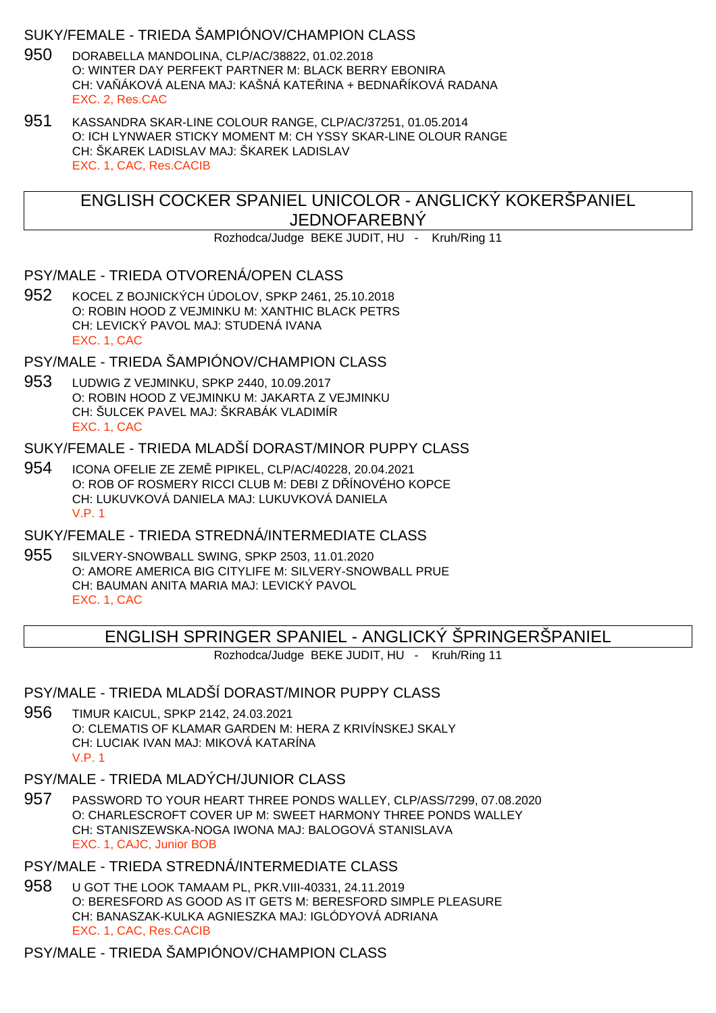## SUKY/FEMALE - TRIEDA ŠAMPIÓNOV/CHAMPION CLASS

- 950 DORABELLA MANDOLINA, CLP/AC/38822, 01.02.2018 O: WINTER DAY PERFEKT PARTNER M: BLACK BERRY EBONIRA CH: VA ÁKOVÁ ALENA MAJ: KAŠNÁ KATE INA + BEDNA ÍKOVÁ RADANA EXC. 2, Res.CAC
- 951 KASSANDRA SKAR-LINE COLOUR RANGE, CLP/AC/37251, 01.05.2014 O: ICH LYNWAER STICKY MOMENT M: CH YSSY SKAR-LINE OLOUR RANGE CH: ŠKAREK LADISLAV MAJ: ŠKAREK LADISLAV EXC. 1, CAC, Res.CACIB

# ENGLISH COCKER SPANIEL UNICOLOR - ANGLICKÝ KOKERŠPANIEL JEDNOFAREBNÝ

Rozhodca/Judge BEKE JUDIT, HU - Kruh/Ring 11

## PSY/MALE - TRIEDA OTVORENÁ/OPEN CLASS

952 KOCEL Z BOJNICKÝCH ÚDOLOV, SPKP 2461, 25.10.2018 O: ROBIN HOOD Z VEJMINKU M: XANTHIC BLACK PETRS CH: LEVICKÝ PAVOL MAJ: STUDENÁ IVANA EXC. 1, CAC

# PSY/MALE - TRIEDA ŠAMPIÓNOV/CHAMPION CLASS

953 LUDWIG Z VEJMINKU, SPKP 2440, 10.09.2017 O: ROBIN HOOD Z VEJMINKU M: JAKARTA Z VEJMINKU CH: ŠULCEK PAVEL MAJ: ŠKRABÁK VLADIMÍR EXC. 1, CAC

# SUKY/FEMALE - TRIEDA MLADŠÍ DORAST/MINOR PUPPY CLASS

954 ICONA OFELIE ZE ZEMĚ PIPIKEL, CLP/AC/40228, 20.04.2021 O: ROB OF ROSMERY RICCI CLUB M: DEBI Z D ÍNOVÉHO KOPCE CH: LUKUVKOVÁ DANIELA MAJ: LUKUVKOVÁ DANIELA V.P. 1

# SUKY/FEMALE - TRIEDA STREDNÁ/INTERMEDIATE CLASS

955 SILVERY-SNOWBALL SWING, SPKP 2503, 11.01.2020 O: AMORE AMERICA BIG CITYLIFE M: SILVERY-SNOWBALL PRUE CH: BAUMAN ANITA MARIA MAJ: LEVICKÝ PAVOL EXC. 1, CAC

# ENGLISH SPRINGER SPANIEL - ANGLICKÝ ŠPRINGERŠPANIEL

Rozhodca/Judge BEKE JUDIT, HU - Kruh/Ring 11

## PSY/MALE - TRIEDA MLADŠÍ DORAST/MINOR PUPPY CLASS

- 956 TIMUR KAICUL, SPKP 2142, 24.03.2021 O: CLEMATIS OF KLAMAR GARDEN M: HERA Z KRIVÍNSKEJ SKALY CH: LUCIAK IVAN MAJ: MIKOVÁ KATARÍNA V.P. 1
- PSY/MALE TRIEDA MLADÝCH/JUNIOR CLASS
- 957 PASSWORD TO YOUR HEART THREE PONDS WALLEY, CLP/ASS/7299, 07.08.2020 O: CHARLESCROFT COVER UP M: SWEET HARMONY THREE PONDS WALLEY CH: STANISZEWSKA-NOGA IWONA MAJ: BALOGOVÁ STANISLAVA EXC. 1, CAJC, Junior BOB

#### PSY/MALE - TRIEDA STREDNÁ/INTERMEDIATE CLASS

958 U GOT THE LOOK TAMAAM PL, PKR.VIII-40331, 24.11.2019 O: BERESFORD AS GOOD AS IT GETS M: BERESFORD SIMPLE PLEASURE CH: BANASZAK-KULKA AGNIESZKA MAJ: IGLÓDYOVÁ ADRIANA EXC. 1, CAC, Res.CACIB

### PSY/MALE - TRIEDA ŠAMPIÓNOV/CHAMPION CLASS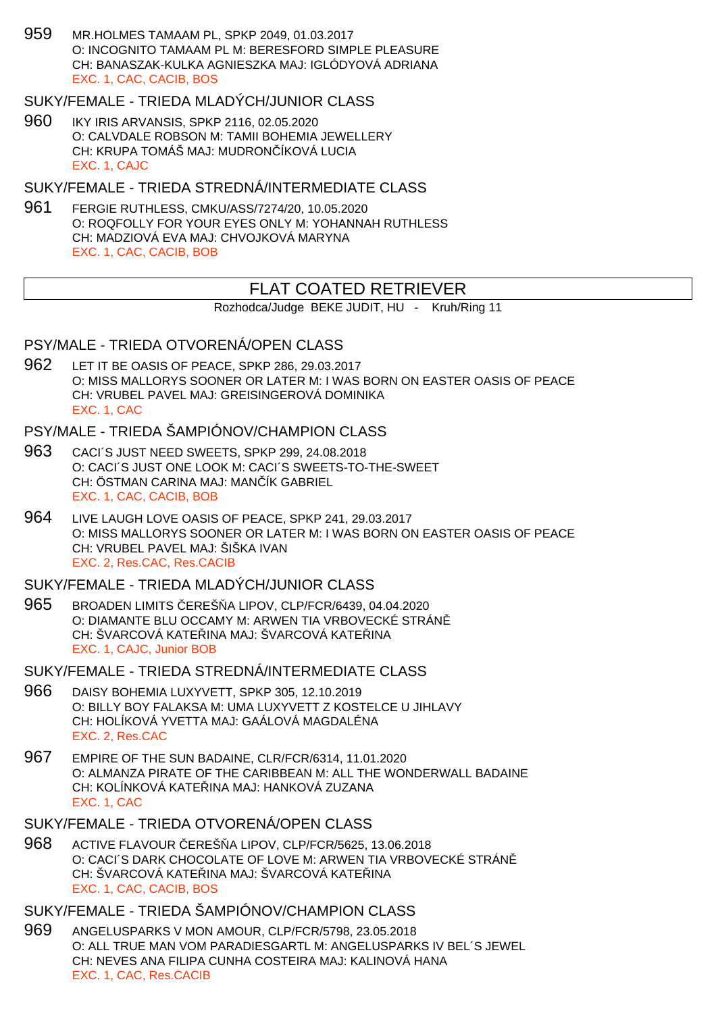959 MR.HOLMES TAMAAM PL, SPKP 2049, 01.03.2017 O: INCOGNITO TAMAAM PL M: BERESFORD SIMPLE PLEASURE CH: BANASZAK-KULKA AGNIESZKA MAJ: IGLÓDYOVÁ ADRIANA EXC. 1, CAC, CACIB, BOS

### SUKY/FEMALE - TRIEDA MLADÝCH/JUNIOR CLASS

960 IKY IRIS ARVANSIS, SPKP 2116, 02.05.2020 O: CALVDALE ROBSON M: TAMII BOHEMIA JEWELLERY CH: KRUPA TOMÁŠ MAJ: MUDRON ÍKOVÁ LUCIA EXC. 1, CAJC

SUKY/FEMALE - TRIEDA STREDNÁ/INTERMEDIATE CLASS

961 FERGIE RUTHLESS, CMKU/ASS/7274/20, 10.05.2020 O: ROQFOLLY FOR YOUR EYES ONLY M: YOHANNAH RUTHLESS CH: MADZIOVÁ EVA MAJ: CHVOJKOVÁ MARYNA EXC. 1, CAC, CACIB, BOB

# FLAT COATED RETRIEVER

Rozhodca/Judge BEKE JUDIT, HU - Kruh/Ring 11

### PSY/MALE - TRIEDA OTVORENÁ/OPEN CLASS

962 LET IT BE OASIS OF PEACE, SPKP 286, 29.03.2017 O: MISS MALLORYS SOONER OR LATER M: I WAS BORN ON EASTER OASIS OF PEACE CH: VRUBEL PAVEL MAJ: GREISINGEROVÁ DOMINIKA EXC. 1, CAC

### PSY/MALE - TRIEDA ŠAMPIÓNOV/CHAMPION CLASS

- 963 CACI´S JUST NEED SWEETS, SPKP 299, 24.08.2018 O: CACI´S JUST ONE LOOK M: CACI´S SWEETS-TO-THE-SWEET CH: ÖSTMAN CARINA MAJ: MAN ÍK GABRIEL EXC. 1, CAC, CACIB, BOB
- 964 LIVE LAUGH LOVE OASIS OF PEACE, SPKP 241, 29.03.2017 O: MISS MALLORYS SOONER OR LATER M: I WAS BORN ON EASTER OASIS OF PEACE CH: VRUBEL PAVEL MAJ: ŠIŠKA IVAN EXC. 2, Res.CAC, Res.CACIB

SUKY/FEMALE - TRIEDA MLADÝCH/JUNIOR CLASS

965 BROADEN LIMITS EREŠ A LIPOV, CLP/FCR/6439, 04.04.2020 O: DIAMANTE BLU OCCAMY M: ARWEN TIA VRBOVECKÉ STRÁN CH: ŠVARCOVÁ KATEŘINA MAJ: ŠVARCOVÁ KATEŘINA EXC. 1, CAJC, Junior BOB

SUKY/FEMALE - TRIEDA STREDNÁ/INTERMEDIATE CLASS

- 966 DAISY BOHEMIA LUXYVETT, SPKP 305, 12.10.2019 O: BILLY BOY FALAKSA M: UMA LUXYVETT Z KOSTELCE U JIHLAVY CH: HOLÍKOVÁ YVETTA MAJ: GAÁLOVÁ MAGDALÉNA EXC. 2, Res.CAC
- 967 EMPIRE OF THE SUN BADAINE, CLR/FCR/6314, 11.01.2020 O: ALMANZA PIRATE OF THE CARIBBEAN M: ALL THE WONDERWALL BADAINE CH: KOLÍNKOVÁ KATE INA MAJ: HANKOVÁ ZUZANA EXC. 1, CAC
- SUKY/FEMALE TRIEDA OTVORENÁ/OPEN CLASS
- 968 ACTIVE FLAVOUR EREŠ A LIPOV, CLP/FCR/5625, 13.06.2018 O: CACI'S DARK CHOCOLATE OF LOVE M: ARWEN TIA VRBOVECKÉ STRÁN CH: ŠVARCOVÁ KATE INA MAJ: ŠVARCOVÁ KATE INA EXC. 1, CAC, CACIB, BOS

SUKY/FEMALE - TRIEDA ŠAMPIÓNOV/CHAMPION CLASS

969 ANGELUSPARKS V MON AMOUR, CLP/FCR/5798, 23.05.2018 O: ALL TRUE MAN VOM PARADIESGARTL M: ANGELUSPARKS IV BEL´S JEWEL CH: NEVES ANA FILIPA CUNHA COSTEIRA MAJ: KALINOVÁ HANA EXC. 1, CAC, Res.CACIB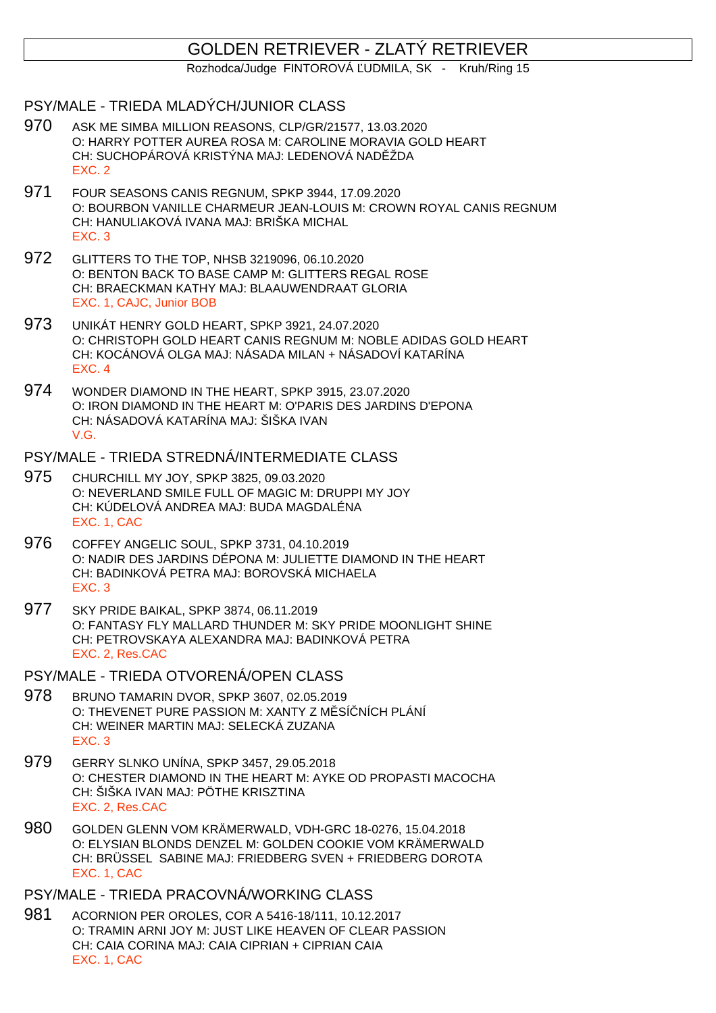# GOLDEN RETRIEVER - ZLATÝ RETRIEVER

Rozhodca/Judge FINTOROVÁ UDMILA, SK - Kruh/Ring 15

### PSY/MALE - TRIEDA MLADÝCH/JUNIOR CLASS

- 970 ASK ME SIMBA MILLION REASONS, CLP/GR/21577, 13.03.2020 O: HARRY POTTER AUREA ROSA M: CAROLINE MORAVIA GOLD HEART CH: SUCHOPÁROVÁ KRISTÝNA MAJ: LEDENOVÁ NAD ŽDA EXC. 2
- 971 FOUR SEASONS CANIS REGNUM, SPKP 3944, 17.09.2020 O: BOURBON VANILLE CHARMEUR JEAN-LOUIS M: CROWN ROYAL CANIS REGNUM CH: HANULIAKOVÁ IVANA MAJ: BRIŠKA MICHAL EXC. 3
- 972 GLITTERS TO THE TOP, NHSB 3219096, 06.10.2020 O: BENTON BACK TO BASE CAMP M: GLITTERS REGAL ROSE CH: BRAECKMAN KATHY MAJ: BLAAUWENDRAAT GLORIA EXC. 1, CAJC, Junior BOB
- 973 UNIKÁT HENRY GOLD HEART, SPKP 3921, 24.07.2020 O: CHRISTOPH GOLD HEART CANIS REGNUM M: NOBLE ADIDAS GOLD HEART CH: KOCÁNOVÁ OLGA MAJ: NÁSADA MILAN + NÁSADOVÍ KATARÍNA EXC. 4
- 974 WONDER DIAMOND IN THE HEART, SPKP 3915, 23.07.2020 O: IRON DIAMOND IN THE HEART M: O'PARIS DES JARDINS D'EPONA CH: NÁSADOVÁ KATARÍNA MAJ: ŠIŠKA IVAN V.G.

# PSY/MALE - TRIEDA STREDNÁ/INTERMEDIATE CLASS

- 975 CHURCHILL MY JOY, SPKP 3825, 09.03.2020 O: NEVERLAND SMILE FULL OF MAGIC M: DRUPPI MY JOY CH: KÚDELOVÁ ANDREA MAJ: BUDA MAGDALÉNA EXC. 1, CAC
- 976 COFFEY ANGELIC SOUL, SPKP 3731, 04.10.2019 O: NADIR DES JARDINS DÉPONA M: JULIETTE DIAMOND IN THE HEART CH: BADINKOVÁ PETRA MAJ: BOROVSKÁ MICHAELA EXC. 3
- 977 SKY PRIDE BAIKAL, SPKP 3874, 06.11.2019 O: FANTASY FLY MALLARD THUNDER M: SKY PRIDE MOONLIGHT SHINE CH: PETROVSKAYA ALEXANDRA MAJ: BADINKOVÁ PETRA EXC. 2, Res.CAC

PSY/MALE - TRIEDA OTVORENÁ/OPEN CLASS

- 978 BRUNO TAMARIN DVOR, SPKP 3607, 02.05.2019 O: THEVENET PURE PASSION M: XANTY Z M
SÍ NÍCH PLÁNÍ CH: WEINER MARTIN MAJ: SELECKÁ ZUZANA EXC. 3
- 979 GERRY SLNKO UNÍNA, SPKP 3457, 29.05.2018 O: CHESTER DIAMOND IN THE HEART M: AYKE OD PROPASTI MACOCHA CH: ŠIŠKA IVAN MAJ: PÖTHE KRISZTINA EXC. 2, Res.CAC
- 980 GOLDEN GLENN VOM KRÄMERWALD, VDH-GRC 18-0276, 15.04.2018 O: ELYSIAN BLONDS DENZEL M: GOLDEN COOKIE VOM KRÄMERWALD CH: BRÜSSEL SABINE MAJ: FRIEDBERG SVEN + FRIEDBERG DOROTA EXC. 1, CAC

PSY/MALE - TRIEDA PRACOVNÁ/WORKING CLASS

981 ACORNION PER OROLES, COR A 5416-18/111, 10.12.2017 O: TRAMIN ARNI JOY M: JUST LIKE HEAVEN OF CLEAR PASSION CH: CAIA CORINA MAJ: CAIA CIPRIAN + CIPRIAN CAIA EXC. 1, CAC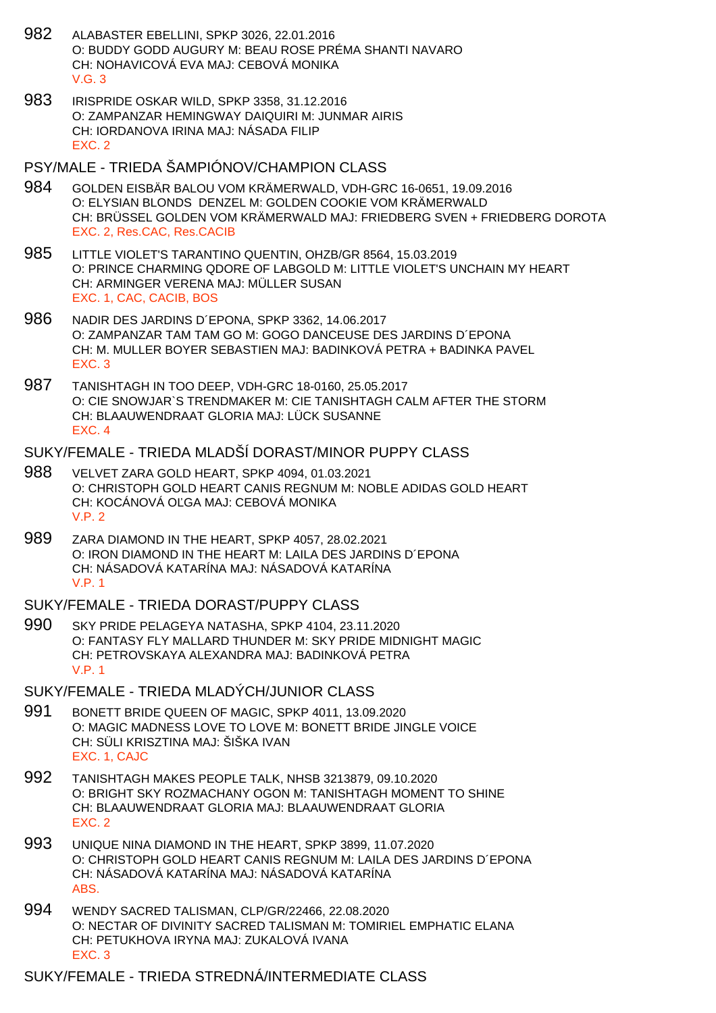- 982 ALABASTER EBELLINI, SPKP 3026, 22.01.2016 O: BUDDY GODD AUGURY M: BEAU ROSE PRÉMA SHANTI NAVARO CH: NOHAVICOVÁ EVA MAJ: CEBOVÁ MONIKA  $V$  G  $3$
- 983 IRISPRIDE OSKAR WILD, SPKP 3358, 31.12.2016 O: ZAMPANZAR HEMINGWAY DAIQUIRI M: JUNMAR AIRIS CH: IORDANOVA IRINA MAJ: NÁSADA FILIP EXC. 2

### PSY/MALE - TRIEDA ŠAMPIÓNOV/CHAMPION CLASS

- 984 GOLDEN EISBÄR BALOU VOM KRÄMERWALD, VDH-GRC 16-0651, 19.09.2016 O: ELYSIAN BLONDS DENZEL M: GOLDEN COOKIE VOM KRÄMERWALD CH: BRÜSSEL GOLDEN VOM KRÄMERWALD MAJ: FRIEDBERG SVEN + FRIEDBERG DOROTA EXC. 2, Res.CAC, Res.CACIB
- 985 LITTLE VIOLET'S TARANTINO QUENTIN, OHZB/GR 8564, 15.03.2019 O: PRINCE CHARMING QDORE OF LABGOLD M: LITTLE VIOLET'S UNCHAIN MY HEART CH: ARMINGER VERENA MAJ: MÜLLER SUSAN EXC. 1, CAC, CACIB, BOS
- 986 NADIR DES JARDINS D´EPONA, SPKP 3362, 14.06.2017 O: ZAMPANZAR TAM TAM GO M: GOGO DANCEUSE DES JARDINS D´EPONA CH: M. MULLER BOYER SEBASTIEN MAJ: BADINKOVÁ PETRA + BADINKA PAVEL EXC. 3
- 987 TANISHTAGH IN TOO DEEP, VDH-GRC 18-0160, 25.05.2017 O: CIE SNOWJAR`S TRENDMAKER M: CIE TANISHTAGH CALM AFTER THE STORM CH: BLAAUWENDRAAT GLORIA MAJ: LÜCK SUSANNE EXC. 4

### SUKY/FEMALE - TRIEDA MLADŠÍ DORAST/MINOR PUPPY CLASS

- 988 VELVET ZARA GOLD HEART, SPKP 4094, 01.03.2021 O: CHRISTOPH GOLD HEART CANIS REGNUM M: NOBLE ADIDAS GOLD HEART CH: KOCÁNOVÁ OĽGA MAJ: CEBOVÁ MONIKA V.P. 2
- 989 ZARA DIAMOND IN THE HEART, SPKP 4057, 28.02.2021 O: IRON DIAMOND IN THE HEART M: LAILA DES JARDINS D´EPONA CH: NÁSADOVÁ KATARÍNA MAJ: NÁSADOVÁ KATARÍNA V.P. 1

### SUKY/FEMALE - TRIEDA DORAST/PUPPY CLASS

990 SKY PRIDE PELAGEYA NATASHA, SPKP 4104, 23.11.2020 O: FANTASY FLY MALLARD THUNDER M: SKY PRIDE MIDNIGHT MAGIC CH: PETROVSKAYA ALEXANDRA MAJ: BADINKOVÁ PETRA V.P. 1

## SUKY/FEMALE - TRIEDA MLADÝCH/JUNIOR CLASS

- 991 BONETT BRIDE QUEEN OF MAGIC, SPKP 4011, 13.09.2020 O: MAGIC MADNESS LOVE TO LOVE M: BONETT BRIDE JINGLE VOICE CH: SÜLI KRISZTINA MAJ: ŠIŠKA IVAN EXC. 1, CAJC
- 992 TANISHTAGH MAKES PEOPLE TALK, NHSB 3213879, 09.10.2020 O: BRIGHT SKY ROZMACHANY OGON M: TANISHTAGH MOMENT TO SHINE CH: BLAAUWENDRAAT GLORIA MAJ: BLAAUWENDRAAT GLORIA EXC. 2
- 993 UNIQUE NINA DIAMOND IN THE HEART, SPKP 3899, 11.07.2020 O: CHRISTOPH GOLD HEART CANIS REGNUM M: LAILA DES JARDINS D´EPONA CH: NÁSADOVÁ KATARÍNA MAJ: NÁSADOVÁ KATARÍNA ABS.
- 994 WENDY SACRED TALISMAN, CLP/GR/22466, 22.08.2020 O: NECTAR OF DIVINITY SACRED TALISMAN M: TOMIRIEL EMPHATIC ELANA CH: PETUKHOVA IRYNA MAJ: ZUKALOVÁ IVANA EXC. 3

## SUKY/FEMALE - TRIEDA STREDNÁ/INTERMEDIATE CLASS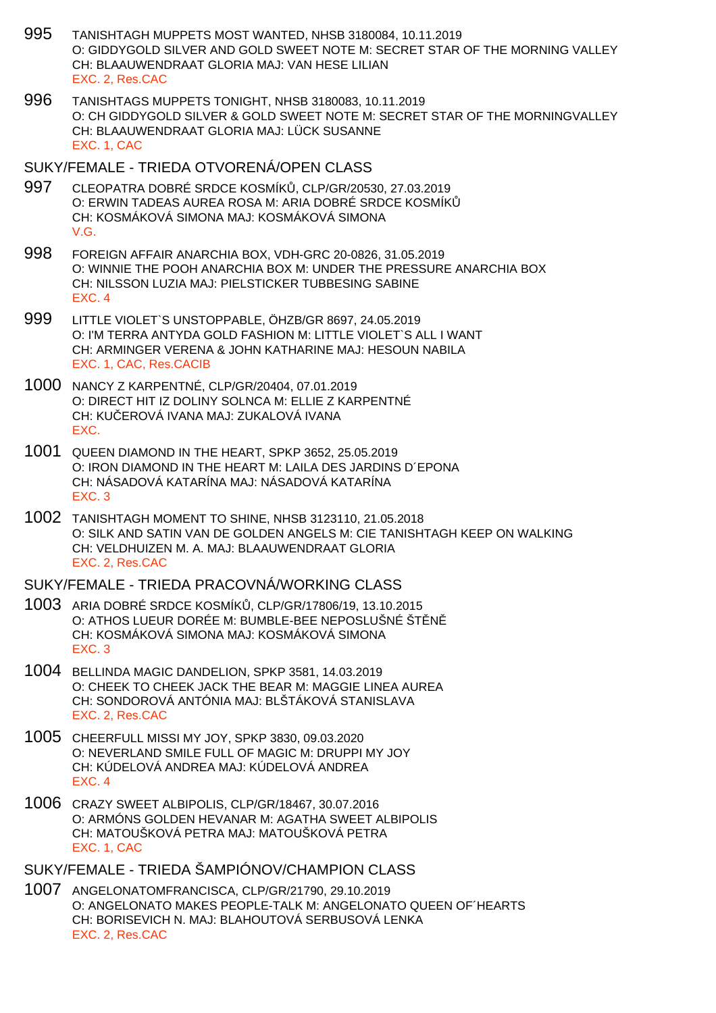- 995 TANISHTAGH MUPPETS MOST WANTED, NHSB 3180084, 10.11.2019 O: GIDDYGOLD SILVER AND GOLD SWEET NOTE M: SECRET STAR OF THE MORNING VALLEY CH: BLAAUWENDRAAT GLORIA MAJ: VAN HESE LILIAN EXC. 2, Res.CAC
- 996 TANISHTAGS MUPPETS TONIGHT, NHSB 3180083, 10.11.2019 O: CH GIDDYGOLD SILVER & GOLD SWEET NOTE M: SECRET STAR OF THE MORNINGVALLEY CH: BLAAUWENDRAAT GLORIA MAJ: LÜCK SUSANNE EXC. 1, CAC
- SUKY/FEMALE TRIEDA OTVORENÁ/OPEN CLASS
- 997 CLEOPATRA DOBRÉ SRDCE KOSMÍK , CLP/GR/20530, 27.03.2019 O: ERWIN TADEAS AUREA ROSA M: ARIA DOBRÉ SRDCE KOSMÍK CH: KOSMÁKOVÁ SIMONA MAJ: KOSMÁKOVÁ SIMONA V.G.
- 998 FOREIGN AFFAIR ANARCHIA BOX, VDH-GRC 20-0826, 31.05.2019 O: WINNIE THE POOH ANARCHIA BOX M: UNDER THE PRESSURE ANARCHIA BOX CH: NILSSON LUZIA MAJ: PIELSTICKER TUBBESING SABINE EXC. 4
- 999 LITTLE VIOLET`S UNSTOPPABLE, ÖHZB/GR 8697, 24.05.2019 O: I'M TERRA ANTYDA GOLD FASHION M: LITTLE VIOLET`S ALL I WANT CH: ARMINGER VERENA & JOHN KATHARINE MAJ: HESOUN NABILA EXC. 1, CAC, Res.CACIB
- 1000 NANCY Z KARPENTNÉ, CLP/GR/20404, 07.01.2019 O: DIRECT HIT IZ DOLINY SOLNCA M: ELLIE Z KARPENTNÉ CH: KU EROVÁ IVANA MAJ: ZUKALOVÁ IVANA EXC.
- 1001 QUEEN DIAMOND IN THE HEART, SPKP 3652, 25.05.2019 O: IRON DIAMOND IN THE HEART M: LAILA DES JARDINS D´EPONA CH: NÁSADOVÁ KATARÍNA MAJ: NÁSADOVÁ KATARÍNA EXC. 3
- 1002 TANISHTAGH MOMENT TO SHINE, NHSB 3123110, 21.05.2018 O: SILK AND SATIN VAN DE GOLDEN ANGELS M: CIE TANISHTAGH KEEP ON WALKING CH: VELDHUIZEN M. A. MAJ: BLAAUWENDRAAT GLORIA EXC. 2, Res.CAC

# SUKY/FEMALE - TRIEDA PRACOVNÁ/WORKING CLASS

- 1003 ARIA DOBRÉ SRDCE KOSMÍKŮ, CLP/GR/17806/19, 13.10.2015 O: ATHOS LUEUR DORÉE M: BUMBLE-BEE NEPOSLUŠNÉ ŠTÅN CH: KOSMÁKOVÁ SIMONA MAJ: KOSMÁKOVÁ SIMONA EXC. 3
- 1004 BELLINDA MAGIC DANDELION, SPKP 3581, 14.03.2019 O: CHEEK TO CHEEK JACK THE BEAR M: MAGGIE LINEA AUREA CH: SONDOROVÁ ANTÓNIA MAJ: BLŠTÁKOVÁ STANISLAVA EXC. 2, Res.CAC
- 1005 CHEERFULL MISSI MY JOY, SPKP 3830, 09.03.2020 O: NEVERLAND SMILE FULL OF MAGIC M: DRUPPI MY JOY CH: KÚDELOVÁ ANDREA MAJ: KÚDELOVÁ ANDREA EXC. 4
- 1006 CRAZY SWEET ALBIPOLIS, CLP/GR/18467, 30.07.2016 O: ARMÓNS GOLDEN HEVANAR M: AGATHA SWEET ALBIPOLIS CH: MATOUŠKOVÁ PETRA MAJ: MATOUŠKOVÁ PETRA EXC. 1, CAC

SUKY/FEMALE - TRIEDA ŠAMPIÓNOV/CHAMPION CLASS

1007 ANGELONATOMFRANCISCA, CLP/GR/21790, 29.10.2019 O: ANGELONATO MAKES PEOPLE-TALK M: ANGELONATO QUEEN OF´HEARTS CH: BORISEVICH N. MAJ: BLAHOUTOVÁ SERBUSOVÁ LENKA EXC. 2, Res.CAC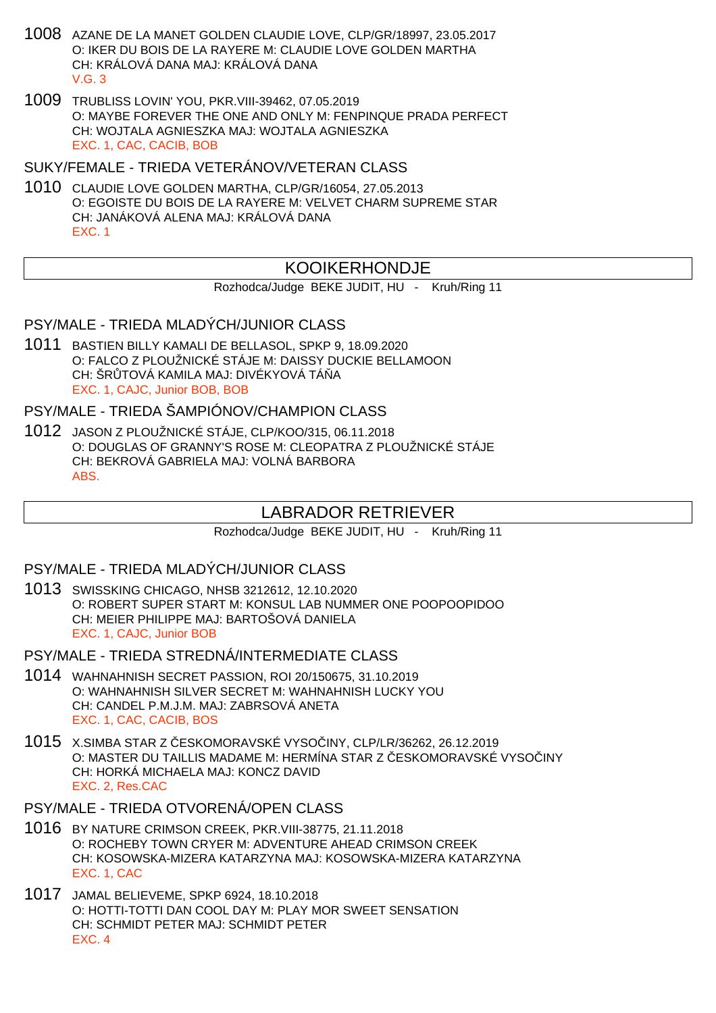- 1008 AZANE DE LA MANET GOLDEN CLAUDIE LOVE, CLP/GR/18997, 23.05.2017 O: IKER DU BOIS DE LA RAYERE M: CLAUDIE LOVE GOLDEN MARTHA CH: KRÁLOVÁ DANA MAJ: KRÁLOVÁ DANA  $V$  G  $3$
- 1009 TRUBLISS LOVIN' YOU, PKR.VIII-39462, 07.05.2019 O: MAYBE FOREVER THE ONE AND ONLY M: FENPINQUE PRADA PERFECT CH: WOJTALA AGNIESZKA MAJ: WOJTALA AGNIESZKA EXC. 1, CAC, CACIB, BOB

SUKY/FEMALE - TRIEDA VETERÁNOV/VETERAN CLASS

1010 CLAUDIE LOVE GOLDEN MARTHA, CLP/GR/16054, 27.05.2013 O: EGOISTE DU BOIS DE LA RAYERE M: VELVET CHARM SUPREME STAR CH: JANÁKOVÁ ALENA MAJ: KRÁLOVÁ DANA EXC. 1

# KOOIKERHONDJE

Rozhodca/Judge BEKE JUDIT, HU - Kruh/Ring 11

PSY/MALE - TRIEDA MLADÝCH/JUNIOR CLASS

1011 BASTIEN BILLY KAMALI DE BELLASOL, SPKP 9, 18.09.2020 O: FALCO Z PLOUŽNICKÉ STÁJE M: DAISSY DUCKIE BELLAMOON CH: ŠR TOVÁ KAMILA MAJ: DIVÉKYOVÁ TÁ A EXC. 1, CAJC, Junior BOB, BOB

PSY/MALE - TRIEDA ŠAMPIÓNOV/CHAMPION CLASS

1012 JASON Z PLOUŽNICKÉ STÁJE, CLP/KOO/315, 06.11.2018 O: DOUGLAS OF GRANNY'S ROSE M: CLEOPATRA Z PLOUŽNICKÉ STÁJE CH: BEKROVÁ GABRIELA MAJ: VOLNÁ BARBORA ABS.

# LABRADOR RETRIEVER

Rozhodca/Judge BEKE JUDIT, HU - Kruh/Ring 11

PSY/MALE - TRIEDA MLADÝCH/JUNIOR CLASS

1013 SWISSKING CHICAGO, NHSB 3212612, 12.10.2020 O: ROBERT SUPER START M: KONSUL LAB NUMMER ONE POOPOOPIDOO CH: MEIER PHILIPPE MAJ: BARTOŠOVÁ DANIELA EXC. 1, CAJC, Junior BOB

PSY/MALE - TRIEDA STREDNÁ/INTERMEDIATE CLASS

- 1014 WAHNAHNISH SECRET PASSION, ROI 20/150675, 31.10.2019 O: WAHNAHNISH SILVER SECRET M: WAHNAHNISH LUCKY YOU CH: CANDEL P.M.J.M. MAJ: ZABRSOVÁ ANETA EXC. 1, CAC, CACIB, BOS
- 1015 X.SIMBA STAR Z ČESKOMORAVSKÉ VYSOČINY, CLP/LR/36262, 26.12.2019 O: MASTER DU TAILLIS MADAME M: HERMÍNA STAR Z ČESKOMORAVSKÉ VYSOČINY CH: HORKÁ MICHAELA MAJ: KONCZ DAVID EXC. 2, Res.CAC

PSY/MALE - TRIEDA OTVORENÁ/OPEN CLASS

- 1016 BY NATURE CRIMSON CREEK, PKR.VIII-38775, 21.11.2018 O: ROCHEBY TOWN CRYER M: ADVENTURE AHEAD CRIMSON CREEK CH: KOSOWSKA-MIZERA KATARZYNA MAJ: KOSOWSKA-MIZERA KATARZYNA EXC. 1, CAC
- 1017 JAMAL BELIEVEME, SPKP 6924, 18.10.2018 O: HOTTI-TOTTI DAN COOL DAY M: PLAY MOR SWEET SENSATION CH: SCHMIDT PETER MAJ: SCHMIDT PETER EXC. 4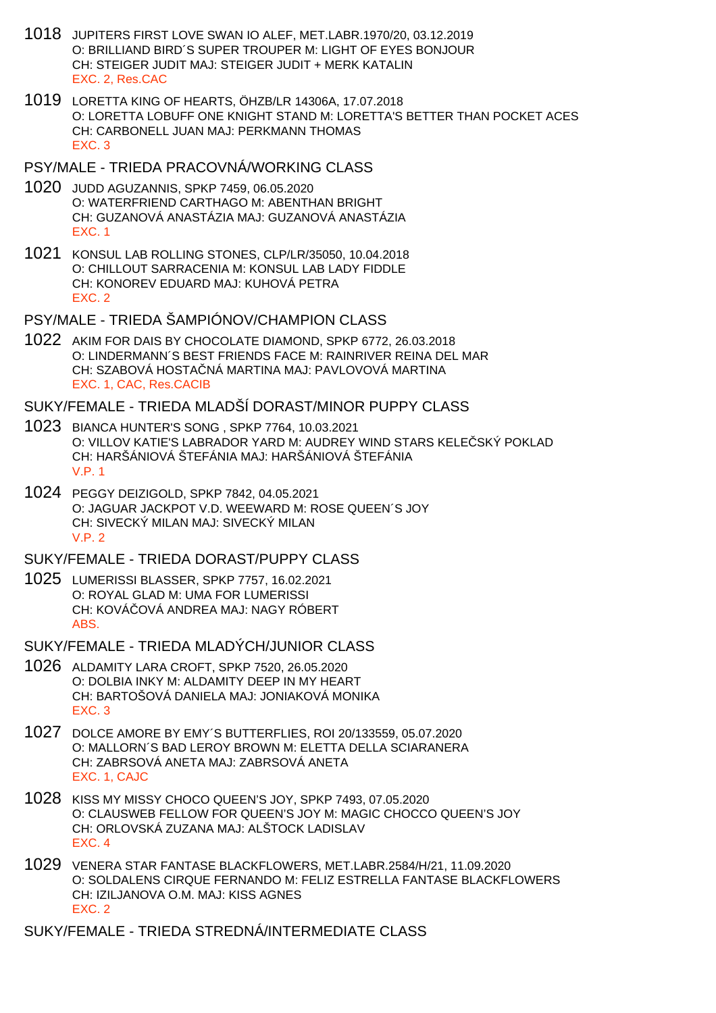- 1018 JUPITERS FIRST LOVE SWAN IO ALEF, MET.LABR.1970/20, 03.12.2019 O: BRILLIAND BIRD´S SUPER TROUPER M: LIGHT OF EYES BONJOUR CH: STEIGER JUDIT MAJ: STEIGER JUDIT + MERK KATALIN EXC. 2, Res.CAC
- 1019 LORETTA KING OF HEARTS, ÖHZB/LR 14306A, 17.07.2018 O: LORETTA LOBUFF ONE KNIGHT STAND M: LORETTA'S BETTER THAN POCKET ACES CH: CARBONELL JUAN MAJ: PERKMANN THOMAS EXC. 3
- PSY/MALE TRIEDA PRACOVNÁ/WORKING CLASS
- 1020 JUDD AGUZANNIS, SPKP 7459, 06.05.2020 O: WATERFRIEND CARTHAGO M: ABENTHAN BRIGHT CH: GUZANOVÁ ANASTÁZIA MAJ: GUZANOVÁ ANASTÁZIA EXC. 1
- 1021 KONSUL LAB ROLLING STONES, CLP/LR/35050, 10.04.2018 O: CHILLOUT SARRACENIA M: KONSUL LAB LADY FIDDLE CH: KONOREV EDUARD MAJ: KUHOVÁ PETRA EXC. 2
- PSY/MALE TRIEDA ŠAMPIÓNOV/CHAMPION CLASS
- 1022 AKIM FOR DAIS BY CHOCOLATE DIAMOND, SPKP 6772, 26.03.2018 O: LINDERMANN´S BEST FRIENDS FACE M: RAINRIVER REINA DEL MAR CH: SZABOVÁ HOSTA NÁ MARTINA MAJ: PAVLOVOVÁ MARTINA EXC. 1, CAC, Res.CACIB

SUKY/FEMALE - TRIEDA MLADŠÍ DORAST/MINOR PUPPY CLASS

- 1023 BIANCA HUNTER'S SONG , SPKP 7764, 10.03.2021 O: VILLOV KATIE'S LABRADOR YARD M: AUDREY WIND STARS KELEČSKÝ POKLAD CH: HARŠÁNIOVÁ ŠTEFÁNIA MAJ: HARŠÁNIOVÁ ŠTEFÁNIA V.P. 1
- 1024 PEGGY DEIZIGOLD, SPKP 7842, 04.05.2021 O: JAGUAR JACKPOT V.D. WEEWARD M: ROSE QUEEN´S JOY CH: SIVECKÝ MILAN MAJ: SIVECKÝ MILAN V.P. 2
- SUKY/FEMALE TRIEDA DORAST/PUPPY CLASS
- 1025 LUMERISSI BLASSER, SPKP 7757, 16.02.2021 O: ROYAL GLAD M: UMA FOR LUMERISSI CH: KOVÁ OVÁ ANDREA MAJ: NAGY RÓBERT ABS.

SUKY/FEMALE - TRIEDA MLADÝCH/JUNIOR CLASS

- 1026 ALDAMITY LARA CROFT, SPKP 7520, 26.05.2020 O: DOLBIA INKY M: ALDAMITY DEEP IN MY HEART CH: BARTOŠOVÁ DANIELA MAJ: JONIAKOVÁ MONIKA EXC. 3
- 1027 DOLCE AMORE BY EMY´S BUTTERFLIES, ROI 20/133559, 05.07.2020 O: MALLORN´S BAD LEROY BROWN M: ELETTA DELLA SCIARANERA CH: ZABRSOVÁ ANETA MAJ: ZABRSOVÁ ANETA EXC. 1, CAJC
- 1028 KISS MY MISSY CHOCO QUEEN'S JOY, SPKP 7493, 07.05.2020 O: CLAUSWEB FELLOW FOR QUEEN'S JOY M: MAGIC CHOCCO QUEEN'S JOY CH: ORLOVSKÁ ZUZANA MAJ: ALŠTOCK LADISLAV EXC. 4
- 1029 VENERA STAR FANTASE BLACKFLOWERS, MET.LABR.2584/H/21, 11.09.2020 O: SOLDALENS CIRQUE FERNANDO M: FELIZ ESTRELLA FANTASE BLACKFLOWERS CH: IZILJANOVA O.M. MAJ: KISS AGNES EXC. 2

SUKY/FEMALE - TRIEDA STREDNÁ/INTERMEDIATE CLASS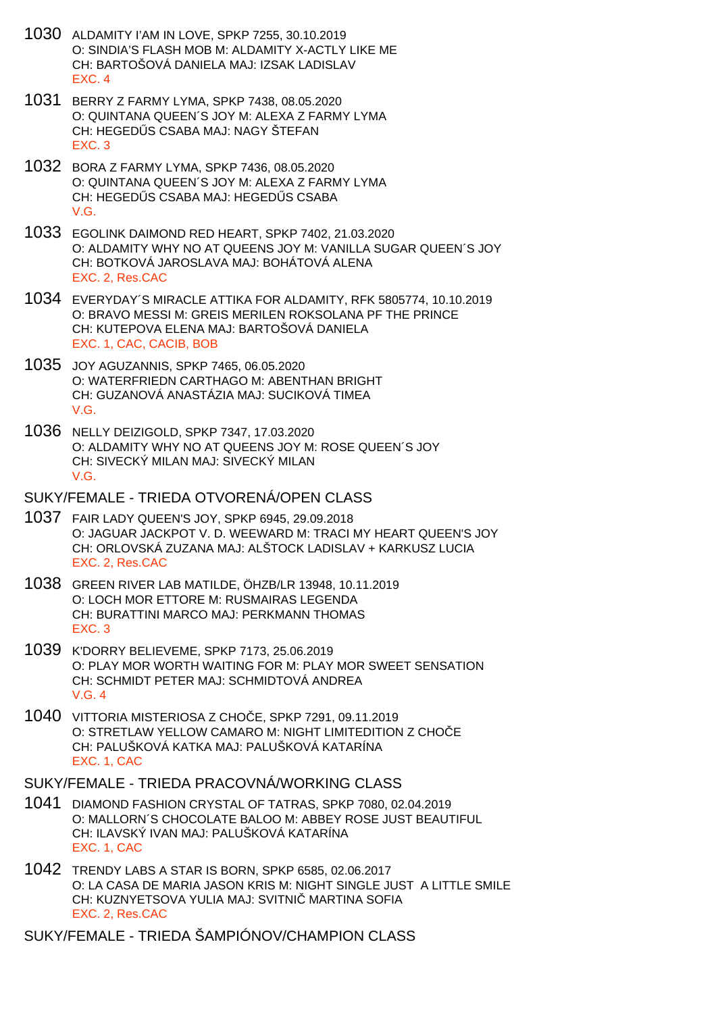- 1030 ALDAMITY I'AM IN LOVE, SPKP 7255, 30.10.2019 O: SINDIA'S FLASH MOB M: ALDAMITY X-ACTLY LIKE ME CH: BARTOŠOVÁ DANIELA MAJ: IZSAK LADISLAV EXC. 4
- 1031 BERRY Z FARMY LYMA, SPKP 7438, 08.05.2020 O: QUINTANA QUEEN´S JOY M: ALEXA Z FARMY LYMA CH: HEGED S CSABA MAJ: NAGY ŠTEFAN EXC. 3
- 1032 BORA Z FARMY LYMA, SPKP 7436, 08.05.2020 O: QUINTANA QUEEN´S JOY M: ALEXA Z FARMY LYMA CH: HEGED S CSABA MAJ: HEGED S CSABA V.G.
- 1033 EGOLINK DAIMOND RED HEART, SPKP 7402, 21.03.2020 O: ALDAMITY WHY NO AT QUEENS JOY M: VANILLA SUGAR QUEEN´S JOY CH: BOTKOVÁ JAROSLAVA MAJ: BOHÁTOVÁ ALENA EXC. 2, Res.CAC
- 1034 EVERYDAY´S MIRACLE ATTIKA FOR ALDAMITY, RFK 5805774, 10.10.2019 O: BRAVO MESSI M: GREIS MERILEN ROKSOLANA PF THE PRINCE CH: KUTEPOVA ELENA MAJ: BARTOŠOVÁ DANIELA EXC. 1, CAC, CACIB, BOB
- 1035 JOY AGUZANNIS, SPKP 7465, 06.05.2020 O: WATERFRIEDN CARTHAGO M: ABENTHAN BRIGHT CH: GUZANOVÁ ANASTÁZIA MAJ: SUCIKOVÁ TIMEA V.G.
- 1036 NELLY DEIZIGOLD, SPKP 7347, 17.03.2020 O: ALDAMITY WHY NO AT QUEENS JOY M: ROSE QUEEN´S JOY CH: SIVECKÝ MILAN MAJ: SIVECKÝ MILAN V.G.

SUKY/FEMALE - TRIEDA OTVORENÁ/OPEN CLASS

- 1037 FAIR LADY QUEEN'S JOY, SPKP 6945, 29.09.2018 O: JAGUAR JACKPOT V. D. WEEWARD M: TRACI MY HEART QUEEN'S JOY CH: ORLOVSKÁ ZUZANA MAJ: ALŠTOCK LADISLAV + KARKUSZ LUCIA EXC. 2, Res.CAC
- 1038 GREEN RIVER LAB MATILDE, ÖHZB/LR 13948, 10.11.2019 O: LOCH MOR ETTORE M: RUSMAIRAS LEGENDA CH: BURATTINI MARCO MAJ: PERKMANN THOMAS EXC. 3
- 1039 K'DORRY BELIEVEME, SPKP 7173, 25.06.2019 O: PLAY MOR WORTH WAITING FOR M: PLAY MOR SWEET SENSATION CH: SCHMIDT PETER MAJ: SCHMIDTOVÁ ANDREA V.G. 4
- 1040 VITTORIA MISTERIOSA Z CHOČE, SPKP 7291, 09.11.2019 O: STRETLAW YELLOW CAMARO M: NIGHT LIMITEDITION Z CHOČE CH: PALUŠKOVÁ KATKA MAJ: PALUŠKOVÁ KATARÍNA EXC. 1, CAC

## SUKY/FEMALE - TRIEDA PRACOVNÁ/WORKING CLASS

- 1041 DIAMOND FASHION CRYSTAL OF TATRAS, SPKP 7080, 02.04.2019 O: MALLORN´S CHOCOLATE BALOO M: ABBEY ROSE JUST BEAUTIFUL CH: ILAVSKÝ IVAN MAJ: PALUŠKOVÁ KATARÍNA EXC. 1, CAC
- 1042 TRENDY LABS A STAR IS BORN, SPKP 6585, 02.06.2017 O: LA CASA DE MARIA JASON KRIS M: NIGHT SINGLE JUST A LITTLE SMILE CH: KUZNYETSOVA YULIA MAJ: SVITNI MARTINA SOFIA EXC. 2, Res.CAC

SUKY/FEMALE - TRIEDA ŠAMPIÓNOV/CHAMPION CLASS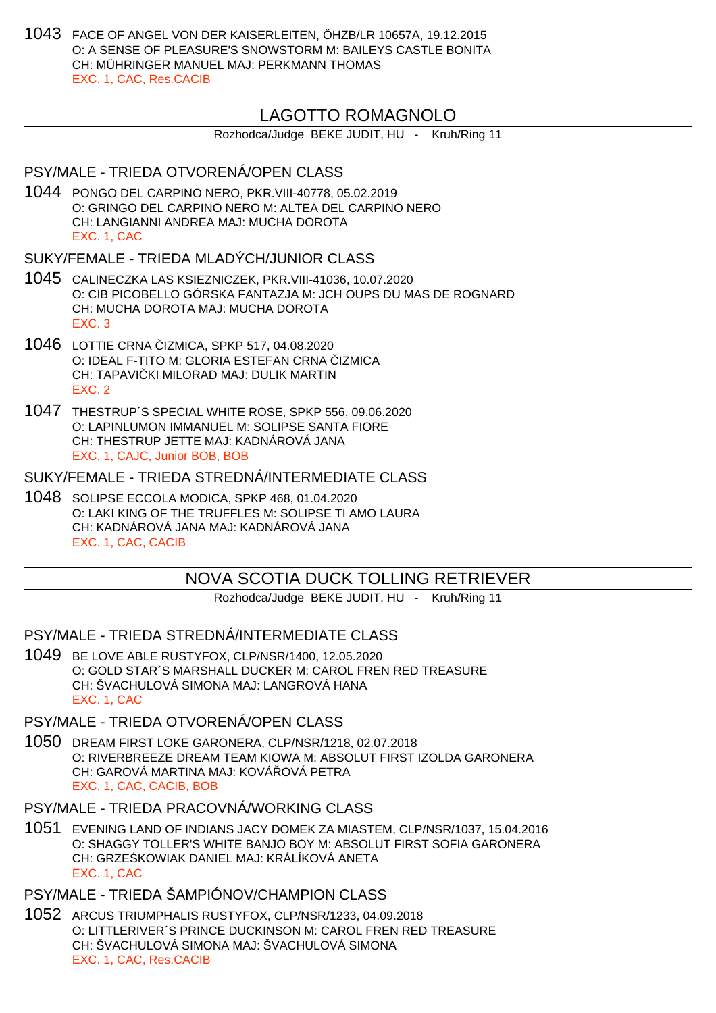1043 FACE OF ANGEL VON DER KAISERLEITEN, ÖHZB/LR 10657A, 19.12.2015 O: A SENSE OF PLEASURE'S SNOWSTORM M: BAILEYS CASTLE BONITA CH: MÜHRINGER MANUEL MAJ: PERKMANN THOMAS EXC. 1, CAC, Res.CACIB

# LAGOTTO ROMAGNOLO

Rozhodca/Judge BEKE JUDIT, HU - Kruh/Ring 11

# PSY/MALE - TRIEDA OTVORENÁ/OPEN CLASS

1044 PONGO DEL CARPINO NERO, PKR.VIII-40778, 05.02.2019 O: GRINGO DEL CARPINO NERO M: ALTEA DEL CARPINO NERO CH: LANGIANNI ANDREA MAJ: MUCHA DOROTA EXC. 1, CAC

## SUKY/FEMALE - TRIEDA MLADÝCH/JUNIOR CLASS

- 1045 CALINECZKA LAS KSIEZNICZEK, PKR.VIII-41036, 10.07.2020 O: CIB PICOBELLO GÓRSKA FANTAZJA M: JCH OUPS DU MAS DE ROGNARD CH: MUCHA DOROTA MAJ: MUCHA DOROTA EXC. 3
- 1046 LOTTIE CRNA IZMICA, SPKP 517, 04.08.2020 O: IDEAL F-TITO M: GLORIA ESTEFAN CRNA IZMICA CH: TAPAVI KI MILORAD MAJ: DULIK MARTIN EXC. 2
- 1047 THESTRUP´S SPECIAL WHITE ROSE, SPKP 556, 09.06.2020 O: LAPINLUMON IMMANUEL M: SOLIPSE SANTA FIORE CH: THESTRUP JETTE MAJ: KADNÁROVÁ JANA EXC. 1, CAJC, Junior BOB, BOB

# SUKY/FEMALE - TRIEDA STREDNÁ/INTERMEDIATE CLASS

1048 SOLIPSE ECCOLA MODICA, SPKP 468, 01.04.2020 O: LAKI KING OF THE TRUFFLES M: SOLIPSE TI AMO LAURA CH: KADNÁROVÁ JANA MAJ: KADNÁROVÁ JANA EXC. 1, CAC, CACIB

# NOVA SCOTIA DUCK TOLLING RETRIEVER

Rozhodca/Judge BEKE JUDIT, HU - Kruh/Ring 11

## PSY/MALE - TRIEDA STREDNÁ/INTERMEDIATE CLASS

1049 BE LOVE ABLE RUSTYFOX, CLP/NSR/1400, 12.05.2020 O: GOLD STAR´S MARSHALL DUCKER M: CAROL FREN RED TREASURE CH: ŠVACHULOVÁ SIMONA MAJ: LANGROVÁ HANA EXC. 1, CAC

## PSY/MALE - TRIEDA OTVORENÁ/OPEN CLASS

1050 DREAM FIRST LOKE GARONERA, CLP/NSR/1218, 02.07.2018 O: RIVERBREEZE DREAM TEAM KIOWA M: ABSOLUT FIRST IZOLDA GARONERA CH: GAROVÁ MARTINA MAJ: KOVÁ DVÁ PETRA EXC. 1, CAC, CACIB, BOB

### PSY/MALE - TRIEDA PRACOVNÁ/WORKING CLASS

1051 EVENING LAND OF INDIANS JACY DOMEK ZA MIASTEM, CLP/NSR/1037, 15.04.2016 O: SHAGGY TOLLER'S WHITE BANJO BOY M: ABSOLUT FIRST SOFIA GARONERA CH: GRZE KOWIAK DANIEL MAJ: KRÁLÍKOVÁ ANETA EXC. 1, CAC

# PSY/MALE - TRIEDA ŠAMPIÓNOV/CHAMPION CLASS

1052 ARCUS TRIUMPHALIS RUSTYFOX, CLP/NSR/1233, 04.09.2018 O: LITTLERIVER´S PRINCE DUCKINSON M: CAROL FREN RED TREASURE CH: ŠVACHULOVÁ SIMONA MAJ: ŠVACHULOVÁ SIMONA EXC. 1, CAC, Res.CACIB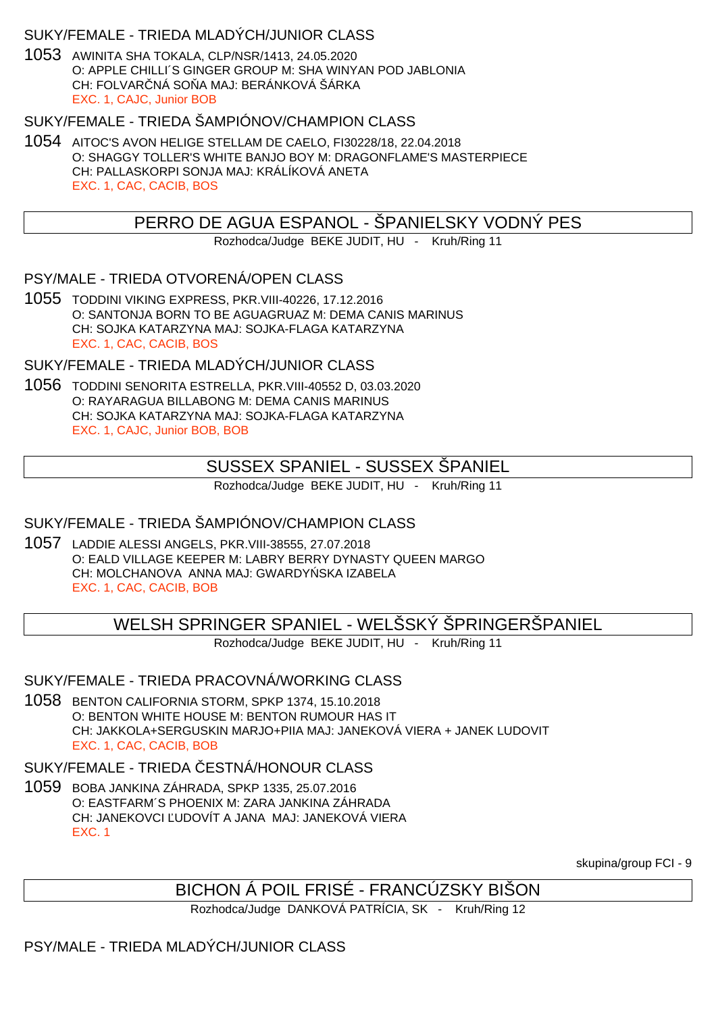# SUKY/FEMALE - TRIEDA MLADÝCH/JUNIOR CLASS

1053 AWINITA SHA TOKALA, CLP/NSR/1413, 24.05.2020 O: APPLE CHILLI´S GINGER GROUP M: SHA WINYAN POD JABLONIA CH: FOLVAR NÁ SO A MAJ: BERÁNKOVÁ ŠÁRKA EXC. 1, CAJC, Junior BOB

# SUKY/FEMALE - TRIEDA ŠAMPIÓNOV/CHAMPION CLASS

1054 AITOC'S AVON HELIGE STELLAM DE CAELO, FI30228/18, 22.04.2018 O: SHAGGY TOLLER'S WHITE BANJO BOY M: DRAGONFLAME'S MASTERPIECE CH: PALLASKORPI SONJA MAJ: KRÁLÍKOVÁ ANETA EXC. 1, CAC, CACIB, BOS

# PERRO DE AGUA ESPANOL - ŠPANIELSKY VODNÝ PES

Rozhodca/Judge BEKE JUDIT, HU - Kruh/Ring 11

PSY/MALE - TRIEDA OTVORENÁ/OPEN CLASS

1055 TODDINI VIKING EXPRESS, PKR.VIII-40226, 17.12.2016 O: SANTONJA BORN TO BE AGUAGRUAZ M: DEMA CANIS MARINUS CH: SOJKA KATARZYNA MAJ: SOJKA-FLAGA KATARZYNA EXC. 1, CAC, CACIB, BOS

SUKY/FEMALE - TRIEDA MLADÝCH/JUNIOR CLASS

1056 TODDINI SENORITA ESTRELLA, PKR.VIII-40552 D, 03.03.2020 O: RAYARAGUA BILLABONG M: DEMA CANIS MARINUS CH: SOJKA KATARZYNA MAJ: SOJKA-FLAGA KATARZYNA EXC. 1, CAJC, Junior BOB, BOB

# SUSSEX SPANIEL - SUSSEX ŠPANIEL

Rozhodca/Judge BEKE JUDIT, HU - Kruh/Ring 11

# SUKY/FEMALE - TRIEDA ŠAMPIÓNOV/CHAMPION CLASS

1057 LADDIE ALESSI ANGELS, PKR.VIII-38555, 27.07.2018 O: EALD VILLAGE KEEPER M: LABRY BERRY DYNASTY QUEEN MARGO CH: MOLCHANOVA ANNA MAJ: GWARDY SKA IZABELA EXC. 1, CAC, CACIB, BOB

WELSH SPRINGER SPANIEL - WELŠSKÝ ŠPRINGERŠPANIEL

Rozhodca/Judge BEKE JUDIT, HU - Kruh/Ring 11

## SUKY/FEMALE - TRIEDA PRACOVNÁ/WORKING CLASS

1058 BENTON CALIFORNIA STORM, SPKP 1374, 15.10.2018 O: BENTON WHITE HOUSE M: BENTON RUMOUR HAS IT CH: JAKKOLA+SERGUSKIN MARJO+PIIA MAJ: JANEKOVÁ VIERA + JANEK LUDOVIT EXC. 1, CAC, CACIB, BOB

# SUKY/FEMALE - TRIEDA ESTNÁ/HONOUR CLASS

1059 BOBA JANKINA ZÁHRADA, SPKP 1335, 25.07.2016 O: EASTFARM´S PHOENIX M: ZARA JANKINA ZÁHRADA CH: JANEKOVCI ĽUDOVÍT A JANA MAJ: JANEKOVÁ VIERA EXC. 1

skupina/group FCI - 9

# BICHON Á POIL FRISÉ - FRANCÚZSKY BIŠON

Rozhodca/Judge DANKOVÁ PATRÍCIA, SK - Kruh/Ring 12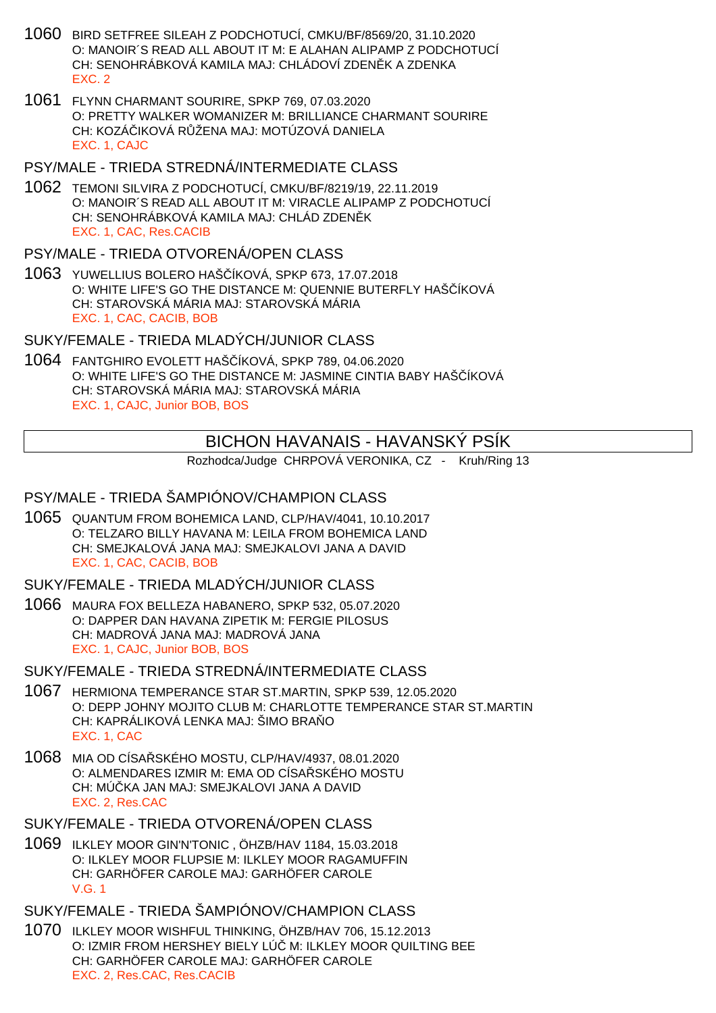- 1060 BIRD SETFREE SILEAH Z PODCHOTUCÍ, CMKU/BF/8569/20, 31.10.2020 O: MANOIR´S READ ALL ABOUT IT M: E ALAHAN ALIPAMP Z PODCHOTUCÍ CH: SENOHRÁBKOVÁ KAMILA MAJ: CHLÁDOVÍ ZDEN. K A ZDENKA EXC. 2
- 1061 FLYNN CHARMANT SOURIRE, SPKP 769, 07.03.2020 O: PRETTY WALKER WOMANIZER M: BRILLIANCE CHARMANT SOURIRE CH: KOZÁ IKOVÁ R ŽENA MAJ: MOTÚZOVÁ DANIELA EXC. 1, CAJC
- PSY/MALE TRIEDA STREDNÁ/INTERMEDIATE CLASS
- 1062 TEMONI SILVIRA Z PODCHOTUCÍ, CMKU/BF/8219/19, 22.11.2019 O: MANOIR´S READ ALL ABOUT IT M: VIRACLE ALIPAMP Z PODCHOTUCÍ CH: SENOHRÁBKOVÁ KAMILA MAJ: CHLÁD ZDEN K EXC. 1, CAC, Res.CACIB
- PSY/MALE TRIEDA OTVORENÁ/OPEN CLASS
- 1063 YUWELLIUS BOLERO HAŠČÍKOVÁ, SPKP 673, 17.07.2018 O: WHITE LIFE'S GO THE DISTANCE M: QUENNIE BUTERFLY HAŠ ÍKOVÁ CH: STAROVSKÁ MÁRIA MAJ: STAROVSKÁ MÁRIA EXC. 1, CAC, CACIB, BOB

SUKY/FEMALE - TRIEDA MLADÝCH/JUNIOR CLASS

1064 FANTGHIRO EVOLETT HAŠČÍKOVÁ, SPKP 789, 04.06.2020 O: WHITE LIFE'S GO THE DISTANCE M: JASMINE CINTIA BABY HAŠ ÍKOVÁ CH: STAROVSKÁ MÁRIA MAJ: STAROVSKÁ MÁRIA EXC. 1, CAJC, Junior BOB, BOS

# BICHON HAVANAIS - HAVANSKÝ PSÍK

Rozhodca/Judge CHRPOVÁ VERONIKA, CZ - Kruh/Ring 13

# PSY/MALE - TRIEDA ŠAMPIÓNOV/CHAMPION CLASS

1065 QUANTUM FROM BOHEMICA LAND, CLP/HAV/4041, 10.10.2017 O: TELZARO BILLY HAVANA M: LEILA FROM BOHEMICA LAND CH: SMEJKALOVÁ JANA MAJ: SMEJKALOVI JANA A DAVID EXC. 1, CAC, CACIB, BOB

SUKY/FEMALE - TRIEDA MLADÝCH/JUNIOR CLASS

1066 MAURA FOX BELLEZA HABANERO, SPKP 532, 05.07.2020 O: DAPPER DAN HAVANA ZIPETIK M: FERGIE PILOSUS CH: MADROVÁ JANA MAJ: MADROVÁ JANA EXC. 1, CAJC, Junior BOB, BOS

SUKY/FEMALE - TRIEDA STREDNÁ/INTERMEDIATE CLASS

- 1067 HERMIONA TEMPERANCE STAR ST.MARTIN, SPKP 539, 12.05.2020 O: DEPP JOHNY MOJITO CLUB M: CHARLOTTE TEMPERANCE STAR ST.MARTIN CH: KAPRÁLIKOVÁ LENKA MAJ: ŠIMO BRA EXC. 1, CAC
- 1068 MIA OD CÍSAŘSKÉHO MOSTU, CLP/HAV/4937, 08.01.2020 O: ALMENDARES IZMIR M: EMA OD CÍSA SKÉHO MOSTU CH: MÚČKA JAN MAJ: SMEJKALOVI JANA A DAVID EXC. 2, Res.CAC

SUKY/FEMALE - TRIEDA OTVORENÁ/OPEN CLASS

1069 ILKLEY MOOR GIN'N'TONIC , ÖHZB/HAV 1184, 15.03.2018 O: ILKLEY MOOR FLUPSIE M: ILKLEY MOOR RAGAMUFFIN CH: GARHÖFER CAROLE MAJ: GARHÖFER CAROLE V.G. 1

SUKY/FEMALE - TRIEDA ŠAMPIÓNOV/CHAMPION CLASS

1070 ILKLEY MOOR WISHFUL THINKING, ÖHZB/HAV 706, 15.12.2013 O: IZMIR FROM HERSHEY BIELY LÚČ M: ILKLEY MOOR QUILTING BEE CH: GARHÖFER CAROLE MAJ: GARHÖFER CAROLE EXC. 2, Res.CAC, Res.CACIB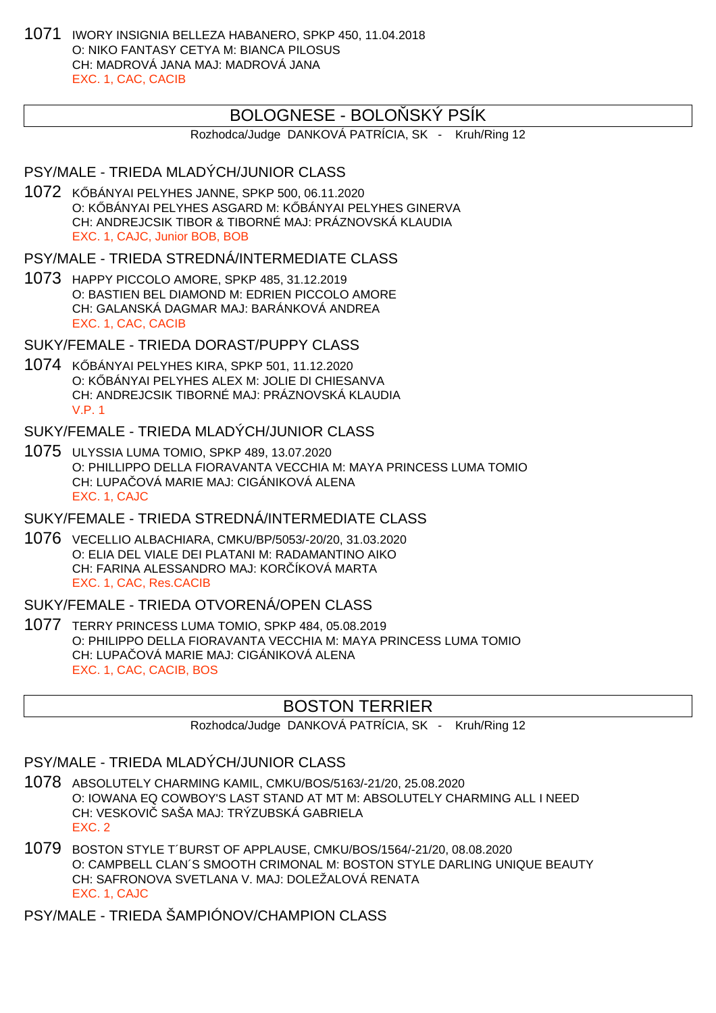1071 IWORY INSIGNIA BELLEZA HABANERO, SPKP 450, 11.04.2018 O: NIKO FANTASY CETYA M: BIANCA PILOSUS CH: MADROVÁ JANA MAJ: MADROVÁ JANA EXC. 1, CAC, CACIB

# BOLOGNESE - BOLO SKÝ PSÍK

Rozhodca/Judge DANKOVÁ PATRÍCIA, SK - Kruh/Ring 12

# PSY/MALE - TRIEDA MLADÝCH/JUNIOR CLASS

1072 KŐBÁNYAI PELYHES JANNE, SPKP 500, 06.11.2020 O: KÖBÁNYAI PELYHES ASGARD M: KÖBÁNYAI PELYHES GINERVA CH: ANDREJCSIK TIBOR & TIBORNÉ MAJ: PRÁZNOVSKÁ KLAUDIA EXC. 1, CAJC, Junior BOB, BOB

PSY/MALE - TRIEDA STREDNÁ/INTERMEDIATE CLASS

1073 HAPPY PICCOLO AMORE, SPKP 485, 31.12.2019 O: BASTIEN BEL DIAMOND M: EDRIEN PICCOLO AMORE CH: GALANSKÁ DAGMAR MAJ: BARÁNKOVÁ ANDREA EXC. 1, CAC, CACIB

SUKY/FEMALE - TRIEDA DORAST/PUPPY CLASS

1074 K BÁNYAI PELYHES KIRA, SPKP 501, 11.12.2020 O: K BÁNYAI PELYHES ALEX M: JOLIE DI CHIESANVA CH: ANDREJCSIK TIBORNÉ MAJ: PRÁZNOVSKÁ KLAUDIA V.P. 1

### SUKY/FEMALE - TRIEDA MLADÝCH/JUNIOR CLASS

1075 ULYSSIA LUMA TOMIO, SPKP 489, 13.07.2020 O: PHILLIPPO DELLA FIORAVANTA VECCHIA M: MAYA PRINCESS LUMA TOMIO CH: LUPA QVÁ MARIE MAJ: CIGÁNIKOVÁ ALENA EXC. 1, CAJC

SUKY/FEMALE - TRIEDA STREDNÁ/INTERMEDIATE CLASS

1076 VECELLIO ALBACHIARA, CMKU/BP/5053/-20/20, 31.03.2020 O: ELIA DEL VIALE DEI PLATANI M: RADAMANTINO AIKO CH: FARINA ALESSANDRO MAJ: KOR ÍKOVÁ MARTA EXC. 1, CAC, Res.CACIB

### SUKY/FEMALE - TRIEDA OTVORENÁ/OPEN CLASS

1077 TERRY PRINCESS LUMA TOMIO, SPKP 484, 05.08.2019 O: PHILIPPO DELLA FIORAVANTA VECCHIA M: MAYA PRINCESS LUMA TOMIO CH: LUPAČOVÁ MARIE MAJ: CIGÁNIKOVÁ ALENA EXC. 1, CAC, CACIB, BOS

# BOSTON TERRIER

Rozhodca/Judge DANKOVÁ PATRÍCIA, SK - Kruh/Ring 12

# PSY/MALE - TRIEDA MLADÝCH/JUNIOR CLASS

- 1078 ABSOLUTELY CHARMING KAMIL, CMKU/BOS/5163/-21/20, 25.08.2020 O: IOWANA EQ COWBOY'S LAST STAND AT MT M: ABSOLUTELY CHARMING ALL I NEED CH: VESKOVI SAŠA MAJ: TRÝZUBSKÁ GABRIELA EXC. 2
- 1079 BOSTON STYLE T´BURST OF APPLAUSE, CMKU/BOS/1564/-21/20, 08.08.2020 O: CAMPBELL CLAN´S SMOOTH CRIMONAL M: BOSTON STYLE DARLING UNIQUE BEAUTY CH: SAFRONOVA SVETLANA V. MAJ: DOLEŽALOVÁ RENATA EXC. 1, CAJC

PSY/MALE - TRIEDA ŠAMPIÓNOV/CHAMPION CLASS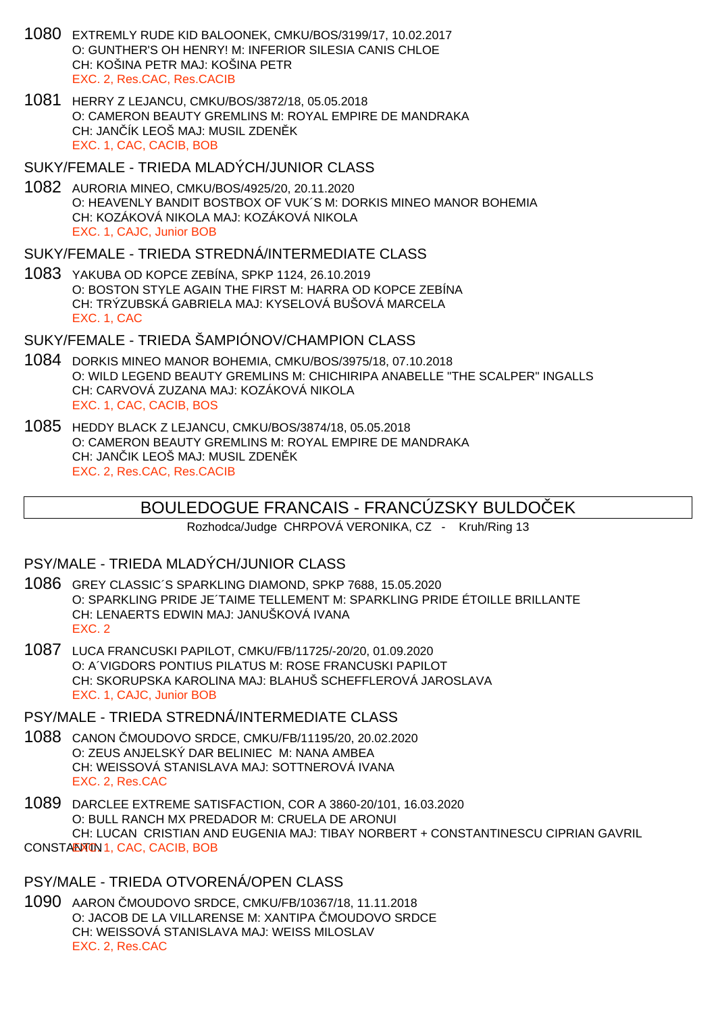- 1080 EXTREMLY RUDE KID BALOONEK, CMKU/BOS/3199/17, 10.02.2017 O: GUNTHER'S OH HENRY! M: INFERIOR SILESIA CANIS CHLOE CH: KOŠINA PETR MAJ: KOŠINA PETR EXC. 2, Res.CAC, Res.CACIB
- 1081 HERRY Z LEJANCU, CMKU/BOS/3872/18, 05.05.2018 O: CAMERON BEAUTY GREMLINS M: ROYAL EMPIRE DE MANDRAKA CH: JAN ÍK LEOŠ MAJ: MUSIL ZDEN K EXC. 1, CAC, CACIB, BOB

#### SUKY/FEMALE - TRIEDA MLADÝCH/JUNIOR CLASS

1082 AURORIA MINEO, CMKU/BOS/4925/20, 20.11.2020 O: HEAVENLY BANDIT BOSTBOX OF VUK´S M: DORKIS MINEO MANOR BOHEMIA CH: KOZÁKOVÁ NIKOLA MAJ: KOZÁKOVÁ NIKOLA EXC. 1, CAJC, Junior BOB

#### SUKY/FEMALE - TRIEDA STREDNÁ/INTERMEDIATE CLASS

1083 YAKUBA OD KOPCE ZEBÍNA, SPKP 1124, 26.10.2019 O: BOSTON STYLE AGAIN THE FIRST M: HARRA OD KOPCE ZEBÍNA CH: TRÝZUBSKÁ GABRIELA MAJ: KYSELOVÁ BUŠOVÁ MARCELA EXC. 1, CAC

# SUKY/FEMALE - TRIEDA ŠAMPIÓNOV/CHAMPION CLASS

- 1084 DORKIS MINEO MANOR BOHEMIA, CMKU/BOS/3975/18, 07.10.2018 O: WILD LEGEND BEAUTY GREMLINS M: CHICHIRIPA ANABELLE "THE SCALPER" INGALLS CH: CARVOVÁ ZUZANA MAJ: KOZÁKOVÁ NIKOLA EXC. 1, CAC, CACIB, BOS
- 1085 HEDDY BLACK Z LEJANCU, CMKU/BOS/3874/18, 05.05.2018 O: CAMERON BEAUTY GREMLINS M: ROYAL EMPIRE DE MANDRAKA CH: JAN IK LEOŠ MAJ: MUSIL ZDEN K EXC. 2, Res.CAC, Res.CACIB

# BOULEDOGUE FRANCAIS - FRANCÚZSKY BULDOČEK

Rozhodca/Judge CHRPOVÁ VERONIKA, CZ - Kruh/Ring 13

### PSY/MALE - TRIEDA MLADÝCH/JUNIOR CLASS

- 1086 GREY CLASSIC´S SPARKLING DIAMOND, SPKP 7688, 15.05.2020 O: SPARKLING PRIDE JE´TAIME TELLEMENT M: SPARKLING PRIDE ÉTOILLE BRILLANTE CH: LENAERTS EDWIN MAJ: JANUŠKOVÁ IVANA EXC. 2
- 1087 LUCA FRANCUSKI PAPILOT, CMKU/FB/11725/-20/20, 01.09.2020 O: A´VIGDORS PONTIUS PILATUS M: ROSE FRANCUSKI PAPILOT CH: SKORUPSKA KAROLINA MAJ: BLAHUŠ SCHEFFLEROVÁ JAROSLAVA EXC. 1, CAJC, Junior BOB

#### PSY/MALE - TRIEDA STREDNÁ/INTERMEDIATE CLASS

- 1088 CANON MOUDOVO SRDCE, CMKU/FB/11195/20, 20.02.2020 O: ZEUS ANJELSKÝ DAR BELINIEC M: NANA AMBEA CH: WEISSOVÁ STANISLAVA MAJ: SOTTNEROVÁ IVANA EXC. 2, Res.CAC
- 1089 DARCLEE EXTREME SATISFACTION, COR A 3860-20/101, 16.03.2020 O: BULL RANCH MX PREDADOR M: CRUELA DE ARONUI CH: LUCAN CRISTIAN AND EUGENIA MAJ: TIBAY NORBERT + CONSTANTINESCU CIPRIAN GAVRIL CONSTARNIN 1, CAC, CACIB, BOB

### PSY/MALE - TRIEDA OTVORENÁ/OPEN CLASS

1090 AARON MOUDOVO SRDCE, CMKU/FB/10367/18, 11.11.2018 O: JACOB DE LA VILLARENSE M: XANTIPA MOUDOVO SRDCE CH: WEISSOVÁ STANISLAVA MAJ: WEISS MILOSLAV EXC. 2, Res.CAC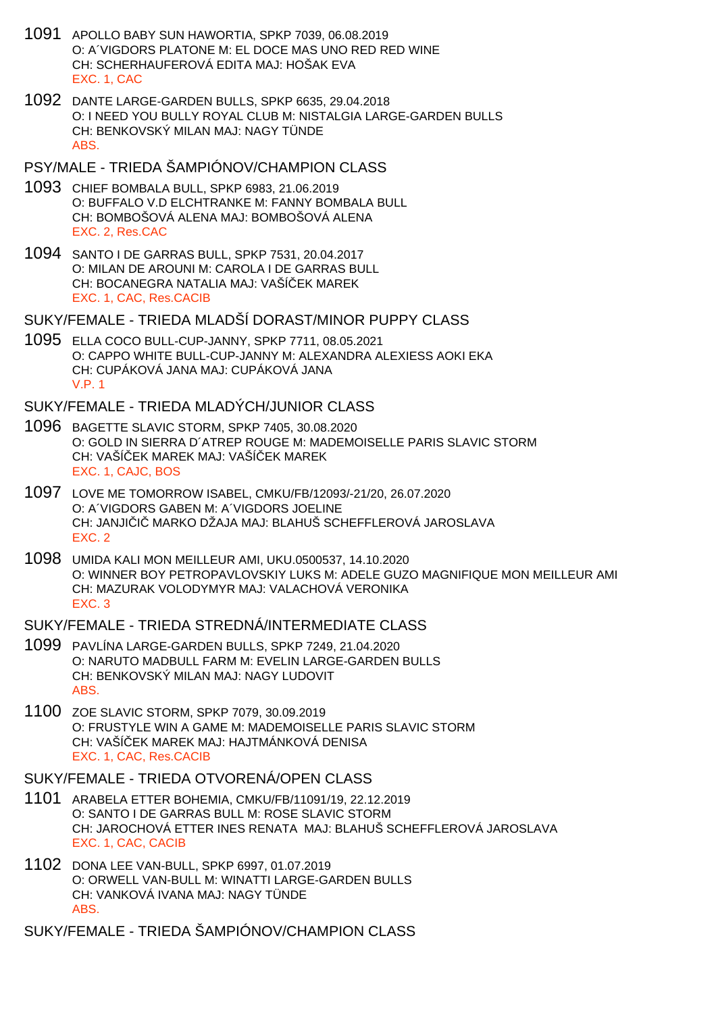- 1091 APOLLO BABY SUN HAWORTIA, SPKP 7039, 06.08.2019 O: A´VIGDORS PLATONE M: EL DOCE MAS UNO RED RED WINE CH: SCHERHAUFEROVÁ EDITA MAJ: HOŠAK EVA EXC. 1, CAC
- 1092 DANTE LARGE-GARDEN BULLS, SPKP 6635, 29.04.2018 O: I NEED YOU BULLY ROYAL CLUB M: NISTALGIA LARGE-GARDEN BULLS CH: BENKOVSKÝ MILAN MAJ: NAGY TÜNDE ABS.
- PSY/MALE TRIEDA ŠAMPIÓNOV/CHAMPION CLASS
- 1093 CHIEF BOMBALA BULL, SPKP 6983, 21.06.2019 O: BUFFALO V.D ELCHTRANKE M: FANNY BOMBALA BULL CH: BOMBOŠOVÁ ALENA MAJ: BOMBOŠOVÁ ALENA EXC. 2, Res.CAC
- 1094 SANTO I DE GARRAS BULL, SPKP 7531, 20.04.2017 O: MILAN DE AROUNI M: CAROLA I DE GARRAS BULL CH: BOCANEGRA NATALIA MAJ: VAŠÍ EK MAREK EXC. 1, CAC, Res.CACIB
- SUKY/FEMALE TRIEDA MLADŠÍ DORAST/MINOR PUPPY CLASS
- 1095 ELLA COCO BULL-CUP-JANNY, SPKP 7711, 08.05.2021 O: CAPPO WHITE BULL-CUP-JANNY M: ALEXANDRA ALEXIESS AOKI EKA CH: CUPÁKOVÁ JANA MAJ: CUPÁKOVÁ JANA V.P. 1

SUKY/FEMALE - TRIEDA MLADÝCH/JUNIOR CLASS

- 1096 BAGETTE SLAVIC STORM, SPKP 7405, 30.08.2020 O: GOLD IN SIERRA D´ATREP ROUGE M: MADEMOISELLE PARIS SLAVIC STORM CH: VAŠÍ EK MAREK MAJ: VAŠÍ EK MAREK EXC. 1, CAJC, BOS
- 1097 LOVE ME TOMORROW ISABEL, CMKU/FB/12093/-21/20, 26.07.2020 O: A´VIGDORS GABEN M: A´VIGDORS JOELINE CH: JANJI I MARKO DŽAJA MAJ: BLAHUŠ SCHEFFLEROVÁ JAROSLAVA EXC. 2
- 1098 UMIDA KALI MON MEILLEUR AMI, UKU.0500537, 14.10.2020 O: WINNER BOY PETROPAVLOVSKIY LUKS M: ADELE GUZO MAGNIFIQUE MON MEILLEUR AMI CH: MAZURAK VOLODYMYR MAJ: VALACHOVÁ VERONIKA EXC. 3

SUKY/FEMALE - TRIEDA STREDNÁ/INTERMEDIATE CLASS

- 1099 PAVLÍNA LARGE-GARDEN BULLS, SPKP 7249, 21.04.2020 O: NARUTO MADBULL FARM M: EVELIN LARGE-GARDEN BULLS CH: BENKOVSKÝ MILAN MAJ: NAGY LUDOVIT ABS.
- 1100 ZOE SLAVIC STORM, SPKP 7079, 30.09.2019 O: FRUSTYLE WIN A GAME M: MADEMOISELLE PARIS SLAVIC STORM CH: VAŠÍ EK MAREK MAJ: HAJTMÁNKOVÁ DENISA EXC. 1, CAC, Res.CACIB

#### SUKY/FEMALE - TRIEDA OTVORENÁ/OPEN CLASS

- 1101 ARABELA ETTER BOHEMIA, CMKU/FB/11091/19, 22.12.2019 O: SANTO I DE GARRAS BULL M: ROSE SLAVIC STORM CH: JAROCHOVÁ ETTER INES RENATA MAJ: BLAHUŠ SCHEFFLEROVÁ JAROSLAVA EXC. 1, CAC, CACIB
- 1102 DONA LEE VAN-BULL, SPKP 6997, 01.07.2019 O: ORWELL VAN-BULL M: WINATTI LARGE-GARDEN BULLS CH: VANKOVÁ IVANA MAJ: NAGY TÜNDE ABS.

SUKY/FEMALE - TRIEDA ŠAMPIÓNOV/CHAMPION CLASS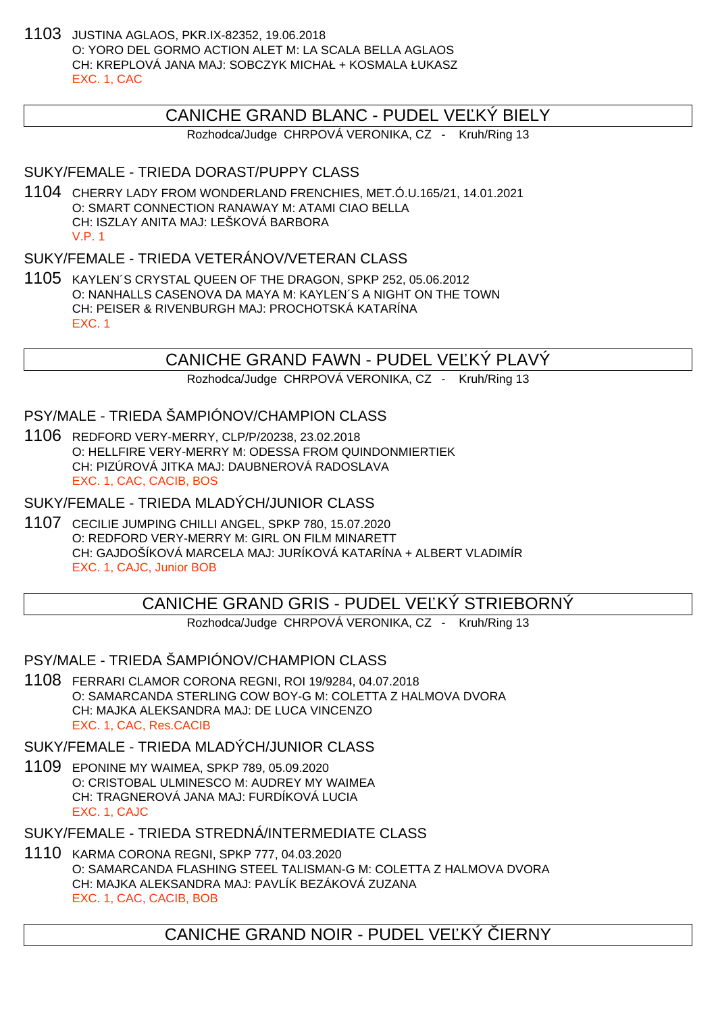1103 JUSTINA AGLAOS, PKR.IX-82352, 19.06.2018 O: YORO DEL GORMO ACTION ALET M: LA SCALA BELLA AGLAOS CH: KREPLOVÁ JANA MAJ: SOBCZYK MICHAŁ + KOSMALA ŁUKASZ EXC. 1, CAC

# CANICHE GRAND BLANC - PUDEL VE KÝ BIELY

Rozhodca/Judge CHRPOVÁ VERONIKA, CZ - Kruh/Ring 13

#### SUKY/FEMALE - TRIEDA DORAST/PUPPY CLASS

1104 CHERRY LADY FROM WONDERLAND FRENCHIES, MET.Ó.U.165/21, 14.01.2021 O: SMART CONNECTION RANAWAY M: ATAMI CIAO BELLA CH: ISZLAY ANITA MAJ: LEŠKOVÁ BARBORA V.P. 1

## SUKY/FEMALE - TRIEDA VETERÁNOV/VETERAN CLASS

1105 KAYLEN´S CRYSTAL QUEEN OF THE DRAGON, SPKP 252, 05.06.2012 O: NANHALLS CASENOVA DA MAYA M: KAYLEN´S A NIGHT ON THE TOWN CH: PEISER & RIVENBURGH MAJ: PROCHOTSKÁ KATARÍNA EXC. 1

# CANICHE GRAND FAWN - PUDEL VE KÝ PLAVÝ

Rozhodca/Judge CHRPOVÁ VERONIKA, CZ - Kruh/Ring 13

## PSY/MALE - TRIEDA ŠAMPIÓNOV/CHAMPION CLASS

1106 REDFORD VERY-MERRY, CLP/P/20238, 23.02.2018 O: HELLFIRE VERY-MERRY M: ODESSA FROM QUINDONMIERTIEK CH: PIZÚROVÁ JITKA MAJ: DAUBNEROVÁ RADOSLAVA EXC. 1, CAC, CACIB, BOS

SUKY/FEMALE - TRIEDA MLADÝCH/JUNIOR CLASS

1107 CECILIE JUMPING CHILLI ANGEL, SPKP 780, 15.07.2020 O: REDFORD VERY-MERRY M: GIRL ON FILM MINARETT CH: GAJDOŠÍKOVÁ MARCELA MAJ: JURÍKOVÁ KATARÍNA + ALBERT VLADIMÍR EXC. 1, CAJC, Junior BOB

# CANICHE GRAND GRIS - PUDEL VEĽKÝ STRIEBORNÝ

Rozhodca/Judge CHRPOVÁ VERONIKA, CZ - Kruh/Ring 13

PSY/MALE - TRIEDA ŠAMPIÓNOV/CHAMPION CLASS

1108 FERRARI CLAMOR CORONA REGNI, ROI 19/9284, 04.07.2018 O: SAMARCANDA STERLING COW BOY-G M: COLETTA Z HALMOVA DVORA CH: MAJKA ALEKSANDRA MAJ: DE LUCA VINCENZO EXC. 1, CAC, Res.CACIB

# SUKY/FEMALE - TRIEDA MLADÝCH/JUNIOR CLASS

1109 EPONINE MY WAIMEA, SPKP 789, 05.09.2020 O: CRISTOBAL ULMINESCO M: AUDREY MY WAIMEA CH: TRAGNEROVÁ JANA MAJ: FURDÍKOVÁ LUCIA EXC. 1, CAJC

SUKY/FEMALE - TRIEDA STREDNÁ/INTERMEDIATE CLASS

1110 KARMA CORONA REGNI, SPKP 777, 04.03.2020 O: SAMARCANDA FLASHING STEEL TALISMAN-G M: COLETTA Z HALMOVA DVORA CH: MAJKA ALEKSANDRA MAJ: PAVLÍK BEZÁKOVÁ ZUZANA EXC. 1, CAC, CACIB, BOB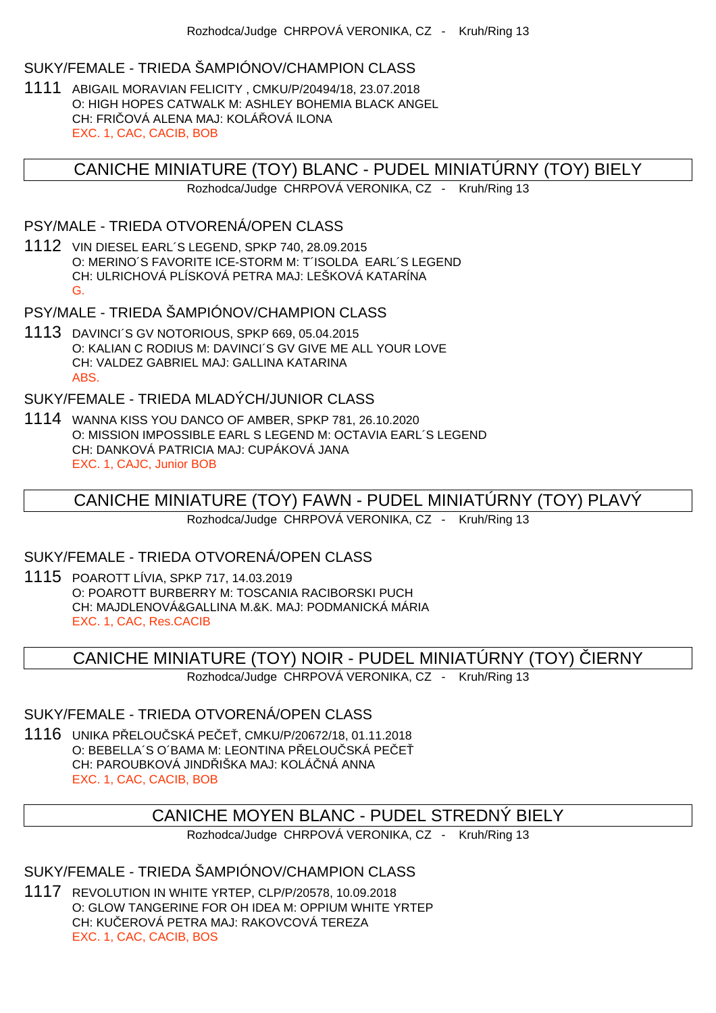#### SUKY/FEMALE - TRIEDA ŠAMPIÓNOV/CHAMPION CLASS

1111 ABIGAIL MORAVIAN FELICITY , CMKU/P/20494/18, 23.07.2018 O: HIGH HOPES CATWALK M: ASHLEY BOHEMIA BLACK ANGEL CH: FRIÇOVÁ ALENA MAJ: KOLÁ LOVÁ ILONA EXC. 1, CAC, CACIB, BOB

## CANICHE MINIATURE (TOY) BLANC - PUDEL MINIATÚRNY (TOY) BIELY

Rozhodca/Judge CHRPOVÁ VERONIKA, CZ - Kruh/Ring 13

### PSY/MALE - TRIEDA OTVORENÁ/OPEN CLASS

1112 VIN DIESEL EARL´S LEGEND, SPKP 740, 28.09.2015 O: MERINO´S FAVORITE ICE-STORM M: T´ISOLDA EARL´S LEGEND CH: ULRICHOVÁ PLÍSKOVÁ PETRA MAJ: LEŠKOVÁ KATARÍNA G.

# PSY/MALE - TRIEDA ŠAMPIÓNOV/CHAMPION CLASS

1113 DAVINCI´S GV NOTORIOUS, SPKP 669, 05.04.2015 O: KALIAN C RODIUS M: DAVINCI´S GV GIVE ME ALL YOUR LOVE CH: VALDEZ GABRIEL MAJ: GALLINA KATARINA ABS.

SUKY/FEMALE - TRIEDA MLADÝCH/JUNIOR CLASS

1114 WANNA KISS YOU DANCO OF AMBER, SPKP 781, 26.10.2020 O: MISSION IMPOSSIBLE EARL S LEGEND M: OCTAVIA EARL´S LEGEND CH: DANKOVÁ PATRICIA MAJ: CUPÁKOVÁ JANA EXC. 1, CAJC, Junior BOB

### CANICHE MINIATURE (TOY) FAWN - PUDEL MINIATÚRNY (TOY) PLAVÝ

Rozhodca/Judge CHRPOVÁ VERONIKA, CZ - Kruh/Ring 13

#### SUKY/FEMALE - TRIEDA OTVORENÁ/OPEN CLASS

1115 POAROTT LÍVIA, SPKP 717, 14.03.2019 O: POAROTT BURBERRY M: TOSCANIA RACIBORSKI PUCH CH: MAJDLENOVÁ&GALLINA M.&K. MAJ: PODMANICKÁ MÁRIA EXC. 1, CAC, Res.CACIB

CANICHE MINIATURE (TOY) NOIR - PUDEL MINIATÚRNY (TOY) ČIERNY

Rozhodca/Judge CHRPOVÁ VERONIKA, CZ - Kruh/Ring 13

#### SUKY/FEMALE - TRIEDA OTVORENÁ/OPEN CLASS

1116 UNIKA P ELOU SKÁ PE E, CMKU/P/20672/18, 01.11.2018 O: BEBELLA´S O´BAMA M: LEONTINA PŘELOUČSKÁ PEČE CH: PAROUBKOVÁ JIND IŠKA MAJ: KOLÁ NÁ ANNA EXC. 1, CAC, CACIB, BOB

# CANICHE MOYEN BLANC - PUDEL STREDNÝ BIELY

Rozhodca/Judge CHRPOVÁ VERONIKA, CZ - Kruh/Ring 13

### SUKY/FEMALE - TRIEDA ŠAMPIÓNOV/CHAMPION CLASS

1117 REVOLUTION IN WHITE YRTEP, CLP/P/20578, 10.09.2018 O: GLOW TANGERINE FOR OH IDEA M: OPPIUM WHITE YRTEP CH: KU EROVÁ PETRA MAJ: RAKOVCOVÁ TEREZA EXC. 1, CAC, CACIB, BOS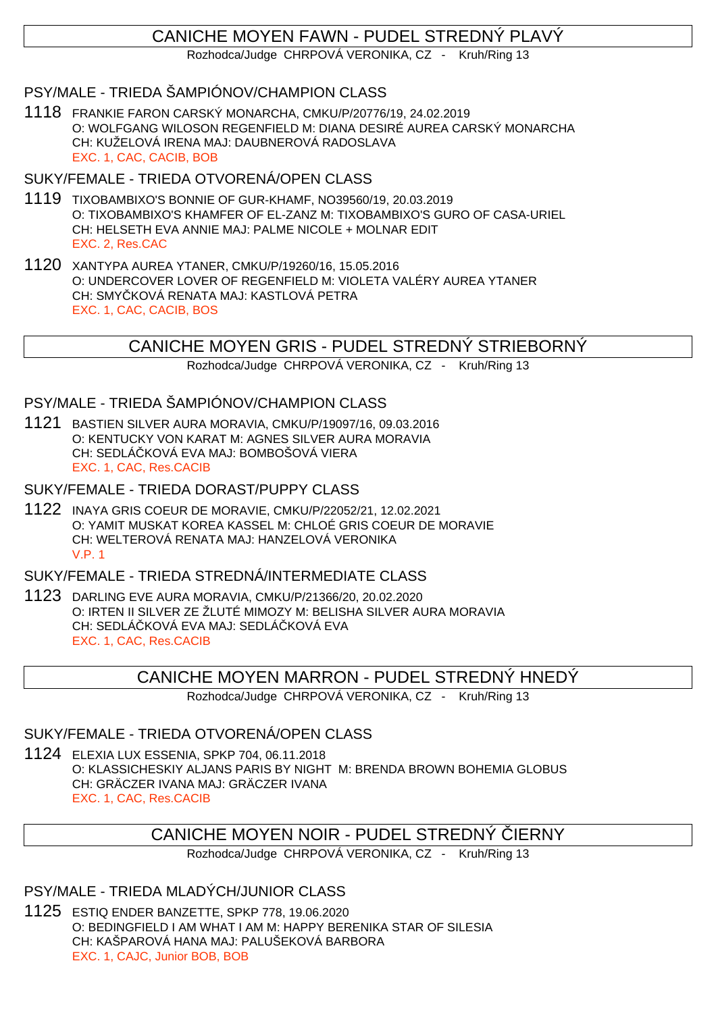# CANICHE MOYEN FAWN - PUDEL STREDNÝ PLAVÝ

Rozhodca/Judge CHRPOVÁ VERONIKA, CZ - Kruh/Ring 13

# PSY/MALE - TRIEDA ŠAMPIÓNOV/CHAMPION CLASS

1118 FRANKIE FARON CARSKÝ MONARCHA, CMKU/P/20776/19, 24.02.2019 O: WOLFGANG WILOSON REGENFIELD M: DIANA DESIRÉ AUREA CARSKÝ MONARCHA CH: KUŽELOVÁ IRENA MAJ: DAUBNEROVÁ RADOSLAVA EXC. 1, CAC, CACIB, BOB

### SUKY/FEMALE - TRIEDA OTVORENÁ/OPEN CLASS

- 1119 TIXOBAMBIXO'S BONNIE OF GUR-KHAMF, NO39560/19, 20.03.2019 O: TIXOBAMBIXO'S KHAMFER OF EL-ZANZ M: TIXOBAMBIXO'S GURO OF CASA-URIEL CH: HELSETH EVA ANNIE MAJ: PALME NICOLE + MOLNAR EDIT EXC. 2, Res.CAC
- 1120 XANTYPA AUREA YTANER, CMKU/P/19260/16, 15.05.2016 O: UNDERCOVER LOVER OF REGENFIELD M: VIOLETA VALÉRY AUREA YTANER CH: SMY KOVÁ RENATA MAJ: KASTLOVÁ PETRA EXC. 1, CAC, CACIB, BOS

### CANICHE MOYEN GRIS - PUDEL STREDNÝ STRIEBORNÝ

Rozhodca/Judge CHRPOVÁ VERONIKA, CZ - Kruh/Ring 13

#### PSY/MALE - TRIEDA ŠAMPIÓNOV/CHAMPION CLASS

- 1121 BASTIEN SILVER AURA MORAVIA, CMKU/P/19097/16, 09.03.2016 O: KENTUCKY VON KARAT M: AGNES SILVER AURA MORAVIA CH: SEDLÁČKOVÁ EVA MAJ: BOMBOŠOVÁ VIERA EXC. 1, CAC, Res.CACIB
- SUKY/FEMALE TRIEDA DORAST/PUPPY CLASS
- 1122 INAYA GRIS COEUR DE MORAVIE, CMKU/P/22052/21, 12.02.2021 O: YAMIT MUSKAT KOREA KASSEL M: CHLOÉ GRIS COEUR DE MORAVIE CH: WELTEROVÁ RENATA MAJ: HANZELOVÁ VERONIKA V.P. 1

# SUKY/FEMALE - TRIEDA STREDNÁ/INTERMEDIATE CLASS

1123 DARLING EVE AURA MORAVIA, CMKU/P/21366/20, 20.02.2020 O: IRTEN II SILVER ZE ŽLUTÉ MIMOZY M: BELISHA SILVER AURA MORAVIA CH: SEDLÁ KOVÁ EVA MAJ: SEDLÁ KOVÁ EVA EXC. 1, CAC, Res.CACIB

# CANICHE MOYEN MARRON - PUDEL STREDNÝ HNEDÝ

Rozhodca/Judge CHRPOVÁ VERONIKA, CZ - Kruh/Ring 13

#### SUKY/FEMALE - TRIEDA OTVORENÁ/OPEN CLASS

1124 ELEXIA LUX ESSENIA, SPKP 704, 06.11.2018 O: KLASSICHESKIY ALJANS PARIS BY NIGHT M: BRENDA BROWN BOHEMIA GLOBUS CH: GRÄCZER IVANA MAJ: GRÄCZER IVANA EXC. 1, CAC, Res.CACIB

# CANICHE MOYEN NOIR - PUDEL STREDNY IERNY

Rozhodca/Judge CHRPOVÁ VERONIKA, CZ - Kruh/Ring 13

PSY/MALE - TRIEDA MLADÝCH/JUNIOR CLASS

1125 ESTIQ ENDER BANZETTE, SPKP 778, 19.06.2020 O: BEDINGFIELD I AM WHAT I AM M: HAPPY BERENIKA STAR OF SILESIA CH: KAŠPAROVÁ HANA MAJ: PALUŠEKOVÁ BARBORA EXC. 1, CAJC, Junior BOB, BOB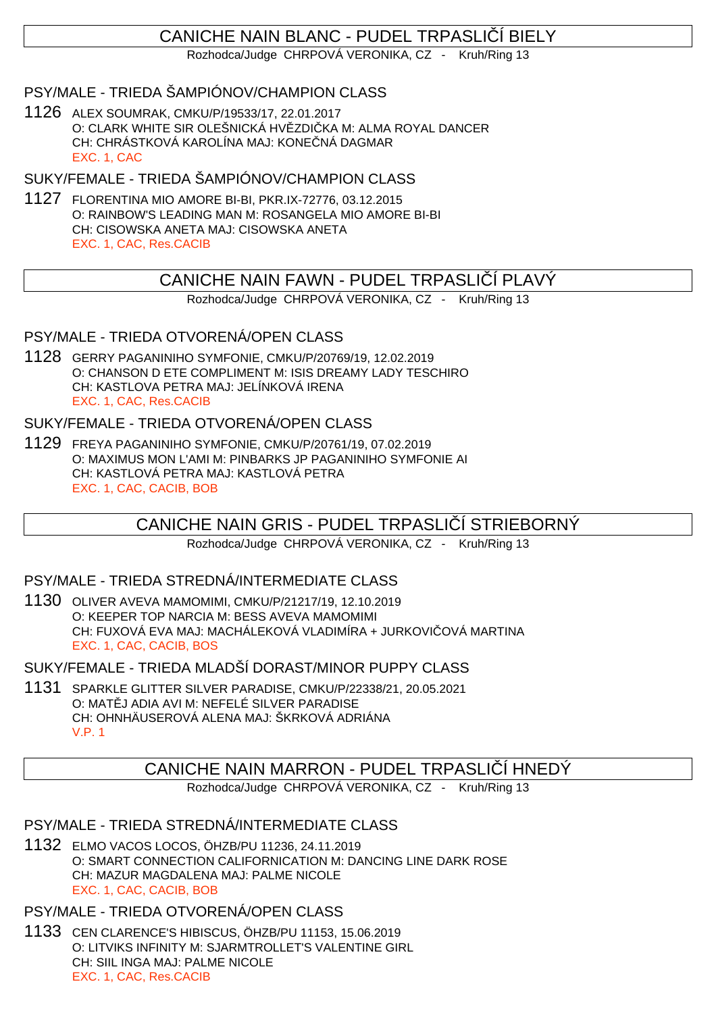# CANICHE NAIN BLANC - PUDEL TRPASLI Í BIELY

Rozhodca/Judge CHRPOVÁ VERONIKA, CZ - Kruh/Ring 13

# PSY/MALE - TRIEDA ŠAMPIÓNOV/CHAMPION CLASS

1126 ALEX SOUMRAK, CMKU/P/19533/17, 22.01.2017 O: CLARK WHITE SIR OLEŠNICKÁ HV. ZDI KA M: ALMA ROYAL DANCER CH: CHRÁSTKOVÁ KAROLÍNA MAJ: KONE NÁ DAGMAR EXC. 1, CAC

SUKY/FEMALE - TRIEDA ŠAMPIÓNOV/CHAMPION CLASS

1127 FLORENTINA MIO AMORE BI-BI, PKR.IX-72776, 03.12.2015 O: RAINBOW'S LEADING MAN M: ROSANGELA MIO AMORE BI-BI CH: CISOWSKA ANETA MAJ: CISOWSKA ANETA EXC. 1, CAC, Res.CACIB

# CANICHE NAIN FAWN - PUDEL TRPASLI Í PLAVÝ

Rozhodca/Judge CHRPOVÁ VERONIKA, CZ - Kruh/Ring 13

PSY/MALE - TRIEDA OTVORENÁ/OPEN CLASS

1128 GERRY PAGANINIHO SYMFONIE, CMKU/P/20769/19, 12.02.2019 O: CHANSON D ETE COMPLIMENT M: ISIS DREAMY LADY TESCHIRO CH: KASTLOVA PETRA MAJ: JELÍNKOVÁ IRENA EXC. 1, CAC, Res.CACIB

SUKY/FEMALE - TRIEDA OTVORENÁ/OPEN CLASS

1129 FREYA PAGANINIHO SYMFONIE, CMKU/P/20761/19, 07.02.2019 O: MAXIMUS MON L'AMI M: PINBARKS JP PAGANINIHO SYMFONIE AI CH: KASTLOVÁ PETRA MAJ: KASTLOVÁ PETRA EXC. 1, CAC, CACIB, BOB

# CANICHE NAIN GRIS - PUDEL TRPASLI Í STRIEBORNÝ

Rozhodca/Judge CHRPOVÁ VERONIKA, CZ - Kruh/Ring 13

PSY/MALE - TRIEDA STREDNÁ/INTERMEDIATE CLASS

1130 OLIVER AVEVA MAMOMIMI, CMKU/P/21217/19, 12.10.2019 O: KEEPER TOP NARCIA M: BESS AVEVA MAMOMIMI CH: FUXOVÁ EVA MAJ: MACHÁLEKOVÁ VLADIMÍRA + JURKOVIČOVÁ MARTINA EXC. 1, CAC, CACIB, BOS

SUKY/FEMALE - TRIEDA MLADŠÍ DORAST/MINOR PUPPY CLASS

1131 SPARKLE GLITTER SILVER PARADISE, CMKU/P/22338/21, 20.05.2021 O: MAT J ADIA AVI M: NEFELÉ SILVER PARADISE CH: OHNHÄUSEROVÁ ALENA MAJ: ŠKRKOVÁ ADRIÁNA V.P. 1

# CANICHE NAIN MARRON - PUDEL TRPASLI Í HNEDÝ

Rozhodca/Judge CHRPOVÁ VERONIKA, CZ - Kruh/Ring 13

PSY/MALE - TRIEDA STREDNÁ/INTERMEDIATE CLASS

1132 ELMO VACOS LOCOS, ÖHZB/PU 11236, 24.11.2019 O: SMART CONNECTION CALIFORNICATION M: DANCING LINE DARK ROSE CH: MAZUR MAGDALENA MAJ: PALME NICOLE EXC. 1, CAC, CACIB, BOB

### PSY/MALE - TRIEDA OTVORENÁ/OPEN CLASS

1133 CEN CLARENCE'S HIBISCUS, ÖHZB/PU 11153, 15.06.2019 O: LITVIKS INFINITY M: SJARMTROLLET'S VALENTINE GIRL CH: SIIL INGA MAJ: PALME NICOLE EXC. 1, CAC, Res.CACIB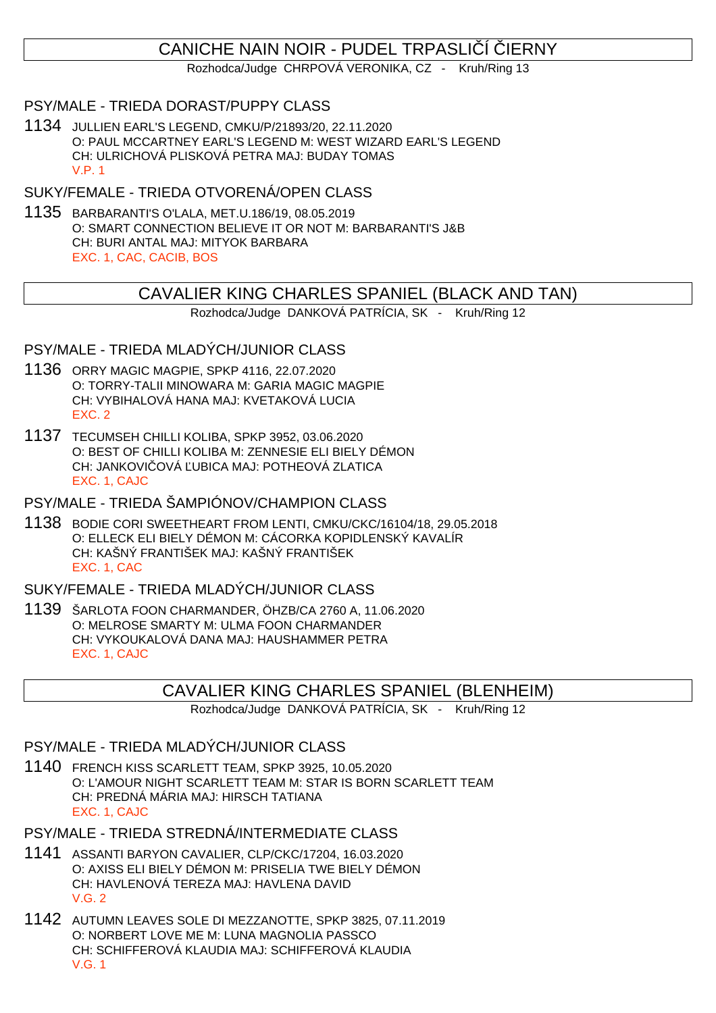# CANICHE NAIN NOIR - PUDEL TRPASLI Í JERNY

Rozhodca/Judge CHRPOVÁ VERONIKA, CZ - Kruh/Ring 13

#### PSY/MALE - TRIEDA DORAST/PUPPY CLASS

1134 JULLIEN EARL'S LEGEND, CMKU/P/21893/20, 22.11.2020 O: PAUL MCCARTNEY EARL'S LEGEND M: WEST WIZARD EARL'S LEGEND CH: ULRICHOVÁ PLISKOVÁ PETRA MAJ: BUDAY TOMAS V.P. 1

#### SUKY/FEMALE - TRIEDA OTVORENÁ/OPEN CLASS

1135 BARBARANTI'S O'LALA, MET.U.186/19, 08.05.2019 O: SMART CONNECTION BELIEVE IT OR NOT M: BARBARANTI'S J&B CH: BURI ANTAL MAJ: MITYOK BARBARA EXC. 1, CAC, CACIB, BOS

### CAVALIER KING CHARLES SPANIEL (BLACK AND TAN)

Rozhodca/Judge DANKOVÁ PATRÍCIA, SK - Kruh/Ring 12

### PSY/MALE - TRIEDA MLADÝCH/JUNIOR CLASS

- 1136 ORRY MAGIC MAGPIE, SPKP 4116, 22.07.2020 O: TORRY-TALII MINOWARA M: GARIA MAGIC MAGPIE CH: VYBIHALOVÁ HANA MAJ: KVETAKOVÁ LUCIA EXC. 2
- 1137 TECUMSEH CHILLI KOLIBA, SPKP 3952, 03.06.2020 O: BEST OF CHILLI KOLIBA M: ZENNESIE ELI BIELY DÉMON CH: JANKOVI OVÁ UBICA MAJ: POTHEOVÁ ZLATICA EXC. 1, CAJC

#### PSY/MALE - TRIEDA ŠAMPIÓNOV/CHAMPION CLASS

1138 BODIE CORI SWEETHEART FROM LENTI, CMKU/CKC/16104/18, 29.05.2018 O: ELLECK ELI BIELY DÉMON M: CÁCORKA KOPIDLENSKÝ KAVALÍR CH: KAŠNÝ FRANTIŠEK MAJ: KAŠNÝ FRANTIŠEK EXC. 1, CAC

## SUKY/FEMALE - TRIEDA MLADÝCH/JUNIOR CLASS

1139 ŠARLOTA FOON CHARMANDER, ÖHZB/CA 2760 A, 11.06.2020 O: MELROSE SMARTY M: ULMA FOON CHARMANDER CH: VYKOUKALOVÁ DANA MAJ: HAUSHAMMER PETRA EXC. 1, CAJC

# CAVALIER KING CHARLES SPANIEL (BLENHEIM)

Rozhodca/Judge DANKOVÁ PATRÍCIA, SK - Kruh/Ring 12

### PSY/MALE - TRIEDA MLADÝCH/JUNIOR CLASS

1140 FRENCH KISS SCARLETT TEAM, SPKP 3925, 10.05.2020 O: L'AMOUR NIGHT SCARLETT TEAM M: STAR IS BORN SCARLETT TEAM CH: PREDNÁ MÁRIA MAJ: HIRSCH TATIANA EXC. 1, CAJC

PSY/MALE - TRIEDA STREDNÁ/INTERMEDIATE CLASS

- 1141 ASSANTI BARYON CAVALIER, CLP/CKC/17204, 16.03.2020 O: AXISS ELI BIELY DÉMON M: PRISELIA TWE BIELY DÉMON CH: HAVLENOVÁ TEREZA MAJ: HAVLENA DAVID V.G. 2
- 1142 AUTUMN LEAVES SOLE DI MEZZANOTTE, SPKP 3825, 07.11.2019 O: NORBERT LOVE ME M: LUNA MAGNOLIA PASSCO CH: SCHIFFEROVÁ KLAUDIA MAJ: SCHIFFEROVÁ KLAUDIA V.G. 1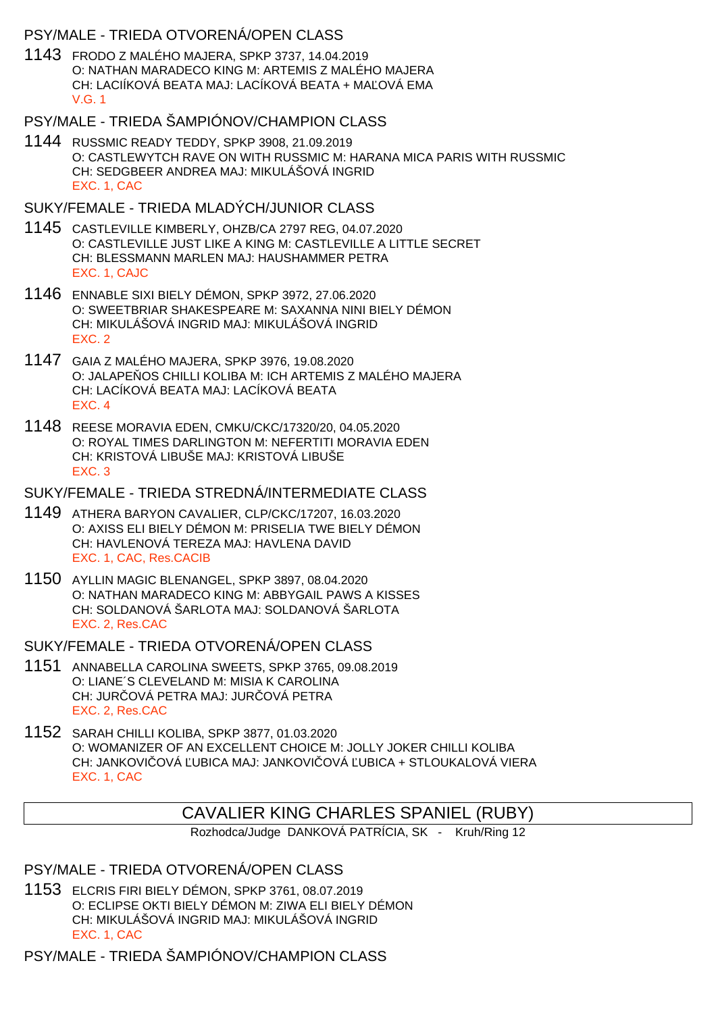### PSY/MALE - TRIEDA OTVORENÁ/OPEN CLASS

1143 FRODO Z MALÉHO MAJERA, SPKP 3737, 14.04.2019 O: NATHAN MARADECO KING M: ARTEMIS Z MALÉHO MAJERA CH: LACIÍKOVÁ BEATA MAJ: LACÍKOVÁ BEATA + MAĽOVÁ EMA V.G. 1

### PSY/MALE - TRIEDA ŠAMPIÓNOV/CHAMPION CLASS

- 1144 RUSSMIC READY TEDDY, SPKP 3908, 21.09.2019 O: CASTLEWYTCH RAVE ON WITH RUSSMIC M: HARANA MICA PARIS WITH RUSSMIC CH: SEDGBEER ANDREA MAJ: MIKULÁŠOVÁ INGRID EXC. 1, CAC
- SUKY/FEMALE TRIEDA MLADÝCH/JUNIOR CLASS
- 1145 CASTLEVILLE KIMBERLY, OHZB/CA 2797 REG, 04.07.2020 O: CASTLEVILLE JUST LIKE A KING M: CASTLEVILLE A LITTLE SECRET CH: BLESSMANN MARLEN MAJ: HAUSHAMMER PETRA EXC. 1, CAJC
- 1146 ENNABLE SIXI BIELY DÉMON, SPKP 3972, 27.06.2020 O: SWEETBRIAR SHAKESPEARE M: SAXANNA NINI BIELY DÉMON CH: MIKULÁŠOVÁ INGRID MAJ: MIKULÁŠOVÁ INGRID EXC. 2
- 1147 GAIA Z MALÉHO MAJERA, SPKP 3976, 19.08.2020 O: JALAPE OS CHILLI KOLIBA M: ICH ARTEMIS Z MALÉHO MAJERA CH: LACÍKOVÁ BEATA MAJ: LACÍKOVÁ BEATA EXC. 4
- 1148 REESE MORAVIA EDEN, CMKU/CKC/17320/20, 04.05.2020 O: ROYAL TIMES DARLINGTON M: NEFERTITI MORAVIA EDEN CH: KRISTOVÁ LIBUŠE MAJ: KRISTOVÁ LIBUŠE EXC. 3

SUKY/FEMALE - TRIEDA STREDNÁ/INTERMEDIATE CLASS

- 1149 ATHERA BARYON CAVALIER, CLP/CKC/17207, 16.03.2020 O: AXISS ELI BIELY DÉMON M: PRISELIA TWE BIELY DÉMON CH: HAVLENOVÁ TEREZA MAJ: HAVLENA DAVID EXC. 1, CAC, Res.CACIB
- 1150 AYLLIN MAGIC BLENANGEL, SPKP 3897, 08.04.2020 O: NATHAN MARADECO KING M: ABBYGAIL PAWS A KISSES CH: SOLDANOVÁ ŠARLOTA MAJ: SOLDANOVÁ ŠARLOTA EXC. 2, Res.CAC

#### SUKY/FEMALE - TRIEDA OTVORENÁ/OPEN CLASS

- 1151 ANNABELLA CAROLINA SWEETS, SPKP 3765, 09.08.2019 O: LIANE´S CLEVELAND M: MISIA K CAROLINA CH: JUR OVÁ PETRA MAJ: JUR OVÁ PETRA EXC. 2, Res.CAC
- 1152 SARAH CHILLI KOLIBA, SPKP 3877, 01.03.2020 O: WOMANIZER OF AN EXCELLENT CHOICE M: JOLLY JOKER CHILLI KOLIBA CH: JANKOVI OVÁ UBICA MAJ: JANKOVI OVÁ UBICA + STLOUKALOVÁ VIERA EXC. 1, CAC

# CAVALIER KING CHARLES SPANIEL (RUBY)

Rozhodca/Judge DANKOVÁ PATRÍCIA, SK - Kruh/Ring 12

### PSY/MALE - TRIEDA OTVORENÁ/OPEN CLASS

1153 ELCRIS FIRI BIELY DÉMON, SPKP 3761, 08.07.2019 O: ECLIPSE OKTI BIELY DÉMON M: ZIWA ELI BIELY DÉMON CH: MIKULÁŠOVÁ INGRID MAJ: MIKULÁŠOVÁ INGRID EXC. 1, CAC

PSY/MALE - TRIEDA ŠAMPIÓNOV/CHAMPION CLASS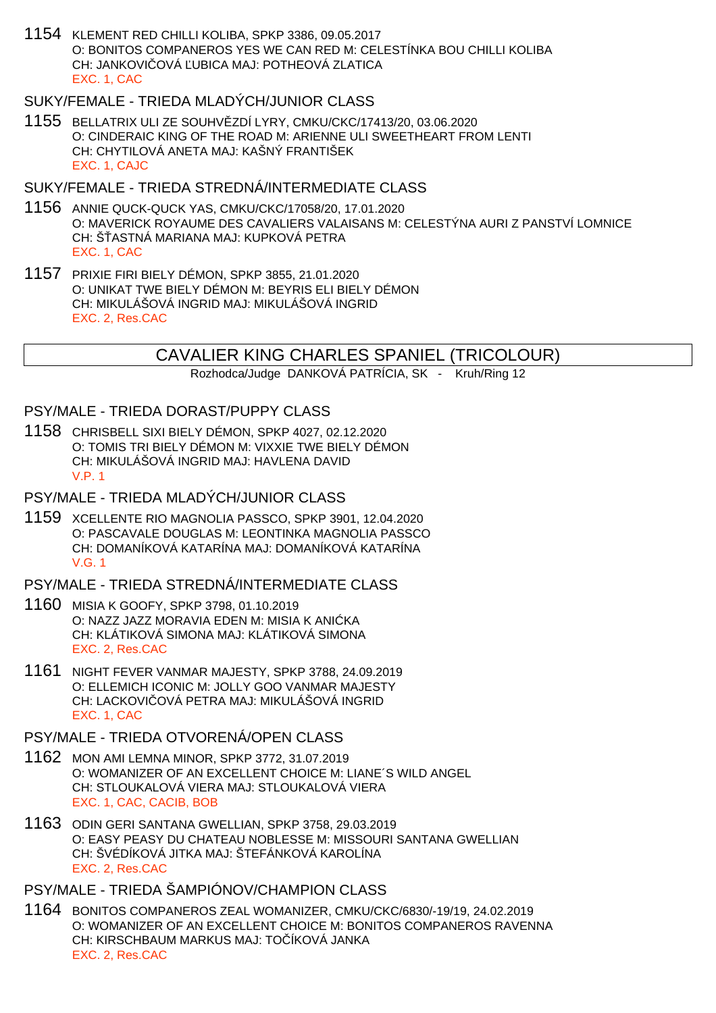1154 KLEMENT RED CHILLI KOLIBA, SPKP 3386, 09.05.2017 O: BONITOS COMPANEROS YES WE CAN RED M: CELESTÍNKA BOU CHILLI KOLIBA CH: JANKOVI OVÁ UBICA MAJ: POTHEOVÁ ZLATICA EXC. 1, CAC

# SUKY/FEMALE - TRIEDA MLADÝCH/JUNIOR CLASS

1155 BELLATRIX ULI ZE SOUHVĚZDÍ LYRY, CMKU/CKC/17413/20, 03.06.2020 O: CINDERAIC KING OF THE ROAD M: ARIENNE ULI SWEETHEART FROM LENTI CH: CHYTILOVÁ ANETA MAJ: KAŠNÝ FRANTIŠEK EXC. 1, CAJC

# SUKY/FEMALE - TRIEDA STREDNÁ/INTERMEDIATE CLASS

- 1156 ANNIE QUCK-QUCK YAS, CMKU/CKC/17058/20, 17.01.2020 O: MAVERICK ROYAUME DES CAVALIERS VALAISANS M: CELESTÝNA AURI Z PANSTVÍ LOMNICE CH: Š ASTNÁ MARIANA MAJ: KUPKOVÁ PETRA EXC. 1, CAC
- 1157 PRIXIE FIRI BIELY DÉMON, SPKP 3855, 21.01.2020 O: UNIKAT TWE BIELY DÉMON M: BEYRIS ELI BIELY DÉMON CH: MIKULÁŠOVÁ INGRID MAJ: MIKULÁŠOVÁ INGRID EXC. 2, Res.CAC

# CAVALIER KING CHARLES SPANIEL (TRICOLOUR)

Rozhodca/Judge DANKOVÁ PATRÍCIA, SK - Kruh/Ring 12

### PSY/MALE - TRIEDA DORAST/PUPPY CLASS

- 1158 CHRISBELL SIXI BIELY DÉMON, SPKP 4027, 02.12.2020 O: TOMIS TRI BIELY DÉMON M: VIXXIE TWE BIELY DÉMON CH: MIKULÁŠOVÁ INGRID MAJ: HAVLENA DAVID V.P. 1
- PSY/MALE TRIEDA MLADÝCH/JUNIOR CLASS
- 1159 XCELLENTE RIO MAGNOLIA PASSCO, SPKP 3901, 12.04.2020 O: PASCAVALE DOUGLAS M: LEONTINKA MAGNOLIA PASSCO CH: DOMANÍKOVÁ KATARÍNA MAJ: DOMANÍKOVÁ KATARÍNA V.G. 1

#### PSY/MALE - TRIEDA STREDNÁ/INTERMEDIATE CLASS

- 1160 MISIA K GOOFY, SPKP 3798, 01.10.2019 O: NAZZ JAZZ MORAVIA EDEN M: MISIA K ANI KA CH: KLÁTIKOVÁ SIMONA MAJ: KLÁTIKOVÁ SIMONA EXC. 2, Res.CAC
- 1161 NIGHT FEVER VANMAR MAJESTY, SPKP 3788, 24.09.2019 O: ELLEMICH ICONIC M: JOLLY GOO VANMAR MAJESTY CH: LACKOVI OVÁ PETRA MAJ: MIKULÁŠOVÁ INGRID EXC. 1, CAC

## PSY/MALE - TRIEDA OTVORENÁ/OPEN CLASS

- 1162 MON AMI LEMNA MINOR, SPKP 3772, 31.07.2019 O: WOMANIZER OF AN EXCELLENT CHOICE M: LIANE´S WILD ANGEL CH: STLOUKALOVÁ VIERA MAJ: STLOUKALOVÁ VIERA EXC. 1, CAC, CACIB, BOB
- 1163 ODIN GERI SANTANA GWELLIAN, SPKP 3758, 29.03.2019 O: EASY PEASY DU CHATEAU NOBLESSE M: MISSOURI SANTANA GWELLIAN CH: ŠVÉDÍKOVÁ JITKA MAJ: ŠTEFÁNKOVÁ KAROLÍNA EXC. 2, Res.CAC

# PSY/MALE - TRIEDA ŠAMPIÓNOV/CHAMPION CLASS

1164 BONITOS COMPANEROS ZEAL WOMANIZER, CMKU/CKC/6830/-19/19, 24.02.2019 O: WOMANIZER OF AN EXCELLENT CHOICE M: BONITOS COMPANEROS RAVENNA CH: KIRSCHBAUM MARKUS MAJ: TO ÍKOVÁ JANKA EXC. 2, Res.CAC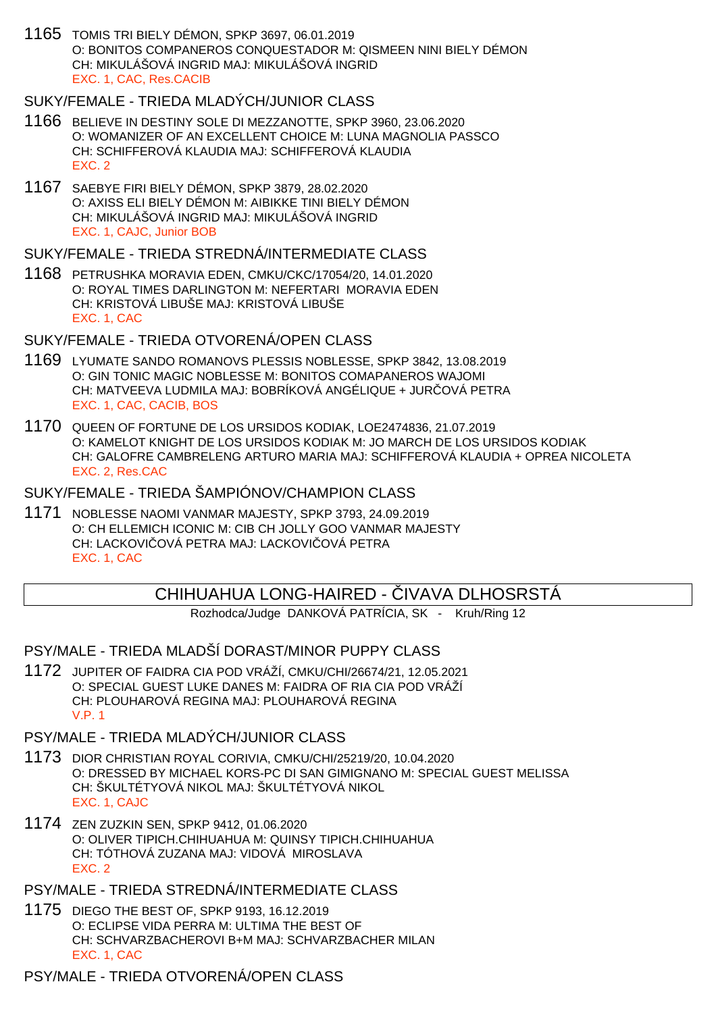1165 TOMIS TRI BIELY DÉMON, SPKP 3697, 06.01.2019 O: BONITOS COMPANEROS CONQUESTADOR M: QISMEEN NINI BIELY DÉMON CH: MIKULÁŠOVÁ INGRID MAJ: MIKULÁŠOVÁ INGRID EXC. 1, CAC, Res.CACIB

## SUKY/FEMALE - TRIEDA MLADÝCH/JUNIOR CLASS

- 1166 BELIEVE IN DESTINY SOLE DI MEZZANOTTE, SPKP 3960, 23.06.2020 O: WOMANIZER OF AN EXCELLENT CHOICE M: LUNA MAGNOLIA PASSCO CH: SCHIFFEROVÁ KLAUDIA MAJ: SCHIFFEROVÁ KLAUDIA EXC. 2
- 1167 SAEBYE FIRI BIELY DÉMON, SPKP 3879, 28.02.2020 O: AXISS ELI BIELY DÉMON M: AIBIKKE TINI BIELY DÉMON CH: MIKULÁŠOVÁ INGRID MAJ: MIKULÁŠOVÁ INGRID EXC. 1, CAJC, Junior BOB

#### SUKY/FEMALE - TRIEDA STREDNÁ/INTERMEDIATE CLASS

1168 PETRUSHKA MORAVIA EDEN, CMKU/CKC/17054/20, 14.01.2020 O: ROYAL TIMES DARLINGTON M: NEFERTARI MORAVIA EDEN CH: KRISTOVÁ LIBUŠE MAJ: KRISTOVÁ LIBUŠE EXC. 1, CAC

### SUKY/FEMALE - TRIEDA OTVORENÁ/OPEN CLASS

- 1169 LYUMATE SANDO ROMANOVS PLESSIS NOBLESSE, SPKP 3842, 13.08.2019 O: GIN TONIC MAGIC NOBLESSE M: BONITOS COMAPANEROS WAJOMI CH: MATVEEVA LUDMILA MAJ: BOBRÍKOVÁ ANGÉLIQUE + JURČOVÁ PETRA EXC. 1, CAC, CACIB, BOS
- 1170 QUEEN OF FORTUNE DE LOS URSIDOS KODIAK, LOE2474836, 21.07.2019 O: KAMELOT KNIGHT DE LOS URSIDOS KODIAK M: JO MARCH DE LOS URSIDOS KODIAK CH: GALOFRE CAMBRELENG ARTURO MARIA MAJ: SCHIFFEROVÁ KLAUDIA + OPREA NICOLETA EXC. 2, Res.CAC

#### SUKY/FEMALE - TRIEDA ŠAMPIÓNOV/CHAMPION CLASS

1171 NOBLESSE NAOMI VANMAR MAJESTY, SPKP 3793, 24.09.2019 O: CH ELLEMICH ICONIC M: CIB CH JOLLY GOO VANMAR MAJESTY CH: LACKOVI OVÁ PETRA MAJ: LACKOVI OVÁ PETRA EXC. 1, CAC

# CHIHUAHUA LONG-HAIRED - VAVA DLHOSRSTÁ

Rozhodca/Judge DANKOVÁ PATRÍCIA, SK - Kruh/Ring 12

### PSY/MALE - TRIEDA MLADŠÍ DORAST/MINOR PUPPY CLASS

1172 JUPITER OF FAIDRA CIA POD VRÁŽÍ, CMKU/CHI/26674/21, 12.05.2021 O: SPECIAL GUEST LUKE DANES M: FAIDRA OF RIA CIA POD VRÁŽÍ CH: PLOUHAROVÁ REGINA MAJ: PLOUHAROVÁ REGINA V.P. 1

## PSY/MALE - TRIEDA MLADÝCH/JUNIOR CLASS

- 1173 DIOR CHRISTIAN ROYAL CORIVIA, CMKU/CHI/25219/20, 10.04.2020 O: DRESSED BY MICHAEL KORS-PC DI SAN GIMIGNANO M: SPECIAL GUEST MELISSA CH: ŠKULTÉTYOVÁ NIKOL MAJ: ŠKULTÉTYOVÁ NIKOL EXC. 1, CAJC
- 1174 ZEN ZUZKIN SEN, SPKP 9412, 01.06.2020 O: OLIVER TIPICH.CHIHUAHUA M: QUINSY TIPICH.CHIHUAHUA CH: TÓTHOVÁ ZUZANA MAJ: VIDOVÁ MIROSLAVA EXC. 2

# PSY/MALE - TRIEDA STREDNÁ/INTERMEDIATE CLASS

1175 DIEGO THE BEST OF, SPKP 9193, 16.12.2019 O: ECLIPSE VIDA PERRA M: ULTIMA THE BEST OF CH: SCHVARZBACHEROVI B+M MAJ: SCHVARZBACHER MILAN EXC. 1, CAC

# PSY/MALE - TRIEDA OTVORENÁ/OPEN CLASS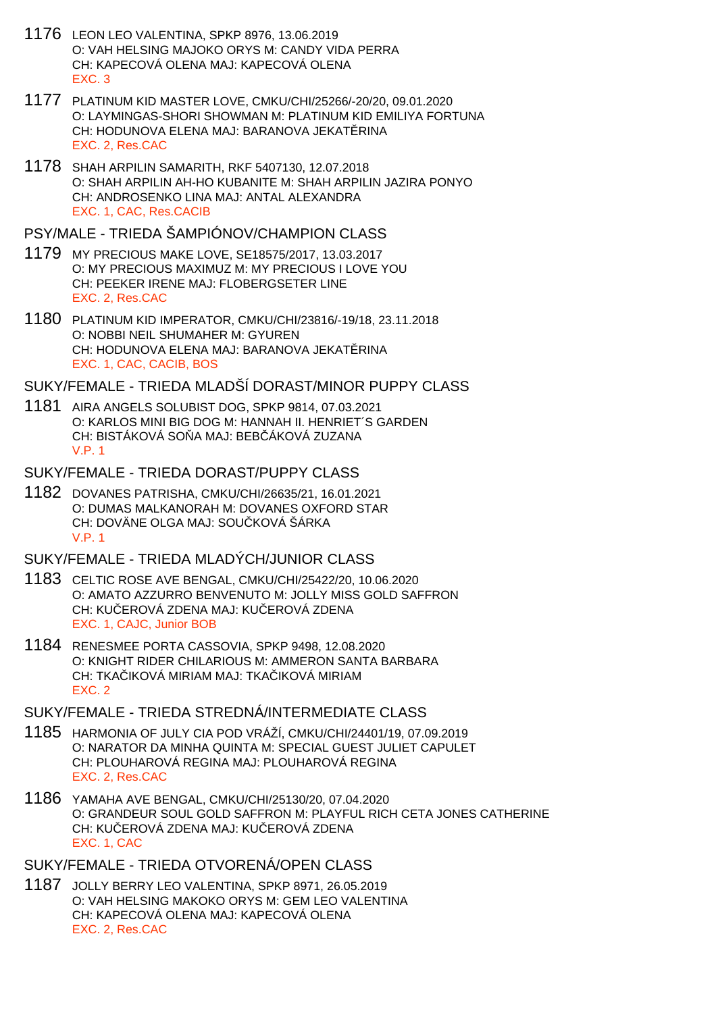- 1176 LEON LEO VALENTINA, SPKP 8976, 13.06.2019 O: VAH HELSING MAJOKO ORYS M: CANDY VIDA PERRA CH: KAPECOVÁ OLENA MAJ: KAPECOVÁ OLENA EXC. 3
- 1177 PLATINUM KID MASTER LOVE, CMKU/CHI/25266/-20/20, 09.01.2020 O: LAYMINGAS-SHORI SHOWMAN M: PLATINUM KID EMILIYA FORTUNA CH: HODUNOVA ELENA MAJ: BARANOVA JEKAT RINA EXC. 2, Res.CAC
- 1178 SHAH ARPILIN SAMARITH, RKF 5407130, 12.07.2018 O: SHAH ARPILIN AH-HO KUBANITE M: SHAH ARPILIN JAZIRA PONYO CH: ANDROSENKO LINA MAJ: ANTAL ALEXANDRA EXC. 1, CAC, Res.CACIB

#### PSY/MALE - TRIEDA ŠAMPIÓNOV/CHAMPION CLASS

- 1179 MY PRECIOUS MAKE LOVE, SE18575/2017, 13.03.2017 O: MY PRECIOUS MAXIMUZ M: MY PRECIOUS I LOVE YOU CH: PEEKER IRENE MAJ: FLOBERGSETER LINE EXC. 2, Res.CAC
- 1180 PLATINUM KID IMPERATOR, CMKU/CHI/23816/-19/18, 23.11.2018 O: NOBBI NEIL SHUMAHER M: GYUREN CH: HODUNOVA ELENA MAJ: BARANOVA JEKAT RINA EXC. 1, CAC, CACIB, BOS

# SUKY/FEMALE - TRIEDA MLADŠÍ DORAST/MINOR PUPPY CLASS

1181 AIRA ANGELS SOLUBIST DOG, SPKP 9814, 07.03.2021 O: KARLOS MINI BIG DOG M: HANNAH II. HENRIET´S GARDEN CH: BISTÁKOVÁ SO A MAJ: BEB ÁKOVÁ ZUZANA V.P. 1

#### SUKY/FEMALE - TRIEDA DORAST/PUPPY CLASS

1182 DOVANES PATRISHA, CMKU/CHI/26635/21, 16.01.2021 O: DUMAS MALKANORAH M: DOVANES OXFORD STAR CH: DOVÄNE OLGA MAJ: SOU KOVÁ ŠÁRKA V.P. 1

# SUKY/FEMALE - TRIEDA MLADÝCH/JUNIOR CLASS

- 1183 CELTIC ROSE AVE BENGAL, CMKU/CHI/25422/20, 10.06.2020 O: AMATO AZZURRO BENVENUTO M: JOLLY MISS GOLD SAFFRON CH: KU EROVÁ ZDENA MAJ: KU EROVÁ ZDENA EXC. 1, CAJC, Junior BOB
- 1184 RENESMEE PORTA CASSOVIA, SPKP 9498, 12.08.2020 O: KNIGHT RIDER CHILARIOUS M: AMMERON SANTA BARBARA CH: TKA IKOVÁ MIRIAM MAJ: TKA IKOVÁ MIRIAM EXC. 2

# SUKY/FEMALE - TRIEDA STREDNÁ/INTERMEDIATE CLASS

- 1185 HARMONIA OF JULY CIA POD VRÁŽÍ, CMKU/CHI/24401/19, 07.09.2019 O: NARATOR DA MINHA QUINTA M: SPECIAL GUEST JULIET CAPULET CH: PLOUHAROVÁ REGINA MAJ: PLOUHAROVÁ REGINA EXC. 2, Res.CAC
- 1186 YAMAHA AVE BENGAL, CMKU/CHI/25130/20, 07.04.2020 O: GRANDEUR SOUL GOLD SAFFRON M: PLAYFUL RICH CETA JONES CATHERINE CH: KU EROVÁ ZDENA MAJ: KU EROVÁ ZDENA EXC. 1, CAC

# SUKY/FEMALE - TRIEDA OTVORENÁ/OPEN CLASS

1187 JOLLY BERRY LEO VALENTINA, SPKP 8971, 26.05.2019 O: VAH HELSING MAKOKO ORYS M: GEM LEO VALENTINA CH: KAPECOVÁ OLENA MAJ: KAPECOVÁ OLENA EXC. 2, Res.CAC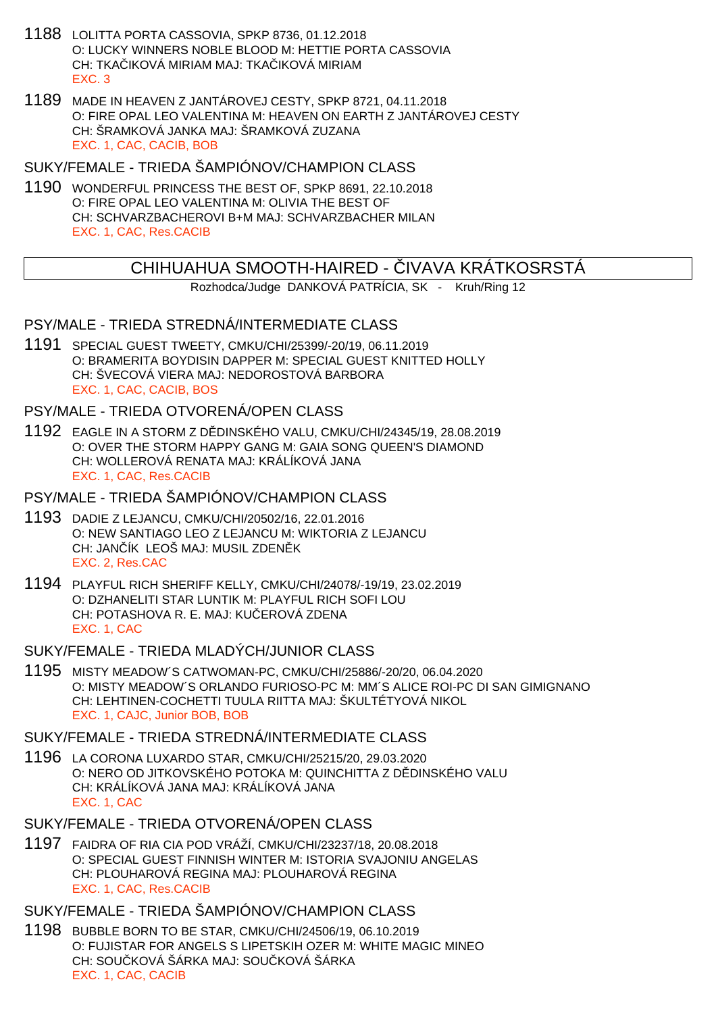- 1188 LOLITTA PORTA CASSOVIA, SPKP 8736, 01.12.2018 O: LUCKY WINNERS NOBLE BLOOD M: HETTIE PORTA CASSOVIA CH: TKA IKOVÁ MIRIAM MAJ: TKA IKOVÁ MIRIAM EXC. 3
- 1189 MADE IN HEAVEN Z JANTÁROVEJ CESTY, SPKP 8721, 04.11.2018 O: FIRE OPAL LEO VALENTINA M: HEAVEN ON EARTH Z JANTÁROVEJ CESTY CH: ŠRAMKOVÁ JANKA MAJ: ŠRAMKOVÁ ZUZANA EXC. 1, CAC, CACIB, BOB

SUKY/FEMALE - TRIEDA ŠAMPIÓNOV/CHAMPION CLASS

1190 WONDERFUL PRINCESS THE BEST OF, SPKP 8691, 22.10.2018 O: FIRE OPAL LEO VALENTINA M: OLIVIA THE BEST OF CH: SCHVARZBACHEROVI B+M MAJ: SCHVARZBACHER MILAN EXC. 1, CAC, Res.CACIB

# CHIHUAHUA SMOOTH-HAIRED - IVAVA KRÁTKOSRSTÁ

Rozhodca/Judge DANKOVÁ PATRÍCIA, SK - Kruh/Ring 12

#### PSY/MALE - TRIEDA STREDNÁ/INTERMEDIATE CLASS

1191 SPECIAL GUEST TWEETY, CMKU/CHI/25399/-20/19, 06.11.2019 O: BRAMERITA BOYDISIN DAPPER M: SPECIAL GUEST KNITTED HOLLY CH: ŠVECOVÁ VIERA MAJ: NEDOROSTOVÁ BARBORA EXC. 1, CAC, CACIB, BOS

# PSY/MALE - TRIEDA OTVORENÁ/OPEN CLASS

1192 EAGLE IN A STORM Z D DINSKÉHO VALU, CMKU/CHI/24345/19, 28.08.2019 O: OVER THE STORM HAPPY GANG M: GAIA SONG QUEEN'S DIAMOND CH: WOLLEROVÁ RENATA MAJ: KRÁLÍKOVÁ JANA EXC. 1, CAC, Res.CACIB

### PSY/MALE - TRIEDA ŠAMPIÓNOV/CHAMPION CLASS

- 1193 DADIE Z LEJANCU, CMKU/CHI/20502/16, 22.01.2016 O: NEW SANTIAGO LEO Z LEJANCU M: WIKTORIA Z LEJANCU CH: JAN ÍK LEOŠ MAJ: MUSIL ZDEN K EXC. 2, Res.CAC
- 1194 PLAYFUL RICH SHERIFF KELLY, CMKU/CHI/24078/-19/19, 23.02.2019 O: DZHANELITI STAR LUNTIK M: PLAYFUL RICH SOFI LOU CH: POTASHOVA R. E. MAJ: KU EROVÁ ZDENA EXC. 1, CAC

#### SUKY/FEMALE - TRIEDA MLADÝCH/JUNIOR CLASS

1195 MISTY MEADOW´S CATWOMAN-PC, CMKU/CHI/25886/-20/20, 06.04.2020 O: MISTY MEADOW´S ORLANDO FURIOSO-PC M: MM´S ALICE ROI-PC DI SAN GIMIGNANO CH: LEHTINEN-COCHETTI TUULA RIITTA MAJ: ŠKULTÉTYOVÁ NIKOL EXC. 1, CAJC, Junior BOB, BOB

#### SUKY/FEMALE - TRIEDA STREDNÁ/INTERMEDIATE CLASS

- 1196 LA CORONA LUXARDO STAR, CMKU/CHI/25215/20, 29.03.2020 O: NERO OD JITKOVSKÉHO POTOKA M: QUINCHITTA Z DĚDINSKÉHO VALU CH: KRÁLÍKOVÁ JANA MAJ: KRÁLÍKOVÁ JANA EXC. 1, CAC
- SUKY/FEMALE TRIEDA OTVORENÁ/OPEN CLASS
- 1197 FAIDRA OF RIA CIA POD VRÁŽÍ, CMKU/CHI/23237/18, 20.08.2018 O: SPECIAL GUEST FINNISH WINTER M: ISTORIA SVAJONIU ANGELAS CH: PLOUHAROVÁ REGINA MAJ: PLOUHAROVÁ REGINA EXC. 1, CAC, Res.CACIB

#### SUKY/FEMALE - TRIEDA ŠAMPIÓNOV/CHAMPION CLASS

1198 BUBBLE BORN TO BE STAR, CMKU/CHI/24506/19, 06.10.2019 O: FUJISTAR FOR ANGELS S LIPETSKIH OZER M: WHITE MAGIC MINEO CH: SOU KOVÁ ŠÁRKA MAJ: SOU KOVÁ ŠÁRKA EXC. 1, CAC, CACIB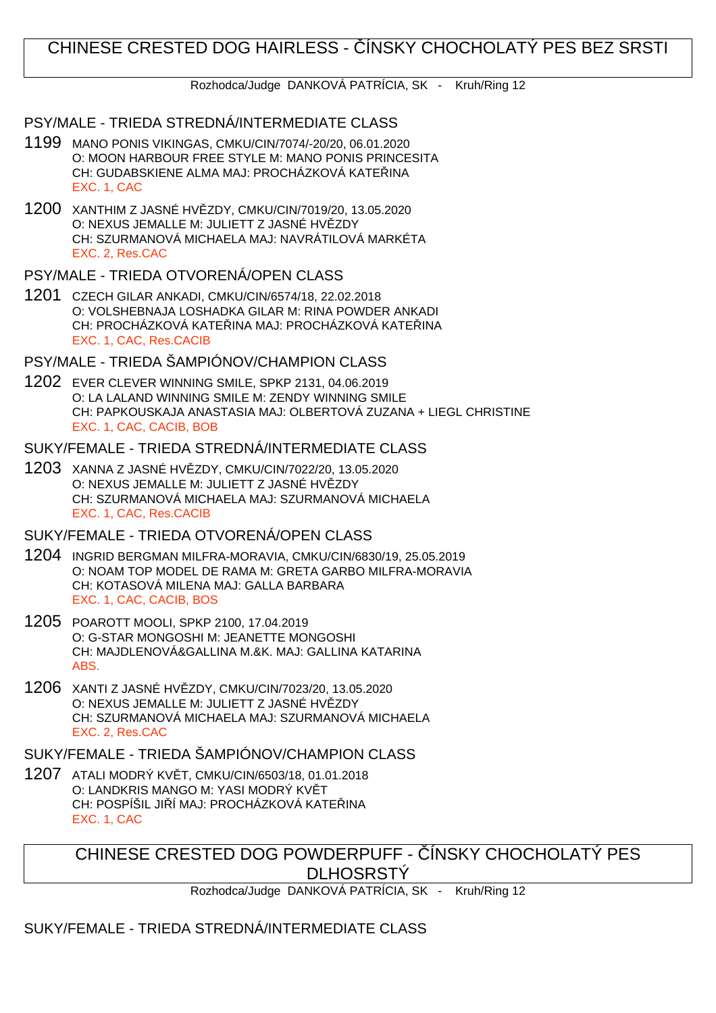# CHINESE CRESTED DOG HAIRLESS - ÍNSKY CHOCHOLATÝ PES BEZ SRSTI

Rozhodca/Judge DANKOVÁ PATRÍCIA, SK - Kruh/Ring 12

#### PSY/MALE - TRIEDA STREDNÁ/INTERMEDIATE CLASS

- 1199 MANO PONIS VIKINGAS, CMKU/CIN/7074/-20/20, 06.01.2020 O: MOON HARBOUR FREE STYLE M: MANO PONIS PRINCESITA CH: GUDABSKIENE ALMA MAJ: PROCHÁZKOVÁ KATE INA EXC. 1, CAC
- 1200 XANTHIM Z JASNÉ HVĚZDY, CMKU/CIN/7019/20, 13.05.2020 O: NEXUS JEMALLE M: JULIETT Z JASNÉ HV ZDY CH: SZURMANOVÁ MICHAELA MAJ: NAVRÁTILOVÁ MARKÉTA EXC. 2, Res.CAC

# PSY/MALE - TRIEDA OTVORENÁ/OPEN CLASS

1201 CZECH GILAR ANKADI, CMKU/CIN/6574/18, 22.02.2018 O: VOLSHEBNAJA LOSHADKA GILAR M: RINA POWDER ANKADI CH: PROCHÁZKOVÁ KATEŘINA MAJ: PROCHÁZKOVÁ KATEŘINA EXC. 1, CAC, Res.CACIB

### PSY/MALE - TRIEDA ŠAMPIÓNOV/CHAMPION CLASS

1202 EVER CLEVER WINNING SMILE, SPKP 2131, 04.06.2019 O: LA LALAND WINNING SMILE M: ZENDY WINNING SMILE CH: PAPKOUSKAJA ANASTASIA MAJ: OLBERTOVÁ ZUZANA + LIEGL CHRISTINE EXC. 1, CAC, CACIB, BOB

#### SUKY/FEMALE - TRIEDA STREDNÁ/INTERMEDIATE CLASS

1203 XANNA Z JASNÉ HVĚZDY, CMKU/CIN/7022/20, 13.05.2020 O: NEXUS JEMALLE M: JULIETT Z JASNÉ HV ZDY CH: SZURMANOVÁ MICHAELA MAJ: SZURMANOVÁ MICHAELA EXC. 1, CAC, Res.CACIB

# SUKY/FEMALE - TRIEDA OTVORENÁ/OPEN CLASS

- 1204 INGRID BERGMAN MILFRA-MORAVIA, CMKU/CIN/6830/19, 25.05.2019 O: NOAM TOP MODEL DE RAMA M: GRETA GARBO MILFRA-MORAVIA CH: KOTASOVÁ MILENA MAJ: GALLA BARBARA EXC. 1, CAC, CACIB, BOS
- 1205 POAROTT MOOLI, SPKP 2100, 17.04.2019 O: G-STAR MONGOSHI M: JEANETTE MONGOSHI CH: MAJDLENOVÁ&GALLINA M.&K. MAJ: GALLINA KATARINA ABS.
- 1206 XANTI Z JASNÉ HVĚZDY, CMKU/CIN/7023/20, 13.05.2020 O: NEXUS JEMALLE M: JULIETT Z JASNÉ HV ZDY CH: SZURMANOVÁ MICHAELA MAJ: SZURMANOVÁ MICHAELA EXC. 2, Res.CAC

SUKY/FEMALE - TRIEDA ŠAMPIÓNOV/CHAMPION CLASS

1207 ATALI MODRÝ KVĚT, CMKU/CIN/6503/18, 01.01.2018 O: LANDKRIS MANGO M: YASI MODRÝ KV. T CH: POSPÍŠIL JI Í MAJ: PROCHÁZKOVÁ KATE INA EXC. 1, CAC

> CHINESE CRESTED DOG POWDERPUFF - ÍNSKY CHOCHOLATÝ PES **DLHOSRSTÝ**

> > Rozhodca/Judge DANKOVÁ PATRÍCIA, SK - Kruh/Ring 12

SUKY/FEMALE - TRIEDA STREDNÁ/INTERMEDIATE CLASS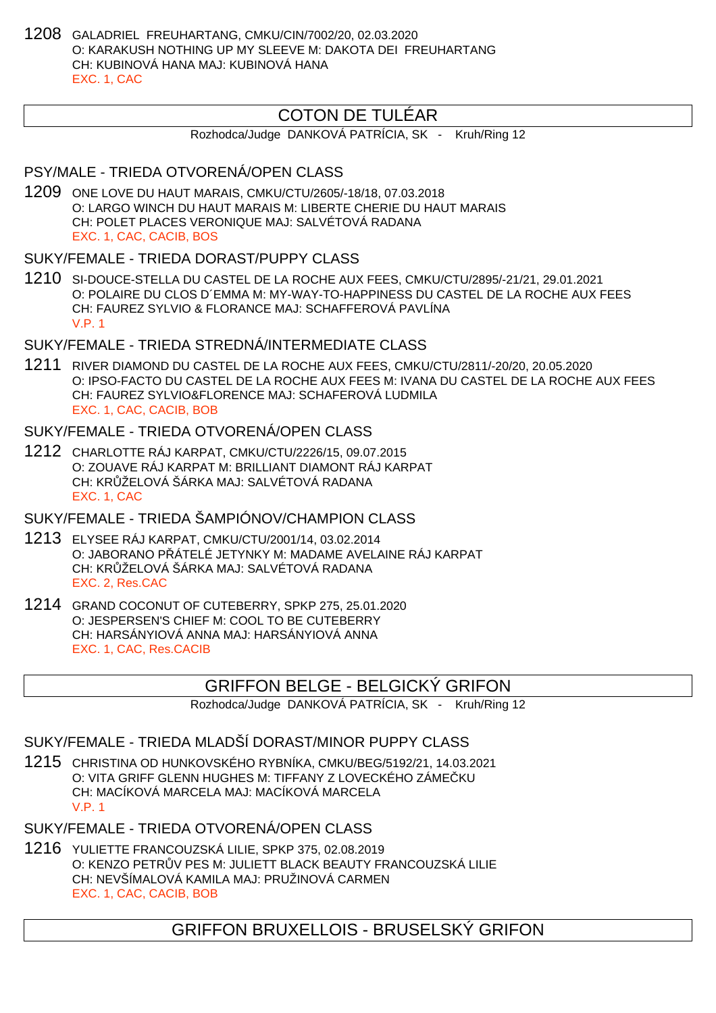1208 GALADRIEL FREUHARTANG, CMKU/CIN/7002/20, 02.03.2020 O: KARAKUSH NOTHING UP MY SLEEVE M: DAKOTA DEI FREUHARTANG CH: KUBINOVÁ HANA MAJ: KUBINOVÁ HANA EXC. 1, CAC

# COTON DE TULÉAR

Rozhodca/Judge DANKOVÁ PATRÍCIA, SK - Kruh/Ring 12

#### PSY/MALE - TRIEDA OTVORENÁ/OPEN CLASS

1209 ONE LOVE DU HAUT MARAIS, CMKU/CTU/2605/-18/18, 07.03.2018 O: LARGO WINCH DU HAUT MARAIS M: LIBERTE CHERIE DU HAUT MARAIS CH: POLET PLACES VERONIQUE MAJ: SALVÉTOVÁ RADANA EXC. 1, CAC, CACIB, BOS

#### SUKY/FEMALE - TRIEDA DORAST/PUPPY CLASS

1210 SI-DOUCE-STELLA DU CASTEL DE LA ROCHE AUX FEES, CMKU/CTU/2895/-21/21, 29.01.2021 O: POLAIRE DU CLOS D´EMMA M: MY-WAY-TO-HAPPINESS DU CASTEL DE LA ROCHE AUX FEES CH: FAUREZ SYLVIO & FLORANCE MAJ: SCHAFFEROVÁ PAVLÍNA V.P. 1

## SUKY/FEMALE - TRIEDA STREDNÁ/INTERMEDIATE CLASS

1211 RIVER DIAMOND DU CASTEL DE LA ROCHE AUX FEES, CMKU/CTU/2811/-20/20, 20.05.2020 O: IPSO-FACTO DU CASTEL DE LA ROCHE AUX FEES M: IVANA DU CASTEL DE LA ROCHE AUX FEES CH: FAUREZ SYLVIO&FLORENCE MAJ: SCHAFEROVÁ LUDMILA EXC. 1, CAC, CACIB, BOB

## SUKY/FEMALE - TRIEDA OTVORENÁ/OPEN CLASS

1212 CHARLOTTE RÁJ KARPAT, CMKU/CTU/2226/15, 09.07.2015 O: ZOUAVE RÁJ KARPAT M: BRILLIANT DIAMONT RÁJ KARPAT CH: KR ŽELOVÁ ŠÁRKA MAJ: SALVÉTOVÁ RADANA EXC. 1, CAC

# SUKY/FEMALE - TRIEDA ŠAMPIÓNOV/CHAMPION CLASS

- 1213 ELYSEE RÁJ KARPAT, CMKU/CTU/2001/14, 03.02.2014 O: JABORANO PÁTELÉ JETYNKY M: MADAME AVELAINE RÁJ KARPAT CH: KR ŽELOVÁ ŠÁRKA MAJ: SALVÉTOVÁ RADANA EXC. 2, Res.CAC
- 1214 GRAND COCONUT OF CUTEBERRY, SPKP 275, 25.01.2020 O: JESPERSEN'S CHIEF M: COOL TO BE CUTEBERRY CH: HARSÁNYIOVÁ ANNA MAJ: HARSÁNYIOVÁ ANNA EXC. 1, CAC, Res.CACIB

# GRIFFON BELGE - BELGICKÝ GRIFON

Rozhodca/Judge DANKOVÁ PATRÍCIA, SK - Kruh/Ring 12

### SUKY/FEMALE - TRIEDA MLADŠÍ DORAST/MINOR PUPPY CLASS

1215 CHRISTINA OD HUNKOVSKÉHO RYBNÍKA, CMKU/BEG/5192/21, 14.03.2021 O: VITA GRIFF GLENN HUGHES M: TIFFANY Z LOVECKÉHO ZÁMEČKU CH: MACÍKOVÁ MARCELA MAJ: MACÍKOVÁ MARCELA V.P. 1

SUKY/FEMALE - TRIEDA OTVORENÁ/OPEN CLASS

1216 YULIETTE FRANCOUZSKÁ LILIE, SPKP 375, 02.08.2019 O: KENZO PETR V PES M: JULIETT BLACK BEAUTY FRANCOUZSKÁ LILIE CH: NEVŠÍMALOVÁ KAMILA MAJ: PRUŽINOVÁ CARMEN EXC. 1, CAC, CACIB, BOB

# GRIFFON BRUXELLOIS - BRUSELSKÝ GRIFON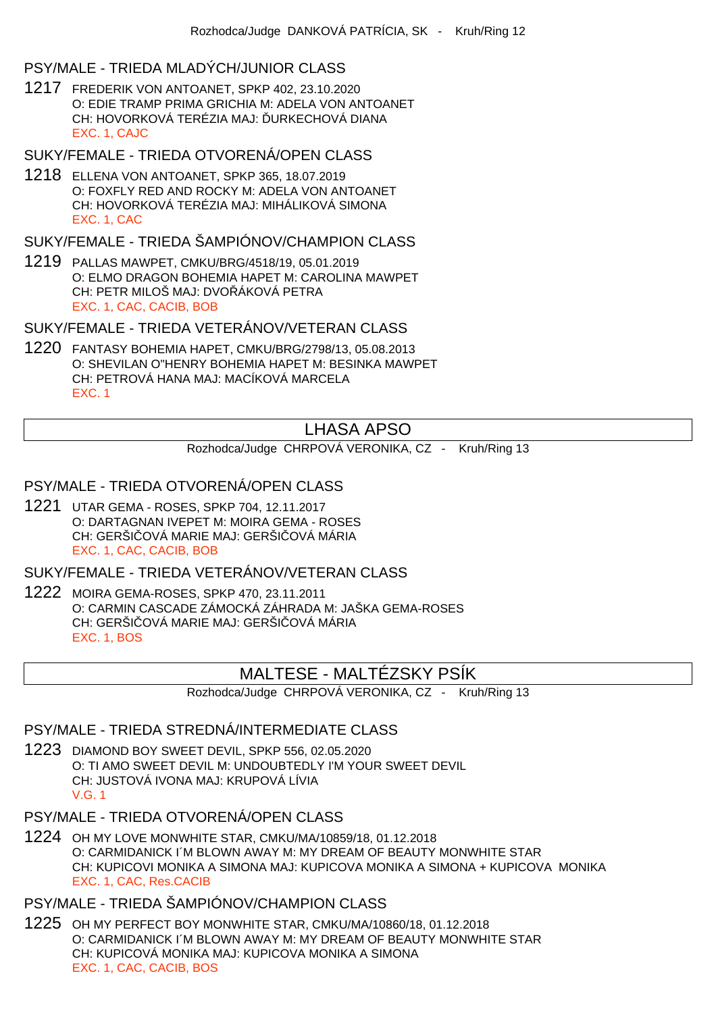### PSY/MALE - TRIEDA MLADÝCH/JUNIOR CLASS

1217 FREDERIK VON ANTOANET, SPKP 402, 23.10.2020 O: EDIE TRAMP PRIMA GRICHIA M: ADELA VON ANTOANET CH: HOVORKOVÁ TERÉZIA MAJ: URKECHOVÁ DIANA EXC. 1, CAJC

SUKY/FEMALE - TRIEDA OTVORENÁ/OPEN CLASS

1218 ELLENA VON ANTOANET, SPKP 365, 18.07.2019 O: FOXFLY RED AND ROCKY M: ADELA VON ANTOANET CH: HOVORKOVÁ TERÉZIA MAJ: MIHÁLIKOVÁ SIMONA EXC. 1, CAC

SUKY/FEMALE - TRIEDA ŠAMPIÓNOV/CHAMPION CLASS

1219 PALLAS MAWPET, CMKU/BRG/4518/19, 05.01.2019 O: ELMO DRAGON BOHEMIA HAPET M: CAROLINA MAWPET CH: PETR MILOŠ MAJ: DVO ÁKOVÁ PETRA EXC. 1, CAC, CACIB, BOB

SUKY/FEMALE - TRIEDA VETERÁNOV/VETERAN CLASS

1220 FANTASY BOHEMIA HAPET, CMKU/BRG/2798/13, 05.08.2013 O: SHEVILAN O"HENRY BOHEMIA HAPET M: BESINKA MAWPET CH: PETROVÁ HANA MAJ: MACÍKOVÁ MARCELA EXC. 1

# LHASA APSO

Rozhodca/Judge CHRPOVÁ VERONIKA, CZ - Kruh/Ring 13

#### PSY/MALE - TRIEDA OTVORENÁ/OPEN CLASS

1221 UTAR GEMA - ROSES, SPKP 704, 12.11.2017 O: DARTAGNAN IVEPET M: MOIRA GEMA - ROSES CH: GERŠI QVÁ MARIE MAJ: GERŠI QVÁ MÁRIA EXC. 1, CAC, CACIB, BOB

## SUKY/FEMALE - TRIEDA VETERÁNOV/VETERAN CLASS

1222 MOIRA GEMA-ROSES, SPKP 470, 23.11.2011 O: CARMIN CASCADE ZÁMOCKÁ ZÁHRADA M: JAŠKA GEMA-ROSES CH: GERŠI QVÁ MARIE MAJ: GERŠI QVÁ MÁRIA EXC. 1, BOS

# MALTESE - MALTÉZSKY PSÍK

Rozhodca/Judge CHRPOVÁ VERONIKA, CZ - Kruh/Ring 13

#### PSY/MALE - TRIEDA STREDNÁ/INTERMEDIATE CLASS

1223 DIAMOND BOY SWEET DEVIL, SPKP 556, 02.05.2020 O: TI AMO SWEET DEVIL M: UNDOUBTEDLY I'M YOUR SWEET DEVIL CH: JUSTOVÁ IVONA MAJ: KRUPOVÁ LÍVIA V.G. 1

# PSY/MALE - TRIEDA OTVORENÁ/OPEN CLASS

1224 OH MY LOVE MONWHITE STAR, CMKU/MA/10859/18, 01.12.2018 O: CARMIDANICK I´M BLOWN AWAY M: MY DREAM OF BEAUTY MONWHITE STAR CH: KUPICOVI MONIKA A SIMONA MAJ: KUPICOVA MONIKA A SIMONA + KUPICOVA MONIKA EXC. 1, CAC, Res.CACIB

# PSY/MALE - TRIEDA ŠAMPIÓNOV/CHAMPION CLASS

1225 OH MY PERFECT BOY MONWHITE STAR, CMKU/MA/10860/18, 01.12.2018 O: CARMIDANICK I´M BLOWN AWAY M: MY DREAM OF BEAUTY MONWHITE STAR CH: KUPICOVÁ MONIKA MAJ: KUPICOVA MONIKA A SIMONA EXC. 1, CAC, CACIB, BOS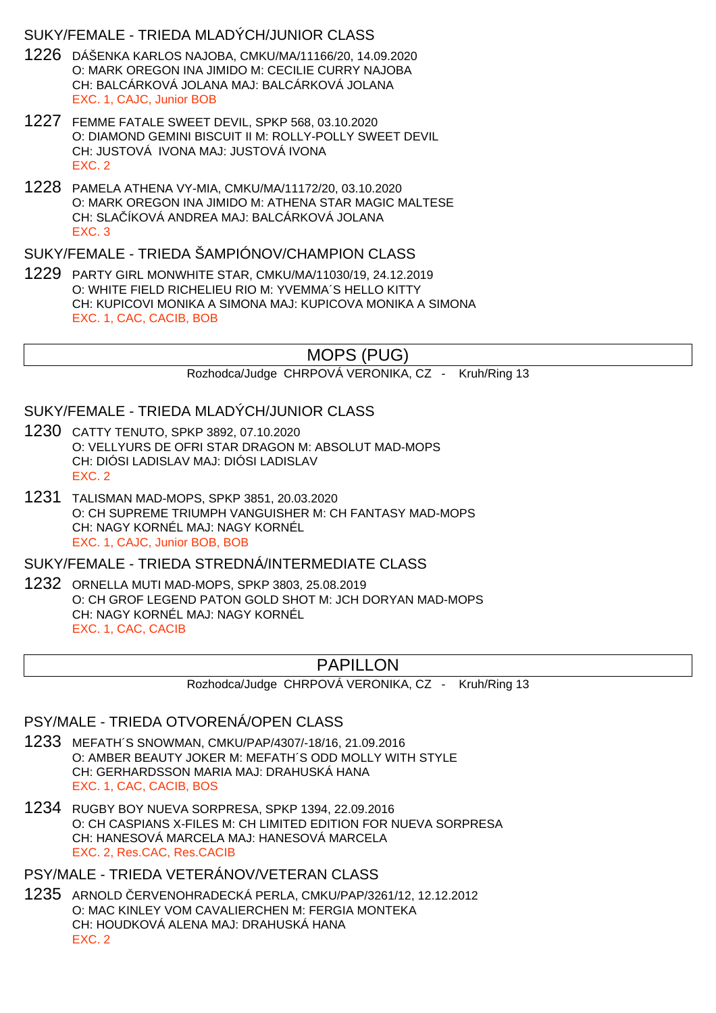### SUKY/FEMALE - TRIEDA MLADÝCH/JUNIOR CLASS

- 1226 DÁŠENKA KARLOS NAJOBA, CMKU/MA/11166/20, 14.09.2020 O: MARK OREGON INA JIMIDO M: CECILIE CURRY NAJOBA CH: BALCÁRKOVÁ JOLANA MAJ: BALCÁRKOVÁ JOLANA EXC. 1, CAJC, Junior BOB
- 1227 FEMME FATALE SWEET DEVIL, SPKP 568, 03.10.2020 O: DIAMOND GEMINI BISCUIT II M: ROLLY-POLLY SWEET DEVIL CH: JUSTOVÁ IVONA MAJ: JUSTOVÁ IVONA EXC. 2
- 1228 PAMELA ATHENA VY-MIA, CMKU/MA/11172/20, 03.10.2020 O: MARK OREGON INA JIMIDO M: ATHENA STAR MAGIC MALTESE CH: SLA ÍKOVÁ ANDREA MAJ: BALCÁRKOVÁ JOLANA EXC. 3

# SUKY/FEMALE - TRIEDA ŠAMPIÓNOV/CHAMPION CLASS

1229 PARTY GIRL MONWHITE STAR, CMKU/MA/11030/19, 24.12.2019 O: WHITE FIELD RICHELIEU RIO M: YVEMMA´S HELLO KITTY CH: KUPICOVI MONIKA A SIMONA MAJ: KUPICOVA MONIKA A SIMONA EXC. 1, CAC, CACIB, BOB

# MOPS (PUG)

Rozhodca/Judge CHRPOVÁ VERONIKA, CZ - Kruh/Ring 13

#### SUKY/FEMALE - TRIEDA MLADÝCH/JUNIOR CLASS

- 1230 CATTY TENUTO, SPKP 3892, 07.10.2020 O: VELLYURS DE OFRI STAR DRAGON M: ABSOLUT MAD-MOPS CH: DIÓSI LADISLAV MAJ: DIÓSI LADISLAV EXC. 2
- 1231 TALISMAN MAD-MOPS, SPKP 3851, 20.03.2020 O: CH SUPREME TRIUMPH VANGUISHER M: CH FANTASY MAD-MOPS CH: NAGY KORNÉL MAJ: NAGY KORNÉL EXC. 1, CAJC, Junior BOB, BOB

#### SUKY/FEMALE - TRIEDA STREDNÁ/INTERMEDIATE CLASS

1232 ORNELLA MUTI MAD-MOPS, SPKP 3803, 25.08.2019 O: CH GROF LEGEND PATON GOLD SHOT M: JCH DORYAN MAD-MOPS CH: NAGY KORNÉL MAJ: NAGY KORNÉL EXC. 1, CAC, CACIB

# PAPILLON

Rozhodca/Judge CHRPOVÁ VERONIKA, CZ - Kruh/Ring 13

### PSY/MALE - TRIEDA OTVORENÁ/OPEN CLASS

- 1233 MEFATH´S SNOWMAN, CMKU/PAP/4307/-18/16, 21.09.2016 O: AMBER BEAUTY JOKER M: MEFATH´S ODD MOLLY WITH STYLE CH: GERHARDSSON MARIA MAJ: DRAHUSKÁ HANA EXC. 1, CAC, CACIB, BOS
- 1234 RUGBY BOY NUEVA SORPRESA, SPKP 1394, 22.09.2016 O: CH CASPIANS X-FILES M: CH LIMITED EDITION FOR NUEVA SORPRESA CH: HANESOVÁ MARCELA MAJ: HANESOVÁ MARCELA EXC. 2, Res.CAC, Res.CACIB

### PSY/MALE - TRIEDA VETERÁNOV/VETERAN CLASS

1235 ARNOLD ČERVENOHRADECKÁ PERLA, CMKU/PAP/3261/12, 12.12.2012 O: MAC KINLEY VOM CAVALIERCHEN M: FERGIA MONTEKA CH: HOUDKOVÁ ALENA MAJ: DRAHUSKÁ HANA EXC. 2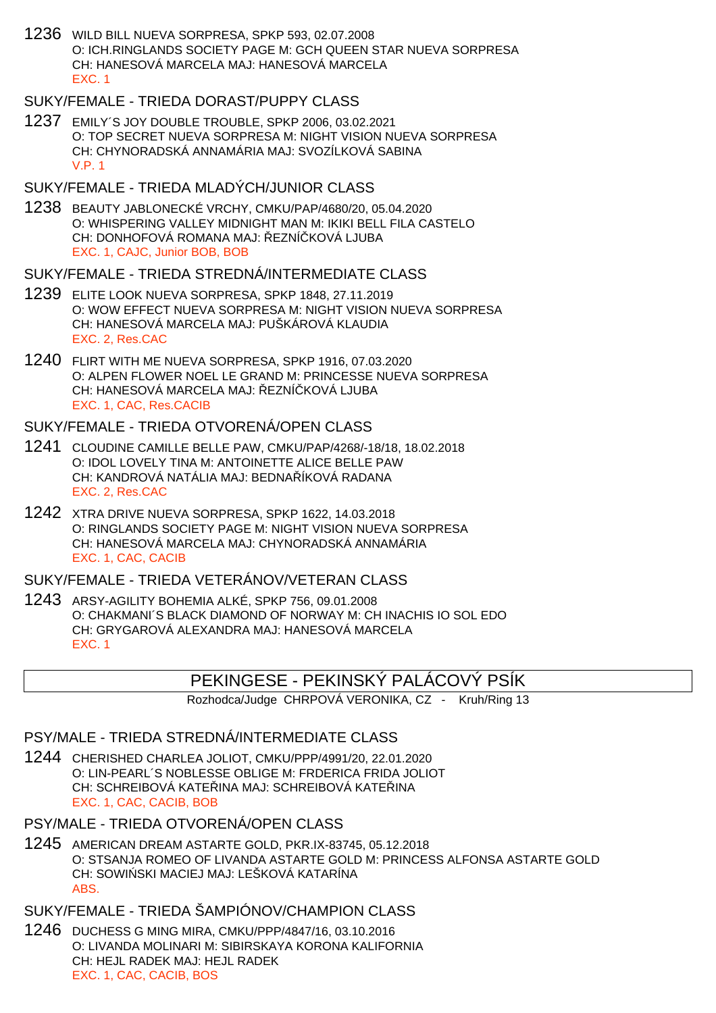1236 WILD BILL NUEVA SORPRESA, SPKP 593, 02.07.2008 O: ICH.RINGLANDS SOCIETY PAGE M: GCH QUEEN STAR NUEVA SORPRESA CH: HANESOVÁ MARCELA MAJ: HANESOVÁ MARCELA EXC. 1

#### SUKY/FEMALE - TRIEDA DORAST/PUPPY CLASS

1237 EMILY´S JOY DOUBLE TROUBLE, SPKP 2006, 03.02.2021 O: TOP SECRET NUEVA SORPRESA M: NIGHT VISION NUEVA SORPRESA CH: CHYNORADSKÁ ANNAMÁRIA MAJ: SVOZÍLKOVÁ SABINA V.P. 1

#### SUKY/FEMALE - TRIEDA MLADÝCH/JUNIOR CLASS

1238 BEAUTY JABLONECKÉ VRCHY, CMKU/PAP/4680/20, 05.04.2020 O: WHISPERING VALLEY MIDNIGHT MAN M: IKIKI BELL FILA CASTELO CH: DONHOFOVÁ ROMANA MAJ: EZNÍ KOVÁ LJUBA EXC. 1, CAJC, Junior BOB, BOB

#### SUKY/FEMALE - TRIEDA STREDNÁ/INTERMEDIATE CLASS

- 1239 ELITE LOOK NUEVA SORPRESA, SPKP 1848, 27.11.2019 O: WOW EFFECT NUEVA SORPRESA M: NIGHT VISION NUEVA SORPRESA CH: HANESOVÁ MARCELA MAJ: PUŠKÁROVÁ KLAUDIA EXC. 2, Res.CAC
- 1240 FLIRT WITH ME NUEVA SORPRESA, SPKP 1916, 07.03.2020 O: ALPEN FLOWER NOEL LE GRAND M: PRINCESSE NUEVA SORPRESA CH: HANESOVÁ MARCELA MAJ: EZNÍ KOVÁ LJUBA EXC. 1, CAC, Res.CACIB

#### SUKY/FEMALE - TRIEDA OTVORENÁ/OPEN CLASS

- 1241 CLOUDINE CAMILLE BELLE PAW, CMKU/PAP/4268/-18/18, 18.02.2018 O: IDOL LOVELY TINA M: ANTOINETTE ALICE BELLE PAW CH: KANDROVÁ NATÁLIA MAJ: BEDNA ÍKOVÁ RADANA EXC. 2, Res.CAC
- 1242 XTRA DRIVE NUEVA SORPRESA, SPKP 1622, 14.03.2018 O: RINGLANDS SOCIETY PAGE M: NIGHT VISION NUEVA SORPRESA CH: HANESOVÁ MARCELA MAJ: CHYNORADSKÁ ANNAMÁRIA EXC. 1, CAC, CACIB

#### SUKY/FEMALE - TRIEDA VETERÁNOV/VETERAN CLASS

1243 ARSY-AGILITY BOHEMIA ALKÉ, SPKP 756, 09.01.2008 O: CHAKMANI´S BLACK DIAMOND OF NORWAY M: CH INACHIS IO SOL EDO CH: GRYGAROVÁ ALEXANDRA MAJ: HANESOVÁ MARCELA EXC. 1

# PEKINGESE - PEKINSKÝ PALÁCOVÝ PSÍK

Rozhodca/Judge CHRPOVÁ VERONIKA, CZ - Kruh/Ring 13

#### PSY/MALE - TRIEDA STREDNÁ/INTERMEDIATE CLASS

- 1244 CHERISHED CHARLEA JOLIOT, CMKU/PPP/4991/20, 22.01.2020 O: LIN-PEARL´S NOBLESSE OBLIGE M: FRDERICA FRIDA JOLIOT CH: SCHREIBOVÁ KATE<sub>INA MAJ: SCHREIBOVÁ KATE<sub>INA</sub></sub> EXC. 1, CAC, CACIB, BOB
- PSY/MALE TRIEDA OTVORENÁ/OPEN CLASS
- 1245 AMERICAN DREAM ASTARTE GOLD, PKR.IX-83745, 05.12.2018 O: STSANJA ROMEO OF LIVANDA ASTARTE GOLD M: PRINCESS ALFONSA ASTARTE GOLD CH: SOWI SKI MACIEJ MAJ: LEŠKOVÁ KATARÍNA ABS.

#### SUKY/FEMALE - TRIEDA ŠAMPIÓNOV/CHAMPION CLASS

1246 DUCHESS G MING MIRA, CMKU/PPP/4847/16, 03.10.2016 O: LIVANDA MOLINARI M: SIBIRSKAYA KORONA KALIFORNIA CH: HEJL RADEK MAJ: HEJL RADEK EXC. 1, CAC, CACIB, BOS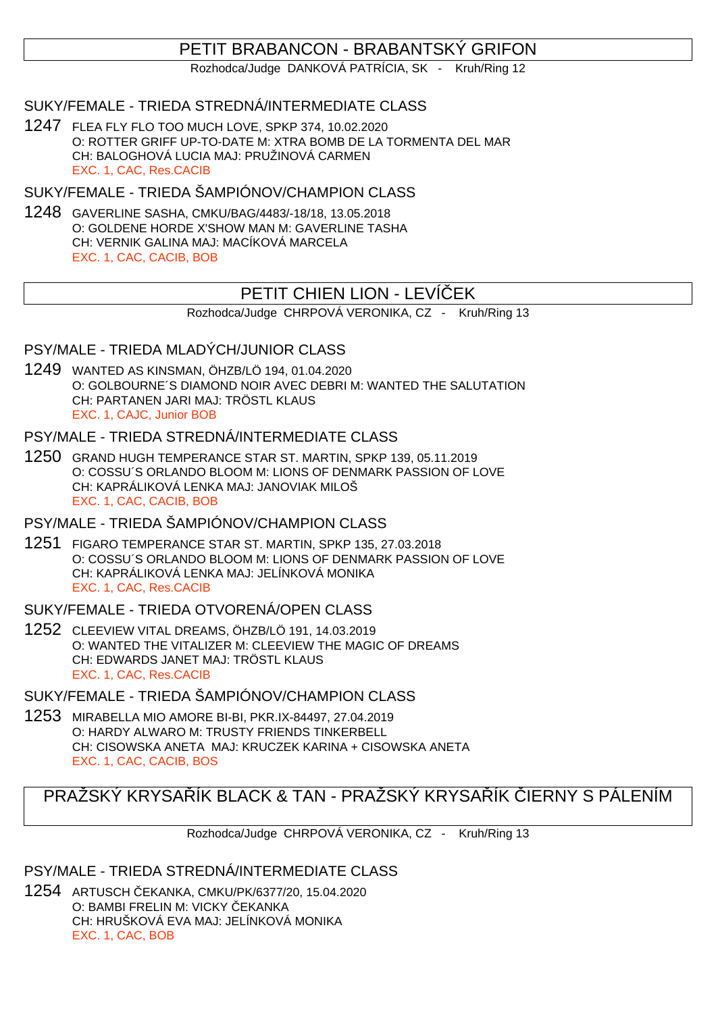# PETIT BRABANCON - BRABANTSKÝ GRIFON

Rozhodca/Judge DANKOVÁ PATRÍCIA, SK - Kruh/Ring 12

#### SUKY/FEMALE - TRIEDA STREDNÁ/INTERMEDIATE CLASS

1247 FLEA FLY FLO TOO MUCH LOVE, SPKP 374, 10.02.2020 O: ROTTER GRIFF UP-TO-DATE M: XTRA BOMB DE LA TORMENTA DEL MAR CH: BALOGHOVÁ LUCIA MAJ: PRUŽINOVÁ CARMEN EXC. 1, CAC, Res.CACIB

SUKY/FEMALE - TRIEDA ŠAMPIÓNOV/CHAMPION CLASS

1248 GAVERLINE SASHA, CMKU/BAG/4483/-18/18, 13.05.2018 O: GOLDENE HORDE X'SHOW MAN M: GAVERLINE TASHA CH: VERNIK GALINA MAJ: MACÍKOVÁ MARCELA EXC. 1, CAC, CACIB, BOB

# PETIT CHIEN LION - LEVÍ EK

Rozhodca/Judge CHRPOVÁ VERONIKA, CZ - Kruh/Ring 13

## PSY/MALE - TRIEDA MLADÝCH/JUNIOR CLASS

1249 WANTED AS KINSMAN, ÖHZB/LÖ 194, 01.04.2020 O: GOLBOURNE´S DIAMOND NOIR AVEC DEBRI M: WANTED THE SALUTATION CH: PARTANEN JARI MAJ: TRÖSTL KLAUS EXC. 1, CAJC, Junior BOB

#### PSY/MALE - TRIEDA STREDNÁ/INTERMEDIATE CLASS

1250 GRAND HUGH TEMPERANCE STAR ST. MARTIN, SPKP 139, 05.11.2019 O: COSSU´S ORLANDO BLOOM M: LIONS OF DENMARK PASSION OF LOVE CH: KAPRÁLIKOVÁ LENKA MAJ: JANOVIAK MILOŠ EXC. 1, CAC, CACIB, BOB

### PSY/MALE - TRIEDA ŠAMPIÓNOV/CHAMPION CLASS

1251 FIGARO TEMPERANCE STAR ST. MARTIN, SPKP 135, 27.03.2018 O: COSSU´S ORLANDO BLOOM M: LIONS OF DENMARK PASSION OF LOVE CH: KAPRÁLIKOVÁ LENKA MAJ: JELÍNKOVÁ MONIKA EXC. 1, CAC, Res.CACIB

#### SUKY/FEMALE - TRIEDA OTVORENÁ/OPEN CLASS

1252 CLEEVIEW VITAL DREAMS, ÖHZB/LÖ 191, 14.03.2019 O: WANTED THE VITALIZER M: CLEEVIEW THE MAGIC OF DREAMS CH: EDWARDS JANET MAJ: TRÖSTL KLAUS EXC. 1, CAC, Res.CACIB

### SUKY/FEMALE - TRIEDA ŠAMPIÓNOV/CHAMPION CLASS

1253 MIRABELLA MIO AMORE BI-BI, PKR.IX-84497, 27.04.2019 O: HARDY ALWARO M: TRUSTY FRIENDS TINKERBELL CH: CISOWSKA ANETA MAJ: KRUCZEK KARINA + CISOWSKA ANETA EXC. 1, CAC, CACIB, BOS

# PRAŽSKÝ KRYSA ÍK BLACK & TAN - PRAŽSKÝ KRYSA ÍK IERNY S PÁLENÍM

Rozhodca/Judge CHRPOVÁ VERONIKA, CZ - Kruh/Ring 13

## PSY/MALE - TRIEDA STREDNÁ/INTERMEDIATE CLASS

1254 ARTUSCH ČEKANKA, CMKU/PK/6377/20, 15.04.2020 O: BAMBI FRELIN M: VICKY EKANKA CH: HRUŠKOVÁ EVA MAJ: JELÍNKOVÁ MONIKA EXC. 1, CAC, BOB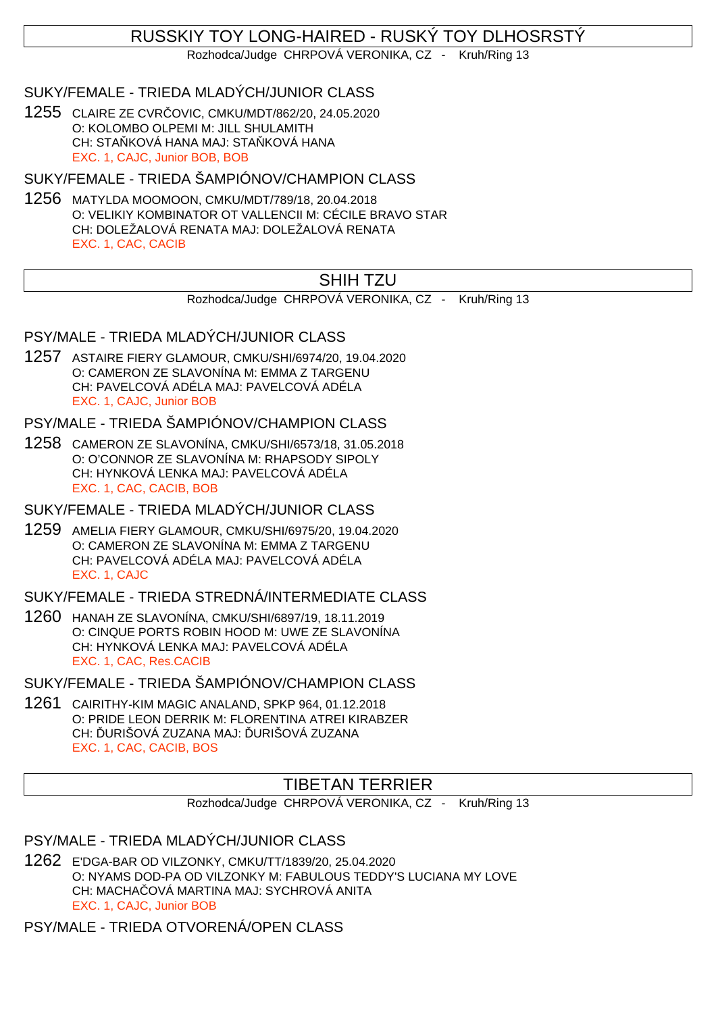# RUSSKIY TOY LONG-HAIRED - RUSKÝ TOY DLHOSRSTÝ

Rozhodca/Judge CHRPOVÁ VERONIKA, CZ - Kruh/Ring 13

SUKY/FEMALE - TRIEDA MLADÝCH/JUNIOR CLASS

1255 CLAIRE ZE CVRČOVIC, CMKU/MDT/862/20, 24.05.2020 O: KOLOMBO OLPEMI M: JILL SHULAMITH CH: STA KOVÁ HANA MAJ: STA KOVÁ HANA EXC. 1, CAJC, Junior BOB, BOB

SUKY/FEMALE - TRIEDA ŠAMPIÓNOV/CHAMPION CLASS

1256 MATYLDA MOOMOON, CMKU/MDT/789/18, 20.04.2018 O: VELIKIY KOMBINATOR OT VALLENCII M: CÉCILE BRAVO STAR CH: DOLEŽALOVÁ RENATA MAJ: DOLEŽALOVÁ RENATA EXC. 1, CAC, CACIB

# SHIH TZU

Rozhodca/Judge CHRPOVÁ VERONIKA, CZ - Kruh/Ring 13

PSY/MALE - TRIEDA MLADÝCH/JUNIOR CLASS

1257 ASTAIRE FIERY GLAMOUR, CMKU/SHI/6974/20, 19.04.2020 O: CAMERON ZE SLAVONÍNA M: EMMA Z TARGENU CH: PAVELCOVÁ ADÉLA MAJ: PAVELCOVÁ ADÉLA EXC. 1, CAJC, Junior BOB

PSY/MALE - TRIEDA ŠAMPIÓNOV/CHAMPION CLASS

1258 CAMERON ZE SLAVONÍNA, CMKU/SHI/6573/18, 31.05.2018 O: O'CONNOR ZE SLAVONÍNA M: RHAPSODY SIPOLY CH: HYNKOVÁ LENKA MAJ: PAVELCOVÁ ADÉLA EXC. 1, CAC, CACIB, BOB

SUKY/FEMALE - TRIEDA MLADÝCH/JUNIOR CLASS

1259 AMELIA FIERY GLAMOUR, CMKU/SHI/6975/20, 19.04.2020 O: CAMERON ZE SLAVONÍNA M: EMMA Z TARGENU CH: PAVELCOVÁ ADÉLA MAJ: PAVELCOVÁ ADÉLA EXC. 1, CAJC

SUKY/FEMALE - TRIEDA STREDNÁ/INTERMEDIATE CLASS

1260 HANAH ZE SLAVONÍNA, CMKU/SHI/6897/19, 18.11.2019 O: CINQUE PORTS ROBIN HOOD M: UWE ZE SLAVONÍNA CH: HYNKOVÁ LENKA MAJ: PAVELCOVÁ ADÉLA EXC. 1, CAC, Res.CACIB

SUKY/FEMALE - TRIEDA ŠAMPIÓNOV/CHAMPION CLASS

1261 CAIRITHY-KIM MAGIC ANALAND, SPKP 964, 01.12.2018 O: PRIDE LEON DERRIK M: FLORENTINA ATREI KIRABZER CH: URIŠOVÁ ZUZANA MAJ: URIŠOVÁ ZUZANA EXC. 1, CAC, CACIB, BOS

# TIBETAN TERRIER

Rozhodca/Judge CHRPOVÁ VERONIKA, CZ - Kruh/Ring 13

PSY/MALE - TRIEDA MLADÝCH/JUNIOR CLASS

1262 E'DGA-BAR OD VILZONKY, CMKU/TT/1839/20, 25.04.2020 O: NYAMS DOD-PA OD VILZONKY M: FABULOUS TEDDY'S LUCIANA MY LOVE CH: MACHA OVÁ MARTINA MAJ: SYCHROVÁ ANITA EXC. 1, CAJC, Junior BOB

PSY/MALE - TRIEDA OTVORENÁ/OPEN CLASS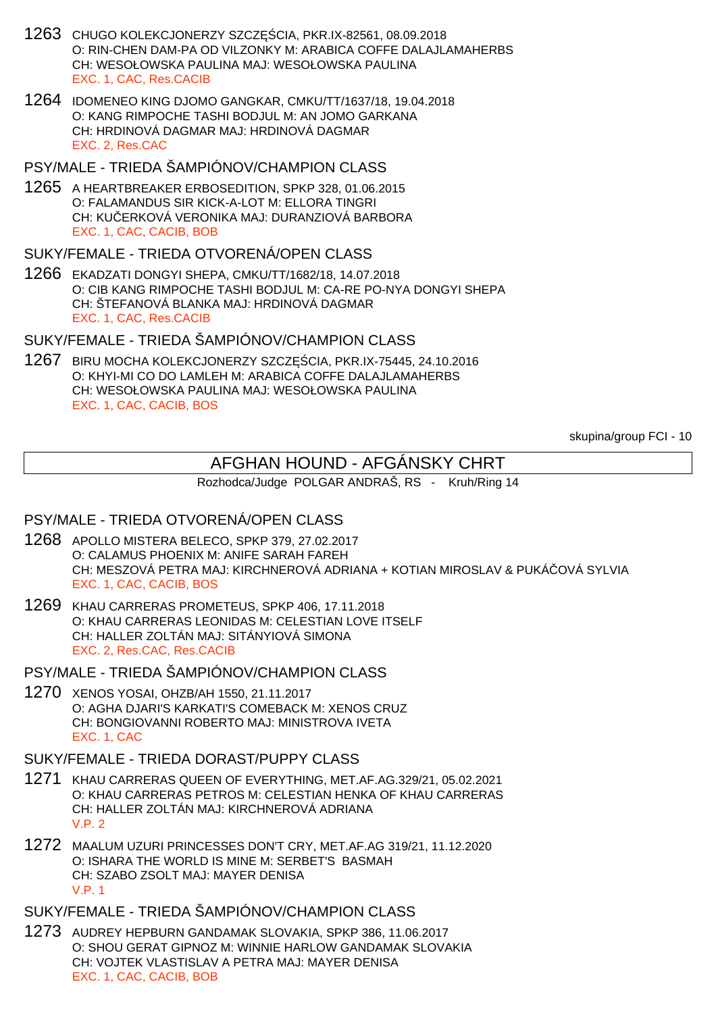- 1263 CHUGO KOLEKCJONERZY SZCZ CIA, PKR.IX-82561, 08.09.2018 O: RIN-CHEN DAM-PA OD VILZONKY M: ARABICA COFFE DALAJLAMAHERBS CH: WESOŁOWSKA PAULINA MAJ: WESOŁOWSKA PAULINA EXC. 1, CAC, Res.CACIB
- 1264 IDOMENEO KING DJOMO GANGKAR, CMKU/TT/1637/18, 19.04.2018 O: KANG RIMPOCHE TASHI BODJUL M: AN JOMO GARKANA CH: HRDINOVÁ DAGMAR MAJ: HRDINOVÁ DAGMAR EXC. 2, Res.CAC
- PSY/MALE TRIEDA ŠAMPIÓNOV/CHAMPION CLASS
- 1265 A HEARTBREAKER ERBOSEDITION, SPKP 328, 01.06.2015 O: FALAMANDUS SIR KICK-A-LOT M: ELLORA TINGRI CH: KU ERKOVÁ VERONIKA MAJ: DURANZIOVÁ BARBORA EXC. 1, CAC, CACIB, BOB

SUKY/FEMALE - TRIEDA OTVORENÁ/OPEN CLASS

1266 EKADZATI DONGYI SHEPA, CMKU/TT/1682/18, 14.07.2018 O: CIB KANG RIMPOCHE TASHI BODJUL M: CA-RE PO-NYA DONGYI SHEPA CH: ŠTEFANOVÁ BLANKA MAJ: HRDINOVÁ DAGMAR EXC. 1, CAC, Res.CACIB

SUKY/FEMALE - TRIEDA ŠAMPIÓNOV/CHAMPION CLASS

1267 BIRU MOCHA KOLEKCJONERZY SZCZĘŚCIA, PKR.IX-75445, 24.10.2016 O: KHYI-MI CO DO LAMLEH M: ARABICA COFFE DALAJLAMAHERBS CH: WESOŁOWSKA PAULINA MAJ: WESOŁOWSKA PAULINA EXC. 1, CAC, CACIB, BOS

skupina/group FCI - 10

# AFGHAN HOUND - AFGÁNSKY CHRT

Rozhodca/Judge POLGAR ANDRAŠ, RS - Kruh/Ring 14

### PSY/MALE - TRIEDA OTVORENÁ/OPEN CLASS

- 1268 APOLLO MISTERA BELECO, SPKP 379, 27.02.2017 O: CALAMUS PHOENIX M: ANIFE SARAH FAREH CH: MESZOVÁ PETRA MAJ: KIRCHNEROVÁ ADRIANA + KOTIAN MIROSLAV & PUKÁ OVÁ SYLVIA EXC. 1, CAC, CACIB, BOS
- 1269 KHAU CARRERAS PROMETEUS, SPKP 406, 17.11.2018 O: KHAU CARRERAS LEONIDAS M: CELESTIAN LOVE ITSELF CH: HALLER ZOLTÁN MAJ: SITÁNYIOVÁ SIMONA EXC. 2, Res.CAC, Res.CACIB

PSY/MALE - TRIEDA ŠAMPIÓNOV/CHAMPION CLASS

1270 XENOS YOSAI, OHZB/AH 1550, 21.11.2017 O: AGHA DJARI'S KARKATI'S COMEBACK M: XENOS CRUZ CH: BONGIOVANNI ROBERTO MAJ: MINISTROVA IVETA EXC. 1, CAC

SUKY/FEMALE - TRIEDA DORAST/PUPPY CLASS

- 1271 KHAU CARRERAS QUEEN OF EVERYTHING, MET.AF.AG.329/21, 05.02.2021 O: KHAU CARRERAS PETROS M: CELESTIAN HENKA OF KHAU CARRERAS CH: HALLER ZOLTÁN MAJ: KIRCHNEROVÁ ADRIANA V.P. 2
- 1272 MAALUM UZURI PRINCESSES DON'T CRY, MET.AF.AG 319/21, 11.12.2020 O: ISHARA THE WORLD IS MINE M: SERBET'S BASMAH CH: SZABO ZSOLT MAJ: MAYER DENISA V.P. 1

SUKY/FEMALE - TRIEDA ŠAMPIÓNOV/CHAMPION CLASS

1273 AUDREY HEPBURN GANDAMAK SLOVAKIA, SPKP 386, 11.06.2017 O: SHOU GERAT GIPNOZ M: WINNIE HARLOW GANDAMAK SLOVAKIA CH: VOJTEK VLASTISLAV A PETRA MAJ: MAYER DENISA EXC. 1, CAC, CACIB, BOB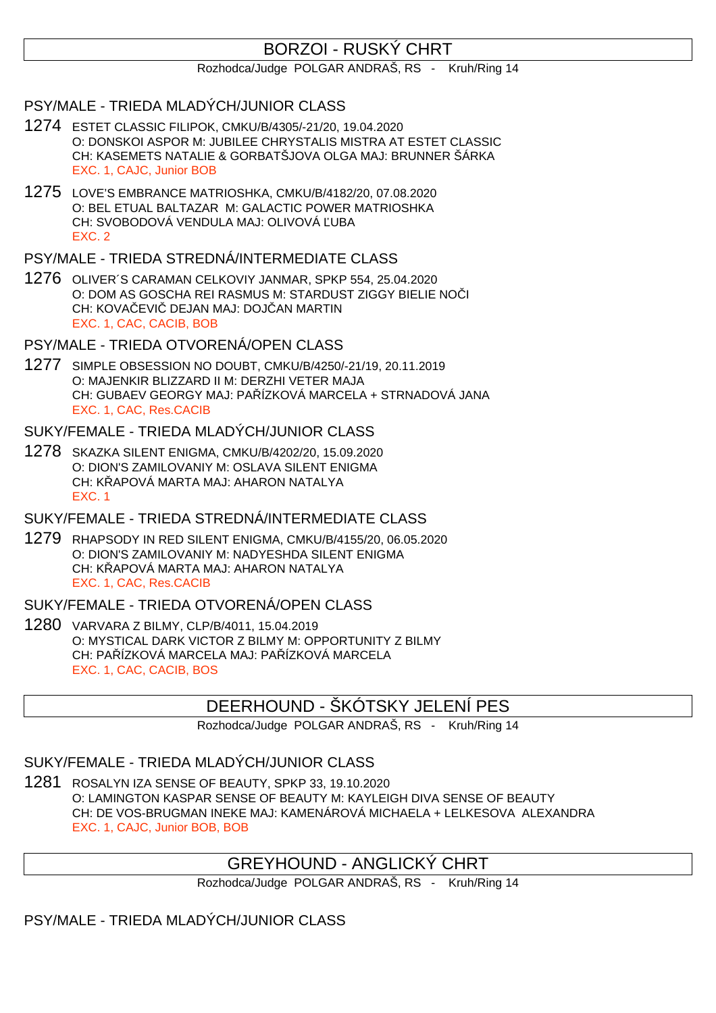# BORZOI - RUSKÝ CHRT

Rozhodca/Judge POLGAR ANDRAŠ, RS - Kruh/Ring 14

PSY/MALE - TRIEDA MLADÝCH/JUNIOR CLASS

- 1274 ESTET CLASSIC FILIPOK, CMKU/B/4305/-21/20, 19.04.2020 O: DONSKOI ASPOR M: JUBILEE CHRYSTALIS MISTRA AT ESTET CLASSIC CH: KASEMETS NATALIE & GORBATŠJOVA OLGA MAJ: BRUNNER ŠÁRKA EXC. 1, CAJC, Junior BOB
- 1275 LOVE'S EMBRANCE MATRIOSHKA, CMKU/B/4182/20, 07.08.2020 O: BEL ETUAL BALTAZAR M: GALACTIC POWER MATRIOSHKA CH: SVOBODOVÁ VENDULA MAJ: OLIVOVÁ UBA EXC. 2

PSY/MALE - TRIEDA STREDNÁ/INTERMEDIATE CLASS

1276 OLIVER´S CARAMAN CELKOVIY JANMAR, SPKP 554, 25.04.2020 O: DOM AS GOSCHA REI RASMUS M: STARDUST ZIGGY BIELIE NOČI CH: KOVAČEVIČ DEJAN MAJ: DOJČAN MARTIN EXC. 1, CAC, CACIB, BOB

PSY/MALE - TRIEDA OTVORENÁ/OPEN CLASS

1277 SIMPLE OBSESSION NO DOUBT, CMKU/B/4250/-21/19, 20.11.2019 O: MAJENKIR BLIZZARD II M: DERZHI VETER MAJA CH: GUBAEV GEORGY MAJ: PA ÍZKOVÁ MARCELA + STRNADOVÁ JANA EXC. 1, CAC, Res.CACIB

SUKY/FEMALE - TRIEDA MLADÝCH/JUNIOR CLASS

1278 SKAZKA SILENT ENIGMA, CMKU/B/4202/20, 15.09.2020 O: DION'S ZAMILOVANIY M: OSLAVA SILENT ENIGMA CH: KAPOVÁ MARTA MAJ: AHARON NATALYA EXC. 1

SUKY/FEMALE - TRIEDA STREDNÁ/INTERMEDIATE CLASS

1279 RHAPSODY IN RED SILENT ENIGMA, CMKU/B/4155/20, 06.05.2020 O: DION'S ZAMILOVANIY M: NADYESHDA SILENT ENIGMA CH: KAPOVÁ MARTA MAJ: AHARON NATALYA EXC. 1, CAC, Res.CACIB

# SUKY/FEMALE - TRIEDA OTVORENÁ/OPEN CLASS

1280 VARVARA Z BILMY, CLP/B/4011, 15.04.2019 O: MYSTICAL DARK VICTOR Z BILMY M: OPPORTUNITY Z BILMY CH: PA ÍZKOVÁ MARCELA MAJ: PA ÍZKOVÁ MARCELA EXC. 1, CAC, CACIB, BOS

# DEERHOUND - ŠKÓTSKY JELENÍ PES

Rozhodca/Judge POLGAR ANDRAŠ, RS - Kruh/Ring 14

SUKY/FEMALE - TRIEDA MLADÝCH/JUNIOR CLASS

1281 ROSALYN IZA SENSE OF BEAUTY, SPKP 33, 19.10.2020 O: LAMINGTON KASPAR SENSE OF BEAUTY M: KAYLEIGH DIVA SENSE OF BEAUTY CH: DE VOS-BRUGMAN INEKE MAJ: KAMENÁROVÁ MICHAELA + LELKESOVA ALEXANDRA EXC. 1, CAJC, Junior BOB, BOB

# GREYHOUND - ANGLICKÝ CHRT

Rozhodca/Judge POLGAR ANDRAŠ, RS - Kruh/Ring 14

PSY/MALE - TRIEDA MLADÝCH/JUNIOR CLASS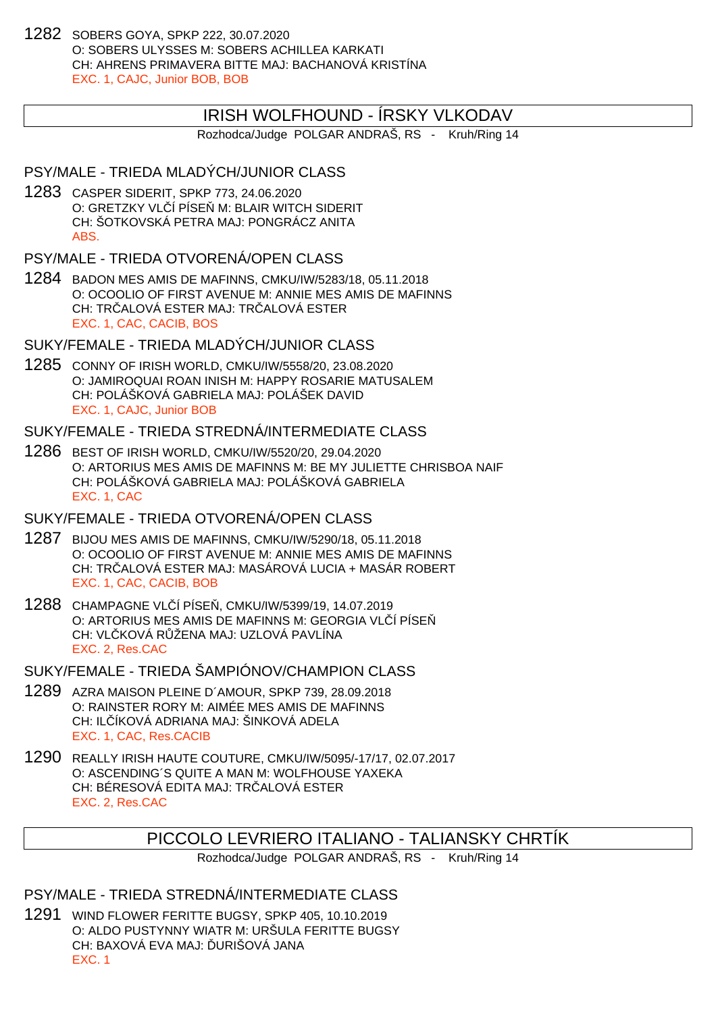1282 SOBERS GOYA, SPKP 222, 30.07.2020 O: SOBERS ULYSSES M: SOBERS ACHILLEA KARKATI CH: AHRENS PRIMAVERA BITTE MAJ: BACHANOVÁ KRISTÍNA EXC. 1, CAJC, Junior BOB, BOB

# IRISH WOLFHOUND - ÍRSKY VLKODAV

Rozhodca/Judge POLGAR ANDRAŠ, RS - Kruh/Ring 14

## PSY/MALE - TRIEDA MLADÝCH/JUNIOR CLASS

- 1283 CASPER SIDERIT, SPKP 773, 24.06.2020 O: GRETZKY VLÍ PÍSE M: BLAIR WITCH SIDERIT CH: ŠOTKOVSKÁ PETRA MAJ: PONGRÁCZ ANITA ABS.
- PSY/MALE TRIEDA OTVORENÁ/OPEN CLASS
- 1284 BADON MES AMIS DE MAFINNS, CMKU/IW/5283/18, 05.11.2018 O: OCOOLIO OF FIRST AVENUE M: ANNIE MES AMIS DE MAFINNS CH: TR ALOVÁ ESTER MAJ: TR ALOVÁ ESTER EXC. 1, CAC, CACIB, BOS

SUKY/FEMALE - TRIEDA MLADÝCH/JUNIOR CLASS

1285 CONNY OF IRISH WORLD, CMKU/IW/5558/20, 23.08.2020 O: JAMIROQUAI ROAN INISH M: HAPPY ROSARIE MATUSALEM CH: POLÁŠKOVÁ GABRIELA MAJ: POLÁŠEK DAVID EXC. 1, CAJC, Junior BOB

# SUKY/FEMALE - TRIEDA STREDNÁ/INTERMEDIATE CI ASS

1286 BEST OF IRISH WORLD, CMKU/IW/5520/20, 29.04.2020 O: ARTORIUS MES AMIS DE MAFINNS M: BE MY JULIETTE CHRISBOA NAIF CH: POLÁŠKOVÁ GABRIELA MAJ: POLÁŠKOVÁ GABRIELA EXC. 1, CAC

#### SUKY/FEMALE - TRIEDA OTVORENÁ/OPEN CLASS

- 1287 BIJOU MES AMIS DE MAFINNS, CMKU/IW/5290/18, 05.11.2018 O: OCOOLIO OF FIRST AVENUE M: ANNIE MES AMIS DE MAFINNS CH: TR ALOVÁ ESTER MAJ: MASÁROVÁ LUCIA + MASÁR ROBERT EXC. 1, CAC, CACIB, BOB
- 1288 CHAMPAGNE VLÍ PÍSE, CMKU/IW/5399/19, 14.07.2019 O: ARTORIUS MES AMIS DE MAFINNS M: GEORGIA VLÍPÍSE CH: VL KOVÁ R ŽENA MAJ: UZLOVÁ PAVLÍNA EXC. 2, Res.CAC
- SUKY/FEMALE TRIEDA ŠAMPIÓNOV/CHAMPION CLASS
- 1289 AZRA MAISON PLEINE D´AMOUR, SPKP 739, 28.09.2018 O: RAINSTER RORY M: AIMÉE MES AMIS DE MAFINNS CH: IL ÍKOVÁ ADRIANA MAJ: ŠINKOVÁ ADELA EXC. 1, CAC, Res.CACIB
- 1290 REALLY IRISH HAUTE COUTURE, CMKU/IW/5095/-17/17, 02.07.2017 O: ASCENDING´S QUITE A MAN M: WOLFHOUSE YAXEKA CH: BÉRESOVÁ EDITA MAJ: TR ALOVÁ ESTER EXC. 2, Res.CAC

# PICCOLO LEVRIERO ITALIANO - TALIANSKY CHRTÍK

Rozhodca/Judge POLGAR ANDRAŠ, RS - Kruh/Ring 14

# PSY/MALE - TRIEDA STREDNÁ/INTERMEDIATE CLASS

1291 WIND FLOWER FERITTE BUGSY, SPKP 405, 10.10.2019 O: ALDO PUSTYNNY WIATR M: URŠULA FERITTE BUGSY CH: BAXOVÁ EVA MAJ: URIŠOVÁ JANA EXC. 1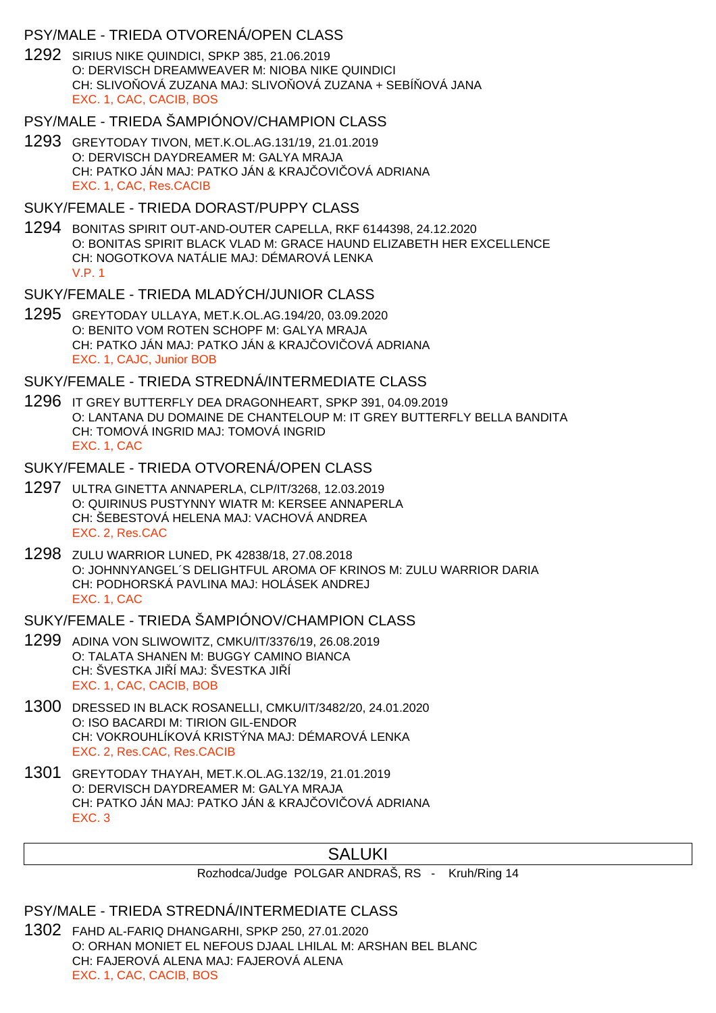### PSY/MALE - TRIEDA OTVORENÁ/OPEN CLASS

1292 SIRIUS NIKE QUINDICI, SPKP 385, 21.06.2019 O: DERVISCH DREAMWEAVER M: NIOBA NIKE QUINDICI CH: SLIVO OVÁ ZUZANA MAJ: SLIVO OVÁ ZUZANA + SEBÍ OVÁ JANA EXC. 1, CAC, CACIB, BOS

#### PSY/MALE - TRIEDA ŠAMPIÓNOV/CHAMPION CLASS

1293 GREYTODAY TIVON, MET.K.OL.AG.131/19, 21.01.2019 O: DERVISCH DAYDREAMER M: GALYA MRAJA CH: PATKO JÁN MAJ: PATKO JÁN & KRAJ OVI OVÁ ADRIANA EXC. 1, CAC, Res.CACIB

#### SUKY/FEMALE - TRIEDA DORAST/PUPPY CLASS

1294 BONITAS SPIRIT OUT-AND-OUTER CAPELLA, RKF 6144398, 24.12.2020 O: BONITAS SPIRIT BLACK VLAD M: GRACE HAUND ELIZABETH HER EXCELLENCE CH: NOGOTKOVA NATÁLIE MAJ: DÉMAROVÁ LENKA V.P. 1

#### SUKY/FEMALE - TRIEDA MLADÝCH/JUNIOR CLASS

1295 GREYTODAY ULLAYA, MET.K.OL.AG.194/20, 03.09.2020 O: BENITO VOM ROTEN SCHOPF M: GALYA MRAJA CH: PATKO JÁN MAJ: PATKO JÁN & KRAJ OVI OVÁ ADRIANA EXC. 1, CAJC, Junior BOB

### SUKY/FEMALE - TRIEDA STREDNÁ/INTERMEDIATE CLASS

1296 IT GREY BUTTERFLY DEA DRAGONHEART, SPKP 391, 04.09.2019 O: LANTANA DU DOMAINE DE CHANTELOUP M: IT GREY BUTTERFLY BELLA BANDITA CH: TOMOVÁ INGRID MAJ: TOMOVÁ INGRID EXC. 1, CAC

#### SUKY/FEMALE - TRIEDA OTVORENÁ/OPEN CLASS

- 1297 ULTRA GINETTA ANNAPERLA, CLP/IT/3268, 12.03.2019 O: QUIRINUS PUSTYNNY WIATR M: KERSEE ANNAPERLA CH: ŠEBESTOVÁ HELENA MAJ: VACHOVÁ ANDREA EXC. 2, Res.CAC
- 1298 ZULU WARRIOR LUNED, PK 42838/18, 27.08.2018 O: JOHNNYANGEL´S DELIGHTFUL AROMA OF KRINOS M: ZULU WARRIOR DARIA CH: PODHORSKÁ PAVLINA MAJ: HOLÁSEK ANDREJ EXC. 1, CAC

# SUKY/FEMALE - TRIEDA ŠAMPIÓNOV/CHAMPION CLASS

- 1299 ADINA VON SLIWOWITZ, CMKU/IT/3376/19, 26.08.2019 O: TALATA SHANEN M: BUGGY CAMINO BIANCA CH: ŠVESTKA JI Í MAJ: ŠVESTKA JI Í EXC. 1, CAC, CACIB, BOB
- 1300 DRESSED IN BLACK ROSANELLI, CMKU/IT/3482/20, 24.01.2020 O: ISO BACARDI M: TIRION GIL-ENDOR CH: VOKROUHLÍKOVÁ KRISTÝNA MAJ: DÉMAROVÁ LENKA EXC. 2, Res.CAC, Res.CACIB
- 1301 GREYTODAY THAYAH, MET.K.OL.AG.132/19, 21.01.2019 O: DERVISCH DAYDREAMER M: GALYA MRAJA CH: PATKO JÁN MAJ: PATKO JÁN & KRAJ OVI OVÁ ADRIANA EXC. 3

# **SALUKI**

#### Rozhodca/Judge POLGAR ANDRAŠ, RS - Kruh/Ring 14

#### PSY/MALE - TRIEDA STREDNÁ/INTERMEDIATE CLASS

1302 FAHD AL-FARIQ DHANGARHI, SPKP 250, 27.01.2020 O: ORHAN MONIET EL NEFOUS DJAAL LHILAL M: ARSHAN BEL BLANC CH: FAJEROVÁ ALENA MAJ: FAJEROVÁ ALENA EXC. 1, CAC, CACIB, BOS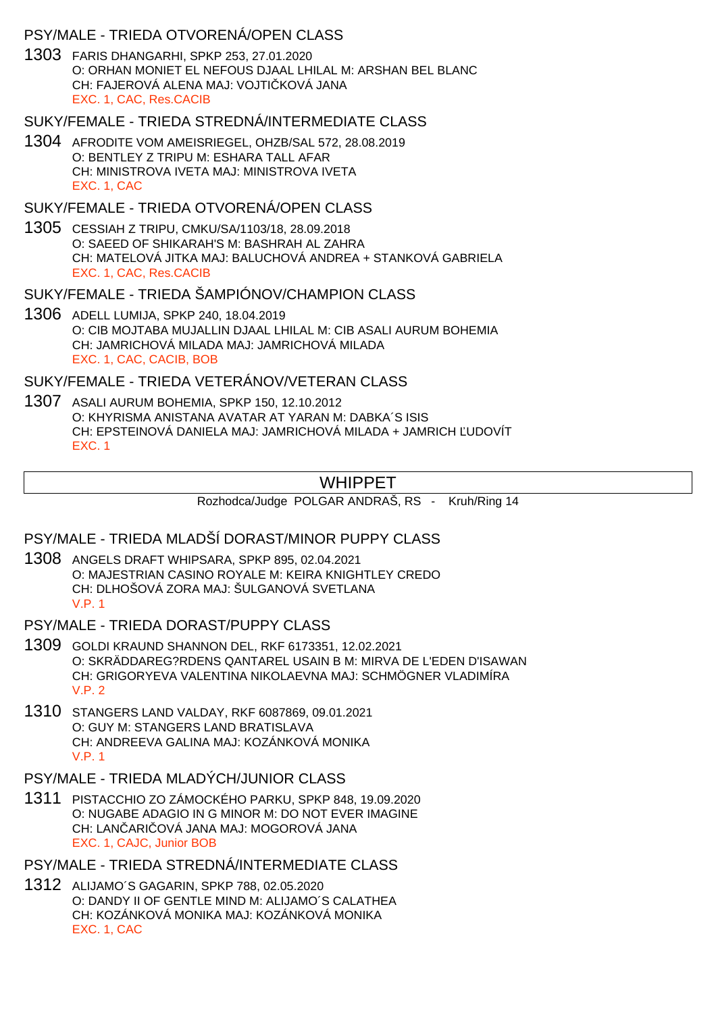### PSY/MALE - TRIEDA OTVORENÁ/OPEN CLASS

1303 FARIS DHANGARHI, SPKP 253, 27.01.2020 O: ORHAN MONIET EL NEFOUS DJAAL LHILAL M: ARSHAN BEL BLANC CH: FAJEROVÁ ALENA MAJ: VOJTI KOVÁ JANA EXC. 1, CAC, Res.CACIB

### SUKY/FEMALE - TRIEDA STREDNÁ/INTERMEDIATE CLASS

1304 AFRODITE VOM AMEISRIEGEL, OHZB/SAL 572, 28.08.2019 O: BENTLEY Z TRIPU M: ESHARA TALL AFAR CH: MINISTROVA IVETA MAJ: MINISTROVA IVETA EXC. 1, CAC

# SUKY/FEMALE - TRIEDA OTVORENÁ/OPEN CLASS

1305 CESSIAH Z TRIPU, CMKU/SA/1103/18, 28.09.2018 O: SAEED OF SHIKARAH'S M: BASHRAH AL ZAHRA CH: MATELOVÁ JITKA MAJ: BALUCHOVÁ ANDREA + STANKOVÁ GABRIELA EXC. 1, CAC, Res.CACIB

# SUKY/FEMALE - TRIEDA ŠAMPIÓNOV/CHAMPION CLASS

1306 ADELL LUMIJA, SPKP 240, 18.04.2019 O: CIB MOJTABA MUJALLIN DJAAL LHILAL M: CIB ASALI AURUM BOHEMIA CH: JAMRICHOVÁ MILADA MAJ: JAMRICHOVÁ MILADA EXC. 1, CAC, CACIB, BOB

## SUKY/FEMALE - TRIEDA VETERÁNOV/VETERAN CLASS

1307 ASALI AURUM BOHEMIA, SPKP 150, 12.10.2012 O: KHYRISMA ANISTANA AVATAR AT YARAN M: DABKA´S ISIS CH: EPSTEINOVÁ DANIELA MAJ: JAMRICHOVÁ MILADA + JAMRICH ĽUDOVÍT EXC. 1

# WHIPPET

Rozhodca/Judge POLGAR ANDRAŠ, RS - Kruh/Ring 14

### PSY/MALE - TRIEDA MLADŠÍ DORAST/MINOR PUPPY CLASS

1308 ANGELS DRAFT WHIPSARA, SPKP 895, 02.04.2021 O: MAJESTRIAN CASINO ROYALE M: KEIRA KNIGHTLEY CREDO CH: DLHOŠOVÁ ZORA MAJ: ŠULGANOVÁ SVETLANA V.P. 1

#### PSY/MALE - TRIEDA DORAST/PUPPY CLASS

- 1309 GOLDI KRAUND SHANNON DEL, RKF 6173351, 12.02.2021 O: SKRÄDDAREG?RDENS QANTAREL USAIN B M: MIRVA DE L'EDEN D'ISAWAN CH: GRIGORYEVA VALENTINA NIKOLAEVNA MAJ: SCHMÖGNER VLADIMÍRA V.P. 2
- 1310 STANGERS LAND VALDAY, RKF 6087869, 09.01.2021 O: GUY M: STANGERS LAND BRATISLAVA CH: ANDREEVA GALINA MAJ: KOZÁNKOVÁ MONIKA V.P. 1

## PSY/MALE - TRIEDA MLADÝCH/JUNIOR CLASS

1311 PISTACCHIO ZO ZÁMOCKÉHO PARKU, SPKP 848, 19.09.2020 O: NUGABE ADAGIO IN G MINOR M: DO NOT EVER IMAGINE CH: LAN ARI OVÁ JANA MAJ: MOGOROVÁ JANA EXC. 1, CAJC, Junior BOB

PSY/MALE - TRIEDA STREDNÁ/INTERMEDIATE CLASS

1312 ALIJAMO´S GAGARIN, SPKP 788, 02.05.2020 O: DANDY II OF GENTLE MIND M: ALIJAMO´S CALATHEA CH: KOZÁNKOVÁ MONIKA MAJ: KOZÁNKOVÁ MONIKA EXC. 1, CAC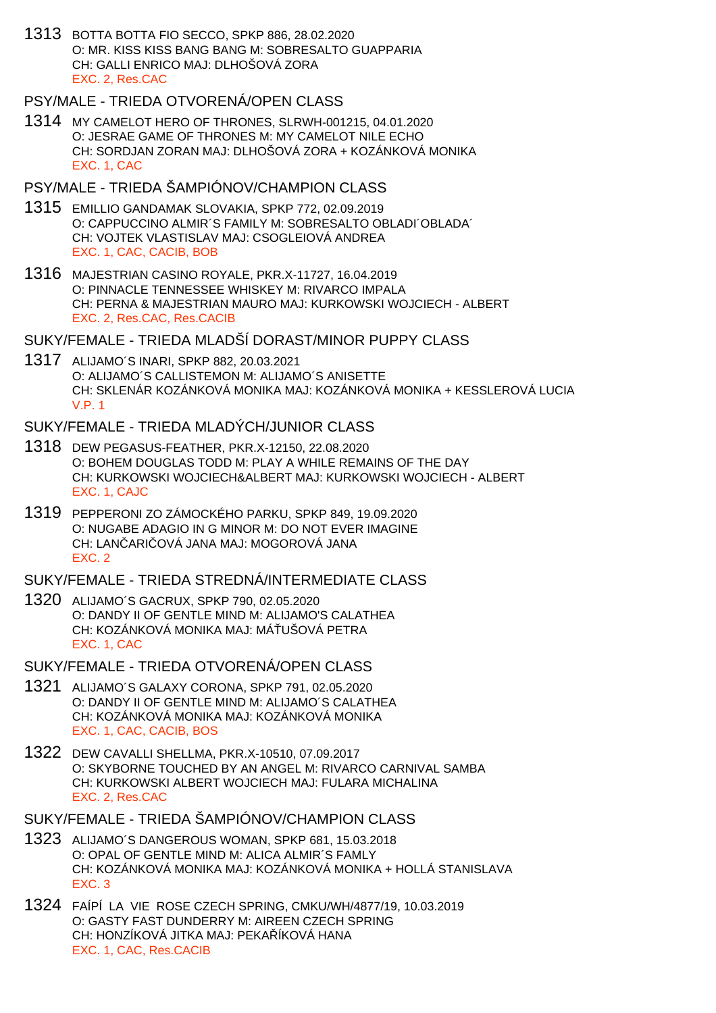1313 BOTTA BOTTA FIO SECCO, SPKP 886, 28.02.2020 O: MR. KISS KISS BANG BANG M: SOBRESALTO GUAPPARIA CH: GALLI ENRICO MAJ: DLHOŠOVÁ ZORA EXC. 2, Res.CAC

# PSY/MALE - TRIEDA OTVORENÁ/OPEN CLASS

1314 MY CAMELOT HERO OF THRONES, SLRWH-001215, 04.01.2020 O: JESRAE GAME OF THRONES M: MY CAMELOT NILE ECHO CH: SORDJAN ZORAN MAJ: DLHOŠOVÁ ZORA + KOZÁNKOVÁ MONIKA EXC. 1, CAC

### PSY/MALE - TRIEDA ŠAMPIÓNOV/CHAMPION CLASS

- 1315 EMILLIO GANDAMAK SLOVAKIA, SPKP 772, 02.09.2019 O: CAPPUCCINO ALMIR´S FAMILY M: SOBRESALTO OBLADI´OBLADA´ CH: VOJTEK VLASTISLAV MAJ: CSOGLEIOVÁ ANDREA EXC. 1, CAC, CACIB, BOB
- 1316 MAJESTRIAN CASINO ROYALE, PKR.X-11727, 16.04.2019 O: PINNACLE TENNESSEE WHISKEY M: RIVARCO IMPALA CH: PERNA & MAJESTRIAN MAURO MAJ: KURKOWSKI WOJCIECH - ALBERT EXC. 2, Res.CAC, Res.CACIB
- SUKY/FEMALE TRIEDA MLADŠÍ DORAST/MINOR PUPPY CLASS
- 1317 ALIJAMO´S INARI, SPKP 882, 20.03.2021 O: ALIJAMO´S CALLISTEMON M: ALIJAMO´S ANISETTE CH: SKLENÁR KOZÁNKOVÁ MONIKA MAJ: KOZÁNKOVÁ MONIKA + KESSLEROVÁ LUCIA V.P. 1

#### SUKY/FEMALE - TRIEDA MLADÝCH/JUNIOR CLASS

- 1318 DEW PEGASUS-FEATHER, PKR.X-12150, 22.08.2020 O: BOHEM DOUGLAS TODD M: PLAY A WHILE REMAINS OF THE DAY CH: KURKOWSKI WOJCIECH&ALBERT MAJ: KURKOWSKI WOJCIECH - ALBERT EXC. 1, CAJC
- 1319 PEPPERONI ZO ZÁMOCKÉHO PARKU, SPKP 849, 19.09.2020 O: NUGABE ADAGIO IN G MINOR M: DO NOT EVER IMAGINE CH: LAN ARI OVÁ JANA MAJ: MOGOROVÁ JANA EXC. 2

SUKY/FEMALE - TRIEDA STREDNÁ/INTERMEDIATE CLASS

1320 ALIJAMO´S GACRUX, SPKP 790, 02.05.2020 O: DANDY II OF GENTLE MIND M: ALIJAMO'S CALATHEA CH: KOZÁNKOVÁ MONIKA MAJ: MÁ UŠOVÁ PETRA EXC. 1, CAC

SUKY/FEMALE - TRIEDA OTVORENÁ/OPEN CLASS

- 1321 ALIJAMO´S GALAXY CORONA, SPKP 791, 02.05.2020 O: DANDY II OF GENTLE MIND M: ALIJAMO´S CALATHEA CH: KOZÁNKOVÁ MONIKA MAJ: KOZÁNKOVÁ MONIKA EXC. 1, CAC, CACIB, BOS
- 1322 DEW CAVALLI SHELLMA, PKR.X-10510, 07.09.2017 O: SKYBORNE TOUCHED BY AN ANGEL M: RIVARCO CARNIVAL SAMBA CH: KURKOWSKI ALBERT WOJCIECH MAJ: FULARA MICHALINA EXC. 2, Res.CAC

SUKY/FEMALE - TRIEDA ŠAMPIÓNOV/CHAMPION CLASS

- 1323 ALIJAMO´S DANGEROUS WOMAN, SPKP 681, 15.03.2018 O: OPAL OF GENTLE MIND M: ALICA ALMIR´S FAMLY CH: KOZÁNKOVÁ MONIKA MAJ: KOZÁNKOVÁ MONIKA + HOLLÁ STANISLAVA EXC. 3
- 1324 FAÍPÍ LA VIE ROSE CZECH SPRING, CMKU/WH/4877/19, 10.03.2019 O: GASTY FAST DUNDERRY M: AIREEN CZECH SPRING CH: HONZÍKOVÁ JITKA MAJ: PEKA ÍKOVÁ HANA EXC. 1, CAC, Res.CACIB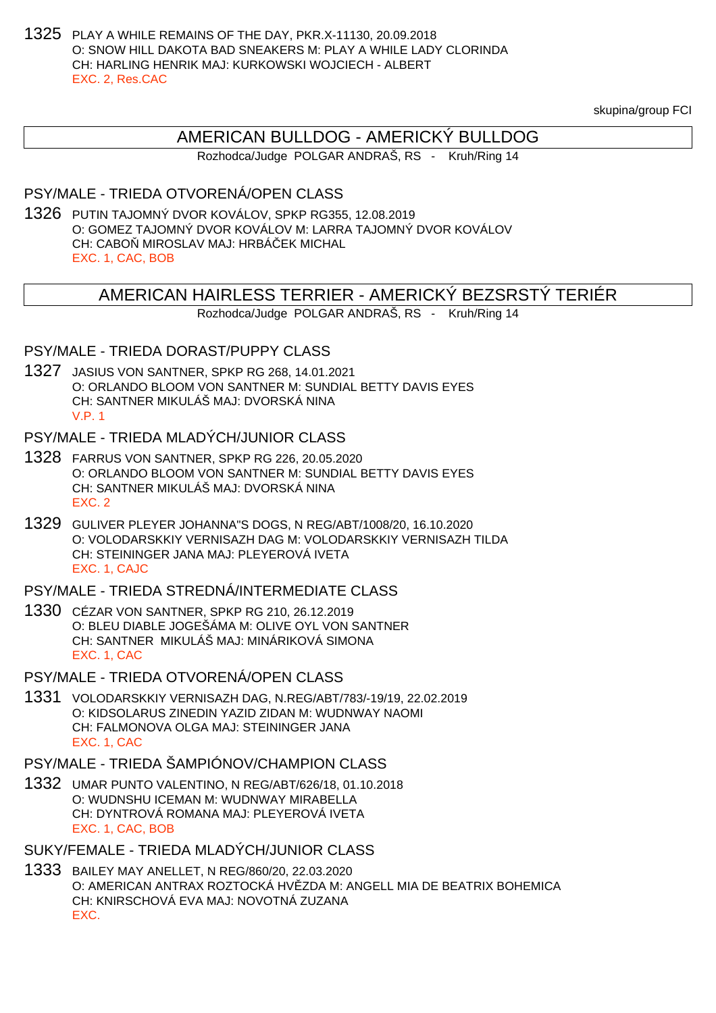1325 PLAY A WHILE REMAINS OF THE DAY, PKR.X-11130, 20.09.2018 O: SNOW HILL DAKOTA BAD SNEAKERS M: PLAY A WHILE LADY CLORINDA CH: HARLING HENRIK MAJ: KURKOWSKI WOJCIECH - ALBERT EXC. 2, Res.CAC

skupina/group FCI

# AMERICAN BULLDOG - AMERICKÝ BULLDOG

Rozhodca/Judge POLGAR ANDRAŠ, RS - Kruh/Ring 14

### PSY/MALE - TRIEDA OTVORENÁ/OPEN CLASS

1326 PUTIN TAJOMNÝ DVOR KOVÁLOV, SPKP RG355, 12.08.2019 O: GOMEZ TAJOMNÝ DVOR KOVÁLOV M: LARRA TAJOMNÝ DVOR KOVÁLOV CH: CABO MIROSLAV MAJ: HRBÁ EK MICHAL EXC. 1, CAC, BOB

# AMERICAN HAIRLESS TERRIER - AMERICKÝ BEZSRSTÝ TERIÉR

Rozhodca/Judge POLGAR ANDRAŠ, RS - Kruh/Ring 14

#### PSY/MALE - TRIEDA DORAST/PUPPY CLASS

1327 JASIUS VON SANTNER, SPKP RG 268, 14.01.2021 O: ORLANDO BLOOM VON SANTNER M: SUNDIAL BETTY DAVIS EYES CH: SANTNER MIKULÁŠ MAJ: DVORSKÁ NINA V.P. 1

## PSY/MALE - TRIEDA MLADÝCH/JUNIOR CLASS

- 1328 FARRUS VON SANTNER, SPKP RG 226, 20.05.2020 O: ORLANDO BLOOM VON SANTNER M: SUNDIAL BETTY DAVIS EYES CH: SANTNER MIKULÁŠ MAJ: DVORSKÁ NINA EXC. 2
- 1329 GULIVER PLEYER JOHANNA"S DOGS, N REG/ABT/1008/20, 16.10.2020 O: VOLODARSKKIY VERNISAZH DAG M: VOLODARSKKIY VERNISAZH TILDA CH: STEININGER JANA MAJ: PLEYEROVÁ IVETA EXC. 1, CAJC

### PSY/MALE - TRIEDA STREDNÁ/INTERMEDIATE CLASS

1330 CÉZAR VON SANTNER, SPKP RG 210, 26.12.2019 O: BLEU DIABLE JOGEŠÁMA M: OLIVE OYL VON SANTNER CH: SANTNER MIKULÁŠ MAJ: MINÁRIKOVÁ SIMONA EXC. 1, CAC

#### PSY/MALE - TRIEDA OTVORENÁ/OPEN CLASS

1331 VOLODARSKKIY VERNISAZH DAG, N.REG/ABT/783/-19/19, 22.02.2019 O: KIDSOLARUS ZINEDIN YAZID ZIDAN M: WUDNWAY NAOMI CH: FALMONOVA OLGA MAJ: STEININGER JANA EXC. 1, CAC

# PSY/MALE - TRIEDA ŠAMPIÓNOV/CHAMPION CLASS

1332 UMAR PUNTO VALENTINO, N REG/ABT/626/18, 01.10.2018 O: WUDNSHU ICEMAN M: WUDNWAY MIRABELLA CH: DYNTROVÁ ROMANA MAJ: PLEYEROVÁ IVETA EXC. 1, CAC, BOB

# SUKY/FEMALE - TRIEDA MLADÝCH/JUNIOR CLASS

1333 BAILEY MAY ANELLET, N REG/860/20, 22.03.2020 O: AMERICAN ANTRAX ROZTOCKÁ HVÍZDA M: ANGELL MIA DE BEATRIX BOHEMICA CH: KNIRSCHOVÁ EVA MAJ: NOVOTNÁ ZUZANA EXC.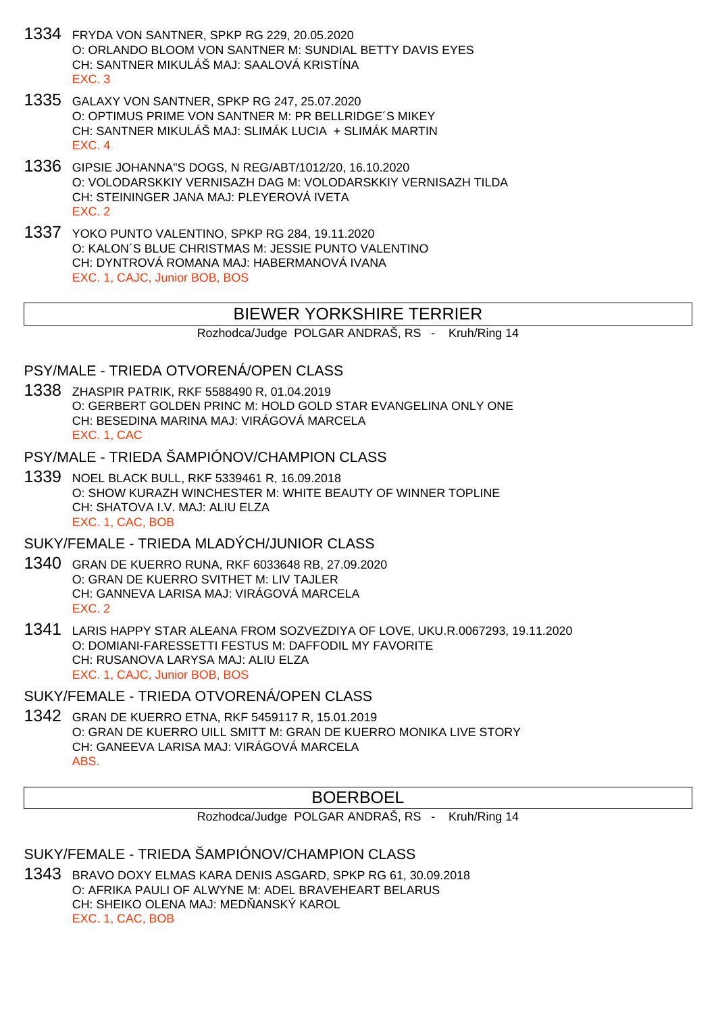- 1334 FRYDA VON SANTNER, SPKP RG 229, 20.05.2020 O: ORLANDO BLOOM VON SANTNER M: SUNDIAL BETTY DAVIS EYES CH: SANTNER MIKULÁŠ MAJ: SAALOVÁ KRISTÍNA EXC. 3
- 1335 GALAXY VON SANTNER, SPKP RG 247, 25.07.2020 O: OPTIMUS PRIME VON SANTNER M: PR BELLRIDGE´S MIKEY CH: SANTNER MIKULÁŠ MAJ: SLIMÁK LUCIA + SLIMÁK MARTIN EXC. 4
- 1336 GIPSIE JOHANNA"S DOGS, N REG/ABT/1012/20, 16.10.2020 O: VOLODARSKKIY VERNISAZH DAG M: VOLODARSKKIY VERNISAZH TILDA CH: STEININGER JANA MAJ: PLEYEROVÁ IVETA EXC. 2
- 1337 YOKO PUNTO VALENTINO, SPKP RG 284, 19.11.2020 O: KALON´S BLUE CHRISTMAS M: JESSIE PUNTO VALENTINO CH: DYNTROVÁ ROMANA MAJ: HABERMANOVÁ IVANA EXC. 1, CAJC, Junior BOB, BOS

# BIEWER YORKSHIRE TERRIER

Rozhodca/Judge POLGAR ANDRAŠ, RS - Kruh/Ring 14

#### PSY/MALE - TRIEDA OTVORENÁ/OPEN CLASS

1338 ZHASPIR PATRIK, RKF 5588490 R, 01.04.2019 O: GERBERT GOLDEN PRINC M: HOLD GOLD STAR EVANGELINA ONLY ONE CH: BESEDINA MARINA MAJ: VIRÁGOVÁ MARCELA EXC. 1, CAC

#### PSY/MALE - TRIEDA ŠAMPIÓNOV/CHAMPION CLASS

1339 NOEL BLACK BULL, RKF 5339461 R, 16.09.2018 O: SHOW KURAZH WINCHESTER M: WHITE BEAUTY OF WINNER TOPLINE CH: SHATOVA I.V. MAJ: ALIU ELZA EXC. 1, CAC, BOB

#### SUKY/FEMALE - TRIEDA MLADÝCH/JUNIOR CLASS

- 1340 GRAN DE KUERRO RUNA, RKF 6033648 RB, 27.09.2020 O: GRAN DE KUERRO SVITHET M: LIV TAJLER CH: GANNEVA LARISA MAJ: VIRÁGOVÁ MARCELA EXC. 2
- 1341 LARIS HAPPY STAR ALEANA FROM SOZVEZDIYA OF LOVE, UKU.R.0067293, 19.11.2020 O: DOMIANI-FARESSETTI FESTUS M: DAFFODIL MY FAVORITE CH: RUSANOVA LARYSA MAJ: ALIU ELZA EXC. 1, CAJC, Junior BOB, BOS

#### SUKY/FEMALE - TRIEDA OTVORENÁ/OPEN CLASS

1342 GRAN DE KUERRO ETNA, RKF 5459117 R, 15.01.2019 O: GRAN DE KUERRO UILL SMITT M: GRAN DE KUERRO MONIKA LIVE STORY CH: GANEEVA LARISA MAJ: VIRÁGOVÁ MARCELA ABS.

# BOERBOEL

Rozhodca/Judge POLGAR ANDRAŠ, RS - Kruh/Ring 14

SUKY/FEMALE - TRIEDA ŠAMPIÓNOV/CHAMPION CLASS

1343 BRAVO DOXY ELMAS KARA DENIS ASGARD, SPKP RG 61, 30.09.2018 O: AFRIKA PAULI OF ALWYNE M: ADEL BRAVEHEART BELARUS CH: SHEIKO OLENA MAJ: MED ANSKÝ KAROL EXC. 1, CAC, BOB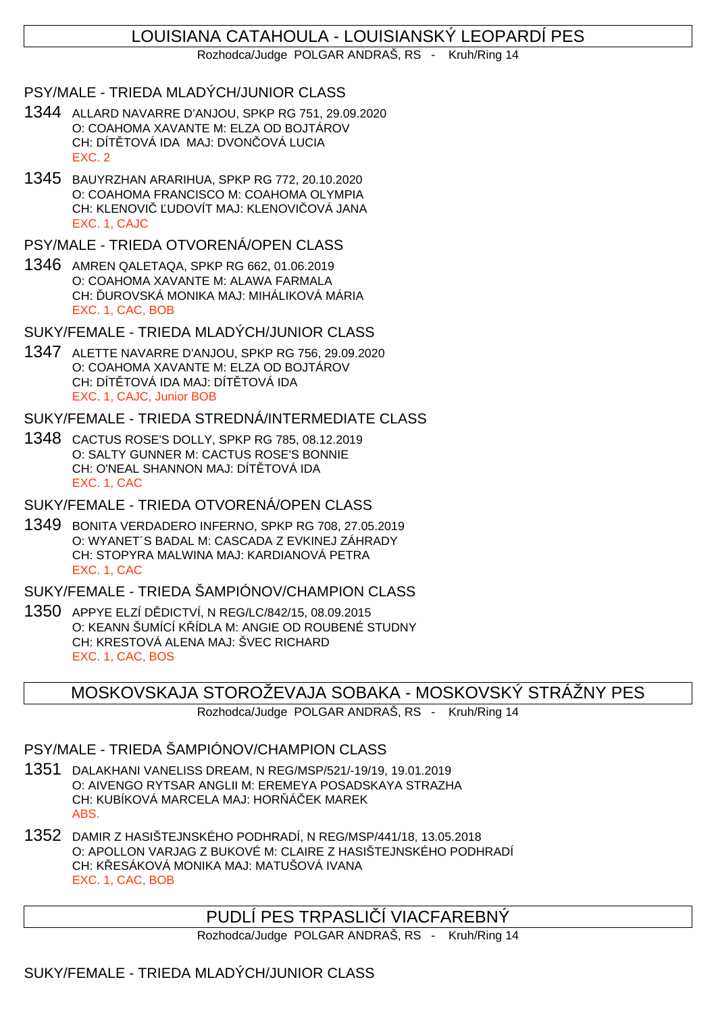# LOUISIANA CATAHOULA - LOUISIANSKÝ LEOPARDÍ PES

Rozhodca/Judge POLGAR ANDRAŠ, RS - Kruh/Ring 14

# PSY/MALE - TRIEDA MLADÝCH/JUNIOR CLASS

- 1344 ALLARD NAVARRE D'ANJOU, SPKP RG 751, 29.09.2020 O: COAHOMA XAVANTE M: ELZA OD BOJTÁROV CH: DÍT TOVÁ IDA MAJ: DVON OVÁ LUCIA EXC. 2
- 1345 BAUYRZHAN ARARIHUA, SPKP RG 772, 20.10.2020 O: COAHOMA FRANCISCO M: COAHOMA OLYMPIA CH: KLENOVI UDOVÍT MAJ: KLENOVI OVÁ JANA EXC. 1, CAJC

PSY/MALE - TRIEDA OTVORENÁ/OPEN CLASS

1346 AMREN QALETAQA, SPKP RG 662, 01.06.2019 O: COAHOMA XAVANTE M: ALAWA FARMALA CH: UROVSKÁ MONIKA MAJ: MIHÁLIKOVÁ MÁRIA EXC. 1, CAC, BOB

SUKY/FEMALE - TRIEDA MLADÝCH/JUNIOR CLASS

1347 ALETTE NAVARRE D'ANJOU, SPKP RG 756, 29.09.2020 O: COAHOMA XAVANTE M: ELZA OD BOJTÁROV CH: DÍT TOVÁ IDA MAJ: DÍT TOVÁ IDA EXC. 1, CAJC, Junior BOB

SUKY/FEMALE - TRIEDA STREDNÁ/INTERMEDIATE CLASS

1348 CACTUS ROSE'S DOLLY, SPKP RG 785, 08.12.2019 O: SALTY GUNNER M: CACTUS ROSE'S BONNIE CH: O'NEAL SHANNON MAJ: DÍT TOVÁ IDA EXC. 1, CAC

SUKY/FEMALE - TRIEDA OTVORENÁ/OPEN CLASS

1349 BONITA VERDADERO INFERNO, SPKP RG 708, 27.05.2019 O: WYANET´S BADAL M: CASCADA Z EVKINEJ ZÁHRADY CH: STOPYRA MALWINA MAJ: KARDIANOVÁ PETRA EXC. 1, CAC

SUKY/FEMALE - TRIEDA ŠAMPIÓNOV/CHAMPION CLASS

1350 APPYE ELZÍ DĚDICTVÍ, N REG/LC/842/15, 08.09.2015 O: KEANN ŠUMÍCÍ K ÍDLA M: ANGIE OD ROUBENÉ STUDNY CH: KRESTOVÁ ALENA MAJ: ŠVEC RICHARD EXC. 1, CAC, BOS

# MOSKOVSKAJA STOROŽEVAJA SOBAKA - MOSKOVSKÝ STRÁŽNY PES

Rozhodca/Judge POLGAR ANDRAŠ, RS - Kruh/Ring 14

# PSY/MALE - TRIEDA ŠAMPIÓNOV/CHAMPION CLASS

- 1351 DALAKHANI VANELISS DREAM, N REG/MSP/521/-19/19, 19.01.2019 O: AIVENGO RYTSAR ANGLII M: EREMEYA POSADSKAYA STRAZHA CH: KUBÍKOVÁ MARCELA MAJ: HOR Á EK MAREK ABS.
- 1352 DAMIR Z HASIŠTEJNSKÉHO PODHRADÍ, N REG/MSP/441/18, 13.05.2018 O: APOLLON VARJAG Z BUKOVÉ M: CLAIRE Z HASIŠTEJNSKÉHO PODHRADÍ CH: KÆSÁKOVÁ MONIKA MAJ: MATUŠOVÁ IVANA EXC. 1, CAC, BOB

# PUDLÍ PES TRPASLI Í VIACFAREBNÝ

Rozhodca/Judge POLGAR ANDRAŠ, RS - Kruh/Ring 14